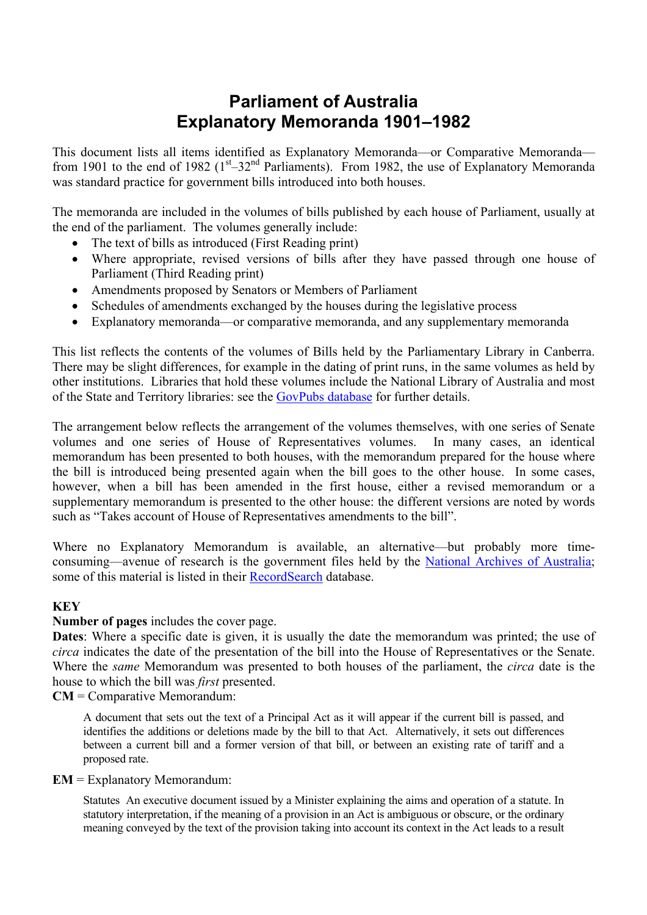# **Parliament of Australia Explanatory Memoranda 1901–1982**

This document lists all items identified as Explanatory Memoranda—or Comparative Memoranda from 1901 to the end of 1982 ( $1<sup>st</sup>$ –32<sup>nd</sup> Parliaments). From 1982, the use of Explanatory Memoranda was standard practice for government bills introduced into both houses.

The memoranda are included in the volumes of bills published by each house of Parliament, usually at the end of the parliament. The volumes generally include:

- The text of bills as introduced (First Reading print)
- Where appropriate, revised versions of bills after they have passed through one house of Parliament (Third Reading print)
- Amendments proposed by Senators or Members of Parliament
- Schedules of amendments exchanged by the houses during the legislative process
- Explanatory memoranda—or comparative memoranda, and any supplementary memoranda

This list reflects the contents of the volumes of Bills held by the Parliamentary Library in Canberra. There may be slight differences, for example in the dating of print runs, in the same volumes as held by other institutions. Libraries that hold these volumes include the National Library of Australia and most of the State and Territory libraries: see the [GovPubs database](http://www.nla.gov.au/apps/govpubs?action=FindPublication&publicationType=4&jurisdiction=2) for further details.

The arrangement below reflects the arrangement of the volumes themselves, with one series of Senate volumes and one series of House of Representatives volumes. In many cases, an identical memorandum has been presented to both houses, with the memorandum prepared for the house where the bill is introduced being presented again when the bill goes to the other house. In some cases, however, when a bill has been amended in the first house, either a revised memorandum or a supplementary memorandum is presented to the other house: the different versions are noted by words such as "Takes account of House of Representatives amendments to the bill".

Where no Explanatory Memorandum is available, an alternative—but probably more time-consuming—avenue of research is the government files held by the [National Archives of Australia;](http://www.naa.gov.au/) some of this material is listed in their [RecordSearch](http://www.naa.gov.au/the_collection/recordsearch.html) database.

#### **KEY**

#### **Number of pages** includes the cover page.

**Dates**: Where a specific date is given, it is usually the date the memorandum was printed; the use of *circa* indicates the date of the presentation of the bill into the House of Representatives or the Senate. Where the *same* Memorandum was presented to both houses of the parliament, the *circa* date is the house to which the bill was *first* presented.

**CM** = Comparative Memorandum:

A document that sets out the text of a Principal Act as it will appear if the current bill is passed, and identifies the additions or deletions made by the bill to that Act. Alternatively, it sets out differences between a current bill and a former version of that bill, or between an existing rate of tariff and a proposed rate.

#### **EM** = Explanatory Memorandum:

Statutes An executive document issued by a Minister explaining the aims and operation of a statute. In statutory interpretation, if the meaning of a provision in an Act is ambiguous or obscure, or the ordinary meaning conveyed by the text of the provision taking into account its context in the Act leads to a result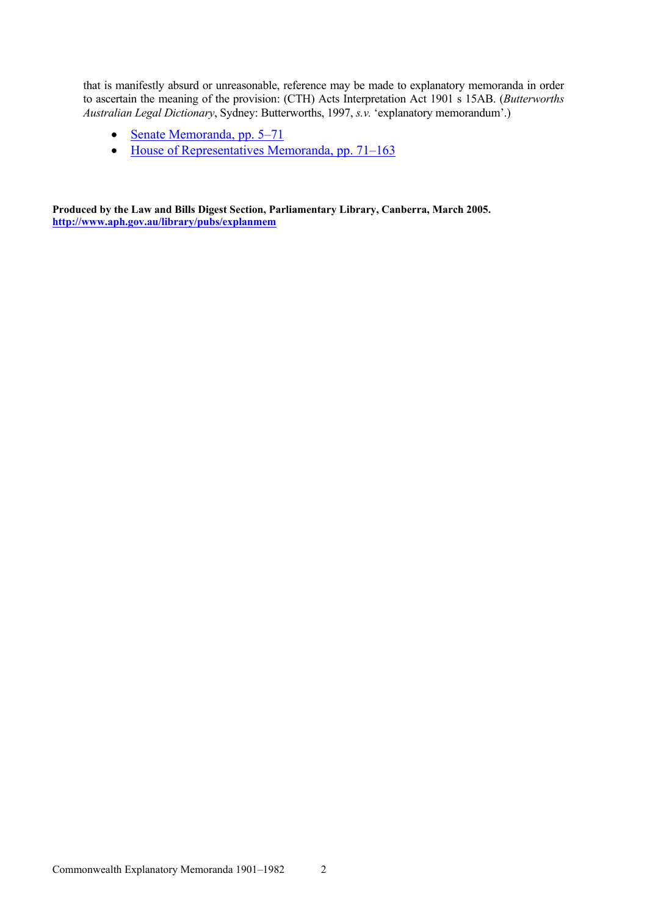that is manifestly absurd or unreasonable, reference may be made to explanatory memoranda in order to ascertain the meaning of the provision: (CTH) Acts Interpretation Act 1901 s 15AB. (*Butterworths Australian Legal Dictionary*, Sydney: Butterworths, 1997, *s.v.* 'explanatory memorandum'.)

- [Senate Memoranda, pp. 5–71](#page-4-0)
- [House of Representatives Memoranda, pp. 71–163](#page-70-0)

**Produced by the Law and Bills Digest Section, Parliamentary Library, Canberra, March 2005. <http://www.aph.gov.au/library/pubs/explanmem>**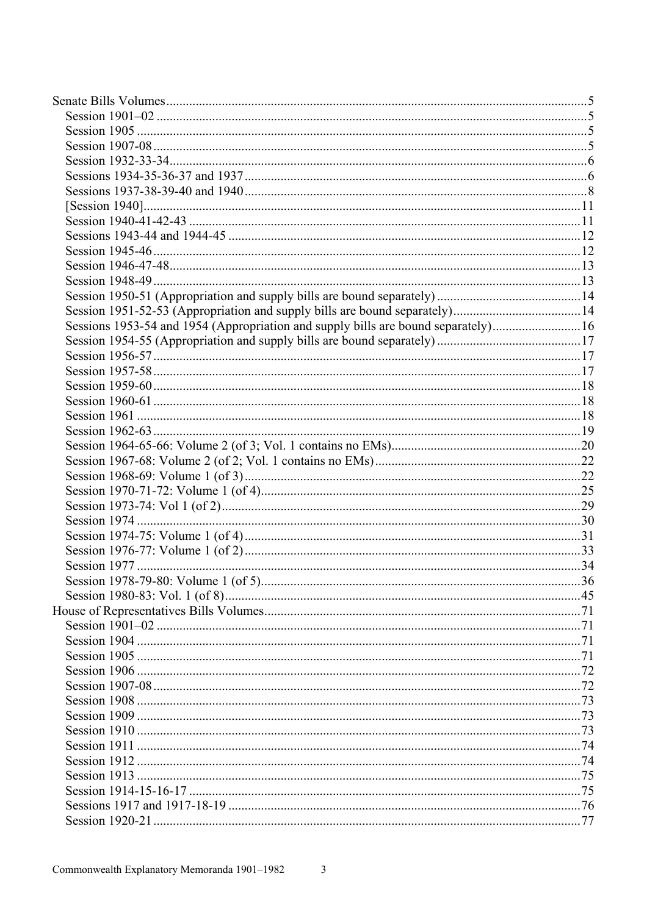| Sessions 1953-54 and 1954 (Appropriation and supply bills are bound separately)16 |  |
|-----------------------------------------------------------------------------------|--|
|                                                                                   |  |
|                                                                                   |  |
|                                                                                   |  |
|                                                                                   |  |
|                                                                                   |  |
|                                                                                   |  |
|                                                                                   |  |
|                                                                                   |  |
|                                                                                   |  |
|                                                                                   |  |
|                                                                                   |  |
|                                                                                   |  |
|                                                                                   |  |
|                                                                                   |  |
|                                                                                   |  |
|                                                                                   |  |
|                                                                                   |  |
|                                                                                   |  |
|                                                                                   |  |
|                                                                                   |  |
|                                                                                   |  |
|                                                                                   |  |
|                                                                                   |  |
|                                                                                   |  |
|                                                                                   |  |
|                                                                                   |  |
|                                                                                   |  |
|                                                                                   |  |
|                                                                                   |  |
|                                                                                   |  |
|                                                                                   |  |
|                                                                                   |  |
|                                                                                   |  |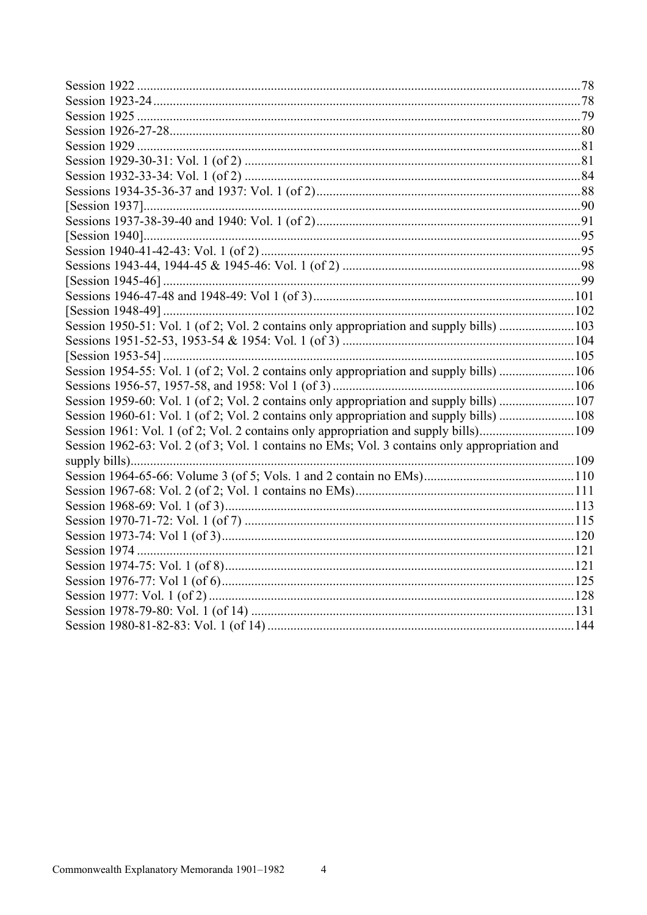| Session 1950-51: Vol. 1 (of 2; Vol. 2 contains only appropriation and supply bills) 103       |  |
|-----------------------------------------------------------------------------------------------|--|
|                                                                                               |  |
|                                                                                               |  |
| Session 1954-55: Vol. 1 (of 2; Vol. 2 contains only appropriation and supply bills) 106       |  |
|                                                                                               |  |
| Session 1959-60: Vol. 1 (of 2; Vol. 2 contains only appropriation and supply bills) 107       |  |
| Session 1960-61: Vol. 1 (of 2; Vol. 2 contains only appropriation and supply bills) 108       |  |
| Session 1961: Vol. 1 (of 2; Vol. 2 contains only appropriation and supply bills)109           |  |
| Session 1962-63: Vol. 2 (of 3; Vol. 1 contains no EMs; Vol. 3 contains only appropriation and |  |
|                                                                                               |  |
|                                                                                               |  |
|                                                                                               |  |
|                                                                                               |  |
|                                                                                               |  |
|                                                                                               |  |
|                                                                                               |  |
|                                                                                               |  |
|                                                                                               |  |
|                                                                                               |  |
|                                                                                               |  |
|                                                                                               |  |

 $\overline{4}$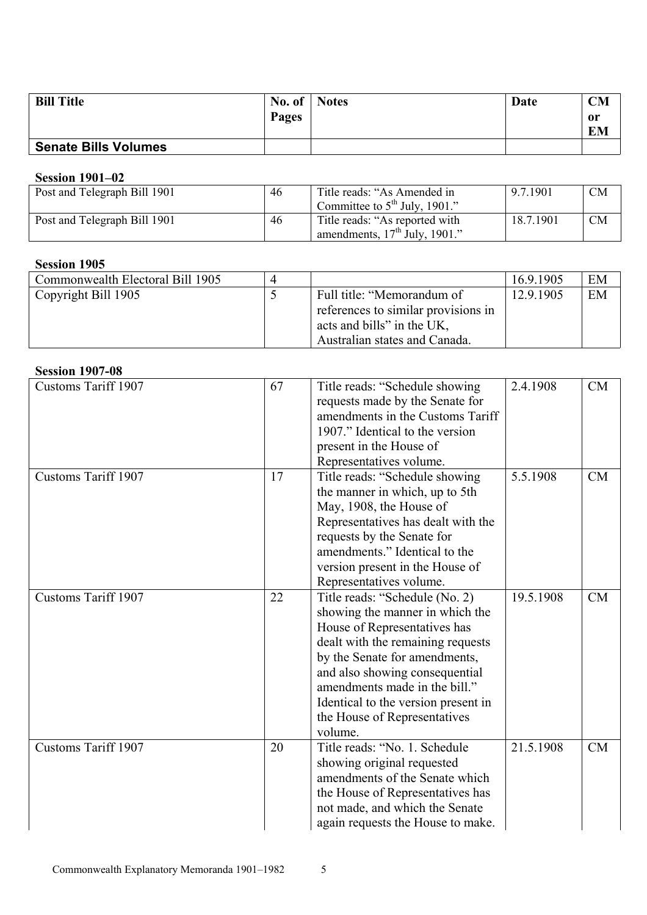<span id="page-4-0"></span>

| <b>Bill Title</b>           | No. of $\blacksquare$ | <b>Notes</b> | Date | <b>CM</b> |
|-----------------------------|-----------------------|--------------|------|-----------|
|                             | Pages                 |              |      | 0r<br>EM  |
| <b>Senate Bills Volumes</b> |                       |              |      |           |

## **Session 1901–02**

| Post and Telegraph Bill 1901 | 46 | Title reads: "As Amended in<br>Committee to $5th$ July, 1901."       | 9.7.1901  | <b>CM</b> |
|------------------------------|----|----------------------------------------------------------------------|-----------|-----------|
| Post and Telegraph Bill 1901 | 46 | Title reads: "As reported with<br>amendments, $17th$ July, $1901$ ." | 18.7.1901 | <b>CM</b> |

### **Session 1905**

| Commonwealth Electoral Bill 1905 | $\Delta$ |                                     | 16.9.1905 | EM |
|----------------------------------|----------|-------------------------------------|-----------|----|
| Copyright Bill 1905              |          | Full title: "Memorandum of          | 12.9.1905 | EM |
|                                  |          | references to similar provisions in |           |    |
|                                  |          | acts and bills" in the UK,          |           |    |
|                                  |          | Australian states and Canada.       |           |    |

#### **Session 1907-08**

| <b>Customs Tariff 1907</b> | 67 | Title reads: "Schedule showing      | 2.4.1908  | <b>CM</b> |
|----------------------------|----|-------------------------------------|-----------|-----------|
|                            |    | requests made by the Senate for     |           |           |
|                            |    | amendments in the Customs Tariff    |           |           |
|                            |    | 1907." Identical to the version     |           |           |
|                            |    | present in the House of             |           |           |
|                            |    | Representatives volume.             |           |           |
| <b>Customs Tariff 1907</b> | 17 | Title reads: "Schedule showing      | 5.5.1908  | CM        |
|                            |    | the manner in which, up to 5th      |           |           |
|                            |    | May, 1908, the House of             |           |           |
|                            |    | Representatives has dealt with the  |           |           |
|                            |    | requests by the Senate for          |           |           |
|                            |    | amendments." Identical to the       |           |           |
|                            |    | version present in the House of     |           |           |
|                            |    | Representatives volume.             |           |           |
| Customs Tariff 1907        | 22 | Title reads: "Schedule (No. 2)      | 19.5.1908 | CM        |
|                            |    | showing the manner in which the     |           |           |
|                            |    | House of Representatives has        |           |           |
|                            |    | dealt with the remaining requests   |           |           |
|                            |    | by the Senate for amendments,       |           |           |
|                            |    | and also showing consequential      |           |           |
|                            |    | amendments made in the bill."       |           |           |
|                            |    | Identical to the version present in |           |           |
|                            |    | the House of Representatives        |           |           |
|                            |    | volume.                             |           |           |
| <b>Customs Tariff 1907</b> | 20 | Title reads: "No. 1. Schedule       | 21.5.1908 | <b>CM</b> |
|                            |    | showing original requested          |           |           |
|                            |    | amendments of the Senate which      |           |           |
|                            |    | the House of Representatives has    |           |           |
|                            |    | not made, and which the Senate      |           |           |
|                            |    | again requests the House to make.   |           |           |
|                            |    |                                     |           |           |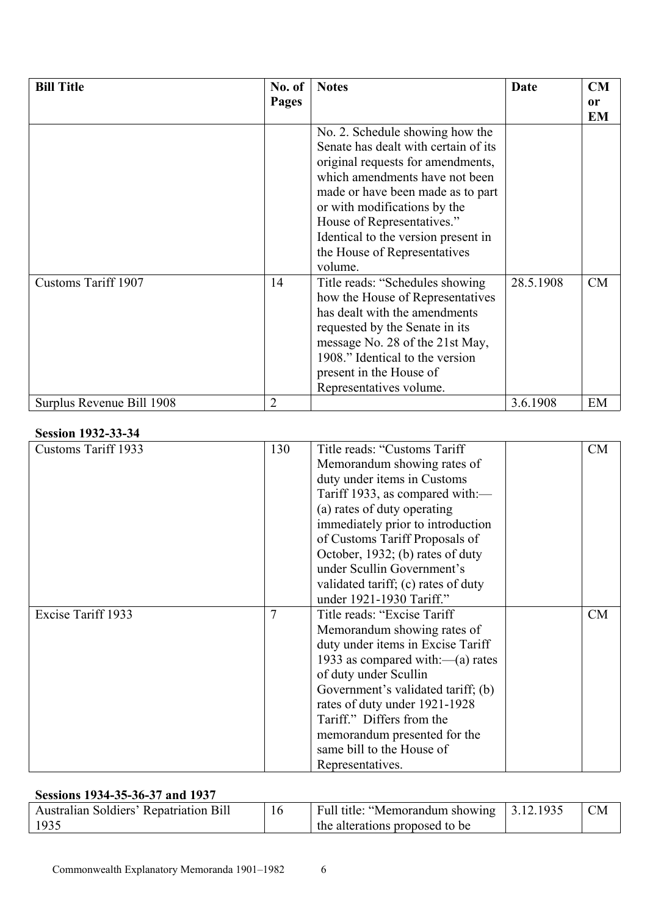| <b>Bill Title</b>         | No. of<br>Pages | <b>Notes</b>                                                                                                                                                                                                                                                                                                                        | Date      | CM<br>or<br>EM |
|---------------------------|-----------------|-------------------------------------------------------------------------------------------------------------------------------------------------------------------------------------------------------------------------------------------------------------------------------------------------------------------------------------|-----------|----------------|
|                           |                 | No. 2. Schedule showing how the<br>Senate has dealt with certain of its<br>original requests for amendments,<br>which amendments have not been<br>made or have been made as to part<br>or with modifications by the<br>House of Representatives."<br>Identical to the version present in<br>the House of Representatives<br>volume. |           |                |
| Customs Tariff 1907       | 14              | Title reads: "Schedules showing<br>how the House of Representatives<br>has dealt with the amendments<br>requested by the Senate in its<br>message No. 28 of the 21st May,<br>1908." Identical to the version<br>present in the House of<br>Representatives volume.                                                                  | 28.5.1908 | CM             |
| Surplus Revenue Bill 1908 | $\overline{2}$  |                                                                                                                                                                                                                                                                                                                                     | 3.6.1908  | EM             |

#### **Session 1932-33-34**

| <b>Customs Tariff 1933</b> | 130 | Title reads: "Customs Tariff"       | CM |
|----------------------------|-----|-------------------------------------|----|
|                            |     | Memorandum showing rates of         |    |
|                            |     | duty under items in Customs         |    |
|                            |     | Tariff 1933, as compared with:—     |    |
|                            |     | (a) rates of duty operating         |    |
|                            |     | immediately prior to introduction   |    |
|                            |     | of Customs Tariff Proposals of      |    |
|                            |     | October, 1932; (b) rates of duty    |    |
|                            |     | under Scullin Government's          |    |
|                            |     | validated tariff; (c) rates of duty |    |
|                            |     | under 1921-1930 Tariff."            |    |
| Excise Tariff 1933         | 7   | Title reads: "Excise Tariff"        | CM |
|                            |     | Memorandum showing rates of         |    |
|                            |     | duty under items in Excise Tariff   |    |
|                            |     | 1933 as compared with: $-(a)$ rates |    |
|                            |     | of duty under Scullin               |    |
|                            |     | Government's validated tariff; (b)  |    |
|                            |     | rates of duty under 1921-1928       |    |
|                            |     | Tariff." Differs from the           |    |
|                            |     | memorandum presented for the        |    |
|                            |     | same bill to the House of           |    |
|                            |     | Representatives.                    |    |

### **Sessions 1934-35-36-37 and 1937**

| <b>Australian Soldiers' Repatriation Bill</b> | Full title: "Memorandum showing 3.12.1935 | <b>CM</b> |
|-----------------------------------------------|-------------------------------------------|-----------|
| 1935                                          | the alterations proposed to be            |           |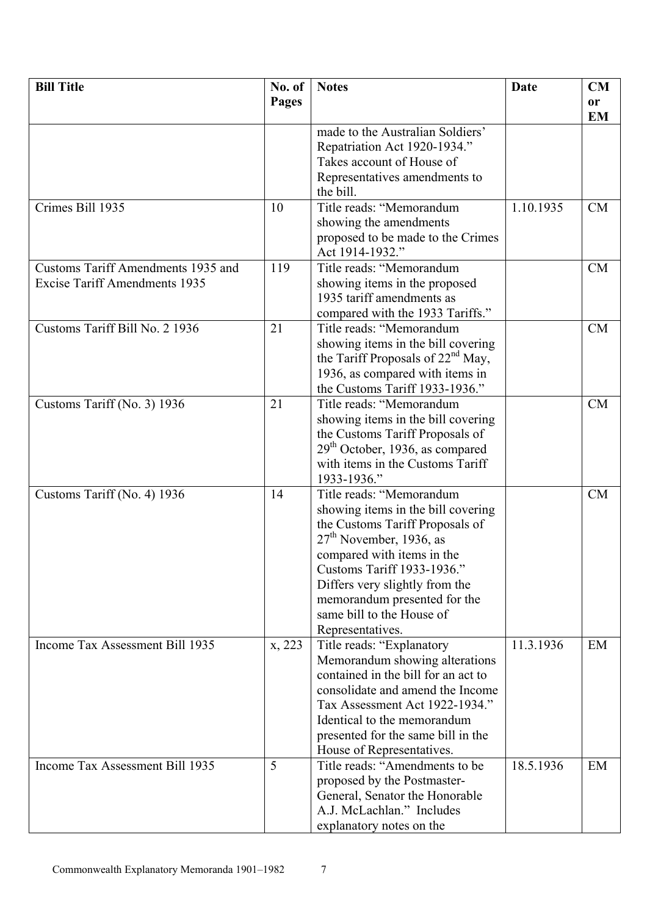| <b>Bill Title</b>                    | No. of       | <b>Notes</b>                        | Date      | CM        |
|--------------------------------------|--------------|-------------------------------------|-----------|-----------|
|                                      | <b>Pages</b> |                                     |           | or        |
|                                      |              |                                     |           | <b>EM</b> |
|                                      |              | made to the Australian Soldiers'    |           |           |
|                                      |              | Repatriation Act 1920-1934."        |           |           |
|                                      |              | Takes account of House of           |           |           |
|                                      |              | Representatives amendments to       |           |           |
|                                      |              | the bill.                           |           |           |
| Crimes Bill 1935                     | 10           | Title reads: "Memorandum            | 1.10.1935 | CM        |
|                                      |              | showing the amendments              |           |           |
|                                      |              | proposed to be made to the Crimes   |           |           |
|                                      |              | Act 1914-1932."                     |           |           |
| Customs Tariff Amendments 1935 and   | 119          | Title reads: "Memorandum            |           | <b>CM</b> |
| <b>Excise Tariff Amendments 1935</b> |              | showing items in the proposed       |           |           |
|                                      |              | 1935 tariff amendments as           |           |           |
|                                      |              | compared with the 1933 Tariffs."    |           |           |
| Customs Tariff Bill No. 2 1936       | 21           | Title reads: "Memorandum            |           | <b>CM</b> |
|                                      |              | showing items in the bill covering  |           |           |
|                                      |              | the Tariff Proposals of $22nd$ May, |           |           |
|                                      |              | 1936, as compared with items in     |           |           |
|                                      |              | the Customs Tariff 1933-1936."      |           |           |
| Customs Tariff (No. 3) 1936          | 21           | Title reads: "Memorandum            |           | <b>CM</b> |
|                                      |              | showing items in the bill covering  |           |           |
|                                      |              | the Customs Tariff Proposals of     |           |           |
|                                      |              | $29th$ October, 1936, as compared   |           |           |
|                                      |              | with items in the Customs Tariff    |           |           |
|                                      |              | 1933-1936."                         |           |           |
|                                      | 14           | Title reads: "Memorandum            |           | CM        |
| Customs Tariff (No. 4) 1936          |              | showing items in the bill covering  |           |           |
|                                      |              | the Customs Tariff Proposals of     |           |           |
|                                      |              | $27th$ November, 1936, as           |           |           |
|                                      |              | compared with items in the          |           |           |
|                                      |              | Customs Tariff 1933-1936."          |           |           |
|                                      |              | Differs very slightly from the      |           |           |
|                                      |              | memorandum presented for the        |           |           |
|                                      |              | same bill to the House of           |           |           |
|                                      |              | Representatives.                    |           |           |
| Income Tax Assessment Bill 1935      | x, 223       | Title reads: "Explanatory           | 11.3.1936 | EM        |
|                                      |              | Memorandum showing alterations      |           |           |
|                                      |              | contained in the bill for an act to |           |           |
|                                      |              | consolidate and amend the Income    |           |           |
|                                      |              | Tax Assessment Act 1922-1934."      |           |           |
|                                      |              | Identical to the memorandum         |           |           |
|                                      |              | presented for the same bill in the  |           |           |
|                                      |              | House of Representatives.           |           |           |
| Income Tax Assessment Bill 1935      | 5            | Title reads: "Amendments to be      | 18.5.1936 | EM        |
|                                      |              | proposed by the Postmaster-         |           |           |
|                                      |              | General, Senator the Honorable      |           |           |
|                                      |              | A.J. McLachlan." Includes           |           |           |
|                                      |              | explanatory notes on the            |           |           |
|                                      |              |                                     |           |           |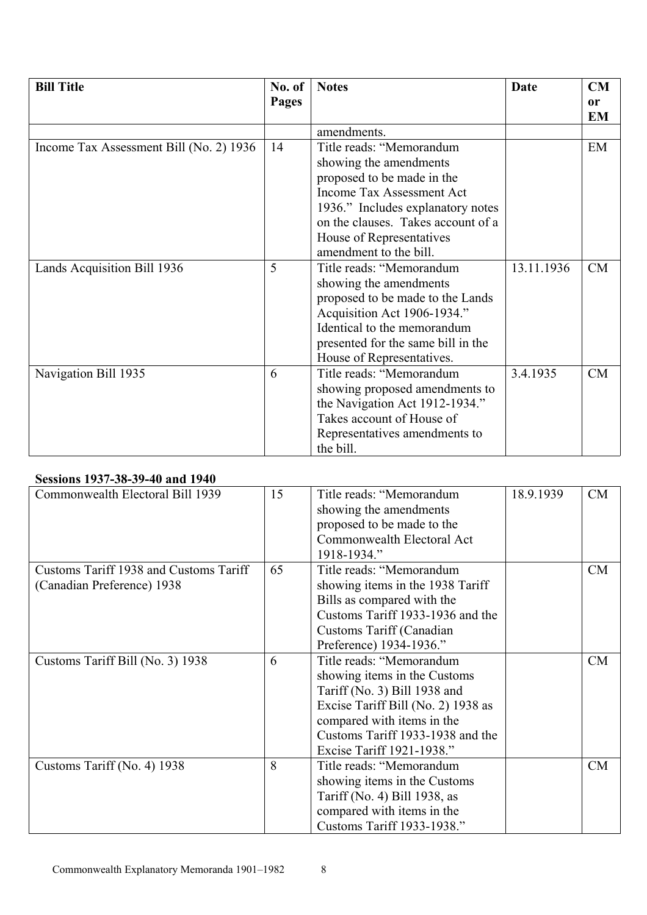| <b>Bill Title</b>                       | No. of | <b>Notes</b>                       | Date       | CM        |
|-----------------------------------------|--------|------------------------------------|------------|-----------|
|                                         | Pages  |                                    |            | or        |
|                                         |        |                                    |            | <b>EM</b> |
|                                         |        | amendments.                        |            |           |
| Income Tax Assessment Bill (No. 2) 1936 | 14     | Title reads: "Memorandum           |            | EM        |
|                                         |        | showing the amendments             |            |           |
|                                         |        | proposed to be made in the         |            |           |
|                                         |        | Income Tax Assessment Act          |            |           |
|                                         |        | 1936." Includes explanatory notes  |            |           |
|                                         |        | on the clauses. Takes account of a |            |           |
|                                         |        | House of Representatives           |            |           |
|                                         |        | amendment to the bill.             |            |           |
| Lands Acquisition Bill 1936             | 5      | Title reads: "Memorandum           | 13.11.1936 | CM        |
|                                         |        | showing the amendments             |            |           |
|                                         |        | proposed to be made to the Lands   |            |           |
|                                         |        | Acquisition Act 1906-1934."        |            |           |
|                                         |        | Identical to the memorandum        |            |           |
|                                         |        | presented for the same bill in the |            |           |
|                                         |        | House of Representatives.          |            |           |
| Navigation Bill 1935                    | 6      | Title reads: "Memorandum           | 3.4.1935   | CM        |
|                                         |        | showing proposed amendments to     |            |           |
|                                         |        | the Navigation Act 1912-1934."     |            |           |
|                                         |        | Takes account of House of          |            |           |
|                                         |        | Representatives amendments to      |            |           |
|                                         |        | the bill.                          |            |           |

# **Sessions 1937-38-39-40 and 1940**

| Commonwealth Electoral Bill 1939       | 15 | Title reads: "Memorandum           | 18.9.1939 | <b>CM</b> |
|----------------------------------------|----|------------------------------------|-----------|-----------|
|                                        |    | showing the amendments             |           |           |
|                                        |    | proposed to be made to the         |           |           |
|                                        |    | Commonwealth Electoral Act         |           |           |
|                                        |    | 1918-1934."                        |           |           |
| Customs Tariff 1938 and Customs Tariff | 65 | Title reads: "Memorandum           |           | CM        |
| (Canadian Preference) 1938             |    | showing items in the 1938 Tariff   |           |           |
|                                        |    | Bills as compared with the         |           |           |
|                                        |    | Customs Tariff 1933-1936 and the   |           |           |
|                                        |    | Customs Tariff (Canadian           |           |           |
|                                        |    | Preference) 1934-1936."            |           |           |
| Customs Tariff Bill (No. 3) 1938       | 6  | Title reads: "Memorandum           |           | CM        |
|                                        |    | showing items in the Customs       |           |           |
|                                        |    | Tariff (No. 3) Bill 1938 and       |           |           |
|                                        |    | Excise Tariff Bill (No. 2) 1938 as |           |           |
|                                        |    | compared with items in the         |           |           |
|                                        |    | Customs Tariff 1933-1938 and the   |           |           |
|                                        |    | Excise Tariff 1921-1938."          |           |           |
| Customs Tariff (No. 4) 1938            | 8  | Title reads: "Memorandum           |           | CM        |
|                                        |    | showing items in the Customs       |           |           |
|                                        |    | Tariff (No. 4) Bill 1938, as       |           |           |
|                                        |    | compared with items in the         |           |           |
|                                        |    | Customs Tariff 1933-1938."         |           |           |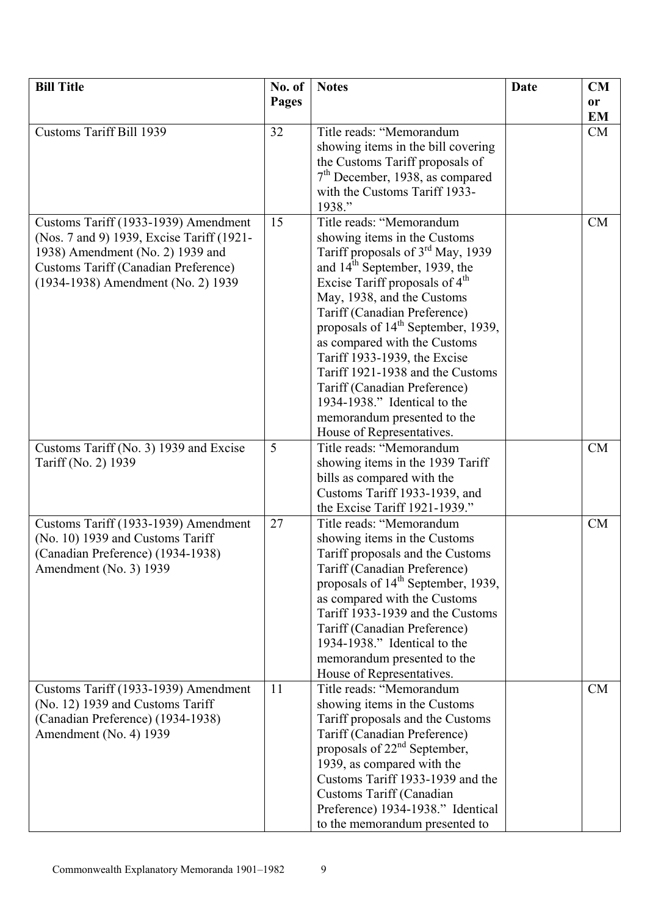| <b>Bill Title</b>                                                                                                                                                                                          | No. of       | <b>Notes</b>                                                                                                                                                                                                                                                                                                                                                                                                                                                                                                                                         | Date | CM                     |
|------------------------------------------------------------------------------------------------------------------------------------------------------------------------------------------------------------|--------------|------------------------------------------------------------------------------------------------------------------------------------------------------------------------------------------------------------------------------------------------------------------------------------------------------------------------------------------------------------------------------------------------------------------------------------------------------------------------------------------------------------------------------------------------------|------|------------------------|
|                                                                                                                                                                                                            | <b>Pages</b> |                                                                                                                                                                                                                                                                                                                                                                                                                                                                                                                                                      |      | <b>or</b><br><b>EM</b> |
| <b>Customs Tariff Bill 1939</b>                                                                                                                                                                            | 32           | Title reads: "Memorandum<br>showing items in the bill covering<br>the Customs Tariff proposals of<br>$7th$ December, 1938, as compared<br>with the Customs Tariff 1933-<br>1938."                                                                                                                                                                                                                                                                                                                                                                    |      | CM                     |
| Customs Tariff (1933-1939) Amendment<br>(Nos. 7 and 9) 1939, Excise Tariff (1921-<br>1938) Amendment (No. 2) 1939 and<br><b>Customs Tariff (Canadian Preference)</b><br>(1934-1938) Amendment (No. 2) 1939 | 15           | Title reads: "Memorandum<br>showing items in the Customs<br>Tariff proposals of 3 <sup>rd</sup> May, 1939<br>and 14 <sup>th</sup> September, 1939, the<br>Excise Tariff proposals of 4 <sup>th</sup><br>May, 1938, and the Customs<br>Tariff (Canadian Preference)<br>proposals of 14 <sup>th</sup> September, 1939,<br>as compared with the Customs<br>Tariff 1933-1939, the Excise<br>Tariff 1921-1938 and the Customs<br>Tariff (Canadian Preference)<br>1934-1938." Identical to the<br>memorandum presented to the<br>House of Representatives. |      | <b>CM</b>              |
| Customs Tariff (No. 3) 1939 and Excise<br>Tariff (No. 2) 1939                                                                                                                                              | 5            | Title reads: "Memorandum<br>showing items in the 1939 Tariff<br>bills as compared with the<br>Customs Tariff 1933-1939, and<br>the Excise Tariff 1921-1939."                                                                                                                                                                                                                                                                                                                                                                                         |      | <b>CM</b>              |
| Customs Tariff (1933-1939) Amendment<br>(No. 10) 1939 and Customs Tariff<br>(Canadian Preference) (1934-1938)<br>Amendment (No. 3) 1939                                                                    | 27           | Title reads: "Memorandum<br>showing items in the Customs<br>Tariff proposals and the Customs<br>Tariff (Canadian Preference)<br>proposals of 14 <sup>th</sup> September, 1939,<br>as compared with the Customs<br>Tariff 1933-1939 and the Customs<br>Tariff (Canadian Preference)<br>1934-1938." Identical to the<br>memorandum presented to the<br>House of Representatives.                                                                                                                                                                       |      | <b>CM</b>              |
| Customs Tariff (1933-1939) Amendment<br>(No. 12) 1939 and Customs Tariff<br>(Canadian Preference) (1934-1938)<br>Amendment (No. 4) 1939                                                                    | 11           | Title reads: "Memorandum<br>showing items in the Customs<br>Tariff proposals and the Customs<br>Tariff (Canadian Preference)<br>proposals of 22 <sup>nd</sup> September,<br>1939, as compared with the<br>Customs Tariff 1933-1939 and the<br>Customs Tariff (Canadian<br>Preference) 1934-1938." Identical<br>to the memorandum presented to                                                                                                                                                                                                        |      | <b>CM</b>              |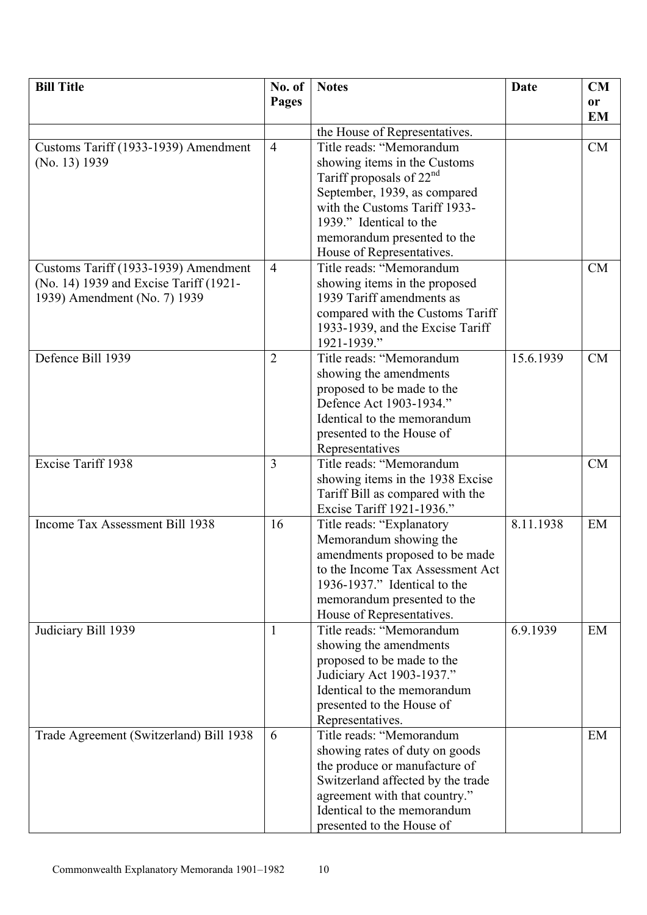| <b>Bill Title</b>                                                              | No. of         | <b>Notes</b>                                             | <b>Date</b> | CM            |
|--------------------------------------------------------------------------------|----------------|----------------------------------------------------------|-------------|---------------|
|                                                                                | <b>Pages</b>   |                                                          |             | <sub>or</sub> |
|                                                                                |                |                                                          |             | <b>EM</b>     |
|                                                                                |                | the House of Representatives.                            |             |               |
| Customs Tariff (1933-1939) Amendment                                           | $\overline{4}$ | Title reads: "Memorandum                                 |             | <b>CM</b>     |
| (No. 13) 1939                                                                  |                | showing items in the Customs                             |             |               |
|                                                                                |                | Tariff proposals of $22nd$                               |             |               |
|                                                                                |                | September, 1939, as compared                             |             |               |
|                                                                                |                | with the Customs Tariff 1933-                            |             |               |
|                                                                                |                | 1939." Identical to the                                  |             |               |
|                                                                                |                | memorandum presented to the<br>House of Representatives. |             |               |
|                                                                                | $\overline{4}$ | Title reads: "Memorandum                                 |             | <b>CM</b>     |
| Customs Tariff (1933-1939) Amendment<br>(No. 14) 1939 and Excise Tariff (1921- |                | showing items in the proposed                            |             |               |
| 1939) Amendment (No. 7) 1939                                                   |                | 1939 Tariff amendments as                                |             |               |
|                                                                                |                | compared with the Customs Tariff                         |             |               |
|                                                                                |                | 1933-1939, and the Excise Tariff                         |             |               |
|                                                                                |                | 1921-1939."                                              |             |               |
| Defence Bill 1939                                                              | $\overline{2}$ | Title reads: "Memorandum                                 | 15.6.1939   | <b>CM</b>     |
|                                                                                |                | showing the amendments                                   |             |               |
|                                                                                |                | proposed to be made to the                               |             |               |
|                                                                                |                | Defence Act 1903-1934."                                  |             |               |
|                                                                                |                | Identical to the memorandum                              |             |               |
|                                                                                |                | presented to the House of                                |             |               |
|                                                                                |                | Representatives                                          |             |               |
| Excise Tariff 1938                                                             | 3              | Title reads: "Memorandum                                 |             | <b>CM</b>     |
|                                                                                |                | showing items in the 1938 Excise                         |             |               |
|                                                                                |                | Tariff Bill as compared with the                         |             |               |
|                                                                                |                | Excise Tariff 1921-1936."                                |             |               |
| Income Tax Assessment Bill 1938                                                | 16             | Title reads: "Explanatory                                | 8.11.1938   | EM            |
|                                                                                |                | Memorandum showing the                                   |             |               |
|                                                                                |                | amendments proposed to be made                           |             |               |
|                                                                                |                | to the Income Tax Assessment Act                         |             |               |
|                                                                                |                | 1936-1937." Identical to the                             |             |               |
|                                                                                |                | memorandum presented to the                              |             |               |
|                                                                                |                | House of Representatives.                                |             |               |
| Judiciary Bill 1939                                                            | $\mathbf{1}$   | Title reads: "Memorandum                                 | 6.9.1939    | EM            |
|                                                                                |                | showing the amendments                                   |             |               |
|                                                                                |                | proposed to be made to the<br>Judiciary Act 1903-1937."  |             |               |
|                                                                                |                | Identical to the memorandum                              |             |               |
|                                                                                |                | presented to the House of                                |             |               |
|                                                                                |                | Representatives.                                         |             |               |
| Trade Agreement (Switzerland) Bill 1938                                        | 6              | Title reads: "Memorandum                                 |             | EM            |
|                                                                                |                | showing rates of duty on goods                           |             |               |
|                                                                                |                | the produce or manufacture of                            |             |               |
|                                                                                |                | Switzerland affected by the trade                        |             |               |
|                                                                                |                | agreement with that country."                            |             |               |
|                                                                                |                | Identical to the memorandum                              |             |               |
|                                                                                |                | presented to the House of                                |             |               |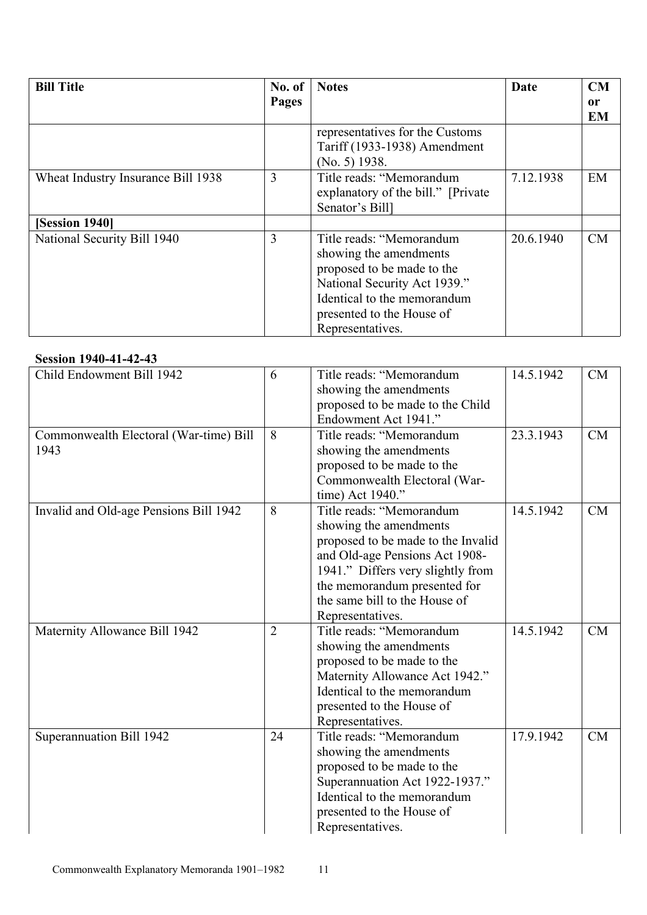| <b>Bill Title</b>                  | No. of | <b>Notes</b>                                                                                                                                                                                     | Date      | <b>CM</b>       |
|------------------------------------|--------|--------------------------------------------------------------------------------------------------------------------------------------------------------------------------------------------------|-----------|-----------------|
|                                    | Pages  |                                                                                                                                                                                                  |           | 0r<br><b>EM</b> |
|                                    |        | representatives for the Customs<br>Tariff (1933-1938) Amendment<br>$(No. 5)$ 1938.                                                                                                               |           |                 |
| Wheat Industry Insurance Bill 1938 | 3      | Title reads: "Memorandum<br>explanatory of the bill." [Private]<br>Senator's Bill1                                                                                                               | 7.12.1938 | EM              |
| [Session 1940]                     |        |                                                                                                                                                                                                  |           |                 |
| National Security Bill 1940        | 3      | Title reads: "Memorandum<br>showing the amendments<br>proposed to be made to the<br>National Security Act 1939."<br>Identical to the memorandum<br>presented to the House of<br>Representatives. | 20.6.1940 | CM              |

#### **Session 1940-41-42-43**

| 96991VII 17TV-TI-T2-T                  |                |                                    |           |    |
|----------------------------------------|----------------|------------------------------------|-----------|----|
| Child Endowment Bill 1942              | 6              | Title reads: "Memorandum           | 14.5.1942 | CM |
|                                        |                | showing the amendments             |           |    |
|                                        |                | proposed to be made to the Child   |           |    |
|                                        |                | Endowment Act 1941."               |           |    |
| Commonwealth Electoral (War-time) Bill | 8              | Title reads: "Memorandum           | 23.3.1943 | CM |
| 1943                                   |                | showing the amendments             |           |    |
|                                        |                | proposed to be made to the         |           |    |
|                                        |                | Commonwealth Electoral (War-       |           |    |
|                                        |                | time) Act 1940."                   |           |    |
| Invalid and Old-age Pensions Bill 1942 | 8              | Title reads: "Memorandum           | 14.5.1942 | CM |
|                                        |                | showing the amendments             |           |    |
|                                        |                | proposed to be made to the Invalid |           |    |
|                                        |                | and Old-age Pensions Act 1908-     |           |    |
|                                        |                | 1941." Differs very slightly from  |           |    |
|                                        |                | the memorandum presented for       |           |    |
|                                        |                | the same bill to the House of      |           |    |
|                                        |                | Representatives.                   |           |    |
| Maternity Allowance Bill 1942          | $\overline{2}$ | Title reads: "Memorandum           | 14.5.1942 | CM |
|                                        |                | showing the amendments             |           |    |
|                                        |                | proposed to be made to the         |           |    |
|                                        |                | Maternity Allowance Act 1942."     |           |    |
|                                        |                | Identical to the memorandum        |           |    |
|                                        |                | presented to the House of          |           |    |
|                                        |                | Representatives.                   |           |    |
| Superannuation Bill 1942               | 24             | Title reads: "Memorandum           | 17.9.1942 | CM |
|                                        |                | showing the amendments             |           |    |
|                                        |                | proposed to be made to the         |           |    |
|                                        |                | Superannuation Act 1922-1937."     |           |    |
|                                        |                | Identical to the memorandum        |           |    |
|                                        |                | presented to the House of          |           |    |
|                                        |                | Representatives.                   |           |    |
|                                        |                |                                    |           |    |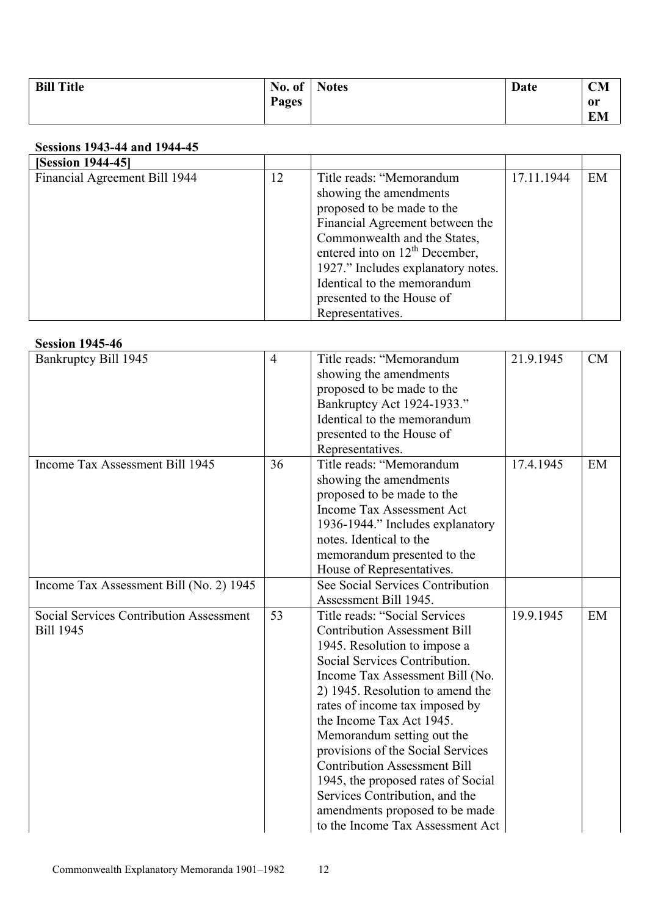| <b>Bill Title</b> | No. of $\vert$ | <b>Notes</b> | Date | <b>CM</b> |
|-------------------|----------------|--------------|------|-----------|
|                   | <b>Pages</b>   |              |      | 0r        |
|                   |                |              |      | EM        |

# **Sessions 1943-44 and 1944-45**

| <b>[Session 1944-45]</b>      |    |                                     |            |    |
|-------------------------------|----|-------------------------------------|------------|----|
| Financial Agreement Bill 1944 | 12 | Title reads: "Memorandum            | 17.11.1944 | EM |
|                               |    | showing the amendments              |            |    |
|                               |    | proposed to be made to the          |            |    |
|                               |    | Financial Agreement between the     |            |    |
|                               |    | Commonwealth and the States,        |            |    |
|                               |    | entered into on $12^{th}$ December, |            |    |
|                               |    | 1927." Includes explanatory notes.  |            |    |
|                               |    | Identical to the memorandum         |            |    |
|                               |    | presented to the House of           |            |    |
|                               |    | Representatives.                    |            |    |

#### **Session 1945-46**

| Bankruptcy Bill 1945                           | $\overline{4}$ | Title reads: "Memorandum            | 21.9.1945 | CM |
|------------------------------------------------|----------------|-------------------------------------|-----------|----|
|                                                |                | showing the amendments              |           |    |
|                                                |                | proposed to be made to the          |           |    |
|                                                |                | Bankruptcy Act 1924-1933."          |           |    |
|                                                |                | Identical to the memorandum         |           |    |
|                                                |                | presented to the House of           |           |    |
|                                                |                | Representatives.                    |           |    |
| Income Tax Assessment Bill 1945                | 36             | Title reads: "Memorandum            | 17.4.1945 | EM |
|                                                |                | showing the amendments              |           |    |
|                                                |                | proposed to be made to the          |           |    |
|                                                |                | <b>Income Tax Assessment Act</b>    |           |    |
|                                                |                | 1936-1944." Includes explanatory    |           |    |
|                                                |                | notes. Identical to the             |           |    |
|                                                |                | memorandum presented to the         |           |    |
|                                                |                | House of Representatives.           |           |    |
| Income Tax Assessment Bill (No. 2) 1945        |                | See Social Services Contribution    |           |    |
|                                                |                | Assessment Bill 1945.               |           |    |
| <b>Social Services Contribution Assessment</b> | 53             | Title reads: "Social Services       | 19.9.1945 | EM |
| <b>Bill 1945</b>                               |                | <b>Contribution Assessment Bill</b> |           |    |
|                                                |                | 1945. Resolution to impose a        |           |    |
|                                                |                | Social Services Contribution.       |           |    |
|                                                |                | Income Tax Assessment Bill (No.     |           |    |
|                                                |                | 2) 1945. Resolution to amend the    |           |    |
|                                                |                | rates of income tax imposed by      |           |    |
|                                                |                | the Income Tax Act 1945.            |           |    |
|                                                |                | Memorandum setting out the          |           |    |
|                                                |                | provisions of the Social Services   |           |    |
|                                                |                | <b>Contribution Assessment Bill</b> |           |    |
|                                                |                | 1945, the proposed rates of Social  |           |    |
|                                                |                | Services Contribution, and the      |           |    |
|                                                |                | amendments proposed to be made      |           |    |
|                                                |                | to the Income Tax Assessment Act    |           |    |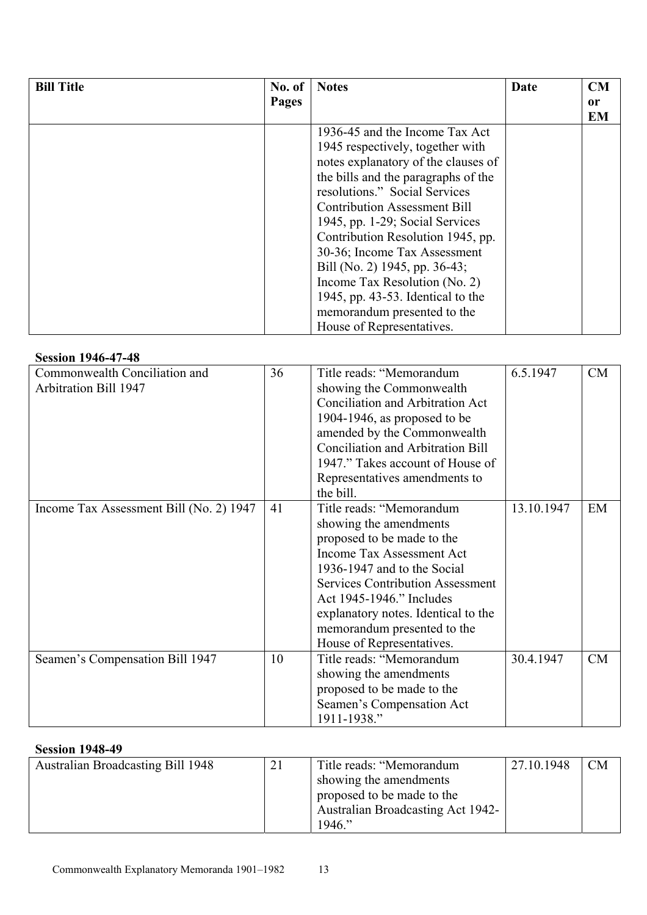| <b>Bill Title</b> | No. of | <b>Notes</b>                         | Date | <b>CM</b> |
|-------------------|--------|--------------------------------------|------|-----------|
|                   | Pages  |                                      |      | 0r        |
|                   |        |                                      |      | <b>EM</b> |
|                   |        | 1936-45 and the Income Tax Act       |      |           |
|                   |        | 1945 respectively, together with     |      |           |
|                   |        | notes explanatory of the clauses of  |      |           |
|                   |        | the bills and the paragraphs of the  |      |           |
|                   |        | resolutions." Social Services        |      |           |
|                   |        | <b>Contribution Assessment Bill</b>  |      |           |
|                   |        | 1945, pp. 1-29; Social Services      |      |           |
|                   |        | Contribution Resolution 1945, pp.    |      |           |
|                   |        | 30-36; Income Tax Assessment         |      |           |
|                   |        | Bill (No. 2) 1945, pp. 36-43;        |      |           |
|                   |        | Income Tax Resolution (No. 2)        |      |           |
|                   |        | 1945, pp. $43-53$ . Identical to the |      |           |
|                   |        | memorandum presented to the          |      |           |
|                   |        | House of Representatives.            |      |           |

# **Session 1946-47-48**

| , ט <del>ד</del> ־ <i>ו</i> ד־טדע µטגע  |    |                                          |            |    |
|-----------------------------------------|----|------------------------------------------|------------|----|
| Commonwealth Conciliation and           | 36 | Title reads: "Memorandum                 | 6.5.1947   | CM |
| <b>Arbitration Bill 1947</b>            |    | showing the Commonwealth                 |            |    |
|                                         |    | Conciliation and Arbitration Act         |            |    |
|                                         |    | 1904-1946, as proposed to be             |            |    |
|                                         |    | amended by the Commonwealth              |            |    |
|                                         |    | <b>Conciliation and Arbitration Bill</b> |            |    |
|                                         |    | 1947." Takes account of House of         |            |    |
|                                         |    | Representatives amendments to            |            |    |
|                                         |    | the bill.                                |            |    |
| Income Tax Assessment Bill (No. 2) 1947 | 41 | Title reads: "Memorandum                 | 13.10.1947 | EM |
|                                         |    | showing the amendments                   |            |    |
|                                         |    | proposed to be made to the               |            |    |
|                                         |    | <b>Income Tax Assessment Act</b>         |            |    |
|                                         |    | 1936-1947 and to the Social              |            |    |
|                                         |    | <b>Services Contribution Assessment</b>  |            |    |
|                                         |    | Act 1945-1946." Includes                 |            |    |
|                                         |    | explanatory notes. Identical to the      |            |    |
|                                         |    | memorandum presented to the              |            |    |
|                                         |    | House of Representatives.                |            |    |
| Seamen's Compensation Bill 1947         | 10 | Title reads: "Memorandum                 | 30.4.1947  | CM |
|                                         |    | showing the amendments                   |            |    |
|                                         |    | proposed to be made to the               |            |    |
|                                         |    | Seamen's Compensation Act                |            |    |
|                                         |    | 1911-1938."                              |            |    |

### **Session 1948-49**

| <b>Australian Broadcasting Bill 1948</b> | 21 | Title reads: "Memorandum                 | 27.10.1948 | CM |
|------------------------------------------|----|------------------------------------------|------------|----|
|                                          |    | showing the amendments                   |            |    |
|                                          |    | proposed to be made to the               |            |    |
|                                          |    | <b>Australian Broadcasting Act 1942-</b> |            |    |
|                                          |    | $1946$ ."                                |            |    |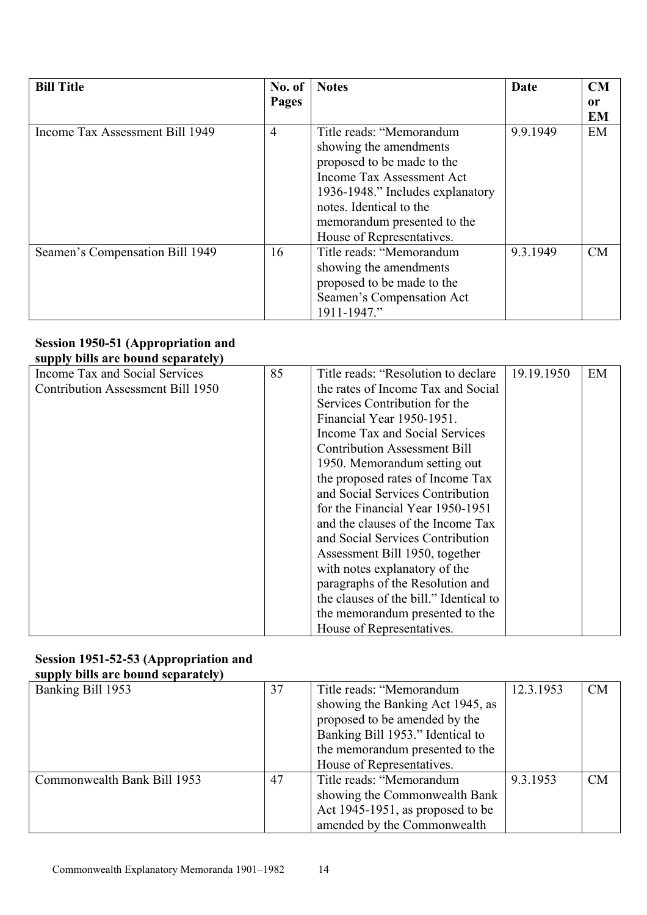| <b>Bill Title</b>               | No. of         | <b>Notes</b>                     | Date     | CM            |
|---------------------------------|----------------|----------------------------------|----------|---------------|
|                                 | Pages          |                                  |          | <sub>or</sub> |
|                                 |                |                                  |          | <b>EM</b>     |
| Income Tax Assessment Bill 1949 | $\overline{4}$ | Title reads: "Memorandum         | 9.9.1949 | EM            |
|                                 |                | showing the amendments           |          |               |
|                                 |                | proposed to be made to the       |          |               |
|                                 |                | Income Tax Assessment Act        |          |               |
|                                 |                | 1936-1948." Includes explanatory |          |               |
|                                 |                | notes. Identical to the          |          |               |
|                                 |                | memorandum presented to the      |          |               |
|                                 |                | House of Representatives.        |          |               |
| Seamen's Compensation Bill 1949 | 16             | Title reads: "Memorandum         | 9.3.1949 | CM            |
|                                 |                | showing the amendments           |          |               |
|                                 |                | proposed to be made to the       |          |               |
|                                 |                | Seamen's Compensation Act        |          |               |
|                                 |                | 1911-1947."                      |          |               |

### **Session 1950-51 (Appropriation and supply bills are bound separately)**

| зарргу оніз аге бойна зерагансту і |    |                                        |            |    |
|------------------------------------|----|----------------------------------------|------------|----|
| Income Tax and Social Services     | 85 | Title reads: "Resolution to declare"   | 19.19.1950 | EM |
| Contribution Assessment Bill 1950  |    | the rates of Income Tax and Social     |            |    |
|                                    |    | Services Contribution for the          |            |    |
|                                    |    | Financial Year 1950-1951.              |            |    |
|                                    |    | Income Tax and Social Services         |            |    |
|                                    |    | <b>Contribution Assessment Bill</b>    |            |    |
|                                    |    | 1950. Memorandum setting out           |            |    |
|                                    |    | the proposed rates of Income Tax       |            |    |
|                                    |    | and Social Services Contribution       |            |    |
|                                    |    | for the Financial Year 1950-1951       |            |    |
|                                    |    | and the clauses of the Income Tax      |            |    |
|                                    |    | and Social Services Contribution       |            |    |
|                                    |    | Assessment Bill 1950, together         |            |    |
|                                    |    | with notes explanatory of the          |            |    |
|                                    |    | paragraphs of the Resolution and       |            |    |
|                                    |    | the clauses of the bill." Identical to |            |    |
|                                    |    | the memorandum presented to the        |            |    |
|                                    |    | House of Representatives.              |            |    |

#### **Session 1951-52-53 (Appropriation and supply bills are bound separately)**

| $    -$                     |    |                                  |           |           |
|-----------------------------|----|----------------------------------|-----------|-----------|
| Banking Bill 1953           | 37 | Title reads: "Memorandum         | 12.3.1953 | <b>CM</b> |
|                             |    | showing the Banking Act 1945, as |           |           |
|                             |    | proposed to be amended by the    |           |           |
|                             |    | Banking Bill 1953." Identical to |           |           |
|                             |    | the memorandum presented to the  |           |           |
|                             |    | House of Representatives.        |           |           |
| Commonwealth Bank Bill 1953 | 47 | Title reads: "Memorandum         | 9.3.1953  | CM        |
|                             |    | showing the Commonwealth Bank    |           |           |
|                             |    | Act 1945-1951, as proposed to be |           |           |
|                             |    | amended by the Commonwealth      |           |           |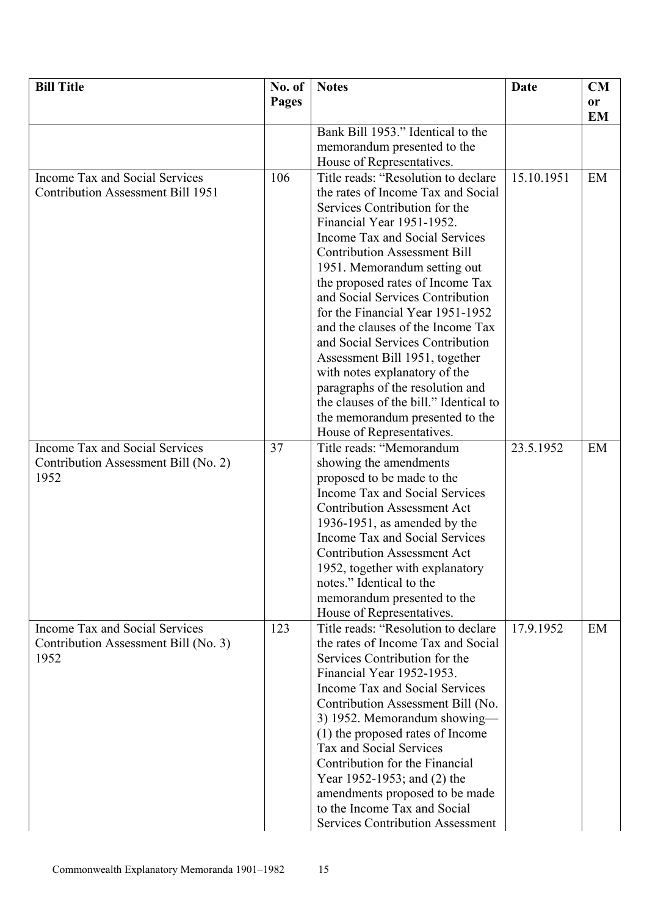| <b>Bill Title</b>                            | No. of       | <b>Notes</b>                                                              | Date       | CM        |
|----------------------------------------------|--------------|---------------------------------------------------------------------------|------------|-----------|
|                                              | <b>Pages</b> |                                                                           |            | or        |
|                                              |              |                                                                           |            | <b>EM</b> |
|                                              |              | Bank Bill 1953." Identical to the                                         |            |           |
|                                              |              | memorandum presented to the                                               |            |           |
|                                              |              | House of Representatives.                                                 |            |           |
| Income Tax and Social Services               | 106          | Title reads: "Resolution to declare                                       | 15.10.1951 | EM        |
| Contribution Assessment Bill 1951            |              | the rates of Income Tax and Social                                        |            |           |
|                                              |              | Services Contribution for the                                             |            |           |
|                                              |              | Financial Year 1951-1952.                                                 |            |           |
|                                              |              | Income Tax and Social Services                                            |            |           |
|                                              |              | <b>Contribution Assessment Bill</b>                                       |            |           |
|                                              |              | 1951. Memorandum setting out                                              |            |           |
|                                              |              | the proposed rates of Income Tax                                          |            |           |
|                                              |              | and Social Services Contribution                                          |            |           |
|                                              |              | for the Financial Year 1951-1952                                          |            |           |
|                                              |              | and the clauses of the Income Tax<br>and Social Services Contribution     |            |           |
|                                              |              |                                                                           |            |           |
|                                              |              | Assessment Bill 1951, together<br>with notes explanatory of the           |            |           |
|                                              |              | paragraphs of the resolution and                                          |            |           |
|                                              |              | the clauses of the bill." Identical to                                    |            |           |
|                                              |              | the memorandum presented to the                                           |            |           |
|                                              |              | House of Representatives.                                                 |            |           |
| Income Tax and Social Services               | 37           | Title reads: "Memorandum                                                  | 23.5.1952  | EM        |
| Contribution Assessment Bill (No. 2)         |              | showing the amendments                                                    |            |           |
| 1952                                         |              | proposed to be made to the                                                |            |           |
|                                              |              | Income Tax and Social Services                                            |            |           |
|                                              |              | <b>Contribution Assessment Act</b>                                        |            |           |
|                                              |              | 1936-1951, as amended by the                                              |            |           |
|                                              |              | Income Tax and Social Services                                            |            |           |
|                                              |              | <b>Contribution Assessment Act</b>                                        |            |           |
|                                              |              | 1952, together with explanatory                                           |            |           |
|                                              |              | notes." Identical to the                                                  |            |           |
|                                              |              | memorandum presented to the                                               |            |           |
|                                              |              | House of Representatives.                                                 |            |           |
| Income Tax and Social Services               | 123          | Title reads: "Resolution to declare<br>the rates of Income Tax and Social | 17.9.1952  | EM        |
| Contribution Assessment Bill (No. 3)<br>1952 |              | Services Contribution for the                                             |            |           |
|                                              |              | Financial Year 1952-1953.                                                 |            |           |
|                                              |              | Income Tax and Social Services                                            |            |           |
|                                              |              | Contribution Assessment Bill (No.                                         |            |           |
|                                              |              | 3) 1952. Memorandum showing-                                              |            |           |
|                                              |              | (1) the proposed rates of Income                                          |            |           |
|                                              |              | <b>Tax and Social Services</b>                                            |            |           |
|                                              |              | Contribution for the Financial                                            |            |           |
|                                              |              | Year 1952-1953; and (2) the                                               |            |           |
|                                              |              | amendments proposed to be made                                            |            |           |
|                                              |              | to the Income Tax and Social                                              |            |           |
|                                              |              | <b>Services Contribution Assessment</b>                                   |            |           |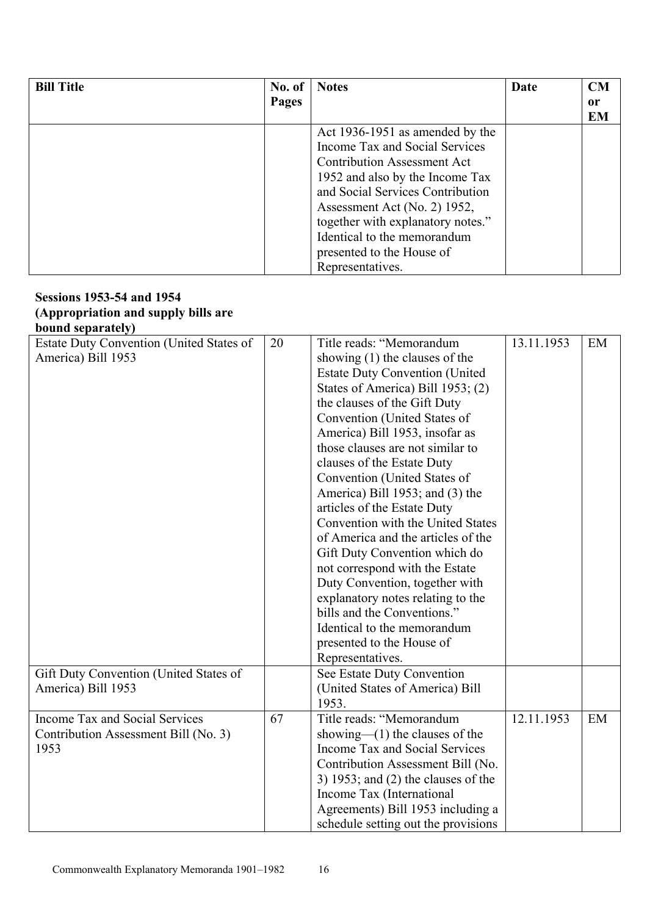| <b>Bill Title</b> | No. of | <b>Notes</b>                       | Date | CM        |
|-------------------|--------|------------------------------------|------|-----------|
|                   | Pages  |                                    |      | 0r        |
|                   |        |                                    |      | <b>EM</b> |
|                   |        | Act 1936-1951 as amended by the    |      |           |
|                   |        | Income Tax and Social Services     |      |           |
|                   |        | <b>Contribution Assessment Act</b> |      |           |
|                   |        | 1952 and also by the Income Tax    |      |           |
|                   |        | and Social Services Contribution   |      |           |
|                   |        | Assessment Act (No. 2) 1952,       |      |           |
|                   |        | together with explanatory notes."  |      |           |
|                   |        | Identical to the memorandum        |      |           |
|                   |        | presented to the House of          |      |           |
|                   |        | Representatives.                   |      |           |

#### **Sessions 1953-54 and 1954 (Appropriation and supply bills are bound separately)**

| DOUIIU SUPALAIULY                               |    |                                       |            |    |
|-------------------------------------------------|----|---------------------------------------|------------|----|
| <b>Estate Duty Convention (United States of</b> | 20 | Title reads: "Memorandum              | 13.11.1953 | EM |
| America) Bill 1953                              |    | showing $(1)$ the clauses of the      |            |    |
|                                                 |    | <b>Estate Duty Convention (United</b> |            |    |
|                                                 |    | States of America) Bill 1953; (2)     |            |    |
|                                                 |    | the clauses of the Gift Duty          |            |    |
|                                                 |    | Convention (United States of          |            |    |
|                                                 |    | America) Bill 1953, insofar as        |            |    |
|                                                 |    | those clauses are not similar to      |            |    |
|                                                 |    | clauses of the Estate Duty            |            |    |
|                                                 |    | Convention (United States of          |            |    |
|                                                 |    | America) Bill 1953; and (3) the       |            |    |
|                                                 |    | articles of the Estate Duty           |            |    |
|                                                 |    | Convention with the United States     |            |    |
|                                                 |    | of America and the articles of the    |            |    |
|                                                 |    | Gift Duty Convention which do         |            |    |
|                                                 |    | not correspond with the Estate        |            |    |
|                                                 |    | Duty Convention, together with        |            |    |
|                                                 |    | explanatory notes relating to the     |            |    |
|                                                 |    | bills and the Conventions."           |            |    |
|                                                 |    | Identical to the memorandum           |            |    |
|                                                 |    | presented to the House of             |            |    |
|                                                 |    | Representatives.                      |            |    |
| Gift Duty Convention (United States of          |    | See Estate Duty Convention            |            |    |
| America) Bill 1953                              |    | (United States of America) Bill       |            |    |
|                                                 |    | 1953.                                 |            |    |
| <b>Income Tax and Social Services</b>           | 67 | Title reads: "Memorandum              | 12.11.1953 | EM |
| Contribution Assessment Bill (No. 3)            |    | showing— $(1)$ the clauses of the     |            |    |
| 1953                                            |    | Income Tax and Social Services        |            |    |
|                                                 |    | Contribution Assessment Bill (No.     |            |    |
|                                                 |    | 3) 1953; and $(2)$ the clauses of the |            |    |
|                                                 |    | Income Tax (International             |            |    |
|                                                 |    | Agreements) Bill 1953 including a     |            |    |
|                                                 |    | schedule setting out the provisions   |            |    |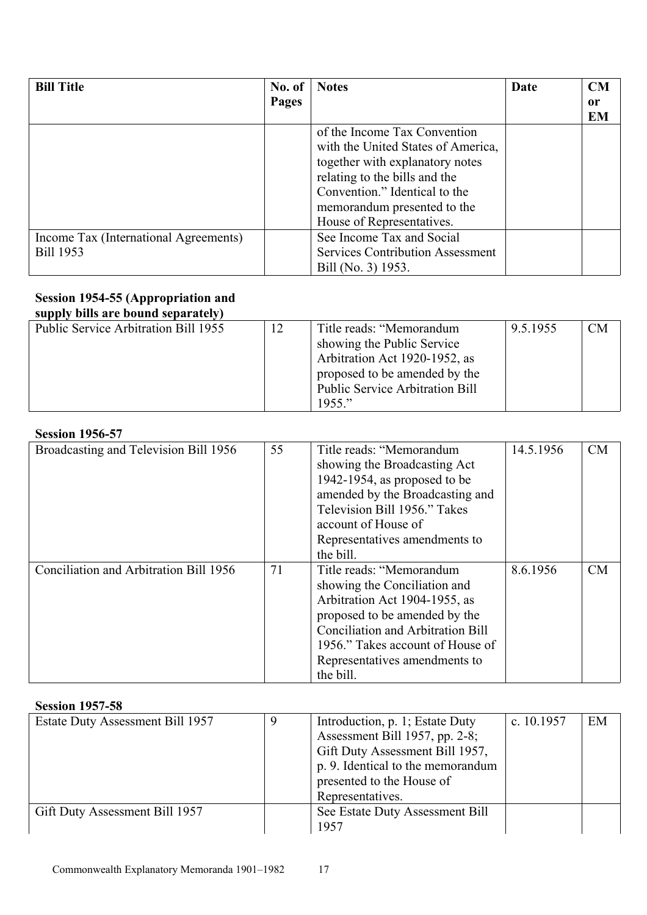| <b>Bill Title</b>                     | No. of | <b>Notes</b>                            | Date | CM        |
|---------------------------------------|--------|-----------------------------------------|------|-----------|
|                                       | Pages  |                                         |      | or        |
|                                       |        |                                         |      | <b>EM</b> |
|                                       |        | of the Income Tax Convention            |      |           |
|                                       |        | with the United States of America,      |      |           |
|                                       |        | together with explanatory notes         |      |           |
|                                       |        | relating to the bills and the           |      |           |
|                                       |        | Convention." Identical to the           |      |           |
|                                       |        | memorandum presented to the             |      |           |
|                                       |        | House of Representatives.               |      |           |
| Income Tax (International Agreements) |        | See Income Tax and Social               |      |           |
| <b>Bill 1953</b>                      |        | <b>Services Contribution Assessment</b> |      |           |
|                                       |        | Bill (No. 3) 1953.                      |      |           |

#### **Session 1954-55 (Appropriation and supply bills are bound separately)**

| 5.01                                        |                                        |          |    |
|---------------------------------------------|----------------------------------------|----------|----|
| <b>Public Service Arbitration Bill 1955</b> | Title reads: "Memorandum               | 9.5.1955 | CM |
|                                             | showing the Public Service             |          |    |
|                                             | Arbitration Act 1920-1952, as          |          |    |
|                                             | proposed to be amended by the          |          |    |
|                                             | <b>Public Service Arbitration Bill</b> |          |    |
|                                             | $1955$ "                               |          |    |

# **Session 1956-57**

| DUSSIVII 17JV-J7                       |    |                                                                                                                                                                                                                                                   |           |           |
|----------------------------------------|----|---------------------------------------------------------------------------------------------------------------------------------------------------------------------------------------------------------------------------------------------------|-----------|-----------|
| Broadcasting and Television Bill 1956  | 55 | Title reads: "Memorandum<br>showing the Broadcasting Act<br>1942-1954, as proposed to be<br>amended by the Broadcasting and<br>Television Bill 1956." Takes<br>account of House of<br>Representatives amendments to<br>the bill.                  | 14.5.1956 | <b>CM</b> |
| Conciliation and Arbitration Bill 1956 | 71 | Title reads: "Memorandum<br>showing the Conciliation and<br>Arbitration Act 1904-1955, as<br>proposed to be amended by the<br>Conciliation and Arbitration Bill<br>1956." Takes account of House of<br>Representatives amendments to<br>the bill. | 8.6.1956  | CM        |

## **Session 1957-58**

| 9 | Introduction, p. 1; Estate Duty   | c. $10.1957$                   | EM |
|---|-----------------------------------|--------------------------------|----|
|   |                                   |                                |    |
|   | Gift Duty Assessment Bill 1957,   |                                |    |
|   | p. 9. Identical to the memorandum |                                |    |
|   | presented to the House of         |                                |    |
|   | Representatives.                  |                                |    |
|   | See Estate Duty Assessment Bill   |                                |    |
|   | 1957                              |                                |    |
|   |                                   | Assessment Bill 1957, pp. 2-8; |    |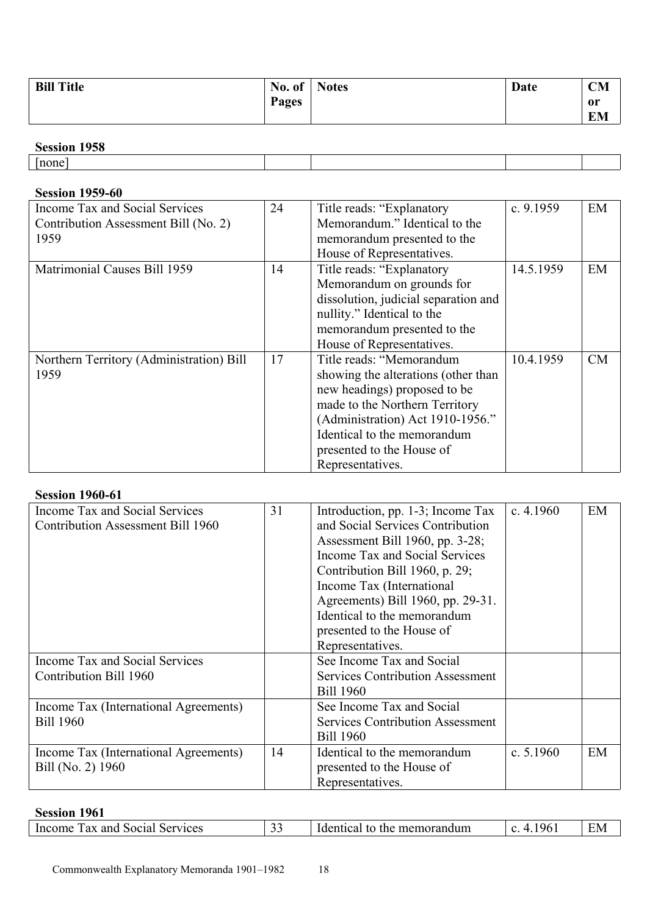| <b>Bill Title</b> | No. of | <b>Notes</b> | Date | <b>CM</b> |
|-------------------|--------|--------------|------|-----------|
|                   | Pages  |              |      | or        |
|                   |        |              |      | <b>EM</b> |

# **Session 1958**

|             | <b>Session 1750</b> |  |  |
|-------------|---------------------|--|--|
| --<br>Inone |                     |  |  |

# **Session 1959-60**

| Income Tax and Social Services           | 24 | Title reads: "Explanatory"           | c. $9.1959$ | EM |
|------------------------------------------|----|--------------------------------------|-------------|----|
| Contribution Assessment Bill (No. 2)     |    | Memorandum." Identical to the        |             |    |
| 1959                                     |    | memorandum presented to the          |             |    |
|                                          |    | House of Representatives.            |             |    |
| Matrimonial Causes Bill 1959             | 14 | Title reads: "Explanatory"           | 14.5.1959   | EM |
|                                          |    | Memorandum on grounds for            |             |    |
|                                          |    | dissolution, judicial separation and |             |    |
|                                          |    | nullity." Identical to the           |             |    |
|                                          |    | memorandum presented to the          |             |    |
|                                          |    | House of Representatives.            |             |    |
| Northern Territory (Administration) Bill | 17 | Title reads: "Memorandum             | 10.4.1959   | CM |
| 1959                                     |    | showing the alterations (other than  |             |    |
|                                          |    | new headings) proposed to be         |             |    |
|                                          |    | made to the Northern Territory       |             |    |
|                                          |    | (Administration) Act 1910-1956."     |             |    |
|                                          |    | Identical to the memorandum          |             |    |
|                                          |    | presented to the House of            |             |    |
|                                          |    | Representatives.                     |             |    |

## **Session 1960-61**

| Income Tax and Social Services        | 31 | Introduction, pp. 1-3; Income Tax       | c. $4.1960$ | EM |
|---------------------------------------|----|-----------------------------------------|-------------|----|
| Contribution Assessment Bill 1960     |    | and Social Services Contribution        |             |    |
|                                       |    | Assessment Bill 1960, pp. 3-28;         |             |    |
|                                       |    | Income Tax and Social Services          |             |    |
|                                       |    | Contribution Bill 1960, p. 29;          |             |    |
|                                       |    | Income Tax (International               |             |    |
|                                       |    | Agreements) Bill 1960, pp. 29-31.       |             |    |
|                                       |    | Identical to the memorandum             |             |    |
|                                       |    | presented to the House of               |             |    |
|                                       |    | Representatives.                        |             |    |
| Income Tax and Social Services        |    | See Income Tax and Social               |             |    |
| Contribution Bill 1960                |    | <b>Services Contribution Assessment</b> |             |    |
|                                       |    | <b>Bill 1960</b>                        |             |    |
| Income Tax (International Agreements) |    | See Income Tax and Social               |             |    |
| <b>Bill 1960</b>                      |    | <b>Services Contribution Assessment</b> |             |    |
|                                       |    | <b>Bill 1960</b>                        |             |    |
| Income Tax (International Agreements) | 14 | Identical to the memorandum             | c. $5.1960$ | EM |
| Bill (No. 2) 1960                     |    | presented to the House of               |             |    |
|                                       |    | Representatives.                        |             |    |

# **Session 1961**

| anc<br>.<br>aal<br>ervices<br>.50C<br>memorandun.<br>the<br>( IV/I<br>. 110°<br>10t<br>NET.<br>,,,,<br>58 I<br>ш.<br>4 Y<br><br><u>-</u><br>. |
|-----------------------------------------------------------------------------------------------------------------------------------------------|
|-----------------------------------------------------------------------------------------------------------------------------------------------|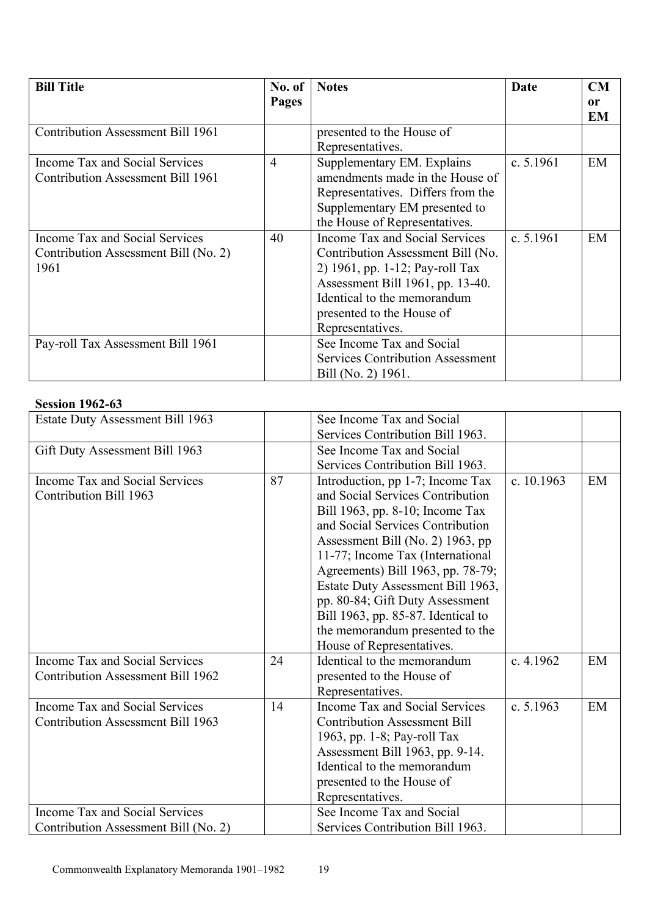| <b>Bill Title</b>                                                              | No. of         | <b>Notes</b>                                                                                                                                                                                                               | Date        | <b>CM</b> |
|--------------------------------------------------------------------------------|----------------|----------------------------------------------------------------------------------------------------------------------------------------------------------------------------------------------------------------------------|-------------|-----------|
|                                                                                | Pages          |                                                                                                                                                                                                                            |             | 0r        |
| <b>Contribution Assessment Bill 1961</b>                                       |                | presented to the House of                                                                                                                                                                                                  |             | EM        |
|                                                                                |                | Representatives.                                                                                                                                                                                                           |             |           |
| Income Tax and Social Services<br><b>Contribution Assessment Bill 1961</b>     | $\overline{4}$ | Supplementary EM. Explains<br>amendments made in the House of<br>Representatives. Differs from the<br>Supplementary EM presented to<br>the House of Representatives.                                                       | c. $5.1961$ | EM        |
| Income Tax and Social Services<br>Contribution Assessment Bill (No. 2)<br>1961 | 40             | Income Tax and Social Services<br>Contribution Assessment Bill (No.<br>2) 1961, pp. 1-12; Pay-roll Tax<br>Assessment Bill 1961, pp. 13-40.<br>Identical to the memorandum<br>presented to the House of<br>Representatives. | c. $5.1961$ | EM        |
| Pay-roll Tax Assessment Bill 1961                                              |                | See Income Tax and Social<br><b>Services Contribution Assessment</b><br>Bill (No. 2) 1961.                                                                                                                                 |             |           |

### **Session 1962-63**

| <b>Estate Duty Assessment Bill 1963</b> |    | See Income Tax and Social           |             |    |
|-----------------------------------------|----|-------------------------------------|-------------|----|
|                                         |    | Services Contribution Bill 1963.    |             |    |
| Gift Duty Assessment Bill 1963          |    | See Income Tax and Social           |             |    |
|                                         |    | Services Contribution Bill 1963.    |             |    |
| Income Tax and Social Services          | 87 | Introduction, pp 1-7; Income Tax    | c. 10.1963  | EM |
| <b>Contribution Bill 1963</b>           |    | and Social Services Contribution    |             |    |
|                                         |    | Bill 1963, pp. 8-10; Income Tax     |             |    |
|                                         |    | and Social Services Contribution    |             |    |
|                                         |    | Assessment Bill (No. 2) 1963, pp    |             |    |
|                                         |    | 11-77; Income Tax (International    |             |    |
|                                         |    | Agreements) Bill 1963, pp. 78-79;   |             |    |
|                                         |    | Estate Duty Assessment Bill 1963,   |             |    |
|                                         |    | pp. 80-84; Gift Duty Assessment     |             |    |
|                                         |    | Bill 1963, pp. 85-87. Identical to  |             |    |
|                                         |    | the memorandum presented to the     |             |    |
|                                         |    | House of Representatives.           |             |    |
| <b>Income Tax and Social Services</b>   | 24 | Identical to the memorandum         | c. 4.1962   | EM |
| Contribution Assessment Bill 1962       |    | presented to the House of           |             |    |
|                                         |    | Representatives.                    |             |    |
| Income Tax and Social Services          | 14 | Income Tax and Social Services      | c. $5.1963$ | EM |
| Contribution Assessment Bill 1963       |    | <b>Contribution Assessment Bill</b> |             |    |
|                                         |    | 1963, pp. 1-8; Pay-roll Tax         |             |    |
|                                         |    | Assessment Bill 1963, pp. 9-14.     |             |    |
|                                         |    | Identical to the memorandum         |             |    |
|                                         |    | presented to the House of           |             |    |
|                                         |    | Representatives.                    |             |    |
| Income Tax and Social Services          |    | See Income Tax and Social           |             |    |
| Contribution Assessment Bill (No. 2)    |    | Services Contribution Bill 1963.    |             |    |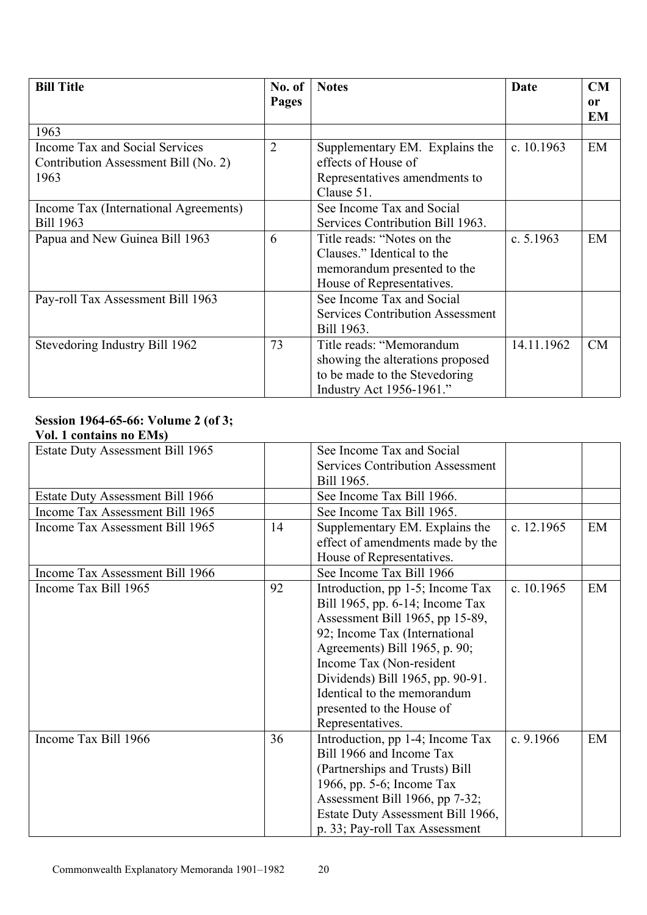| <b>Bill Title</b>                     | No. of<br>Pages | <b>Notes</b>                            | Date         | <b>CM</b><br>or |
|---------------------------------------|-----------------|-----------------------------------------|--------------|-----------------|
|                                       |                 |                                         |              | <b>EM</b>       |
| 1963                                  |                 |                                         |              |                 |
| Income Tax and Social Services        | $\overline{2}$  | Supplementary EM. Explains the          | c. $10.1963$ | EM              |
| Contribution Assessment Bill (No. 2)  |                 | effects of House of                     |              |                 |
| 1963                                  |                 | Representatives amendments to           |              |                 |
|                                       |                 | Clause 51.                              |              |                 |
| Income Tax (International Agreements) |                 | See Income Tax and Social               |              |                 |
| <b>Bill 1963</b>                      |                 | Services Contribution Bill 1963.        |              |                 |
| Papua and New Guinea Bill 1963        | 6               | Title reads: "Notes on the              | c. $5.1963$  | EM              |
|                                       |                 | Clauses." Identical to the              |              |                 |
|                                       |                 | memorandum presented to the             |              |                 |
|                                       |                 | House of Representatives.               |              |                 |
| Pay-roll Tax Assessment Bill 1963     |                 | See Income Tax and Social               |              |                 |
|                                       |                 | <b>Services Contribution Assessment</b> |              |                 |
|                                       |                 | Bill 1963.                              |              |                 |
| Stevedoring Industry Bill 1962        | 73              | Title reads: "Memorandum                | 14.11.1962   | CM              |
|                                       |                 | showing the alterations proposed        |              |                 |
|                                       |                 | to be made to the Stevedoring           |              |                 |
|                                       |                 | Industry Act 1956-1961."                |              |                 |

# **Session 1964-65-66: Volume 2 (of 3;**

#### **Vol. 1 contains no EMs)**

| Estate Duty Assessment Bill 1965        |    | See Income Tax and Social               |              |    |
|-----------------------------------------|----|-----------------------------------------|--------------|----|
|                                         |    | <b>Services Contribution Assessment</b> |              |    |
|                                         |    | Bill 1965.                              |              |    |
| <b>Estate Duty Assessment Bill 1966</b> |    | See Income Tax Bill 1966.               |              |    |
| Income Tax Assessment Bill 1965         |    | See Income Tax Bill 1965.               |              |    |
| Income Tax Assessment Bill 1965         | 14 | Supplementary EM. Explains the          | c. $12.1965$ | EM |
|                                         |    | effect of amendments made by the        |              |    |
|                                         |    | House of Representatives.               |              |    |
| Income Tax Assessment Bill 1966         |    | See Income Tax Bill 1966                |              |    |
| Income Tax Bill 1965                    | 92 | Introduction, pp 1-5; Income Tax        | c. $10.1965$ | EM |
|                                         |    | Bill 1965, pp. 6-14; Income Tax         |              |    |
|                                         |    | Assessment Bill 1965, pp 15-89,         |              |    |
|                                         |    | 92; Income Tax (International           |              |    |
|                                         |    | Agreements) Bill 1965, p. 90;           |              |    |
|                                         |    | Income Tax (Non-resident                |              |    |
|                                         |    | Dividends) Bill 1965, pp. 90-91.        |              |    |
|                                         |    | Identical to the memorandum             |              |    |
|                                         |    | presented to the House of               |              |    |
|                                         |    | Representatives.                        |              |    |
| Income Tax Bill 1966                    | 36 | Introduction, pp 1-4; Income Tax        | c. $9.1966$  | EM |
|                                         |    | Bill 1966 and Income Tax                |              |    |
|                                         |    | (Partnerships and Trusts) Bill          |              |    |
|                                         |    | 1966, pp. 5-6; Income Tax               |              |    |
|                                         |    | Assessment Bill 1966, pp 7-32;          |              |    |
|                                         |    | Estate Duty Assessment Bill 1966,       |              |    |
|                                         |    | p. 33; Pay-roll Tax Assessment          |              |    |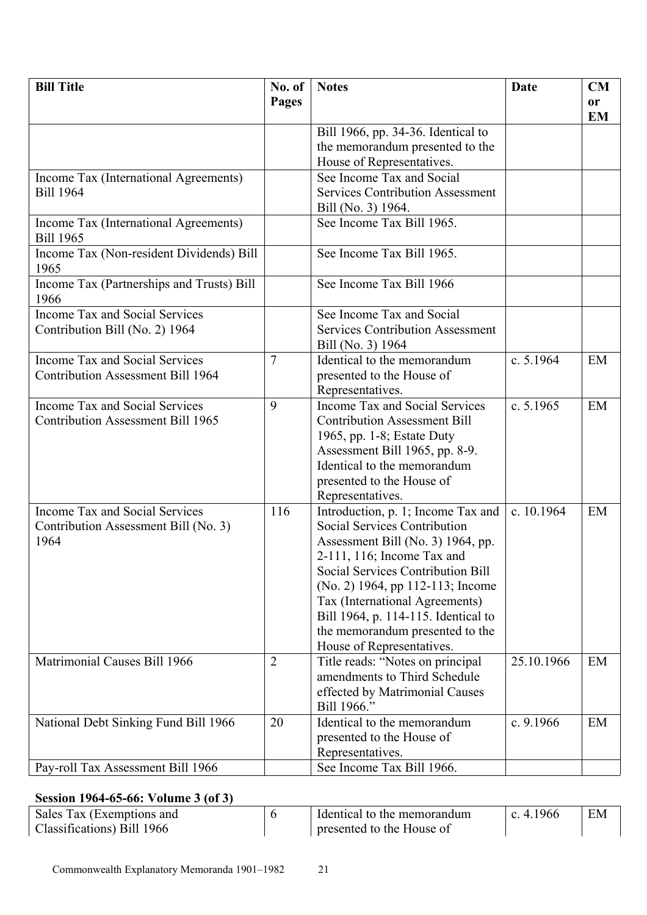| <b>Bill Title</b>                                         | No. of         | <b>Notes</b>                                                     | <b>Date</b> | CM        |
|-----------------------------------------------------------|----------------|------------------------------------------------------------------|-------------|-----------|
|                                                           | Pages          |                                                                  |             | or        |
|                                                           |                |                                                                  |             | <b>EM</b> |
|                                                           |                | Bill 1966, pp. 34-36. Identical to                               |             |           |
|                                                           |                | the memorandum presented to the                                  |             |           |
|                                                           |                | House of Representatives.                                        |             |           |
| Income Tax (International Agreements)                     |                | See Income Tax and Social                                        |             |           |
| <b>Bill 1964</b>                                          |                | <b>Services Contribution Assessment</b>                          |             |           |
|                                                           |                | Bill (No. 3) 1964.                                               |             |           |
| Income Tax (International Agreements)<br><b>Bill 1965</b> |                | See Income Tax Bill 1965.                                        |             |           |
| Income Tax (Non-resident Dividends) Bill<br>1965          |                | See Income Tax Bill 1965.                                        |             |           |
| Income Tax (Partnerships and Trusts) Bill<br>1966         |                | See Income Tax Bill 1966                                         |             |           |
| <b>Income Tax and Social Services</b>                     |                | See Income Tax and Social                                        |             |           |
| Contribution Bill (No. 2) 1964                            |                | <b>Services Contribution Assessment</b>                          |             |           |
|                                                           |                | Bill (No. 3) 1964                                                |             |           |
| Income Tax and Social Services                            | $\overline{7}$ | Identical to the memorandum                                      | c. 5.1964   | EM        |
| <b>Contribution Assessment Bill 1964</b>                  |                | presented to the House of                                        |             |           |
|                                                           |                | Representatives.                                                 |             |           |
| Income Tax and Social Services                            | 9              | Income Tax and Social Services                                   | c. 5.1965   | EM        |
| <b>Contribution Assessment Bill 1965</b>                  |                | <b>Contribution Assessment Bill</b>                              |             |           |
|                                                           |                | 1965, pp. 1-8; Estate Duty                                       |             |           |
|                                                           |                | Assessment Bill 1965, pp. 8-9.                                   |             |           |
|                                                           |                | Identical to the memorandum                                      |             |           |
|                                                           |                | presented to the House of                                        |             |           |
|                                                           |                | Representatives.                                                 |             |           |
| Income Tax and Social Services                            | 116            | Introduction, p. 1; Income Tax and                               | c. 10.1964  | EM        |
| Contribution Assessment Bill (No. 3)                      |                | Social Services Contribution                                     |             |           |
| 1964                                                      |                | Assessment Bill (No. 3) 1964, pp.                                |             |           |
|                                                           |                | 2-111, 116; Income Tax and                                       |             |           |
|                                                           |                | <b>Social Services Contribution Bill</b>                         |             |           |
|                                                           |                | (No. 2) 1964, pp 112-113; Income                                 |             |           |
|                                                           |                | Tax (International Agreements)                                   |             |           |
|                                                           |                | Bill 1964, p. 114-115. Identical to                              |             |           |
|                                                           |                | the memorandum presented to the                                  |             |           |
| Matrimonial Causes Bill 1966                              | $\overline{2}$ | House of Representatives.                                        | 25.10.1966  | EM        |
|                                                           |                | Title reads: "Notes on principal<br>amendments to Third Schedule |             |           |
|                                                           |                |                                                                  |             |           |
|                                                           |                | effected by Matrimonial Causes<br>Bill 1966."                    |             |           |
| National Debt Sinking Fund Bill 1966                      | 20             | Identical to the memorandum                                      | c. 9.1966   | EM        |
|                                                           |                | presented to the House of                                        |             |           |
|                                                           |                | Representatives.                                                 |             |           |
| Pay-roll Tax Assessment Bill 1966                         |                | See Income Tax Bill 1966.                                        |             |           |
|                                                           |                |                                                                  |             |           |

# **Session 1964-65-66: Volume 3 (of 3)**

| Sales Tax (Exemptions and  | Identical to the memorandum | c. 4.1966 | EM |
|----------------------------|-----------------------------|-----------|----|
| Classifications) Bill 1966 | presented to the House of   |           |    |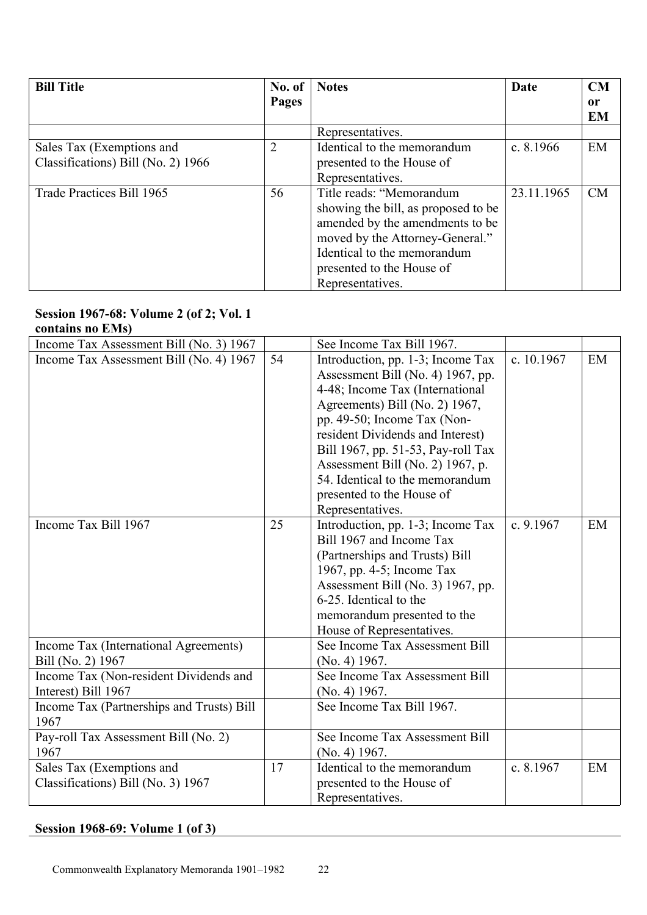| <b>Bill Title</b>                  | No. of         | <b>Notes</b>                        | Date        | CM        |
|------------------------------------|----------------|-------------------------------------|-------------|-----------|
|                                    | Pages          |                                     |             | 0r        |
|                                    |                |                                     |             | <b>EM</b> |
|                                    |                | Representatives.                    |             |           |
| Sales Tax (Exemptions and          | $\overline{2}$ | Identical to the memorandum         | c. $8.1966$ | EM        |
| Classifications) Bill (No. 2) 1966 |                | presented to the House of           |             |           |
|                                    |                | Representatives.                    |             |           |
| Trade Practices Bill 1965          | 56             | Title reads: "Memorandum            | 23.11.1965  | CM        |
|                                    |                | showing the bill, as proposed to be |             |           |
|                                    |                | amended by the amendments to be     |             |           |
|                                    |                | moved by the Attorney-General."     |             |           |
|                                    |                | Identical to the memorandum         |             |           |
|                                    |                | presented to the House of           |             |           |
|                                    |                | Representatives.                    |             |           |

#### **Session 1967-68: Volume 2 (of 2; Vol. 1 contains no EMs)**

| Income Tax Assessment Bill (No. 3) 1967   |    | See Income Tax Bill 1967.          |            |    |
|-------------------------------------------|----|------------------------------------|------------|----|
| Income Tax Assessment Bill (No. 4) 1967   | 54 | Introduction, pp. 1-3; Income Tax  | c. 10.1967 | EM |
|                                           |    | Assessment Bill (No. 4) 1967, pp.  |            |    |
|                                           |    | 4-48; Income Tax (International    |            |    |
|                                           |    | Agreements) Bill (No. 2) 1967,     |            |    |
|                                           |    | pp. 49-50; Income Tax (Non-        |            |    |
|                                           |    | resident Dividends and Interest)   |            |    |
|                                           |    | Bill 1967, pp. 51-53, Pay-roll Tax |            |    |
|                                           |    | Assessment Bill (No. 2) 1967, p.   |            |    |
|                                           |    | 54. Identical to the memorandum    |            |    |
|                                           |    | presented to the House of          |            |    |
|                                           |    | Representatives.                   |            |    |
| Income Tax Bill 1967                      | 25 | Introduction, pp. 1-3; Income Tax  | c. 9.1967  | EM |
|                                           |    | Bill 1967 and Income Tax           |            |    |
|                                           |    | (Partnerships and Trusts) Bill     |            |    |
|                                           |    | 1967, pp. 4-5; Income Tax          |            |    |
|                                           |    | Assessment Bill (No. 3) 1967, pp.  |            |    |
|                                           |    | 6-25. Identical to the             |            |    |
|                                           |    | memorandum presented to the        |            |    |
|                                           |    | House of Representatives.          |            |    |
| Income Tax (International Agreements)     |    | See Income Tax Assessment Bill     |            |    |
| Bill (No. 2) 1967                         |    | (No. 4) 1967.                      |            |    |
| Income Tax (Non-resident Dividends and    |    | See Income Tax Assessment Bill     |            |    |
| Interest) Bill 1967                       |    | (No. 4) 1967.                      |            |    |
| Income Tax (Partnerships and Trusts) Bill |    | See Income Tax Bill 1967.          |            |    |
| 1967                                      |    |                                    |            |    |
| Pay-roll Tax Assessment Bill (No. 2)      |    | See Income Tax Assessment Bill     |            |    |
| 1967                                      |    | (No. 4) 1967.                      |            |    |
| Sales Tax (Exemptions and                 | 17 | Identical to the memorandum        | c. 8.1967  | EM |
| Classifications) Bill (No. 3) 1967        |    | presented to the House of          |            |    |
|                                           |    | Representatives.                   |            |    |

# **Session 1968-69: Volume 1 (of 3)**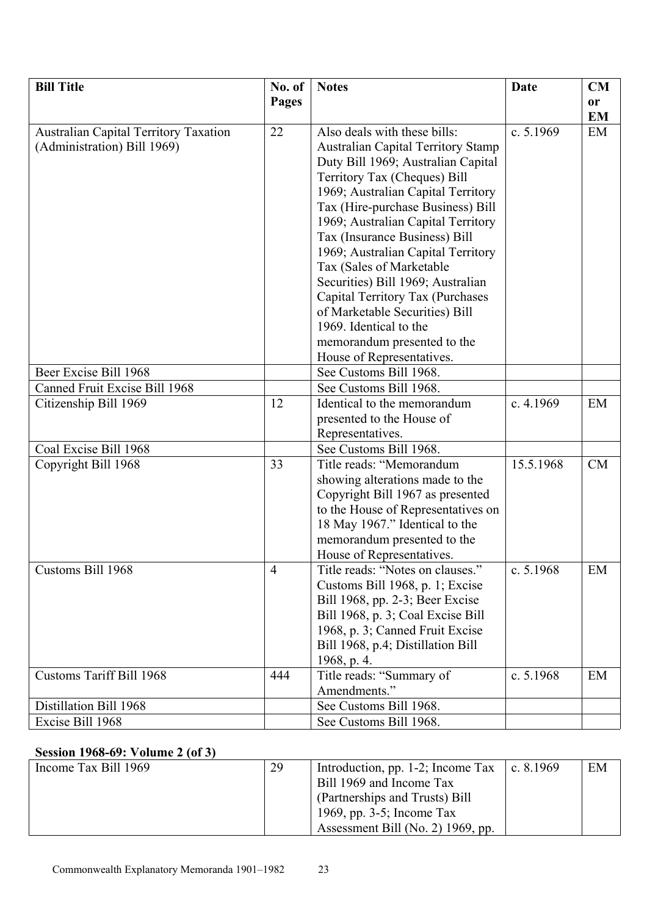| <b>Bill Title</b>                                                           | No. of         | <b>Notes</b>                                                                                                                                                                                                                                                                                                                                                                                                                                                                                                                                                         | <b>Date</b> | CM        |
|-----------------------------------------------------------------------------|----------------|----------------------------------------------------------------------------------------------------------------------------------------------------------------------------------------------------------------------------------------------------------------------------------------------------------------------------------------------------------------------------------------------------------------------------------------------------------------------------------------------------------------------------------------------------------------------|-------------|-----------|
|                                                                             | Pages          |                                                                                                                                                                                                                                                                                                                                                                                                                                                                                                                                                                      |             | <b>or</b> |
|                                                                             |                |                                                                                                                                                                                                                                                                                                                                                                                                                                                                                                                                                                      |             | EM        |
| <b>Australian Capital Territory Taxation</b><br>(Administration) Bill 1969) | 22             | Also deals with these bills:<br><b>Australian Capital Territory Stamp</b><br>Duty Bill 1969; Australian Capital<br>Territory Tax (Cheques) Bill<br>1969; Australian Capital Territory<br>Tax (Hire-purchase Business) Bill<br>1969; Australian Capital Territory<br>Tax (Insurance Business) Bill<br>1969; Australian Capital Territory<br>Tax (Sales of Marketable<br>Securities) Bill 1969; Australian<br>Capital Territory Tax (Purchases<br>of Marketable Securities) Bill<br>1969. Identical to the<br>memorandum presented to the<br>House of Representatives. | c. $5.1969$ | EM        |
| Beer Excise Bill 1968                                                       |                | See Customs Bill 1968.                                                                                                                                                                                                                                                                                                                                                                                                                                                                                                                                               |             |           |
| Canned Fruit Excise Bill 1968                                               |                | See Customs Bill 1968.                                                                                                                                                                                                                                                                                                                                                                                                                                                                                                                                               |             |           |
| Citizenship Bill 1969                                                       | 12             | Identical to the memorandum<br>presented to the House of<br>Representatives.                                                                                                                                                                                                                                                                                                                                                                                                                                                                                         | c. 4.1969   | EM        |
| Coal Excise Bill 1968                                                       |                | See Customs Bill 1968.                                                                                                                                                                                                                                                                                                                                                                                                                                                                                                                                               |             |           |
| Copyright Bill 1968                                                         | 33             | Title reads: "Memorandum<br>showing alterations made to the<br>Copyright Bill 1967 as presented<br>to the House of Representatives on<br>18 May 1967." Identical to the<br>memorandum presented to the<br>House of Representatives.                                                                                                                                                                                                                                                                                                                                  | 15.5.1968   | CM        |
| Customs Bill 1968                                                           | $\overline{4}$ | Title reads: "Notes on clauses."<br>Customs Bill 1968, p. 1; Excise<br>Bill 1968, pp. 2-3; Beer Excise<br>Bill 1968, p. 3; Coal Excise Bill<br>1968, p. 3; Canned Fruit Excise<br>Bill 1968, p.4; Distillation Bill<br>1968, p. 4.                                                                                                                                                                                                                                                                                                                                   | c. 5.1968   | EM        |
| <b>Customs Tariff Bill 1968</b>                                             | 444            | Title reads: "Summary of<br>Amendments."                                                                                                                                                                                                                                                                                                                                                                                                                                                                                                                             | c. 5.1968   | EM        |
| Distillation Bill 1968                                                      |                | See Customs Bill 1968.                                                                                                                                                                                                                                                                                                                                                                                                                                                                                                                                               |             |           |
| Excise Bill 1968                                                            |                | See Customs Bill 1968.                                                                                                                                                                                                                                                                                                                                                                                                                                                                                                                                               |             |           |

# **Session 1968-69: Volume 2 (of 3)**

| Income Tax Bill 1969 | 29 | Introduction, pp. 1-2; Income Tax | c. $8.1969$ | EM |
|----------------------|----|-----------------------------------|-------------|----|
|                      |    | Bill 1969 and Income Tax          |             |    |
|                      |    | (Partnerships and Trusts) Bill    |             |    |
|                      |    | 1969, pp. $3-5$ ; Income Tax      |             |    |
|                      |    | Assessment Bill (No. 2) 1969, pp. |             |    |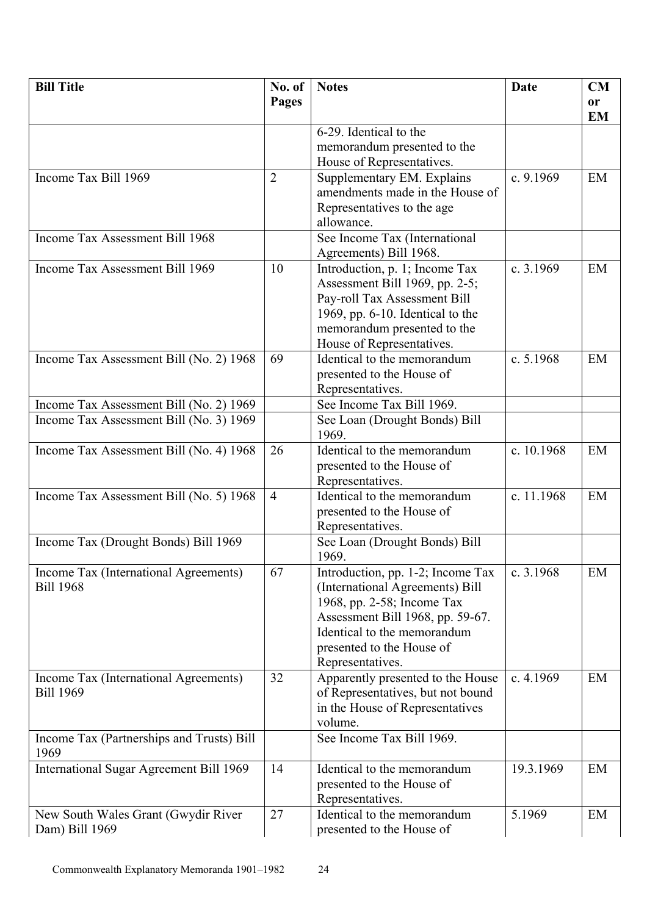| <b>Bill Title</b>                                 | No. of         | <b>Notes</b>                                    | Date        | CM        |
|---------------------------------------------------|----------------|-------------------------------------------------|-------------|-----------|
|                                                   | <b>Pages</b>   |                                                 |             | <b>or</b> |
|                                                   |                |                                                 |             | <b>EM</b> |
|                                                   |                | 6-29. Identical to the                          |             |           |
|                                                   |                | memorandum presented to the                     |             |           |
|                                                   |                | House of Representatives.                       |             |           |
| Income Tax Bill 1969                              | $\overline{2}$ | Supplementary EM. Explains                      | c. $9.1969$ | EM        |
|                                                   |                | amendments made in the House of                 |             |           |
|                                                   |                | Representatives to the age                      |             |           |
|                                                   |                | allowance.                                      |             |           |
| Income Tax Assessment Bill 1968                   |                | See Income Tax (International                   |             |           |
|                                                   |                | Agreements) Bill 1968.                          |             |           |
| Income Tax Assessment Bill 1969                   | 10             | Introduction, p. 1; Income Tax                  | c. 3.1969   | EM        |
|                                                   |                | Assessment Bill 1969, pp. 2-5;                  |             |           |
|                                                   |                | Pay-roll Tax Assessment Bill                    |             |           |
|                                                   |                | 1969, pp. 6-10. Identical to the                |             |           |
|                                                   |                | memorandum presented to the                     |             |           |
|                                                   |                | House of Representatives.                       |             |           |
| Income Tax Assessment Bill (No. 2) 1968           | 69             | Identical to the memorandum                     | c. $5.1968$ | EM        |
|                                                   |                | presented to the House of                       |             |           |
|                                                   |                | Representatives.                                |             |           |
| Income Tax Assessment Bill (No. 2) 1969           |                | See Income Tax Bill 1969.                       |             |           |
| Income Tax Assessment Bill (No. 3) 1969           |                | See Loan (Drought Bonds) Bill                   |             |           |
|                                                   |                | 1969.                                           |             |           |
| Income Tax Assessment Bill (No. 4) 1968           | 26             | Identical to the memorandum                     | c. 10.1968  | EM        |
|                                                   |                | presented to the House of                       |             |           |
|                                                   | $\overline{4}$ | Representatives.<br>Identical to the memorandum | c. 11.1968  | EM        |
| Income Tax Assessment Bill (No. 5) 1968           |                | presented to the House of                       |             |           |
|                                                   |                | Representatives.                                |             |           |
| Income Tax (Drought Bonds) Bill 1969              |                | See Loan (Drought Bonds) Bill                   |             |           |
|                                                   |                | 1969.                                           |             |           |
| Income Tax (International Agreements)             | 67             | Introduction, pp. 1-2; Income Tax               | c. $3.1968$ | EM        |
| <b>Bill 1968</b>                                  |                | (International Agreements) Bill                 |             |           |
|                                                   |                | 1968, pp. 2-58; Income Tax                      |             |           |
|                                                   |                | Assessment Bill 1968, pp. 59-67.                |             |           |
|                                                   |                | Identical to the memorandum                     |             |           |
|                                                   |                | presented to the House of                       |             |           |
|                                                   |                | Representatives.                                |             |           |
| Income Tax (International Agreements)             | 32             | Apparently presented to the House               | c. 4.1969   | EM        |
| <b>Bill 1969</b>                                  |                | of Representatives, but not bound               |             |           |
|                                                   |                | in the House of Representatives                 |             |           |
|                                                   |                | volume.                                         |             |           |
| Income Tax (Partnerships and Trusts) Bill<br>1969 |                | See Income Tax Bill 1969.                       |             |           |
| International Sugar Agreement Bill 1969           | 14             | Identical to the memorandum                     | 19.3.1969   | EM        |
|                                                   |                | presented to the House of                       |             |           |
|                                                   |                | Representatives.                                |             |           |
| New South Wales Grant (Gwydir River               | 27             | Identical to the memorandum                     | 5.1969      | EM        |
| Dam) Bill 1969                                    |                | presented to the House of                       |             |           |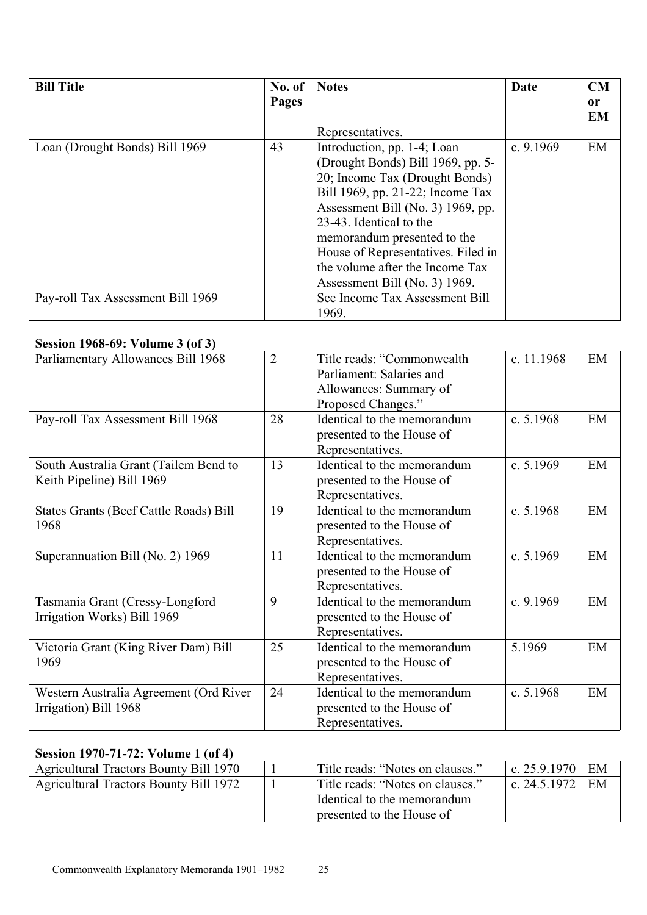| <b>Bill Title</b>                 | No. of | <b>Notes</b>                                                                                                                                                                                                                                                                                                                                    | Date        | CM                         |
|-----------------------------------|--------|-------------------------------------------------------------------------------------------------------------------------------------------------------------------------------------------------------------------------------------------------------------------------------------------------------------------------------------------------|-------------|----------------------------|
|                                   | Pages  |                                                                                                                                                                                                                                                                                                                                                 |             | <sub>or</sub><br><b>EM</b> |
|                                   |        | Representatives.                                                                                                                                                                                                                                                                                                                                |             |                            |
| Loan (Drought Bonds) Bill 1969    | 43     | Introduction, pp. 1-4; Loan<br>(Drought Bonds) Bill 1969, pp. 5-<br>20; Income Tax (Drought Bonds)<br>Bill 1969, pp. 21-22; Income Tax<br>Assessment Bill (No. 3) 1969, pp.<br>23-43. Identical to the<br>memorandum presented to the<br>House of Representatives. Filed in<br>the volume after the Income Tax<br>Assessment Bill (No. 3) 1969. | c. $9.1969$ | EM                         |
| Pay-roll Tax Assessment Bill 1969 |        | See Income Tax Assessment Bill<br>1969.                                                                                                                                                                                                                                                                                                         |             |                            |

#### **Session 1968-69: Volume 3 (of 3)**

| Parliamentary Allowances Bill 1968                                 | $\overline{2}$ | Title reads: "Commonwealth"<br>Parliament: Salaries and<br>Allowances: Summary of<br>Proposed Changes." | c. 11.1968  | EM |
|--------------------------------------------------------------------|----------------|---------------------------------------------------------------------------------------------------------|-------------|----|
| Pay-roll Tax Assessment Bill 1968                                  | 28             | Identical to the memorandum<br>presented to the House of<br>Representatives.                            | c. $5.1968$ | EM |
| South Australia Grant (Tailem Bend to<br>Keith Pipeline) Bill 1969 | 13             | Identical to the memorandum<br>presented to the House of<br>Representatives.                            | c. $5.1969$ | EM |
| States Grants (Beef Cattle Roads) Bill<br>1968                     | 19             | Identical to the memorandum<br>presented to the House of<br>Representatives.                            | c. $5.1968$ | EM |
| Superannuation Bill (No. 2) 1969                                   | 11             | Identical to the memorandum<br>presented to the House of<br>Representatives.                            | c. $5.1969$ | EM |
| Tasmania Grant (Cressy-Longford<br>Irrigation Works) Bill 1969     | 9              | Identical to the memorandum<br>presented to the House of<br>Representatives.                            | c. $9.1969$ | EM |
| Victoria Grant (King River Dam) Bill<br>1969                       | 25             | Identical to the memorandum<br>presented to the House of<br>Representatives.                            | 5.1969      | EM |
| Western Australia Agreement (Ord River<br>Irrigation) Bill 1968    | 24             | Identical to the memorandum<br>presented to the House of<br>Representatives.                            | c. 5.1968   | EM |

# **Session 1970-71-72: Volume 1 (of 4)**

| <b>Agricultural Tractors Bounty Bill 1970</b> | Title reads: "Notes on clauses." | c. $25.9.1970$ | EM |
|-----------------------------------------------|----------------------------------|----------------|----|
| <b>Agricultural Tractors Bounty Bill 1972</b> | Title reads: "Notes on clauses." | c. $24.5.1972$ | EM |
|                                               | Identical to the memorandum      |                |    |
|                                               | presented to the House of        |                |    |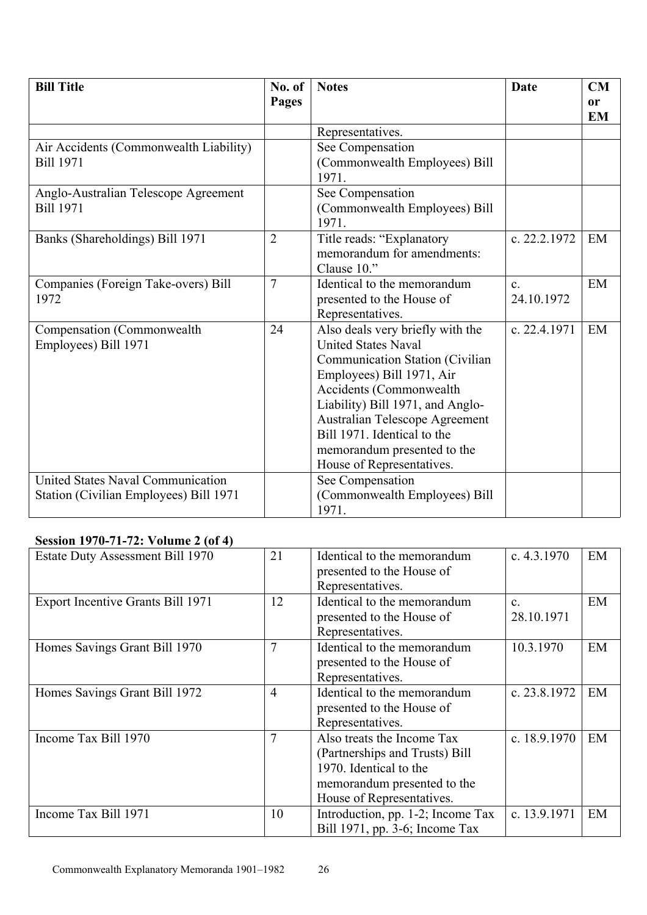| <b>Bill Title</b>                        | No. of         | <b>Notes</b>                          | Date         | <b>CM</b>     |
|------------------------------------------|----------------|---------------------------------------|--------------|---------------|
|                                          | Pages          |                                       |              | <sub>or</sub> |
|                                          |                |                                       |              | <b>EM</b>     |
|                                          |                | Representatives.                      |              |               |
| Air Accidents (Commonwealth Liability)   |                | See Compensation                      |              |               |
| <b>Bill 1971</b>                         |                | (Commonwealth Employees) Bill         |              |               |
|                                          |                | 1971.                                 |              |               |
| Anglo-Australian Telescope Agreement     |                | See Compensation                      |              |               |
| <b>Bill 1971</b>                         |                | (Commonwealth Employees) Bill         |              |               |
|                                          |                | 1971.                                 |              |               |
| Banks (Shareholdings) Bill 1971          | $\overline{2}$ | Title reads: "Explanatory             | c. 22.2.1972 | EM            |
|                                          |                | memorandum for amendments:            |              |               |
|                                          |                | Clause 10."                           |              |               |
| Companies (Foreign Take-overs) Bill      | $\overline{7}$ | Identical to the memorandum           | $\mathbf{c}$ | EM            |
| 1972                                     |                | presented to the House of             | 24.10.1972   |               |
|                                          |                | Representatives.                      |              |               |
| Compensation (Commonwealth               | 24             | Also deals very briefly with the      | c. 22.4.1971 | EM            |
| Employees) Bill 1971                     |                | <b>United States Naval</b>            |              |               |
|                                          |                | Communication Station (Civilian       |              |               |
|                                          |                | Employees) Bill 1971, Air             |              |               |
|                                          |                | Accidents (Commonwealth               |              |               |
|                                          |                | Liability) Bill 1971, and Anglo-      |              |               |
|                                          |                | <b>Australian Telescope Agreement</b> |              |               |
|                                          |                | Bill 1971. Identical to the           |              |               |
|                                          |                | memorandum presented to the           |              |               |
|                                          |                | House of Representatives.             |              |               |
| <b>United States Naval Communication</b> |                | See Compensation                      |              |               |
| Station (Civilian Employees) Bill 1971   |                | (Commonwealth Employees) Bill         |              |               |
|                                          |                | 1971.                                 |              |               |

## **Session 1970-71-72: Volume 2 (of 4)**

| <b>Estate Duty Assessment Bill 1970</b>  | 21             | Identical to the memorandum<br>presented to the House of<br>Representatives.                                                                       | c. $4.3.1970$              | EM |
|------------------------------------------|----------------|----------------------------------------------------------------------------------------------------------------------------------------------------|----------------------------|----|
| <b>Export Incentive Grants Bill 1971</b> | 12             | Identical to the memorandum<br>presented to the House of<br>Representatives.                                                                       | $\mathbf{c}$<br>28.10.1971 | EM |
| Homes Savings Grant Bill 1970            | 7              | Identical to the memorandum<br>presented to the House of<br>Representatives.                                                                       | 10.3.1970                  | EM |
| Homes Savings Grant Bill 1972            | $\overline{4}$ | Identical to the memorandum<br>presented to the House of<br>Representatives.                                                                       | c. 23.8.1972               | EM |
| Income Tax Bill 1970                     | 7              | Also treats the Income Tax<br>(Partnerships and Trusts) Bill<br>1970. Identical to the<br>memorandum presented to the<br>House of Representatives. | c. $18.9.1970$             | EM |
| Income Tax Bill 1971                     | 10             | Introduction, pp. 1-2; Income Tax<br>Bill 1971, pp. 3-6; Income Tax                                                                                | c. 13.9.1971               | EM |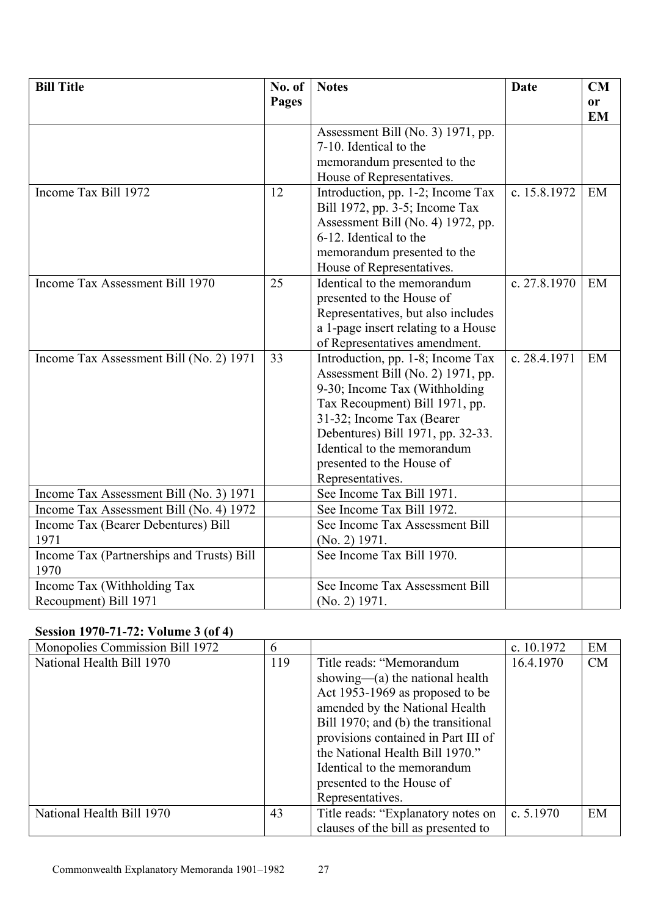| <b>Bill Title</b>                         | No. of | <b>Notes</b>                        | Date         | <b>CM</b> |
|-------------------------------------------|--------|-------------------------------------|--------------|-----------|
|                                           | Pages  |                                     |              | <b>or</b> |
|                                           |        |                                     |              | <b>EM</b> |
|                                           |        | Assessment Bill (No. 3) 1971, pp.   |              |           |
|                                           |        | 7-10. Identical to the              |              |           |
|                                           |        | memorandum presented to the         |              |           |
|                                           |        | House of Representatives.           |              |           |
| Income Tax Bill 1972                      | 12     | Introduction, pp. 1-2; Income Tax   | c. 15.8.1972 | EM        |
|                                           |        | Bill 1972, pp. 3-5; Income Tax      |              |           |
|                                           |        | Assessment Bill (No. 4) 1972, pp.   |              |           |
|                                           |        | 6-12. Identical to the              |              |           |
|                                           |        | memorandum presented to the         |              |           |
|                                           |        | House of Representatives.           |              |           |
| Income Tax Assessment Bill 1970           | 25     | Identical to the memorandum         | c. 27.8.1970 | EM        |
|                                           |        | presented to the House of           |              |           |
|                                           |        | Representatives, but also includes  |              |           |
|                                           |        | a 1-page insert relating to a House |              |           |
|                                           |        | of Representatives amendment.       |              |           |
| Income Tax Assessment Bill (No. 2) 1971   | 33     | Introduction, pp. 1-8; Income Tax   | c. 28.4.1971 | EM        |
|                                           |        | Assessment Bill (No. 2) 1971, pp.   |              |           |
|                                           |        | 9-30; Income Tax (Withholding       |              |           |
|                                           |        | Tax Recoupment) Bill 1971, pp.      |              |           |
|                                           |        | 31-32; Income Tax (Bearer           |              |           |
|                                           |        | Debentures) Bill 1971, pp. 32-33.   |              |           |
|                                           |        | Identical to the memorandum         |              |           |
|                                           |        | presented to the House of           |              |           |
|                                           |        | Representatives.                    |              |           |
| Income Tax Assessment Bill (No. 3) 1971   |        | See Income Tax Bill 1971.           |              |           |
| Income Tax Assessment Bill (No. 4) 1972   |        | See Income Tax Bill 1972.           |              |           |
| Income Tax (Bearer Debentures) Bill       |        | See Income Tax Assessment Bill      |              |           |
| 1971                                      |        | (No. 2) 1971.                       |              |           |
| Income Tax (Partnerships and Trusts) Bill |        | See Income Tax Bill 1970.           |              |           |
| 1970                                      |        |                                     |              |           |
| Income Tax (Withholding Tax               |        | See Income Tax Assessment Bill      |              |           |
| Recoupment) Bill 1971                     |        | $(No. 2)$ 1971.                     |              |           |

# **Session 1970-71-72: Volume 3 (of 4)**

| Monopolies Commission Bill 1972 | 6   |                                     | c. $10.1972$ | EM |
|---------------------------------|-----|-------------------------------------|--------------|----|
| National Health Bill 1970       | 119 | Title reads: "Memorandum            | 16.4.1970    | CM |
|                                 |     | showing— $(a)$ the national health  |              |    |
|                                 |     | Act 1953-1969 as proposed to be     |              |    |
|                                 |     | amended by the National Health      |              |    |
|                                 |     | Bill 1970; and (b) the transitional |              |    |
|                                 |     | provisions contained in Part III of |              |    |
|                                 |     | the National Health Bill 1970."     |              |    |
|                                 |     | Identical to the memorandum         |              |    |
|                                 |     | presented to the House of           |              |    |
|                                 |     | Representatives.                    |              |    |
| National Health Bill 1970       | 43  | Title reads: "Explanatory notes on  | c. $5.1970$  | EM |
|                                 |     | clauses of the bill as presented to |              |    |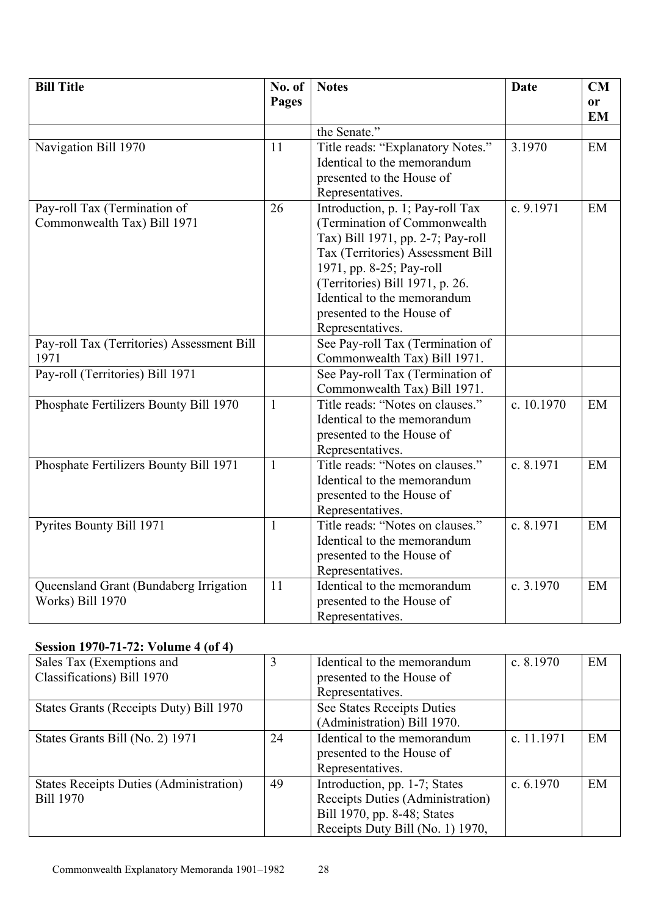| <b>Bill Title</b>                                           | No. of<br>Pages | <b>Notes</b>                                                                                                                                                                                                                                                                              | <b>Date</b> | CM<br>or<br><b>EM</b> |
|-------------------------------------------------------------|-----------------|-------------------------------------------------------------------------------------------------------------------------------------------------------------------------------------------------------------------------------------------------------------------------------------------|-------------|-----------------------|
|                                                             |                 | the Senate."                                                                                                                                                                                                                                                                              |             |                       |
| Navigation Bill 1970                                        | 11              | Title reads: "Explanatory Notes."<br>Identical to the memorandum<br>presented to the House of<br>Representatives.                                                                                                                                                                         | 3.1970      | EM                    |
| Pay-roll Tax (Termination of<br>Commonwealth Tax) Bill 1971 | 26              | Introduction, p. 1; Pay-roll Tax<br>(Termination of Commonwealth<br>Tax) Bill 1971, pp. 2-7; Pay-roll<br>Tax (Territories) Assessment Bill<br>1971, pp. 8-25; Pay-roll<br>(Territories) Bill 1971, p. 26.<br>Identical to the memorandum<br>presented to the House of<br>Representatives. | c. 9.1971   | EM                    |
| Pay-roll Tax (Territories) Assessment Bill<br>1971          |                 | See Pay-roll Tax (Termination of<br>Commonwealth Tax) Bill 1971.                                                                                                                                                                                                                          |             |                       |
| Pay-roll (Territories) Bill 1971                            |                 | See Pay-roll Tax (Termination of<br>Commonwealth Tax) Bill 1971.                                                                                                                                                                                                                          |             |                       |
| Phosphate Fertilizers Bounty Bill 1970                      | $\mathbf{1}$    | Title reads: "Notes on clauses."<br>Identical to the memorandum<br>presented to the House of<br>Representatives.                                                                                                                                                                          | c. 10.1970  | EM                    |
| Phosphate Fertilizers Bounty Bill 1971                      | $\mathbf{1}$    | Title reads: "Notes on clauses."<br>Identical to the memorandum<br>presented to the House of<br>Representatives.                                                                                                                                                                          | c. 8.1971   | EM                    |
| Pyrites Bounty Bill 1971                                    | $\mathbf{1}$    | Title reads: "Notes on clauses."<br>Identical to the memorandum<br>presented to the House of<br>Representatives.                                                                                                                                                                          | c. 8.1971   | EM                    |
| Queensland Grant (Bundaberg Irrigation<br>Works) Bill 1970  | 11              | Identical to the memorandum<br>presented to the House of<br>Representatives.                                                                                                                                                                                                              | c. 3.1970   | EM                    |

# **Session 1970-71-72: Volume 4 (of 4)**

| Sales Tax (Exemptions and                      | 3  | Identical to the memorandum      | c. $8.1970$ | EM |
|------------------------------------------------|----|----------------------------------|-------------|----|
| Classifications) Bill 1970                     |    | presented to the House of        |             |    |
|                                                |    | Representatives.                 |             |    |
| States Grants (Receipts Duty) Bill 1970        |    | See States Receipts Duties       |             |    |
|                                                |    | (Administration) Bill 1970.      |             |    |
| States Grants Bill (No. 2) 1971                | 24 | Identical to the memorandum      | c. 11.1971  | EM |
|                                                |    | presented to the House of        |             |    |
|                                                |    | Representatives.                 |             |    |
| <b>States Receipts Duties (Administration)</b> | 49 | Introduction, pp. 1-7; States    | c. $6.1970$ | EM |
| <b>Bill 1970</b>                               |    | Receipts Duties (Administration) |             |    |
|                                                |    | Bill 1970, pp. 8-48; States      |             |    |
|                                                |    | Receipts Duty Bill (No. 1) 1970, |             |    |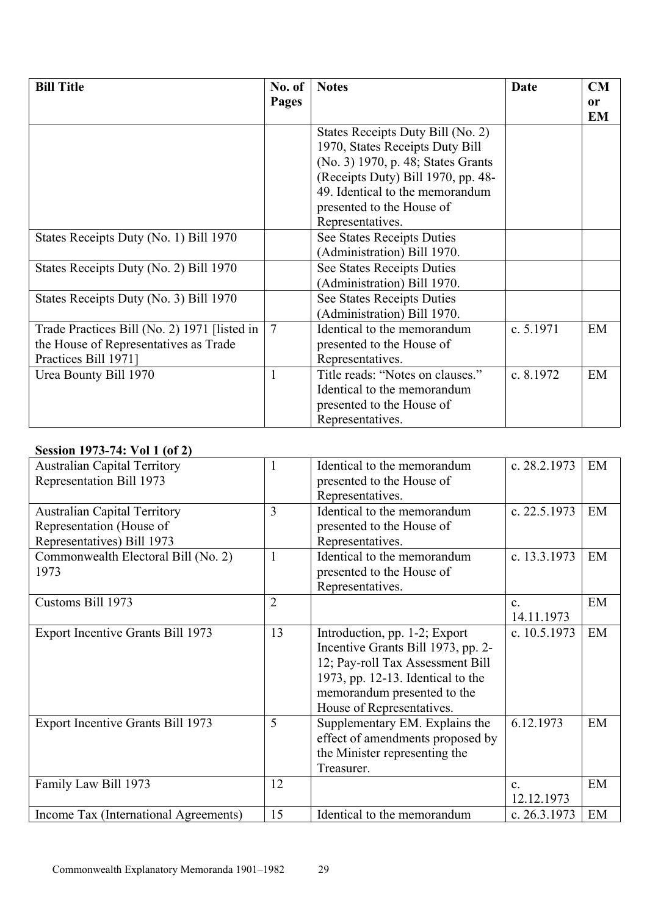| <b>Bill Title</b>                              | No. of         | <b>Notes</b>                       | <b>Date</b> | CM |
|------------------------------------------------|----------------|------------------------------------|-------------|----|
|                                                | Pages          |                                    |             | or |
|                                                |                |                                    |             | EM |
|                                                |                | States Receipts Duty Bill (No. 2)  |             |    |
|                                                |                | 1970, States Receipts Duty Bill    |             |    |
|                                                |                | (No. 3) 1970, p. 48; States Grants |             |    |
|                                                |                | (Receipts Duty) Bill 1970, pp. 48- |             |    |
|                                                |                | 49. Identical to the memorandum    |             |    |
|                                                |                | presented to the House of          |             |    |
|                                                |                | Representatives.                   |             |    |
| States Receipts Duty (No. 1) Bill 1970         |                | See States Receipts Duties         |             |    |
|                                                |                | (Administration) Bill 1970.        |             |    |
| States Receipts Duty (No. 2) Bill 1970         |                | See States Receipts Duties         |             |    |
|                                                |                | (Administration) Bill 1970.        |             |    |
| States Receipts Duty (No. 3) Bill 1970         |                | See States Receipts Duties         |             |    |
|                                                |                | (Administration) Bill 1970.        |             |    |
| Trade Practices Bill (No. 2) 1971 [listed in ] | $\overline{7}$ | Identical to the memorandum        | c. 5.1971   | EM |
| the House of Representatives as Trade          |                | presented to the House of          |             |    |
| Practices Bill 1971]                           |                | Representatives.                   |             |    |
| Urea Bounty Bill 1970                          | 1              | Title reads: "Notes on clauses."   | c. 8.1972   | EM |
|                                                |                | Identical to the memorandum        |             |    |
|                                                |                | presented to the House of          |             |    |
|                                                |                | Representatives.                   |             |    |

# **Session 1973-74: Vol 1 (of 2)**

| <b>Australian Capital Territory</b>      | 1              | Identical to the memorandum          | c. 28.2.1973   | EM |
|------------------------------------------|----------------|--------------------------------------|----------------|----|
| Representation Bill 1973                 |                | presented to the House of            |                |    |
|                                          |                | Representatives.                     |                |    |
| <b>Australian Capital Territory</b>      | 3              | Identical to the memorandum          | c. 22.5.1973   | EM |
| Representation (House of                 |                | presented to the House of            |                |    |
| Representatives) Bill 1973               |                | Representatives.                     |                |    |
| Commonwealth Electoral Bill (No. 2)      | 1              | Identical to the memorandum          | c. 13.3.1973   | EM |
| 1973                                     |                | presented to the House of            |                |    |
|                                          |                | Representatives.                     |                |    |
| Customs Bill 1973                        | $\overline{2}$ |                                      | C <sub>1</sub> | EM |
|                                          |                |                                      | 14.11.1973     |    |
| <b>Export Incentive Grants Bill 1973</b> | 13             | Introduction, pp. 1-2; Export        | c. 10.5.1973   | EM |
|                                          |                | Incentive Grants Bill 1973, pp. 2-   |                |    |
|                                          |                | 12; Pay-roll Tax Assessment Bill     |                |    |
|                                          |                | 1973, pp. $12-13$ . Identical to the |                |    |
|                                          |                | memorandum presented to the          |                |    |
|                                          |                | House of Representatives.            |                |    |
| <b>Export Incentive Grants Bill 1973</b> | 5              | Supplementary EM. Explains the       | 6.12.1973      | EM |
|                                          |                | effect of amendments proposed by     |                |    |
|                                          |                | the Minister representing the        |                |    |
|                                          |                | Treasurer.                           |                |    |
| Family Law Bill 1973                     | 12             |                                      | $\mathbf{C}$ . | EM |
|                                          |                |                                      | 12.12.1973     |    |
| Income Tax (International Agreements)    | 15             | Identical to the memorandum          | c. 26.3.1973   | EM |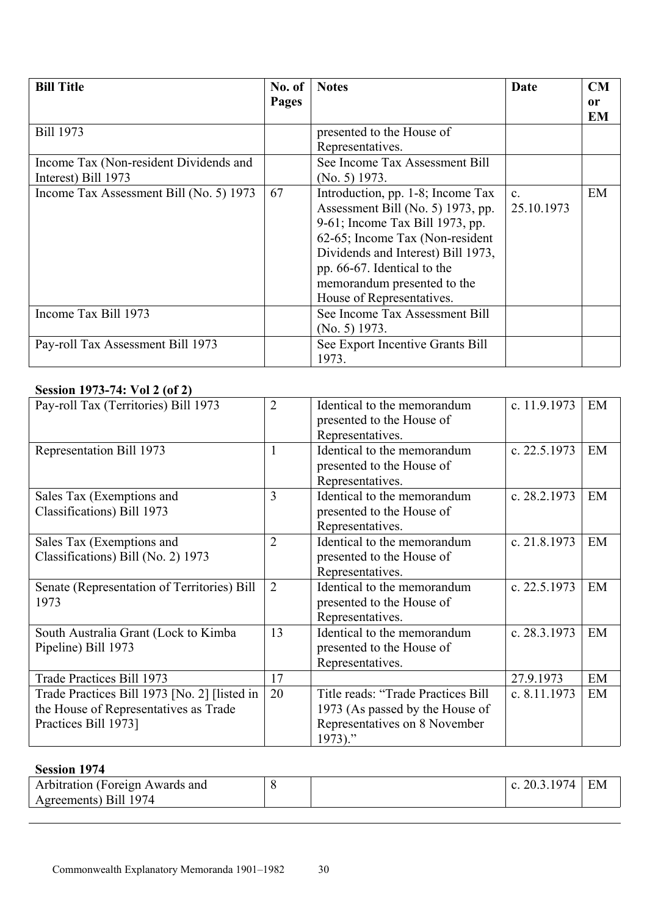| <b>Bill Title</b>                                             | No. of | <b>Notes</b>                                                                                                                                                                                                                                                                  | Date                         | <b>CM</b>           |
|---------------------------------------------------------------|--------|-------------------------------------------------------------------------------------------------------------------------------------------------------------------------------------------------------------------------------------------------------------------------------|------------------------------|---------------------|
|                                                               | Pages  |                                                                                                                                                                                                                                                                               |                              | <sub>or</sub><br>EM |
| <b>Bill 1973</b>                                              |        | presented to the House of<br>Representatives.                                                                                                                                                                                                                                 |                              |                     |
| Income Tax (Non-resident Dividends and<br>Interest) Bill 1973 |        | See Income Tax Assessment Bill<br>$(No. 5)$ 1973.                                                                                                                                                                                                                             |                              |                     |
| Income Tax Assessment Bill (No. 5) 1973                       | 67     | Introduction, pp. 1-8; Income Tax<br>Assessment Bill (No. 5) 1973, pp.<br>9-61; Income Tax Bill 1973, pp.<br>62-65; Income Tax (Non-resident<br>Dividends and Interest) Bill 1973,<br>pp. 66-67. Identical to the<br>memorandum presented to the<br>House of Representatives. | $\mathbf{c}$ .<br>25.10.1973 | EM                  |
| Income Tax Bill 1973                                          |        | See Income Tax Assessment Bill<br>$(No. 5)$ 1973.                                                                                                                                                                                                                             |                              |                     |
| Pay-roll Tax Assessment Bill 1973                             |        | See Export Incentive Grants Bill<br>1973.                                                                                                                                                                                                                                     |                              |                     |

### **Session 1973-74: Vol 2 (of 2)**

| Pay-roll Tax (Territories) Bill 1973                                                                          | $\overline{2}$ | Identical to the memorandum<br>presented to the House of<br>Representatives.                                      | c. 11.9.1973   | EM |
|---------------------------------------------------------------------------------------------------------------|----------------|-------------------------------------------------------------------------------------------------------------------|----------------|----|
| Representation Bill 1973                                                                                      |                | Identical to the memorandum<br>presented to the House of<br>Representatives.                                      | c. 22.5.1973   | EM |
| Sales Tax (Exemptions and<br>Classifications) Bill 1973                                                       | 3              | Identical to the memorandum<br>presented to the House of<br>Representatives.                                      | c. 28.2.1973   | EM |
| Sales Tax (Exemptions and<br>Classifications) Bill (No. 2) 1973                                               | 2              | Identical to the memorandum<br>presented to the House of<br>Representatives.                                      | c. 21.8.1973   | EM |
| Senate (Representation of Territories) Bill<br>1973                                                           | $\overline{2}$ | Identical to the memorandum<br>presented to the House of<br>Representatives.                                      | c. $22.5.1973$ | EM |
| South Australia Grant (Lock to Kimba<br>Pipeline) Bill 1973                                                   | 13             | Identical to the memorandum<br>presented to the House of<br>Representatives.                                      | c. 28.3.1973   | EM |
| Trade Practices Bill 1973                                                                                     | 17             |                                                                                                                   | 27.9.1973      | EM |
| Trade Practices Bill 1973 [No. 2] [listed in<br>the House of Representatives as Trade<br>Practices Bill 1973] | 20             | Title reads: "Trade Practices Bill<br>1973 (As passed by the House of<br>Representatives on 8 November<br>1973)." | c. 8.11.1973   | EM |

# **Session 1974**

| Arbitration (Foreign Awards and | <br>C | $\frac{1}{1}$ | EМ |
|---------------------------------|-------|---------------|----|
| Agreements) Bill 1974           |       |               |    |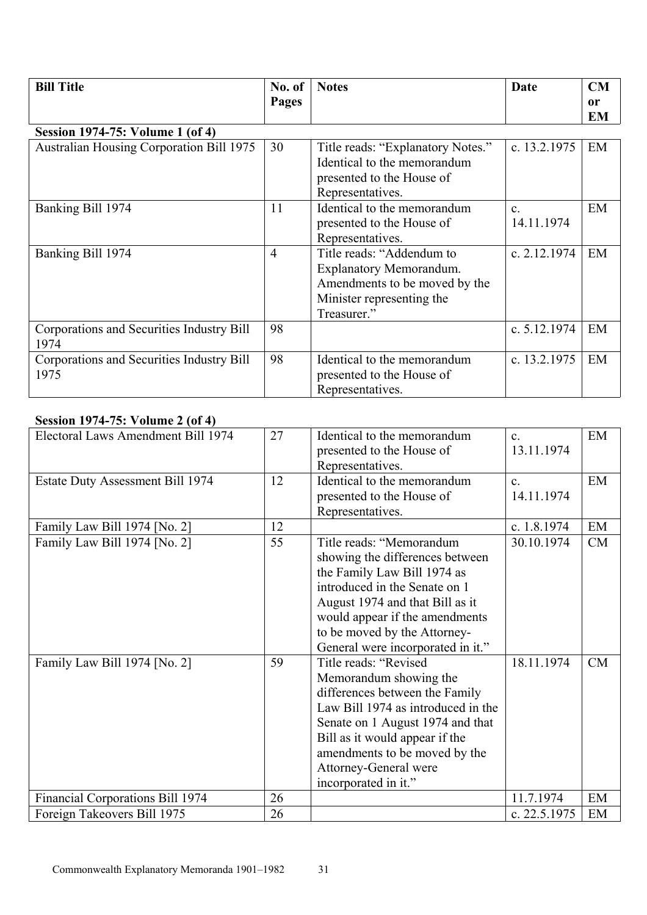| <b>Bill Title</b>                                 | No. of<br>Pages | <b>Notes</b>                                                                                                                             | Date                       | CM<br>0r |
|---------------------------------------------------|-----------------|------------------------------------------------------------------------------------------------------------------------------------------|----------------------------|----------|
|                                                   |                 |                                                                                                                                          |                            | EM       |
| <b>Session 1974-75: Volume 1 (of 4)</b>           |                 |                                                                                                                                          |                            |          |
| <b>Australian Housing Corporation Bill 1975</b>   | 30              | Title reads: "Explanatory Notes."<br>Identical to the memorandum<br>presented to the House of<br>Representatives.                        | c. 13.2.1975               | EM       |
| Banking Bill 1974                                 | 11              | Identical to the memorandum<br>presented to the House of<br>Representatives.                                                             | $\mathbf{c}$<br>14.11.1974 | EM       |
| Banking Bill 1974                                 | $\overline{4}$  | Title reads: "Addendum to<br><b>Explanatory Memorandum.</b><br>Amendments to be moved by the<br>Minister representing the<br>Treasurer." | c. 2.12.1974               | EM       |
| Corporations and Securities Industry Bill<br>1974 | 98              |                                                                                                                                          | c. $5.12.1974$             | EM       |
| Corporations and Securities Industry Bill<br>1975 | 98              | Identical to the memorandum<br>presented to the House of<br>Representatives.                                                             | c. 13.2.1975               | EM       |

#### **Session 1974-75: Volume 2 (of 4)**

| $30.3310 \text{ m}$ 12 $\text{m}$ 1 $\text{m}$ 1 $\text{m}$ 1 $\text{m}$ 1 |    |                                    |                |    |
|----------------------------------------------------------------------------|----|------------------------------------|----------------|----|
| Electoral Laws Amendment Bill 1974                                         | 27 | Identical to the memorandum        | $C_{-}$        | EM |
|                                                                            |    | presented to the House of          | 13.11.1974     |    |
|                                                                            |    | Representatives.                   |                |    |
| <b>Estate Duty Assessment Bill 1974</b>                                    | 12 | Identical to the memorandum        | $\mathbf{c}$ . | EM |
|                                                                            |    | presented to the House of          | 14.11.1974     |    |
|                                                                            |    | Representatives.                   |                |    |
| Family Law Bill 1974 [No. 2]                                               | 12 |                                    | c. 1.8.1974    | EM |
| Family Law Bill 1974 [No. 2]                                               | 55 | Title reads: "Memorandum           | 30.10.1974     | CM |
|                                                                            |    | showing the differences between    |                |    |
|                                                                            |    | the Family Law Bill 1974 as        |                |    |
|                                                                            |    | introduced in the Senate on 1      |                |    |
|                                                                            |    | August 1974 and that Bill as it    |                |    |
|                                                                            |    | would appear if the amendments     |                |    |
|                                                                            |    | to be moved by the Attorney-       |                |    |
|                                                                            |    | General were incorporated in it."  |                |    |
| Family Law Bill 1974 [No. 2]                                               | 59 | Title reads: "Revised              | 18.11.1974     | CM |
|                                                                            |    | Memorandum showing the             |                |    |
|                                                                            |    | differences between the Family     |                |    |
|                                                                            |    | Law Bill 1974 as introduced in the |                |    |
|                                                                            |    |                                    |                |    |
|                                                                            |    | Senate on 1 August 1974 and that   |                |    |
|                                                                            |    | Bill as it would appear if the     |                |    |
|                                                                            |    | amendments to be moved by the      |                |    |
|                                                                            |    | Attorney-General were              |                |    |
|                                                                            |    | incorporated in it."               |                |    |
| Financial Corporations Bill 1974                                           | 26 |                                    | 11.7.1974      | EM |
| Foreign Takeovers Bill 1975                                                | 26 |                                    | c. 22.5.1975   | EM |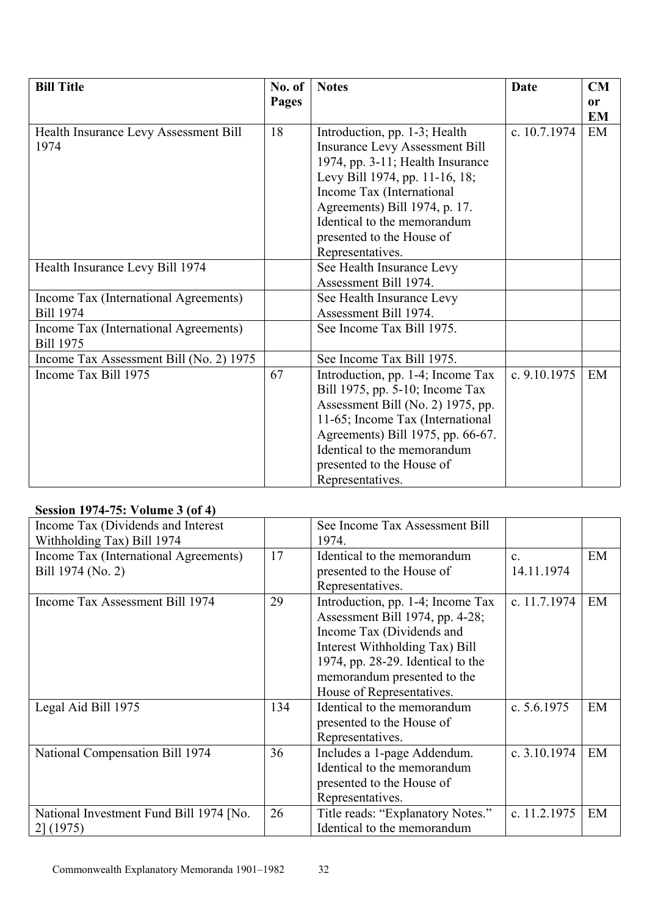| <b>Bill Title</b>                       | No. of | <b>Notes</b>                          | Date           | CM            |
|-----------------------------------------|--------|---------------------------------------|----------------|---------------|
|                                         | Pages  |                                       |                | <sub>or</sub> |
|                                         |        |                                       |                | <b>EM</b>     |
| Health Insurance Levy Assessment Bill   | 18     | Introduction, pp. 1-3; Health         | c. 10.7.1974   | EM            |
| 1974                                    |        | <b>Insurance Levy Assessment Bill</b> |                |               |
|                                         |        | 1974, pp. 3-11; Health Insurance      |                |               |
|                                         |        | Levy Bill 1974, pp. 11-16, 18;        |                |               |
|                                         |        | Income Tax (International             |                |               |
|                                         |        | Agreements) Bill 1974, p. 17.         |                |               |
|                                         |        | Identical to the memorandum           |                |               |
|                                         |        | presented to the House of             |                |               |
|                                         |        | Representatives.                      |                |               |
| Health Insurance Levy Bill 1974         |        | See Health Insurance Levy             |                |               |
|                                         |        | Assessment Bill 1974.                 |                |               |
| Income Tax (International Agreements)   |        | See Health Insurance Levy             |                |               |
| <b>Bill 1974</b>                        |        | Assessment Bill 1974.                 |                |               |
| Income Tax (International Agreements)   |        | See Income Tax Bill 1975.             |                |               |
| <b>Bill 1975</b>                        |        |                                       |                |               |
| Income Tax Assessment Bill (No. 2) 1975 |        | See Income Tax Bill 1975.             |                |               |
| Income Tax Bill 1975                    | 67     | Introduction, pp. 1-4; Income Tax     | c. $9.10.1975$ | EM            |
|                                         |        | Bill 1975, pp. 5-10; Income Tax       |                |               |
|                                         |        | Assessment Bill (No. 2) 1975, pp.     |                |               |
|                                         |        | 11-65; Income Tax (International      |                |               |
|                                         |        | Agreements) Bill 1975, pp. 66-67.     |                |               |
|                                         |        | Identical to the memorandum           |                |               |
|                                         |        | presented to the House of             |                |               |
|                                         |        | Representatives.                      |                |               |

# **Session 1974-75: Volume 3 (of 4)**

| Income Tax (Dividends and Interest<br>Withholding Tax) Bill 1974 |     | See Income Tax Assessment Bill<br>1974.                                                                                                                                                                                              |                            |    |
|------------------------------------------------------------------|-----|--------------------------------------------------------------------------------------------------------------------------------------------------------------------------------------------------------------------------------------|----------------------------|----|
| Income Tax (International Agreements)<br>Bill 1974 (No. 2)       | 17  | Identical to the memorandum<br>presented to the House of<br>Representatives.                                                                                                                                                         | $\mathbf{c}$<br>14.11.1974 | EM |
| Income Tax Assessment Bill 1974                                  | 29  | Introduction, pp. 1-4; Income Tax<br>Assessment Bill 1974, pp. 4-28;<br>Income Tax (Dividends and<br>Interest Withholding Tax) Bill<br>1974, pp. 28-29. Identical to the<br>memorandum presented to the<br>House of Representatives. | c. 11.7.1974               | EM |
| Legal Aid Bill 1975                                              | 134 | Identical to the memorandum<br>presented to the House of<br>Representatives.                                                                                                                                                         | c. $5.6.1975$              | EM |
| National Compensation Bill 1974                                  | 36  | Includes a 1-page Addendum.<br>Identical to the memorandum<br>presented to the House of<br>Representatives.                                                                                                                          | c. $3.10.1974$             | EM |
| National Investment Fund Bill 1974 [No.<br>$2 \mid (1975)$       | 26  | Title reads: "Explanatory Notes."<br>Identical to the memorandum                                                                                                                                                                     | c. 11.2.1975               | EM |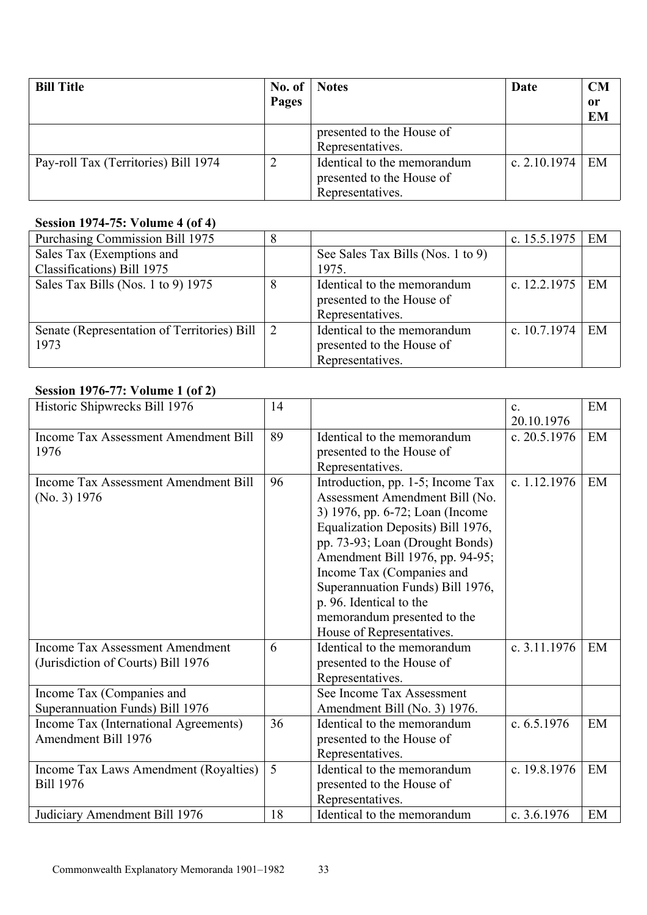| <b>Bill Title</b>                    | No. of | <b>Notes</b>                                                                 | Date           | CM |
|--------------------------------------|--------|------------------------------------------------------------------------------|----------------|----|
|                                      | Pages  |                                                                              |                | or |
|                                      |        |                                                                              |                | EM |
|                                      |        | presented to the House of                                                    |                |    |
|                                      |        | Representatives.                                                             |                |    |
| Pay-roll Tax (Territories) Bill 1974 |        | Identical to the memorandum<br>presented to the House of<br>Representatives. | c. $2.10.1974$ | EM |

# **Session 1974-75: Volume 4 (of 4)**

| Purchasing Commission Bill 1975             |                |                                   | c. $15.5.1975$ | EM |
|---------------------------------------------|----------------|-----------------------------------|----------------|----|
| Sales Tax (Exemptions and                   |                | See Sales Tax Bills (Nos. 1 to 9) |                |    |
| Classifications) Bill 1975                  |                | 1975.                             |                |    |
| Sales Tax Bills (Nos. 1 to 9) 1975          | 8              | Identical to the memorandum       | c. $12.2.1975$ | EM |
|                                             |                | presented to the House of         |                |    |
|                                             |                | Representatives.                  |                |    |
| Senate (Representation of Territories) Bill | $\overline{2}$ | Identical to the memorandum       | c. $10.7.1974$ | EM |
| 1973                                        |                | presented to the House of         |                |    |
|                                             |                | Representatives.                  |                |    |

# **Session 1976-77: Volume 1 (of 2)**

| Historic Shipwrecks Bill 1976               | 14 |                                   | $\mathbf{c}$ .<br>20.10.1976 | EM |
|---------------------------------------------|----|-----------------------------------|------------------------------|----|
| <b>Income Tax Assessment Amendment Bill</b> | 89 | Identical to the memorandum       | c. 20.5.1976                 | EM |
| 1976                                        |    | presented to the House of         |                              |    |
|                                             |    | Representatives.                  |                              |    |
| <b>Income Tax Assessment Amendment Bill</b> | 96 | Introduction, pp. 1-5; Income Tax | c. 1.12.1976                 | EM |
| (No. 3) 1976                                |    | Assessment Amendment Bill (No.    |                              |    |
|                                             |    | 3) 1976, pp. 6-72; Loan (Income   |                              |    |
|                                             |    | Equalization Deposits) Bill 1976, |                              |    |
|                                             |    | pp. 73-93; Loan (Drought Bonds)   |                              |    |
|                                             |    | Amendment Bill 1976, pp. 94-95;   |                              |    |
|                                             |    | Income Tax (Companies and         |                              |    |
|                                             |    | Superannuation Funds) Bill 1976,  |                              |    |
|                                             |    | p. 96. Identical to the           |                              |    |
|                                             |    | memorandum presented to the       |                              |    |
|                                             |    | House of Representatives.         |                              |    |
| <b>Income Tax Assessment Amendment</b>      | 6  | Identical to the memorandum       | c. 3.11.1976                 | EM |
| (Jurisdiction of Courts) Bill 1976          |    | presented to the House of         |                              |    |
|                                             |    | Representatives.                  |                              |    |
| Income Tax (Companies and                   |    | See Income Tax Assessment         |                              |    |
| Superannuation Funds) Bill 1976             |    | Amendment Bill (No. 3) 1976.      |                              |    |
| Income Tax (International Agreements)       | 36 | Identical to the memorandum       | c. $6.5.1976$                | EM |
| <b>Amendment Bill 1976</b>                  |    | presented to the House of         |                              |    |
|                                             |    | Representatives.                  |                              |    |
| Income Tax Laws Amendment (Royalties)       | 5  | Identical to the memorandum       | c. 19.8.1976                 | EM |
| <b>Bill 1976</b>                            |    | presented to the House of         |                              |    |
|                                             |    | Representatives.                  |                              |    |
| Judiciary Amendment Bill 1976               | 18 | Identical to the memorandum       | c. $3.6.1976$                | EM |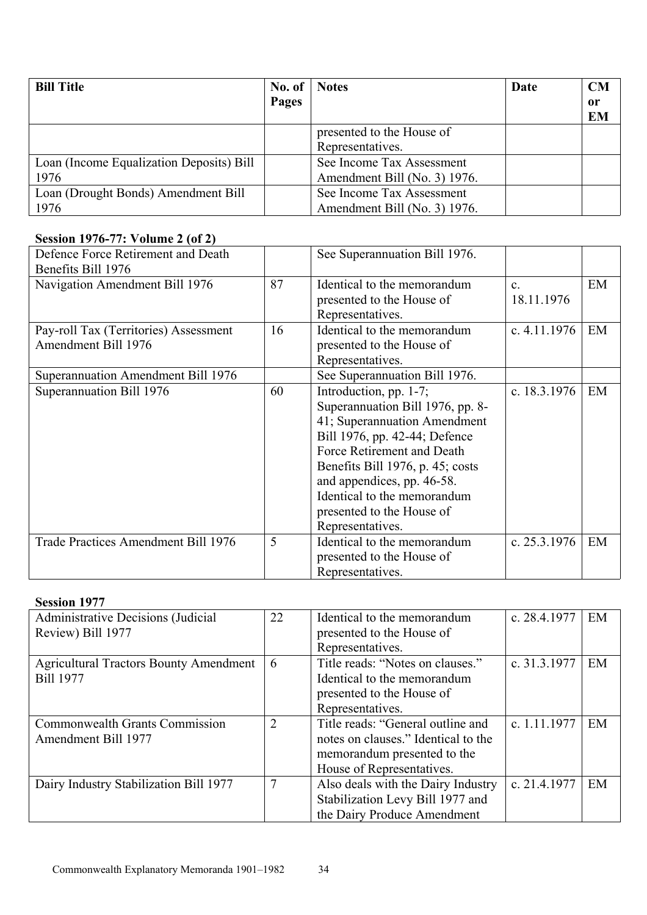| <b>Bill Title</b>                        | No. of | <b>Notes</b>                 | Date | CM        |
|------------------------------------------|--------|------------------------------|------|-----------|
|                                          | Pages  |                              |      | 0r        |
|                                          |        |                              |      | <b>EM</b> |
|                                          |        | presented to the House of    |      |           |
|                                          |        | Representatives.             |      |           |
| Loan (Income Equalization Deposits) Bill |        | See Income Tax Assessment    |      |           |
| 1976                                     |        | Amendment Bill (No. 3) 1976. |      |           |
| Loan (Drought Bonds) Amendment Bill      |        | See Income Tax Assessment    |      |           |
| 1976                                     |        | Amendment Bill (No. 3) 1976. |      |           |

# **Session 1976-77: Volume 2 (of 2)**

| Defence Force Retirement and Death<br>Benefits Bill 1976     |    | See Superannuation Bill 1976.                                                                                                                                                                                                                                                                               |                            |    |
|--------------------------------------------------------------|----|-------------------------------------------------------------------------------------------------------------------------------------------------------------------------------------------------------------------------------------------------------------------------------------------------------------|----------------------------|----|
| Navigation Amendment Bill 1976                               | 87 | Identical to the memorandum<br>presented to the House of<br>Representatives.                                                                                                                                                                                                                                | $\mathbf{c}$<br>18.11.1976 | EM |
| Pay-roll Tax (Territories) Assessment<br>Amendment Bill 1976 | 16 | Identical to the memorandum<br>presented to the House of<br>Representatives.                                                                                                                                                                                                                                | c. $4.11.1976$             | EM |
| Superannuation Amendment Bill 1976                           |    | See Superannuation Bill 1976.                                                                                                                                                                                                                                                                               |                            |    |
| Superannuation Bill 1976                                     | 60 | Introduction, pp. 1-7;<br>Superannuation Bill 1976, pp. 8-<br>41; Superannuation Amendment<br>Bill 1976, pp. 42-44; Defence<br>Force Retirement and Death<br>Benefits Bill 1976, p. 45; costs<br>and appendices, pp. 46-58.<br>Identical to the memorandum<br>presented to the House of<br>Representatives. | c. 18.3.1976               | EM |
| Trade Practices Amendment Bill 1976                          | 5  | Identical to the memorandum<br>presented to the House of<br>Representatives.                                                                                                                                                                                                                                | c. $25.3.1976$             | EM |

# **Session 1977**

| Administrative Decisions (Judicial            | 22             | Identical to the memorandum         | c. 28.4.1977 | EM |
|-----------------------------------------------|----------------|-------------------------------------|--------------|----|
| Review) Bill 1977                             |                | presented to the House of           |              |    |
|                                               |                | Representatives.                    |              |    |
| <b>Agricultural Tractors Bounty Amendment</b> | 6              | Title reads: "Notes on clauses."    | c. 31.3.1977 | EM |
| <b>Bill 1977</b>                              |                | Identical to the memorandum         |              |    |
|                                               |                | presented to the House of           |              |    |
|                                               |                | Representatives.                    |              |    |
| <b>Commonwealth Grants Commission</b>         | $\overline{2}$ | Title reads: "General outline and   | c. 1.11.1977 | EM |
| Amendment Bill 1977                           |                | notes on clauses." Identical to the |              |    |
|                                               |                | memorandum presented to the         |              |    |
|                                               |                | House of Representatives.           |              |    |
| Dairy Industry Stabilization Bill 1977        |                | Also deals with the Dairy Industry  | c. 21.4.1977 | EM |
|                                               |                | Stabilization Levy Bill 1977 and    |              |    |
|                                               |                | the Dairy Produce Amendment         |              |    |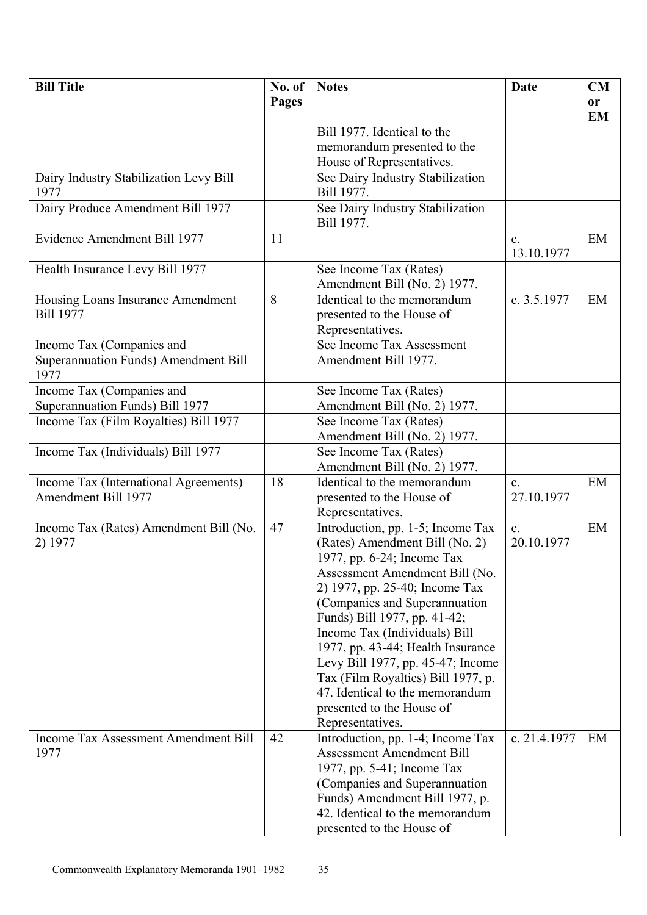| <b>Bill Title</b>                           | No. of | <b>Notes</b>                       | Date           | CM        |
|---------------------------------------------|--------|------------------------------------|----------------|-----------|
|                                             | Pages  |                                    |                | or        |
|                                             |        |                                    |                | <b>EM</b> |
|                                             |        | Bill 1977. Identical to the        |                |           |
|                                             |        | memorandum presented to the        |                |           |
|                                             |        | House of Representatives.          |                |           |
| Dairy Industry Stabilization Levy Bill      |        | See Dairy Industry Stabilization   |                |           |
| 1977                                        |        | Bill 1977.                         |                |           |
| Dairy Produce Amendment Bill 1977           |        | See Dairy Industry Stabilization   |                |           |
|                                             |        | Bill 1977.                         |                |           |
| Evidence Amendment Bill 1977                | 11     |                                    | $\mathbf{c}$ . | EM        |
|                                             |        |                                    | 13.10.1977     |           |
| Health Insurance Levy Bill 1977             |        | See Income Tax (Rates)             |                |           |
|                                             |        | Amendment Bill (No. 2) 1977.       |                |           |
|                                             | 8      | Identical to the memorandum        | c. 3.5.1977    | EM        |
| Housing Loans Insurance Amendment           |        |                                    |                |           |
| <b>Bill 1977</b>                            |        | presented to the House of          |                |           |
|                                             |        | Representatives.                   |                |           |
| Income Tax (Companies and                   |        | See Income Tax Assessment          |                |           |
| <b>Superannuation Funds) Amendment Bill</b> |        | Amendment Bill 1977.               |                |           |
| 1977                                        |        |                                    |                |           |
| Income Tax (Companies and                   |        | See Income Tax (Rates)             |                |           |
| Superannuation Funds) Bill 1977             |        | Amendment Bill (No. 2) 1977.       |                |           |
| Income Tax (Film Royalties) Bill 1977       |        | See Income Tax (Rates)             |                |           |
|                                             |        | Amendment Bill (No. 2) 1977.       |                |           |
| Income Tax (Individuals) Bill 1977          |        | See Income Tax (Rates)             |                |           |
|                                             |        | Amendment Bill (No. 2) 1977.       |                |           |
| Income Tax (International Agreements)       | 18     | Identical to the memorandum        | $\mathbf{c}$ . | EM        |
| Amendment Bill 1977                         |        | presented to the House of          | 27.10.1977     |           |
|                                             |        | Representatives.                   |                |           |
| Income Tax (Rates) Amendment Bill (No.      | 47     | Introduction, pp. 1-5; Income Tax  | $\mathbf{c}$ . | EM        |
| 2) 1977                                     |        | (Rates) Amendment Bill (No. 2)     | 20.10.1977     |           |
|                                             |        | 1977, pp. 6-24; Income Tax         |                |           |
|                                             |        | Assessment Amendment Bill (No.     |                |           |
|                                             |        | 2) 1977, pp. 25-40; Income Tax     |                |           |
|                                             |        | (Companies and Superannuation      |                |           |
|                                             |        | Funds) Bill 1977, pp. 41-42;       |                |           |
|                                             |        | Income Tax (Individuals) Bill      |                |           |
|                                             |        | 1977, pp. 43-44; Health Insurance  |                |           |
|                                             |        | Levy Bill 1977, pp. 45-47; Income  |                |           |
|                                             |        | Tax (Film Royalties) Bill 1977, p. |                |           |
|                                             |        | 47. Identical to the memorandum    |                |           |
|                                             |        |                                    |                |           |
|                                             |        | presented to the House of          |                |           |
|                                             |        | Representatives.                   |                |           |
| <b>Income Tax Assessment Amendment Bill</b> | 42     | Introduction, pp. 1-4; Income Tax  | c. 21.4.1977   | EM        |
| 1977                                        |        | <b>Assessment Amendment Bill</b>   |                |           |
|                                             |        | 1977, pp. 5-41; Income Tax         |                |           |
|                                             |        | (Companies and Superannuation)     |                |           |
|                                             |        | Funds) Amendment Bill 1977, p.     |                |           |
|                                             |        | 42. Identical to the memorandum    |                |           |
|                                             |        | presented to the House of          |                |           |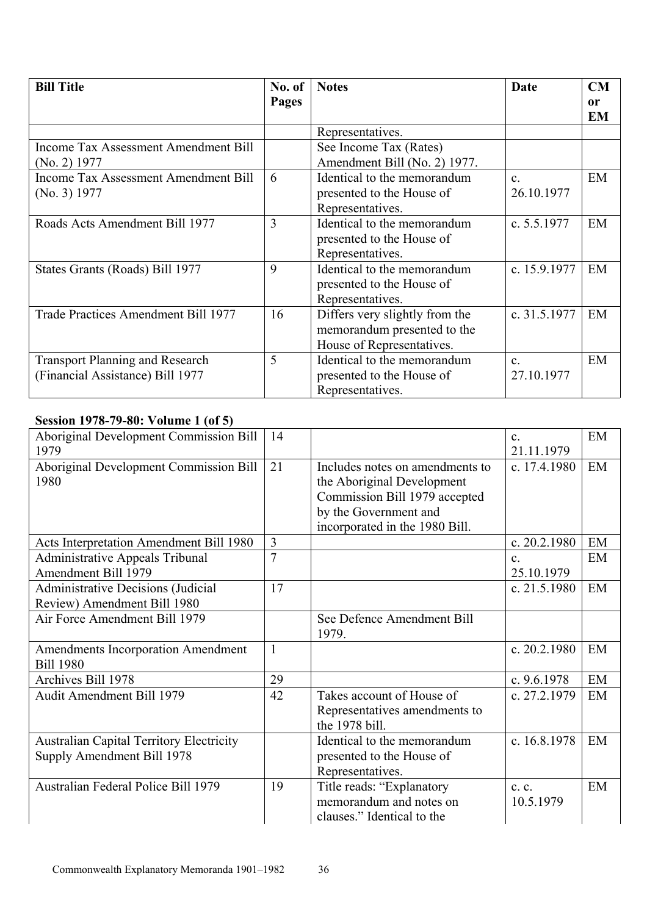| <b>Bill Title</b>                           | No. of<br>Pages | <b>Notes</b>                   | Date           | CM<br>or |
|---------------------------------------------|-----------------|--------------------------------|----------------|----------|
|                                             |                 |                                |                | EM       |
|                                             |                 | Representatives.               |                |          |
| Income Tax Assessment Amendment Bill        |                 | See Income Tax (Rates)         |                |          |
| $(No. 2)$ 1977                              |                 | Amendment Bill (No. 2) 1977.   |                |          |
| <b>Income Tax Assessment Amendment Bill</b> | 6               | Identical to the memorandum    | $\mathbf{c}$   | EM       |
| (No. 3) 1977                                |                 | presented to the House of      | 26.10.1977     |          |
|                                             |                 | Representatives.               |                |          |
| Roads Acts Amendment Bill 1977              | 3               | Identical to the memorandum    | c. $5.5.1977$  | EM       |
|                                             |                 | presented to the House of      |                |          |
|                                             |                 | Representatives.               |                |          |
| States Grants (Roads) Bill 1977             | 9               | Identical to the memorandum    | c. 15.9.1977   | EM       |
|                                             |                 | presented to the House of      |                |          |
|                                             |                 | Representatives.               |                |          |
| Trade Practices Amendment Bill 1977         | 16              | Differs very slightly from the | c. 31.5.1977   | EM       |
|                                             |                 | memorandum presented to the    |                |          |
|                                             |                 | House of Representatives.      |                |          |
| <b>Transport Planning and Research</b>      | 5               | Identical to the memorandum    | $\mathbf{C}$ . | EM       |
| (Financial Assistance) Bill 1977            |                 | presented to the House of      | 27.10.1977     |          |
|                                             |                 | Representatives.               |                |          |

# **Session 1978-79-80: Volume 1 (of 5)**

| Aboriginal Development Commission Bill<br>1979                                | 14             |                                                                                                                                                           | $\mathbf{c}$ .<br>21.11.1979       | EM |
|-------------------------------------------------------------------------------|----------------|-----------------------------------------------------------------------------------------------------------------------------------------------------------|------------------------------------|----|
| Aboriginal Development Commission Bill<br>1980                                | 21             | Includes notes on amendments to<br>the Aboriginal Development<br>Commission Bill 1979 accepted<br>by the Government and<br>incorporated in the 1980 Bill. | c. 17.4.1980                       | EM |
| Acts Interpretation Amendment Bill 1980                                       | 3              |                                                                                                                                                           | c. 20.2.1980                       | EM |
| <b>Administrative Appeals Tribunal</b><br>Amendment Bill 1979                 | $\overline{7}$ |                                                                                                                                                           | $\mathbf{c}$ .<br>25.10.1979       | EM |
| Administrative Decisions (Judicial<br>Review) Amendment Bill 1980             | 17             |                                                                                                                                                           | c. $21.5.1980$                     | EM |
| Air Force Amendment Bill 1979                                                 |                | See Defence Amendment Bill<br>1979.                                                                                                                       |                                    |    |
| Amendments Incorporation Amendment<br><b>Bill 1980</b>                        | $\mathbf{1}$   |                                                                                                                                                           | c. $20.2.1980$                     | EM |
| Archives Bill 1978                                                            | 29             |                                                                                                                                                           | c. $9.6.1978$                      | EM |
| <b>Audit Amendment Bill 1979</b>                                              | 42             | Takes account of House of<br>Representatives amendments to<br>the 1978 bill.                                                                              | c. 27.2.1979                       | EM |
| <b>Australian Capital Territory Electricity</b><br>Supply Amendment Bill 1978 |                | Identical to the memorandum<br>presented to the House of<br>Representatives.                                                                              | c. 16.8.1978                       | EM |
| Australian Federal Police Bill 1979                                           | 19             | Title reads: "Explanatory<br>memorandum and notes on<br>clauses." Identical to the                                                                        | $c_{\cdot} c_{\cdot}$<br>10.5.1979 | EM |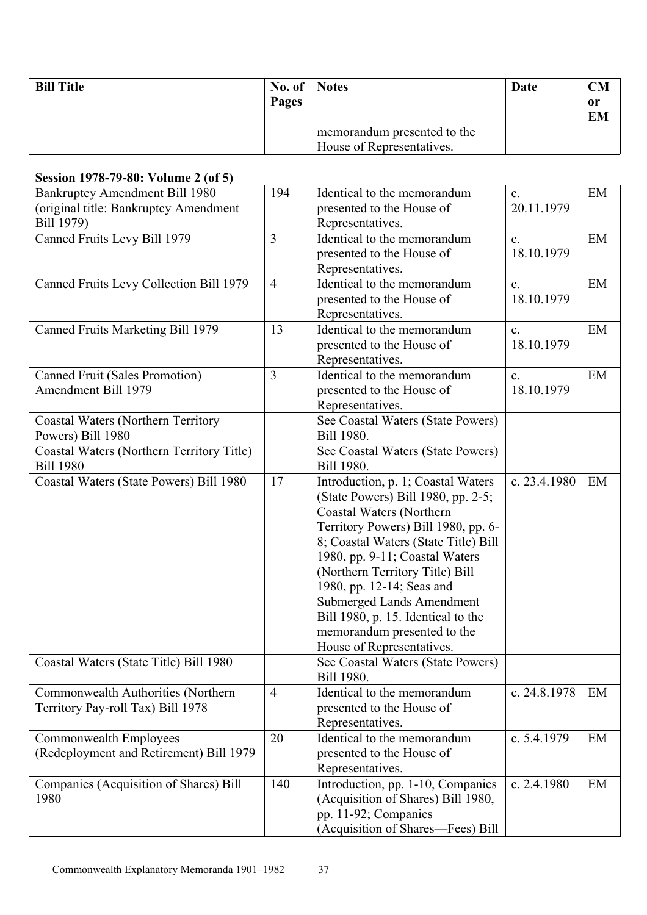| <b>Bill Title</b> | No. of $\blacksquare$<br>Pages | <b>Notes</b>                                             | Date | <b>CM</b><br>0r<br><b>EM</b> |
|-------------------|--------------------------------|----------------------------------------------------------|------|------------------------------|
|                   |                                | memorandum presented to the<br>House of Representatives. |      |                              |

### **Session 1978-79-80: Volume 2 (of 5)**

| $5.015$ 00. $\sqrt{0.001}$ $(0.01)$<br>Bankruptcy Amendment Bill 1980 | 194            | Identical to the memorandum          | $\mathbf{c}$ . | EM |
|-----------------------------------------------------------------------|----------------|--------------------------------------|----------------|----|
| (original title: Bankruptcy Amendment                                 |                | presented to the House of            | 20.11.1979     |    |
| Bill 1979)                                                            |                | Representatives.                     |                |    |
| Canned Fruits Levy Bill 1979                                          | $\overline{3}$ | Identical to the memorandum          | $\mathbf{c}$ . | EM |
|                                                                       |                | presented to the House of            | 18.10.1979     |    |
|                                                                       |                | Representatives.                     |                |    |
| Canned Fruits Levy Collection Bill 1979                               | $\overline{4}$ | Identical to the memorandum          | $\mathbf{c}$ . | EM |
|                                                                       |                | presented to the House of            | 18.10.1979     |    |
|                                                                       |                | Representatives.                     |                |    |
| Canned Fruits Marketing Bill 1979                                     | 13             | Identical to the memorandum          | $\mathbf{c}$ . | EM |
|                                                                       |                | presented to the House of            | 18.10.1979     |    |
|                                                                       |                | Representatives.                     |                |    |
| <b>Canned Fruit (Sales Promotion)</b>                                 | $\overline{3}$ | Identical to the memorandum          | $\mathbf{c}$ . | EM |
| Amendment Bill 1979                                                   |                | presented to the House of            | 18.10.1979     |    |
|                                                                       |                | Representatives.                     |                |    |
| <b>Coastal Waters (Northern Territory)</b>                            |                | See Coastal Waters (State Powers)    |                |    |
| Powers) Bill 1980                                                     |                | Bill 1980.                           |                |    |
| Coastal Waters (Northern Territory Title)                             |                | See Coastal Waters (State Powers)    |                |    |
| <b>Bill 1980</b>                                                      |                | Bill 1980.                           |                |    |
| Coastal Waters (State Powers) Bill 1980                               | 17             | Introduction, p. 1; Coastal Waters   | c. 23.4.1980   | EM |
|                                                                       |                | (State Powers) Bill 1980, pp. 2-5;   |                |    |
|                                                                       |                | Coastal Waters (Northern             |                |    |
|                                                                       |                | Territory Powers) Bill 1980, pp. 6-  |                |    |
|                                                                       |                | 8; Coastal Waters (State Title) Bill |                |    |
|                                                                       |                | 1980, pp. 9-11; Coastal Waters       |                |    |
|                                                                       |                | (Northern Territory Title) Bill      |                |    |
|                                                                       |                | 1980, pp. 12-14; Seas and            |                |    |
|                                                                       |                | <b>Submerged Lands Amendment</b>     |                |    |
|                                                                       |                | Bill 1980, p. 15. Identical to the   |                |    |
|                                                                       |                | memorandum presented to the          |                |    |
|                                                                       |                | House of Representatives.            |                |    |
| Coastal Waters (State Title) Bill 1980                                |                | See Coastal Waters (State Powers)    |                |    |
|                                                                       |                | Bill 1980.                           |                |    |
| Commonwealth Authorities (Northern                                    | $\overline{4}$ | Identical to the memorandum          | c. 24.8.1978   | EM |
| Territory Pay-roll Tax) Bill 1978                                     |                | presented to the House of            |                |    |
|                                                                       |                | Representatives.                     |                |    |
| Commonwealth Employees                                                | 20             | Identical to the memorandum          | c. 5.4.1979    | EM |
| (Redeployment and Retirement) Bill 1979                               |                | presented to the House of            |                |    |
|                                                                       |                | Representatives.                     |                |    |
| Companies (Acquisition of Shares) Bill                                | 140            | Introduction, pp. 1-10, Companies    | c. 2.4.1980    | EM |
| 1980                                                                  |                | (Acquisition of Shares) Bill 1980,   |                |    |
|                                                                       |                | pp. 11-92; Companies                 |                |    |
|                                                                       |                | (Acquisition of Shares—Fees) Bill    |                |    |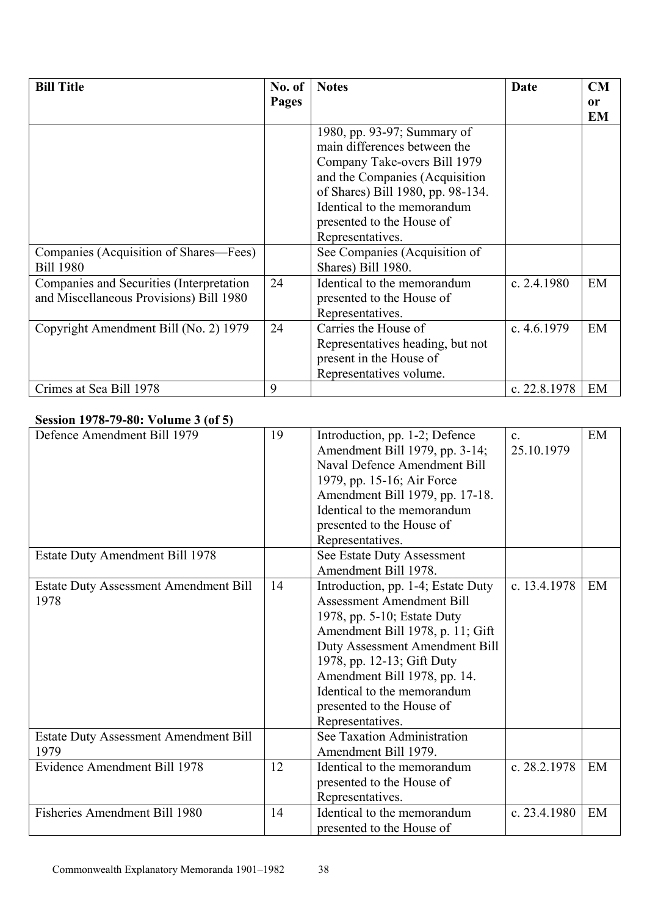| <b>Bill Title</b>                        | No. of | <b>Notes</b>                      | Date           | CM              |
|------------------------------------------|--------|-----------------------------------|----------------|-----------------|
|                                          | Pages  |                                   |                | or<br><b>EM</b> |
|                                          |        | 1980, pp. 93-97; Summary of       |                |                 |
|                                          |        | main differences between the      |                |                 |
|                                          |        | Company Take-overs Bill 1979      |                |                 |
|                                          |        | and the Companies (Acquisition    |                |                 |
|                                          |        | of Shares) Bill 1980, pp. 98-134. |                |                 |
|                                          |        | Identical to the memorandum       |                |                 |
|                                          |        | presented to the House of         |                |                 |
|                                          |        | Representatives.                  |                |                 |
| Companies (Acquisition of Shares—Fees)   |        | See Companies (Acquisition of     |                |                 |
| <b>Bill 1980</b>                         |        | Shares) Bill 1980.                |                |                 |
| Companies and Securities (Interpretation | 24     | Identical to the memorandum       | c. $2.4.1980$  | EM              |
| and Miscellaneous Provisions) Bill 1980  |        | presented to the House of         |                |                 |
|                                          |        | Representatives.                  |                |                 |
| Copyright Amendment Bill (No. 2) 1979    | 24     | Carries the House of              | c. $4.6.1979$  | EM              |
|                                          |        | Representatives heading, but not  |                |                 |
|                                          |        | present in the House of           |                |                 |
|                                          |        | Representatives volume.           |                |                 |
| Crimes at Sea Bill 1978                  | 9      |                                   | c. $22.8.1978$ | EM              |

#### **Session 1978-79-80: Volume 3 (of 5)**

| $\frac{1}{2}$ over the set of $\frac{1}{2}$ over the set of $\frac{1}{2}$<br>Defence Amendment Bill 1979 | 19 | Introduction, pp. 1-2; Defence     | $\mathbf{c}$ . | EM |
|----------------------------------------------------------------------------------------------------------|----|------------------------------------|----------------|----|
|                                                                                                          |    | Amendment Bill 1979, pp. 3-14;     | 25.10.1979     |    |
|                                                                                                          |    | Naval Defence Amendment Bill       |                |    |
|                                                                                                          |    | 1979, pp. 15-16; Air Force         |                |    |
|                                                                                                          |    | Amendment Bill 1979, pp. 17-18.    |                |    |
|                                                                                                          |    | Identical to the memorandum        |                |    |
|                                                                                                          |    | presented to the House of          |                |    |
|                                                                                                          |    | Representatives.                   |                |    |
| <b>Estate Duty Amendment Bill 1978</b>                                                                   |    | See Estate Duty Assessment         |                |    |
|                                                                                                          |    | Amendment Bill 1978.               |                |    |
| <b>Estate Duty Assessment Amendment Bill</b>                                                             | 14 | Introduction, pp. 1-4; Estate Duty | c. 13.4.1978   | EM |
| 1978                                                                                                     |    | <b>Assessment Amendment Bill</b>   |                |    |
|                                                                                                          |    | 1978, pp. 5-10; Estate Duty        |                |    |
|                                                                                                          |    | Amendment Bill 1978, p. 11; Gift   |                |    |
|                                                                                                          |    | Duty Assessment Amendment Bill     |                |    |
|                                                                                                          |    | 1978, pp. 12-13; Gift Duty         |                |    |
|                                                                                                          |    | Amendment Bill 1978, pp. 14.       |                |    |
|                                                                                                          |    | Identical to the memorandum        |                |    |
|                                                                                                          |    | presented to the House of          |                |    |
|                                                                                                          |    | Representatives.                   |                |    |
| <b>Estate Duty Assessment Amendment Bill</b>                                                             |    | See Taxation Administration        |                |    |
| 1979                                                                                                     |    | Amendment Bill 1979.               |                |    |
| Evidence Amendment Bill 1978                                                                             | 12 | Identical to the memorandum        | c. 28.2.1978   | EM |
|                                                                                                          |    | presented to the House of          |                |    |
|                                                                                                          |    | Representatives.                   |                |    |
| Fisheries Amendment Bill 1980                                                                            | 14 | Identical to the memorandum        | c. 23.4.1980   | EM |
|                                                                                                          |    | presented to the House of          |                |    |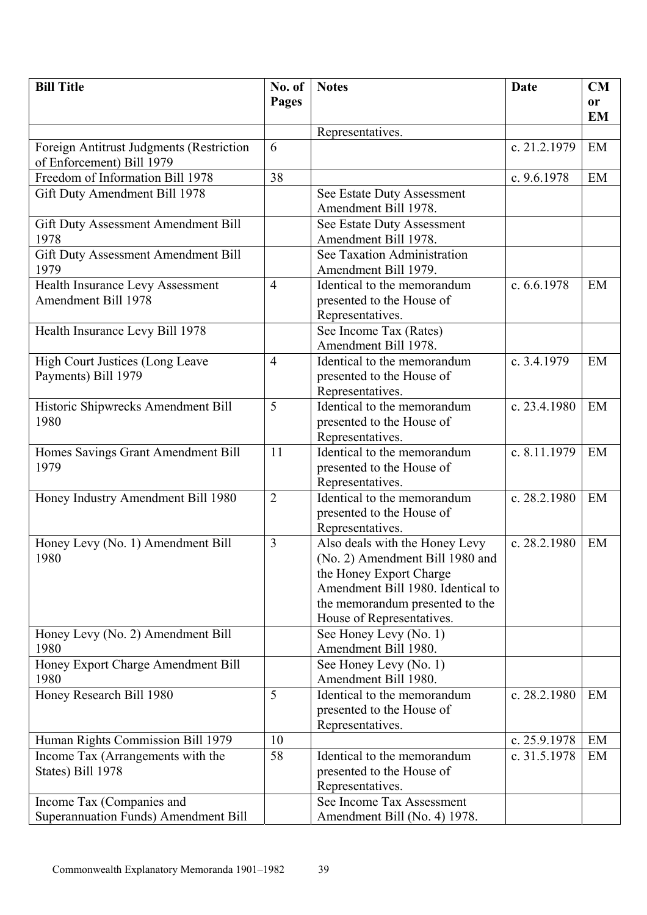| <b>Bill Title</b>                        | No. of         | <b>Notes</b>                                  | <b>Date</b>   | <b>CM</b> |
|------------------------------------------|----------------|-----------------------------------------------|---------------|-----------|
|                                          | Pages          |                                               |               | <b>or</b> |
|                                          |                |                                               |               | <b>EM</b> |
|                                          |                | Representatives.                              |               |           |
| Foreign Antitrust Judgments (Restriction | 6              |                                               | c. 21.2.1979  | EM        |
| of Enforcement) Bill 1979                |                |                                               |               |           |
| Freedom of Information Bill 1978         | 38             |                                               | c. 9.6.1978   | EM        |
| Gift Duty Amendment Bill 1978            |                | See Estate Duty Assessment                    |               |           |
|                                          |                | Amendment Bill 1978.                          |               |           |
| Gift Duty Assessment Amendment Bill      |                | See Estate Duty Assessment                    |               |           |
| 1978                                     |                | Amendment Bill 1978.                          |               |           |
| Gift Duty Assessment Amendment Bill      |                | See Taxation Administration                   |               |           |
| 1979                                     |                | Amendment Bill 1979.                          |               |           |
| Health Insurance Levy Assessment         | $\overline{4}$ | Identical to the memorandum                   | c. $6.6.1978$ | EM        |
| Amendment Bill 1978                      |                | presented to the House of                     |               |           |
|                                          |                | Representatives.                              |               |           |
| Health Insurance Levy Bill 1978          |                | See Income Tax (Rates)                        |               |           |
|                                          |                | Amendment Bill 1978.                          |               |           |
| <b>High Court Justices (Long Leave</b>   | $\overline{4}$ | Identical to the memorandum                   | c. 3.4.1979   | EM        |
| Payments) Bill 1979                      |                | presented to the House of                     |               |           |
|                                          |                | Representatives.                              |               |           |
| Historic Shipwrecks Amendment Bill       | 5              | Identical to the memorandum                   | c. 23.4.1980  | EM        |
| 1980                                     |                | presented to the House of                     |               |           |
|                                          |                | Representatives.                              |               |           |
| Homes Savings Grant Amendment Bill       | 11             | Identical to the memorandum                   | c. 8.11.1979  | EM        |
| 1979                                     |                | presented to the House of                     |               |           |
|                                          |                | Representatives.                              |               |           |
| Honey Industry Amendment Bill 1980       | $\overline{2}$ | Identical to the memorandum                   | c. 28.2.1980  | EM        |
|                                          |                | presented to the House of<br>Representatives. |               |           |
| Honey Levy (No. 1) Amendment Bill        | 3              | Also deals with the Honey Levy                | c. 28.2.1980  | EM        |
| 1980                                     |                | (No. 2) Amendment Bill 1980 and               |               |           |
|                                          |                | the Honey Export Charge                       |               |           |
|                                          |                | Amendment Bill 1980. Identical to             |               |           |
|                                          |                | the memorandum presented to the               |               |           |
|                                          |                | House of Representatives.                     |               |           |
| Honey Levy (No. 2) Amendment Bill        |                | See Honey Levy (No. 1)                        |               |           |
| 1980                                     |                | Amendment Bill 1980.                          |               |           |
| Honey Export Charge Amendment Bill       |                | See Honey Levy (No. 1)                        |               |           |
| 1980                                     |                | Amendment Bill 1980.                          |               |           |
| Honey Research Bill 1980                 | 5              | Identical to the memorandum                   | c. 28.2.1980  | EM        |
|                                          |                | presented to the House of                     |               |           |
|                                          |                | Representatives.                              |               |           |
| Human Rights Commission Bill 1979        | 10             |                                               | c. 25.9.1978  | EM        |
| Income Tax (Arrangements with the        | 58             | Identical to the memorandum                   | c. 31.5.1978  | EM        |
| States) Bill 1978                        |                | presented to the House of                     |               |           |
|                                          |                | Representatives.                              |               |           |
| Income Tax (Companies and                |                | See Income Tax Assessment                     |               |           |
| Superannuation Funds) Amendment Bill     |                | Amendment Bill (No. 4) 1978.                  |               |           |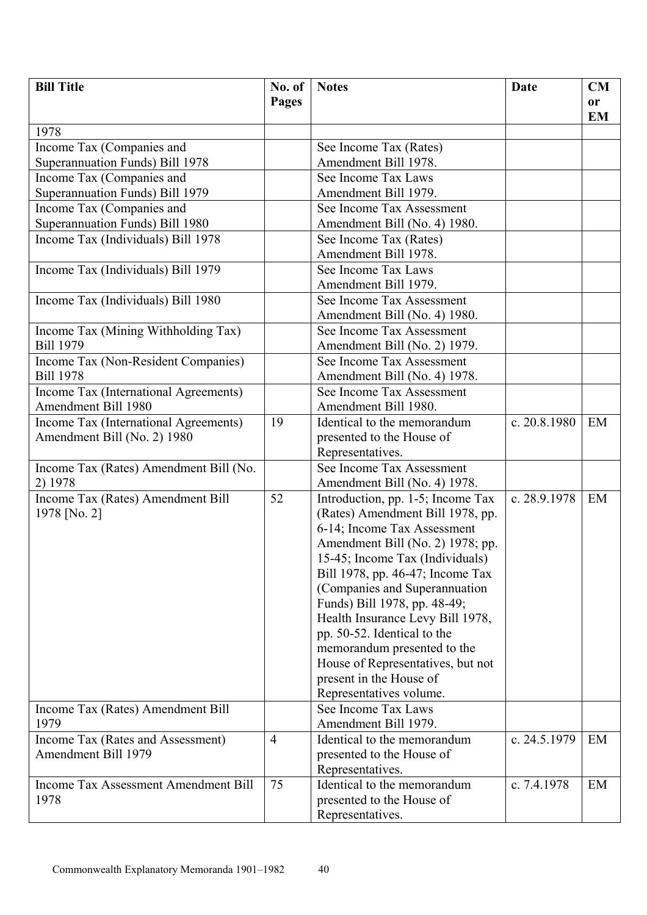| <b>Bill Title</b>                                        | No. of         | <b>Notes</b>                                   | Date         | CM        |
|----------------------------------------------------------|----------------|------------------------------------------------|--------------|-----------|
|                                                          | <b>Pages</b>   |                                                |              | <b>or</b> |
|                                                          |                |                                                |              | EM        |
| 1978                                                     |                |                                                |              |           |
| Income Tax (Companies and                                |                | See Income Tax (Rates)                         |              |           |
| Superannuation Funds) Bill 1978                          |                | Amendment Bill 1978.                           |              |           |
| Income Tax (Companies and                                |                | See Income Tax Laws                            |              |           |
| Superannuation Funds) Bill 1979                          |                | Amendment Bill 1979.                           |              |           |
| Income Tax (Companies and                                |                | See Income Tax Assessment                      |              |           |
| Superannuation Funds) Bill 1980                          |                | Amendment Bill (No. 4) 1980.                   |              |           |
| Income Tax (Individuals) Bill 1978                       |                | See Income Tax (Rates)                         |              |           |
|                                                          |                | Amendment Bill 1978.                           |              |           |
| Income Tax (Individuals) Bill 1979                       |                | See Income Tax Laws                            |              |           |
|                                                          |                | Amendment Bill 1979.                           |              |           |
| Income Tax (Individuals) Bill 1980                       |                | See Income Tax Assessment                      |              |           |
|                                                          |                | Amendment Bill (No. 4) 1980.                   |              |           |
| Income Tax (Mining Withholding Tax)                      |                | See Income Tax Assessment                      |              |           |
| <b>Bill 1979</b>                                         |                | Amendment Bill (No. 2) 1979.                   |              |           |
| Income Tax (Non-Resident Companies)                      |                | See Income Tax Assessment                      |              |           |
| <b>Bill 1978</b>                                         |                | Amendment Bill (No. 4) 1978.                   |              |           |
| Income Tax (International Agreements)                    |                | See Income Tax Assessment                      |              |           |
| Amendment Bill 1980                                      |                | Amendment Bill 1980.                           |              |           |
| Income Tax (International Agreements)                    | 19             | Identical to the memorandum                    | c. 20.8.1980 | EM        |
| Amendment Bill (No. 2) 1980                              |                | presented to the House of                      |              |           |
|                                                          |                | Representatives.                               |              |           |
| Income Tax (Rates) Amendment Bill (No.                   |                | See Income Tax Assessment                      |              |           |
| 2) 1978                                                  |                | Amendment Bill (No. 4) 1978.                   |              |           |
| Income Tax (Rates) Amendment Bill                        | 52             | Introduction, pp. 1-5; Income Tax              | c. 28.9.1978 | EM        |
| 1978 [No. 2]                                             |                | (Rates) Amendment Bill 1978, pp.               |              |           |
|                                                          |                | 6-14; Income Tax Assessment                    |              |           |
|                                                          |                | Amendment Bill (No. 2) 1978; pp.               |              |           |
|                                                          |                | 15-45; Income Tax (Individuals)                |              |           |
|                                                          |                | Bill 1978, pp. 46-47; Income Tax               |              |           |
|                                                          |                | (Companies and Superannuation                  |              |           |
|                                                          |                | Funds) Bill 1978, pp. 48-49;                   |              |           |
|                                                          |                | Health Insurance Levy Bill 1978,               |              |           |
|                                                          |                | pp. 50-52. Identical to the                    |              |           |
|                                                          |                | memorandum presented to the                    |              |           |
|                                                          |                | House of Representatives, but not              |              |           |
|                                                          |                | present in the House of                        |              |           |
|                                                          |                | Representatives volume.<br>See Income Tax Laws |              |           |
| Income Tax (Rates) Amendment Bill<br>1979                |                | Amendment Bill 1979.                           |              |           |
|                                                          | $\overline{4}$ | Identical to the memorandum                    | c. 24.5.1979 | EM        |
| Income Tax (Rates and Assessment)<br>Amendment Bill 1979 |                | presented to the House of                      |              |           |
|                                                          |                | Representatives.                               |              |           |
| <b>Income Tax Assessment Amendment Bill</b>              | 75             | Identical to the memorandum                    | c. 7.4.1978  | EM        |
| 1978                                                     |                | presented to the House of                      |              |           |
|                                                          |                | Representatives.                               |              |           |
|                                                          |                |                                                |              |           |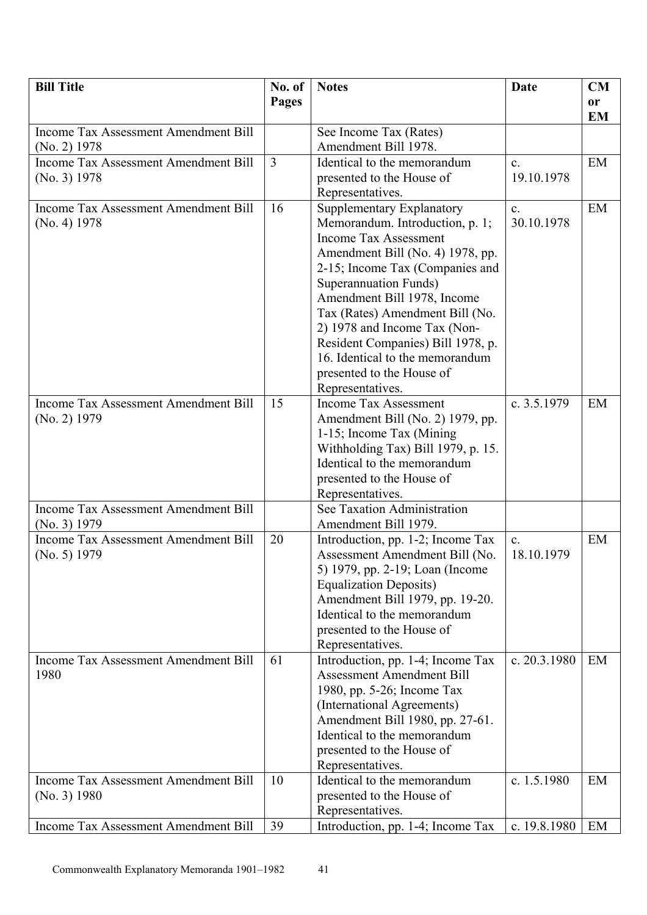| <b>Bill Title</b>                                             | No. of         | <b>Notes</b>                                                                                                                                                                                                                                                                                                                                                           | <b>Date</b>                  | CM        |
|---------------------------------------------------------------|----------------|------------------------------------------------------------------------------------------------------------------------------------------------------------------------------------------------------------------------------------------------------------------------------------------------------------------------------------------------------------------------|------------------------------|-----------|
|                                                               | Pages          |                                                                                                                                                                                                                                                                                                                                                                        |                              | or        |
|                                                               |                |                                                                                                                                                                                                                                                                                                                                                                        |                              | <b>EM</b> |
| Income Tax Assessment Amendment Bill                          |                | See Income Tax (Rates)<br>Amendment Bill 1978.                                                                                                                                                                                                                                                                                                                         |                              |           |
| $(No. 2)$ 1978<br><b>Income Tax Assessment Amendment Bill</b> | $\overline{3}$ | Identical to the memorandum                                                                                                                                                                                                                                                                                                                                            | $\mathbf{c}$ .               | EM        |
| (No. 3) 1978                                                  |                | presented to the House of                                                                                                                                                                                                                                                                                                                                              | 19.10.1978                   |           |
|                                                               |                | Representatives.                                                                                                                                                                                                                                                                                                                                                       |                              |           |
| Income Tax Assessment Amendment Bill<br>(No. 4) 1978          | 16             | Supplementary Explanatory<br>Memorandum. Introduction, p. 1;<br><b>Income Tax Assessment</b><br>Amendment Bill (No. 4) 1978, pp.<br>2-15; Income Tax (Companies and<br>Superannuation Funds)<br>Amendment Bill 1978, Income<br>Tax (Rates) Amendment Bill (No.<br>2) 1978 and Income Tax (Non-<br>Resident Companies) Bill 1978, p.<br>16. Identical to the memorandum | $\mathbf{c}$ .<br>30.10.1978 | EM        |
|                                                               |                | presented to the House of                                                                                                                                                                                                                                                                                                                                              |                              |           |
| <b>Income Tax Assessment Amendment Bill</b><br>(No. 2) 1979   | 15             | Representatives.<br><b>Income Tax Assessment</b><br>Amendment Bill (No. 2) 1979, pp.<br>1-15; Income Tax (Mining)<br>Withholding Tax) Bill 1979, p. 15.<br>Identical to the memorandum<br>presented to the House of<br>Representatives.                                                                                                                                | c. $3.5.1979$                | EM        |
| <b>Income Tax Assessment Amendment Bill</b>                   |                | See Taxation Administration                                                                                                                                                                                                                                                                                                                                            |                              |           |
| (No. 3) 1979                                                  |                | Amendment Bill 1979.                                                                                                                                                                                                                                                                                                                                                   |                              |           |
| Income Tax Assessment Amendment Bill<br>(No. 5) 1979          | 20             | Introduction, pp. 1-2; Income Tax<br>Assessment Amendment Bill (No.<br>5) 1979, pp. 2-19; Loan (Income<br><b>Equalization Deposits)</b><br>Amendment Bill 1979, pp. 19-20.<br>Identical to the memorandum<br>presented to the House of<br>Representatives.                                                                                                             | $\mathbf{c}$ .<br>18.10.1979 | EM        |
| Income Tax Assessment Amendment Bill<br>1980                  | 61             | Introduction, pp. 1-4; Income Tax<br><b>Assessment Amendment Bill</b><br>1980, pp. 5-26; Income Tax<br>(International Agreements)<br>Amendment Bill 1980, pp. 27-61.<br>Identical to the memorandum<br>presented to the House of<br>Representatives.                                                                                                                   | c. $20.3.1980$               | EM        |
| <b>Income Tax Assessment Amendment Bill</b><br>(No. 3) 1980   | 10<br>39       | Identical to the memorandum<br>presented to the House of<br>Representatives.                                                                                                                                                                                                                                                                                           | c. 1.5.1980                  | EM<br>EM  |
| Income Tax Assessment Amendment Bill                          |                | Introduction, pp. 1-4; Income Tax                                                                                                                                                                                                                                                                                                                                      | c. 19.8.1980                 |           |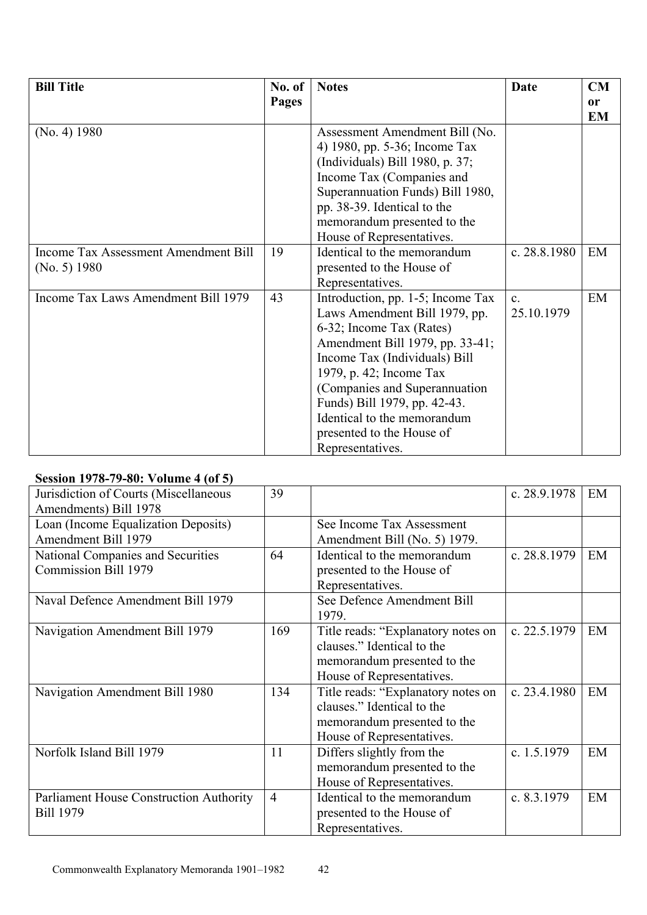| <b>Bill Title</b>                    | No. of | <b>Notes</b>                      | Date           | CM        |
|--------------------------------------|--------|-----------------------------------|----------------|-----------|
|                                      | Pages  |                                   |                | <b>or</b> |
|                                      |        |                                   |                | <b>EM</b> |
| (No. 4) 1980                         |        | Assessment Amendment Bill (No.    |                |           |
|                                      |        | 4) 1980, pp. 5-36; Income Tax     |                |           |
|                                      |        | (Individuals) Bill 1980, p. 37;   |                |           |
|                                      |        | Income Tax (Companies and         |                |           |
|                                      |        | Superannuation Funds) Bill 1980,  |                |           |
|                                      |        | pp. 38-39. Identical to the       |                |           |
|                                      |        | memorandum presented to the       |                |           |
|                                      |        | House of Representatives.         |                |           |
| Income Tax Assessment Amendment Bill | 19     | Identical to the memorandum       | c. $28.8.1980$ | EM        |
| (No. 5) 1980                         |        | presented to the House of         |                |           |
|                                      |        | Representatives.                  |                |           |
| Income Tax Laws Amendment Bill 1979  | 43     | Introduction, pp. 1-5; Income Tax | $\mathbf{c}$ . | EM        |
|                                      |        | Laws Amendment Bill 1979, pp.     | 25.10.1979     |           |
|                                      |        | 6-32; Income Tax (Rates)          |                |           |
|                                      |        | Amendment Bill 1979, pp. 33-41;   |                |           |
|                                      |        | Income Tax (Individuals) Bill     |                |           |
|                                      |        | 1979, p. 42; Income Tax           |                |           |
|                                      |        | (Companies and Superannuation)    |                |           |
|                                      |        | Funds) Bill 1979, pp. 42-43.      |                |           |
|                                      |        | Identical to the memorandum       |                |           |
|                                      |        | presented to the House of         |                |           |
|                                      |        | Representatives.                  |                |           |

## **Session 1978-79-80: Volume 4 (of 5)**

| Jurisdiction of Courts (Miscellaneous          | 39             |                                    | c. 28.9.1978   | EM |
|------------------------------------------------|----------------|------------------------------------|----------------|----|
| Amendments) Bill 1978                          |                |                                    |                |    |
| Loan (Income Equalization Deposits)            |                | See Income Tax Assessment          |                |    |
| Amendment Bill 1979                            |                | Amendment Bill (No. 5) 1979.       |                |    |
| National Companies and Securities              | 64             | Identical to the memorandum        | c. 28.8.1979   | EM |
| Commission Bill 1979                           |                | presented to the House of          |                |    |
|                                                |                | Representatives.                   |                |    |
| Naval Defence Amendment Bill 1979              |                | See Defence Amendment Bill         |                |    |
|                                                |                | 1979.                              |                |    |
| Navigation Amendment Bill 1979                 | 169            | Title reads: "Explanatory notes on | c. 22.5.1979   | EM |
|                                                |                | clauses." Identical to the         |                |    |
|                                                |                | memorandum presented to the        |                |    |
|                                                |                | House of Representatives.          |                |    |
| Navigation Amendment Bill 1980                 | 134            | Title reads: "Explanatory notes on | c. $23.4.1980$ | EM |
|                                                |                | clauses." Identical to the         |                |    |
|                                                |                | memorandum presented to the        |                |    |
|                                                |                | House of Representatives.          |                |    |
| Norfolk Island Bill 1979                       | 11             | Differs slightly from the          | c. $1.5.1979$  | EM |
|                                                |                | memorandum presented to the        |                |    |
|                                                |                | House of Representatives.          |                |    |
| <b>Parliament House Construction Authority</b> | $\overline{4}$ | Identical to the memorandum        | c. $8.3.1979$  | EM |
| <b>Bill 1979</b>                               |                | presented to the House of          |                |    |
|                                                |                | Representatives.                   |                |    |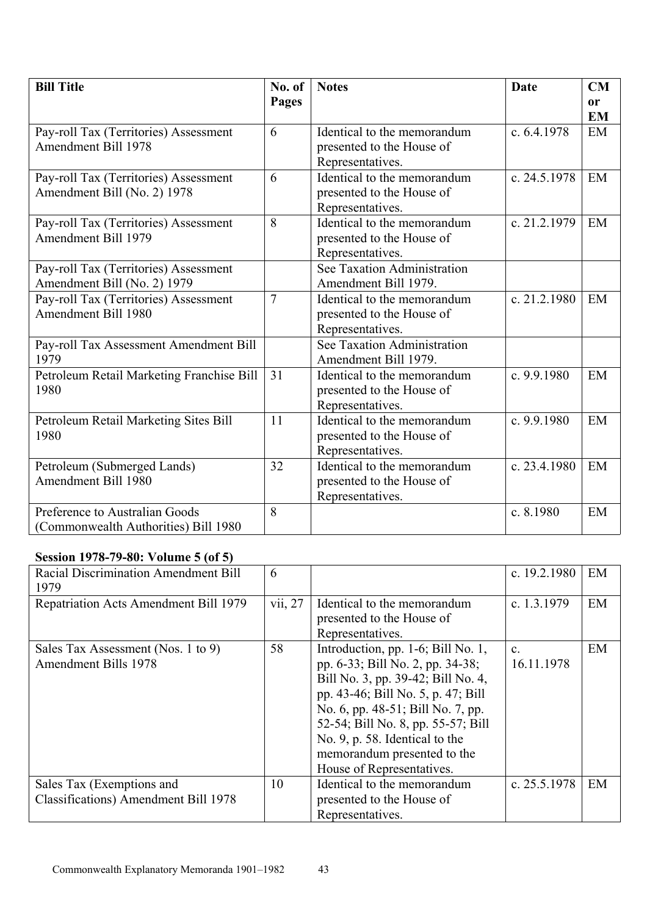| <b>Bill Title</b>                                                      | No. of         | <b>Notes</b>                                                                 | Date          | CM                         |
|------------------------------------------------------------------------|----------------|------------------------------------------------------------------------------|---------------|----------------------------|
|                                                                        | Pages          |                                                                              |               | <sub>or</sub><br><b>EM</b> |
| Pay-roll Tax (Territories) Assessment<br><b>Amendment Bill 1978</b>    | 6              | Identical to the memorandum<br>presented to the House of<br>Representatives. | c. $6.4.1978$ | EM                         |
| Pay-roll Tax (Territories) Assessment<br>Amendment Bill (No. 2) 1978   | 6              | Identical to the memorandum<br>presented to the House of<br>Representatives. | c. 24.5.1978  | EM                         |
| Pay-roll Tax (Territories) Assessment<br>Amendment Bill 1979           | 8              | Identical to the memorandum<br>presented to the House of<br>Representatives. | c. 21.2.1979  | EM                         |
| Pay-roll Tax (Territories) Assessment<br>Amendment Bill (No. 2) 1979   |                | See Taxation Administration<br>Amendment Bill 1979.                          |               |                            |
| Pay-roll Tax (Territories) Assessment<br><b>Amendment Bill 1980</b>    | $\overline{7}$ | Identical to the memorandum<br>presented to the House of<br>Representatives. | c. 21.2.1980  | EM                         |
| Pay-roll Tax Assessment Amendment Bill<br>1979                         |                | See Taxation Administration<br>Amendment Bill 1979.                          |               |                            |
| Petroleum Retail Marketing Franchise Bill<br>1980                      | 31             | Identical to the memorandum<br>presented to the House of<br>Representatives. | c. 9.9.1980   | EM                         |
| Petroleum Retail Marketing Sites Bill<br>1980                          | 11             | Identical to the memorandum<br>presented to the House of<br>Representatives. | c. $9.9.1980$ | EM                         |
| Petroleum (Submerged Lands)<br><b>Amendment Bill 1980</b>              | 32             | Identical to the memorandum<br>presented to the House of<br>Representatives. | c. 23.4.1980  | EM                         |
| Preference to Australian Goods<br>(Commonwealth Authorities) Bill 1980 | 8              |                                                                              | c. 8.1980     | EM                         |

### **Session 1978-79-80: Volume 5 (of 5)**

| Racial Discrimination Amendment Bill<br>1979 | 6       |                                    | c. 19.2.1980   | EM |
|----------------------------------------------|---------|------------------------------------|----------------|----|
| Repatriation Acts Amendment Bill 1979        | vii, 27 | Identical to the memorandum        | c. $1.3.1979$  | EM |
|                                              |         | presented to the House of          |                |    |
|                                              |         | Representatives.                   |                |    |
| Sales Tax Assessment (Nos. 1 to 9)           | 58      | Introduction, pp. 1-6; Bill No. 1, | $\mathbf{c}$   | EM |
| <b>Amendment Bills 1978</b>                  |         | pp. 6-33; Bill No. 2, pp. 34-38;   | 16.11.1978     |    |
|                                              |         | Bill No. 3, pp. 39-42; Bill No. 4, |                |    |
|                                              |         | pp. 43-46; Bill No. 5, p. 47; Bill |                |    |
|                                              |         | No. 6, pp. 48-51; Bill No. 7, pp.  |                |    |
|                                              |         | 52-54; Bill No. 8, pp. 55-57; Bill |                |    |
|                                              |         | No. 9, p. 58. Identical to the     |                |    |
|                                              |         | memorandum presented to the        |                |    |
|                                              |         | House of Representatives.          |                |    |
| Sales Tax (Exemptions and                    | 10      | Identical to the memorandum        | c. $25.5.1978$ | EM |
| <b>Classifications</b> ) Amendment Bill 1978 |         | presented to the House of          |                |    |
|                                              |         | Representatives.                   |                |    |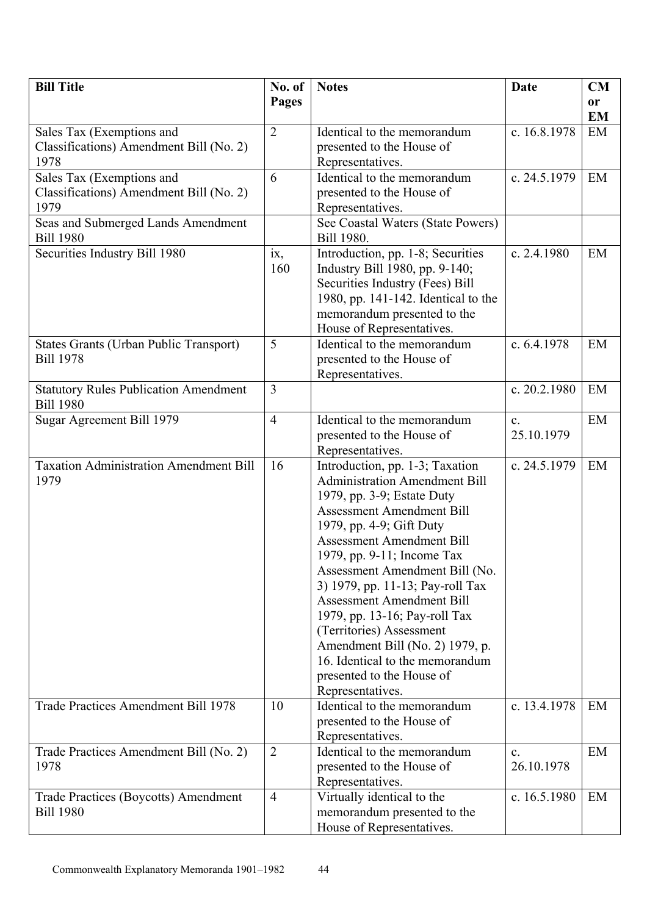| <b>Bill Title</b>                                      | No. of         | <b>Notes</b>                                                       | Date           | CM        |
|--------------------------------------------------------|----------------|--------------------------------------------------------------------|----------------|-----------|
|                                                        | Pages          |                                                                    |                | or        |
|                                                        |                |                                                                    |                | <b>EM</b> |
| Sales Tax (Exemptions and                              | $\overline{2}$ | Identical to the memorandum                                        | c. 16.8.1978   | EM        |
| Classifications) Amendment Bill (No. 2)                |                | presented to the House of                                          |                |           |
| 1978                                                   |                | Representatives.                                                   |                |           |
| Sales Tax (Exemptions and                              | 6              | Identical to the memorandum                                        | c. 24.5.1979   | EM        |
| Classifications) Amendment Bill (No. 2)                |                | presented to the House of                                          |                |           |
| 1979                                                   |                | Representatives.                                                   |                |           |
| Seas and Submerged Lands Amendment<br><b>Bill 1980</b> |                | See Coastal Waters (State Powers)<br>Bill 1980.                    |                |           |
| Securities Industry Bill 1980                          | ix,            | Introduction, pp. 1-8; Securities                                  | c. $2.4.1980$  | EM        |
|                                                        | 160            | Industry Bill 1980, pp. 9-140;                                     |                |           |
|                                                        |                | Securities Industry (Fees) Bill                                    |                |           |
|                                                        |                | 1980, pp. 141-142. Identical to the                                |                |           |
|                                                        |                | memorandum presented to the                                        |                |           |
|                                                        |                | House of Representatives.                                          |                |           |
| States Grants (Urban Public Transport)                 | 5              | Identical to the memorandum                                        | c. $6.4.1978$  | EM        |
| <b>Bill 1978</b>                                       |                | presented to the House of                                          |                |           |
|                                                        |                | Representatives.                                                   |                |           |
| <b>Statutory Rules Publication Amendment</b>           | $\overline{3}$ |                                                                    | c. 20.2.1980   | EM        |
| <b>Bill 1980</b><br>Sugar Agreement Bill 1979          | $\overline{4}$ | Identical to the memorandum                                        | $\mathbf{c}$ . | EM        |
|                                                        |                | presented to the House of                                          | 25.10.1979     |           |
|                                                        |                | Representatives.                                                   |                |           |
| <b>Taxation Administration Amendment Bill</b>          | 16             | Introduction, pp. 1-3; Taxation                                    | c. 24.5.1979   | EM        |
| 1979                                                   |                | <b>Administration Amendment Bill</b>                               |                |           |
|                                                        |                | 1979, pp. 3-9; Estate Duty                                         |                |           |
|                                                        |                | <b>Assessment Amendment Bill</b>                                   |                |           |
|                                                        |                | 1979, pp. 4-9; Gift Duty                                           |                |           |
|                                                        |                | <b>Assessment Amendment Bill</b>                                   |                |           |
|                                                        |                | 1979, pp. 9-11; Income Tax                                         |                |           |
|                                                        |                | Assessment Amendment Bill (No.                                     |                |           |
|                                                        |                | 3) 1979, pp. 11-13; Pay-roll Tax                                   |                |           |
|                                                        |                | <b>Assessment Amendment Bill</b>                                   |                |           |
|                                                        |                | 1979, pp. 13-16; Pay-roll Tax                                      |                |           |
|                                                        |                | (Territories) Assessment                                           |                |           |
|                                                        |                | Amendment Bill (No. 2) 1979, p.<br>16. Identical to the memorandum |                |           |
|                                                        |                | presented to the House of                                          |                |           |
|                                                        |                | Representatives.                                                   |                |           |
| Trade Practices Amendment Bill 1978                    | 10             | Identical to the memorandum                                        | c. 13.4.1978   | EM        |
|                                                        |                | presented to the House of                                          |                |           |
|                                                        |                | Representatives.                                                   |                |           |
| Trade Practices Amendment Bill (No. 2)                 | $\overline{2}$ | Identical to the memorandum                                        | $\mathbf{c}$ . | EM        |
| 1978                                                   |                | presented to the House of                                          | 26.10.1978     |           |
|                                                        |                | Representatives.                                                   |                |           |
| Trade Practices (Boycotts) Amendment                   | $\overline{4}$ | Virtually identical to the                                         | c. 16.5.1980   | EM        |
| <b>Bill 1980</b>                                       |                | memorandum presented to the                                        |                |           |
|                                                        |                | House of Representatives.                                          |                |           |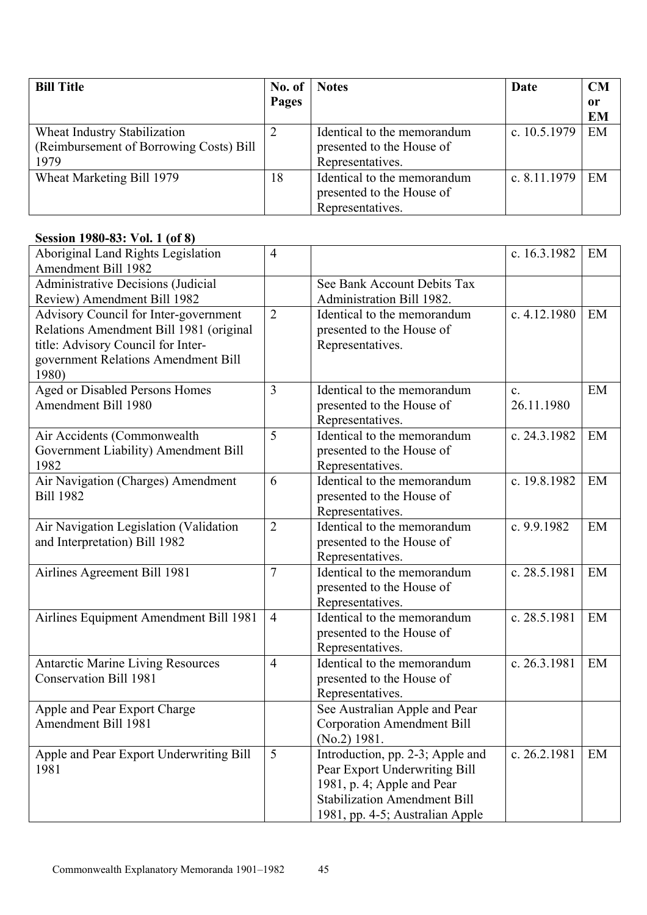| <b>Bill Title</b>                       | No. of | <b>Notes</b>                | Date           | CM            |
|-----------------------------------------|--------|-----------------------------|----------------|---------------|
|                                         | Pages  |                             |                | <sub>or</sub> |
|                                         |        |                             |                | <b>EM</b>     |
| Wheat Industry Stabilization            |        | Identical to the memorandum | c. $10.5.1979$ | EM            |
| (Reimbursement of Borrowing Costs) Bill |        | presented to the House of   |                |               |
| 1979                                    |        | Representatives.            |                |               |
| Wheat Marketing Bill 1979               | 18     | Identical to the memorandum | c. $8.11.1979$ | EM            |
|                                         |        | presented to the House of   |                |               |
|                                         |        | Representatives.            |                |               |

#### **Session 1980-83: Vol. 1 (of 8)**

| $36310H$ 1700 00. TVR 1 (01 0)                                                                                                                                         |                |                                                                                                                                                                           |                              |    |
|------------------------------------------------------------------------------------------------------------------------------------------------------------------------|----------------|---------------------------------------------------------------------------------------------------------------------------------------------------------------------------|------------------------------|----|
| Aboriginal Land Rights Legislation<br><b>Amendment Bill 1982</b>                                                                                                       | $\overline{4}$ |                                                                                                                                                                           | c. 16.3.1982                 | EM |
| <b>Administrative Decisions (Judicial</b>                                                                                                                              |                | See Bank Account Debits Tax                                                                                                                                               |                              |    |
| Review) Amendment Bill 1982                                                                                                                                            |                | Administration Bill 1982.                                                                                                                                                 |                              |    |
| Advisory Council for Inter-government<br>Relations Amendment Bill 1981 (original<br>title: Advisory Council for Inter-<br>government Relations Amendment Bill<br>1980) | $\overline{2}$ | Identical to the memorandum<br>presented to the House of<br>Representatives.                                                                                              | c. 4.12.1980                 | EM |
| <b>Aged or Disabled Persons Homes</b><br>Amendment Bill 1980                                                                                                           | 3              | Identical to the memorandum<br>presented to the House of<br>Representatives.                                                                                              | $\mathbf{c}$ .<br>26.11.1980 | EM |
| Air Accidents (Commonwealth<br>Government Liability) Amendment Bill<br>1982                                                                                            | 5              | Identical to the memorandum<br>presented to the House of<br>Representatives.                                                                                              | c. 24.3.1982                 | EM |
| Air Navigation (Charges) Amendment<br><b>Bill 1982</b>                                                                                                                 | 6              | Identical to the memorandum<br>presented to the House of<br>Representatives.                                                                                              | c. 19.8.1982                 | EM |
| Air Navigation Legislation (Validation<br>and Interpretation) Bill 1982                                                                                                | $\overline{2}$ | Identical to the memorandum<br>presented to the House of<br>Representatives.                                                                                              | c. 9.9.1982                  | EM |
| Airlines Agreement Bill 1981                                                                                                                                           | $\overline{7}$ | Identical to the memorandum<br>presented to the House of<br>Representatives.                                                                                              | c. 28.5.1981                 | EM |
| Airlines Equipment Amendment Bill 1981                                                                                                                                 | $\overline{4}$ | Identical to the memorandum<br>presented to the House of<br>Representatives.                                                                                              | c. 28.5.1981                 | EM |
| <b>Antarctic Marine Living Resources</b><br><b>Conservation Bill 1981</b>                                                                                              | $\overline{4}$ | Identical to the memorandum<br>presented to the House of<br>Representatives.                                                                                              | c. 26.3.1981                 | EM |
| Apple and Pear Export Charge<br>Amendment Bill 1981                                                                                                                    |                | See Australian Apple and Pear<br><b>Corporation Amendment Bill</b><br>$(No.2)$ 1981.                                                                                      |                              |    |
| Apple and Pear Export Underwriting Bill<br>1981                                                                                                                        | 5              | Introduction, pp. 2-3; Apple and<br>Pear Export Underwriting Bill<br>1981, p. 4; Apple and Pear<br><b>Stabilization Amendment Bill</b><br>1981, pp. 4-5; Australian Apple | c. 26.2.1981                 | EM |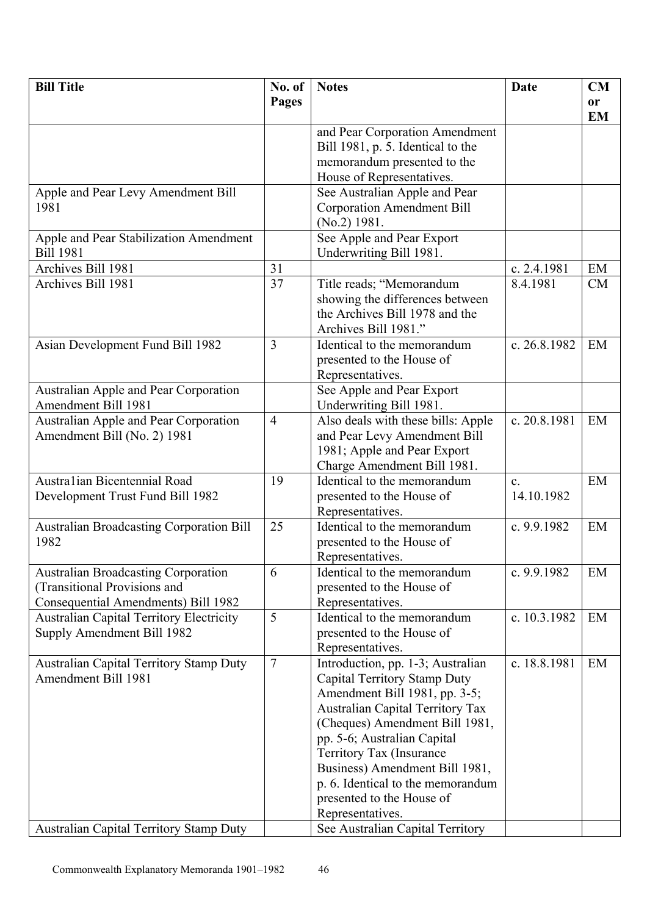| <b>Bill Title</b>                               | No. of         | <b>Notes</b>                            | Date           | CM        |
|-------------------------------------------------|----------------|-----------------------------------------|----------------|-----------|
|                                                 | <b>Pages</b>   |                                         |                | <b>or</b> |
|                                                 |                |                                         |                | <b>EM</b> |
|                                                 |                | and Pear Corporation Amendment          |                |           |
|                                                 |                | Bill 1981, p. 5. Identical to the       |                |           |
|                                                 |                | memorandum presented to the             |                |           |
|                                                 |                | House of Representatives.               |                |           |
| Apple and Pear Levy Amendment Bill              |                | See Australian Apple and Pear           |                |           |
| 1981                                            |                | <b>Corporation Amendment Bill</b>       |                |           |
|                                                 |                | $(No.2)$ 1981.                          |                |           |
| Apple and Pear Stabilization Amendment          |                | See Apple and Pear Export               |                |           |
| <b>Bill 1981</b>                                |                | Underwriting Bill 1981.                 |                |           |
| Archives Bill 1981                              | 31             |                                         | c. 2.4.1981    | EM        |
| Archives Bill 1981                              | 37             | Title reads; "Memorandum                | 8.4.1981       | CM        |
|                                                 |                | showing the differences between         |                |           |
|                                                 |                | the Archives Bill 1978 and the          |                |           |
|                                                 |                | Archives Bill 1981."                    |                |           |
| Asian Development Fund Bill 1982                | $\overline{3}$ | Identical to the memorandum             | c. 26.8.1982   | EM        |
|                                                 |                | presented to the House of               |                |           |
|                                                 |                | Representatives.                        |                |           |
| Australian Apple and Pear Corporation           |                | See Apple and Pear Export               |                |           |
| Amendment Bill 1981                             |                | Underwriting Bill 1981.                 |                |           |
| Australian Apple and Pear Corporation           | $\overline{4}$ | Also deals with these bills: Apple      | c. 20.8.1981   | EM        |
| Amendment Bill (No. 2) 1981                     |                | and Pear Levy Amendment Bill            |                |           |
|                                                 |                | 1981; Apple and Pear Export             |                |           |
|                                                 |                | Charge Amendment Bill 1981.             |                |           |
| Australian Bicentennial Road                    | 19             | Identical to the memorandum             | $\mathbf{c}$ . | EM        |
| Development Trust Fund Bill 1982                |                | presented to the House of               | 14.10.1982     |           |
|                                                 |                | Representatives.                        |                |           |
| <b>Australian Broadcasting Corporation Bill</b> | 25             | Identical to the memorandum             | c. $9.9.1982$  | EM        |
| 1982                                            |                | presented to the House of               |                |           |
|                                                 |                | Representatives.                        |                |           |
| <b>Australian Broadcasting Corporation</b>      | 6              | Identical to the memorandum             | c. 9.9.1982    | EM        |
| (Transitional Provisions and                    |                | presented to the House of               |                |           |
| Consequential Amendments) Bill 1982             |                | Representatives.                        |                |           |
| <b>Australian Capital Territory Electricity</b> | 5              | Identical to the memorandum             | c. 10.3.1982   | EM        |
| Supply Amendment Bill 1982                      |                | presented to the House of               |                |           |
|                                                 |                | Representatives.                        |                |           |
| <b>Australian Capital Territory Stamp Duty</b>  | $\overline{7}$ | Introduction, pp. 1-3; Australian       | c. 18.8.1981   | EM        |
| Amendment Bill 1981                             |                | Capital Territory Stamp Duty            |                |           |
|                                                 |                | Amendment Bill 1981, pp. 3-5;           |                |           |
|                                                 |                | <b>Australian Capital Territory Tax</b> |                |           |
|                                                 |                | (Cheques) Amendment Bill 1981,          |                |           |
|                                                 |                | pp. 5-6; Australian Capital             |                |           |
|                                                 |                | Territory Tax (Insurance                |                |           |
|                                                 |                | Business) Amendment Bill 1981,          |                |           |
|                                                 |                | p. 6. Identical to the memorandum       |                |           |
|                                                 |                | presented to the House of               |                |           |
|                                                 |                | Representatives.                        |                |           |
| <b>Australian Capital Territory Stamp Duty</b>  |                | See Australian Capital Territory        |                |           |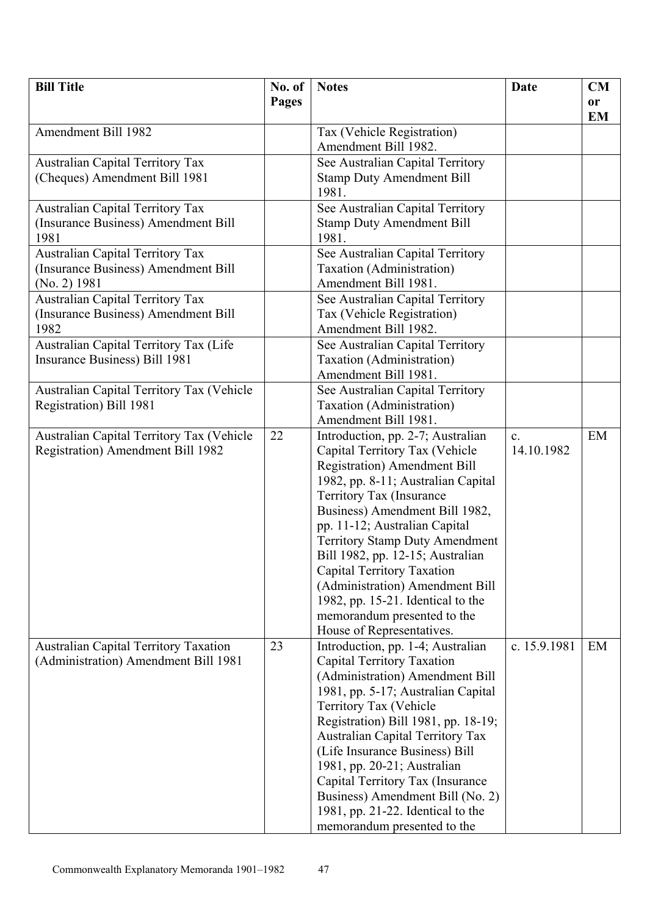| <b>Bill Title</b>                                                                    | No. of | <b>Notes</b>                                                   | Date           | <b>CM</b> |
|--------------------------------------------------------------------------------------|--------|----------------------------------------------------------------|----------------|-----------|
|                                                                                      | Pages  |                                                                |                | or        |
| Amendment Bill 1982                                                                  |        |                                                                |                | <b>EM</b> |
|                                                                                      |        | Tax (Vehicle Registration)<br>Amendment Bill 1982.             |                |           |
| <b>Australian Capital Territory Tax</b>                                              |        | See Australian Capital Territory                               |                |           |
| (Cheques) Amendment Bill 1981                                                        |        | <b>Stamp Duty Amendment Bill</b>                               |                |           |
|                                                                                      |        | 1981.                                                          |                |           |
| Australian Capital Territory Tax                                                     |        | See Australian Capital Territory                               |                |           |
| (Insurance Business) Amendment Bill                                                  |        | <b>Stamp Duty Amendment Bill</b>                               |                |           |
| 1981                                                                                 |        | 1981.                                                          |                |           |
| <b>Australian Capital Territory Tax</b>                                              |        | See Australian Capital Territory                               |                |           |
| (Insurance Business) Amendment Bill                                                  |        | Taxation (Administration)                                      |                |           |
| (No. 2) 1981                                                                         |        | Amendment Bill 1981.                                           |                |           |
| <b>Australian Capital Territory Tax</b>                                              |        | See Australian Capital Territory                               |                |           |
| (Insurance Business) Amendment Bill                                                  |        | Tax (Vehicle Registration)                                     |                |           |
| 1982                                                                                 |        | Amendment Bill 1982.                                           |                |           |
| Australian Capital Territory Tax (Life                                               |        | See Australian Capital Territory                               |                |           |
| Insurance Business) Bill 1981                                                        |        | Taxation (Administration)                                      |                |           |
|                                                                                      |        | Amendment Bill 1981.                                           |                |           |
| Australian Capital Territory Tax (Vehicle<br>Registration) Bill 1981                 |        | See Australian Capital Territory<br>Taxation (Administration)  |                |           |
|                                                                                      |        | Amendment Bill 1981.                                           |                |           |
| Australian Capital Territory Tax (Vehicle                                            | 22     | Introduction, pp. 2-7; Australian                              | $\mathbf{c}$ . | EM        |
| Registration) Amendment Bill 1982                                                    |        | Capital Territory Tax (Vehicle                                 | 14.10.1982     |           |
|                                                                                      |        | <b>Registration</b> ) Amendment Bill                           |                |           |
|                                                                                      |        | 1982, pp. 8-11; Australian Capital                             |                |           |
|                                                                                      |        | Territory Tax (Insurance                                       |                |           |
|                                                                                      |        | Business) Amendment Bill 1982,                                 |                |           |
|                                                                                      |        | pp. 11-12; Australian Capital                                  |                |           |
|                                                                                      |        | <b>Territory Stamp Duty Amendment</b>                          |                |           |
|                                                                                      |        | Bill 1982, pp. 12-15; Australian                               |                |           |
|                                                                                      |        | Capital Territory Taxation                                     |                |           |
|                                                                                      |        | (Administration) Amendment Bill                                |                |           |
|                                                                                      |        | 1982, pp. $15-21$ . Identical to the                           |                |           |
|                                                                                      |        | memorandum presented to the                                    |                |           |
|                                                                                      | 23     | House of Representatives.<br>Introduction, pp. 1-4; Australian | c. 15.9.1981   | EM        |
| <b>Australian Capital Territory Taxation</b><br>(Administration) Amendment Bill 1981 |        | Capital Territory Taxation                                     |                |           |
|                                                                                      |        | (Administration) Amendment Bill                                |                |           |
|                                                                                      |        | 1981, pp. 5-17; Australian Capital                             |                |           |
|                                                                                      |        | Territory Tax (Vehicle                                         |                |           |
|                                                                                      |        | Registration) Bill 1981, pp. 18-19;                            |                |           |
|                                                                                      |        | <b>Australian Capital Territory Tax</b>                        |                |           |
|                                                                                      |        | (Life Insurance Business) Bill                                 |                |           |
|                                                                                      |        | 1981, pp. 20-21; Australian                                    |                |           |
|                                                                                      |        | Capital Territory Tax (Insurance                               |                |           |
|                                                                                      |        | Business) Amendment Bill (No. 2)                               |                |           |
|                                                                                      |        | 1981, pp. 21-22. Identical to the                              |                |           |
|                                                                                      |        | memorandum presented to the                                    |                |           |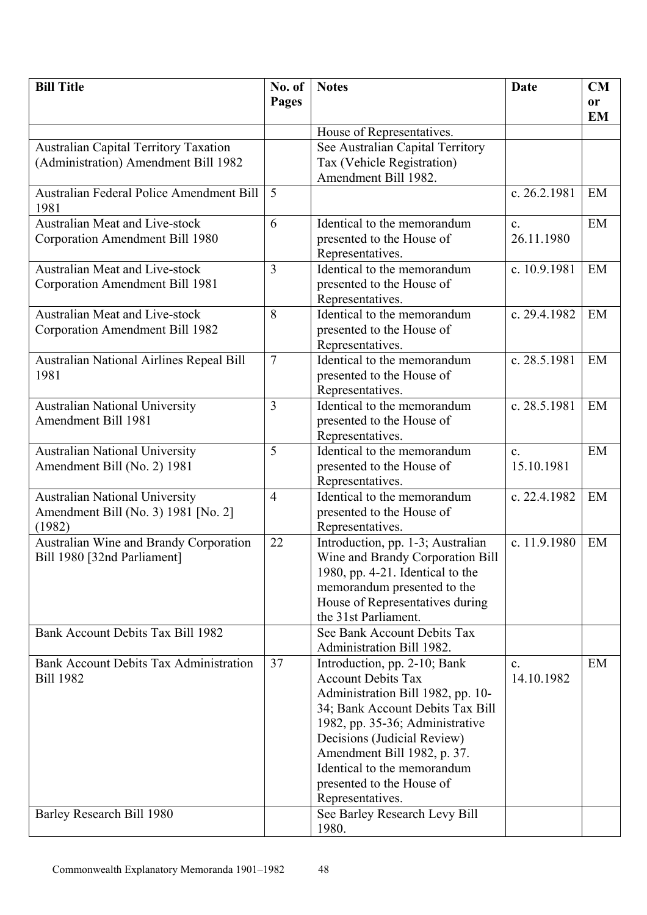| <b>Bill Title</b>                               | No. of         | <b>Notes</b>                                                    | Date           | CM        |
|-------------------------------------------------|----------------|-----------------------------------------------------------------|----------------|-----------|
|                                                 | <b>Pages</b>   |                                                                 |                | <b>or</b> |
|                                                 |                |                                                                 |                | <b>EM</b> |
|                                                 |                | House of Representatives.                                       |                |           |
| <b>Australian Capital Territory Taxation</b>    |                | See Australian Capital Territory                                |                |           |
| (Administration) Amendment Bill 1982            |                | Tax (Vehicle Registration)                                      |                |           |
|                                                 |                | Amendment Bill 1982.                                            |                |           |
| <b>Australian Federal Police Amendment Bill</b> | 5              |                                                                 | c. 26.2.1981   | EM        |
| 1981                                            |                |                                                                 |                |           |
| <b>Australian Meat and Live-stock</b>           | 6              | Identical to the memorandum                                     | $\mathbf{c}$ . | EM        |
| Corporation Amendment Bill 1980                 |                | presented to the House of                                       | 26.11.1980     |           |
|                                                 |                | Representatives.                                                |                |           |
| <b>Australian Meat and Live-stock</b>           | $\overline{3}$ | Identical to the memorandum                                     | c. 10.9.1981   | EM        |
| Corporation Amendment Bill 1981                 |                | presented to the House of                                       |                |           |
| Australian Meat and Live-stock                  | 8              | Representatives.<br>Identical to the memorandum                 | c. 29.4.1982   | EM        |
| Corporation Amendment Bill 1982                 |                | presented to the House of                                       |                |           |
|                                                 |                | Representatives.                                                |                |           |
| Australian National Airlines Repeal Bill        | $\overline{7}$ | Identical to the memorandum                                     | c. 28.5.1981   | EM        |
| 1981                                            |                | presented to the House of                                       |                |           |
|                                                 |                | Representatives.                                                |                |           |
| <b>Australian National University</b>           | 3              | Identical to the memorandum                                     | c. 28.5.1981   | EM        |
| Amendment Bill 1981                             |                | presented to the House of                                       |                |           |
|                                                 |                | Representatives.                                                |                |           |
| <b>Australian National University</b>           | 5              | Identical to the memorandum                                     | $\mathbf{c}$ . | EM        |
| Amendment Bill (No. 2) 1981                     |                | presented to the House of                                       | 15.10.1981     |           |
|                                                 |                | Representatives.                                                |                |           |
| <b>Australian National University</b>           | $\overline{4}$ | Identical to the memorandum                                     | c. 22.4.1982   | EM        |
| Amendment Bill (No. 3) 1981 [No. 2]             |                | presented to the House of                                       |                |           |
| (1982)                                          |                | Representatives.                                                |                |           |
| Australian Wine and Brandy Corporation          | 22             | Introduction, pp. 1-3; Australian                               | c. 11.9.1980   | EM        |
| Bill 1980 [32nd Parliament]                     |                | Wine and Brandy Corporation Bill                                |                |           |
|                                                 |                | 1980, pp. 4-21. Identical to the<br>memorandum presented to the |                |           |
|                                                 |                | House of Representatives during                                 |                |           |
|                                                 |                | the 31st Parliament.                                            |                |           |
| Bank Account Debits Tax Bill 1982               |                | See Bank Account Debits Tax                                     |                |           |
|                                                 |                | Administration Bill 1982.                                       |                |           |
| Bank Account Debits Tax Administration          | 37             | Introduction, pp. 2-10; Bank                                    | $c_{-}$        | EM        |
| <b>Bill 1982</b>                                |                | <b>Account Debits Tax</b>                                       | 14.10.1982     |           |
|                                                 |                | Administration Bill 1982, pp. 10-                               |                |           |
|                                                 |                | 34; Bank Account Debits Tax Bill                                |                |           |
|                                                 |                | 1982, pp. 35-36; Administrative                                 |                |           |
|                                                 |                | Decisions (Judicial Review)                                     |                |           |
|                                                 |                | Amendment Bill 1982, p. 37.                                     |                |           |
|                                                 |                | Identical to the memorandum                                     |                |           |
|                                                 |                | presented to the House of                                       |                |           |
| Barley Research Bill 1980                       |                | Representatives.<br>See Barley Research Levy Bill               |                |           |
|                                                 |                | 1980.                                                           |                |           |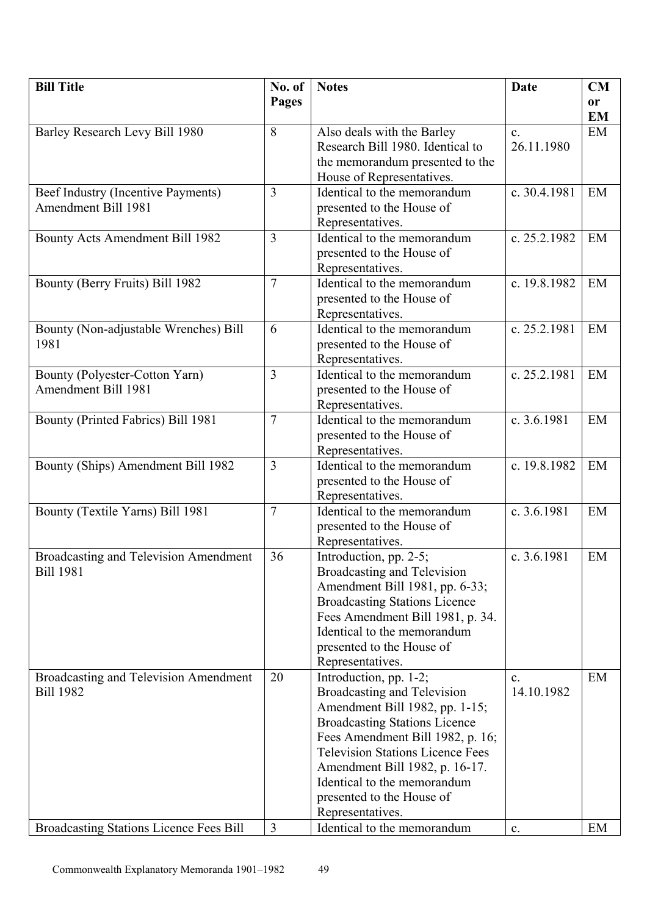| <b>Bill Title</b>                            | No. of         | <b>Notes</b>                            | Date           | CM        |
|----------------------------------------------|----------------|-----------------------------------------|----------------|-----------|
|                                              | Pages          |                                         |                | <b>or</b> |
|                                              |                |                                         |                | <b>EM</b> |
| Barley Research Levy Bill 1980               | 8              | Also deals with the Barley              | $\mathbf{c}$ . | EM        |
|                                              |                | Research Bill 1980. Identical to        | 26.11.1980     |           |
|                                              |                | the memorandum presented to the         |                |           |
|                                              |                | House of Representatives.               |                |           |
| Beef Industry (Incentive Payments)           | $\overline{3}$ | Identical to the memorandum             | c. 30.4.1981   | EM        |
| <b>Amendment Bill 1981</b>                   |                | presented to the House of               |                |           |
|                                              |                | Representatives.                        |                |           |
| Bounty Acts Amendment Bill 1982              | $\overline{3}$ | Identical to the memorandum             | c. 25.2.1982   | EM        |
|                                              |                | presented to the House of               |                |           |
|                                              |                | Representatives.                        |                |           |
| Bounty (Berry Fruits) Bill 1982              | $\overline{7}$ | Identical to the memorandum             | c. 19.8.1982   | EM        |
|                                              |                | presented to the House of               |                |           |
|                                              |                | Representatives.                        |                |           |
| Bounty (Non-adjustable Wrenches) Bill        | 6              | Identical to the memorandum             | c. 25.2.1981   | EM        |
| 1981                                         |                | presented to the House of               |                |           |
|                                              |                | Representatives.                        |                |           |
| Bounty (Polyester-Cotton Yarn)               | $\overline{3}$ | Identical to the memorandum             | c. 25.2.1981   | EM        |
| Amendment Bill 1981                          |                | presented to the House of               |                |           |
|                                              |                | Representatives.                        |                |           |
| Bounty (Printed Fabrics) Bill 1981           | $\overline{7}$ | Identical to the memorandum             | c. 3.6.1981    | EM        |
|                                              |                | presented to the House of               |                |           |
|                                              |                | Representatives.                        |                |           |
| Bounty (Ships) Amendment Bill 1982           | $\overline{3}$ | Identical to the memorandum             | c. 19.8.1982   | EM        |
|                                              |                | presented to the House of               |                |           |
|                                              |                | Representatives.                        |                |           |
| Bounty (Textile Yarns) Bill 1981             | $\overline{7}$ | Identical to the memorandum             | c. 3.6.1981    | EM        |
|                                              |                | presented to the House of               |                |           |
|                                              |                | Representatives.                        |                |           |
| <b>Broadcasting and Television Amendment</b> | 36             | Introduction, pp. 2-5;                  | c. 3.6.1981    | EM        |
| <b>Bill 1981</b>                             |                | Broadcasting and Television             |                |           |
|                                              |                | Amendment Bill 1981, pp. 6-33;          |                |           |
|                                              |                | <b>Broadcasting Stations Licence</b>    |                |           |
|                                              |                | Fees Amendment Bill 1981, p. 34.        |                |           |
|                                              |                | Identical to the memorandum             |                |           |
|                                              |                | presented to the House of               |                |           |
|                                              |                | Representatives.                        |                |           |
| Broadcasting and Television Amendment        | 20             | Introduction, pp. 1-2;                  | $\mathbf{c}$ . | EM        |
| <b>Bill 1982</b>                             |                | Broadcasting and Television             | 14.10.1982     |           |
|                                              |                | Amendment Bill 1982, pp. 1-15;          |                |           |
|                                              |                | <b>Broadcasting Stations Licence</b>    |                |           |
|                                              |                | Fees Amendment Bill 1982, p. 16;        |                |           |
|                                              |                | <b>Television Stations Licence Fees</b> |                |           |
|                                              |                | Amendment Bill 1982, p. 16-17.          |                |           |
|                                              |                | Identical to the memorandum             |                |           |
|                                              |                | presented to the House of               |                |           |
|                                              |                | Representatives.                        |                |           |
| Broadcasting Stations Licence Fees Bill      | $\overline{3}$ | Identical to the memorandum             | $\mathbf{c}$ . | EM        |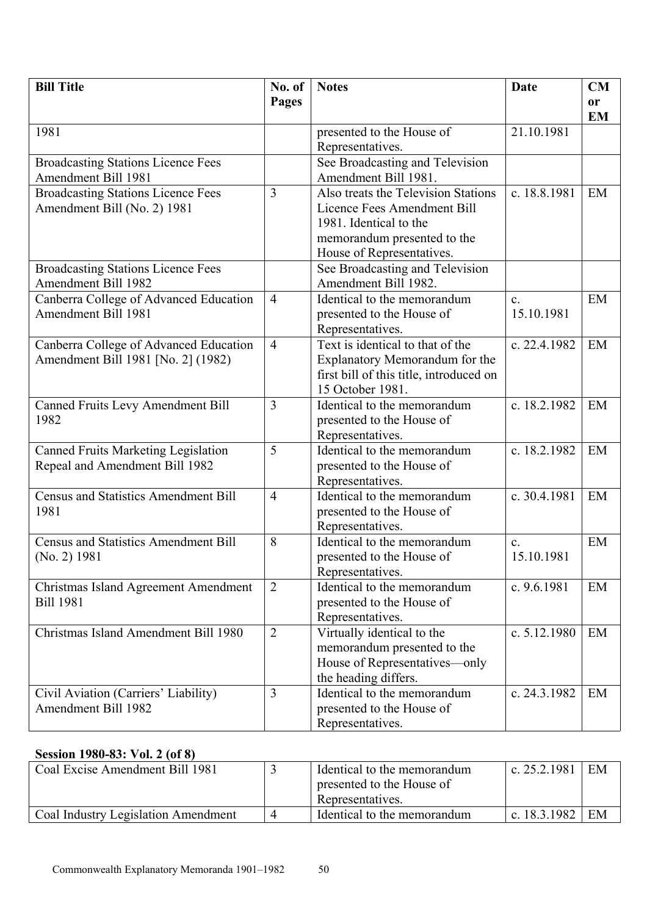| <b>Bill Title</b>                                                            | No. of         | <b>Notes</b>                                                                                                                                             | Date                         | CM              |
|------------------------------------------------------------------------------|----------------|----------------------------------------------------------------------------------------------------------------------------------------------------------|------------------------------|-----------------|
|                                                                              | <b>Pages</b>   |                                                                                                                                                          |                              | or<br><b>EM</b> |
| 1981                                                                         |                | presented to the House of<br>Representatives.                                                                                                            | 21.10.1981                   |                 |
| <b>Broadcasting Stations Licence Fees</b><br>Amendment Bill 1981             |                | See Broadcasting and Television<br>Amendment Bill 1981.                                                                                                  |                              |                 |
| <b>Broadcasting Stations Licence Fees</b><br>Amendment Bill (No. 2) 1981     | 3              | Also treats the Television Stations<br>Licence Fees Amendment Bill<br>1981. Identical to the<br>memorandum presented to the<br>House of Representatives. | c. 18.8.1981                 | EM              |
| <b>Broadcasting Stations Licence Fees</b><br><b>Amendment Bill 1982</b>      |                | See Broadcasting and Television<br>Amendment Bill 1982.                                                                                                  |                              |                 |
| Canberra College of Advanced Education<br><b>Amendment Bill 1981</b>         | $\overline{4}$ | Identical to the memorandum<br>presented to the House of<br>Representatives.                                                                             | $\mathbf{c}$ .<br>15.10.1981 | EM              |
| Canberra College of Advanced Education<br>Amendment Bill 1981 [No. 2] (1982) | $\overline{4}$ | Text is identical to that of the<br>Explanatory Memorandum for the<br>first bill of this title, introduced on<br>15 October 1981.                        | c. 22.4.1982                 | EM              |
| <b>Canned Fruits Levy Amendment Bill</b><br>1982                             | 3              | Identical to the memorandum<br>presented to the House of<br>Representatives.                                                                             | c. 18.2.1982                 | EM              |
| <b>Canned Fruits Marketing Legislation</b><br>Repeal and Amendment Bill 1982 | 5              | Identical to the memorandum<br>presented to the House of<br>Representatives.                                                                             | c. 18.2.1982                 | EM              |
| <b>Census and Statistics Amendment Bill</b><br>1981                          | $\overline{4}$ | Identical to the memorandum<br>presented to the House of<br>Representatives.                                                                             | c. 30.4.1981                 | EM              |
| <b>Census and Statistics Amendment Bill</b><br>(No. 2) 1981                  | 8              | Identical to the memorandum<br>presented to the House of<br>Representatives.                                                                             | $\mathbf{c}$ .<br>15.10.1981 | EM              |
| Christmas Island Agreement Amendment<br><b>Bill 1981</b>                     | $\overline{2}$ | Identical to the memorandum<br>presented to the House of<br>Representatives.                                                                             | c. $9.6.1981$                | EM              |
| Christmas Island Amendment Bill 1980                                         | $\overline{2}$ | Virtually identical to the<br>memorandum presented to the<br>House of Representatives-only<br>the heading differs.                                       | c. $5.12.1980$               | EM              |
| Civil Aviation (Carriers' Liability)<br><b>Amendment Bill 1982</b>           | $\overline{3}$ | Identical to the memorandum<br>presented to the House of<br>Representatives.                                                                             | c. 24.3.1982                 | EM              |

#### **Session 1980-83: Vol. 2 (of 8)**

| Coal Excise Amendment Bill 1981     | Identical to the memorandum<br>presented to the House of<br>Representatives. | c. $25.2.1981$ | EM |
|-------------------------------------|------------------------------------------------------------------------------|----------------|----|
| Coal Industry Legislation Amendment | Identical to the memorandum                                                  | c. $18.3.1982$ | EM |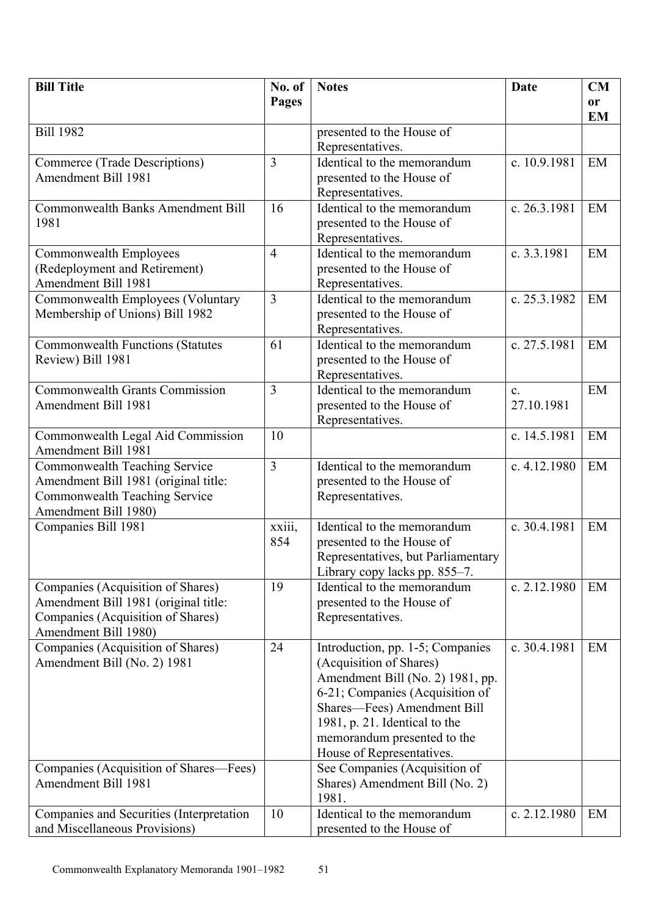| <b>Bill Title</b>                           | No. of         | <b>Notes</b>                                                 | Date           | CM                         |
|---------------------------------------------|----------------|--------------------------------------------------------------|----------------|----------------------------|
|                                             | Pages          |                                                              |                | <sub>or</sub><br><b>EM</b> |
| <b>Bill 1982</b>                            |                | presented to the House of                                    |                |                            |
|                                             |                | Representatives.                                             |                |                            |
| Commerce (Trade Descriptions)               | $\overline{3}$ | Identical to the memorandum                                  | c. 10.9.1981   | EM                         |
| Amendment Bill 1981                         |                | presented to the House of                                    |                |                            |
|                                             |                | Representatives.                                             |                |                            |
| <b>Commonwealth Banks Amendment Bill</b>    | 16             | Identical to the memorandum                                  | c. 26.3.1981   | EM                         |
| 1981                                        |                | presented to the House of                                    |                |                            |
|                                             |                | Representatives.                                             |                |                            |
| Commonwealth Employees                      | $\overline{4}$ | Identical to the memorandum                                  | c. 3.3.1981    | EM                         |
| (Redeployment and Retirement)               |                | presented to the House of                                    |                |                            |
| Amendment Bill 1981                         |                | Representatives.                                             |                |                            |
| Commonwealth Employees (Voluntary           | $\overline{3}$ | Identical to the memorandum                                  | c. 25.3.1982   | EM                         |
| Membership of Unions) Bill 1982             |                | presented to the House of<br>Representatives.                |                |                            |
| <b>Commonwealth Functions (Statutes</b>     | 61             | Identical to the memorandum                                  | c. 27.5.1981   | EM                         |
| Review) Bill 1981                           |                | presented to the House of                                    |                |                            |
|                                             |                | Representatives.                                             |                |                            |
| <b>Commonwealth Grants Commission</b>       | 3              | Identical to the memorandum                                  | $\mathbf{c}$ . | EM                         |
| Amendment Bill 1981                         |                | presented to the House of                                    | 27.10.1981     |                            |
|                                             |                | Representatives.                                             |                |                            |
| Commonwealth Legal Aid Commission           | 10             |                                                              | c. 14.5.1981   | EM                         |
| Amendment Bill 1981                         |                |                                                              |                |                            |
| <b>Commonwealth Teaching Service</b>        | $\overline{3}$ | Identical to the memorandum                                  | c. 4.12.1980   | EM                         |
| Amendment Bill 1981 (original title:        |                | presented to the House of                                    |                |                            |
| Commonwealth Teaching Service               |                | Representatives.                                             |                |                            |
| Amendment Bill 1980)<br>Companies Bill 1981 | xxiii,         | Identical to the memorandum                                  | c. 30.4.1981   | EM                         |
|                                             | 854            | presented to the House of                                    |                |                            |
|                                             |                | Representatives, but Parliamentary                           |                |                            |
|                                             |                | Library copy lacks pp. 855-7.                                |                |                            |
| Companies (Acquisition of Shares)           | 19             | Identical to the memorandum                                  | c. 2.12.1980   | EM                         |
| Amendment Bill 1981 (original title:        |                | presented to the House of                                    |                |                            |
| Companies (Acquisition of Shares)           |                | Representatives.                                             |                |                            |
| Amendment Bill 1980)                        |                |                                                              |                |                            |
| Companies (Acquisition of Shares)           | 24             | Introduction, pp. 1-5; Companies                             | c. 30.4.1981   | EM                         |
| Amendment Bill (No. 2) 1981                 |                | (Acquisition of Shares)                                      |                |                            |
|                                             |                | Amendment Bill (No. 2) 1981, pp.                             |                |                            |
|                                             |                | 6-21; Companies (Acquisition of                              |                |                            |
|                                             |                | Shares-Fees) Amendment Bill                                  |                |                            |
|                                             |                | 1981, p. 21. Identical to the<br>memorandum presented to the |                |                            |
|                                             |                | House of Representatives.                                    |                |                            |
| Companies (Acquisition of Shares—Fees)      |                | See Companies (Acquisition of                                |                |                            |
| Amendment Bill 1981                         |                | Shares) Amendment Bill (No. 2)                               |                |                            |
|                                             |                | 1981.                                                        |                |                            |
| Companies and Securities (Interpretation    | 10             | Identical to the memorandum                                  | c. 2.12.1980   | EM                         |
| and Miscellaneous Provisions)               |                | presented to the House of                                    |                |                            |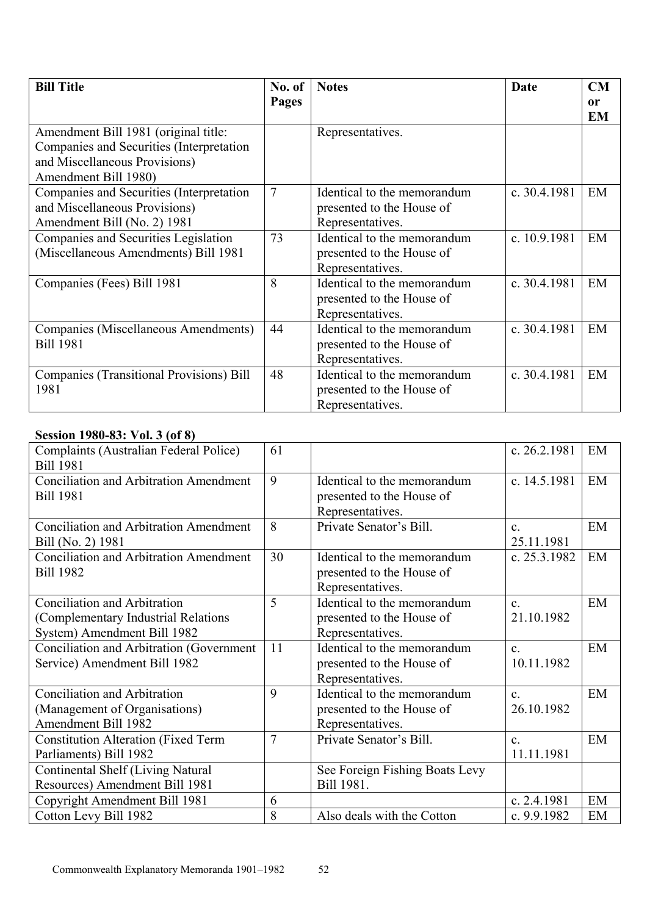| <b>Bill Title</b>                                                                                                                         | No. of | <b>Notes</b>                                                                 | Date         | CM       |
|-------------------------------------------------------------------------------------------------------------------------------------------|--------|------------------------------------------------------------------------------|--------------|----------|
|                                                                                                                                           | Pages  |                                                                              |              | or<br>EM |
| Amendment Bill 1981 (original title:<br>Companies and Securities (Interpretation<br>and Miscellaneous Provisions)<br>Amendment Bill 1980) |        | Representatives.                                                             |              |          |
| Companies and Securities (Interpretation<br>and Miscellaneous Provisions)<br>Amendment Bill (No. 2) 1981                                  | 7      | Identical to the memorandum<br>presented to the House of<br>Representatives. | c. 30.4.1981 | EM       |
| Companies and Securities Legislation<br>(Miscellaneous Amendments) Bill 1981                                                              | 73     | Identical to the memorandum<br>presented to the House of<br>Representatives. | c. 10.9.1981 | EM       |
| Companies (Fees) Bill 1981                                                                                                                | 8      | Identical to the memorandum<br>presented to the House of<br>Representatives. | c. 30.4.1981 | EM       |
| Companies (Miscellaneous Amendments)<br><b>Bill 1981</b>                                                                                  | 44     | Identical to the memorandum<br>presented to the House of<br>Representatives. | c. 30.4.1981 | EM       |
| <b>Companies (Transitional Provisions) Bill</b><br>1981                                                                                   | 48     | Identical to the memorandum<br>presented to the House of<br>Representatives. | c. 30.4.1981 | EM       |

### **Session 1980-83: Vol. 3 (of 8)**

| 90 IUN 1700-09' - A AN 101 O                                                                        |    |                                                                              |                              |    |
|-----------------------------------------------------------------------------------------------------|----|------------------------------------------------------------------------------|------------------------------|----|
| Complaints (Australian Federal Police)<br><b>Bill 1981</b>                                          | 61 |                                                                              | c. 26.2.1981                 | EM |
| <b>Conciliation and Arbitration Amendment</b><br><b>Bill 1981</b>                                   | 9  | Identical to the memorandum<br>presented to the House of<br>Representatives. | c. 14.5.1981                 | EM |
| <b>Conciliation and Arbitration Amendment</b><br>Bill (No. 2) 1981                                  | 8  | Private Senator's Bill.                                                      | $\mathbf{c}$<br>25.11.1981   | EM |
| <b>Conciliation and Arbitration Amendment</b><br><b>Bill 1982</b>                                   | 30 | Identical to the memorandum<br>presented to the House of<br>Representatives. | c. 25.3.1982                 | EM |
| Conciliation and Arbitration<br>(Complementary Industrial Relations)<br>System) Amendment Bill 1982 | 5  | Identical to the memorandum<br>presented to the House of<br>Representatives. | $\mathbf{c}$<br>21.10.1982   | EM |
| Conciliation and Arbitration (Government<br>Service) Amendment Bill 1982                            | 11 | Identical to the memorandum<br>presented to the House of<br>Representatives. | $\mathbf{c}$<br>10.11.1982   | EM |
| Conciliation and Arbitration<br>(Management of Organisations)<br>Amendment Bill 1982                | 9  | Identical to the memorandum<br>presented to the House of<br>Representatives. | $\mathbf{c}$<br>26.10.1982   | EM |
| <b>Constitution Alteration (Fixed Term</b><br>Parliaments) Bill 1982                                | 7  | Private Senator's Bill.                                                      | $\mathbf{c}$ .<br>11.11.1981 | EM |
| Continental Shelf (Living Natural<br>Resources) Amendment Bill 1981                                 |    | See Foreign Fishing Boats Levy<br>Bill 1981.                                 |                              |    |
| Copyright Amendment Bill 1981                                                                       | 6  |                                                                              | c. 2.4.1981                  | EM |
| Cotton Levy Bill 1982                                                                               | 8  | Also deals with the Cotton                                                   | c. 9.9.1982                  | EM |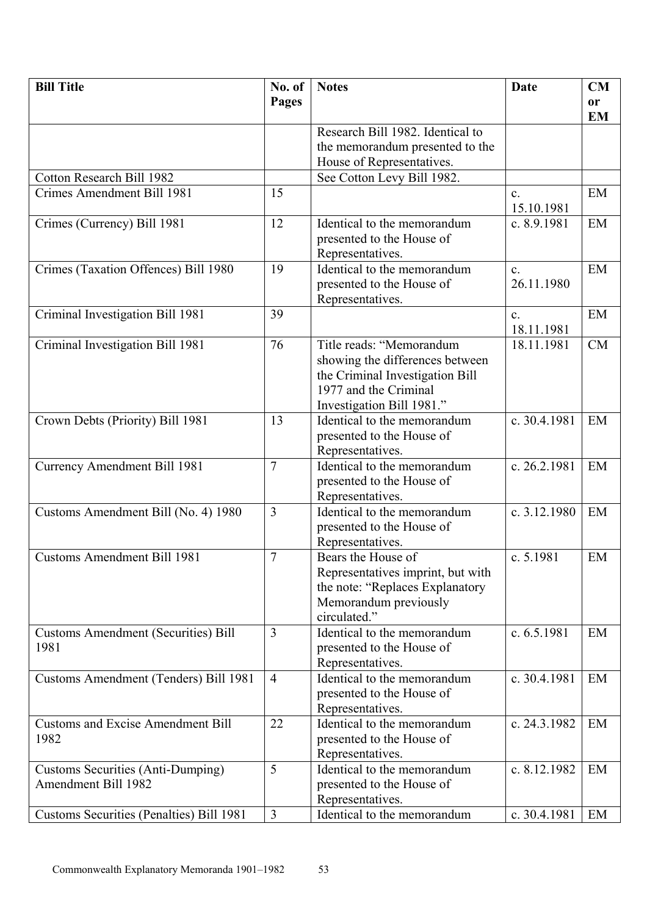| <b>Bill Title</b>                          | No. of         | <b>Notes</b>                      | Date                    | CM            |
|--------------------------------------------|----------------|-----------------------------------|-------------------------|---------------|
|                                            | Pages          |                                   |                         | <sub>or</sub> |
|                                            |                |                                   |                         | <b>EM</b>     |
|                                            |                | Research Bill 1982. Identical to  |                         |               |
|                                            |                | the memorandum presented to the   |                         |               |
|                                            |                | House of Representatives.         |                         |               |
| <b>Cotton Research Bill 1982</b>           |                | See Cotton Levy Bill 1982.        |                         |               |
| Crimes Amendment Bill 1981                 | 15             |                                   | $\mathbf{c}$ .          | EM            |
|                                            |                |                                   | 15.10.1981              |               |
| Crimes (Currency) Bill 1981                | 12             | Identical to the memorandum       | c. 8.9.1981             | EM            |
|                                            |                | presented to the House of         |                         |               |
|                                            |                | Representatives.                  |                         |               |
| Crimes (Taxation Offences) Bill 1980       | 19             | Identical to the memorandum       | $\mathbf{c}$ .          | EM            |
|                                            |                | presented to the House of         | 26.11.1980              |               |
|                                            |                | Representatives.                  |                         |               |
| Criminal Investigation Bill 1981           | 39             |                                   | $\mathbf{c}$ .          | EM            |
|                                            |                |                                   | 18.11.1981              |               |
| Criminal Investigation Bill 1981           | 76             | Title reads: "Memorandum          | 18.11.1981              | CM            |
|                                            |                | showing the differences between   |                         |               |
|                                            |                | the Criminal Investigation Bill   |                         |               |
|                                            |                | 1977 and the Criminal             |                         |               |
|                                            |                | Investigation Bill 1981."         |                         |               |
| Crown Debts (Priority) Bill 1981           | 13             | Identical to the memorandum       | c. 30.4.1981            | EM            |
|                                            |                | presented to the House of         |                         |               |
|                                            |                | Representatives.                  |                         |               |
| <b>Currency Amendment Bill 1981</b>        | $\overline{7}$ | Identical to the memorandum       | c. 26.2.1981            | EM            |
|                                            |                | presented to the House of         |                         |               |
|                                            |                | Representatives.                  |                         |               |
| Customs Amendment Bill (No. 4) 1980        | $\overline{3}$ | Identical to the memorandum       | c. $3.12.1980$          | EM            |
|                                            |                | presented to the House of         |                         |               |
|                                            |                | Representatives.                  |                         |               |
| <b>Customs Amendment Bill 1981</b>         | $\overline{7}$ | Bears the House of                | $\overline{c}$ . 5.1981 | EM            |
|                                            |                | Representatives imprint, but with |                         |               |
|                                            |                | the note: "Replaces Explanatory   |                         |               |
|                                            |                | Memorandum previously             |                         |               |
|                                            |                | circulated."                      |                         |               |
| <b>Customs Amendment (Securities) Bill</b> | 3              | Identical to the memorandum       | c. $6.5.1981$           | EM            |
| 1981                                       |                | presented to the House of         |                         |               |
|                                            |                | Representatives.                  |                         |               |
| Customs Amendment (Tenders) Bill 1981      | $\overline{4}$ | Identical to the memorandum       | c. 30.4.1981            | EM            |
|                                            |                | presented to the House of         |                         |               |
|                                            |                | Representatives.                  |                         |               |
| <b>Customs and Excise Amendment Bill</b>   | 22             | Identical to the memorandum       | c. 24.3.1982            | EM            |
| 1982                                       |                | presented to the House of         |                         |               |
|                                            |                | Representatives.                  |                         |               |
| <b>Customs Securities (Anti-Dumping)</b>   | 5              | Identical to the memorandum       | c. 8.12.1982            | EM            |
| <b>Amendment Bill 1982</b>                 |                | presented to the House of         |                         |               |
|                                            |                | Representatives.                  |                         |               |
| Customs Securities (Penalties) Bill 1981   | $\overline{3}$ | Identical to the memorandum       | c. 30.4.1981            | EM            |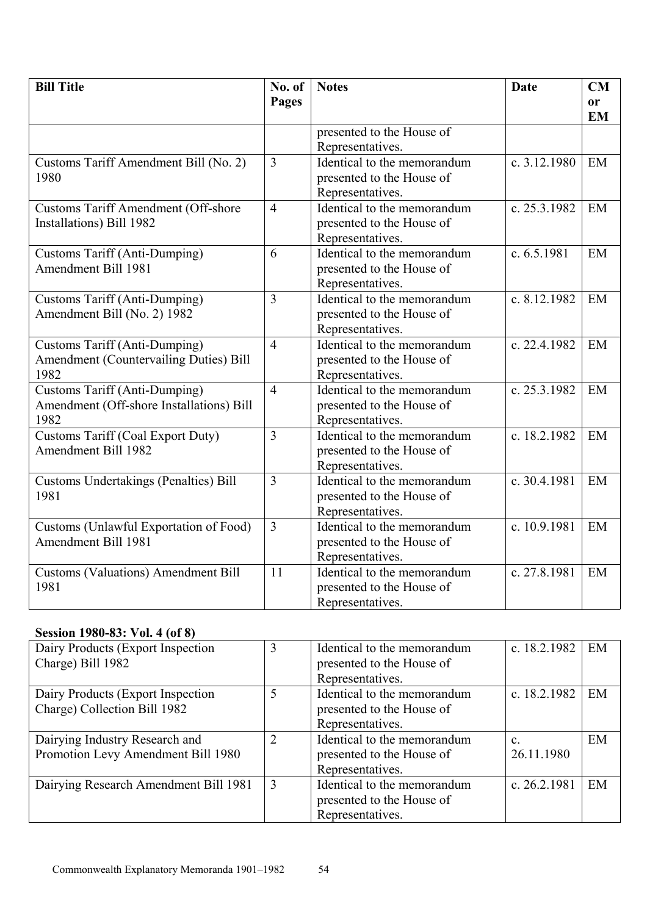| <b>Bill Title</b>                                                                             | No. of         | <b>Notes</b>                                                                 | <b>Date</b>    | CM                         |
|-----------------------------------------------------------------------------------------------|----------------|------------------------------------------------------------------------------|----------------|----------------------------|
|                                                                                               | Pages          |                                                                              |                | <sub>or</sub><br><b>EM</b> |
|                                                                                               |                | presented to the House of<br>Representatives.                                |                |                            |
| Customs Tariff Amendment Bill (No. 2)<br>1980                                                 | $\overline{3}$ | Identical to the memorandum<br>presented to the House of<br>Representatives. | c. $3.12.1980$ | EM                         |
| <b>Customs Tariff Amendment (Off-shore</b><br>Installations) Bill 1982                        | $\overline{4}$ | Identical to the memorandum<br>presented to the House of<br>Representatives. | c. 25.3.1982   | EM                         |
| <b>Customs Tariff (Anti-Dumping)</b><br><b>Amendment Bill 1981</b>                            | 6              | Identical to the memorandum<br>presented to the House of<br>Representatives. | c. $6.5.1981$  | EM                         |
| Customs Tariff (Anti-Dumping)<br>Amendment Bill (No. 2) 1982                                  | 3              | Identical to the memorandum<br>presented to the House of<br>Representatives. | c. 8.12.1982   | EM                         |
| <b>Customs Tariff (Anti-Dumping)</b><br><b>Amendment (Countervailing Duties) Bill</b><br>1982 | $\overline{4}$ | Identical to the memorandum<br>presented to the House of<br>Representatives. | c. 22.4.1982   | EM                         |
| <b>Customs Tariff (Anti-Dumping)</b><br>Amendment (Off-shore Installations) Bill<br>1982      | $\overline{4}$ | Identical to the memorandum<br>presented to the House of<br>Representatives. | c. 25.3.1982   | EM                         |
| <b>Customs Tariff (Coal Export Duty)</b><br><b>Amendment Bill 1982</b>                        | 3              | Identical to the memorandum<br>presented to the House of<br>Representatives. | c. 18.2.1982   | EM                         |
| <b>Customs Undertakings (Penalties) Bill</b><br>1981                                          | $\overline{3}$ | Identical to the memorandum<br>presented to the House of<br>Representatives. | c. 30.4.1981   | EM                         |
| Customs (Unlawful Exportation of Food)<br>Amendment Bill 1981                                 | $\overline{3}$ | Identical to the memorandum<br>presented to the House of<br>Representatives. | c. 10.9.1981   | EM                         |
| <b>Customs (Valuations) Amendment Bill</b><br>1981                                            | 11             | Identical to the memorandum<br>presented to the House of<br>Representatives. | c. 27.8.1981   | EM                         |

#### **Session 1980-83: Vol. 4 (of 8)**

| Dairy Products (Export Inspection<br>Charge) Bill 1982               | 3              | Identical to the memorandum<br>presented to the House of<br>Representatives. | c. 18.2.1982                 | EM |
|----------------------------------------------------------------------|----------------|------------------------------------------------------------------------------|------------------------------|----|
| Dairy Products (Export Inspection<br>Charge) Collection Bill 1982    | 5              | Identical to the memorandum<br>presented to the House of<br>Representatives. | c. 18.2.1982                 | EM |
| Dairying Industry Research and<br>Promotion Levy Amendment Bill 1980 | $\overline{2}$ | Identical to the memorandum<br>presented to the House of<br>Representatives. | $\mathbf{c}$ .<br>26.11.1980 | EM |
| Dairying Research Amendment Bill 1981                                | 3              | Identical to the memorandum<br>presented to the House of<br>Representatives. | c. 26.2.1981                 | EM |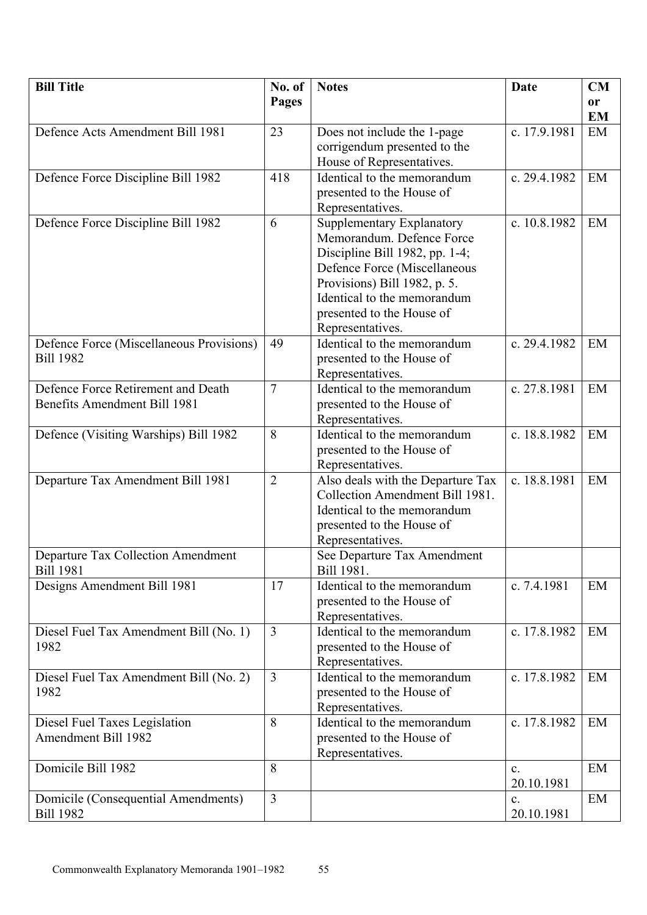| <b>Bill Title</b>                                       | No. of         | <b>Notes</b>                                                         | Date           | CM        |
|---------------------------------------------------------|----------------|----------------------------------------------------------------------|----------------|-----------|
|                                                         | Pages          |                                                                      |                | or        |
|                                                         |                |                                                                      |                | <b>EM</b> |
| Defence Acts Amendment Bill 1981                        | 23             | Does not include the 1-page                                          | c. 17.9.1981   | EM        |
|                                                         |                | corrigendum presented to the                                         |                |           |
|                                                         |                | House of Representatives.                                            |                |           |
| Defence Force Discipline Bill 1982                      | 418            | Identical to the memorandum                                          | c. 29.4.1982   | EM        |
|                                                         |                | presented to the House of                                            |                |           |
|                                                         |                | Representatives.                                                     |                |           |
| Defence Force Discipline Bill 1982                      | 6              | Supplementary Explanatory                                            | c. 10.8.1982   | EM        |
|                                                         |                | Memorandum. Defence Force                                            |                |           |
|                                                         |                | Discipline Bill 1982, pp. $1-4$ ;                                    |                |           |
|                                                         |                | Defence Force (Miscellaneous                                         |                |           |
|                                                         |                | Provisions) Bill 1982, p. 5.                                         |                |           |
|                                                         |                | Identical to the memorandum                                          |                |           |
|                                                         |                | presented to the House of                                            |                |           |
|                                                         |                | Representatives.                                                     |                |           |
| Defence Force (Miscellaneous Provisions)                | 49             | Identical to the memorandum                                          | c. 29.4.1982   | EM        |
| <b>Bill 1982</b>                                        |                | presented to the House of                                            |                |           |
|                                                         |                | Representatives.                                                     |                |           |
| Defence Force Retirement and Death                      | $\overline{7}$ | Identical to the memorandum                                          | c. 27.8.1981   | EM        |
| Benefits Amendment Bill 1981                            |                | presented to the House of                                            |                |           |
|                                                         |                | Representatives.                                                     |                |           |
| Defence (Visiting Warships) Bill 1982                   | 8              | Identical to the memorandum                                          | c. 18.8.1982   | EM        |
|                                                         |                | presented to the House of                                            |                |           |
|                                                         |                | Representatives.                                                     |                |           |
| Departure Tax Amendment Bill 1981                       | $\overline{2}$ | Also deals with the Departure Tax<br>Collection Amendment Bill 1981. | c. 18.8.1981   | EM        |
|                                                         |                | Identical to the memorandum                                          |                |           |
|                                                         |                | presented to the House of                                            |                |           |
|                                                         |                | Representatives.                                                     |                |           |
| <b>Departure Tax Collection Amendment</b>               |                | See Departure Tax Amendment                                          |                |           |
| <b>Bill 1981</b>                                        |                | Bill 1981.                                                           |                |           |
| Designs Amendment Bill 1981                             | 17             | Identical to the memorandum                                          | c. 7.4.1981    | EM        |
|                                                         |                | presented to the House of                                            |                |           |
|                                                         |                | Representatives.                                                     |                |           |
| Diesel Fuel Tax Amendment Bill (No. 1)                  | $\overline{3}$ | Identical to the memorandum                                          | c. 17.8.1982   | EM        |
| 1982                                                    |                | presented to the House of                                            |                |           |
|                                                         |                | Representatives.                                                     |                |           |
| Diesel Fuel Tax Amendment Bill (No. 2)                  | $\overline{3}$ | Identical to the memorandum                                          | c. 17.8.1982   | EM        |
| 1982                                                    |                | presented to the House of                                            |                |           |
|                                                         |                | Representatives.                                                     |                |           |
| Diesel Fuel Taxes Legislation                           | 8              | Identical to the memorandum                                          | c. 17.8.1982   | EM        |
| Amendment Bill 1982                                     |                | presented to the House of                                            |                |           |
|                                                         |                | Representatives.                                                     |                |           |
| Domicile Bill 1982                                      | 8              |                                                                      | $\mathbf{c}$ . | EM        |
|                                                         | $\overline{3}$ |                                                                      | 20.10.1981     |           |
| Domicile (Consequential Amendments)<br><b>Bill 1982</b> |                |                                                                      | $\mathbf{c}$ . | EM        |
|                                                         |                |                                                                      | 20.10.1981     |           |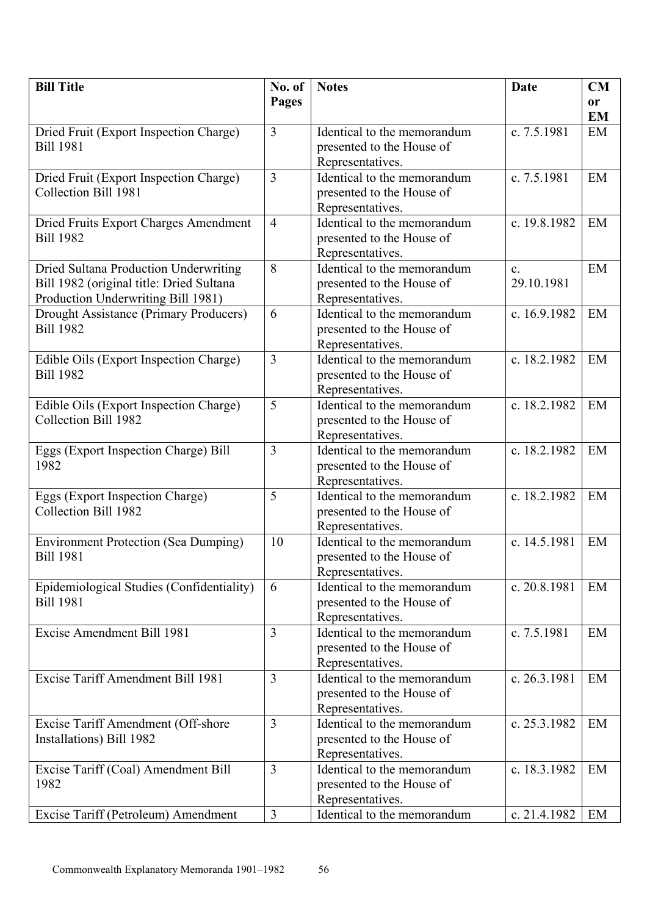| <b>Bill Title</b>                           | No. of         | <b>Notes</b>                | Date           | CM        |
|---------------------------------------------|----------------|-----------------------------|----------------|-----------|
|                                             | Pages          |                             |                | <b>or</b> |
|                                             |                |                             |                | <b>EM</b> |
| Dried Fruit (Export Inspection Charge)      | $\overline{3}$ | Identical to the memorandum | c. 7.5.1981    | EM        |
| <b>Bill 1981</b>                            |                | presented to the House of   |                |           |
|                                             |                | Representatives.            |                |           |
| Dried Fruit (Export Inspection Charge)      | 3              | Identical to the memorandum | c. 7.5.1981    | EM        |
| Collection Bill 1981                        |                | presented to the House of   |                |           |
|                                             |                | Representatives.            |                |           |
| Dried Fruits Export Charges Amendment       | $\overline{4}$ | Identical to the memorandum | c. 19.8.1982   | EM        |
| <b>Bill 1982</b>                            |                | presented to the House of   |                |           |
|                                             |                | Representatives.            |                |           |
| Dried Sultana Production Underwriting       | 8              | Identical to the memorandum | $\mathbf{c}$ . | EM        |
| Bill 1982 (original title: Dried Sultana    |                | presented to the House of   | 29.10.1981     |           |
| Production Underwriting Bill 1981)          |                | Representatives.            |                |           |
| Drought Assistance (Primary Producers)      | 6              | Identical to the memorandum | c. 16.9.1982   | EM        |
| <b>Bill 1982</b>                            |                | presented to the House of   |                |           |
|                                             |                | Representatives.            |                |           |
| Edible Oils (Export Inspection Charge)      | 3              | Identical to the memorandum | c. 18.2.1982   | EM        |
| <b>Bill 1982</b>                            |                | presented to the House of   |                |           |
|                                             |                | Representatives.            |                |           |
| Edible Oils (Export Inspection Charge)      | 5              | Identical to the memorandum | c. 18.2.1982   | EM        |
| Collection Bill 1982                        |                | presented to the House of   |                |           |
|                                             |                | Representatives.            |                |           |
| Eggs (Export Inspection Charge) Bill        | 3              | Identical to the memorandum | c. 18.2.1982   | EM        |
| 1982                                        |                | presented to the House of   |                |           |
|                                             |                | Representatives.            |                |           |
| Eggs (Export Inspection Charge)             | 5              | Identical to the memorandum | c. 18.2.1982   | EM        |
| Collection Bill 1982                        |                | presented to the House of   |                |           |
|                                             |                | Representatives.            |                |           |
| <b>Environment Protection (Sea Dumping)</b> | 10             | Identical to the memorandum | c. 14.5.1981   | EM        |
| <b>Bill 1981</b>                            |                | presented to the House of   |                |           |
|                                             |                | Representatives.            |                |           |
| Epidemiological Studies (Confidentiality)   | 6              | Identical to the memorandum | c. 20.8.1981   | EM        |
| <b>Bill 1981</b>                            |                | presented to the House of   |                |           |
|                                             |                | Representatives.            |                |           |
| <b>Excise Amendment Bill 1981</b>           | 3              | Identical to the memorandum | c. 7.5.1981    | EM        |
|                                             |                | presented to the House of   |                |           |
|                                             |                | Representatives.            |                |           |
| Excise Tariff Amendment Bill 1981           | 3              | Identical to the memorandum | c. 26.3.1981   | EM        |
|                                             |                | presented to the House of   |                |           |
|                                             |                | Representatives.            |                |           |
| Excise Tariff Amendment (Off-shore          | $\overline{3}$ | Identical to the memorandum | c. 25.3.1982   | EM        |
| Installations) Bill 1982                    |                | presented to the House of   |                |           |
|                                             |                | Representatives.            |                |           |
| Excise Tariff (Coal) Amendment Bill         | $\overline{3}$ | Identical to the memorandum | c. 18.3.1982   | EM        |
| 1982                                        |                | presented to the House of   |                |           |
|                                             |                | Representatives.            |                |           |
| Excise Tariff (Petroleum) Amendment         | $\overline{3}$ | Identical to the memorandum | c. 21.4.1982   | EM        |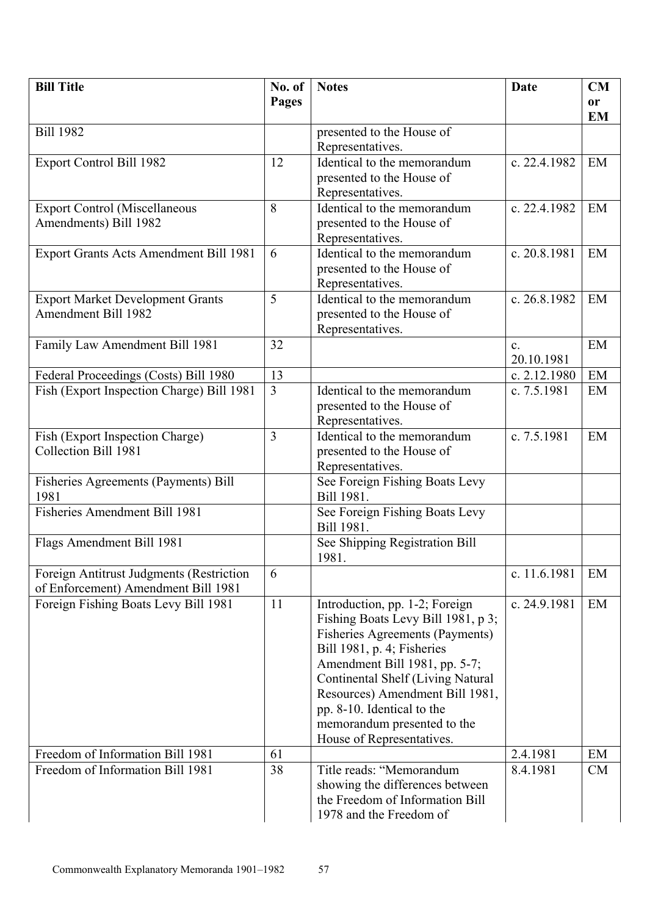| <b>Bill Title</b>                         | No. of         | <b>Notes</b>                                                       | Date           | <b>CM</b>     |
|-------------------------------------------|----------------|--------------------------------------------------------------------|----------------|---------------|
|                                           | Pages          |                                                                    |                | <sub>or</sub> |
|                                           |                |                                                                    |                | <b>EM</b>     |
| <b>Bill 1982</b>                          |                | presented to the House of                                          |                |               |
|                                           |                | Representatives.                                                   |                |               |
| <b>Export Control Bill 1982</b>           | 12             | Identical to the memorandum                                        | c. 22.4.1982   | EM            |
|                                           |                | presented to the House of                                          |                |               |
|                                           |                | Representatives.                                                   |                |               |
| <b>Export Control (Miscellaneous</b>      | 8              | Identical to the memorandum                                        | c. 22.4.1982   | EM            |
| Amendments) Bill 1982                     |                | presented to the House of                                          |                |               |
|                                           |                | Representatives.                                                   |                |               |
| Export Grants Acts Amendment Bill 1981    | 6              | Identical to the memorandum                                        | c. 20.8.1981   | EM            |
|                                           |                | presented to the House of                                          |                |               |
|                                           |                | Representatives.                                                   |                |               |
| <b>Export Market Development Grants</b>   | 5              | Identical to the memorandum                                        | c. 26.8.1982   | EM            |
| <b>Amendment Bill 1982</b>                |                | presented to the House of                                          |                |               |
|                                           |                | Representatives.                                                   |                |               |
| Family Law Amendment Bill 1981            | 32             |                                                                    | $\mathbf{c}$ . | EM            |
|                                           |                |                                                                    | 20.10.1981     |               |
| Federal Proceedings (Costs) Bill 1980     | 13             |                                                                    | c. 2.12.1980   | EM            |
| Fish (Export Inspection Charge) Bill 1981 | $\overline{3}$ | Identical to the memorandum                                        | c. 7.5.1981    | EM            |
|                                           |                | presented to the House of                                          |                |               |
|                                           |                | Representatives.                                                   |                |               |
| Fish (Export Inspection Charge)           | $\overline{3}$ | Identical to the memorandum                                        | c. 7.5.1981    | EM            |
| Collection Bill 1981                      |                | presented to the House of                                          |                |               |
|                                           |                | Representatives.                                                   |                |               |
| Fisheries Agreements (Payments) Bill      |                | See Foreign Fishing Boats Levy                                     |                |               |
| 1981                                      |                | Bill 1981.                                                         |                |               |
| Fisheries Amendment Bill 1981             |                | See Foreign Fishing Boats Levy                                     |                |               |
|                                           |                | Bill 1981.                                                         |                |               |
| Flags Amendment Bill 1981                 |                | See Shipping Registration Bill                                     |                |               |
|                                           |                | 1981.                                                              |                |               |
| Foreign Antitrust Judgments (Restriction  | 6              |                                                                    | c. 11.6.1981   | EM            |
| of Enforcement) Amendment Bill 1981       |                |                                                                    |                |               |
| Foreign Fishing Boats Levy Bill 1981      | 11             | Introduction, pp. 1-2; Foreign                                     | c. 24.9.1981   | EM            |
|                                           |                | Fishing Boats Levy Bill 1981, p 3;                                 |                |               |
|                                           |                | <b>Fisheries Agreements (Payments)</b>                             |                |               |
|                                           |                | Bill 1981, p. 4; Fisheries                                         |                |               |
|                                           |                | Amendment Bill 1981, pp. 5-7;                                      |                |               |
|                                           |                | Continental Shelf (Living Natural                                  |                |               |
|                                           |                | Resources) Amendment Bill 1981,                                    |                |               |
|                                           |                | pp. 8-10. Identical to the                                         |                |               |
|                                           |                | memorandum presented to the                                        |                |               |
|                                           |                | House of Representatives.                                          |                |               |
| Freedom of Information Bill 1981          | 61             |                                                                    | 2.4.1981       | EM            |
| Freedom of Information Bill 1981          | 38             | Title reads: "Memorandum                                           | 8.4.1981       | <b>CM</b>     |
|                                           |                | showing the differences between<br>the Freedom of Information Bill |                |               |
|                                           |                |                                                                    |                |               |
|                                           |                | 1978 and the Freedom of                                            |                |               |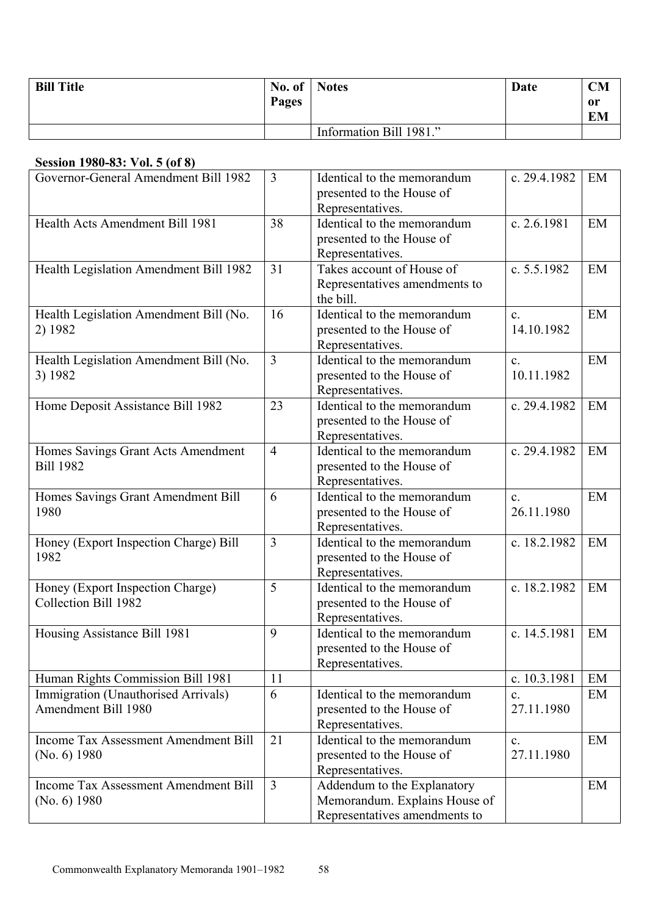| <b>Bill Title</b> | No. of   Notes |                         | Date | <b>CM</b>       |
|-------------------|----------------|-------------------------|------|-----------------|
|                   | Pages          |                         |      | or<br><b>EM</b> |
|                   |                |                         |      |                 |
|                   |                | Information Bill 1981." |      |                 |

#### **Session 1980-83: Vol. 5 (of 8)**

| Governor-General Amendment Bill 1982                        | $\overline{3}$ | Identical to the memorandum<br>presented to the House of<br>Representatives.                  | c. 29.4.1982                 | EM |
|-------------------------------------------------------------|----------------|-----------------------------------------------------------------------------------------------|------------------------------|----|
| Health Acts Amendment Bill 1981                             | 38             | Identical to the memorandum<br>presented to the House of<br>Representatives.                  | c. 2.6.1981                  | EM |
| Health Legislation Amendment Bill 1982                      | 31             | Takes account of House of<br>Representatives amendments to<br>the bill.                       | c. 5.5.1982                  | EM |
| Health Legislation Amendment Bill (No.<br>2) 1982           | 16             | Identical to the memorandum<br>presented to the House of<br>Representatives.                  | $\mathbf{c}$ .<br>14.10.1982 | EM |
| Health Legislation Amendment Bill (No.<br>3) 1982           | $\overline{3}$ | Identical to the memorandum<br>presented to the House of<br>Representatives.                  | $\mathbf{c}$ .<br>10.11.1982 | EM |
| Home Deposit Assistance Bill 1982                           | 23             | Identical to the memorandum<br>presented to the House of<br>Representatives.                  | c. 29.4.1982                 | EM |
| Homes Savings Grant Acts Amendment<br><b>Bill 1982</b>      | $\overline{4}$ | Identical to the memorandum<br>presented to the House of<br>Representatives.                  | c. 29.4.1982                 | EM |
| Homes Savings Grant Amendment Bill<br>1980                  | 6              | Identical to the memorandum<br>presented to the House of<br>Representatives.                  | $\mathbf{c}$ .<br>26.11.1980 | EM |
| Honey (Export Inspection Charge) Bill<br>1982               | 3              | Identical to the memorandum<br>presented to the House of<br>Representatives.                  | c. 18.2.1982                 | EM |
| Honey (Export Inspection Charge)<br>Collection Bill 1982    | 5              | Identical to the memorandum<br>presented to the House of<br>Representatives.                  | c. 18.2.1982                 | EM |
| Housing Assistance Bill 1981                                | 9              | Identical to the memorandum<br>presented to the House of<br>Representatives.                  | c. 14.5.1981                 | EM |
| Human Rights Commission Bill 1981                           | 11             |                                                                                               | c. 10.3.1981                 | EM |
| Immigration (Unauthorised Arrivals)<br>Amendment Bill 1980  | 6              | Identical to the memorandum<br>presented to the House of<br>Representatives.                  | c.<br>27.11.1980             | EM |
| <b>Income Tax Assessment Amendment Bill</b><br>(No. 6) 1980 | 21             | Identical to the memorandum<br>presented to the House of<br>Representatives.                  | $\mathbf{c}$ .<br>27.11.1980 | EM |
| <b>Income Tax Assessment Amendment Bill</b><br>(No. 6) 1980 | $\overline{3}$ | Addendum to the Explanatory<br>Memorandum. Explains House of<br>Representatives amendments to |                              | EM |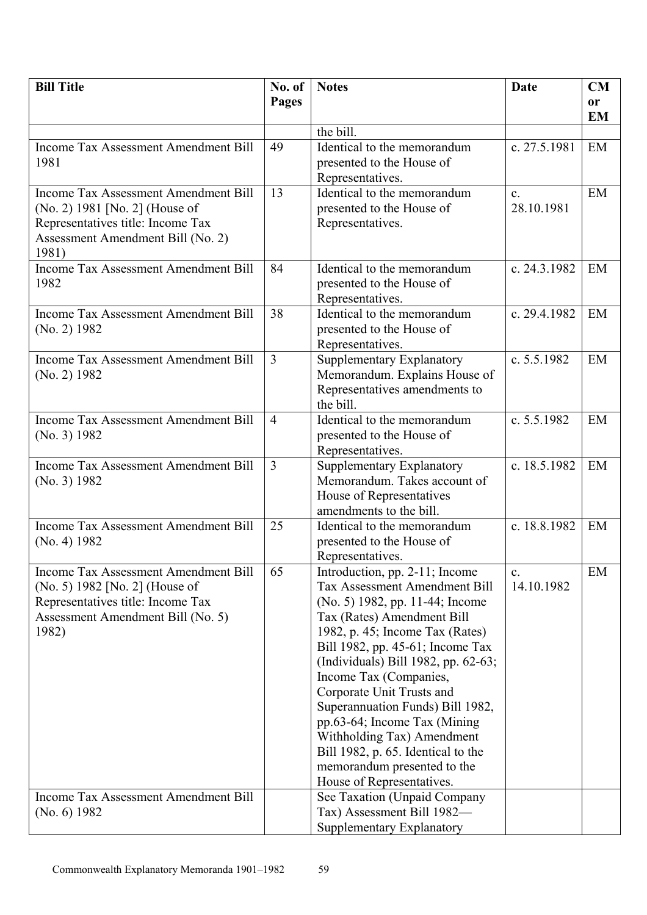| <b>Bill Title</b>                           | No. of         | <b>Notes</b>                                                           | <b>Date</b>                  | CM        |
|---------------------------------------------|----------------|------------------------------------------------------------------------|------------------------------|-----------|
|                                             | <b>Pages</b>   |                                                                        |                              | <b>or</b> |
|                                             |                |                                                                        |                              | <b>EM</b> |
|                                             |                | the bill.                                                              |                              |           |
| <b>Income Tax Assessment Amendment Bill</b> | 49             | Identical to the memorandum                                            | c. 27.5.1981                 | EM        |
| 1981                                        |                | presented to the House of                                              |                              |           |
| <b>Income Tax Assessment Amendment Bill</b> | 13             | Representatives.<br>Identical to the memorandum                        | $\mathbf{c}$ .               | EM        |
| (No. 2) 1981 [No. 2] (House of              |                | presented to the House of                                              | 28.10.1981                   |           |
| Representatives title: Income Tax           |                | Representatives.                                                       |                              |           |
| Assessment Amendment Bill (No. 2)           |                |                                                                        |                              |           |
| 1981)                                       |                |                                                                        |                              |           |
| <b>Income Tax Assessment Amendment Bill</b> | 84             | Identical to the memorandum                                            | c. 24.3.1982                 | EM        |
| 1982                                        |                | presented to the House of                                              |                              |           |
|                                             |                | Representatives.                                                       |                              |           |
| <b>Income Tax Assessment Amendment Bill</b> | 38             | Identical to the memorandum                                            | c. 29.4.1982                 | EM        |
| (No. 2) 1982                                |                | presented to the House of                                              |                              |           |
|                                             |                | Representatives.                                                       |                              |           |
| <b>Income Tax Assessment Amendment Bill</b> | $\overline{3}$ | Supplementary Explanatory                                              | c. $5.5.1982$                | EM        |
| $(No. 2)$ 1982                              |                | Memorandum. Explains House of                                          |                              |           |
|                                             |                | Representatives amendments to<br>the bill.                             |                              |           |
| <b>Income Tax Assessment Amendment Bill</b> | $\overline{4}$ | Identical to the memorandum                                            | c. 5.5.1982                  | EM        |
| (No. 3) 1982                                |                | presented to the House of                                              |                              |           |
|                                             |                | Representatives.                                                       |                              |           |
| <b>Income Tax Assessment Amendment Bill</b> | $\overline{3}$ | Supplementary Explanatory                                              | c. 18.5.1982                 | EM        |
| (No. 3) 1982                                |                | Memorandum. Takes account of                                           |                              |           |
|                                             |                | House of Representatives                                               |                              |           |
|                                             |                | amendments to the bill.                                                |                              |           |
| <b>Income Tax Assessment Amendment Bill</b> | 25             | Identical to the memorandum                                            | c. 18.8.1982                 | EM        |
| (No. 4) 1982                                |                | presented to the House of                                              |                              |           |
| Income Tax Assessment Amendment Bill        | 65             | Representatives.                                                       |                              | EM        |
| (No. 5) 1982 [No. 2] (House of              |                | Introduction, pp. 2-11; Income<br><b>Tax Assessment Amendment Bill</b> | $\mathbf{c}$ .<br>14.10.1982 |           |
| Representatives title: Income Tax           |                | (No. 5) 1982, pp. 11-44; Income                                        |                              |           |
| Assessment Amendment Bill (No. 5)           |                | Tax (Rates) Amendment Bill                                             |                              |           |
| 1982)                                       |                | 1982, p. 45; Income Tax (Rates)                                        |                              |           |
|                                             |                | Bill 1982, pp. 45-61; Income Tax                                       |                              |           |
|                                             |                | (Individuals) Bill 1982, pp. 62-63;                                    |                              |           |
|                                             |                | Income Tax (Companies,                                                 |                              |           |
|                                             |                | Corporate Unit Trusts and                                              |                              |           |
|                                             |                | Superannuation Funds) Bill 1982,                                       |                              |           |
|                                             |                | pp.63-64; Income Tax (Mining                                           |                              |           |
|                                             |                | Withholding Tax) Amendment<br>Bill 1982, p. 65. Identical to the       |                              |           |
|                                             |                | memorandum presented to the                                            |                              |           |
|                                             |                | House of Representatives.                                              |                              |           |
| <b>Income Tax Assessment Amendment Bill</b> |                | See Taxation (Unpaid Company                                           |                              |           |
| (No. 6) 1982                                |                | Tax) Assessment Bill 1982-                                             |                              |           |
|                                             |                | Supplementary Explanatory                                              |                              |           |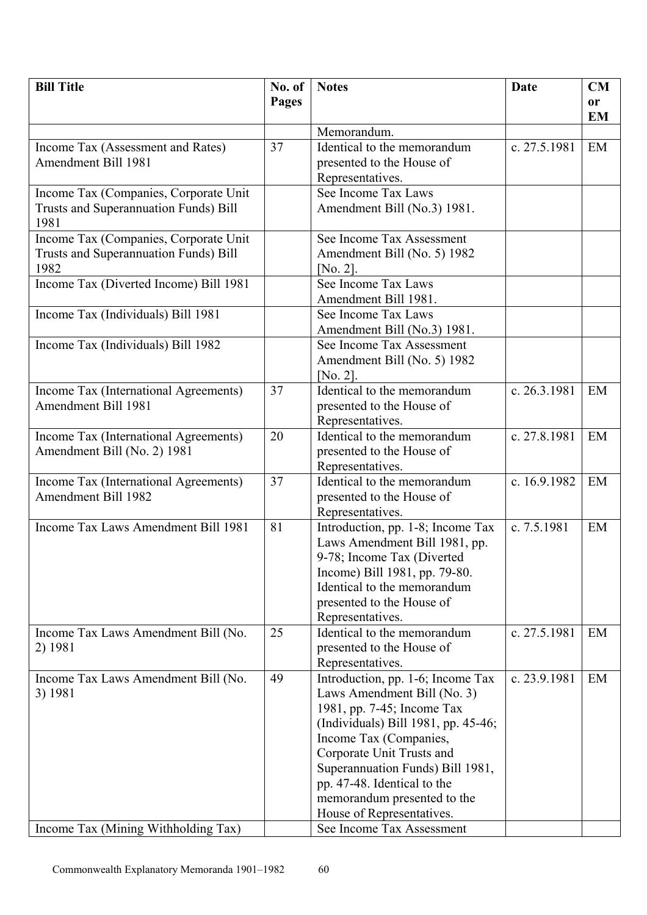| <b>Bill Title</b>                             | No. of | <b>Notes</b>                                                  | Date         | CM        |
|-----------------------------------------------|--------|---------------------------------------------------------------|--------------|-----------|
|                                               | Pages  |                                                               |              | or        |
|                                               |        |                                                               |              | <b>EM</b> |
|                                               |        | Memorandum.                                                   |              |           |
| Income Tax (Assessment and Rates)             | 37     | Identical to the memorandum                                   | c. 27.5.1981 | EM        |
| Amendment Bill 1981                           |        | presented to the House of                                     |              |           |
|                                               |        | Representatives.                                              |              |           |
| Income Tax (Companies, Corporate Unit         |        | See Income Tax Laws                                           |              |           |
| Trusts and Superannuation Funds) Bill<br>1981 |        | Amendment Bill (No.3) 1981.                                   |              |           |
| Income Tax (Companies, Corporate Unit         |        | See Income Tax Assessment                                     |              |           |
| Trusts and Superannuation Funds) Bill         |        | Amendment Bill (No. 5) 1982                                   |              |           |
| 1982                                          |        | [ $No. 2$ ].                                                  |              |           |
| Income Tax (Diverted Income) Bill 1981        |        | See Income Tax Laws                                           |              |           |
|                                               |        | Amendment Bill 1981.                                          |              |           |
| Income Tax (Individuals) Bill 1981            |        | See Income Tax Laws                                           |              |           |
|                                               |        | Amendment Bill (No.3) 1981.                                   |              |           |
| Income Tax (Individuals) Bill 1982            |        | See Income Tax Assessment                                     |              |           |
|                                               |        | Amendment Bill (No. 5) 1982                                   |              |           |
|                                               |        | $[N0, 2]$ .                                                   |              |           |
| Income Tax (International Agreements)         | 37     | Identical to the memorandum                                   | c. 26.3.1981 | EM        |
| Amendment Bill 1981                           |        | presented to the House of                                     |              |           |
|                                               |        | Representatives.                                              |              |           |
| Income Tax (International Agreements)         | 20     | Identical to the memorandum                                   | c. 27.8.1981 | EM        |
| Amendment Bill (No. 2) 1981                   |        | presented to the House of                                     |              |           |
|                                               |        | Representatives.                                              |              |           |
| Income Tax (International Agreements)         | 37     | Identical to the memorandum                                   | c. 16.9.1982 | EM        |
| Amendment Bill 1982                           |        | presented to the House of                                     |              |           |
|                                               |        | Representatives.                                              |              |           |
| Income Tax Laws Amendment Bill 1981           | 81     | Introduction, pp. 1-8; Income Tax                             | c. 7.5.1981  | EM        |
|                                               |        | Laws Amendment Bill 1981, pp.                                 |              |           |
|                                               |        | 9-78; Income Tax (Diverted                                    |              |           |
|                                               |        | Income) Bill 1981, pp. 79-80.                                 |              |           |
|                                               |        | Identical to the memorandum                                   |              |           |
|                                               |        | presented to the House of                                     |              |           |
|                                               |        | Representatives.                                              |              |           |
| Income Tax Laws Amendment Bill (No.           | 25     | Identical to the memorandum                                   | c. 27.5.1981 | EM        |
| 2) 1981                                       |        | presented to the House of                                     |              |           |
|                                               |        | Representatives.                                              |              |           |
| Income Tax Laws Amendment Bill (No.           | 49     | Introduction, pp. 1-6; Income Tax                             | c. 23.9.1981 | EM        |
| 3) 1981                                       |        | Laws Amendment Bill (No. 3)                                   |              |           |
|                                               |        | 1981, pp. 7-45; Income Tax                                    |              |           |
|                                               |        | (Individuals) Bill 1981, pp. 45-46;<br>Income Tax (Companies, |              |           |
|                                               |        | Corporate Unit Trusts and                                     |              |           |
|                                               |        | Superannuation Funds) Bill 1981,                              |              |           |
|                                               |        | pp. 47-48. Identical to the                                   |              |           |
|                                               |        | memorandum presented to the                                   |              |           |
|                                               |        | House of Representatives.                                     |              |           |
| Income Tax (Mining Withholding Tax)           |        | See Income Tax Assessment                                     |              |           |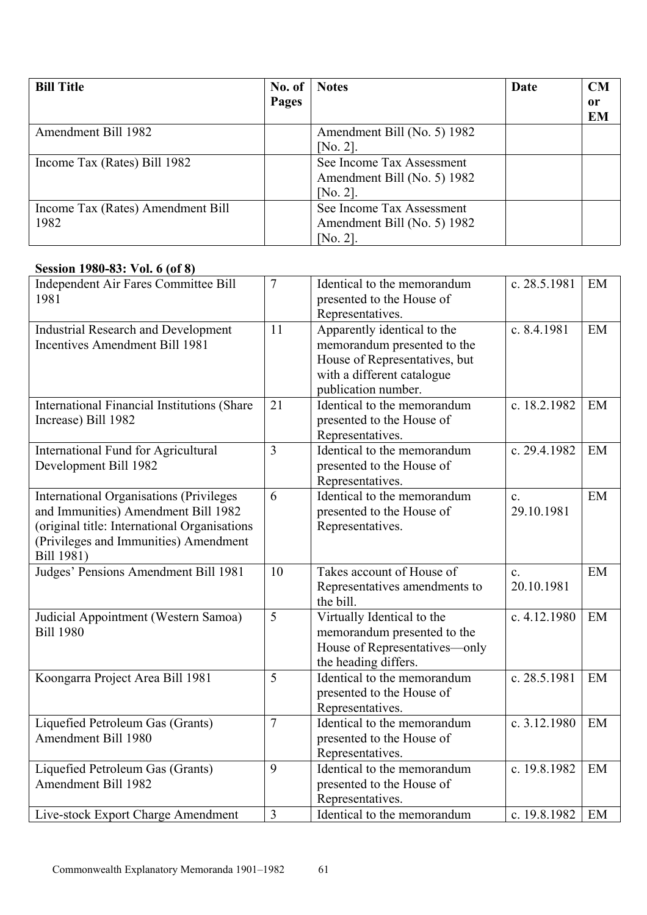| <b>Bill Title</b>                 | No. of | <b>Notes</b>                | Date | CM            |
|-----------------------------------|--------|-----------------------------|------|---------------|
|                                   | Pages  |                             |      | <sub>or</sub> |
|                                   |        |                             |      | <b>EM</b>     |
| Amendment Bill 1982               |        | Amendment Bill (No. 5) 1982 |      |               |
|                                   |        | [ $No. 2$ ].                |      |               |
| Income Tax (Rates) Bill 1982      |        | See Income Tax Assessment   |      |               |
|                                   |        | Amendment Bill (No. 5) 1982 |      |               |
|                                   |        | [No. 2].                    |      |               |
| Income Tax (Rates) Amendment Bill |        | See Income Tax Assessment   |      |               |
| 1982                              |        | Amendment Bill (No. 5) 1982 |      |               |
|                                   |        | [ $No. 2$ ].                |      |               |

## **Session 1980-83: Vol. 6 (of 8)**

| Independent Air Fares Committee Bill<br>1981                                                                                                                                                 | $\overline{7}$ | Identical to the memorandum<br>presented to the House of<br>Representatives.                                                                     | c. 28.5.1981                 | EM |
|----------------------------------------------------------------------------------------------------------------------------------------------------------------------------------------------|----------------|--------------------------------------------------------------------------------------------------------------------------------------------------|------------------------------|----|
| <b>Industrial Research and Development</b><br><b>Incentives Amendment Bill 1981</b>                                                                                                          | 11             | Apparently identical to the<br>memorandum presented to the<br>House of Representatives, but<br>with a different catalogue<br>publication number. | c. 8.4.1981                  | EM |
| International Financial Institutions (Share<br>Increase) Bill 1982                                                                                                                           | 21             | Identical to the memorandum<br>presented to the House of<br>Representatives.                                                                     | c. 18.2.1982                 | EM |
| International Fund for Agricultural<br>Development Bill 1982                                                                                                                                 | $\overline{3}$ | Identical to the memorandum<br>presented to the House of<br>Representatives.                                                                     | c. 29.4.1982                 | EM |
| <b>International Organisations (Privileges</b><br>and Immunities) Amendment Bill 1982<br>(original title: International Organisations<br>(Privileges and Immunities) Amendment<br>Bill 1981) | 6              | Identical to the memorandum<br>presented to the House of<br>Representatives.                                                                     | $\mathbf{c}$ .<br>29.10.1981 | EM |
| Judges' Pensions Amendment Bill 1981                                                                                                                                                         | 10             | Takes account of House of<br>Representatives amendments to<br>the bill.                                                                          | $\mathbf{c}$ .<br>20.10.1981 | EM |
| Judicial Appointment (Western Samoa)<br><b>Bill 1980</b>                                                                                                                                     | $\overline{5}$ | Virtually Identical to the<br>memorandum presented to the<br>House of Representatives—only<br>the heading differs.                               | c. $4.12.1980$               | EM |
| Koongarra Project Area Bill 1981                                                                                                                                                             | 5              | Identical to the memorandum<br>presented to the House of<br>Representatives.                                                                     | c. 28.5.1981                 | EM |
| Liquefied Petroleum Gas (Grants)<br>Amendment Bill 1980                                                                                                                                      | $\overline{7}$ | Identical to the memorandum<br>presented to the House of<br>Representatives.                                                                     | c. $3.12.1980$               | EM |
| Liquefied Petroleum Gas (Grants)<br>Amendment Bill 1982                                                                                                                                      | 9              | Identical to the memorandum<br>presented to the House of<br>Representatives.                                                                     | c. 19.8.1982                 | EM |
| Live-stock Export Charge Amendment                                                                                                                                                           | $\overline{3}$ | Identical to the memorandum                                                                                                                      | c. 19.8.1982                 | EM |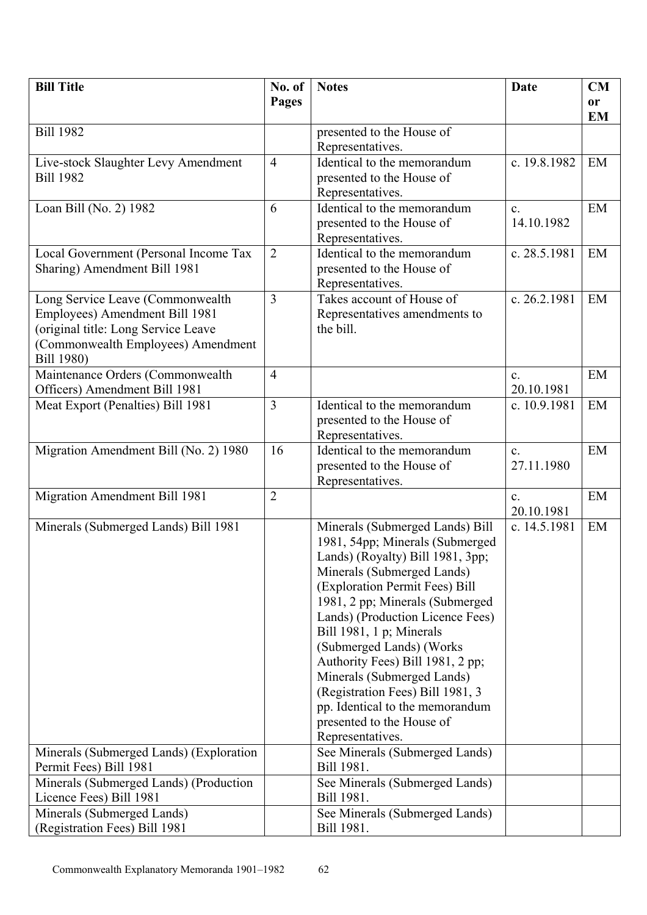| Pages<br><b>or</b><br><b>EM</b><br><b>Bill 1982</b><br>presented to the House of<br>Representatives.<br>Identical to the memorandum<br>EM<br>Live-stock Slaughter Levy Amendment<br>$\overline{4}$<br>c. 19.8.1982<br><b>Bill 1982</b><br>presented to the House of<br>Representatives.<br>Loan Bill (No. 2) 1982<br>6<br>Identical to the memorandum<br>EM<br>$\mathbf{c}$ .<br>14.10.1982<br>presented to the House of<br>Representatives.<br>$\overline{2}$<br>Identical to the memorandum<br>c. 28.5.1981<br>EM<br>Local Government (Personal Income Tax<br>Sharing) Amendment Bill 1981<br>presented to the House of<br>Representatives.<br>$\overline{3}$<br>c. 26.2.1981<br>Long Service Leave (Commonwealth<br>Takes account of House of<br>EM<br>Employees) Amendment Bill 1981<br>Representatives amendments to<br>(original title: Long Service Leave<br>the bill.<br>(Commonwealth Employees) Amendment<br>Bill 1980)<br>Maintenance Orders (Commonwealth<br>$\overline{4}$<br>EM<br>$\mathbf{c}$ .<br>Officers) Amendment Bill 1981<br>20.10.1981<br>3<br>Meat Export (Penalties) Bill 1981<br>Identical to the memorandum<br>EM<br>c. 10.9.1981<br>presented to the House of<br>Representatives.<br>Migration Amendment Bill (No. 2) 1980<br>EM<br>Identical to the memorandum<br>16<br>$\mathbf{c}$ .<br>presented to the House of<br>27.11.1980<br>Representatives.<br>Migration Amendment Bill 1981<br>$\overline{2}$<br>EM<br>$\mathbf{c}$ .<br>20.10.1981<br>Minerals (Submerged Lands) Bill 1981<br>Minerals (Submerged Lands) Bill<br>c. 14.5.1981<br>EM<br>1981, 54pp; Minerals (Submerged<br>Lands) (Royalty) Bill 1981, 3pp;<br>Minerals (Submerged Lands)<br>(Exploration Permit Fees) Bill<br>1981, 2 pp; Minerals (Submerged<br>Lands) (Production Licence Fees)<br>Bill 1981, 1 p; Minerals<br>(Submerged Lands) (Works<br>Authority Fees) Bill 1981, 2 pp;<br>Minerals (Submerged Lands)<br>(Registration Fees) Bill 1981, 3<br>pp. Identical to the memorandum<br>presented to the House of<br>Representatives.<br>Minerals (Submerged Lands) (Exploration<br>See Minerals (Submerged Lands)<br>Permit Fees) Bill 1981<br>Bill 1981.<br>Minerals (Submerged Lands) (Production<br>See Minerals (Submerged Lands)<br>Licence Fees) Bill 1981<br>Bill 1981.<br>Minerals (Submerged Lands)<br>See Minerals (Submerged Lands) | <b>Bill Title</b>             | No. of | <b>Notes</b> | <b>Date</b> | <b>CM</b> |
|---------------------------------------------------------------------------------------------------------------------------------------------------------------------------------------------------------------------------------------------------------------------------------------------------------------------------------------------------------------------------------------------------------------------------------------------------------------------------------------------------------------------------------------------------------------------------------------------------------------------------------------------------------------------------------------------------------------------------------------------------------------------------------------------------------------------------------------------------------------------------------------------------------------------------------------------------------------------------------------------------------------------------------------------------------------------------------------------------------------------------------------------------------------------------------------------------------------------------------------------------------------------------------------------------------------------------------------------------------------------------------------------------------------------------------------------------------------------------------------------------------------------------------------------------------------------------------------------------------------------------------------------------------------------------------------------------------------------------------------------------------------------------------------------------------------------------------------------------------------------------------------------------------------------------------------------------------------------------------------------------------------------------------------------------------------------------------------------------------------------------------------------------------------------------------------------------------------------------------------------------------------------------------------------------------------------------------------------------------|-------------------------------|--------|--------------|-------------|-----------|
|                                                                                                                                                                                                                                                                                                                                                                                                                                                                                                                                                                                                                                                                                                                                                                                                                                                                                                                                                                                                                                                                                                                                                                                                                                                                                                                                                                                                                                                                                                                                                                                                                                                                                                                                                                                                                                                                                                                                                                                                                                                                                                                                                                                                                                                                                                                                                         |                               |        |              |             |           |
|                                                                                                                                                                                                                                                                                                                                                                                                                                                                                                                                                                                                                                                                                                                                                                                                                                                                                                                                                                                                                                                                                                                                                                                                                                                                                                                                                                                                                                                                                                                                                                                                                                                                                                                                                                                                                                                                                                                                                                                                                                                                                                                                                                                                                                                                                                                                                         |                               |        |              |             |           |
|                                                                                                                                                                                                                                                                                                                                                                                                                                                                                                                                                                                                                                                                                                                                                                                                                                                                                                                                                                                                                                                                                                                                                                                                                                                                                                                                                                                                                                                                                                                                                                                                                                                                                                                                                                                                                                                                                                                                                                                                                                                                                                                                                                                                                                                                                                                                                         |                               |        |              |             |           |
|                                                                                                                                                                                                                                                                                                                                                                                                                                                                                                                                                                                                                                                                                                                                                                                                                                                                                                                                                                                                                                                                                                                                                                                                                                                                                                                                                                                                                                                                                                                                                                                                                                                                                                                                                                                                                                                                                                                                                                                                                                                                                                                                                                                                                                                                                                                                                         |                               |        |              |             |           |
|                                                                                                                                                                                                                                                                                                                                                                                                                                                                                                                                                                                                                                                                                                                                                                                                                                                                                                                                                                                                                                                                                                                                                                                                                                                                                                                                                                                                                                                                                                                                                                                                                                                                                                                                                                                                                                                                                                                                                                                                                                                                                                                                                                                                                                                                                                                                                         |                               |        |              |             |           |
|                                                                                                                                                                                                                                                                                                                                                                                                                                                                                                                                                                                                                                                                                                                                                                                                                                                                                                                                                                                                                                                                                                                                                                                                                                                                                                                                                                                                                                                                                                                                                                                                                                                                                                                                                                                                                                                                                                                                                                                                                                                                                                                                                                                                                                                                                                                                                         |                               |        |              |             |           |
|                                                                                                                                                                                                                                                                                                                                                                                                                                                                                                                                                                                                                                                                                                                                                                                                                                                                                                                                                                                                                                                                                                                                                                                                                                                                                                                                                                                                                                                                                                                                                                                                                                                                                                                                                                                                                                                                                                                                                                                                                                                                                                                                                                                                                                                                                                                                                         |                               |        |              |             |           |
|                                                                                                                                                                                                                                                                                                                                                                                                                                                                                                                                                                                                                                                                                                                                                                                                                                                                                                                                                                                                                                                                                                                                                                                                                                                                                                                                                                                                                                                                                                                                                                                                                                                                                                                                                                                                                                                                                                                                                                                                                                                                                                                                                                                                                                                                                                                                                         |                               |        |              |             |           |
|                                                                                                                                                                                                                                                                                                                                                                                                                                                                                                                                                                                                                                                                                                                                                                                                                                                                                                                                                                                                                                                                                                                                                                                                                                                                                                                                                                                                                                                                                                                                                                                                                                                                                                                                                                                                                                                                                                                                                                                                                                                                                                                                                                                                                                                                                                                                                         |                               |        |              |             |           |
|                                                                                                                                                                                                                                                                                                                                                                                                                                                                                                                                                                                                                                                                                                                                                                                                                                                                                                                                                                                                                                                                                                                                                                                                                                                                                                                                                                                                                                                                                                                                                                                                                                                                                                                                                                                                                                                                                                                                                                                                                                                                                                                                                                                                                                                                                                                                                         |                               |        |              |             |           |
|                                                                                                                                                                                                                                                                                                                                                                                                                                                                                                                                                                                                                                                                                                                                                                                                                                                                                                                                                                                                                                                                                                                                                                                                                                                                                                                                                                                                                                                                                                                                                                                                                                                                                                                                                                                                                                                                                                                                                                                                                                                                                                                                                                                                                                                                                                                                                         |                               |        |              |             |           |
|                                                                                                                                                                                                                                                                                                                                                                                                                                                                                                                                                                                                                                                                                                                                                                                                                                                                                                                                                                                                                                                                                                                                                                                                                                                                                                                                                                                                                                                                                                                                                                                                                                                                                                                                                                                                                                                                                                                                                                                                                                                                                                                                                                                                                                                                                                                                                         |                               |        |              |             |           |
|                                                                                                                                                                                                                                                                                                                                                                                                                                                                                                                                                                                                                                                                                                                                                                                                                                                                                                                                                                                                                                                                                                                                                                                                                                                                                                                                                                                                                                                                                                                                                                                                                                                                                                                                                                                                                                                                                                                                                                                                                                                                                                                                                                                                                                                                                                                                                         |                               |        |              |             |           |
|                                                                                                                                                                                                                                                                                                                                                                                                                                                                                                                                                                                                                                                                                                                                                                                                                                                                                                                                                                                                                                                                                                                                                                                                                                                                                                                                                                                                                                                                                                                                                                                                                                                                                                                                                                                                                                                                                                                                                                                                                                                                                                                                                                                                                                                                                                                                                         |                               |        |              |             |           |
|                                                                                                                                                                                                                                                                                                                                                                                                                                                                                                                                                                                                                                                                                                                                                                                                                                                                                                                                                                                                                                                                                                                                                                                                                                                                                                                                                                                                                                                                                                                                                                                                                                                                                                                                                                                                                                                                                                                                                                                                                                                                                                                                                                                                                                                                                                                                                         |                               |        |              |             |           |
|                                                                                                                                                                                                                                                                                                                                                                                                                                                                                                                                                                                                                                                                                                                                                                                                                                                                                                                                                                                                                                                                                                                                                                                                                                                                                                                                                                                                                                                                                                                                                                                                                                                                                                                                                                                                                                                                                                                                                                                                                                                                                                                                                                                                                                                                                                                                                         |                               |        |              |             |           |
|                                                                                                                                                                                                                                                                                                                                                                                                                                                                                                                                                                                                                                                                                                                                                                                                                                                                                                                                                                                                                                                                                                                                                                                                                                                                                                                                                                                                                                                                                                                                                                                                                                                                                                                                                                                                                                                                                                                                                                                                                                                                                                                                                                                                                                                                                                                                                         |                               |        |              |             |           |
|                                                                                                                                                                                                                                                                                                                                                                                                                                                                                                                                                                                                                                                                                                                                                                                                                                                                                                                                                                                                                                                                                                                                                                                                                                                                                                                                                                                                                                                                                                                                                                                                                                                                                                                                                                                                                                                                                                                                                                                                                                                                                                                                                                                                                                                                                                                                                         |                               |        |              |             |           |
|                                                                                                                                                                                                                                                                                                                                                                                                                                                                                                                                                                                                                                                                                                                                                                                                                                                                                                                                                                                                                                                                                                                                                                                                                                                                                                                                                                                                                                                                                                                                                                                                                                                                                                                                                                                                                                                                                                                                                                                                                                                                                                                                                                                                                                                                                                                                                         |                               |        |              |             |           |
|                                                                                                                                                                                                                                                                                                                                                                                                                                                                                                                                                                                                                                                                                                                                                                                                                                                                                                                                                                                                                                                                                                                                                                                                                                                                                                                                                                                                                                                                                                                                                                                                                                                                                                                                                                                                                                                                                                                                                                                                                                                                                                                                                                                                                                                                                                                                                         |                               |        |              |             |           |
|                                                                                                                                                                                                                                                                                                                                                                                                                                                                                                                                                                                                                                                                                                                                                                                                                                                                                                                                                                                                                                                                                                                                                                                                                                                                                                                                                                                                                                                                                                                                                                                                                                                                                                                                                                                                                                                                                                                                                                                                                                                                                                                                                                                                                                                                                                                                                         |                               |        |              |             |           |
|                                                                                                                                                                                                                                                                                                                                                                                                                                                                                                                                                                                                                                                                                                                                                                                                                                                                                                                                                                                                                                                                                                                                                                                                                                                                                                                                                                                                                                                                                                                                                                                                                                                                                                                                                                                                                                                                                                                                                                                                                                                                                                                                                                                                                                                                                                                                                         |                               |        |              |             |           |
|                                                                                                                                                                                                                                                                                                                                                                                                                                                                                                                                                                                                                                                                                                                                                                                                                                                                                                                                                                                                                                                                                                                                                                                                                                                                                                                                                                                                                                                                                                                                                                                                                                                                                                                                                                                                                                                                                                                                                                                                                                                                                                                                                                                                                                                                                                                                                         |                               |        |              |             |           |
|                                                                                                                                                                                                                                                                                                                                                                                                                                                                                                                                                                                                                                                                                                                                                                                                                                                                                                                                                                                                                                                                                                                                                                                                                                                                                                                                                                                                                                                                                                                                                                                                                                                                                                                                                                                                                                                                                                                                                                                                                                                                                                                                                                                                                                                                                                                                                         |                               |        |              |             |           |
|                                                                                                                                                                                                                                                                                                                                                                                                                                                                                                                                                                                                                                                                                                                                                                                                                                                                                                                                                                                                                                                                                                                                                                                                                                                                                                                                                                                                                                                                                                                                                                                                                                                                                                                                                                                                                                                                                                                                                                                                                                                                                                                                                                                                                                                                                                                                                         |                               |        |              |             |           |
|                                                                                                                                                                                                                                                                                                                                                                                                                                                                                                                                                                                                                                                                                                                                                                                                                                                                                                                                                                                                                                                                                                                                                                                                                                                                                                                                                                                                                                                                                                                                                                                                                                                                                                                                                                                                                                                                                                                                                                                                                                                                                                                                                                                                                                                                                                                                                         |                               |        |              |             |           |
|                                                                                                                                                                                                                                                                                                                                                                                                                                                                                                                                                                                                                                                                                                                                                                                                                                                                                                                                                                                                                                                                                                                                                                                                                                                                                                                                                                                                                                                                                                                                                                                                                                                                                                                                                                                                                                                                                                                                                                                                                                                                                                                                                                                                                                                                                                                                                         |                               |        |              |             |           |
|                                                                                                                                                                                                                                                                                                                                                                                                                                                                                                                                                                                                                                                                                                                                                                                                                                                                                                                                                                                                                                                                                                                                                                                                                                                                                                                                                                                                                                                                                                                                                                                                                                                                                                                                                                                                                                                                                                                                                                                                                                                                                                                                                                                                                                                                                                                                                         |                               |        |              |             |           |
|                                                                                                                                                                                                                                                                                                                                                                                                                                                                                                                                                                                                                                                                                                                                                                                                                                                                                                                                                                                                                                                                                                                                                                                                                                                                                                                                                                                                                                                                                                                                                                                                                                                                                                                                                                                                                                                                                                                                                                                                                                                                                                                                                                                                                                                                                                                                                         |                               |        |              |             |           |
|                                                                                                                                                                                                                                                                                                                                                                                                                                                                                                                                                                                                                                                                                                                                                                                                                                                                                                                                                                                                                                                                                                                                                                                                                                                                                                                                                                                                                                                                                                                                                                                                                                                                                                                                                                                                                                                                                                                                                                                                                                                                                                                                                                                                                                                                                                                                                         |                               |        |              |             |           |
|                                                                                                                                                                                                                                                                                                                                                                                                                                                                                                                                                                                                                                                                                                                                                                                                                                                                                                                                                                                                                                                                                                                                                                                                                                                                                                                                                                                                                                                                                                                                                                                                                                                                                                                                                                                                                                                                                                                                                                                                                                                                                                                                                                                                                                                                                                                                                         |                               |        |              |             |           |
|                                                                                                                                                                                                                                                                                                                                                                                                                                                                                                                                                                                                                                                                                                                                                                                                                                                                                                                                                                                                                                                                                                                                                                                                                                                                                                                                                                                                                                                                                                                                                                                                                                                                                                                                                                                                                                                                                                                                                                                                                                                                                                                                                                                                                                                                                                                                                         |                               |        |              |             |           |
|                                                                                                                                                                                                                                                                                                                                                                                                                                                                                                                                                                                                                                                                                                                                                                                                                                                                                                                                                                                                                                                                                                                                                                                                                                                                                                                                                                                                                                                                                                                                                                                                                                                                                                                                                                                                                                                                                                                                                                                                                                                                                                                                                                                                                                                                                                                                                         |                               |        |              |             |           |
|                                                                                                                                                                                                                                                                                                                                                                                                                                                                                                                                                                                                                                                                                                                                                                                                                                                                                                                                                                                                                                                                                                                                                                                                                                                                                                                                                                                                                                                                                                                                                                                                                                                                                                                                                                                                                                                                                                                                                                                                                                                                                                                                                                                                                                                                                                                                                         |                               |        |              |             |           |
|                                                                                                                                                                                                                                                                                                                                                                                                                                                                                                                                                                                                                                                                                                                                                                                                                                                                                                                                                                                                                                                                                                                                                                                                                                                                                                                                                                                                                                                                                                                                                                                                                                                                                                                                                                                                                                                                                                                                                                                                                                                                                                                                                                                                                                                                                                                                                         |                               |        |              |             |           |
|                                                                                                                                                                                                                                                                                                                                                                                                                                                                                                                                                                                                                                                                                                                                                                                                                                                                                                                                                                                                                                                                                                                                                                                                                                                                                                                                                                                                                                                                                                                                                                                                                                                                                                                                                                                                                                                                                                                                                                                                                                                                                                                                                                                                                                                                                                                                                         |                               |        |              |             |           |
|                                                                                                                                                                                                                                                                                                                                                                                                                                                                                                                                                                                                                                                                                                                                                                                                                                                                                                                                                                                                                                                                                                                                                                                                                                                                                                                                                                                                                                                                                                                                                                                                                                                                                                                                                                                                                                                                                                                                                                                                                                                                                                                                                                                                                                                                                                                                                         |                               |        |              |             |           |
|                                                                                                                                                                                                                                                                                                                                                                                                                                                                                                                                                                                                                                                                                                                                                                                                                                                                                                                                                                                                                                                                                                                                                                                                                                                                                                                                                                                                                                                                                                                                                                                                                                                                                                                                                                                                                                                                                                                                                                                                                                                                                                                                                                                                                                                                                                                                                         |                               |        |              |             |           |
|                                                                                                                                                                                                                                                                                                                                                                                                                                                                                                                                                                                                                                                                                                                                                                                                                                                                                                                                                                                                                                                                                                                                                                                                                                                                                                                                                                                                                                                                                                                                                                                                                                                                                                                                                                                                                                                                                                                                                                                                                                                                                                                                                                                                                                                                                                                                                         |                               |        |              |             |           |
|                                                                                                                                                                                                                                                                                                                                                                                                                                                                                                                                                                                                                                                                                                                                                                                                                                                                                                                                                                                                                                                                                                                                                                                                                                                                                                                                                                                                                                                                                                                                                                                                                                                                                                                                                                                                                                                                                                                                                                                                                                                                                                                                                                                                                                                                                                                                                         |                               |        |              |             |           |
|                                                                                                                                                                                                                                                                                                                                                                                                                                                                                                                                                                                                                                                                                                                                                                                                                                                                                                                                                                                                                                                                                                                                                                                                                                                                                                                                                                                                                                                                                                                                                                                                                                                                                                                                                                                                                                                                                                                                                                                                                                                                                                                                                                                                                                                                                                                                                         |                               |        |              |             |           |
|                                                                                                                                                                                                                                                                                                                                                                                                                                                                                                                                                                                                                                                                                                                                                                                                                                                                                                                                                                                                                                                                                                                                                                                                                                                                                                                                                                                                                                                                                                                                                                                                                                                                                                                                                                                                                                                                                                                                                                                                                                                                                                                                                                                                                                                                                                                                                         |                               |        |              |             |           |
|                                                                                                                                                                                                                                                                                                                                                                                                                                                                                                                                                                                                                                                                                                                                                                                                                                                                                                                                                                                                                                                                                                                                                                                                                                                                                                                                                                                                                                                                                                                                                                                                                                                                                                                                                                                                                                                                                                                                                                                                                                                                                                                                                                                                                                                                                                                                                         |                               |        |              |             |           |
|                                                                                                                                                                                                                                                                                                                                                                                                                                                                                                                                                                                                                                                                                                                                                                                                                                                                                                                                                                                                                                                                                                                                                                                                                                                                                                                                                                                                                                                                                                                                                                                                                                                                                                                                                                                                                                                                                                                                                                                                                                                                                                                                                                                                                                                                                                                                                         |                               |        |              |             |           |
|                                                                                                                                                                                                                                                                                                                                                                                                                                                                                                                                                                                                                                                                                                                                                                                                                                                                                                                                                                                                                                                                                                                                                                                                                                                                                                                                                                                                                                                                                                                                                                                                                                                                                                                                                                                                                                                                                                                                                                                                                                                                                                                                                                                                                                                                                                                                                         |                               |        |              |             |           |
|                                                                                                                                                                                                                                                                                                                                                                                                                                                                                                                                                                                                                                                                                                                                                                                                                                                                                                                                                                                                                                                                                                                                                                                                                                                                                                                                                                                                                                                                                                                                                                                                                                                                                                                                                                                                                                                                                                                                                                                                                                                                                                                                                                                                                                                                                                                                                         |                               |        |              |             |           |
|                                                                                                                                                                                                                                                                                                                                                                                                                                                                                                                                                                                                                                                                                                                                                                                                                                                                                                                                                                                                                                                                                                                                                                                                                                                                                                                                                                                                                                                                                                                                                                                                                                                                                                                                                                                                                                                                                                                                                                                                                                                                                                                                                                                                                                                                                                                                                         |                               |        |              |             |           |
|                                                                                                                                                                                                                                                                                                                                                                                                                                                                                                                                                                                                                                                                                                                                                                                                                                                                                                                                                                                                                                                                                                                                                                                                                                                                                                                                                                                                                                                                                                                                                                                                                                                                                                                                                                                                                                                                                                                                                                                                                                                                                                                                                                                                                                                                                                                                                         | (Registration Fees) Bill 1981 |        | Bill 1981.   |             |           |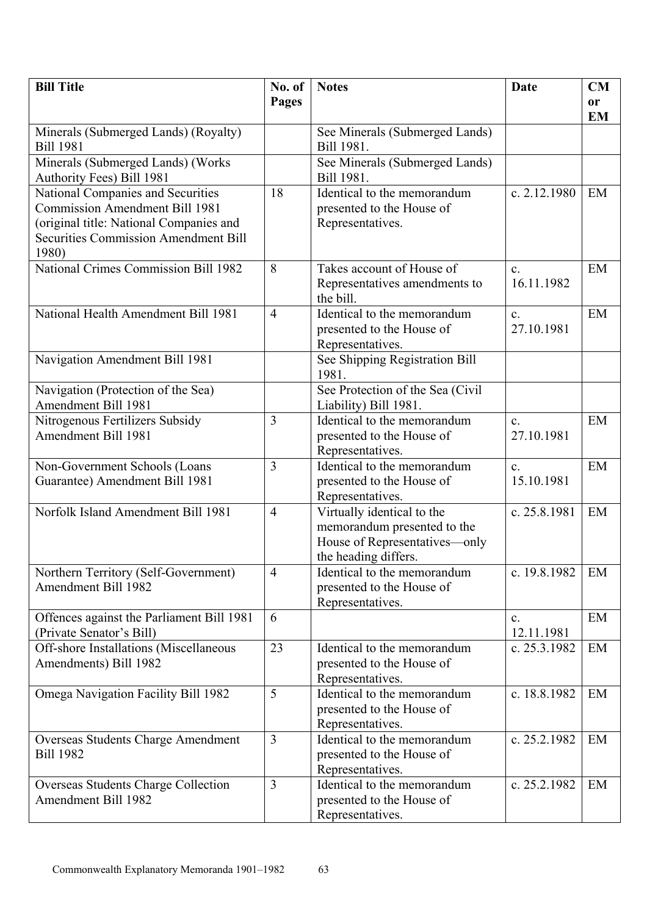| <b>Bill Title</b>                                                                      | No. of         | <b>Notes</b>                                              | Date           | CM        |
|----------------------------------------------------------------------------------------|----------------|-----------------------------------------------------------|----------------|-----------|
|                                                                                        | Pages          |                                                           |                | or        |
|                                                                                        |                |                                                           |                | <b>EM</b> |
| Minerals (Submerged Lands) (Royalty)                                                   |                | See Minerals (Submerged Lands)                            |                |           |
| <b>Bill 1981</b>                                                                       |                | Bill 1981.                                                |                |           |
| Minerals (Submerged Lands) (Works                                                      |                | See Minerals (Submerged Lands)                            |                |           |
| Authority Fees) Bill 1981                                                              |                | Bill 1981.                                                |                |           |
| National Companies and Securities                                                      | 18             | Identical to the memorandum                               | c. $2.12.1980$ | EM        |
| <b>Commission Amendment Bill 1981</b>                                                  |                | presented to the House of                                 |                |           |
| (original title: National Companies and<br><b>Securities Commission Amendment Bill</b> |                | Representatives.                                          |                |           |
| 1980)                                                                                  |                |                                                           |                |           |
| <b>National Crimes Commission Bill 1982</b>                                            | 8              | Takes account of House of                                 | $\mathbf{c}$ . | EM        |
|                                                                                        |                | Representatives amendments to                             | 16.11.1982     |           |
|                                                                                        |                | the bill.                                                 |                |           |
| National Health Amendment Bill 1981                                                    | $\overline{4}$ | Identical to the memorandum                               | $\mathbf{c}$ . | EM        |
|                                                                                        |                | presented to the House of                                 | 27.10.1981     |           |
|                                                                                        |                | Representatives.                                          |                |           |
| Navigation Amendment Bill 1981                                                         |                | See Shipping Registration Bill                            |                |           |
|                                                                                        |                | 1981.                                                     |                |           |
| Navigation (Protection of the Sea)                                                     |                | See Protection of the Sea (Civil                          |                |           |
| Amendment Bill 1981                                                                    |                | Liability) Bill 1981.                                     |                |           |
| Nitrogenous Fertilizers Subsidy                                                        | $\overline{3}$ | Identical to the memorandum                               | $\mathbf{c}$ . | EM        |
| Amendment Bill 1981                                                                    |                | presented to the House of                                 | 27.10.1981     |           |
|                                                                                        |                | Representatives.                                          |                |           |
| Non-Government Schools (Loans                                                          | $\overline{3}$ | Identical to the memorandum                               | $\mathbf{c}$ . | EM        |
| Guarantee) Amendment Bill 1981                                                         |                | presented to the House of                                 | 15.10.1981     |           |
| Norfolk Island Amendment Bill 1981                                                     | $\overline{4}$ | Representatives.                                          | c. 25.8.1981   | EM        |
|                                                                                        |                | Virtually identical to the<br>memorandum presented to the |                |           |
|                                                                                        |                | House of Representatives-only                             |                |           |
|                                                                                        |                | the heading differs.                                      |                |           |
| Northern Territory (Self-Government)                                                   | $\overline{4}$ | Identical to the memorandum                               | c. 19.8.1982   | EM        |
| Amendment Bill 1982                                                                    |                | presented to the House of                                 |                |           |
|                                                                                        |                | Representatives.                                          |                |           |
| Offences against the Parliament Bill 1981                                              | 6              |                                                           | $\mathbf{c}$ . | EM        |
| (Private Senator's Bill)                                                               |                |                                                           | 12.11.1981     |           |
| Off-shore Installations (Miscellaneous                                                 | 23             | Identical to the memorandum                               | c. 25.3.1982   | EM        |
| Amendments) Bill 1982                                                                  |                | presented to the House of                                 |                |           |
|                                                                                        |                | Representatives.                                          |                |           |
| Omega Navigation Facility Bill 1982                                                    | 5              | Identical to the memorandum                               | c. 18.8.1982   | EM        |
|                                                                                        |                | presented to the House of                                 |                |           |
| Overseas Students Charge Amendment                                                     | $\overline{3}$ | Representatives.<br>Identical to the memorandum           | c. 25.2.1982   | EM        |
| <b>Bill 1982</b>                                                                       |                | presented to the House of                                 |                |           |
|                                                                                        |                | Representatives.                                          |                |           |
| Overseas Students Charge Collection                                                    | $\overline{3}$ | Identical to the memorandum                               | c. 25.2.1982   | EM        |
| Amendment Bill 1982                                                                    |                | presented to the House of                                 |                |           |
|                                                                                        |                | Representatives.                                          |                |           |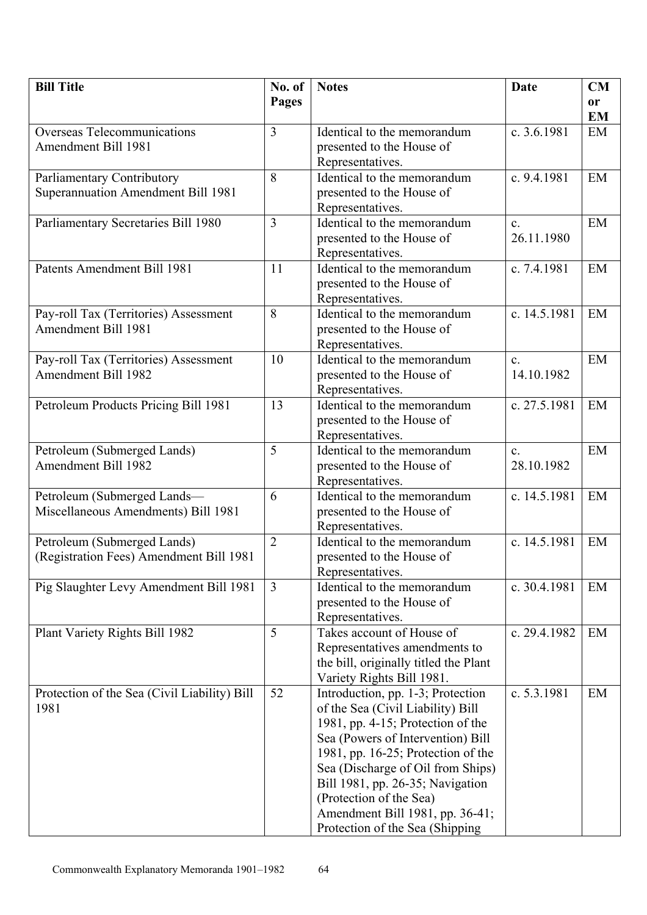| <b>Bill Title</b>                            | No. of         | <b>Notes</b>                                    | Date           | CM        |
|----------------------------------------------|----------------|-------------------------------------------------|----------------|-----------|
|                                              | Pages          |                                                 |                | or        |
|                                              |                |                                                 |                | <b>EM</b> |
| <b>Overseas Telecommunications</b>           | $\overline{3}$ | Identical to the memorandum                     | c. 3.6.1981    | EM        |
| Amendment Bill 1981                          |                | presented to the House of                       |                |           |
|                                              |                | Representatives.                                |                |           |
| Parliamentary Contributory                   | 8              | Identical to the memorandum                     | c. 9.4.1981    | EM        |
| Superannuation Amendment Bill 1981           |                | presented to the House of                       |                |           |
|                                              |                | Representatives.                                |                |           |
| Parliamentary Secretaries Bill 1980          | 3              | Identical to the memorandum                     | $\mathbf{c}$ . | EM        |
|                                              |                | presented to the House of                       | 26.11.1980     |           |
|                                              |                | Representatives.                                |                |           |
| Patents Amendment Bill 1981                  | 11             | Identical to the memorandum                     | c. 7.4.1981    | EM        |
|                                              |                | presented to the House of<br>Representatives.   |                |           |
| Pay-roll Tax (Territories) Assessment        | 8              | Identical to the memorandum                     | c. 14.5.1981   | EM        |
| Amendment Bill 1981                          |                | presented to the House of                       |                |           |
|                                              |                | Representatives.                                |                |           |
| Pay-roll Tax (Territories) Assessment        | 10             | Identical to the memorandum                     | $\mathbf{c}$ . | EM        |
| Amendment Bill 1982                          |                | presented to the House of                       | 14.10.1982     |           |
|                                              |                | Representatives.                                |                |           |
| Petroleum Products Pricing Bill 1981         | 13             | Identical to the memorandum                     | c. 27.5.1981   | EM        |
|                                              |                | presented to the House of                       |                |           |
|                                              |                | Representatives.                                |                |           |
| Petroleum (Submerged Lands)                  | 5              | Identical to the memorandum                     | $\mathbf{c}$ . | EM        |
| Amendment Bill 1982                          |                | presented to the House of                       | 28.10.1982     |           |
|                                              |                | Representatives.                                |                |           |
| Petroleum (Submerged Lands-                  | 6              | Identical to the memorandum                     | c. 14.5.1981   | EM        |
| Miscellaneous Amendments) Bill 1981          |                | presented to the House of                       |                |           |
|                                              |                | Representatives.                                |                |           |
| Petroleum (Submerged Lands)                  | $\overline{2}$ | Identical to the memorandum                     | c. 14.5.1981   | EM        |
| (Registration Fees) Amendment Bill 1981      |                | presented to the House of                       |                |           |
| Pig Slaughter Levy Amendment Bill 1981       | $\overline{3}$ | Representatives.<br>Identical to the memorandum | c. 30.4.1981   | EM        |
|                                              |                | presented to the House of                       |                |           |
|                                              |                | Representatives.                                |                |           |
| Plant Variety Rights Bill 1982               | 5              | Takes account of House of                       | c. 29.4.1982   | EM        |
|                                              |                | Representatives amendments to                   |                |           |
|                                              |                | the bill, originally titled the Plant           |                |           |
|                                              |                | Variety Rights Bill 1981.                       |                |           |
| Protection of the Sea (Civil Liability) Bill | 52             | Introduction, pp. 1-3; Protection               | c. 5.3.1981    | EM        |
| 1981                                         |                | of the Sea (Civil Liability) Bill               |                |           |
|                                              |                | 1981, pp. 4-15; Protection of the               |                |           |
|                                              |                | Sea (Powers of Intervention) Bill               |                |           |
|                                              |                | 1981, pp. 16-25; Protection of the              |                |           |
|                                              |                | Sea (Discharge of Oil from Ships)               |                |           |
|                                              |                | Bill 1981, pp. 26-35; Navigation                |                |           |
|                                              |                | (Protection of the Sea)                         |                |           |
|                                              |                | Amendment Bill 1981, pp. 36-41;                 |                |           |
|                                              |                | Protection of the Sea (Shipping)                |                |           |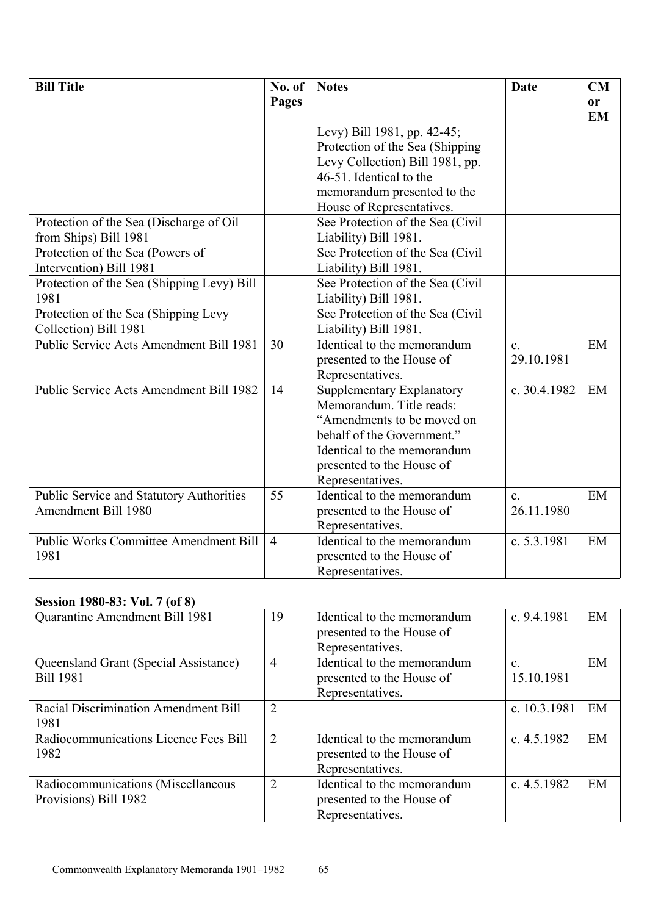| <b>Bill Title</b>                               | No. of         | <b>Notes</b>                     | <b>Date</b>    | <b>CM</b>              |
|-------------------------------------------------|----------------|----------------------------------|----------------|------------------------|
|                                                 | Pages          |                                  |                | <b>or</b><br><b>EM</b> |
|                                                 |                | Levy) Bill 1981, pp. 42-45;      |                |                        |
|                                                 |                | Protection of the Sea (Shipping  |                |                        |
|                                                 |                | Levy Collection) Bill 1981, pp.  |                |                        |
|                                                 |                | 46-51. Identical to the          |                |                        |
|                                                 |                | memorandum presented to the      |                |                        |
|                                                 |                | House of Representatives.        |                |                        |
| Protection of the Sea (Discharge of Oil)        |                | See Protection of the Sea (Civil |                |                        |
| from Ships) Bill 1981                           |                | Liability) Bill 1981.            |                |                        |
| Protection of the Sea (Powers of                |                | See Protection of the Sea (Civil |                |                        |
| Intervention) Bill 1981                         |                | Liability) Bill 1981.            |                |                        |
| Protection of the Sea (Shipping Levy) Bill      |                | See Protection of the Sea (Civil |                |                        |
| 1981                                            |                | Liability) Bill 1981.            |                |                        |
| Protection of the Sea (Shipping Levy            |                | See Protection of the Sea (Civil |                |                        |
| Collection) Bill 1981                           |                | Liability) Bill 1981.            |                |                        |
| Public Service Acts Amendment Bill 1981         | 30             | Identical to the memorandum      | $\mathbf{c}$ . | EM                     |
|                                                 |                | presented to the House of        | 29.10.1981     |                        |
|                                                 |                | Representatives.                 |                |                        |
| Public Service Acts Amendment Bill 1982         | 14             | Supplementary Explanatory        | c. 30.4.1982   | EM                     |
|                                                 |                | Memorandum. Title reads:         |                |                        |
|                                                 |                | "Amendments to be moved on       |                |                        |
|                                                 |                | behalf of the Government."       |                |                        |
|                                                 |                | Identical to the memorandum      |                |                        |
|                                                 |                | presented to the House of        |                |                        |
|                                                 |                | Representatives.                 |                |                        |
| <b>Public Service and Statutory Authorities</b> | 55             | Identical to the memorandum      | $\mathbf{c}$ . | EM                     |
| Amendment Bill 1980                             |                | presented to the House of        | 26.11.1980     |                        |
|                                                 |                | Representatives.                 |                |                        |
| <b>Public Works Committee Amendment Bill</b>    | $\overline{4}$ | Identical to the memorandum      | c. 5.3.1981    | EM                     |
| 1981                                            |                | presented to the House of        |                |                        |
|                                                 |                | Representatives.                 |                |                        |

# **Session 1980-83: Vol. 7 (of 8)**

| Quarantine Amendment Bill 1981                              | 19             | Identical to the memorandum<br>presented to the House of<br>Representatives. | c. $9.4.1981$                | EM |
|-------------------------------------------------------------|----------------|------------------------------------------------------------------------------|------------------------------|----|
| Queensland Grant (Special Assistance)<br><b>Bill 1981</b>   | $\overline{4}$ | Identical to the memorandum<br>presented to the House of<br>Representatives. | $\mathbf{c}$ .<br>15.10.1981 | EM |
| Racial Discrimination Amendment Bill<br>1981                | $\overline{2}$ |                                                                              | c. 10.3.1981                 | EM |
| Radiocommunications Licence Fees Bill<br>1982               | $\overline{2}$ | Identical to the memorandum<br>presented to the House of<br>Representatives. | c. $4.5.1982$                | EM |
| Radiocommunications (Miscellaneous<br>Provisions) Bill 1982 | $\overline{2}$ | Identical to the memorandum<br>presented to the House of<br>Representatives. | c. $4.5.1982$                | EM |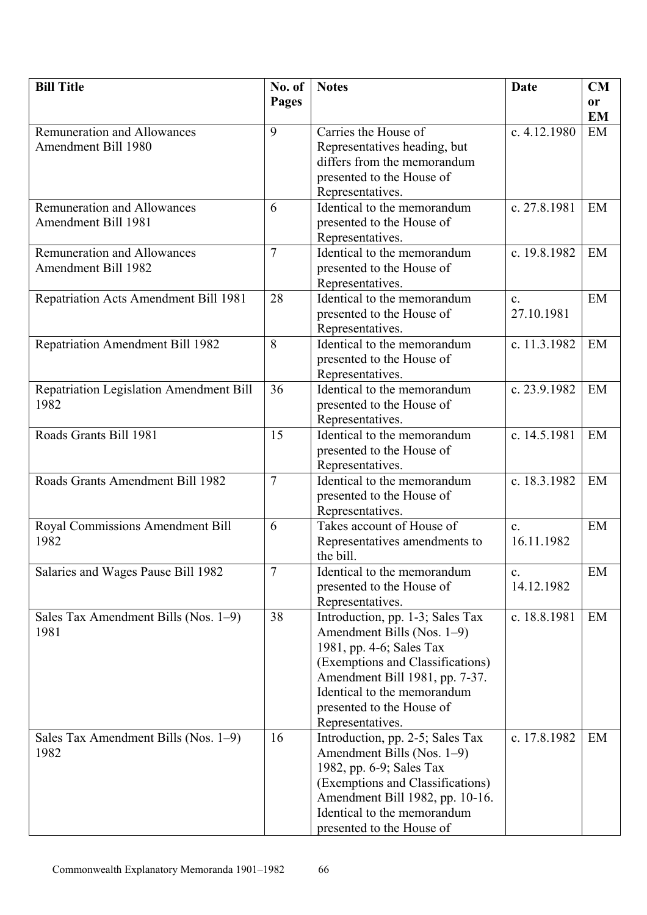| <b>Bill Title</b>                        | No. of         | <b>Notes</b>                                  | Date                         | CM            |
|------------------------------------------|----------------|-----------------------------------------------|------------------------------|---------------|
|                                          | <b>Pages</b>   |                                               |                              | <sub>or</sub> |
|                                          |                |                                               |                              | <b>EM</b>     |
| <b>Remuneration and Allowances</b>       | 9              | Carries the House of                          | c. $4.12.1980$               | EM            |
| <b>Amendment Bill 1980</b>               |                | Representatives heading, but                  |                              |               |
|                                          |                | differs from the memorandum                   |                              |               |
|                                          |                | presented to the House of                     |                              |               |
|                                          |                | Representatives.                              |                              |               |
| <b>Remuneration and Allowances</b>       | 6              | Identical to the memorandum                   | c. 27.8.1981                 | EM            |
| Amendment Bill 1981                      |                | presented to the House of                     |                              |               |
|                                          |                | Representatives.                              |                              |               |
| <b>Remuneration and Allowances</b>       | $\tau$         | Identical to the memorandum                   | c. 19.8.1982                 | EM            |
| Amendment Bill 1982                      |                | presented to the House of                     |                              |               |
|                                          |                | Representatives.                              |                              |               |
| Repatriation Acts Amendment Bill 1981    | 28             | Identical to the memorandum                   | $\mathbf{c}$ .               | EM            |
|                                          |                | presented to the House of                     | 27.10.1981                   |               |
|                                          |                | Representatives.                              |                              |               |
| Repatriation Amendment Bill 1982         | 8              | Identical to the memorandum                   | c. 11.3.1982                 | EM            |
|                                          |                | presented to the House of                     |                              |               |
|                                          |                | Representatives.                              |                              |               |
| Repatriation Legislation Amendment Bill  | 36             | Identical to the memorandum                   | c. 23.9.1982                 | EM            |
| 1982                                     |                | presented to the House of                     |                              |               |
|                                          |                | Representatives.                              |                              |               |
| Roads Grants Bill 1981                   | 15             | Identical to the memorandum                   | c. 14.5.1981                 | EM            |
|                                          |                | presented to the House of                     |                              |               |
|                                          |                | Representatives.                              |                              |               |
| Roads Grants Amendment Bill 1982         | $\overline{7}$ | Identical to the memorandum                   | c. 18.3.1982                 | EM            |
|                                          |                | presented to the House of                     |                              |               |
|                                          | 6              | Representatives.<br>Takes account of House of |                              | EM            |
| Royal Commissions Amendment Bill<br>1982 |                |                                               | $\mathbf{c}$ .<br>16.11.1982 |               |
|                                          |                | Representatives amendments to<br>the bill.    |                              |               |
| Salaries and Wages Pause Bill 1982       | $\overline{7}$ | Identical to the memorandum                   | $\mathbf{c}$ .               | EM            |
|                                          |                | presented to the House of                     | 14.12.1982                   |               |
|                                          |                | Representatives.                              |                              |               |
| Sales Tax Amendment Bills (Nos. 1-9)     | 38             | Introduction, pp. 1-3; Sales Tax              | c. 18.8.1981                 | EM            |
| 1981                                     |                | Amendment Bills (Nos. 1-9)                    |                              |               |
|                                          |                | 1981, pp. 4-6; Sales Tax                      |                              |               |
|                                          |                | (Exemptions and Classifications)              |                              |               |
|                                          |                | Amendment Bill 1981, pp. 7-37.                |                              |               |
|                                          |                | Identical to the memorandum                   |                              |               |
|                                          |                | presented to the House of                     |                              |               |
|                                          |                | Representatives.                              |                              |               |
| Sales Tax Amendment Bills (Nos. 1–9)     | 16             | Introduction, pp. 2-5; Sales Tax              | c. 17.8.1982                 | EM            |
| 1982                                     |                | Amendment Bills (Nos. 1–9)                    |                              |               |
|                                          |                | 1982, pp. 6-9; Sales Tax                      |                              |               |
|                                          |                | (Exemptions and Classifications)              |                              |               |
|                                          |                | Amendment Bill 1982, pp. 10-16.               |                              |               |
|                                          |                | Identical to the memorandum                   |                              |               |
|                                          |                | presented to the House of                     |                              |               |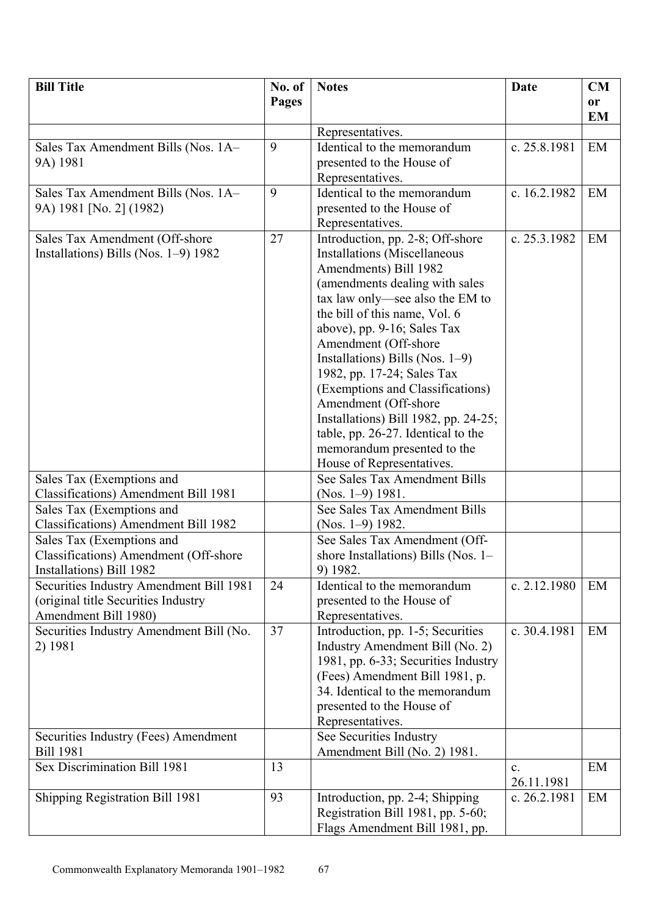| <b>Bill Title</b>                       | No. of       | <b>Notes</b>                                             | Date         | <b>CM</b> |
|-----------------------------------------|--------------|----------------------------------------------------------|--------------|-----------|
|                                         | <b>Pages</b> |                                                          |              | <b>or</b> |
|                                         |              |                                                          |              | <b>EM</b> |
|                                         |              | Representatives.                                         |              |           |
| Sales Tax Amendment Bills (Nos. 1A-     | 9            | Identical to the memorandum                              | c. 25.8.1981 | EM        |
| 9A) 1981                                |              | presented to the House of                                |              |           |
|                                         |              | Representatives.                                         |              |           |
| Sales Tax Amendment Bills (Nos. 1A-     | 9            | Identical to the memorandum                              | c. 16.2.1982 | EM        |
| 9A) 1981 [No. 2] (1982)                 |              | presented to the House of                                |              |           |
|                                         |              | Representatives.                                         |              |           |
| Sales Tax Amendment (Off-shore          | 27           | Introduction, pp. 2-8; Off-shore                         | c. 25.3.1982 | EM        |
| Installations) Bills (Nos. 1–9) 1982    |              | <b>Installations</b> (Miscellaneous                      |              |           |
|                                         |              | Amendments) Bill 1982                                    |              |           |
|                                         |              | (amendments dealing with sales                           |              |           |
|                                         |              | tax law only—see also the EM to                          |              |           |
|                                         |              | the bill of this name, Vol. 6                            |              |           |
|                                         |              | above), pp. 9-16; Sales Tax                              |              |           |
|                                         |              | Amendment (Off-shore                                     |              |           |
|                                         |              | Installations) Bills (Nos. $1-9$ )                       |              |           |
|                                         |              | 1982, pp. 17-24; Sales Tax                               |              |           |
|                                         |              | (Exemptions and Classifications)                         |              |           |
|                                         |              | Amendment (Off-shore                                     |              |           |
|                                         |              | Installations) Bill 1982, pp. 24-25;                     |              |           |
|                                         |              | table, pp. 26-27. Identical to the                       |              |           |
|                                         |              | memorandum presented to the<br>House of Representatives. |              |           |
| Sales Tax (Exemptions and               |              | See Sales Tax Amendment Bills                            |              |           |
| Classifications) Amendment Bill 1981    |              | $(Nos. 1-9)$ 1981.                                       |              |           |
| Sales Tax (Exemptions and               |              | See Sales Tax Amendment Bills                            |              |           |
| Classifications) Amendment Bill 1982    |              | (Nos. $1-9$ ) 1982.                                      |              |           |
| Sales Tax (Exemptions and               |              | See Sales Tax Amendment (Off-                            |              |           |
| Classifications) Amendment (Off-shore   |              | shore Installations) Bills (Nos. 1–                      |              |           |
| Installations) Bill 1982                |              | 9) 1982.                                                 |              |           |
| Securities Industry Amendment Bill 1981 | 24           | Identical to the memorandum                              | c. 2.12.1980 | EM        |
| (original title Securities Industry     |              | presented to the House of                                |              |           |
| Amendment Bill 1980)                    |              | Representatives.                                         |              |           |
| Securities Industry Amendment Bill (No. | 37           | Introduction, pp. 1-5; Securities                        | c. 30.4.1981 | EM        |
| 2) 1981                                 |              | Industry Amendment Bill (No. 2)                          |              |           |
|                                         |              | 1981, pp. 6-33; Securities Industry                      |              |           |
|                                         |              | (Fees) Amendment Bill 1981, p.                           |              |           |
|                                         |              | 34. Identical to the memorandum                          |              |           |
|                                         |              | presented to the House of                                |              |           |
|                                         |              | Representatives.                                         |              |           |
| Securities Industry (Fees) Amendment    |              | See Securities Industry                                  |              |           |
| <b>Bill 1981</b>                        |              | Amendment Bill (No. 2) 1981.                             |              |           |
| Sex Discrimination Bill 1981            | 13           |                                                          | c.           | EM        |
|                                         |              |                                                          | 26.11.1981   |           |
| Shipping Registration Bill 1981         | 93           | Introduction, pp. 2-4; Shipping                          | c. 26.2.1981 | EM        |
|                                         |              | Registration Bill 1981, pp. 5-60;                        |              |           |
|                                         |              | Flags Amendment Bill 1981, pp.                           |              |           |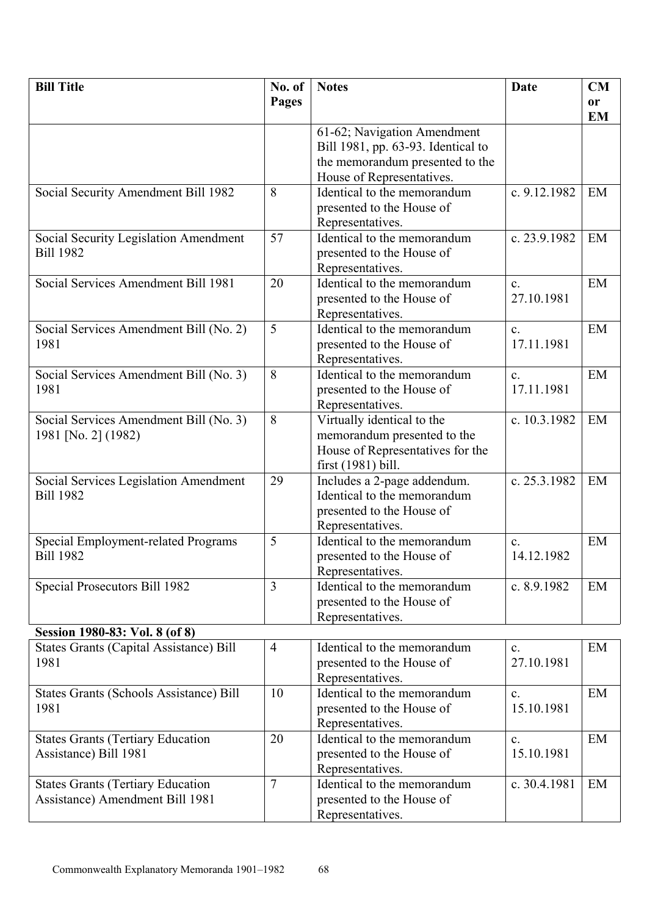| <b>Bill Title</b>                              | No. of         | <b>Notes</b>                       | Date           | CM        |
|------------------------------------------------|----------------|------------------------------------|----------------|-----------|
|                                                | Pages          |                                    |                | or        |
|                                                |                |                                    |                | <b>EM</b> |
|                                                |                | 61-62; Navigation Amendment        |                |           |
|                                                |                | Bill 1981, pp. 63-93. Identical to |                |           |
|                                                |                | the memorandum presented to the    |                |           |
|                                                |                | House of Representatives.          |                |           |
| Social Security Amendment Bill 1982            | 8              | Identical to the memorandum        | c. 9.12.1982   | EM        |
|                                                |                | presented to the House of          |                |           |
|                                                |                | Representatives.                   |                |           |
| Social Security Legislation Amendment          | 57             | Identical to the memorandum        | c. 23.9.1982   | EM        |
| <b>Bill 1982</b>                               |                | presented to the House of          |                |           |
|                                                |                | Representatives.                   |                |           |
| Social Services Amendment Bill 1981            | 20             | Identical to the memorandum        | $\mathbf{c}$ . | EM        |
|                                                |                | presented to the House of          | 27.10.1981     |           |
|                                                |                | Representatives.                   |                |           |
| Social Services Amendment Bill (No. 2)         | 5              | Identical to the memorandum        | $\mathbf{c}$ . | EM        |
| 1981                                           |                | presented to the House of          | 17.11.1981     |           |
|                                                |                | Representatives.                   |                |           |
| Social Services Amendment Bill (No. 3)         | 8              | Identical to the memorandum        | $\mathbf{c}$ . | EM        |
| 1981                                           |                | presented to the House of          | 17.11.1981     |           |
|                                                |                | Representatives.                   |                |           |
| Social Services Amendment Bill (No. 3)         | 8              | Virtually identical to the         | c. 10.3.1982   | EM        |
| 1981 [No. 2] (1982)                            |                | memorandum presented to the        |                |           |
|                                                |                | House of Representatives for the   |                |           |
|                                                |                | first $(1981)$ bill.               |                |           |
| Social Services Legislation Amendment          | 29             | Includes a 2-page addendum.        | c. 25.3.1982   | EM        |
| <b>Bill 1982</b>                               |                | Identical to the memorandum        |                |           |
|                                                |                | presented to the House of          |                |           |
|                                                |                | Representatives.                   |                |           |
| <b>Special Employment-related Programs</b>     | 5              | Identical to the memorandum        | $\mathbf{c}$ . | EM        |
| <b>Bill 1982</b>                               |                | presented to the House of          | 14.12.1982     |           |
|                                                |                | Representatives.                   |                |           |
| Special Prosecutors Bill 1982                  | $\overline{3}$ | Identical to the memorandum        | c. 8.9.1982    | EM        |
|                                                |                | presented to the House of          |                |           |
|                                                |                | Representatives.                   |                |           |
| Session 1980-83: Vol. 8 (of 8)                 |                |                                    |                |           |
| States Grants (Capital Assistance) Bill        | $\overline{4}$ | Identical to the memorandum        | $\mathbf{c}$ . | EM        |
| 1981                                           |                | presented to the House of          | 27.10.1981     |           |
|                                                |                | Representatives.                   |                |           |
| <b>States Grants (Schools Assistance) Bill</b> | 10             | Identical to the memorandum        | $\mathbf{c}$ . | EM        |
| 1981                                           |                | presented to the House of          | 15.10.1981     |           |
|                                                |                | Representatives.                   |                |           |
| <b>States Grants (Tertiary Education</b>       | 20             | Identical to the memorandum        | $\mathbf{c}$ . | EM        |
| Assistance) Bill 1981                          |                | presented to the House of          | 15.10.1981     |           |
|                                                |                | Representatives.                   |                |           |
| <b>States Grants (Tertiary Education</b>       | $\overline{7}$ | Identical to the memorandum        | c. 30.4.1981   | EM        |
| Assistance) Amendment Bill 1981                |                | presented to the House of          |                |           |
|                                                |                | Representatives.                   |                |           |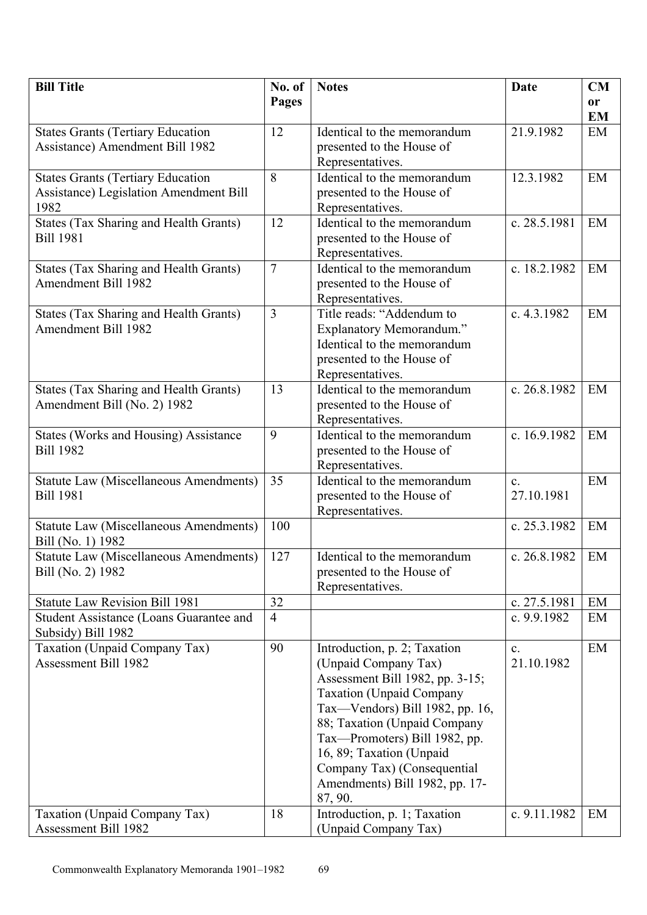| <b>Bill Title</b>                                                    | No. of         | <b>Notes</b>                                  | Date                         | CM        |
|----------------------------------------------------------------------|----------------|-----------------------------------------------|------------------------------|-----------|
|                                                                      | Pages          |                                               |                              | or        |
|                                                                      |                |                                               |                              | <b>EM</b> |
| <b>States Grants (Tertiary Education</b>                             | 12             | Identical to the memorandum                   | 21.9.1982                    | EM        |
| <b>Assistance)</b> Amendment Bill 1982                               |                | presented to the House of                     |                              |           |
|                                                                      |                | Representatives.                              |                              |           |
| <b>States Grants (Tertiary Education</b>                             | 8              | Identical to the memorandum                   | 12.3.1982                    | EM        |
| Assistance) Legislation Amendment Bill                               |                | presented to the House of                     |                              |           |
| 1982                                                                 |                | Representatives.                              |                              |           |
| <b>States (Tax Sharing and Health Grants)</b>                        | 12             | Identical to the memorandum                   | c. 28.5.1981                 | EM        |
| <b>Bill 1981</b>                                                     |                | presented to the House of                     |                              |           |
|                                                                      |                | Representatives.                              |                              |           |
| <b>States (Tax Sharing and Health Grants)</b>                        | $\overline{7}$ | Identical to the memorandum                   | c. 18.2.1982                 | EM        |
| <b>Amendment Bill 1982</b>                                           |                | presented to the House of                     |                              |           |
|                                                                      | 3              | Representatives.<br>Title reads: "Addendum to | c. 4.3.1982                  | EM        |
| States (Tax Sharing and Health Grants)<br><b>Amendment Bill 1982</b> |                | <b>Explanatory Memorandum."</b>               |                              |           |
|                                                                      |                | Identical to the memorandum                   |                              |           |
|                                                                      |                | presented to the House of                     |                              |           |
|                                                                      |                | Representatives.                              |                              |           |
| States (Tax Sharing and Health Grants)                               | 13             | Identical to the memorandum                   | c. 26.8.1982                 | EM        |
| Amendment Bill (No. 2) 1982                                          |                | presented to the House of                     |                              |           |
|                                                                      |                | Representatives.                              |                              |           |
| States (Works and Housing) Assistance                                | 9              | Identical to the memorandum                   | c. 16.9.1982                 | EM        |
| <b>Bill 1982</b>                                                     |                | presented to the House of                     |                              |           |
|                                                                      |                | Representatives.                              |                              |           |
| <b>Statute Law (Miscellaneous Amendments)</b>                        | 35             | Identical to the memorandum                   | $\mathbf{c}$ .               | EM        |
| <b>Bill 1981</b>                                                     |                | presented to the House of                     | 27.10.1981                   |           |
|                                                                      |                | Representatives.                              |                              |           |
| <b>Statute Law (Miscellaneous Amendments)</b>                        | 100            |                                               | c. 25.3.1982                 | EM        |
| Bill (No. 1) 1982                                                    |                |                                               |                              |           |
| <b>Statute Law (Miscellaneous Amendments)</b>                        | 127            | Identical to the memorandum                   | c. 26.8.1982                 | EM        |
| Bill (No. 2) 1982                                                    |                | presented to the House of                     |                              |           |
|                                                                      |                | Representatives.                              |                              |           |
| <b>Statute Law Revision Bill 1981</b>                                | 32             |                                               | c. 27.5.1981                 | EM        |
| <b>Student Assistance (Loans Guarantee and</b>                       | $\overline{4}$ |                                               | c. 9.9.1982                  | EM        |
| Subsidy) Bill 1982<br>Taxation (Unpaid Company Tax)                  | 90             | Introduction, p. 2; Taxation                  |                              | EM        |
| <b>Assessment Bill 1982</b>                                          |                | (Unpaid Company Tax)                          | $\mathbf{c}$ .<br>21.10.1982 |           |
|                                                                      |                | Assessment Bill 1982, pp. 3-15;               |                              |           |
|                                                                      |                | <b>Taxation (Unpaid Company</b>               |                              |           |
|                                                                      |                | Tax-Vendors) Bill 1982, pp. 16,               |                              |           |
|                                                                      |                | 88; Taxation (Unpaid Company                  |                              |           |
|                                                                      |                | Tax-Promoters) Bill 1982, pp.                 |                              |           |
|                                                                      |                | 16, 89; Taxation (Unpaid                      |                              |           |
|                                                                      |                | Company Tax) (Consequential                   |                              |           |
|                                                                      |                | Amendments) Bill 1982, pp. 17-                |                              |           |
|                                                                      |                | 87, 90.                                       |                              |           |
| Taxation (Unpaid Company Tax)                                        | 18             | Introduction, p. 1; Taxation                  | c. 9.11.1982                 | EM        |
| Assessment Bill 1982                                                 |                | (Unpaid Company Tax)                          |                              |           |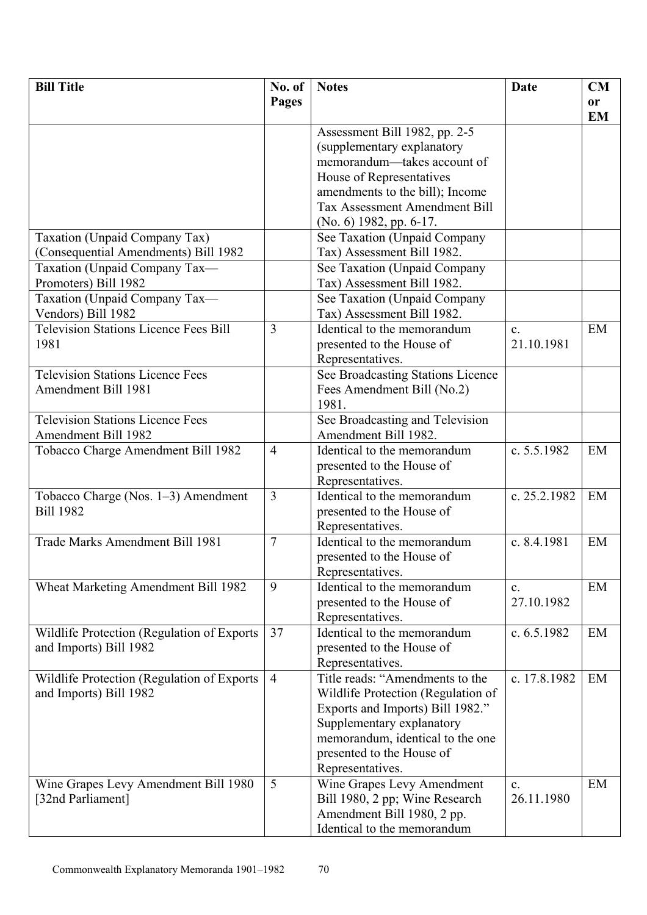| <b>Bill Title</b>                            | No. of         | <b>Notes</b>                         | <b>Date</b>    | <b>CM</b>       |
|----------------------------------------------|----------------|--------------------------------------|----------------|-----------------|
|                                              | <b>Pages</b>   |                                      |                | or<br><b>EM</b> |
|                                              |                | Assessment Bill 1982, pp. 2-5        |                |                 |
|                                              |                | (supplementary explanatory           |                |                 |
|                                              |                | memorandum-takes account of          |                |                 |
|                                              |                | House of Representatives             |                |                 |
|                                              |                | amendments to the bill); Income      |                |                 |
|                                              |                | <b>Tax Assessment Amendment Bill</b> |                |                 |
|                                              |                | $(No. 6)$ 1982, pp. 6-17.            |                |                 |
| Taxation (Unpaid Company Tax)                |                | See Taxation (Unpaid Company         |                |                 |
| (Consequential Amendments) Bill 1982         |                | Tax) Assessment Bill 1982.           |                |                 |
| Taxation (Unpaid Company Tax-                |                | See Taxation (Unpaid Company         |                |                 |
| Promoters) Bill 1982                         |                | Tax) Assessment Bill 1982.           |                |                 |
| Taxation (Unpaid Company Tax-                |                | See Taxation (Unpaid Company         |                |                 |
| Vendors) Bill 1982                           |                | Tax) Assessment Bill 1982.           |                |                 |
| <b>Television Stations Licence Fees Bill</b> | $\overline{3}$ | Identical to the memorandum          | $\mathbf{c}$ . | EM              |
| 1981                                         |                | presented to the House of            | 21.10.1981     |                 |
|                                              |                | Representatives.                     |                |                 |
| <b>Television Stations Licence Fees</b>      |                | See Broadcasting Stations Licence    |                |                 |
| Amendment Bill 1981                          |                | Fees Amendment Bill (No.2)           |                |                 |
|                                              |                | 1981.                                |                |                 |
| <b>Television Stations Licence Fees</b>      |                | See Broadcasting and Television      |                |                 |
| <b>Amendment Bill 1982</b>                   |                | Amendment Bill 1982.                 |                |                 |
| Tobacco Charge Amendment Bill 1982           | $\overline{4}$ | Identical to the memorandum          | c. 5.5.1982    | EM              |
|                                              |                | presented to the House of            |                |                 |
|                                              |                | Representatives.                     |                |                 |
| Tobacco Charge (Nos. 1–3) Amendment          | 3              | Identical to the memorandum          | c. 25.2.1982   | EM              |
| <b>Bill 1982</b>                             |                | presented to the House of            |                |                 |
|                                              |                | Representatives.                     |                |                 |
| Trade Marks Amendment Bill 1981              | 7              | Identical to the memorandum          | c. 8.4.1981    | EM              |
|                                              |                | presented to the House of            |                |                 |
|                                              |                | Representatives.                     |                |                 |
| Wheat Marketing Amendment Bill 1982          | 9              | Identical to the memorandum          | $\mathbf{c}$ . | EM              |
|                                              |                | presented to the House of            | 27.10.1982     |                 |
|                                              |                | Representatives.                     |                |                 |
| Wildlife Protection (Regulation of Exports   | 37             | Identical to the memorandum          | c. 6.5.1982    | EM              |
| and Imports) Bill 1982                       |                | presented to the House of            |                |                 |
|                                              |                | Representatives.                     |                |                 |
| Wildlife Protection (Regulation of Exports)  | $\overline{4}$ | Title reads: "Amendments to the      | c. 17.8.1982   | EM              |
| and Imports) Bill 1982                       |                | Wildlife Protection (Regulation of   |                |                 |
|                                              |                | Exports and Imports) Bill 1982."     |                |                 |
|                                              |                | Supplementary explanatory            |                |                 |
|                                              |                | memorandum, identical to the one     |                |                 |
|                                              |                | presented to the House of            |                |                 |
|                                              |                | Representatives.                     |                |                 |
| Wine Grapes Levy Amendment Bill 1980         | 5              | Wine Grapes Levy Amendment           | $\mathbf{c}$ . | EM              |
| [32nd Parliament]                            |                | Bill 1980, 2 pp; Wine Research       | 26.11.1980     |                 |
|                                              |                | Amendment Bill 1980, 2 pp.           |                |                 |
|                                              |                | Identical to the memorandum          |                |                 |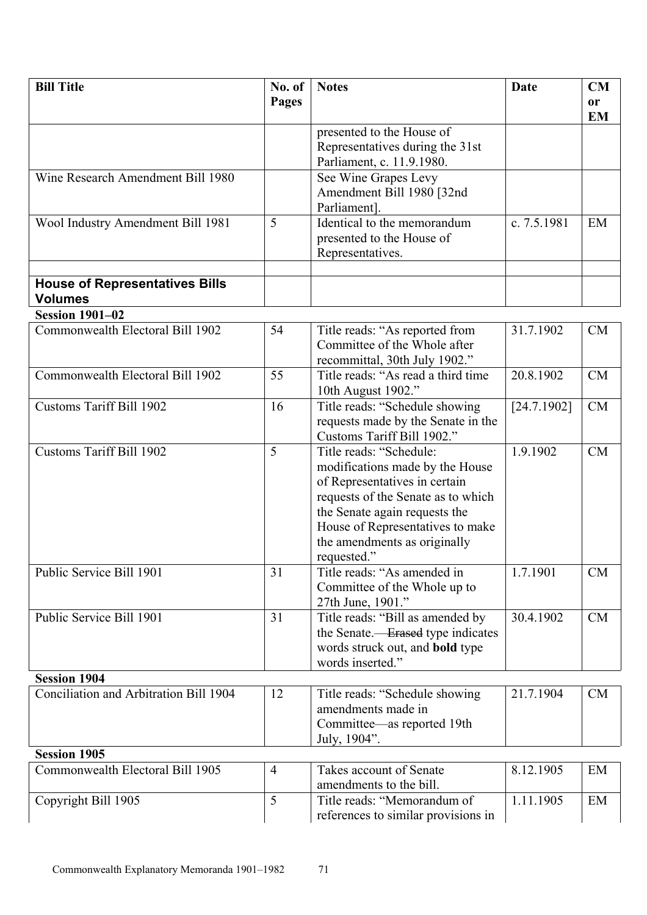| <b>Bill Title</b>                      | No. of         | <b>Notes</b>                                      | Date        | CM        |
|----------------------------------------|----------------|---------------------------------------------------|-------------|-----------|
|                                        | Pages          |                                                   |             | <b>or</b> |
|                                        |                |                                                   |             | <b>EM</b> |
|                                        |                | presented to the House of                         |             |           |
|                                        |                | Representatives during the 31st                   |             |           |
|                                        |                | Parliament, c. 11.9.1980.                         |             |           |
| Wine Research Amendment Bill 1980      |                | See Wine Grapes Levy                              |             |           |
|                                        |                | Amendment Bill 1980 [32nd                         |             |           |
|                                        |                | Parliament].                                      |             |           |
| Wool Industry Amendment Bill 1981      | 5              | Identical to the memorandum                       | c. 7.5.1981 | EM        |
|                                        |                | presented to the House of                         |             |           |
|                                        |                | Representatives.                                  |             |           |
| <b>House of Representatives Bills</b>  |                |                                                   |             |           |
| <b>Volumes</b>                         |                |                                                   |             |           |
| <b>Session 1901-02</b>                 |                |                                                   |             |           |
| Commonwealth Electoral Bill 1902       | 54             | Title reads: "As reported from                    | 31.7.1902   | CM        |
|                                        |                | Committee of the Whole after                      |             |           |
|                                        |                | recommittal, 30th July 1902."                     |             |           |
| Commonwealth Electoral Bill 1902       | 55             | Title reads: "As read a third time"               | 20.8.1902   | CM        |
|                                        |                | 10th August 1902."                                |             |           |
| <b>Customs Tariff Bill 1902</b>        | 16             | Title reads: "Schedule showing                    | [24.7.1902] | CM        |
|                                        |                | requests made by the Senate in the                |             |           |
|                                        |                | Customs Tariff Bill 1902."                        |             |           |
| <b>Customs Tariff Bill 1902</b>        | 5              | Title reads: "Schedule:                           | 1.9.1902    | CM        |
|                                        |                | modifications made by the House                   |             |           |
|                                        |                | of Representatives in certain                     |             |           |
|                                        |                | requests of the Senate as to which                |             |           |
|                                        |                | the Senate again requests the                     |             |           |
|                                        |                | House of Representatives to make                  |             |           |
|                                        |                | the amendments as originally                      |             |           |
| Public Service Bill 1901               | 31             | requested."                                       | 1.7.1901    |           |
|                                        |                | Title reads: "As amended in                       |             | CM        |
|                                        |                | Committee of the Whole up to<br>27th June, 1901." |             |           |
| Public Service Bill 1901               | 31             | Title reads: "Bill as amended by                  | 30.4.1902   | CM        |
|                                        |                | the Senate.— <del>Erased</del> type indicates     |             |           |
|                                        |                | words struck out, and <b>bold</b> type            |             |           |
|                                        |                | words inserted."                                  |             |           |
| <b>Session 1904</b>                    |                |                                                   |             |           |
| Conciliation and Arbitration Bill 1904 | 12             | Title reads: "Schedule showing                    | 21.7.1904   | CM        |
|                                        |                | amendments made in                                |             |           |
|                                        |                | Committee—as reported 19th                        |             |           |
|                                        |                | July, 1904".                                      |             |           |
| <b>Session 1905</b>                    |                |                                                   |             |           |
| Commonwealth Electoral Bill 1905       | $\overline{4}$ | Takes account of Senate                           | 8.12.1905   | EM        |
|                                        |                | amendments to the bill.                           |             |           |
| Copyright Bill 1905                    | 5              | Title reads: "Memorandum of                       | 1.11.1905   | EM        |
|                                        |                | references to similar provisions in               |             |           |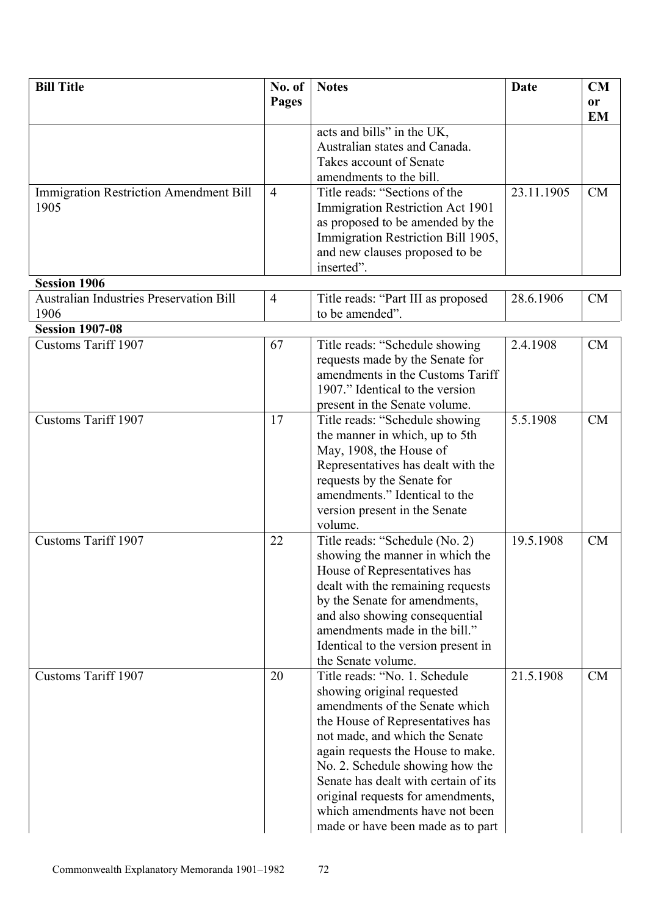| <b>Bill Title</b>                              | No. of         | <b>Notes</b>                         | <b>Date</b> | <b>CM</b> |
|------------------------------------------------|----------------|--------------------------------------|-------------|-----------|
|                                                | Pages          |                                      |             | <b>or</b> |
|                                                |                |                                      |             | <b>EM</b> |
|                                                |                | acts and bills" in the UK,           |             |           |
|                                                |                | Australian states and Canada.        |             |           |
|                                                |                | Takes account of Senate              |             |           |
|                                                |                | amendments to the bill.              |             |           |
| <b>Immigration Restriction Amendment Bill</b>  | $\overline{4}$ | Title reads: "Sections of the        | 23.11.1905  | <b>CM</b> |
| 1905                                           |                | Immigration Restriction Act 1901     |             |           |
|                                                |                | as proposed to be amended by the     |             |           |
|                                                |                | Immigration Restriction Bill 1905,   |             |           |
|                                                |                | and new clauses proposed to be       |             |           |
|                                                |                | inserted".                           |             |           |
| <b>Session 1906</b>                            |                |                                      |             |           |
| <b>Australian Industries Preservation Bill</b> | $\overline{4}$ | Title reads: "Part III as proposed   | 28.6.1906   | <b>CM</b> |
| 1906                                           |                | to be amended".                      |             |           |
| <b>Session 1907-08</b>                         |                |                                      |             |           |
| <b>Customs Tariff 1907</b>                     | 67             | Title reads: "Schedule showing       | 2.4.1908    | CM        |
|                                                |                | requests made by the Senate for      |             |           |
|                                                |                | amendments in the Customs Tariff     |             |           |
|                                                |                | 1907." Identical to the version      |             |           |
|                                                |                |                                      |             |           |
| <b>Customs Tariff 1907</b>                     | 17             | present in the Senate volume.        | 5.5.1908    | CM        |
|                                                |                | Title reads: "Schedule showing       |             |           |
|                                                |                | the manner in which, up to 5th       |             |           |
|                                                |                | May, 1908, the House of              |             |           |
|                                                |                | Representatives has dealt with the   |             |           |
|                                                |                | requests by the Senate for           |             |           |
|                                                |                | amendments." Identical to the        |             |           |
|                                                |                | version present in the Senate        |             |           |
|                                                |                | volume.                              |             |           |
| <b>Customs Tariff 1907</b>                     | 22             | Title reads: "Schedule (No. 2)       | 19.5.1908   | CM        |
|                                                |                | showing the manner in which the      |             |           |
|                                                |                | House of Representatives has         |             |           |
|                                                |                | dealt with the remaining requests    |             |           |
|                                                |                | by the Senate for amendments,        |             |           |
|                                                |                | and also showing consequential       |             |           |
|                                                |                | amendments made in the bill."        |             |           |
|                                                |                | Identical to the version present in  |             |           |
|                                                |                | the Senate volume.                   |             |           |
| <b>Customs Tariff 1907</b>                     | 20             | Title reads: "No. 1. Schedule        | 21.5.1908   | <b>CM</b> |
|                                                |                | showing original requested           |             |           |
|                                                |                | amendments of the Senate which       |             |           |
|                                                |                | the House of Representatives has     |             |           |
|                                                |                | not made, and which the Senate       |             |           |
|                                                |                | again requests the House to make.    |             |           |
|                                                |                | No. 2. Schedule showing how the      |             |           |
|                                                |                | Senate has dealt with certain of its |             |           |
|                                                |                | original requests for amendments,    |             |           |
|                                                |                | which amendments have not been       |             |           |
|                                                |                | made or have been made as to part    |             |           |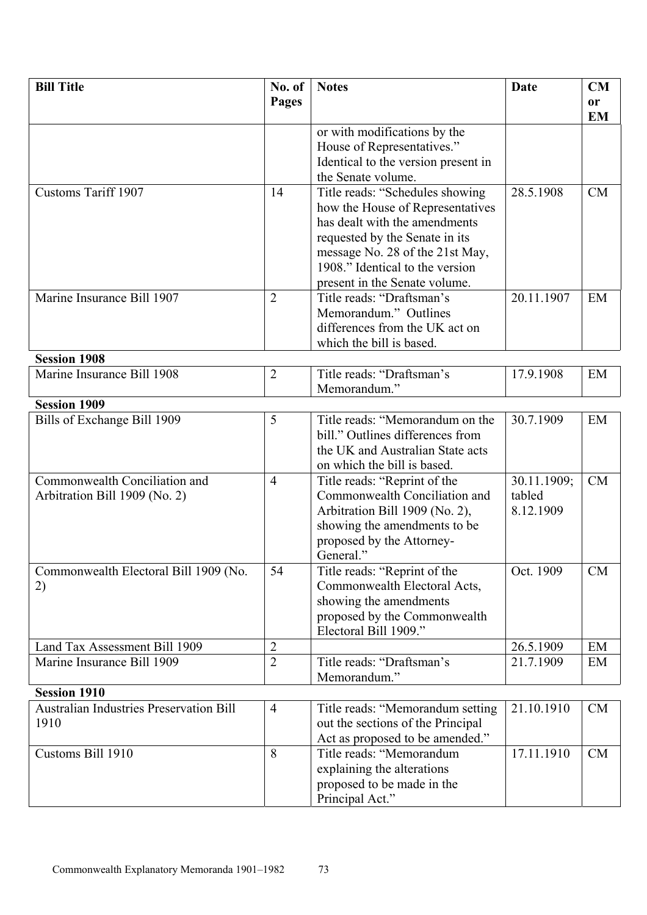| <b>Bill Title</b>                              | No. of         | <b>Notes</b>                        | <b>Date</b> | <b>CM</b> |
|------------------------------------------------|----------------|-------------------------------------|-------------|-----------|
|                                                | <b>Pages</b>   |                                     |             | <b>or</b> |
|                                                |                |                                     |             | <b>EM</b> |
|                                                |                | or with modifications by the        |             |           |
|                                                |                | House of Representatives."          |             |           |
|                                                |                | Identical to the version present in |             |           |
|                                                |                | the Senate volume.                  |             |           |
| <b>Customs Tariff 1907</b>                     | 14             | Title reads: "Schedules showing     | 28.5.1908   | <b>CM</b> |
|                                                |                | how the House of Representatives    |             |           |
|                                                |                | has dealt with the amendments       |             |           |
|                                                |                | requested by the Senate in its      |             |           |
|                                                |                | message No. 28 of the 21st May,     |             |           |
|                                                |                | 1908." Identical to the version     |             |           |
|                                                |                | present in the Senate volume.       |             |           |
| Marine Insurance Bill 1907                     | $\overline{2}$ | Title reads: "Draftsman's           | 20.11.1907  | EM        |
|                                                |                | Memorandum." Outlines               |             |           |
|                                                |                | differences from the UK act on      |             |           |
|                                                |                | which the bill is based.            |             |           |
| <b>Session 1908</b>                            |                |                                     |             |           |
| Marine Insurance Bill 1908                     | $\overline{2}$ | Title reads: "Draftsman's           | 17.9.1908   | EM        |
|                                                |                | Memorandum."                        |             |           |
| <b>Session 1909</b>                            |                |                                     |             |           |
| Bills of Exchange Bill 1909                    | 5              | Title reads: "Memorandum on the     | 30.7.1909   | EM        |
|                                                |                | bill." Outlines differences from    |             |           |
|                                                |                | the UK and Australian State acts    |             |           |
|                                                |                | on which the bill is based.         |             |           |
| Commonwealth Conciliation and                  | $\overline{4}$ | Title reads: "Reprint of the        | 30.11.1909; | <b>CM</b> |
| Arbitration Bill 1909 (No. 2)                  |                | Commonwealth Conciliation and       | tabled      |           |
|                                                |                | Arbitration Bill 1909 (No. 2),      | 8.12.1909   |           |
|                                                |                | showing the amendments to be        |             |           |
|                                                |                | proposed by the Attorney-           |             |           |
|                                                |                | General."                           |             |           |
| Commonwealth Electoral Bill 1909 (No.          | 54             | Title reads: "Reprint of the        | Oct. 1909   | <b>CM</b> |
| 2)                                             |                | Commonwealth Electoral Acts,        |             |           |
|                                                |                | showing the amendments              |             |           |
|                                                |                | proposed by the Commonwealth        |             |           |
|                                                |                | Electoral Bill 1909."               |             |           |
| Land Tax Assessment Bill 1909                  | $\overline{2}$ |                                     | 26.5.1909   | EM        |
| Marine Insurance Bill 1909                     | $\overline{2}$ | Title reads: "Draftsman's           | 21.7.1909   | EM        |
|                                                |                | Memorandum."                        |             |           |
| <b>Session 1910</b>                            |                |                                     |             |           |
| <b>Australian Industries Preservation Bill</b> | $\overline{4}$ | Title reads: "Memorandum setting    | 21.10.1910  | <b>CM</b> |
| 1910                                           |                | out the sections of the Principal   |             |           |
|                                                |                | Act as proposed to be amended."     |             |           |
| Customs Bill 1910                              | 8              | Title reads: "Memorandum            | 17.11.1910  | CM        |
|                                                |                | explaining the alterations          |             |           |
|                                                |                | proposed to be made in the          |             |           |
|                                                |                | Principal Act."                     |             |           |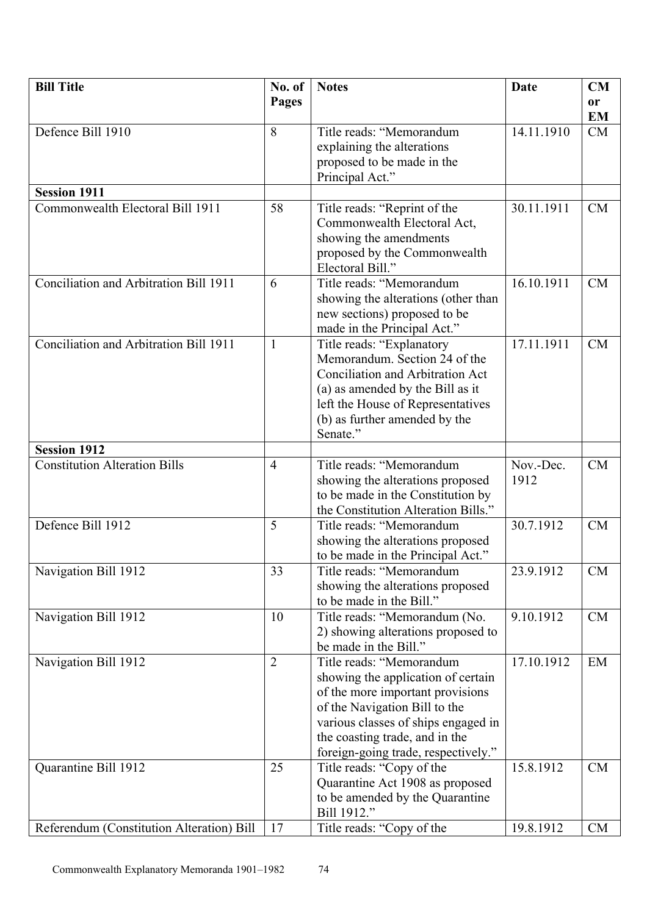| <b>Bill Title</b>                                           | No. of         | <b>Notes</b>                                                          | Date       | CM        |
|-------------------------------------------------------------|----------------|-----------------------------------------------------------------------|------------|-----------|
|                                                             | Pages          |                                                                       |            | or        |
|                                                             |                |                                                                       |            | <b>EM</b> |
| Defence Bill 1910                                           | 8              | Title reads: "Memorandum                                              | 14.11.1910 | CM        |
|                                                             |                | explaining the alterations                                            |            |           |
|                                                             |                | proposed to be made in the                                            |            |           |
|                                                             |                | Principal Act."                                                       |            |           |
| <b>Session 1911</b>                                         |                |                                                                       |            |           |
| Commonwealth Electoral Bill 1911                            | 58             | Title reads: "Reprint of the                                          | 30.11.1911 | <b>CM</b> |
|                                                             |                | Commonwealth Electoral Act,                                           |            |           |
|                                                             |                | showing the amendments                                                |            |           |
|                                                             |                | proposed by the Commonwealth                                          |            |           |
|                                                             |                | Electoral Bill."                                                      |            |           |
| Conciliation and Arbitration Bill 1911                      | 6              | Title reads: "Memorandum                                              | 16.10.1911 | <b>CM</b> |
|                                                             |                | showing the alterations (other than                                   |            |           |
|                                                             |                | new sections) proposed to be                                          |            |           |
|                                                             |                | made in the Principal Act."                                           |            |           |
| Conciliation and Arbitration Bill 1911                      | $\mathbf{1}$   | Title reads: "Explanatory                                             | 17.11.1911 | <b>CM</b> |
|                                                             |                | Memorandum. Section 24 of the                                         |            |           |
|                                                             |                | Conciliation and Arbitration Act                                      |            |           |
|                                                             |                | (a) as amended by the Bill as it                                      |            |           |
|                                                             |                | left the House of Representatives                                     |            |           |
|                                                             |                | (b) as further amended by the                                         |            |           |
|                                                             |                | Senate."                                                              |            |           |
| <b>Session 1912</b><br><b>Constitution Alteration Bills</b> | $\overline{4}$ | Title reads: "Memorandum                                              | Nov.-Dec.  | CM        |
|                                                             |                |                                                                       | 1912       |           |
|                                                             |                | showing the alterations proposed<br>to be made in the Constitution by |            |           |
|                                                             |                | the Constitution Alteration Bills."                                   |            |           |
| Defence Bill 1912                                           | 5              | Title reads: "Memorandum                                              | 30.7.1912  | <b>CM</b> |
|                                                             |                | showing the alterations proposed                                      |            |           |
|                                                             |                | to be made in the Principal Act."                                     |            |           |
| Navigation Bill 1912                                        | 33             | Title reads: "Memorandum                                              | 23.9.1912  | <b>CM</b> |
|                                                             |                | showing the alterations proposed                                      |            |           |
|                                                             |                | to be made in the Bill."                                              |            |           |
| Navigation Bill 1912                                        | 10             | Title reads: "Memorandum (No.                                         | 9.10.1912  | CM        |
|                                                             |                | 2) showing alterations proposed to                                    |            |           |
|                                                             |                | be made in the Bill."                                                 |            |           |
| Navigation Bill 1912                                        | $\overline{2}$ | Title reads: "Memorandum                                              | 17.10.1912 | EM        |
|                                                             |                | showing the application of certain                                    |            |           |
|                                                             |                | of the more important provisions                                      |            |           |
|                                                             |                | of the Navigation Bill to the                                         |            |           |
|                                                             |                | various classes of ships engaged in                                   |            |           |
|                                                             |                | the coasting trade, and in the                                        |            |           |
|                                                             |                | foreign-going trade, respectively."                                   |            |           |
| Quarantine Bill 1912                                        | 25             | Title reads: "Copy of the                                             | 15.8.1912  | CM        |
|                                                             |                | Quarantine Act 1908 as proposed                                       |            |           |
|                                                             |                | to be amended by the Quarantine                                       |            |           |
|                                                             |                | Bill 1912."                                                           |            |           |
| Referendum (Constitution Alteration) Bill                   | 17             | Title reads: "Copy of the                                             | 19.8.1912  | <b>CM</b> |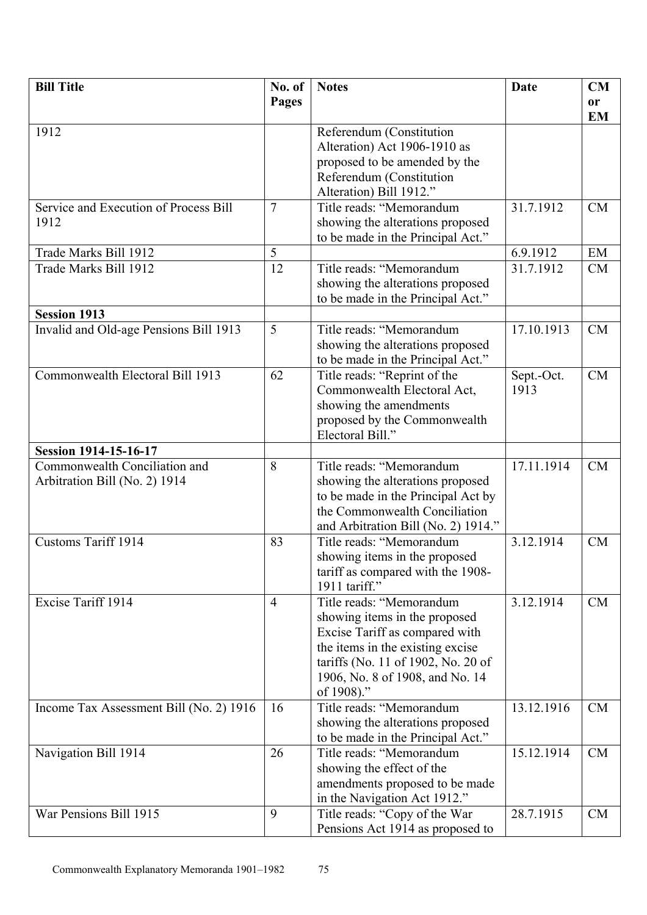| <b>Bill Title</b>                       | No. of         | <b>Notes</b>                        | <b>Date</b> | CM        |
|-----------------------------------------|----------------|-------------------------------------|-------------|-----------|
|                                         | <b>Pages</b>   |                                     |             | or        |
|                                         |                |                                     |             | <b>EM</b> |
| 1912                                    |                | Referendum (Constitution            |             |           |
|                                         |                | Alteration) Act 1906-1910 as        |             |           |
|                                         |                | proposed to be amended by the       |             |           |
|                                         |                | Referendum (Constitution            |             |           |
|                                         |                | Alteration) Bill 1912."             |             |           |
| Service and Execution of Process Bill   | 7              | Title reads: "Memorandum            | 31.7.1912   | CM        |
| 1912                                    |                | showing the alterations proposed    |             |           |
|                                         |                | to be made in the Principal Act."   |             |           |
| Trade Marks Bill 1912                   | 5              |                                     | 6.9.1912    | EM        |
| Trade Marks Bill 1912                   | 12             | Title reads: "Memorandum            | 31.7.1912   | CM        |
|                                         |                | showing the alterations proposed    |             |           |
|                                         |                | to be made in the Principal Act."   |             |           |
| <b>Session 1913</b>                     |                |                                     |             |           |
| Invalid and Old-age Pensions Bill 1913  | 5              | Title reads: "Memorandum            | 17.10.1913  | <b>CM</b> |
|                                         |                | showing the alterations proposed    |             |           |
|                                         |                | to be made in the Principal Act."   |             |           |
| Commonwealth Electoral Bill 1913        | 62             | Title reads: "Reprint of the        | Sept.-Oct.  | CM        |
|                                         |                | Commonwealth Electoral Act,         | 1913        |           |
|                                         |                | showing the amendments              |             |           |
|                                         |                | proposed by the Commonwealth        |             |           |
|                                         |                | Electoral Bill."                    |             |           |
| <b>Session 1914-15-16-17</b>            |                |                                     |             |           |
| Commonwealth Conciliation and           | 8              | Title reads: "Memorandum            | 17.11.1914  | CM        |
| Arbitration Bill (No. 2) 1914           |                | showing the alterations proposed    |             |           |
|                                         |                | to be made in the Principal Act by  |             |           |
|                                         |                | the Commonwealth Conciliation       |             |           |
|                                         |                | and Arbitration Bill (No. 2) 1914." |             |           |
| <b>Customs Tariff 1914</b>              | 83             | Title reads: "Memorandum            | 3.12.1914   | <b>CM</b> |
|                                         |                | showing items in the proposed       |             |           |
|                                         |                | tariff as compared with the 1908-   |             |           |
|                                         |                | 1911 tariff."                       |             |           |
| Excise Tariff 1914                      | $\overline{4}$ | Title reads: "Memorandum            | 3.12.1914   | CM        |
|                                         |                | showing items in the proposed       |             |           |
|                                         |                | Excise Tariff as compared with      |             |           |
|                                         |                | the items in the existing excise    |             |           |
|                                         |                | tariffs (No. 11 of 1902, No. 20 of  |             |           |
|                                         |                | 1906, No. 8 of 1908, and No. 14     |             |           |
|                                         |                | of 1908)."                          |             |           |
| Income Tax Assessment Bill (No. 2) 1916 | 16             | Title reads: "Memorandum            | 13.12.1916  | <b>CM</b> |
|                                         |                | showing the alterations proposed    |             |           |
|                                         |                | to be made in the Principal Act."   |             |           |
| Navigation Bill 1914                    | 26             | Title reads: "Memorandum            | 15.12.1914  | <b>CM</b> |
|                                         |                | showing the effect of the           |             |           |
|                                         |                | amendments proposed to be made      |             |           |
|                                         |                | in the Navigation Act 1912."        |             |           |
| War Pensions Bill 1915                  | 9              | Title reads: "Copy of the War       | 28.7.1915   | CM        |
|                                         |                | Pensions Act 1914 as proposed to    |             |           |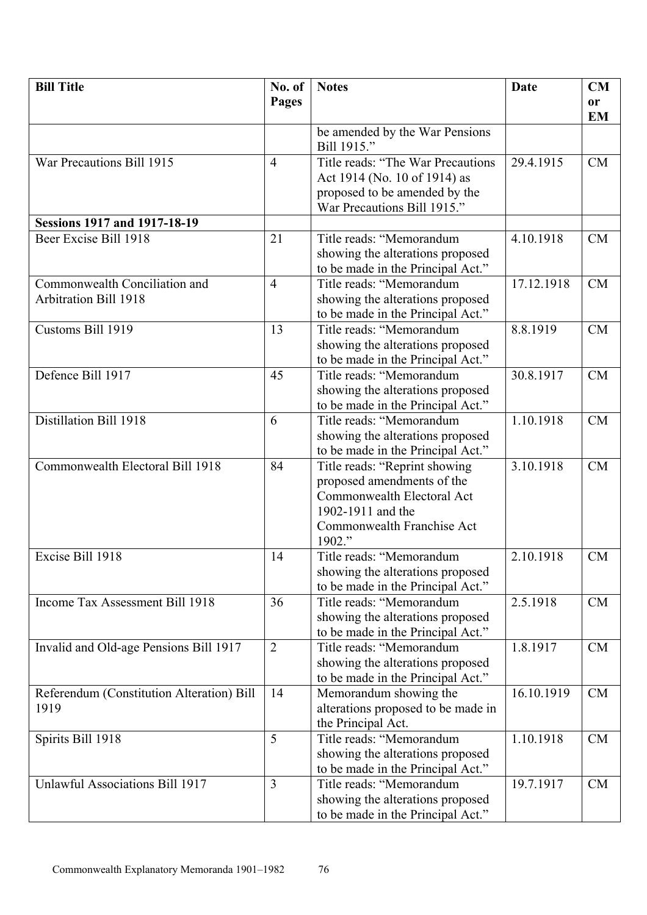| <b>Bill Title</b>                         | No. of         | <b>Notes</b>                                                  | Date       | CM            |
|-------------------------------------------|----------------|---------------------------------------------------------------|------------|---------------|
|                                           | Pages          |                                                               |            | <sub>or</sub> |
|                                           |                |                                                               |            | <b>EM</b>     |
|                                           |                | be amended by the War Pensions                                |            |               |
|                                           |                | Bill 1915."                                                   |            |               |
| War Precautions Bill 1915                 | $\overline{4}$ | Title reads: "The War Precautions                             | 29.4.1915  | CM            |
|                                           |                | Act 1914 (No. 10 of 1914) as                                  |            |               |
|                                           |                | proposed to be amended by the                                 |            |               |
|                                           |                | War Precautions Bill 1915."                                   |            |               |
| <b>Sessions 1917 and 1917-18-19</b>       |                |                                                               |            |               |
| Beer Excise Bill 1918                     | 21             | Title reads: "Memorandum                                      | 4.10.1918  | <b>CM</b>     |
|                                           |                | showing the alterations proposed                              |            |               |
|                                           |                | to be made in the Principal Act."                             |            |               |
| Commonwealth Conciliation and             | $\overline{4}$ | Title reads: "Memorandum                                      | 17.12.1918 | <b>CM</b>     |
| <b>Arbitration Bill 1918</b>              |                | showing the alterations proposed                              |            |               |
|                                           |                | to be made in the Principal Act."                             |            |               |
| Customs Bill 1919                         | 13             | Title reads: "Memorandum                                      | 8.8.1919   | <b>CM</b>     |
|                                           |                | showing the alterations proposed                              |            |               |
|                                           |                | to be made in the Principal Act."                             |            |               |
| Defence Bill 1917                         | 45             | Title reads: "Memorandum                                      | 30.8.1917  | <b>CM</b>     |
|                                           |                | showing the alterations proposed                              |            |               |
|                                           |                | to be made in the Principal Act."                             |            |               |
| Distillation Bill 1918                    | 6              | Title reads: "Memorandum                                      | 1.10.1918  | <b>CM</b>     |
|                                           |                | showing the alterations proposed                              |            |               |
|                                           |                | to be made in the Principal Act."                             |            |               |
| Commonwealth Electoral Bill 1918          | 84             | Title reads: "Reprint showing                                 | 3.10.1918  | <b>CM</b>     |
|                                           |                | proposed amendments of the                                    |            |               |
|                                           |                | Commonwealth Electoral Act                                    |            |               |
|                                           |                | 1902-1911 and the                                             |            |               |
|                                           |                | Commonwealth Franchise Act                                    |            |               |
|                                           |                | 1902."                                                        |            |               |
| Excise Bill 1918                          | 14             | Title reads: "Memorandum                                      | 2.10.1918  | <b>CM</b>     |
|                                           |                | showing the alterations proposed                              |            |               |
|                                           |                | to be made in the Principal Act."                             |            |               |
| Income Tax Assessment Bill 1918           | 36             | Title reads: "Memorandum                                      | 2.5.1918   | CM            |
|                                           |                | showing the alterations proposed                              |            |               |
|                                           |                | to be made in the Principal Act."                             |            |               |
| Invalid and Old-age Pensions Bill 1917    | $\overline{2}$ | Title reads: "Memorandum                                      | 1.8.1917   | CM            |
|                                           |                | showing the alterations proposed                              |            |               |
|                                           |                | to be made in the Principal Act."                             |            |               |
| Referendum (Constitution Alteration) Bill | 14             | Memorandum showing the                                        | 16.10.1919 | CM            |
| 1919                                      |                | alterations proposed to be made in                            |            |               |
|                                           | 5              | the Principal Act.                                            |            |               |
| Spirits Bill 1918                         |                | Title reads: "Memorandum                                      | 1.10.1918  | CM            |
|                                           |                | showing the alterations proposed                              |            |               |
| <b>Unlawful Associations Bill 1917</b>    | $\overline{3}$ | to be made in the Principal Act."<br>Title reads: "Memorandum | 19.7.1917  | CM            |
|                                           |                |                                                               |            |               |
|                                           |                | showing the alterations proposed                              |            |               |
|                                           |                | to be made in the Principal Act."                             |            |               |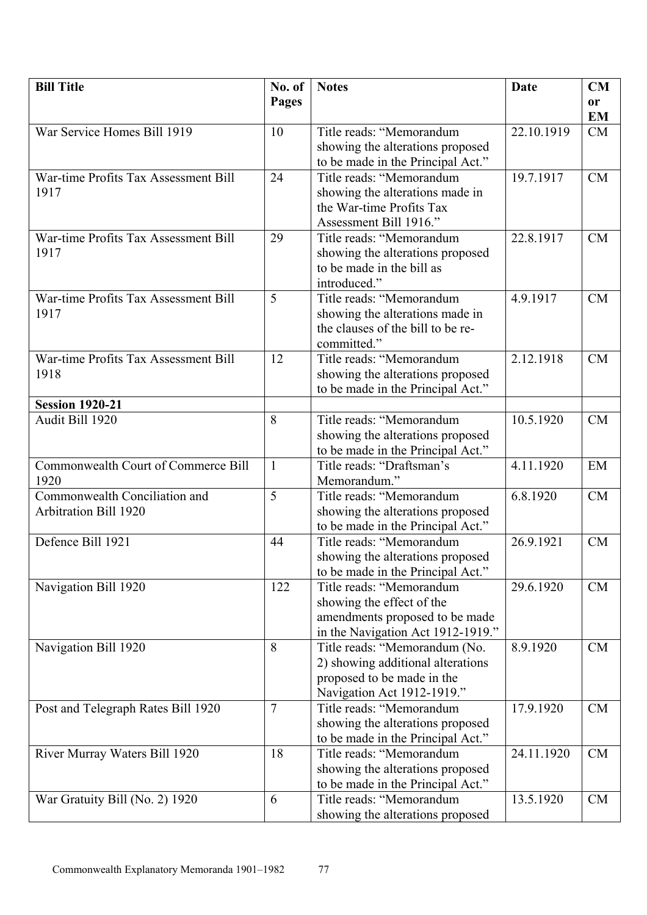| No. of<br>Pages<br>or<br><b>EM</b><br>War Service Homes Bill 1919<br>22.10.1919<br>10<br>Title reads: "Memorandum<br>CM<br>showing the alterations proposed<br>to be made in the Principal Act."<br>War-time Profits Tax Assessment Bill<br>Title reads: "Memorandum<br>19.7.1917<br><b>CM</b><br>24<br>1917<br>showing the alterations made in<br>the War-time Profits Tax<br>Assessment Bill 1916."<br>War-time Profits Tax Assessment Bill<br>Title reads: "Memorandum<br>22.8.1917<br>29<br><b>CM</b><br>1917<br>showing the alterations proposed<br>to be made in the bill as<br>introduced."<br>5<br>4.9.1917<br><b>CM</b><br>War-time Profits Tax Assessment Bill<br>Title reads: "Memorandum<br>showing the alterations made in<br>1917<br>the clauses of the bill to be re-<br>committed."<br>War-time Profits Tax Assessment Bill<br>Title reads: "Memorandum<br>2.12.1918<br>12<br>CM<br>1918<br>showing the alterations proposed<br>to be made in the Principal Act."<br><b>Session 1920-21</b><br>Title reads: "Memorandum<br>Audit Bill 1920<br>8<br>10.5.1920<br>CM<br>showing the alterations proposed<br>to be made in the Principal Act."<br>Commonwealth Court of Commerce Bill<br>Title reads: "Draftsman's<br>4.11.1920<br>EM<br>$\mathbf{1}$<br>1920<br>Memorandum."<br>Commonwealth Conciliation and<br>5<br>6.8.1920<br>Title reads: "Memorandum<br><b>CM</b><br><b>Arbitration Bill 1920</b><br>showing the alterations proposed<br>to be made in the Principal Act."<br>Defence Bill 1921<br>Title reads: "Memorandum<br>26.9.1921<br>44<br><b>CM</b><br>showing the alterations proposed<br>to be made in the Principal Act."<br>Title reads: "Memorandum<br>Navigation Bill 1920<br>122<br>29.6.1920<br>CM |
|----------------------------------------------------------------------------------------------------------------------------------------------------------------------------------------------------------------------------------------------------------------------------------------------------------------------------------------------------------------------------------------------------------------------------------------------------------------------------------------------------------------------------------------------------------------------------------------------------------------------------------------------------------------------------------------------------------------------------------------------------------------------------------------------------------------------------------------------------------------------------------------------------------------------------------------------------------------------------------------------------------------------------------------------------------------------------------------------------------------------------------------------------------------------------------------------------------------------------------------------------------------------------------------------------------------------------------------------------------------------------------------------------------------------------------------------------------------------------------------------------------------------------------------------------------------------------------------------------------------------------------------------------------------------------------------------------------------------------------------|
|                                                                                                                                                                                                                                                                                                                                                                                                                                                                                                                                                                                                                                                                                                                                                                                                                                                                                                                                                                                                                                                                                                                                                                                                                                                                                                                                                                                                                                                                                                                                                                                                                                                                                                                                        |
|                                                                                                                                                                                                                                                                                                                                                                                                                                                                                                                                                                                                                                                                                                                                                                                                                                                                                                                                                                                                                                                                                                                                                                                                                                                                                                                                                                                                                                                                                                                                                                                                                                                                                                                                        |
|                                                                                                                                                                                                                                                                                                                                                                                                                                                                                                                                                                                                                                                                                                                                                                                                                                                                                                                                                                                                                                                                                                                                                                                                                                                                                                                                                                                                                                                                                                                                                                                                                                                                                                                                        |
|                                                                                                                                                                                                                                                                                                                                                                                                                                                                                                                                                                                                                                                                                                                                                                                                                                                                                                                                                                                                                                                                                                                                                                                                                                                                                                                                                                                                                                                                                                                                                                                                                                                                                                                                        |
|                                                                                                                                                                                                                                                                                                                                                                                                                                                                                                                                                                                                                                                                                                                                                                                                                                                                                                                                                                                                                                                                                                                                                                                                                                                                                                                                                                                                                                                                                                                                                                                                                                                                                                                                        |
|                                                                                                                                                                                                                                                                                                                                                                                                                                                                                                                                                                                                                                                                                                                                                                                                                                                                                                                                                                                                                                                                                                                                                                                                                                                                                                                                                                                                                                                                                                                                                                                                                                                                                                                                        |
|                                                                                                                                                                                                                                                                                                                                                                                                                                                                                                                                                                                                                                                                                                                                                                                                                                                                                                                                                                                                                                                                                                                                                                                                                                                                                                                                                                                                                                                                                                                                                                                                                                                                                                                                        |
|                                                                                                                                                                                                                                                                                                                                                                                                                                                                                                                                                                                                                                                                                                                                                                                                                                                                                                                                                                                                                                                                                                                                                                                                                                                                                                                                                                                                                                                                                                                                                                                                                                                                                                                                        |
|                                                                                                                                                                                                                                                                                                                                                                                                                                                                                                                                                                                                                                                                                                                                                                                                                                                                                                                                                                                                                                                                                                                                                                                                                                                                                                                                                                                                                                                                                                                                                                                                                                                                                                                                        |
|                                                                                                                                                                                                                                                                                                                                                                                                                                                                                                                                                                                                                                                                                                                                                                                                                                                                                                                                                                                                                                                                                                                                                                                                                                                                                                                                                                                                                                                                                                                                                                                                                                                                                                                                        |
|                                                                                                                                                                                                                                                                                                                                                                                                                                                                                                                                                                                                                                                                                                                                                                                                                                                                                                                                                                                                                                                                                                                                                                                                                                                                                                                                                                                                                                                                                                                                                                                                                                                                                                                                        |
|                                                                                                                                                                                                                                                                                                                                                                                                                                                                                                                                                                                                                                                                                                                                                                                                                                                                                                                                                                                                                                                                                                                                                                                                                                                                                                                                                                                                                                                                                                                                                                                                                                                                                                                                        |
|                                                                                                                                                                                                                                                                                                                                                                                                                                                                                                                                                                                                                                                                                                                                                                                                                                                                                                                                                                                                                                                                                                                                                                                                                                                                                                                                                                                                                                                                                                                                                                                                                                                                                                                                        |
|                                                                                                                                                                                                                                                                                                                                                                                                                                                                                                                                                                                                                                                                                                                                                                                                                                                                                                                                                                                                                                                                                                                                                                                                                                                                                                                                                                                                                                                                                                                                                                                                                                                                                                                                        |
|                                                                                                                                                                                                                                                                                                                                                                                                                                                                                                                                                                                                                                                                                                                                                                                                                                                                                                                                                                                                                                                                                                                                                                                                                                                                                                                                                                                                                                                                                                                                                                                                                                                                                                                                        |
|                                                                                                                                                                                                                                                                                                                                                                                                                                                                                                                                                                                                                                                                                                                                                                                                                                                                                                                                                                                                                                                                                                                                                                                                                                                                                                                                                                                                                                                                                                                                                                                                                                                                                                                                        |
|                                                                                                                                                                                                                                                                                                                                                                                                                                                                                                                                                                                                                                                                                                                                                                                                                                                                                                                                                                                                                                                                                                                                                                                                                                                                                                                                                                                                                                                                                                                                                                                                                                                                                                                                        |
|                                                                                                                                                                                                                                                                                                                                                                                                                                                                                                                                                                                                                                                                                                                                                                                                                                                                                                                                                                                                                                                                                                                                                                                                                                                                                                                                                                                                                                                                                                                                                                                                                                                                                                                                        |
|                                                                                                                                                                                                                                                                                                                                                                                                                                                                                                                                                                                                                                                                                                                                                                                                                                                                                                                                                                                                                                                                                                                                                                                                                                                                                                                                                                                                                                                                                                                                                                                                                                                                                                                                        |
|                                                                                                                                                                                                                                                                                                                                                                                                                                                                                                                                                                                                                                                                                                                                                                                                                                                                                                                                                                                                                                                                                                                                                                                                                                                                                                                                                                                                                                                                                                                                                                                                                                                                                                                                        |
|                                                                                                                                                                                                                                                                                                                                                                                                                                                                                                                                                                                                                                                                                                                                                                                                                                                                                                                                                                                                                                                                                                                                                                                                                                                                                                                                                                                                                                                                                                                                                                                                                                                                                                                                        |
|                                                                                                                                                                                                                                                                                                                                                                                                                                                                                                                                                                                                                                                                                                                                                                                                                                                                                                                                                                                                                                                                                                                                                                                                                                                                                                                                                                                                                                                                                                                                                                                                                                                                                                                                        |
|                                                                                                                                                                                                                                                                                                                                                                                                                                                                                                                                                                                                                                                                                                                                                                                                                                                                                                                                                                                                                                                                                                                                                                                                                                                                                                                                                                                                                                                                                                                                                                                                                                                                                                                                        |
|                                                                                                                                                                                                                                                                                                                                                                                                                                                                                                                                                                                                                                                                                                                                                                                                                                                                                                                                                                                                                                                                                                                                                                                                                                                                                                                                                                                                                                                                                                                                                                                                                                                                                                                                        |
|                                                                                                                                                                                                                                                                                                                                                                                                                                                                                                                                                                                                                                                                                                                                                                                                                                                                                                                                                                                                                                                                                                                                                                                                                                                                                                                                                                                                                                                                                                                                                                                                                                                                                                                                        |
|                                                                                                                                                                                                                                                                                                                                                                                                                                                                                                                                                                                                                                                                                                                                                                                                                                                                                                                                                                                                                                                                                                                                                                                                                                                                                                                                                                                                                                                                                                                                                                                                                                                                                                                                        |
|                                                                                                                                                                                                                                                                                                                                                                                                                                                                                                                                                                                                                                                                                                                                                                                                                                                                                                                                                                                                                                                                                                                                                                                                                                                                                                                                                                                                                                                                                                                                                                                                                                                                                                                                        |
|                                                                                                                                                                                                                                                                                                                                                                                                                                                                                                                                                                                                                                                                                                                                                                                                                                                                                                                                                                                                                                                                                                                                                                                                                                                                                                                                                                                                                                                                                                                                                                                                                                                                                                                                        |
|                                                                                                                                                                                                                                                                                                                                                                                                                                                                                                                                                                                                                                                                                                                                                                                                                                                                                                                                                                                                                                                                                                                                                                                                                                                                                                                                                                                                                                                                                                                                                                                                                                                                                                                                        |
|                                                                                                                                                                                                                                                                                                                                                                                                                                                                                                                                                                                                                                                                                                                                                                                                                                                                                                                                                                                                                                                                                                                                                                                                                                                                                                                                                                                                                                                                                                                                                                                                                                                                                                                                        |
|                                                                                                                                                                                                                                                                                                                                                                                                                                                                                                                                                                                                                                                                                                                                                                                                                                                                                                                                                                                                                                                                                                                                                                                                                                                                                                                                                                                                                                                                                                                                                                                                                                                                                                                                        |
|                                                                                                                                                                                                                                                                                                                                                                                                                                                                                                                                                                                                                                                                                                                                                                                                                                                                                                                                                                                                                                                                                                                                                                                                                                                                                                                                                                                                                                                                                                                                                                                                                                                                                                                                        |
|                                                                                                                                                                                                                                                                                                                                                                                                                                                                                                                                                                                                                                                                                                                                                                                                                                                                                                                                                                                                                                                                                                                                                                                                                                                                                                                                                                                                                                                                                                                                                                                                                                                                                                                                        |
| showing the effect of the                                                                                                                                                                                                                                                                                                                                                                                                                                                                                                                                                                                                                                                                                                                                                                                                                                                                                                                                                                                                                                                                                                                                                                                                                                                                                                                                                                                                                                                                                                                                                                                                                                                                                                              |
| amendments proposed to be made                                                                                                                                                                                                                                                                                                                                                                                                                                                                                                                                                                                                                                                                                                                                                                                                                                                                                                                                                                                                                                                                                                                                                                                                                                                                                                                                                                                                                                                                                                                                                                                                                                                                                                         |
| in the Navigation Act 1912-1919."                                                                                                                                                                                                                                                                                                                                                                                                                                                                                                                                                                                                                                                                                                                                                                                                                                                                                                                                                                                                                                                                                                                                                                                                                                                                                                                                                                                                                                                                                                                                                                                                                                                                                                      |
| 8<br>Title reads: "Memorandum (No.<br>8.9.1920<br>CM<br>Navigation Bill 1920                                                                                                                                                                                                                                                                                                                                                                                                                                                                                                                                                                                                                                                                                                                                                                                                                                                                                                                                                                                                                                                                                                                                                                                                                                                                                                                                                                                                                                                                                                                                                                                                                                                           |
| 2) showing additional alterations                                                                                                                                                                                                                                                                                                                                                                                                                                                                                                                                                                                                                                                                                                                                                                                                                                                                                                                                                                                                                                                                                                                                                                                                                                                                                                                                                                                                                                                                                                                                                                                                                                                                                                      |
| proposed to be made in the                                                                                                                                                                                                                                                                                                                                                                                                                                                                                                                                                                                                                                                                                                                                                                                                                                                                                                                                                                                                                                                                                                                                                                                                                                                                                                                                                                                                                                                                                                                                                                                                                                                                                                             |
| Navigation Act 1912-1919."<br>$\overline{7}$<br>Title reads: "Memorandum<br>17.9.1920<br><b>CM</b>                                                                                                                                                                                                                                                                                                                                                                                                                                                                                                                                                                                                                                                                                                                                                                                                                                                                                                                                                                                                                                                                                                                                                                                                                                                                                                                                                                                                                                                                                                                                                                                                                                     |
| Post and Telegraph Rates Bill 1920<br>showing the alterations proposed                                                                                                                                                                                                                                                                                                                                                                                                                                                                                                                                                                                                                                                                                                                                                                                                                                                                                                                                                                                                                                                                                                                                                                                                                                                                                                                                                                                                                                                                                                                                                                                                                                                                 |
| to be made in the Principal Act."                                                                                                                                                                                                                                                                                                                                                                                                                                                                                                                                                                                                                                                                                                                                                                                                                                                                                                                                                                                                                                                                                                                                                                                                                                                                                                                                                                                                                                                                                                                                                                                                                                                                                                      |
| Title reads: "Memorandum<br>24.11.1920<br>River Murray Waters Bill 1920<br>18<br><b>CM</b>                                                                                                                                                                                                                                                                                                                                                                                                                                                                                                                                                                                                                                                                                                                                                                                                                                                                                                                                                                                                                                                                                                                                                                                                                                                                                                                                                                                                                                                                                                                                                                                                                                             |
| showing the alterations proposed                                                                                                                                                                                                                                                                                                                                                                                                                                                                                                                                                                                                                                                                                                                                                                                                                                                                                                                                                                                                                                                                                                                                                                                                                                                                                                                                                                                                                                                                                                                                                                                                                                                                                                       |
| to be made in the Principal Act."                                                                                                                                                                                                                                                                                                                                                                                                                                                                                                                                                                                                                                                                                                                                                                                                                                                                                                                                                                                                                                                                                                                                                                                                                                                                                                                                                                                                                                                                                                                                                                                                                                                                                                      |
| Title reads: "Memorandum<br>13.5.1920<br>War Gratuity Bill (No. 2) 1920<br><b>CM</b><br>6                                                                                                                                                                                                                                                                                                                                                                                                                                                                                                                                                                                                                                                                                                                                                                                                                                                                                                                                                                                                                                                                                                                                                                                                                                                                                                                                                                                                                                                                                                                                                                                                                                              |
| showing the alterations proposed                                                                                                                                                                                                                                                                                                                                                                                                                                                                                                                                                                                                                                                                                                                                                                                                                                                                                                                                                                                                                                                                                                                                                                                                                                                                                                                                                                                                                                                                                                                                                                                                                                                                                                       |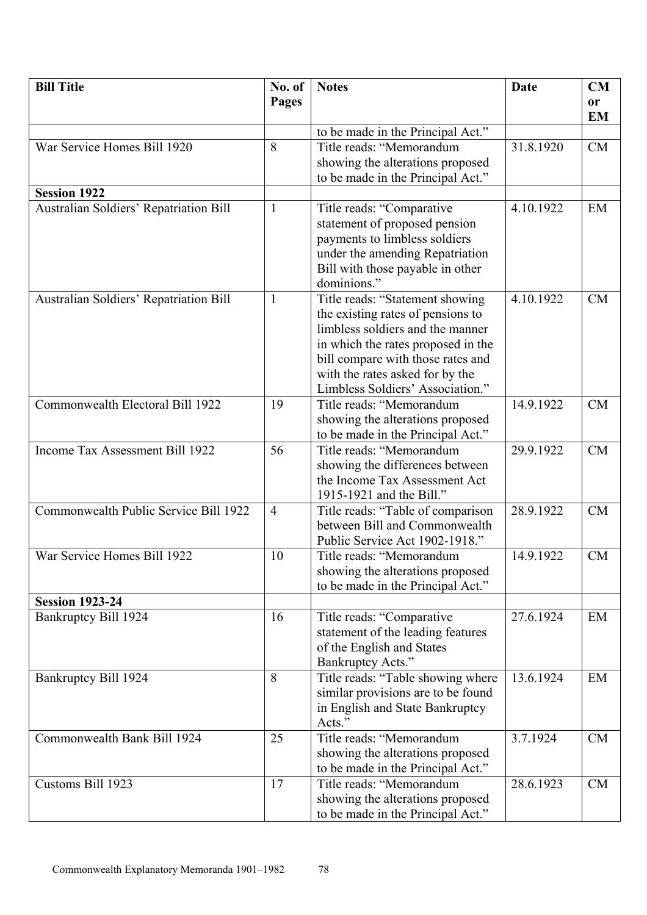| <b>Bill Title</b>                      | No. of         | <b>Notes</b>                                                         | <b>Date</b> | CM                     |
|----------------------------------------|----------------|----------------------------------------------------------------------|-------------|------------------------|
|                                        | Pages          |                                                                      |             | <b>or</b><br><b>EM</b> |
|                                        |                | to be made in the Principal Act."                                    |             |                        |
| War Service Homes Bill 1920            | 8              | Title reads: "Memorandum                                             | 31.8.1920   | <b>CM</b>              |
|                                        |                | showing the alterations proposed                                     |             |                        |
|                                        |                | to be made in the Principal Act."                                    |             |                        |
| <b>Session 1922</b>                    |                |                                                                      |             |                        |
| Australian Soldiers' Repatriation Bill | $\mathbf{1}$   | Title reads: "Comparative                                            | 4.10.1922   | EM                     |
|                                        |                | statement of proposed pension                                        |             |                        |
|                                        |                | payments to limbless soldiers                                        |             |                        |
|                                        |                | under the amending Repatriation                                      |             |                        |
|                                        |                | Bill with those payable in other                                     |             |                        |
| Australian Soldiers' Repatriation Bill | $\mathbf{1}$   | dominions."                                                          | 4.10.1922   | <b>CM</b>              |
|                                        |                | Title reads: "Statement showing<br>the existing rates of pensions to |             |                        |
|                                        |                | limbless soldiers and the manner                                     |             |                        |
|                                        |                | in which the rates proposed in the                                   |             |                        |
|                                        |                | bill compare with those rates and                                    |             |                        |
|                                        |                | with the rates asked for by the                                      |             |                        |
|                                        |                | Limbless Soldiers' Association."                                     |             |                        |
| Commonwealth Electoral Bill 1922       | 19             | Title reads: "Memorandum                                             | 14.9.1922   | <b>CM</b>              |
|                                        |                | showing the alterations proposed                                     |             |                        |
|                                        |                | to be made in the Principal Act."                                    |             |                        |
| Income Tax Assessment Bill 1922        | 56             | Title reads: "Memorandum                                             | 29.9.1922   | <b>CM</b>              |
|                                        |                | showing the differences between<br>the Income Tax Assessment Act     |             |                        |
|                                        |                | 1915-1921 and the Bill."                                             |             |                        |
| Commonwealth Public Service Bill 1922  | $\overline{4}$ | Title reads: "Table of comparison                                    | 28.9.1922   | <b>CM</b>              |
|                                        |                | between Bill and Commonwealth                                        |             |                        |
|                                        |                | Public Service Act 1902-1918."                                       |             |                        |
| War Service Homes Bill 1922            | 10             | Title reads: "Memorandum                                             | 14.9.1922   | <b>CM</b>              |
|                                        |                | showing the alterations proposed                                     |             |                        |
|                                        |                | to be made in the Principal Act."                                    |             |                        |
| <b>Session 1923-24</b>                 |                |                                                                      |             |                        |
| Bankruptcy Bill 1924                   | 16             | Title reads: "Comparative                                            | 27.6.1924   | EM                     |
|                                        |                | statement of the leading features                                    |             |                        |
|                                        |                | of the English and States<br>Bankruptcy Acts."                       |             |                        |
| Bankruptcy Bill 1924                   | 8              | Title reads: "Table showing where                                    | 13.6.1924   | EM                     |
|                                        |                | similar provisions are to be found                                   |             |                        |
|                                        |                | in English and State Bankruptcy                                      |             |                        |
|                                        |                | Acts."                                                               |             |                        |
| Commonwealth Bank Bill 1924            | 25             | Title reads: "Memorandum                                             | 3.7.1924    | <b>CM</b>              |
|                                        |                | showing the alterations proposed                                     |             |                        |
|                                        |                | to be made in the Principal Act."                                    |             |                        |
| Customs Bill 1923                      | 17             | Title reads: "Memorandum                                             | 28.6.1923   | <b>CM</b>              |
|                                        |                | showing the alterations proposed                                     |             |                        |
|                                        |                | to be made in the Principal Act."                                    |             |                        |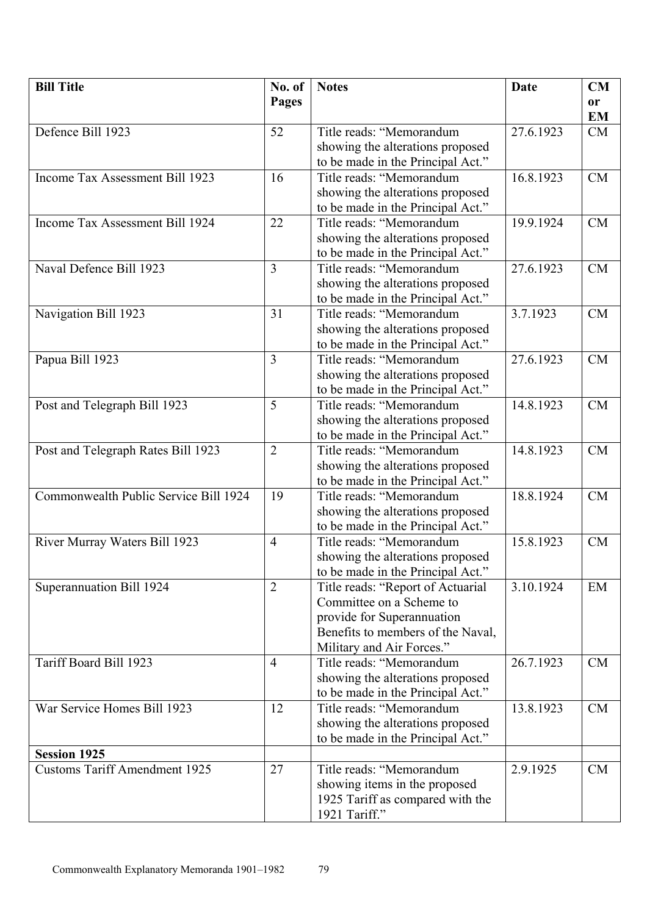| <b>Bill Title</b>                     | No. of         | <b>Notes</b>                                                  | Date      | CM        |
|---------------------------------------|----------------|---------------------------------------------------------------|-----------|-----------|
|                                       | <b>Pages</b>   |                                                               |           | or        |
|                                       |                |                                                               |           | <b>EM</b> |
| Defence Bill 1923                     | 52             | Title reads: "Memorandum                                      | 27.6.1923 | CM        |
|                                       |                | showing the alterations proposed                              |           |           |
|                                       |                | to be made in the Principal Act."                             |           |           |
| Income Tax Assessment Bill 1923       | 16             | Title reads: "Memorandum                                      | 16.8.1923 | <b>CM</b> |
|                                       |                | showing the alterations proposed                              |           |           |
|                                       |                | to be made in the Principal Act."                             |           |           |
| Income Tax Assessment Bill 1924       | 22             | Title reads: "Memorandum                                      | 19.9.1924 | <b>CM</b> |
|                                       |                | showing the alterations proposed                              |           |           |
|                                       |                | to be made in the Principal Act."                             |           |           |
| Naval Defence Bill 1923               | $\overline{3}$ | Title reads: "Memorandum                                      | 27.6.1923 | <b>CM</b> |
|                                       |                | showing the alterations proposed                              |           |           |
|                                       |                | to be made in the Principal Act."                             |           |           |
| Navigation Bill 1923                  | 31             | Title reads: "Memorandum                                      | 3.7.1923  | <b>CM</b> |
|                                       |                | showing the alterations proposed                              |           |           |
|                                       |                | to be made in the Principal Act."                             |           |           |
| Papua Bill 1923                       | 3              | Title reads: "Memorandum                                      | 27.6.1923 | <b>CM</b> |
|                                       |                | showing the alterations proposed                              |           |           |
|                                       |                | to be made in the Principal Act."                             |           |           |
| Post and Telegraph Bill 1923          | 5              | Title reads: "Memorandum                                      | 14.8.1923 | <b>CM</b> |
|                                       |                | showing the alterations proposed                              |           |           |
|                                       |                | to be made in the Principal Act."                             |           |           |
| Post and Telegraph Rates Bill 1923    | $\overline{2}$ | Title reads: "Memorandum                                      | 14.8.1923 | <b>CM</b> |
|                                       |                | showing the alterations proposed                              |           |           |
|                                       |                | to be made in the Principal Act."                             |           |           |
| Commonwealth Public Service Bill 1924 | 19             | Title reads: "Memorandum                                      | 18.8.1924 | <b>CM</b> |
|                                       |                | showing the alterations proposed                              |           |           |
|                                       |                | to be made in the Principal Act."                             |           |           |
| River Murray Waters Bill 1923         | $\overline{4}$ | Title reads: "Memorandum                                      | 15.8.1923 | <b>CM</b> |
|                                       |                | showing the alterations proposed                              |           |           |
|                                       |                | to be made in the Principal Act."                             |           |           |
| Superannuation Bill 1924              | $\overline{2}$ | Title reads: "Report of Actuarial                             | 3.10.1924 | EM        |
|                                       |                | Committee on a Scheme to                                      |           |           |
|                                       |                | provide for Superannuation                                    |           |           |
|                                       |                | Benefits to members of the Naval,                             |           |           |
| Tariff Board Bill 1923                | $\overline{4}$ | Military and Air Forces."<br>Title reads: "Memorandum         | 26.7.1923 | <b>CM</b> |
|                                       |                | showing the alterations proposed                              |           |           |
|                                       |                |                                                               |           |           |
| War Service Homes Bill 1923           | 12             | to be made in the Principal Act."<br>Title reads: "Memorandum | 13.8.1923 | CM        |
|                                       |                | showing the alterations proposed                              |           |           |
|                                       |                | to be made in the Principal Act."                             |           |           |
| <b>Session 1925</b>                   |                |                                                               |           |           |
| <b>Customs Tariff Amendment 1925</b>  | 27             | Title reads: "Memorandum                                      | 2.9.1925  | CM        |
|                                       |                | showing items in the proposed                                 |           |           |
|                                       |                | 1925 Tariff as compared with the                              |           |           |
|                                       |                | 1921 Tariff."                                                 |           |           |
|                                       |                |                                                               |           |           |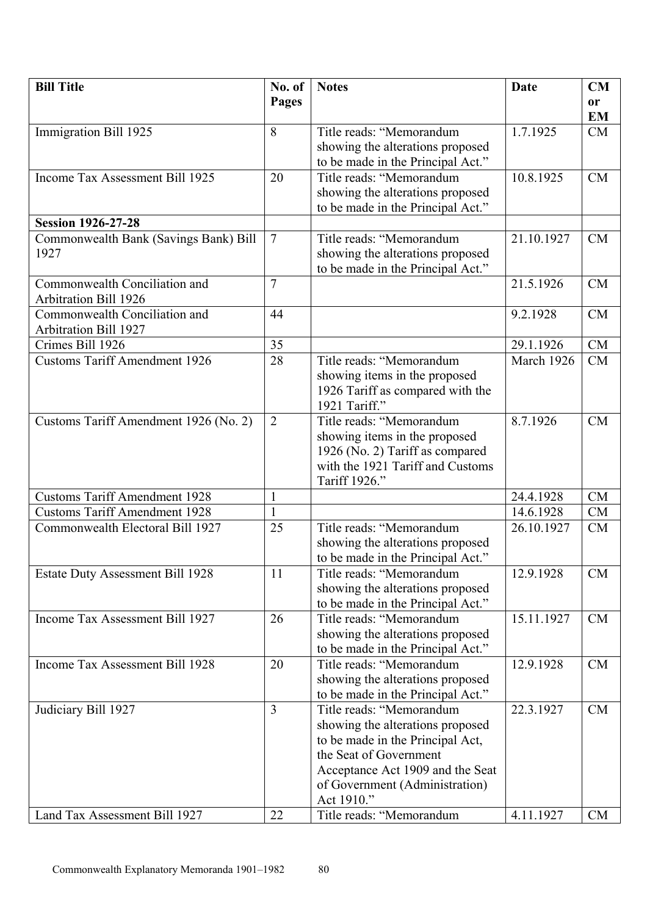| <b>Bill Title</b>                       | No. of          | <b>Notes</b>                      | Date       | CM        |
|-----------------------------------------|-----------------|-----------------------------------|------------|-----------|
|                                         | <b>Pages</b>    |                                   |            | or        |
|                                         |                 |                                   |            | <b>EM</b> |
| Immigration Bill 1925                   | 8               | Title reads: "Memorandum          | 1.7.1925   | CM        |
|                                         |                 | showing the alterations proposed  |            |           |
|                                         |                 | to be made in the Principal Act." |            |           |
| Income Tax Assessment Bill 1925         | 20              | Title reads: "Memorandum          | 10.8.1925  | <b>CM</b> |
|                                         |                 | showing the alterations proposed  |            |           |
|                                         |                 | to be made in the Principal Act." |            |           |
| <b>Session 1926-27-28</b>               |                 |                                   |            |           |
| Commonwealth Bank (Savings Bank) Bill   | $7\phantom{.0}$ | Title reads: "Memorandum          | 21.10.1927 | CM        |
| 1927                                    |                 | showing the alterations proposed  |            |           |
|                                         |                 | to be made in the Principal Act." |            |           |
| Commonwealth Conciliation and           | $\overline{7}$  |                                   | 21.5.1926  | <b>CM</b> |
| <b>Arbitration Bill 1926</b>            |                 |                                   |            |           |
| Commonwealth Conciliation and           | 44              |                                   | 9.2.1928   | <b>CM</b> |
| <b>Arbitration Bill 1927</b>            |                 |                                   |            |           |
| Crimes Bill 1926                        | 35              |                                   | 29.1.1926  | CM        |
| <b>Customs Tariff Amendment 1926</b>    | 28              | Title reads: "Memorandum          | March 1926 | CM        |
|                                         |                 | showing items in the proposed     |            |           |
|                                         |                 | 1926 Tariff as compared with the  |            |           |
|                                         |                 | 1921 Tariff."                     |            |           |
| Customs Tariff Amendment 1926 (No. 2)   | $\overline{2}$  | Title reads: "Memorandum          | 8.7.1926   | <b>CM</b> |
|                                         |                 | showing items in the proposed     |            |           |
|                                         |                 | 1926 (No. 2) Tariff as compared   |            |           |
|                                         |                 | with the 1921 Tariff and Customs  |            |           |
|                                         |                 | Tariff 1926."                     |            |           |
| <b>Customs Tariff Amendment 1928</b>    | $\mathbf{1}$    |                                   | 24.4.1928  | <b>CM</b> |
| <b>Customs Tariff Amendment 1928</b>    | $\mathbf{1}$    |                                   | 14.6.1928  | CM        |
| Commonwealth Electoral Bill 1927        | 25              | Title reads: "Memorandum          | 26.10.1927 | CM        |
|                                         |                 | showing the alterations proposed  |            |           |
|                                         |                 | to be made in the Principal Act." |            |           |
| <b>Estate Duty Assessment Bill 1928</b> | 11              | Title reads: "Memorandum          | 12.9.1928  | <b>CM</b> |
|                                         |                 | showing the alterations proposed  |            |           |
|                                         |                 | to be made in the Principal Act." |            |           |
| Income Tax Assessment Bill 1927         | 26              | Title reads: "Memorandum          | 15.11.1927 | CM        |
|                                         |                 | showing the alterations proposed  |            |           |
|                                         |                 | to be made in the Principal Act." |            |           |
| Income Tax Assessment Bill 1928         | 20              | Title reads: "Memorandum          | 12.9.1928  | CM        |
|                                         |                 | showing the alterations proposed  |            |           |
|                                         |                 | to be made in the Principal Act." |            |           |
| Judiciary Bill 1927                     | $\overline{3}$  | Title reads: "Memorandum          | 22.3.1927  | CM        |
|                                         |                 | showing the alterations proposed  |            |           |
|                                         |                 | to be made in the Principal Act,  |            |           |
|                                         |                 | the Seat of Government            |            |           |
|                                         |                 | Acceptance Act 1909 and the Seat  |            |           |
|                                         |                 | of Government (Administration)    |            |           |
|                                         |                 | Act 1910."                        |            |           |
| Land Tax Assessment Bill 1927           | 22              | Title reads: "Memorandum          | 4.11.1927  | <b>CM</b> |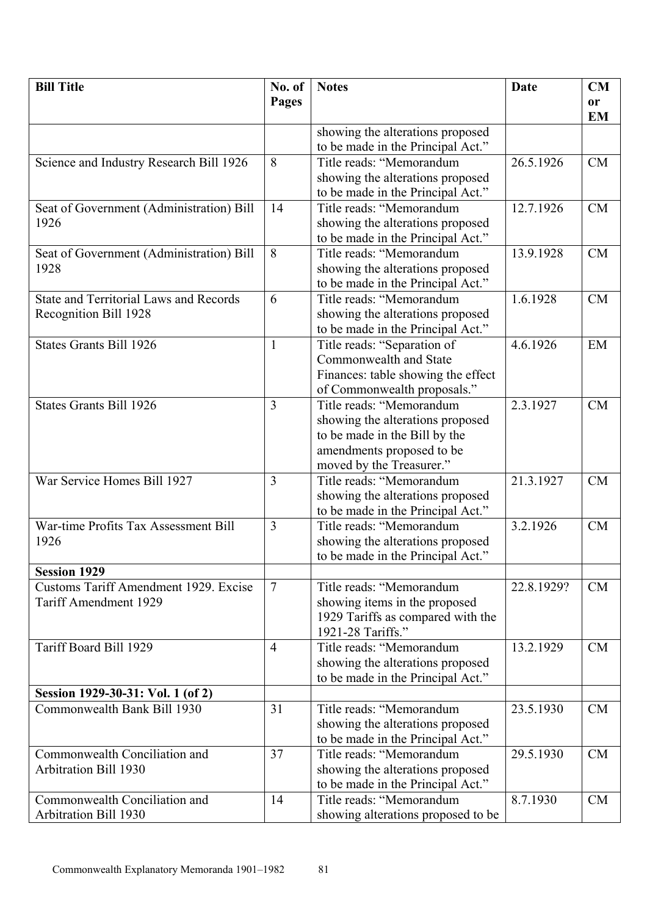| <b>Bill Title</b>                             | No. of         | <b>Notes</b>                       | Date       | CM        |
|-----------------------------------------------|----------------|------------------------------------|------------|-----------|
|                                               | Pages          |                                    |            | or        |
|                                               |                |                                    |            | <b>EM</b> |
|                                               |                | showing the alterations proposed   |            |           |
|                                               |                | to be made in the Principal Act."  |            |           |
| Science and Industry Research Bill 1926       | 8              | Title reads: "Memorandum           | 26.5.1926  | CM        |
|                                               |                | showing the alterations proposed   |            |           |
|                                               |                | to be made in the Principal Act."  |            |           |
| Seat of Government (Administration) Bill      | 14             | Title reads: "Memorandum           | 12.7.1926  | <b>CM</b> |
| 1926                                          |                | showing the alterations proposed   |            |           |
|                                               |                | to be made in the Principal Act."  |            |           |
| Seat of Government (Administration) Bill      | 8              | Title reads: "Memorandum           | 13.9.1928  | <b>CM</b> |
| 1928                                          |                | showing the alterations proposed   |            |           |
|                                               |                | to be made in the Principal Act."  |            |           |
| <b>State and Territorial Laws and Records</b> | 6              | Title reads: "Memorandum           | 1.6.1928   | <b>CM</b> |
| Recognition Bill 1928                         |                | showing the alterations proposed   |            |           |
|                                               |                | to be made in the Principal Act."  |            |           |
| <b>States Grants Bill 1926</b>                | $\mathbf{1}$   | Title reads: "Separation of        | 4.6.1926   | EM        |
|                                               |                | Commonwealth and State             |            |           |
|                                               |                | Finances: table showing the effect |            |           |
|                                               |                | of Commonwealth proposals."        |            |           |
| <b>States Grants Bill 1926</b>                | 3              | Title reads: "Memorandum           | 2.3.1927   | <b>CM</b> |
|                                               |                | showing the alterations proposed   |            |           |
|                                               |                | to be made in the Bill by the      |            |           |
|                                               |                | amendments proposed to be          |            |           |
|                                               |                | moved by the Treasurer."           |            |           |
| War Service Homes Bill 1927                   | 3              | Title reads: "Memorandum           | 21.3.1927  | <b>CM</b> |
|                                               |                | showing the alterations proposed   |            |           |
|                                               |                | to be made in the Principal Act."  |            |           |
| War-time Profits Tax Assessment Bill          | $\overline{3}$ | Title reads: "Memorandum           | 3.2.1926   | <b>CM</b> |
| 1926                                          |                | showing the alterations proposed   |            |           |
|                                               |                | to be made in the Principal Act."  |            |           |
| <b>Session 1929</b>                           |                |                                    |            |           |
| <b>Customs Tariff Amendment 1929. Excise</b>  | $\overline{7}$ | Title reads: "Memorandum           | 22.8.1929? | CM        |
| Tariff Amendment 1929                         |                | showing items in the proposed      |            |           |
|                                               |                | 1929 Tariffs as compared with the  |            |           |
|                                               |                | 1921-28 Tariffs."                  |            |           |
| Tariff Board Bill 1929                        | $\overline{4}$ | Title reads: "Memorandum           | 13.2.1929  | <b>CM</b> |
|                                               |                | showing the alterations proposed   |            |           |
|                                               |                | to be made in the Principal Act."  |            |           |
| Session 1929-30-31: Vol. 1 (of 2)             |                |                                    |            |           |
| Commonwealth Bank Bill 1930                   | 31             | Title reads: "Memorandum           | 23.5.1930  | CM        |
|                                               |                | showing the alterations proposed   |            |           |
|                                               |                | to be made in the Principal Act."  |            |           |
| Commonwealth Conciliation and                 | 37             | Title reads: "Memorandum           | 29.5.1930  | CM        |
| <b>Arbitration Bill 1930</b>                  |                | showing the alterations proposed   |            |           |
|                                               |                | to be made in the Principal Act."  |            |           |
| Commonwealth Conciliation and                 | 14             | Title reads: "Memorandum           | 8.7.1930   | CM        |
| <b>Arbitration Bill 1930</b>                  |                | showing alterations proposed to be |            |           |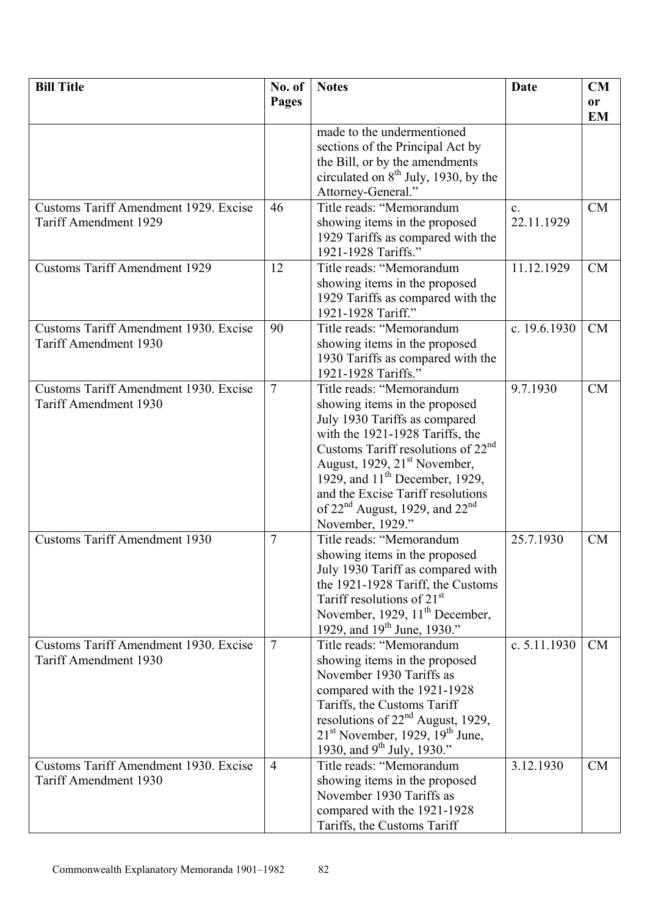| <b>Bill Title</b>                                                            | No. of         | <b>Notes</b>                                                                                                                                                                                                                                                                                                                                         | <b>Date</b>                  | CM              |
|------------------------------------------------------------------------------|----------------|------------------------------------------------------------------------------------------------------------------------------------------------------------------------------------------------------------------------------------------------------------------------------------------------------------------------------------------------------|------------------------------|-----------------|
|                                                                              | <b>Pages</b>   |                                                                                                                                                                                                                                                                                                                                                      |                              | or<br><b>EM</b> |
|                                                                              |                | made to the undermentioned<br>sections of the Principal Act by<br>the Bill, or by the amendments<br>circulated on $8th$ July, 1930, by the<br>Attorney-General."                                                                                                                                                                                     |                              |                 |
| Customs Tariff Amendment 1929. Excise<br>Tariff Amendment 1929               | 46             | Title reads: "Memorandum<br>showing items in the proposed<br>1929 Tariffs as compared with the<br>1921-1928 Tariffs."                                                                                                                                                                                                                                | $\mathbf{c}$ .<br>22.11.1929 | CM              |
| <b>Customs Tariff Amendment 1929</b>                                         | 12             | Title reads: "Memorandum<br>showing items in the proposed<br>1929 Tariffs as compared with the<br>1921-1928 Tariff."                                                                                                                                                                                                                                 | 11.12.1929                   | CM              |
| Customs Tariff Amendment 1930. Excise<br><b>Tariff Amendment 1930</b>        | 90             | Title reads: "Memorandum<br>showing items in the proposed<br>1930 Tariffs as compared with the<br>1921-1928 Tariffs."                                                                                                                                                                                                                                | c. 19.6.1930                 | <b>CM</b>       |
| <b>Customs Tariff Amendment 1930. Excise</b><br><b>Tariff Amendment 1930</b> | $\overline{7}$ | Title reads: "Memorandum<br>showing items in the proposed<br>July 1930 Tariffs as compared<br>with the 1921-1928 Tariffs, the<br>Customs Tariff resolutions of $22nd$<br>August, 1929, 21 <sup>st</sup> November,<br>1929, and $11th$ December, 1929,<br>and the Excise Tariff resolutions<br>of $22nd$ August, 1929, and $22nd$<br>November, 1929." | 9.7.1930                     | <b>CM</b>       |
| <b>Customs Tariff Amendment 1930</b>                                         | $\overline{7}$ | Title reads: "Memorandum<br>showing items in the proposed<br>July 1930 Tariff as compared with<br>the 1921-1928 Tariff, the Customs<br>Tariff resolutions of $21st$<br>November, 1929, 11 <sup>th</sup> December,<br>1929, and $19^{th}$ June, 1930."                                                                                                | 25.7.1930                    | <b>CM</b>       |
| <b>Customs Tariff Amendment 1930. Excise</b><br>Tariff Amendment 1930        | $\overline{7}$ | Title reads: "Memorandum<br>showing items in the proposed<br>November 1930 Tariffs as<br>compared with the 1921-1928<br>Tariffs, the Customs Tariff<br>resolutions of $22nd$ August, 1929,<br>$21st$ November, 1929, 19 <sup>th</sup> June,<br>1930, and 9 <sup>th</sup> July, 1930."                                                                | c. $5.11.1930$               | <b>CM</b>       |
| Customs Tariff Amendment 1930. Excise<br>Tariff Amendment 1930               | $\overline{4}$ | Title reads: "Memorandum<br>showing items in the proposed<br>November 1930 Tariffs as<br>compared with the 1921-1928<br>Tariffs, the Customs Tariff                                                                                                                                                                                                  | 3.12.1930                    | <b>CM</b>       |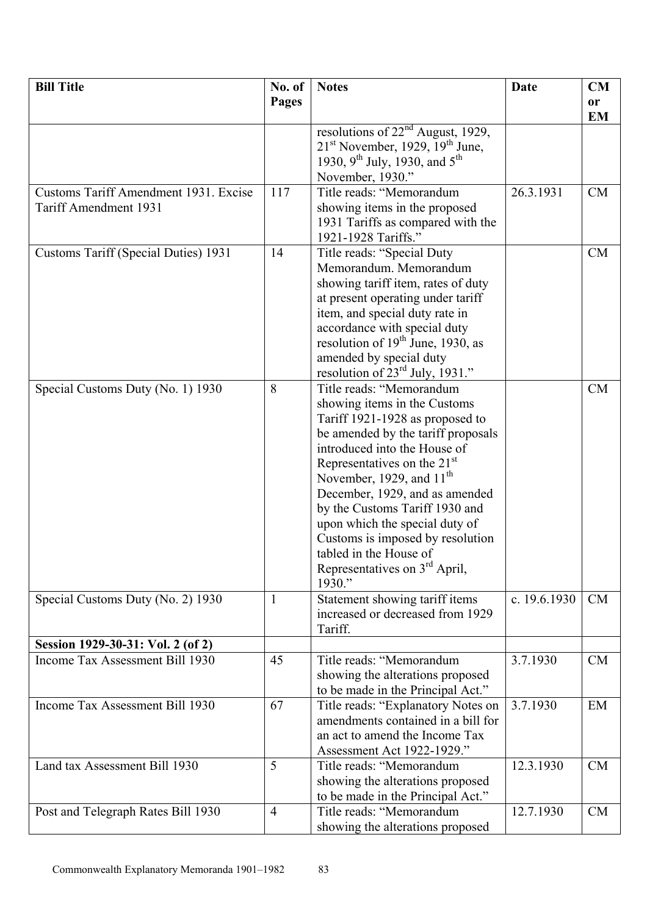| <b>Bill Title</b>                                                    | No. of         | <b>Notes</b>                                                           | <b>Date</b>  | CM              |
|----------------------------------------------------------------------|----------------|------------------------------------------------------------------------|--------------|-----------------|
|                                                                      | Pages          |                                                                        |              | or<br><b>EM</b> |
|                                                                      |                | resolutions of $22nd$ August, 1929,                                    |              |                 |
|                                                                      |                | $21st$ November, 1929, 19 <sup>th</sup> June,                          |              |                 |
|                                                                      |                | 1930, 9 <sup>th</sup> July, 1930, and 5 <sup>th</sup>                  |              |                 |
|                                                                      |                | November, 1930."<br>Title reads: "Memorandum                           |              |                 |
| Customs Tariff Amendment 1931. Excise<br>Tariff Amendment 1931       | 117            | showing items in the proposed                                          | 26.3.1931    | <b>CM</b>       |
|                                                                      |                | 1931 Tariffs as compared with the                                      |              |                 |
|                                                                      |                | 1921-1928 Tariffs."                                                    |              |                 |
| Customs Tariff (Special Duties) 1931                                 | 14             | Title reads: "Special Duty                                             |              | CM              |
|                                                                      |                | Memorandum. Memorandum                                                 |              |                 |
|                                                                      |                | showing tariff item, rates of duty                                     |              |                 |
|                                                                      |                | at present operating under tariff                                      |              |                 |
|                                                                      |                | item, and special duty rate in                                         |              |                 |
|                                                                      |                | accordance with special duty                                           |              |                 |
|                                                                      |                | resolution of $19th$ June, 1930, as                                    |              |                 |
|                                                                      |                | amended by special duty<br>resolution of $23^{\text{rd}}$ July, 1931." |              |                 |
| Special Customs Duty (No. 1) 1930                                    | 8              | Title reads: "Memorandum                                               |              | <b>CM</b>       |
|                                                                      |                | showing items in the Customs                                           |              |                 |
|                                                                      |                | Tariff 1921-1928 as proposed to                                        |              |                 |
|                                                                      |                | be amended by the tariff proposals                                     |              |                 |
|                                                                      |                | introduced into the House of                                           |              |                 |
|                                                                      |                | Representatives on the $21st$                                          |              |                 |
|                                                                      |                | November, 1929, and $11th$                                             |              |                 |
|                                                                      |                | December, 1929, and as amended                                         |              |                 |
|                                                                      |                | by the Customs Tariff 1930 and                                         |              |                 |
|                                                                      |                | upon which the special duty of                                         |              |                 |
|                                                                      |                | Customs is imposed by resolution<br>tabled in the House of             |              |                 |
|                                                                      |                | Representatives on 3 <sup>rd</sup> April,                              |              |                 |
|                                                                      |                | 1930."                                                                 |              |                 |
| Special Customs Duty (No. 2) 1930                                    | $\mathbf{1}$   | Statement showing tariff items                                         | c. 19.6.1930 | CM              |
|                                                                      |                | increased or decreased from 1929                                       |              |                 |
|                                                                      |                | Tariff.                                                                |              |                 |
| Session 1929-30-31: Vol. 2 (of 2)<br>Income Tax Assessment Bill 1930 | 45             | Title reads: "Memorandum                                               | 3.7.1930     | CM              |
|                                                                      |                | showing the alterations proposed                                       |              |                 |
|                                                                      |                | to be made in the Principal Act."                                      |              |                 |
| Income Tax Assessment Bill 1930                                      | 67             | Title reads: "Explanatory Notes on                                     | 3.7.1930     | EM              |
|                                                                      |                | amendments contained in a bill for                                     |              |                 |
|                                                                      |                | an act to amend the Income Tax                                         |              |                 |
|                                                                      |                | Assessment Act 1922-1929."                                             |              |                 |
| Land tax Assessment Bill 1930                                        | 5              | Title reads: "Memorandum                                               | 12.3.1930    | <b>CM</b>       |
|                                                                      |                | showing the alterations proposed                                       |              |                 |
|                                                                      |                | to be made in the Principal Act."                                      |              |                 |
| Post and Telegraph Rates Bill 1930                                   | $\overline{4}$ | Title reads: "Memorandum                                               | 12.7.1930    | CM              |
|                                                                      |                | showing the alterations proposed                                       |              |                 |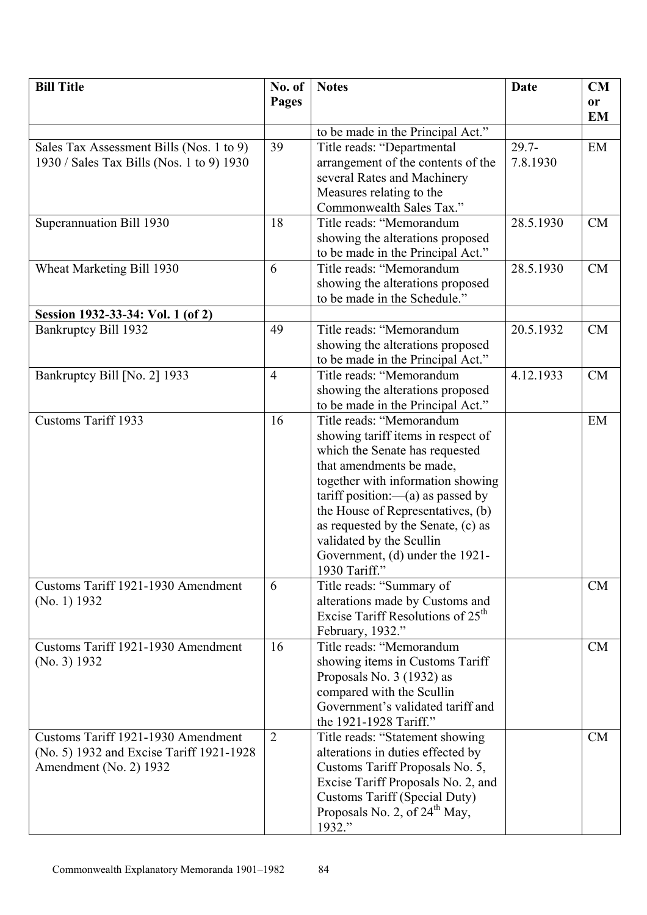| <b>Bill Title</b>                         | No. of         | <b>Notes</b>                                     | Date      | CM        |
|-------------------------------------------|----------------|--------------------------------------------------|-----------|-----------|
|                                           | Pages          |                                                  |           | or        |
|                                           |                |                                                  |           | <b>EM</b> |
|                                           |                | to be made in the Principal Act."                |           |           |
| Sales Tax Assessment Bills (Nos. 1 to 9)  | 39             | Title reads: "Departmental                       | $29.7 -$  | EM        |
| 1930 / Sales Tax Bills (Nos. 1 to 9) 1930 |                | arrangement of the contents of the               | 7.8.1930  |           |
|                                           |                | several Rates and Machinery                      |           |           |
|                                           |                | Measures relating to the                         |           |           |
|                                           |                | Commonwealth Sales Tax."                         |           |           |
| Superannuation Bill 1930                  | 18             | Title reads: "Memorandum                         | 28.5.1930 | <b>CM</b> |
|                                           |                | showing the alterations proposed                 |           |           |
|                                           |                | to be made in the Principal Act."                |           |           |
| Wheat Marketing Bill 1930                 | 6              | Title reads: "Memorandum                         | 28.5.1930 | <b>CM</b> |
|                                           |                | showing the alterations proposed                 |           |           |
|                                           |                | to be made in the Schedule."                     |           |           |
| Session 1932-33-34: Vol. 1 (of 2)         |                |                                                  |           |           |
| Bankruptcy Bill 1932                      | 49             | Title reads: "Memorandum                         | 20.5.1932 | CM        |
|                                           |                | showing the alterations proposed                 |           |           |
|                                           |                | to be made in the Principal Act."                |           |           |
| Bankruptcy Bill [No. 2] 1933              | $\overline{4}$ | Title reads: "Memorandum                         | 4.12.1933 | <b>CM</b> |
|                                           |                | showing the alterations proposed                 |           |           |
|                                           |                | to be made in the Principal Act."                |           |           |
| <b>Customs Tariff 1933</b>                | 16             | Title reads: "Memorandum                         |           | EM        |
|                                           |                | showing tariff items in respect of               |           |           |
|                                           |                | which the Senate has requested                   |           |           |
|                                           |                | that amendments be made,                         |           |           |
|                                           |                | together with information showing                |           |           |
|                                           |                | $\text{tariff position}:$ as passed by           |           |           |
|                                           |                | the House of Representatives, (b)                |           |           |
|                                           |                | as requested by the Senate, (c) as               |           |           |
|                                           |                | validated by the Scullin                         |           |           |
|                                           |                | Government, (d) under the 1921-<br>1930 Tariff." |           |           |
| Customs Tariff 1921-1930 Amendment        | 6              | Title reads: "Summary of                         |           | <b>CM</b> |
| (No. 1) 1932                              |                | alterations made by Customs and                  |           |           |
|                                           |                | Excise Tariff Resolutions of 25 <sup>th</sup>    |           |           |
|                                           |                | February, 1932."                                 |           |           |
| Customs Tariff 1921-1930 Amendment        | 16             | Title reads: "Memorandum                         |           | CM        |
| (No. 3) 1932                              |                | showing items in Customs Tariff                  |           |           |
|                                           |                | Proposals No. 3 (1932) as                        |           |           |
|                                           |                | compared with the Scullin                        |           |           |
|                                           |                | Government's validated tariff and                |           |           |
|                                           |                | the 1921-1928 Tariff."                           |           |           |
| Customs Tariff 1921-1930 Amendment        | 2              | Title reads: "Statement showing                  |           | CM        |
| (No. 5) 1932 and Excise Tariff 1921-1928  |                | alterations in duties effected by                |           |           |
| Amendment (No. 2) 1932                    |                | Customs Tariff Proposals No. 5,                  |           |           |
|                                           |                | Excise Tariff Proposals No. 2, and               |           |           |
|                                           |                | <b>Customs Tariff (Special Duty)</b>             |           |           |
|                                           |                | Proposals No. 2, of 24 <sup>th</sup> May,        |           |           |
|                                           |                | 1932."                                           |           |           |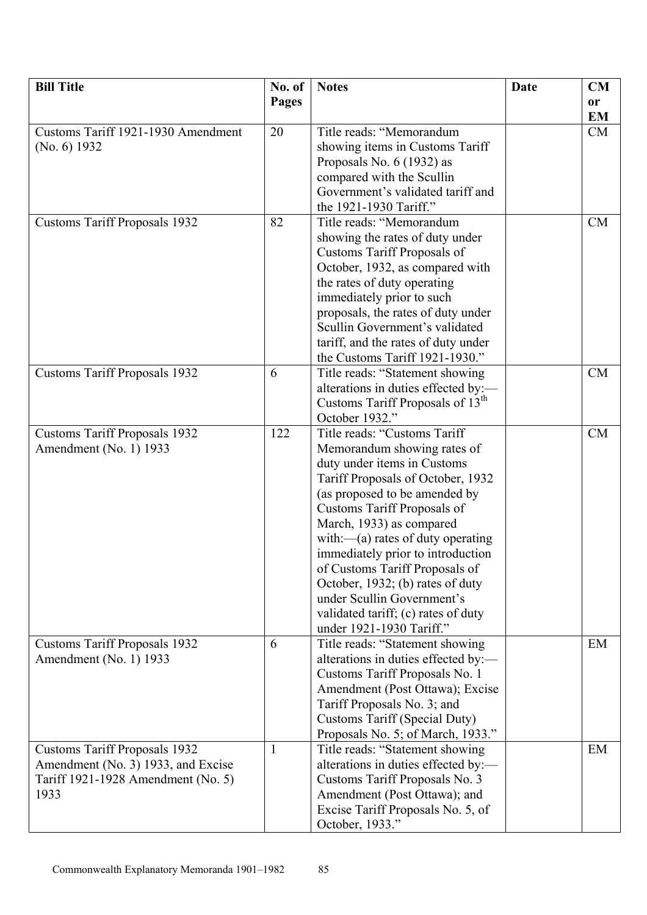| <b>Bill Title</b>                    | No. of       | <b>Notes</b>                                 | <b>Date</b> | CM        |
|--------------------------------------|--------------|----------------------------------------------|-------------|-----------|
|                                      | <b>Pages</b> |                                              |             | <b>or</b> |
|                                      |              |                                              |             | <b>EM</b> |
| Customs Tariff 1921-1930 Amendment   | 20           | Title reads: "Memorandum                     |             | CM        |
| (No. 6) 1932                         |              | showing items in Customs Tariff              |             |           |
|                                      |              | Proposals No. $6(1932)$ as                   |             |           |
|                                      |              | compared with the Scullin                    |             |           |
|                                      |              | Government's validated tariff and            |             |           |
|                                      |              | the 1921-1930 Tariff."                       |             |           |
| <b>Customs Tariff Proposals 1932</b> | 82           | Title reads: "Memorandum                     |             | <b>CM</b> |
|                                      |              | showing the rates of duty under              |             |           |
|                                      |              | Customs Tariff Proposals of                  |             |           |
|                                      |              | October, 1932, as compared with              |             |           |
|                                      |              | the rates of duty operating                  |             |           |
|                                      |              | immediately prior to such                    |             |           |
|                                      |              | proposals, the rates of duty under           |             |           |
|                                      |              | Scullin Government's validated               |             |           |
|                                      |              | tariff, and the rates of duty under          |             |           |
|                                      |              | the Customs Tariff 1921-1930."               |             |           |
| <b>Customs Tariff Proposals 1932</b> | 6            | Title reads: "Statement showing              |             | <b>CM</b> |
|                                      |              | alterations in duties effected by:-          |             |           |
|                                      |              | Customs Tariff Proposals of 13 <sup>th</sup> |             |           |
|                                      |              | October 1932."                               |             |           |
| <b>Customs Tariff Proposals 1932</b> | 122          | Title reads: "Customs Tariff                 |             | <b>CM</b> |
| Amendment (No. 1) 1933               |              | Memorandum showing rates of                  |             |           |
|                                      |              | duty under items in Customs                  |             |           |
|                                      |              | Tariff Proposals of October, 1932            |             |           |
|                                      |              | (as proposed to be amended by                |             |           |
|                                      |              | Customs Tariff Proposals of                  |             |           |
|                                      |              | March, 1933) as compared                     |             |           |
|                                      |              | with: $-(a)$ rates of duty operating         |             |           |
|                                      |              | immediately prior to introduction            |             |           |
|                                      |              | of Customs Tariff Proposals of               |             |           |
|                                      |              | October, 1932; (b) rates of duty             |             |           |
|                                      |              | under Scullin Government's                   |             |           |
|                                      |              | validated tariff; (c) rates of duty          |             |           |
|                                      |              | under 1921-1930 Tariff."                     |             |           |
| <b>Customs Tariff Proposals 1932</b> | 6            | Title reads: "Statement showing              |             | EM        |
| Amendment (No. 1) 1933               |              | alterations in duties effected by:-          |             |           |
|                                      |              | Customs Tariff Proposals No. 1               |             |           |
|                                      |              | Amendment (Post Ottawa); Excise              |             |           |
|                                      |              | Tariff Proposals No. 3; and                  |             |           |
|                                      |              | Customs Tariff (Special Duty)                |             |           |
|                                      |              | Proposals No. 5; of March, 1933."            |             |           |
| <b>Customs Tariff Proposals 1932</b> | $\mathbf{1}$ | Title reads: "Statement showing              |             | EM        |
| Amendment (No. 3) 1933, and Excise   |              | alterations in duties effected by:-          |             |           |
| Tariff 1921-1928 Amendment (No. 5)   |              | Customs Tariff Proposals No. 3               |             |           |
| 1933                                 |              | Amendment (Post Ottawa); and                 |             |           |
|                                      |              | Excise Tariff Proposals No. 5, of            |             |           |
|                                      |              | October, 1933."                              |             |           |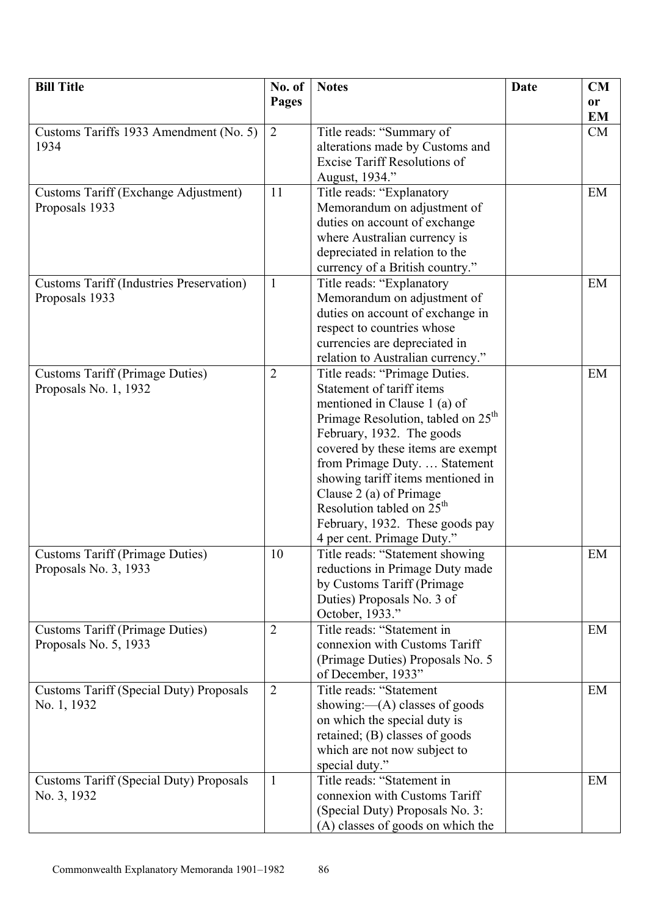| <b>Pages</b><br>or<br><b>EM</b><br>Customs Tariffs 1933 Amendment (No. 5)<br>2<br>Title reads: "Summary of<br>CM<br>alterations made by Customs and<br>1934<br><b>Excise Tariff Resolutions of</b><br>August, 1934."<br>Title reads: "Explanatory<br><b>Customs Tariff (Exchange Adjustment)</b><br>11<br>EM<br>Memorandum on adjustment of<br>Proposals 1933<br>duties on account of exchange<br>where Australian currency is<br>depreciated in relation to the<br>currency of a British country."<br>Title reads: "Explanatory<br><b>Customs Tariff (Industries Preservation)</b><br>$\mathbf{1}$<br>EM<br>Memorandum on adjustment of<br>Proposals 1933<br>duties on account of exchange in<br>respect to countries whose<br>currencies are depreciated in<br>relation to Australian currency."<br><b>Customs Tariff (Primage Duties)</b><br>Title reads: "Primage Duties.<br>2<br>EM<br>Statement of tariff items<br>Proposals No. 1, 1932<br>mentioned in Clause 1 (a) of<br>Primage Resolution, tabled on 25 <sup>th</sup><br>February, 1932. The goods<br>covered by these items are exempt | <b>Bill Title</b> | No. of | <b>Notes</b>                  | Date | CM |
|----------------------------------------------------------------------------------------------------------------------------------------------------------------------------------------------------------------------------------------------------------------------------------------------------------------------------------------------------------------------------------------------------------------------------------------------------------------------------------------------------------------------------------------------------------------------------------------------------------------------------------------------------------------------------------------------------------------------------------------------------------------------------------------------------------------------------------------------------------------------------------------------------------------------------------------------------------------------------------------------------------------------------------------------------------------------------------------------------|-------------------|--------|-------------------------------|------|----|
|                                                                                                                                                                                                                                                                                                                                                                                                                                                                                                                                                                                                                                                                                                                                                                                                                                                                                                                                                                                                                                                                                                    |                   |        |                               |      |    |
|                                                                                                                                                                                                                                                                                                                                                                                                                                                                                                                                                                                                                                                                                                                                                                                                                                                                                                                                                                                                                                                                                                    |                   |        |                               |      |    |
|                                                                                                                                                                                                                                                                                                                                                                                                                                                                                                                                                                                                                                                                                                                                                                                                                                                                                                                                                                                                                                                                                                    |                   |        |                               |      |    |
|                                                                                                                                                                                                                                                                                                                                                                                                                                                                                                                                                                                                                                                                                                                                                                                                                                                                                                                                                                                                                                                                                                    |                   |        |                               |      |    |
|                                                                                                                                                                                                                                                                                                                                                                                                                                                                                                                                                                                                                                                                                                                                                                                                                                                                                                                                                                                                                                                                                                    |                   |        |                               |      |    |
|                                                                                                                                                                                                                                                                                                                                                                                                                                                                                                                                                                                                                                                                                                                                                                                                                                                                                                                                                                                                                                                                                                    |                   |        |                               |      |    |
|                                                                                                                                                                                                                                                                                                                                                                                                                                                                                                                                                                                                                                                                                                                                                                                                                                                                                                                                                                                                                                                                                                    |                   |        |                               |      |    |
|                                                                                                                                                                                                                                                                                                                                                                                                                                                                                                                                                                                                                                                                                                                                                                                                                                                                                                                                                                                                                                                                                                    |                   |        |                               |      |    |
|                                                                                                                                                                                                                                                                                                                                                                                                                                                                                                                                                                                                                                                                                                                                                                                                                                                                                                                                                                                                                                                                                                    |                   |        |                               |      |    |
|                                                                                                                                                                                                                                                                                                                                                                                                                                                                                                                                                                                                                                                                                                                                                                                                                                                                                                                                                                                                                                                                                                    |                   |        |                               |      |    |
|                                                                                                                                                                                                                                                                                                                                                                                                                                                                                                                                                                                                                                                                                                                                                                                                                                                                                                                                                                                                                                                                                                    |                   |        |                               |      |    |
|                                                                                                                                                                                                                                                                                                                                                                                                                                                                                                                                                                                                                                                                                                                                                                                                                                                                                                                                                                                                                                                                                                    |                   |        |                               |      |    |
|                                                                                                                                                                                                                                                                                                                                                                                                                                                                                                                                                                                                                                                                                                                                                                                                                                                                                                                                                                                                                                                                                                    |                   |        |                               |      |    |
|                                                                                                                                                                                                                                                                                                                                                                                                                                                                                                                                                                                                                                                                                                                                                                                                                                                                                                                                                                                                                                                                                                    |                   |        |                               |      |    |
|                                                                                                                                                                                                                                                                                                                                                                                                                                                                                                                                                                                                                                                                                                                                                                                                                                                                                                                                                                                                                                                                                                    |                   |        |                               |      |    |
|                                                                                                                                                                                                                                                                                                                                                                                                                                                                                                                                                                                                                                                                                                                                                                                                                                                                                                                                                                                                                                                                                                    |                   |        |                               |      |    |
|                                                                                                                                                                                                                                                                                                                                                                                                                                                                                                                                                                                                                                                                                                                                                                                                                                                                                                                                                                                                                                                                                                    |                   |        |                               |      |    |
|                                                                                                                                                                                                                                                                                                                                                                                                                                                                                                                                                                                                                                                                                                                                                                                                                                                                                                                                                                                                                                                                                                    |                   |        |                               |      |    |
|                                                                                                                                                                                                                                                                                                                                                                                                                                                                                                                                                                                                                                                                                                                                                                                                                                                                                                                                                                                                                                                                                                    |                   |        |                               |      |    |
|                                                                                                                                                                                                                                                                                                                                                                                                                                                                                                                                                                                                                                                                                                                                                                                                                                                                                                                                                                                                                                                                                                    |                   |        |                               |      |    |
|                                                                                                                                                                                                                                                                                                                                                                                                                                                                                                                                                                                                                                                                                                                                                                                                                                                                                                                                                                                                                                                                                                    |                   |        |                               |      |    |
|                                                                                                                                                                                                                                                                                                                                                                                                                                                                                                                                                                                                                                                                                                                                                                                                                                                                                                                                                                                                                                                                                                    |                   |        |                               |      |    |
|                                                                                                                                                                                                                                                                                                                                                                                                                                                                                                                                                                                                                                                                                                                                                                                                                                                                                                                                                                                                                                                                                                    |                   |        |                               |      |    |
|                                                                                                                                                                                                                                                                                                                                                                                                                                                                                                                                                                                                                                                                                                                                                                                                                                                                                                                                                                                                                                                                                                    |                   |        |                               |      |    |
|                                                                                                                                                                                                                                                                                                                                                                                                                                                                                                                                                                                                                                                                                                                                                                                                                                                                                                                                                                                                                                                                                                    |                   |        | from Primage Duty.  Statement |      |    |
| showing tariff items mentioned in                                                                                                                                                                                                                                                                                                                                                                                                                                                                                                                                                                                                                                                                                                                                                                                                                                                                                                                                                                                                                                                                  |                   |        |                               |      |    |
| Clause 2 (a) of Primage                                                                                                                                                                                                                                                                                                                                                                                                                                                                                                                                                                                                                                                                                                                                                                                                                                                                                                                                                                                                                                                                            |                   |        |                               |      |    |
| Resolution tabled on 25 <sup>th</sup>                                                                                                                                                                                                                                                                                                                                                                                                                                                                                                                                                                                                                                                                                                                                                                                                                                                                                                                                                                                                                                                              |                   |        |                               |      |    |
| February, 1932. These goods pay                                                                                                                                                                                                                                                                                                                                                                                                                                                                                                                                                                                                                                                                                                                                                                                                                                                                                                                                                                                                                                                                    |                   |        |                               |      |    |
| 4 per cent. Primage Duty."                                                                                                                                                                                                                                                                                                                                                                                                                                                                                                                                                                                                                                                                                                                                                                                                                                                                                                                                                                                                                                                                         |                   |        |                               |      |    |
| <b>Customs Tariff (Primage Duties)</b><br>Title reads: "Statement showing<br>EM<br>10                                                                                                                                                                                                                                                                                                                                                                                                                                                                                                                                                                                                                                                                                                                                                                                                                                                                                                                                                                                                              |                   |        |                               |      |    |
| Proposals No. 3, 1933<br>reductions in Primage Duty made                                                                                                                                                                                                                                                                                                                                                                                                                                                                                                                                                                                                                                                                                                                                                                                                                                                                                                                                                                                                                                           |                   |        |                               |      |    |
| by Customs Tariff (Primage)                                                                                                                                                                                                                                                                                                                                                                                                                                                                                                                                                                                                                                                                                                                                                                                                                                                                                                                                                                                                                                                                        |                   |        |                               |      |    |
| Duties) Proposals No. 3 of                                                                                                                                                                                                                                                                                                                                                                                                                                                                                                                                                                                                                                                                                                                                                                                                                                                                                                                                                                                                                                                                         |                   |        |                               |      |    |
| October, 1933."                                                                                                                                                                                                                                                                                                                                                                                                                                                                                                                                                                                                                                                                                                                                                                                                                                                                                                                                                                                                                                                                                    |                   |        |                               |      |    |
| $\overline{2}$<br><b>Customs Tariff (Primage Duties)</b><br>Title reads: "Statement in<br>EM                                                                                                                                                                                                                                                                                                                                                                                                                                                                                                                                                                                                                                                                                                                                                                                                                                                                                                                                                                                                       |                   |        |                               |      |    |
| Proposals No. 5, 1933<br>connexion with Customs Tariff                                                                                                                                                                                                                                                                                                                                                                                                                                                                                                                                                                                                                                                                                                                                                                                                                                                                                                                                                                                                                                             |                   |        |                               |      |    |
| (Primage Duties) Proposals No. 5                                                                                                                                                                                                                                                                                                                                                                                                                                                                                                                                                                                                                                                                                                                                                                                                                                                                                                                                                                                                                                                                   |                   |        |                               |      |    |
| of December, 1933"                                                                                                                                                                                                                                                                                                                                                                                                                                                                                                                                                                                                                                                                                                                                                                                                                                                                                                                                                                                                                                                                                 |                   |        |                               |      |    |
| Title reads: "Statement<br>$\overline{2}$<br>EM<br><b>Customs Tariff (Special Duty) Proposals</b>                                                                                                                                                                                                                                                                                                                                                                                                                                                                                                                                                                                                                                                                                                                                                                                                                                                                                                                                                                                                  |                   |        |                               |      |    |
| No. 1, 1932<br>showing: $-(A)$ classes of goods                                                                                                                                                                                                                                                                                                                                                                                                                                                                                                                                                                                                                                                                                                                                                                                                                                                                                                                                                                                                                                                    |                   |        |                               |      |    |
| on which the special duty is                                                                                                                                                                                                                                                                                                                                                                                                                                                                                                                                                                                                                                                                                                                                                                                                                                                                                                                                                                                                                                                                       |                   |        |                               |      |    |
| retained; (B) classes of goods                                                                                                                                                                                                                                                                                                                                                                                                                                                                                                                                                                                                                                                                                                                                                                                                                                                                                                                                                                                                                                                                     |                   |        |                               |      |    |
| which are not now subject to                                                                                                                                                                                                                                                                                                                                                                                                                                                                                                                                                                                                                                                                                                                                                                                                                                                                                                                                                                                                                                                                       |                   |        |                               |      |    |
| special duty."                                                                                                                                                                                                                                                                                                                                                                                                                                                                                                                                                                                                                                                                                                                                                                                                                                                                                                                                                                                                                                                                                     |                   |        |                               |      |    |
| Title reads: "Statement in<br><b>Customs Tariff (Special Duty) Proposals</b><br>EM<br>1                                                                                                                                                                                                                                                                                                                                                                                                                                                                                                                                                                                                                                                                                                                                                                                                                                                                                                                                                                                                            |                   |        |                               |      |    |
| connexion with Customs Tariff<br>No. 3, 1932                                                                                                                                                                                                                                                                                                                                                                                                                                                                                                                                                                                                                                                                                                                                                                                                                                                                                                                                                                                                                                                       |                   |        |                               |      |    |
| (Special Duty) Proposals No. 3:                                                                                                                                                                                                                                                                                                                                                                                                                                                                                                                                                                                                                                                                                                                                                                                                                                                                                                                                                                                                                                                                    |                   |        |                               |      |    |
| (A) classes of goods on which the                                                                                                                                                                                                                                                                                                                                                                                                                                                                                                                                                                                                                                                                                                                                                                                                                                                                                                                                                                                                                                                                  |                   |        |                               |      |    |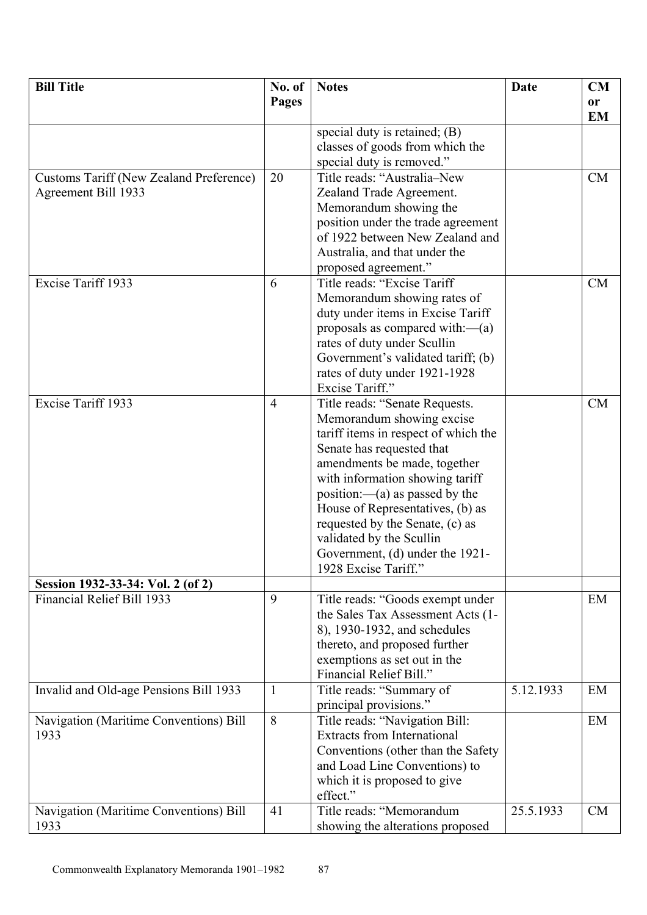| <b>Bill Title</b>                              | No. of         | <b>Notes</b>                                             | <b>Date</b> | <b>CM</b> |
|------------------------------------------------|----------------|----------------------------------------------------------|-------------|-----------|
|                                                | <b>Pages</b>   |                                                          |             | or        |
|                                                |                |                                                          |             | <b>EM</b> |
|                                                |                | special duty is retained; $(B)$                          |             |           |
|                                                |                | classes of goods from which the                          |             |           |
|                                                |                | special duty is removed."                                |             |           |
| <b>Customs Tariff (New Zealand Preference)</b> | 20             | Title reads: "Australia-New                              |             | CM        |
| Agreement Bill 1933                            |                | Zealand Trade Agreement.                                 |             |           |
|                                                |                | Memorandum showing the                                   |             |           |
|                                                |                | position under the trade agreement                       |             |           |
|                                                |                | of 1922 between New Zealand and                          |             |           |
|                                                |                | Australia, and that under the                            |             |           |
|                                                |                | proposed agreement."                                     |             |           |
| Excise Tariff 1933                             | 6              | Title reads: "Excise Tariff                              |             | CM        |
|                                                |                | Memorandum showing rates of                              |             |           |
|                                                |                | duty under items in Excise Tariff                        |             |           |
|                                                |                | proposals as compared with: $-(a)$                       |             |           |
|                                                |                | rates of duty under Scullin                              |             |           |
|                                                |                | Government's validated tariff; (b)                       |             |           |
|                                                |                | rates of duty under 1921-1928                            |             |           |
|                                                |                | Excise Tariff."                                          |             |           |
| Excise Tariff 1933                             | $\overline{4}$ | Title reads: "Senate Requests.                           |             | CM        |
|                                                |                | Memorandum showing excise                                |             |           |
|                                                |                | tariff items in respect of which the                     |             |           |
|                                                |                | Senate has requested that                                |             |           |
|                                                |                | amendments be made, together                             |             |           |
|                                                |                | with information showing tariff                          |             |           |
|                                                |                | position:—(a) as passed by the                           |             |           |
|                                                |                | House of Representatives, (b) as                         |             |           |
|                                                |                | requested by the Senate, (c) as                          |             |           |
|                                                |                | validated by the Scullin                                 |             |           |
|                                                |                | Government, (d) under the 1921-                          |             |           |
|                                                |                | 1928 Excise Tariff."                                     |             |           |
| Session 1932-33-34: Vol. 2 (of 2)              |                |                                                          |             |           |
| Financial Relief Bill 1933                     | 9              | Title reads: "Goods exempt under                         |             | EM        |
|                                                |                | the Sales Tax Assessment Acts (1-                        |             |           |
|                                                |                | 8), 1930-1932, and schedules                             |             |           |
|                                                |                | thereto, and proposed further                            |             |           |
|                                                |                | exemptions as set out in the<br>Financial Relief Bill."  |             |           |
|                                                |                |                                                          |             |           |
| Invalid and Old-age Pensions Bill 1933         | 1              | Title reads: "Summary of                                 | 5.12.1933   | EM        |
| Navigation (Maritime Conventions) Bill         | 8              | principal provisions."<br>Title reads: "Navigation Bill: |             | EM        |
| 1933                                           |                | <b>Extracts from International</b>                       |             |           |
|                                                |                | Conventions (other than the Safety                       |             |           |
|                                                |                | and Load Line Conventions) to                            |             |           |
|                                                |                | which it is proposed to give                             |             |           |
|                                                |                | effect."                                                 |             |           |
| Navigation (Maritime Conventions) Bill         | 41             | Title reads: "Memorandum                                 | 25.5.1933   | <b>CM</b> |
| 1933                                           |                | showing the alterations proposed                         |             |           |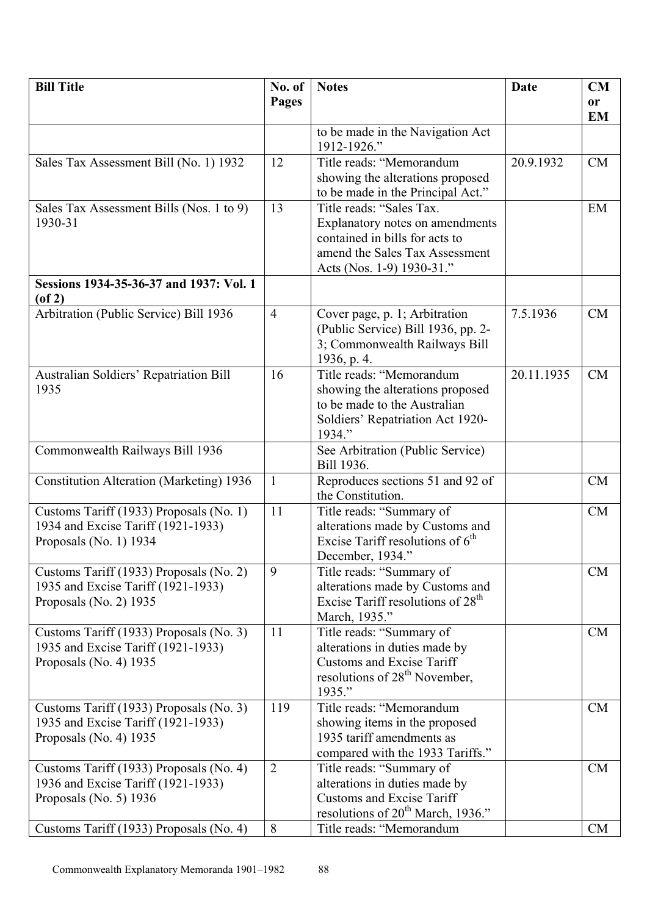| <b>Bill Title</b>                                                                                         | No. of         | <b>Notes</b>                                                                                                                                                 | Date       | CM        |
|-----------------------------------------------------------------------------------------------------------|----------------|--------------------------------------------------------------------------------------------------------------------------------------------------------------|------------|-----------|
|                                                                                                           | Pages          |                                                                                                                                                              |            | or        |
|                                                                                                           |                |                                                                                                                                                              |            | <b>EM</b> |
|                                                                                                           |                | to be made in the Navigation Act<br>1912-1926."                                                                                                              |            |           |
| Sales Tax Assessment Bill (No. 1) 1932                                                                    | 12             | Title reads: "Memorandum<br>showing the alterations proposed<br>to be made in the Principal Act."                                                            | 20.9.1932  | <b>CM</b> |
| Sales Tax Assessment Bills (Nos. 1 to 9)<br>1930-31                                                       | 13             | Title reads: "Sales Tax.<br>Explanatory notes on amendments<br>contained in bills for acts to<br>amend the Sales Tax Assessment<br>Acts (Nos. 1-9) 1930-31." |            | EM        |
| Sessions 1934-35-36-37 and 1937: Vol. 1<br>$($ of 2 $)$                                                   |                |                                                                                                                                                              |            |           |
| Arbitration (Public Service) Bill 1936                                                                    | $\overline{4}$ | Cover page, p. 1; Arbitration<br>(Public Service) Bill 1936, pp. 2-<br>3; Commonwealth Railways Bill<br>1936, p. 4.                                          | 7.5.1936   | CM        |
| Australian Soldiers' Repatriation Bill<br>1935                                                            | 16             | Title reads: "Memorandum<br>showing the alterations proposed<br>to be made to the Australian<br>Soldiers' Repatriation Act 1920-<br>1934."                   | 20.11.1935 | CM        |
| Commonwealth Railways Bill 1936                                                                           |                | See Arbitration (Public Service)<br>Bill 1936.                                                                                                               |            |           |
| <b>Constitution Alteration (Marketing) 1936</b>                                                           | $\mathbf{1}$   | Reproduces sections 51 and 92 of<br>the Constitution.                                                                                                        |            | CM        |
| Customs Tariff (1933) Proposals (No. 1)<br>1934 and Excise Tariff (1921-1933)<br>Proposals (No. 1) 1934   | 11             | Title reads: "Summary of<br>alterations made by Customs and<br>Excise Tariff resolutions of $6th$<br>December, 1934."                                        |            | CM        |
| Customs Tariff (1933) Proposals (No. 2)<br>1935 and Excise Tariff (1921-1933)<br>Proposals (No. 2) 1935   | 9              | Title reads: "Summary of<br>alterations made by Customs and<br>Excise Tariff resolutions of 28 <sup>th</sup><br>March, 1935."                                |            | <b>CM</b> |
| Customs Tariff (1933) Proposals (No. 3)<br>1935 and Excise Tariff (1921-1933)<br>Proposals (No. 4) 1935   | 11             | Title reads: "Summary of<br>alterations in duties made by<br><b>Customs and Excise Tariff</b><br>resolutions of $28th$ November,<br>1935."                   |            | CM        |
| Customs Tariff (1933) Proposals (No. 3)<br>1935 and Excise Tariff (1921-1933)<br>Proposals (No. 4) 1935   | 119            | Title reads: "Memorandum<br>showing items in the proposed<br>1935 tariff amendments as<br>compared with the 1933 Tariffs."                                   |            | <b>CM</b> |
| Customs Tariff (1933) Proposals (No. 4)<br>1936 and Excise Tariff (1921-1933)<br>Proposals (No. 5) $1936$ | $\overline{2}$ | Title reads: "Summary of<br>alterations in duties made by<br><b>Customs and Excise Tariff</b><br>resolutions of 20 <sup>th</sup> March, 1936."               |            | <b>CM</b> |
| Customs Tariff (1933) Proposals (No. 4)                                                                   | 8              | Title reads: "Memorandum                                                                                                                                     |            | <b>CM</b> |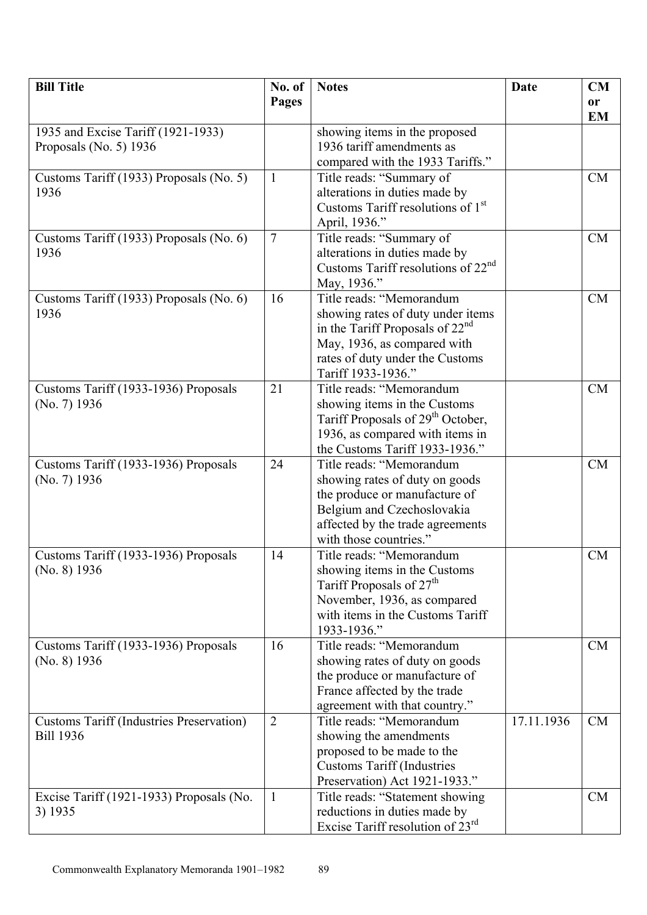| <b>Bill Title</b>                               | No. of         | <b>Notes</b>                                                         | <b>Date</b> | <b>CM</b> |
|-------------------------------------------------|----------------|----------------------------------------------------------------------|-------------|-----------|
|                                                 | <b>Pages</b>   |                                                                      |             | or        |
|                                                 |                |                                                                      |             | <b>EM</b> |
| 1935 and Excise Tariff (1921-1933)              |                | showing items in the proposed                                        |             |           |
| Proposals (No. 5) $1936$                        |                | 1936 tariff amendments as                                            |             |           |
|                                                 |                | compared with the 1933 Tariffs."                                     |             |           |
| Customs Tariff (1933) Proposals (No. 5)         | $\mathbf{1}$   | Title reads: "Summary of                                             |             | <b>CM</b> |
| 1936                                            |                | alterations in duties made by                                        |             |           |
|                                                 |                | Customs Tariff resolutions of 1 <sup>st</sup>                        |             |           |
|                                                 |                | April, 1936."                                                        |             |           |
| Customs Tariff (1933) Proposals (No. 6)         | $\overline{7}$ | Title reads: "Summary of                                             |             | CM        |
| 1936                                            |                | alterations in duties made by                                        |             |           |
|                                                 |                | Customs Tariff resolutions of $22nd$                                 |             |           |
|                                                 |                | May, 1936."                                                          |             |           |
| Customs Tariff (1933) Proposals (No. 6)         | 16             | Title reads: "Memorandum                                             |             | CM        |
| 1936                                            |                | showing rates of duty under items                                    |             |           |
|                                                 |                | in the Tariff Proposals of $22nd$                                    |             |           |
|                                                 |                | May, 1936, as compared with                                          |             |           |
|                                                 |                | rates of duty under the Customs                                      |             |           |
|                                                 |                | Tariff 1933-1936."                                                   |             |           |
| Customs Tariff (1933-1936) Proposals            | 21             | Title reads: "Memorandum                                             |             | <b>CM</b> |
| (No. 7) 1936                                    |                | showing items in the Customs                                         |             |           |
|                                                 |                | Tariff Proposals of 29 <sup>th</sup> October,                        |             |           |
|                                                 |                | 1936, as compared with items in                                      |             |           |
|                                                 |                | the Customs Tariff 1933-1936."                                       |             |           |
| Customs Tariff (1933-1936) Proposals            | 24             | Title reads: "Memorandum                                             |             | <b>CM</b> |
| (No. 7) 1936                                    |                | showing rates of duty on goods                                       |             |           |
|                                                 |                | the produce or manufacture of                                        |             |           |
|                                                 |                | Belgium and Czechoslovakia                                           |             |           |
|                                                 |                | affected by the trade agreements                                     |             |           |
|                                                 |                | with those countries."                                               |             |           |
| Customs Tariff (1933-1936) Proposals            | 14             | Title reads: "Memorandum                                             |             | CM        |
| (No. 8) 1936                                    |                | showing items in the Customs<br>Tariff Proposals of 27 <sup>th</sup> |             |           |
|                                                 |                | November, 1936, as compared                                          |             |           |
|                                                 |                | with items in the Customs Tariff                                     |             |           |
|                                                 |                | 1933-1936."                                                          |             |           |
| Customs Tariff (1933-1936) Proposals            | 16             | Title reads: "Memorandum                                             |             | CM        |
| (No. 8) 1936                                    |                | showing rates of duty on goods                                       |             |           |
|                                                 |                | the produce or manufacture of                                        |             |           |
|                                                 |                | France affected by the trade                                         |             |           |
|                                                 |                | agreement with that country."                                        |             |           |
| <b>Customs Tariff (Industries Preservation)</b> | $\overline{2}$ | Title reads: "Memorandum                                             | 17.11.1936  | <b>CM</b> |
| <b>Bill 1936</b>                                |                | showing the amendments                                               |             |           |
|                                                 |                | proposed to be made to the                                           |             |           |
|                                                 |                | <b>Customs Tariff (Industries</b>                                    |             |           |
|                                                 |                | Preservation) Act 1921-1933."                                        |             |           |
| Excise Tariff (1921-1933) Proposals (No.        | 1              | Title reads: "Statement showing                                      |             | <b>CM</b> |
| 3) 1935                                         |                | reductions in duties made by                                         |             |           |
|                                                 |                | Excise Tariff resolution of 23 <sup>rd</sup>                         |             |           |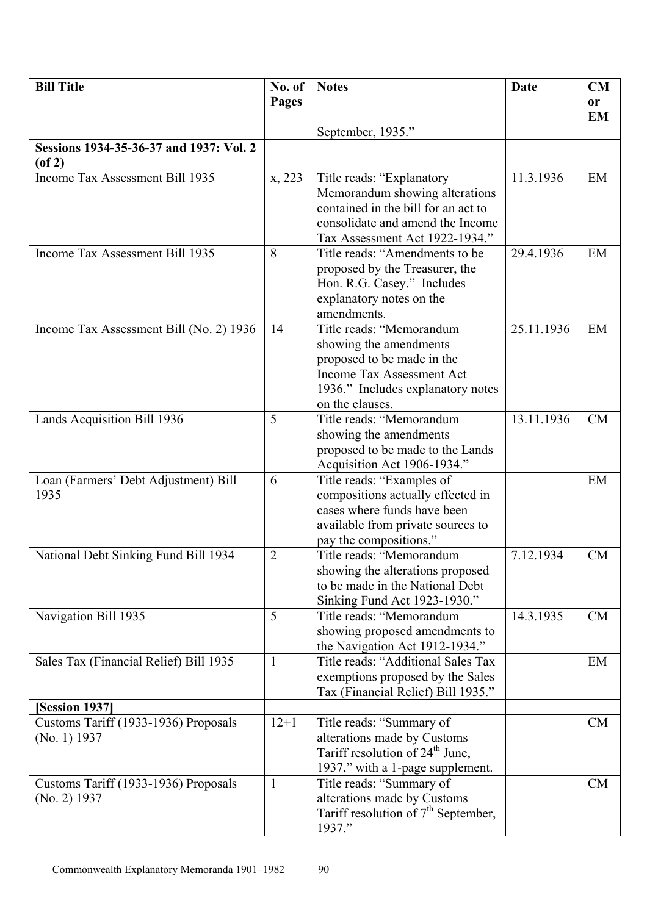| <b>Bill Title</b>                                       | No. of         | <b>Notes</b>                                                                                                                                                             | <b>Date</b> | <b>CM</b>              |
|---------------------------------------------------------|----------------|--------------------------------------------------------------------------------------------------------------------------------------------------------------------------|-------------|------------------------|
|                                                         | <b>Pages</b>   |                                                                                                                                                                          |             | <b>or</b><br><b>EM</b> |
|                                                         |                | September, 1935."                                                                                                                                                        |             |                        |
| Sessions 1934-35-36-37 and 1937: Vol. 2<br>$($ of 2 $)$ |                |                                                                                                                                                                          |             |                        |
| Income Tax Assessment Bill 1935                         | x, 223         | Title reads: "Explanatory<br>Memorandum showing alterations<br>contained in the bill for an act to<br>consolidate and amend the Income<br>Tax Assessment Act 1922-1934." | 11.3.1936   | EM                     |
| Income Tax Assessment Bill 1935                         | 8              | Title reads: "Amendments to be<br>proposed by the Treasurer, the<br>Hon. R.G. Casey." Includes<br>explanatory notes on the<br>amendments.                                | 29.4.1936   | EM                     |
| Income Tax Assessment Bill (No. 2) 1936                 | 14             | Title reads: "Memorandum<br>showing the amendments<br>proposed to be made in the<br>Income Tax Assessment Act<br>1936." Includes explanatory notes<br>on the clauses.    | 25.11.1936  | EM                     |
| Lands Acquisition Bill 1936                             | 5              | Title reads: "Memorandum<br>showing the amendments<br>proposed to be made to the Lands<br>Acquisition Act 1906-1934."                                                    | 13.11.1936  | <b>CM</b>              |
| Loan (Farmers' Debt Adjustment) Bill<br>1935            | 6              | Title reads: "Examples of<br>compositions actually effected in<br>cases where funds have been<br>available from private sources to<br>pay the compositions."             |             | EM                     |
| National Debt Sinking Fund Bill 1934                    | $\overline{2}$ | Title reads: "Memorandum<br>showing the alterations proposed<br>to be made in the National Debt<br>Sinking Fund Act 1923-1930."                                          | 7.12.1934   | <b>CM</b>              |
| Navigation Bill 1935                                    | 5              | Title reads: "Memorandum<br>showing proposed amendments to<br>the Navigation Act 1912-1934."                                                                             | 14.3.1935   | CM                     |
| Sales Tax (Financial Relief) Bill 1935                  | $\mathbf{1}$   | Title reads: "Additional Sales Tax<br>exemptions proposed by the Sales<br>Tax (Financial Relief) Bill 1935."                                                             |             | EM                     |
| [Session 1937]                                          |                |                                                                                                                                                                          |             |                        |
| Customs Tariff (1933-1936) Proposals<br>(No. 1) 1937    | $12+1$         | Title reads: "Summary of<br>alterations made by Customs<br>Tariff resolution of 24 <sup>th</sup> June,<br>1937," with a 1-page supplement.                               |             | CM                     |
| Customs Tariff (1933-1936) Proposals<br>$(No. 2)$ 1937  | $\mathbf{1}$   | Title reads: "Summary of<br>alterations made by Customs<br>Tariff resolution of $7th$ September,<br>1937."                                                               |             | CM                     |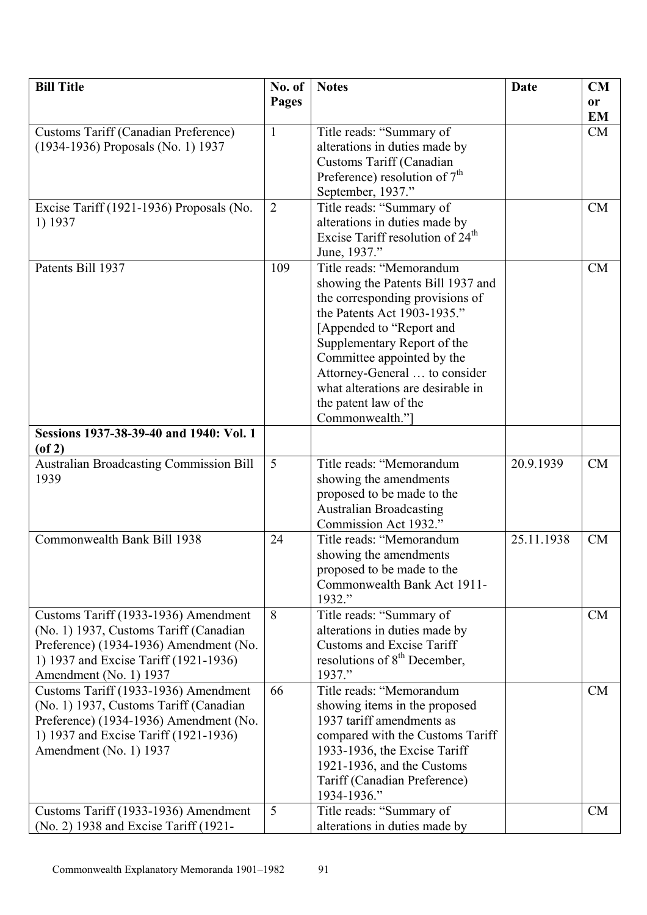| <b>Bill Title</b>                                       | No. of         | <b>Notes</b>                                               | Date       | CM        |
|---------------------------------------------------------|----------------|------------------------------------------------------------|------------|-----------|
|                                                         | <b>Pages</b>   |                                                            |            | <b>or</b> |
|                                                         |                |                                                            |            | <b>EM</b> |
| <b>Customs Tariff (Canadian Preference)</b>             | $\mathbf{1}$   | Title reads: "Summary of                                   |            | CM        |
| (1934-1936) Proposals (No. 1) 1937                      |                | alterations in duties made by                              |            |           |
|                                                         |                | Customs Tariff (Canadian                                   |            |           |
|                                                         |                | Preference) resolution of $7th$                            |            |           |
|                                                         |                | September, 1937."                                          |            |           |
| Excise Tariff (1921-1936) Proposals (No.                | $\overline{2}$ | Title reads: "Summary of                                   |            | <b>CM</b> |
| 1) 1937                                                 |                | alterations in duties made by                              |            |           |
|                                                         |                | Excise Tariff resolution of 24 <sup>th</sup>               |            |           |
|                                                         |                | June, 1937."                                               |            |           |
| Patents Bill 1937                                       | 109            | Title reads: "Memorandum                                   |            | <b>CM</b> |
|                                                         |                | showing the Patents Bill 1937 and                          |            |           |
|                                                         |                | the corresponding provisions of                            |            |           |
|                                                         |                | the Patents Act 1903-1935."                                |            |           |
|                                                         |                | [Appended to "Report and                                   |            |           |
|                                                         |                | Supplementary Report of the                                |            |           |
|                                                         |                | Committee appointed by the                                 |            |           |
|                                                         |                | Attorney-General  to consider                              |            |           |
|                                                         |                | what alterations are desirable in                          |            |           |
|                                                         |                | the patent law of the                                      |            |           |
|                                                         |                | Commonwealth."]                                            |            |           |
| Sessions 1937-38-39-40 and 1940: Vol. 1<br>$($ of 2 $)$ |                |                                                            |            |           |
| <b>Australian Broadcasting Commission Bill</b>          | 5              | Title reads: "Memorandum                                   | 20.9.1939  | <b>CM</b> |
| 1939                                                    |                | showing the amendments                                     |            |           |
|                                                         |                | proposed to be made to the                                 |            |           |
|                                                         |                | <b>Australian Broadcasting</b>                             |            |           |
|                                                         |                | Commission Act 1932."                                      |            |           |
| Commonwealth Bank Bill 1938                             | 24             | Title reads: "Memorandum                                   | 25.11.1938 | <b>CM</b> |
|                                                         |                | showing the amendments                                     |            |           |
|                                                         |                | proposed to be made to the                                 |            |           |
|                                                         |                | Commonwealth Bank Act 1911-                                |            |           |
|                                                         |                | 1932."                                                     |            |           |
| Customs Tariff (1933-1936) Amendment                    | 8              | Title reads: "Summary of                                   |            | <b>CM</b> |
| (No. 1) 1937, Customs Tariff (Canadian)                 |                | alterations in duties made by                              |            |           |
| Preference) (1934-1936) Amendment (No.                  |                | <b>Customs and Excise Tariff</b>                           |            |           |
| 1) 1937 and Excise Tariff (1921-1936)                   |                | resolutions of $8th$ December,                             |            |           |
| Amendment (No. 1) 1937                                  |                | 1937."                                                     |            |           |
| Customs Tariff (1933-1936) Amendment                    | 66             | Title reads: "Memorandum                                   |            | <b>CM</b> |
| (No. 1) 1937, Customs Tariff (Canadian                  |                | showing items in the proposed<br>1937 tariff amendments as |            |           |
| Preference) (1934-1936) Amendment (No.                  |                |                                                            |            |           |
| 1) 1937 and Excise Tariff (1921-1936)                   |                | compared with the Customs Tariff                           |            |           |
| Amendment (No. 1) 1937                                  |                | 1933-1936, the Excise Tariff                               |            |           |
|                                                         |                | 1921-1936, and the Customs                                 |            |           |
|                                                         |                | Tariff (Canadian Preference)<br>1934-1936."                |            |           |
| Customs Tariff (1933-1936) Amendment                    |                |                                                            |            |           |
|                                                         | 5              | Title reads: "Summary of                                   |            | <b>CM</b> |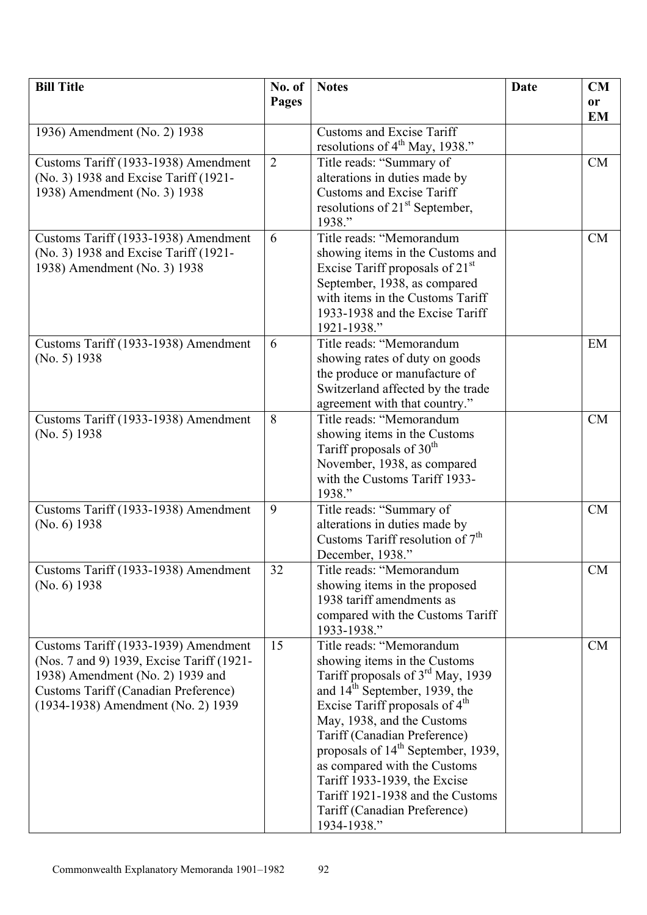| <b>Bill Title</b>                                                             | No. of         | <b>Notes</b>                                                       | <b>Date</b> | <b>CM</b>       |
|-------------------------------------------------------------------------------|----------------|--------------------------------------------------------------------|-------------|-----------------|
|                                                                               | Pages          |                                                                    |             | or<br><b>EM</b> |
| 1936) Amendment (No. 2) 1938                                                  |                | <b>Customs and Excise Tariff</b>                                   |             |                 |
|                                                                               |                | resolutions of 4 <sup>th</sup> May, 1938."                         |             |                 |
| Customs Tariff (1933-1938) Amendment                                          | $\overline{2}$ | Title reads: "Summary of                                           |             | CM              |
| (No. 3) 1938 and Excise Tariff (1921-                                         |                | alterations in duties made by                                      |             |                 |
| 1938) Amendment (No. 3) 1938                                                  |                | <b>Customs and Excise Tariff</b>                                   |             |                 |
|                                                                               |                | resolutions of $21st$ September,                                   |             |                 |
|                                                                               | 6              | 1938."<br>Title reads: "Memorandum                                 |             | CM              |
| Customs Tariff (1933-1938) Amendment<br>(No. 3) 1938 and Excise Tariff (1921- |                | showing items in the Customs and                                   |             |                 |
| 1938) Amendment (No. 3) 1938                                                  |                | Excise Tariff proposals of 21 <sup>st</sup>                        |             |                 |
|                                                                               |                | September, 1938, as compared                                       |             |                 |
|                                                                               |                | with items in the Customs Tariff                                   |             |                 |
|                                                                               |                | 1933-1938 and the Excise Tariff                                    |             |                 |
|                                                                               |                | 1921-1938."                                                        |             |                 |
| Customs Tariff (1933-1938) Amendment                                          | 6              | Title reads: "Memorandum                                           |             | EM              |
| (No. 5) 1938                                                                  |                | showing rates of duty on goods                                     |             |                 |
|                                                                               |                | the produce or manufacture of<br>Switzerland affected by the trade |             |                 |
|                                                                               |                | agreement with that country."                                      |             |                 |
| Customs Tariff (1933-1938) Amendment                                          | 8              | Title reads: "Memorandum                                           |             | <b>CM</b>       |
| (No. 5) 1938                                                                  |                | showing items in the Customs                                       |             |                 |
|                                                                               |                | Tariff proposals of 30 <sup>th</sup>                               |             |                 |
|                                                                               |                | November, 1938, as compared                                        |             |                 |
|                                                                               |                | with the Customs Tariff 1933-                                      |             |                 |
|                                                                               |                | 1938."                                                             |             |                 |
| Customs Tariff (1933-1938) Amendment<br>(No. 6) 1938                          | 9              | Title reads: "Summary of<br>alterations in duties made by          |             | <b>CM</b>       |
|                                                                               |                | Customs Tariff resolution of $7th$                                 |             |                 |
|                                                                               |                | December, 1938."                                                   |             |                 |
| Customs Tariff (1933-1938) Amendment                                          | 32             | Title reads: "Memorandum                                           |             | <b>CM</b>       |
| $(No. 6)$ 1938                                                                |                | showing items in the proposed                                      |             |                 |
|                                                                               |                | 1938 tariff amendments as                                          |             |                 |
|                                                                               |                | compared with the Customs Tariff                                   |             |                 |
| Customs Tariff (1933-1939) Amendment                                          | 15             | 1933-1938."<br>Title reads: "Memorandum                            |             | CM              |
| (Nos. 7 and 9) 1939, Excise Tariff (1921-                                     |                | showing items in the Customs                                       |             |                 |
| 1938) Amendment (No. 2) 1939 and                                              |                | Tariff proposals of 3 <sup>rd</sup> May, 1939                      |             |                 |
| <b>Customs Tariff (Canadian Preference)</b>                                   |                | and 14 <sup>th</sup> September, 1939, the                          |             |                 |
| (1934-1938) Amendment (No. 2) 1939                                            |                | Excise Tariff proposals of 4 <sup>th</sup>                         |             |                 |
|                                                                               |                | May, 1938, and the Customs                                         |             |                 |
|                                                                               |                | Tariff (Canadian Preference)                                       |             |                 |
|                                                                               |                | proposals of 14 <sup>th</sup> September, 1939,                     |             |                 |
|                                                                               |                | as compared with the Customs<br>Tariff 1933-1939, the Excise       |             |                 |
|                                                                               |                | Tariff 1921-1938 and the Customs                                   |             |                 |
|                                                                               |                | Tariff (Canadian Preference)                                       |             |                 |
|                                                                               |                | 1934-1938."                                                        |             |                 |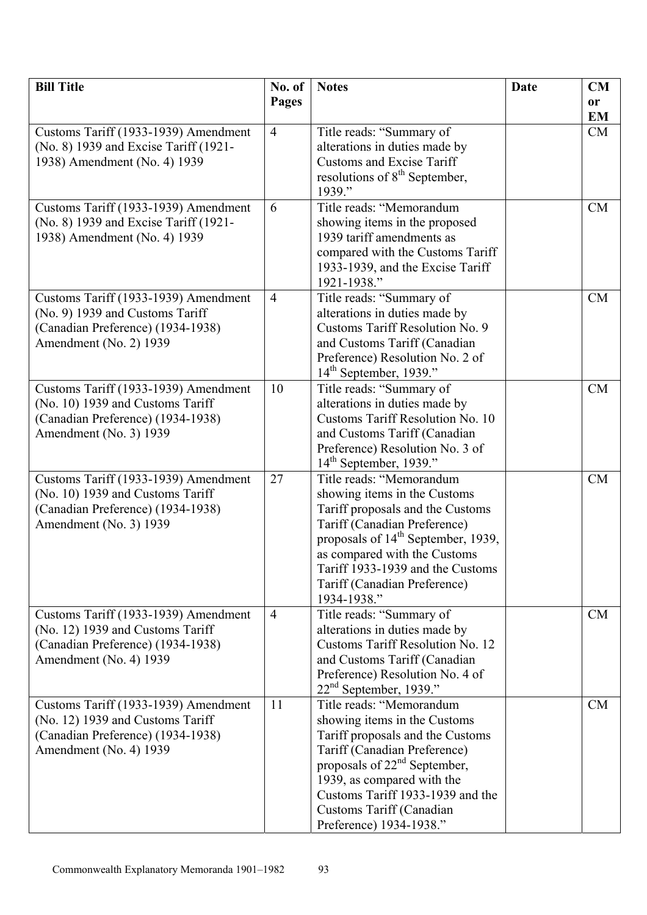| <b>Bill Title</b>                                           | No. of         | <b>Notes</b>                                                      | <b>Date</b> | <b>CM</b> |
|-------------------------------------------------------------|----------------|-------------------------------------------------------------------|-------------|-----------|
|                                                             | <b>Pages</b>   |                                                                   |             | <b>or</b> |
|                                                             |                |                                                                   |             | <b>EM</b> |
| Customs Tariff (1933-1939) Amendment                        | $\overline{4}$ | Title reads: "Summary of                                          |             | CM        |
| (No. 8) 1939 and Excise Tariff (1921-                       |                | alterations in duties made by                                     |             |           |
| 1938) Amendment (No. 4) 1939                                |                | <b>Customs and Excise Tariff</b>                                  |             |           |
|                                                             |                | resolutions of 8 <sup>th</sup> September,                         |             |           |
|                                                             |                | 1939."                                                            |             |           |
| Customs Tariff (1933-1939) Amendment                        | 6              | Title reads: "Memorandum                                          |             | CM        |
| (No. 8) 1939 and Excise Tariff (1921-                       |                | showing items in the proposed                                     |             |           |
| 1938) Amendment (No. 4) 1939                                |                | 1939 tariff amendments as                                         |             |           |
|                                                             |                | compared with the Customs Tariff                                  |             |           |
|                                                             |                | 1933-1939, and the Excise Tariff                                  |             |           |
|                                                             |                | 1921-1938."                                                       |             |           |
| Customs Tariff (1933-1939) Amendment                        | $\overline{4}$ | Title reads: "Summary of                                          |             | <b>CM</b> |
| (No. 9) 1939 and Customs Tariff                             |                | alterations in duties made by                                     |             |           |
| (Canadian Preference) (1934-1938)                           |                | Customs Tariff Resolution No. 9                                   |             |           |
| Amendment (No. 2) 1939                                      |                | and Customs Tariff (Canadian                                      |             |           |
|                                                             |                | Preference) Resolution No. 2 of                                   |             |           |
|                                                             |                | $14th$ September, 1939."                                          |             |           |
| Customs Tariff (1933-1939) Amendment                        | 10             | Title reads: "Summary of                                          |             | <b>CM</b> |
| (No. 10) 1939 and Customs Tariff                            |                | alterations in duties made by<br>Customs Tariff Resolution No. 10 |             |           |
| (Canadian Preference) (1934-1938)<br>Amendment (No. 3) 1939 |                | and Customs Tariff (Canadian                                      |             |           |
|                                                             |                | Preference) Resolution No. 3 of                                   |             |           |
|                                                             |                | $14th$ September, 1939."                                          |             |           |
| Customs Tariff (1933-1939) Amendment                        | 27             | Title reads: "Memorandum                                          |             | <b>CM</b> |
| (No. 10) 1939 and Customs Tariff                            |                | showing items in the Customs                                      |             |           |
| (Canadian Preference) (1934-1938)                           |                | Tariff proposals and the Customs                                  |             |           |
| Amendment (No. 3) 1939                                      |                | Tariff (Canadian Preference)                                      |             |           |
|                                                             |                | proposals of 14 <sup>th</sup> September, 1939,                    |             |           |
|                                                             |                | as compared with the Customs                                      |             |           |
|                                                             |                | Tariff 1933-1939 and the Customs                                  |             |           |
|                                                             |                | Tariff (Canadian Preference)                                      |             |           |
|                                                             |                | 1934-1938."                                                       |             |           |
| Customs Tariff (1933-1939) Amendment                        | $\overline{4}$ | Title reads: "Summary of                                          |             | <b>CM</b> |
| (No. 12) 1939 and Customs Tariff                            |                | alterations in duties made by                                     |             |           |
| (Canadian Preference) (1934-1938)                           |                | Customs Tariff Resolution No. 12                                  |             |           |
| Amendment (No. 4) 1939                                      |                | and Customs Tariff (Canadian                                      |             |           |
|                                                             |                | Preference) Resolution No. 4 of                                   |             |           |
|                                                             |                | $22nd$ September, 1939."                                          |             |           |
| Customs Tariff (1933-1939) Amendment                        | 11             | Title reads: "Memorandum                                          |             | <b>CM</b> |
| (No. 12) 1939 and Customs Tariff                            |                | showing items in the Customs                                      |             |           |
| (Canadian Preference) (1934-1938)<br>Amendment (No. 4) 1939 |                | Tariff proposals and the Customs<br>Tariff (Canadian Preference)  |             |           |
|                                                             |                | proposals of 22 <sup>nd</sup> September,                          |             |           |
|                                                             |                | 1939, as compared with the                                        |             |           |
|                                                             |                | Customs Tariff 1933-1939 and the                                  |             |           |
|                                                             |                | Customs Tariff (Canadian                                          |             |           |
|                                                             |                | Preference) 1934-1938."                                           |             |           |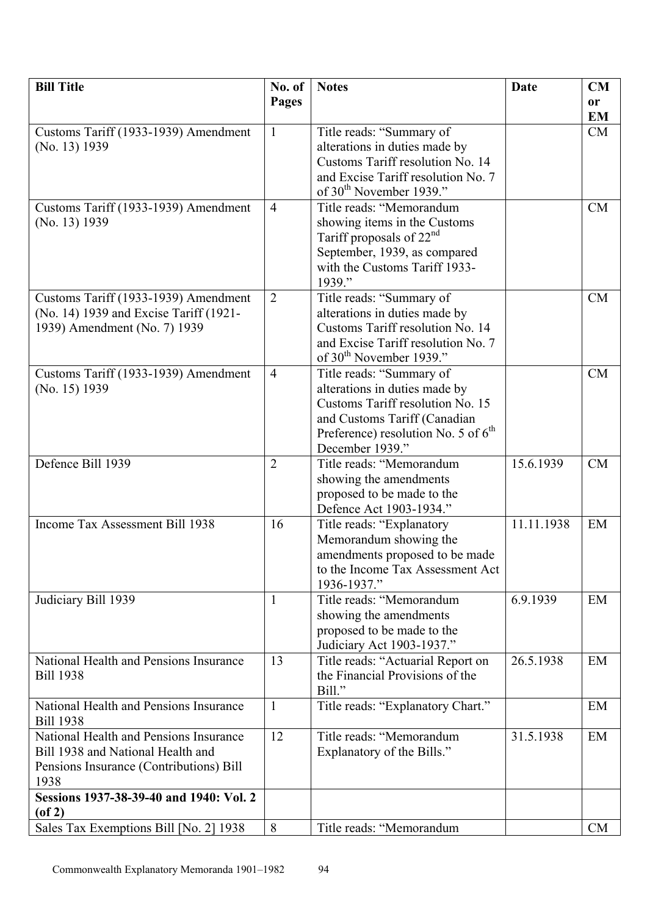| <b>Bill Title</b>                                      | No. of         | <b>Notes</b>                                                      | <b>Date</b> | <b>CM</b>     |
|--------------------------------------------------------|----------------|-------------------------------------------------------------------|-------------|---------------|
|                                                        | <b>Pages</b>   |                                                                   |             | <sub>or</sub> |
|                                                        |                |                                                                   |             | <b>EM</b>     |
| Customs Tariff (1933-1939) Amendment                   | $\mathbf{1}$   | Title reads: "Summary of                                          |             | CM            |
| (No. 13) 1939                                          |                | alterations in duties made by                                     |             |               |
|                                                        |                | Customs Tariff resolution No. 14                                  |             |               |
|                                                        |                | and Excise Tariff resolution No. 7                                |             |               |
|                                                        |                | of 30 <sup>th</sup> November 1939."                               |             |               |
| Customs Tariff (1933-1939) Amendment                   | $\overline{4}$ | Title reads: "Memorandum                                          |             | <b>CM</b>     |
| (No. 13) 1939                                          |                | showing items in the Customs                                      |             |               |
|                                                        |                | Tariff proposals of $22nd$                                        |             |               |
|                                                        |                | September, 1939, as compared                                      |             |               |
|                                                        |                | with the Customs Tariff 1933-                                     |             |               |
|                                                        |                | 1939."                                                            |             |               |
| Customs Tariff (1933-1939) Amendment                   | $\overline{2}$ | Title reads: "Summary of                                          |             | <b>CM</b>     |
| (No. 14) 1939 and Excise Tariff (1921-                 |                | alterations in duties made by                                     |             |               |
| 1939) Amendment (No. 7) 1939                           |                | Customs Tariff resolution No. 14                                  |             |               |
|                                                        |                | and Excise Tariff resolution No. 7                                |             |               |
|                                                        |                | of 30 <sup>th</sup> November 1939."                               |             |               |
| Customs Tariff (1933-1939) Amendment                   | $\overline{4}$ | Title reads: "Summary of                                          |             | <b>CM</b>     |
| (No. 15) 1939                                          |                | alterations in duties made by<br>Customs Tariff resolution No. 15 |             |               |
|                                                        |                | and Customs Tariff (Canadian                                      |             |               |
|                                                        |                | Preference) resolution No. 5 of 6 <sup>th</sup>                   |             |               |
|                                                        |                | December 1939."                                                   |             |               |
| Defence Bill 1939                                      | $\overline{2}$ | Title reads: "Memorandum                                          | 15.6.1939   | <b>CM</b>     |
|                                                        |                | showing the amendments                                            |             |               |
|                                                        |                | proposed to be made to the                                        |             |               |
|                                                        |                | Defence Act 1903-1934."                                           |             |               |
| Income Tax Assessment Bill 1938                        | 16             | Title reads: "Explanatory                                         | 11.11.1938  | EM            |
|                                                        |                | Memorandum showing the                                            |             |               |
|                                                        |                | amendments proposed to be made                                    |             |               |
|                                                        |                | to the Income Tax Assessment Act                                  |             |               |
|                                                        |                | 1936-1937."                                                       |             |               |
| Judiciary Bill 1939                                    | 1              | Title reads: "Memorandum                                          | 6.9.1939    | EM            |
|                                                        |                | showing the amendments                                            |             |               |
|                                                        |                | proposed to be made to the                                        |             |               |
|                                                        |                | Judiciary Act 1903-1937."                                         |             |               |
| National Health and Pensions Insurance                 | 13             | Title reads: "Actuarial Report on                                 | 26.5.1938   | EM            |
| <b>Bill 1938</b>                                       |                | the Financial Provisions of the                                   |             |               |
|                                                        |                | Bill."                                                            |             |               |
| National Health and Pensions Insurance                 | 1              | Title reads: "Explanatory Chart."                                 |             | EM            |
| <b>Bill 1938</b>                                       |                |                                                                   |             |               |
| National Health and Pensions Insurance                 | 12             | Title reads: "Memorandum                                          | 31.5.1938   | EM            |
| Bill 1938 and National Health and                      |                | Explanatory of the Bills."                                        |             |               |
| Pensions Insurance (Contributions) Bill                |                |                                                                   |             |               |
| 1938                                                   |                |                                                                   |             |               |
| Sessions 1937-38-39-40 and 1940: Vol. 2                |                |                                                                   |             |               |
| $($ of 2 $)$<br>Sales Tax Exemptions Bill [No. 2] 1938 | 8              | Title reads: "Memorandum                                          |             | <b>CM</b>     |
|                                                        |                |                                                                   |             |               |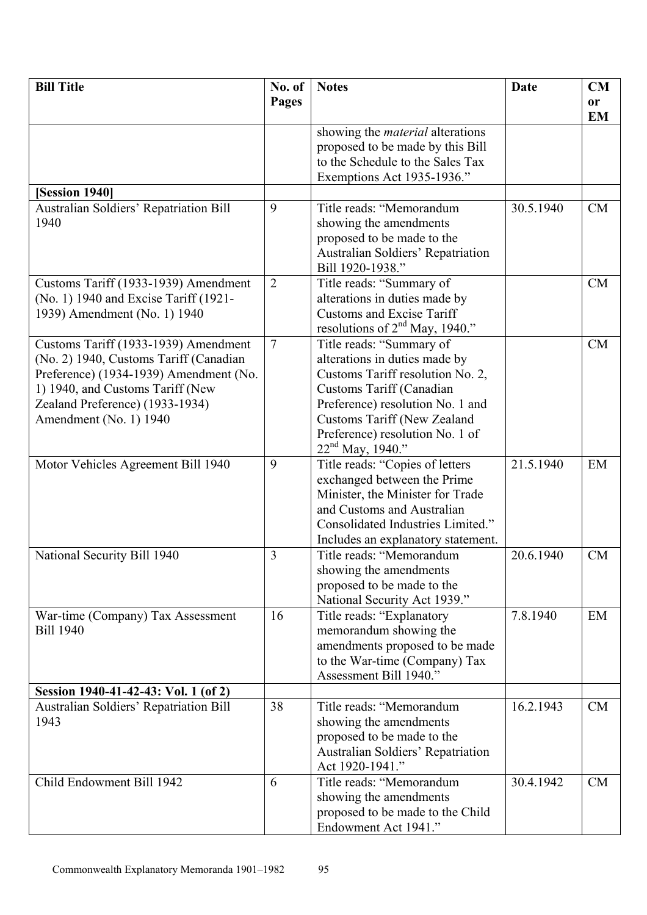| <b>Bill Title</b>                      | No. of         | <b>Notes</b>                                                   | Date      | CM        |
|----------------------------------------|----------------|----------------------------------------------------------------|-----------|-----------|
|                                        | <b>Pages</b>   |                                                                |           | <b>or</b> |
|                                        |                |                                                                |           | <b>EM</b> |
|                                        |                | showing the <i>material</i> alterations                        |           |           |
|                                        |                | proposed to be made by this Bill                               |           |           |
|                                        |                | to the Schedule to the Sales Tax                               |           |           |
|                                        |                | Exemptions Act 1935-1936."                                     |           |           |
| [Session 1940]                         |                |                                                                |           |           |
| Australian Soldiers' Repatriation Bill | 9              | Title reads: "Memorandum                                       | 30.5.1940 | CM        |
| 1940                                   |                | showing the amendments                                         |           |           |
|                                        |                | proposed to be made to the                                     |           |           |
|                                        |                | Australian Soldiers' Repatriation                              |           |           |
|                                        |                | Bill 1920-1938."                                               |           |           |
| Customs Tariff (1933-1939) Amendment   | $\overline{2}$ | Title reads: "Summary of                                       |           | <b>CM</b> |
| (No. 1) 1940 and Excise Tariff (1921-  |                | alterations in duties made by                                  |           |           |
| 1939) Amendment (No. 1) 1940           |                | <b>Customs and Excise Tariff</b>                               |           |           |
|                                        |                | resolutions of $2nd$ May, 1940."                               |           |           |
| Customs Tariff (1933-1939) Amendment   | $\tau$         | Title reads: "Summary of                                       |           | CM        |
| (No. 2) 1940, Customs Tariff (Canadian |                | alterations in duties made by                                  |           |           |
| Preference) (1934-1939) Amendment (No. |                | Customs Tariff resolution No. 2,                               |           |           |
| 1) 1940, and Customs Tariff (New       |                | Customs Tariff (Canadian                                       |           |           |
| Zealand Preference) (1933-1934)        |                | Preference) resolution No. 1 and                               |           |           |
| Amendment (No. 1) 1940                 |                | <b>Customs Tariff (New Zealand</b>                             |           |           |
|                                        |                | Preference) resolution No. 1 of                                |           |           |
|                                        |                | $22nd$ May, 1940."                                             |           |           |
| Motor Vehicles Agreement Bill 1940     | 9              | Title reads: "Copies of letters                                | 21.5.1940 | EM        |
|                                        |                | exchanged between the Prime                                    |           |           |
|                                        |                | Minister, the Minister for Trade<br>and Customs and Australian |           |           |
|                                        |                | Consolidated Industries Limited."                              |           |           |
|                                        |                |                                                                |           |           |
| National Security Bill 1940            | 3              | Includes an explanatory statement.<br>Title reads: "Memorandum | 20.6.1940 | <b>CM</b> |
|                                        |                | showing the amendments                                         |           |           |
|                                        |                | proposed to be made to the                                     |           |           |
|                                        |                | National Security Act 1939."                                   |           |           |
| War-time (Company) Tax Assessment      | 16             | Title reads: "Explanatory                                      | 7.8.1940  | EM        |
| <b>Bill 1940</b>                       |                | memorandum showing the                                         |           |           |
|                                        |                | amendments proposed to be made                                 |           |           |
|                                        |                | to the War-time (Company) Tax                                  |           |           |
|                                        |                | Assessment Bill 1940."                                         |           |           |
| Session 1940-41-42-43: Vol. 1 (of 2)   |                |                                                                |           |           |
| Australian Soldiers' Repatriation Bill | 38             | Title reads: "Memorandum                                       | 16.2.1943 | <b>CM</b> |
| 1943                                   |                | showing the amendments                                         |           |           |
|                                        |                | proposed to be made to the                                     |           |           |
|                                        |                | Australian Soldiers' Repatriation                              |           |           |
|                                        |                | Act 1920-1941."                                                |           |           |
| Child Endowment Bill 1942              | 6              | Title reads: "Memorandum                                       | 30.4.1942 | CM        |
|                                        |                | showing the amendments                                         |           |           |
|                                        |                | proposed to be made to the Child                               |           |           |
|                                        |                | Endowment Act 1941."                                           |           |           |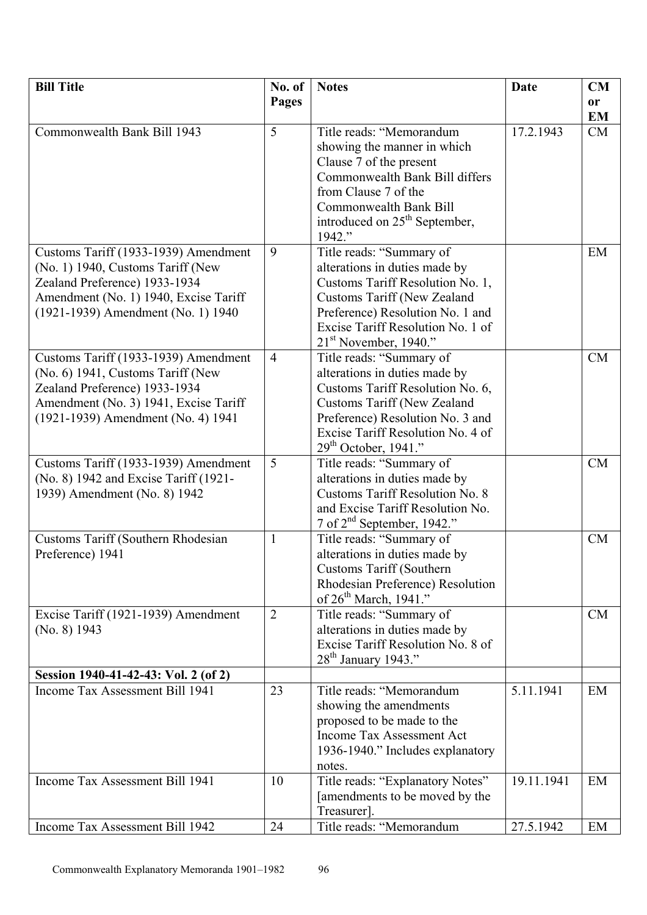| <b>Bill Title</b>                                                     | No. of         | <b>Notes</b>                                                        | <b>Date</b> | CM        |
|-----------------------------------------------------------------------|----------------|---------------------------------------------------------------------|-------------|-----------|
|                                                                       | <b>Pages</b>   |                                                                     |             | or        |
|                                                                       |                |                                                                     |             | <b>EM</b> |
| Commonwealth Bank Bill 1943                                           | 5              | Title reads: "Memorandum                                            | 17.2.1943   | CM        |
|                                                                       |                | showing the manner in which                                         |             |           |
|                                                                       |                | Clause 7 of the present                                             |             |           |
|                                                                       |                | Commonwealth Bank Bill differs                                      |             |           |
|                                                                       |                | from Clause 7 of the                                                |             |           |
|                                                                       |                | Commonwealth Bank Bill<br>introduced on 25 <sup>th</sup> September, |             |           |
|                                                                       |                | 1942."                                                              |             |           |
| Customs Tariff (1933-1939) Amendment                                  | 9              | Title reads: "Summary of                                            |             | EM        |
| (No. 1) 1940, Customs Tariff (New                                     |                | alterations in duties made by                                       |             |           |
| Zealand Preference) 1933-1934                                         |                | Customs Tariff Resolution No. 1,                                    |             |           |
| Amendment (No. 1) 1940, Excise Tariff                                 |                | <b>Customs Tariff (New Zealand</b>                                  |             |           |
| (1921-1939) Amendment (No. 1) 1940                                    |                | Preference) Resolution No. 1 and                                    |             |           |
|                                                                       |                | Excise Tariff Resolution No. 1 of                                   |             |           |
|                                                                       |                | $21st$ November, 1940."                                             |             |           |
| Customs Tariff (1933-1939) Amendment                                  | $\overline{4}$ | Title reads: "Summary of                                            |             | CM        |
| (No. 6) 1941, Customs Tariff (New                                     |                | alterations in duties made by                                       |             |           |
| Zealand Preference) 1933-1934                                         |                | Customs Tariff Resolution No. 6,                                    |             |           |
| Amendment (No. 3) 1941, Excise Tariff                                 |                | <b>Customs Tariff (New Zealand</b>                                  |             |           |
| (1921-1939) Amendment (No. 4) 1941                                    |                | Preference) Resolution No. 3 and                                    |             |           |
|                                                                       |                | Excise Tariff Resolution No. 4 of                                   |             |           |
|                                                                       |                | $29th$ October, 1941."                                              |             |           |
| Customs Tariff (1933-1939) Amendment                                  | 5              | Title reads: "Summary of                                            |             | CM        |
| (No. 8) 1942 and Excise Tariff (1921-<br>1939) Amendment (No. 8) 1942 |                | alterations in duties made by<br>Customs Tariff Resolution No. 8    |             |           |
|                                                                       |                | and Excise Tariff Resolution No.                                    |             |           |
|                                                                       |                | 7 of 2 <sup>nd</sup> September, 1942."                              |             |           |
| <b>Customs Tariff (Southern Rhodesian</b>                             | $\mathbf{1}$   | Title reads: "Summary of                                            |             | <b>CM</b> |
| Preference) 1941                                                      |                | alterations in duties made by                                       |             |           |
|                                                                       |                | <b>Customs Tariff (Southern)</b>                                    |             |           |
|                                                                       |                | Rhodesian Preference) Resolution                                    |             |           |
|                                                                       |                | of $26th$ March, 1941."                                             |             |           |
| Excise Tariff (1921-1939) Amendment                                   | $\overline{2}$ | Title reads: "Summary of                                            |             | CM        |
| (No. 8) 1943                                                          |                | alterations in duties made by                                       |             |           |
|                                                                       |                | Excise Tariff Resolution No. 8 of                                   |             |           |
| Session 1940-41-42-43: Vol. 2 (of 2)                                  |                | $28th$ January 1943."                                               |             |           |
| Income Tax Assessment Bill 1941                                       | 23             | Title reads: "Memorandum                                            | 5.11.1941   | EM        |
|                                                                       |                | showing the amendments                                              |             |           |
|                                                                       |                | proposed to be made to the                                          |             |           |
|                                                                       |                | Income Tax Assessment Act                                           |             |           |
|                                                                       |                | 1936-1940." Includes explanatory                                    |             |           |
|                                                                       |                | notes.                                                              |             |           |
| Income Tax Assessment Bill 1941                                       | 10             | Title reads: "Explanatory Notes"                                    | 19.11.1941  | EM        |
|                                                                       |                | [amendments to be moved by the                                      |             |           |
|                                                                       |                | Treasurer].                                                         |             |           |
| Income Tax Assessment Bill 1942                                       | 24             | Title reads: "Memorandum                                            | 27.5.1942   | EM        |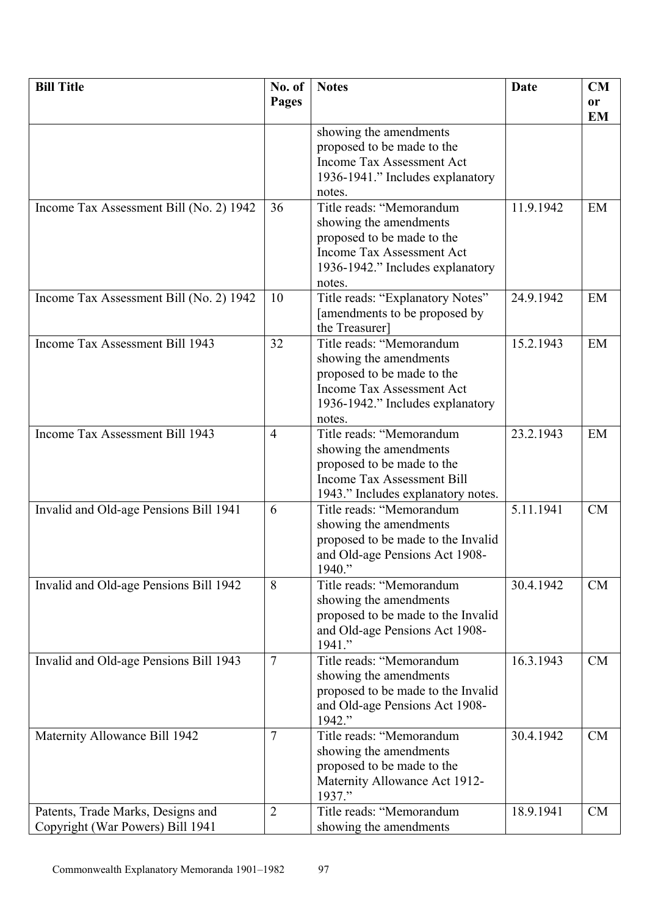| <b>Bill Title</b>                       | No. of          | <b>Notes</b>                                            | <b>Date</b> | CM        |
|-----------------------------------------|-----------------|---------------------------------------------------------|-------------|-----------|
|                                         | <b>Pages</b>    |                                                         |             | or        |
|                                         |                 |                                                         |             | <b>EM</b> |
|                                         |                 | showing the amendments                                  |             |           |
|                                         |                 | proposed to be made to the<br>Income Tax Assessment Act |             |           |
|                                         |                 |                                                         |             |           |
|                                         |                 | 1936-1941." Includes explanatory                        |             |           |
|                                         | 36              | notes.<br>Title reads: "Memorandum                      | 11.9.1942   | EM        |
| Income Tax Assessment Bill (No. 2) 1942 |                 |                                                         |             |           |
|                                         |                 | showing the amendments<br>proposed to be made to the    |             |           |
|                                         |                 | Income Tax Assessment Act                               |             |           |
|                                         |                 | 1936-1942." Includes explanatory                        |             |           |
|                                         |                 | notes.                                                  |             |           |
| Income Tax Assessment Bill (No. 2) 1942 | 10              | Title reads: "Explanatory Notes"                        | 24.9.1942   | EM        |
|                                         |                 | [amendments to be proposed by                           |             |           |
|                                         |                 | the Treasurer]                                          |             |           |
| Income Tax Assessment Bill 1943         | 32              | Title reads: "Memorandum                                | 15.2.1943   | EM        |
|                                         |                 | showing the amendments                                  |             |           |
|                                         |                 | proposed to be made to the                              |             |           |
|                                         |                 | Income Tax Assessment Act                               |             |           |
|                                         |                 | 1936-1942." Includes explanatory                        |             |           |
|                                         |                 | notes.                                                  |             |           |
| Income Tax Assessment Bill 1943         | $\overline{4}$  | Title reads: "Memorandum                                | 23.2.1943   | EM        |
|                                         |                 | showing the amendments                                  |             |           |
|                                         |                 | proposed to be made to the                              |             |           |
|                                         |                 | Income Tax Assessment Bill                              |             |           |
|                                         |                 | 1943." Includes explanatory notes.                      |             |           |
| Invalid and Old-age Pensions Bill 1941  | 6               | Title reads: "Memorandum                                | 5.11.1941   | <b>CM</b> |
|                                         |                 | showing the amendments                                  |             |           |
|                                         |                 | proposed to be made to the Invalid                      |             |           |
|                                         |                 | and Old-age Pensions Act 1908-                          |             |           |
|                                         |                 | 1940."                                                  |             |           |
| Invalid and Old-age Pensions Bill 1942  | 8               | Title reads: "Memorandum                                | 30.4.1942   | CM        |
|                                         |                 | showing the amendments                                  |             |           |
|                                         |                 | proposed to be made to the Invalid                      |             |           |
|                                         |                 | and Old-age Pensions Act 1908-                          |             |           |
|                                         | $7\phantom{.0}$ | 1941."<br>Title reads: "Memorandum                      | 16.3.1943   | CM        |
| Invalid and Old-age Pensions Bill 1943  |                 | showing the amendments                                  |             |           |
|                                         |                 | proposed to be made to the Invalid                      |             |           |
|                                         |                 | and Old-age Pensions Act 1908-                          |             |           |
|                                         |                 | 1942."                                                  |             |           |
| Maternity Allowance Bill 1942           | $\overline{7}$  | Title reads: "Memorandum                                | 30.4.1942   | <b>CM</b> |
|                                         |                 | showing the amendments                                  |             |           |
|                                         |                 | proposed to be made to the                              |             |           |
|                                         |                 | Maternity Allowance Act 1912-                           |             |           |
|                                         |                 | 1937."                                                  |             |           |
| Patents, Trade Marks, Designs and       | $\overline{2}$  | Title reads: "Memorandum                                | 18.9.1941   | <b>CM</b> |
| Copyright (War Powers) Bill 1941        |                 | showing the amendments                                  |             |           |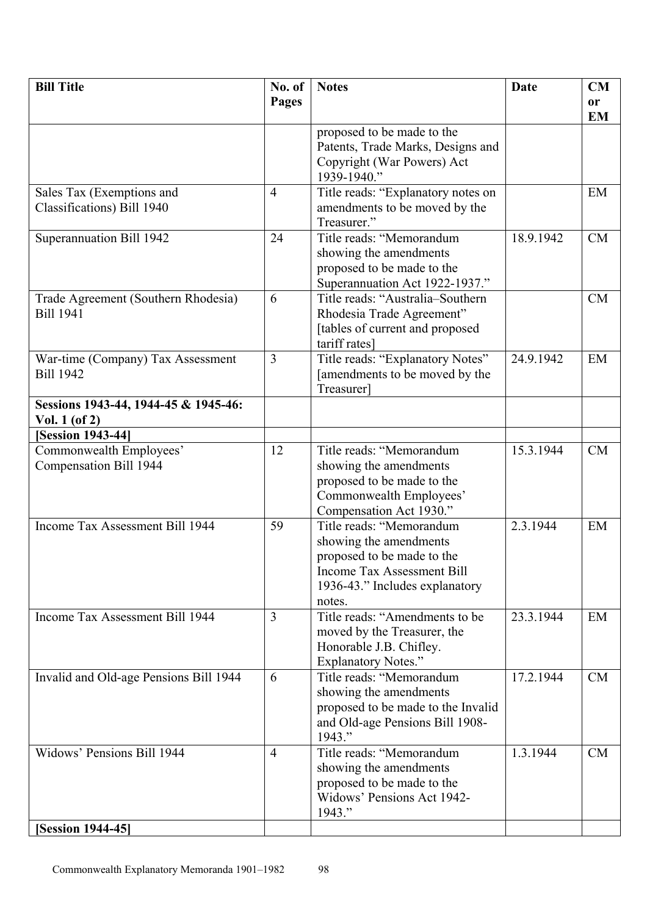| <b>Bill Title</b>                                       | No. of         | <b>Notes</b>                                             | Date      | CM                         |
|---------------------------------------------------------|----------------|----------------------------------------------------------|-----------|----------------------------|
|                                                         | <b>Pages</b>   |                                                          |           | <sub>or</sub><br><b>EM</b> |
|                                                         |                | proposed to be made to the                               |           |                            |
|                                                         |                | Patents, Trade Marks, Designs and                        |           |                            |
|                                                         |                | Copyright (War Powers) Act<br>1939-1940."                |           |                            |
| Sales Tax (Exemptions and                               | $\overline{4}$ | Title reads: "Explanatory notes on                       |           | EM                         |
| Classifications) Bill 1940                              |                | amendments to be moved by the                            |           |                            |
|                                                         | 24             | Treasurer."<br>Title reads: "Memorandum                  | 18.9.1942 | <b>CM</b>                  |
| Superannuation Bill 1942                                |                | showing the amendments                                   |           |                            |
|                                                         |                | proposed to be made to the                               |           |                            |
|                                                         |                | Superannuation Act 1922-1937."                           |           |                            |
| Trade Agreement (Southern Rhodesia)                     | 6              | Title reads: "Australia-Southern                         |           | <b>CM</b>                  |
| <b>Bill 1941</b>                                        |                | Rhodesia Trade Agreement"                                |           |                            |
|                                                         |                | [tables of current and proposed<br>tariff rates]         |           |                            |
| War-time (Company) Tax Assessment                       | 3              | Title reads: "Explanatory Notes"                         | 24.9.1942 | EM                         |
| <b>Bill 1942</b>                                        |                | [amendments to be moved by the                           |           |                            |
|                                                         |                | Treasurer]                                               |           |                            |
| Sessions 1943-44, 1944-45 & 1945-46:<br>Vol. $1$ (of 2) |                |                                                          |           |                            |
| <b>[Session 1943-44]</b>                                |                |                                                          |           |                            |
| Commonwealth Employees'                                 | 12             | Title reads: "Memorandum                                 | 15.3.1944 | CM                         |
| Compensation Bill 1944                                  |                | showing the amendments<br>proposed to be made to the     |           |                            |
|                                                         |                | Commonwealth Employees'                                  |           |                            |
|                                                         |                | Compensation Act 1930."                                  |           |                            |
| Income Tax Assessment Bill 1944                         | 59             | Title reads: "Memorandum                                 | 2.3.1944  | EM                         |
|                                                         |                | showing the amendments                                   |           |                            |
|                                                         |                | proposed to be made to the<br>Income Tax Assessment Bill |           |                            |
|                                                         |                | 1936-43." Includes explanatory                           |           |                            |
|                                                         |                | notes.                                                   |           |                            |
| Income Tax Assessment Bill 1944                         | $\overline{3}$ | Title reads: "Amendments to be                           | 23.3.1944 | EM                         |
|                                                         |                | moved by the Treasurer, the<br>Honorable J.B. Chifley.   |           |                            |
|                                                         |                | <b>Explanatory Notes."</b>                               |           |                            |
| Invalid and Old-age Pensions Bill 1944                  | 6              | Title reads: "Memorandum                                 | 17.2.1944 | CM                         |
|                                                         |                | showing the amendments                                   |           |                            |
|                                                         |                | proposed to be made to the Invalid                       |           |                            |
|                                                         |                | and Old-age Pensions Bill 1908-<br>1943."                |           |                            |
| Widows' Pensions Bill 1944                              | $\overline{4}$ | Title reads: "Memorandum                                 | 1.3.1944  | <b>CM</b>                  |
|                                                         |                | showing the amendments                                   |           |                            |
|                                                         |                | proposed to be made to the                               |           |                            |
|                                                         |                | Widows' Pensions Act 1942-<br>1943."                     |           |                            |
| [Session 1944-45]                                       |                |                                                          |           |                            |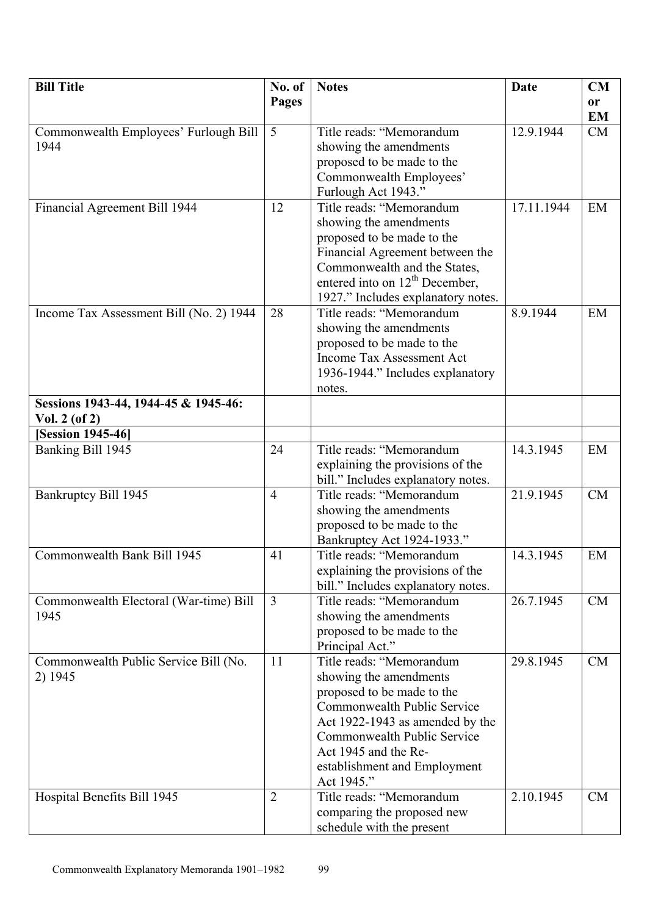| <b>Bill Title</b>                       | No. of         | <b>Notes</b>                               | <b>Date</b> | CM        |
|-----------------------------------------|----------------|--------------------------------------------|-------------|-----------|
|                                         | <b>Pages</b>   |                                            |             | <b>or</b> |
|                                         |                |                                            |             | <b>EM</b> |
| Commonwealth Employees' Furlough Bill   | $\overline{5}$ | Title reads: "Memorandum                   | 12.9.1944   | CM        |
| 1944                                    |                | showing the amendments                     |             |           |
|                                         |                | proposed to be made to the                 |             |           |
|                                         |                | Commonwealth Employees'                    |             |           |
|                                         |                | Furlough Act 1943."                        |             |           |
| Financial Agreement Bill 1944           | 12             | Title reads: "Memorandum                   | 17.11.1944  | EM        |
|                                         |                | showing the amendments                     |             |           |
|                                         |                | proposed to be made to the                 |             |           |
|                                         |                | Financial Agreement between the            |             |           |
|                                         |                | Commonwealth and the States,               |             |           |
|                                         |                | entered into on 12 <sup>th</sup> December, |             |           |
|                                         |                | 1927." Includes explanatory notes.         |             |           |
| Income Tax Assessment Bill (No. 2) 1944 | 28             | Title reads: "Memorandum                   | 8.9.1944    | EM        |
|                                         |                | showing the amendments                     |             |           |
|                                         |                | proposed to be made to the                 |             |           |
|                                         |                | Income Tax Assessment Act                  |             |           |
|                                         |                | 1936-1944." Includes explanatory           |             |           |
|                                         |                | notes.                                     |             |           |
| Sessions 1943-44, 1944-45 & 1945-46:    |                |                                            |             |           |
| Vol. $2($ of $2)$                       |                |                                            |             |           |
| <b>[Session 1945-46]</b>                |                |                                            |             |           |
| Banking Bill 1945                       | 24             | Title reads: "Memorandum                   | 14.3.1945   | EM        |
|                                         |                | explaining the provisions of the           |             |           |
|                                         |                | bill." Includes explanatory notes.         |             |           |
| Bankruptcy Bill 1945                    | $\overline{4}$ | Title reads: "Memorandum                   | 21.9.1945   | CM        |
|                                         |                | showing the amendments                     |             |           |
|                                         |                | proposed to be made to the                 |             |           |
|                                         |                | Bankruptcy Act 1924-1933."                 |             |           |
| Commonwealth Bank Bill 1945             | 41             | Title reads: "Memorandum                   | 14.3.1945   | EM        |
|                                         |                | explaining the provisions of the           |             |           |
|                                         |                | bill." Includes explanatory notes.         |             |           |
| Commonwealth Electoral (War-time) Bill  | 3              | Title reads: "Memorandum                   | 26.7.1945   | CM        |
| 1945                                    |                | showing the amendments                     |             |           |
|                                         |                | proposed to be made to the                 |             |           |
|                                         |                | Principal Act."                            |             |           |
| Commonwealth Public Service Bill (No.   | 11             | Title reads: "Memorandum                   | 29.8.1945   | <b>CM</b> |
| 2) 1945                                 |                | showing the amendments                     |             |           |
|                                         |                | proposed to be made to the                 |             |           |
|                                         |                | Commonwealth Public Service                |             |           |
|                                         |                | Act 1922-1943 as amended by the            |             |           |
|                                         |                | Commonwealth Public Service                |             |           |
|                                         |                | Act 1945 and the Re-                       |             |           |
|                                         |                | establishment and Employment               |             |           |
|                                         |                | Act 1945."                                 |             |           |
| Hospital Benefits Bill 1945             | $\overline{2}$ | Title reads: "Memorandum                   | 2.10.1945   | CM        |
|                                         |                | comparing the proposed new                 |             |           |
|                                         |                | schedule with the present                  |             |           |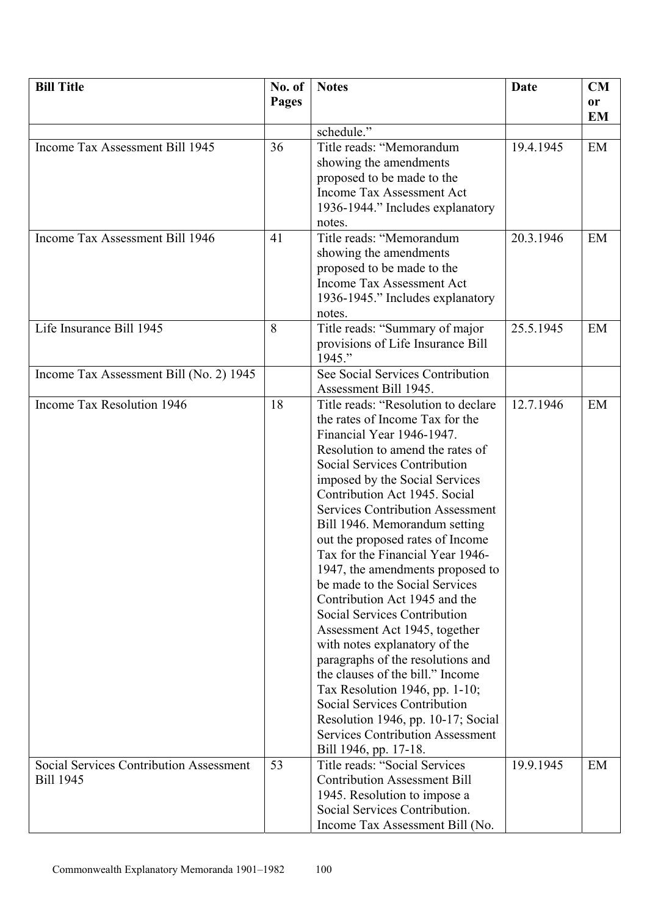| <b>Bill Title</b>                       | No. of       | <b>Notes</b>                                                 | Date      | CM        |
|-----------------------------------------|--------------|--------------------------------------------------------------|-----------|-----------|
|                                         | <b>Pages</b> |                                                              |           | or        |
|                                         |              |                                                              |           | <b>EM</b> |
|                                         |              | schedule."                                                   |           |           |
| Income Tax Assessment Bill 1945         | 36           | Title reads: "Memorandum                                     | 19.4.1945 | EM        |
|                                         |              | showing the amendments                                       |           |           |
|                                         |              | proposed to be made to the                                   |           |           |
|                                         |              | Income Tax Assessment Act                                    |           |           |
|                                         |              | 1936-1944." Includes explanatory                             |           |           |
|                                         |              | notes.                                                       |           |           |
| Income Tax Assessment Bill 1946         | 41           | Title reads: "Memorandum                                     | 20.3.1946 | EM        |
|                                         |              | showing the amendments                                       |           |           |
|                                         |              | proposed to be made to the                                   |           |           |
|                                         |              | Income Tax Assessment Act                                    |           |           |
|                                         |              | 1936-1945." Includes explanatory                             |           |           |
|                                         |              | notes.                                                       |           |           |
| Life Insurance Bill 1945                | 8            | Title reads: "Summary of major                               | 25.5.1945 | EM        |
|                                         |              | provisions of Life Insurance Bill                            |           |           |
|                                         |              | 1945."                                                       |           |           |
| Income Tax Assessment Bill (No. 2) 1945 |              | See Social Services Contribution                             |           |           |
|                                         |              | Assessment Bill 1945.                                        |           |           |
| Income Tax Resolution 1946              | 18           | Title reads: "Resolution to declare                          | 12.7.1946 | EM        |
|                                         |              | the rates of Income Tax for the<br>Financial Year 1946-1947. |           |           |
|                                         |              | Resolution to amend the rates of                             |           |           |
|                                         |              | Social Services Contribution                                 |           |           |
|                                         |              | imposed by the Social Services                               |           |           |
|                                         |              | Contribution Act 1945. Social                                |           |           |
|                                         |              | <b>Services Contribution Assessment</b>                      |           |           |
|                                         |              | Bill 1946. Memorandum setting                                |           |           |
|                                         |              | out the proposed rates of Income                             |           |           |
|                                         |              | Tax for the Financial Year 1946-                             |           |           |
|                                         |              | 1947, the amendments proposed to                             |           |           |
|                                         |              | be made to the Social Services                               |           |           |
|                                         |              | Contribution Act 1945 and the                                |           |           |
|                                         |              | Social Services Contribution                                 |           |           |
|                                         |              | Assessment Act 1945, together                                |           |           |
|                                         |              | with notes explanatory of the                                |           |           |
|                                         |              | paragraphs of the resolutions and                            |           |           |
|                                         |              | the clauses of the bill." Income                             |           |           |
|                                         |              | Tax Resolution 1946, pp. 1-10;                               |           |           |
|                                         |              | Social Services Contribution                                 |           |           |
|                                         |              | Resolution 1946, pp. 10-17; Social                           |           |           |
|                                         |              | <b>Services Contribution Assessment</b>                      |           |           |
|                                         |              | Bill 1946, pp. 17-18.                                        |           |           |
| Social Services Contribution Assessment | 53           | Title reads: "Social Services                                | 19.9.1945 | EM        |
| <b>Bill 1945</b>                        |              | <b>Contribution Assessment Bill</b>                          |           |           |
|                                         |              | 1945. Resolution to impose a                                 |           |           |
|                                         |              | Social Services Contribution.                                |           |           |
|                                         |              | Income Tax Assessment Bill (No.                              |           |           |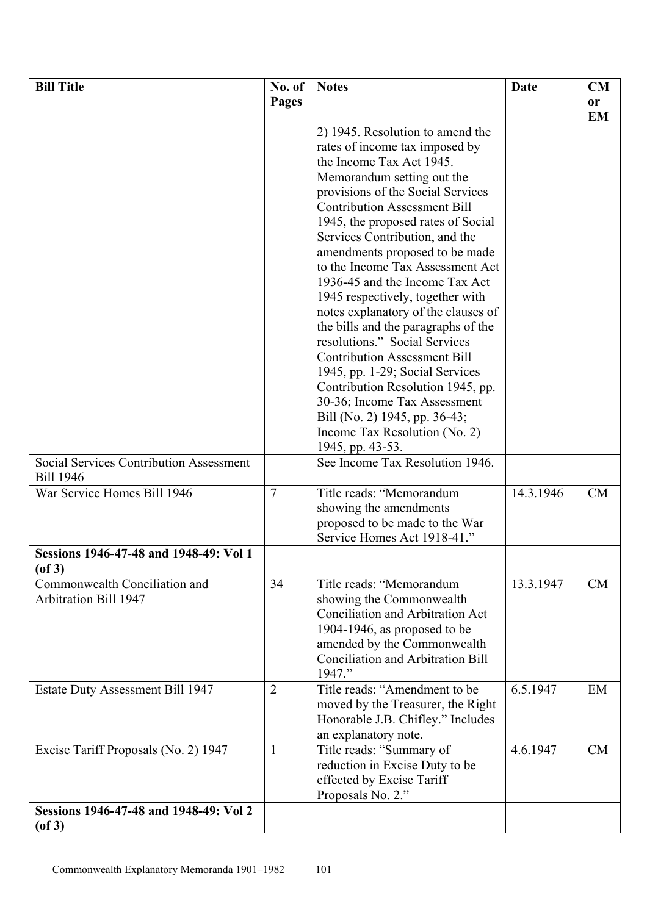| <b>Bill Title</b>                                      | No. of         | <b>Notes</b>                             | Date      | CM        |
|--------------------------------------------------------|----------------|------------------------------------------|-----------|-----------|
|                                                        | <b>Pages</b>   |                                          |           | <b>or</b> |
|                                                        |                |                                          |           | <b>EM</b> |
|                                                        |                | 2) 1945. Resolution to amend the         |           |           |
|                                                        |                | rates of income tax imposed by           |           |           |
|                                                        |                | the Income Tax Act 1945.                 |           |           |
|                                                        |                | Memorandum setting out the               |           |           |
|                                                        |                | provisions of the Social Services        |           |           |
|                                                        |                | <b>Contribution Assessment Bill</b>      |           |           |
|                                                        |                | 1945, the proposed rates of Social       |           |           |
|                                                        |                | Services Contribution, and the           |           |           |
|                                                        |                | amendments proposed to be made           |           |           |
|                                                        |                | to the Income Tax Assessment Act         |           |           |
|                                                        |                | 1936-45 and the Income Tax Act           |           |           |
|                                                        |                | 1945 respectively, together with         |           |           |
|                                                        |                | notes explanatory of the clauses of      |           |           |
|                                                        |                | the bills and the paragraphs of the      |           |           |
|                                                        |                | resolutions." Social Services            |           |           |
|                                                        |                | <b>Contribution Assessment Bill</b>      |           |           |
|                                                        |                | 1945, pp. 1-29; Social Services          |           |           |
|                                                        |                | Contribution Resolution 1945, pp.        |           |           |
|                                                        |                | 30-36; Income Tax Assessment             |           |           |
|                                                        |                | Bill (No. 2) 1945, pp. 36-43;            |           |           |
|                                                        |                | Income Tax Resolution (No. 2)            |           |           |
|                                                        |                | 1945, pp. 43-53.                         |           |           |
| Social Services Contribution Assessment                |                | See Income Tax Resolution 1946.          |           |           |
| <b>Bill 1946</b>                                       |                |                                          |           |           |
| War Service Homes Bill 1946                            | $\overline{7}$ | Title reads: "Memorandum                 | 14.3.1946 | <b>CM</b> |
|                                                        |                | showing the amendments                   |           |           |
|                                                        |                | proposed to be made to the War           |           |           |
|                                                        |                | Service Homes Act 1918-41."              |           |           |
| Sessions 1946-47-48 and 1948-49: Vol 1<br>$($ of 3 $)$ |                |                                          |           |           |
| Commonwealth Conciliation and                          | 34             | Title reads: "Memorandum                 | 13.3.1947 | <b>CM</b> |
| Arbitration Bill 1947                                  |                | showing the Commonwealth                 |           |           |
|                                                        |                | Conciliation and Arbitration Act         |           |           |
|                                                        |                | 1904-1946, as proposed to be             |           |           |
|                                                        |                | amended by the Commonwealth              |           |           |
|                                                        |                | <b>Conciliation and Arbitration Bill</b> |           |           |
|                                                        |                | 1947."                                   |           |           |
| Estate Duty Assessment Bill 1947                       | $\overline{2}$ | Title reads: "Amendment to be            | 6.5.1947  | EM        |
|                                                        |                | moved by the Treasurer, the Right        |           |           |
|                                                        |                | Honorable J.B. Chifley." Includes        |           |           |
|                                                        |                | an explanatory note.                     |           |           |
| Excise Tariff Proposals (No. 2) 1947                   | 1              | Title reads: "Summary of                 | 4.6.1947  | <b>CM</b> |
|                                                        |                | reduction in Excise Duty to be           |           |           |
|                                                        |                | effected by Excise Tariff                |           |           |
|                                                        |                | Proposals No. 2."                        |           |           |
| Sessions 1946-47-48 and 1948-49: Vol 2                 |                |                                          |           |           |
| $($ of 3 $)$                                           |                |                                          |           |           |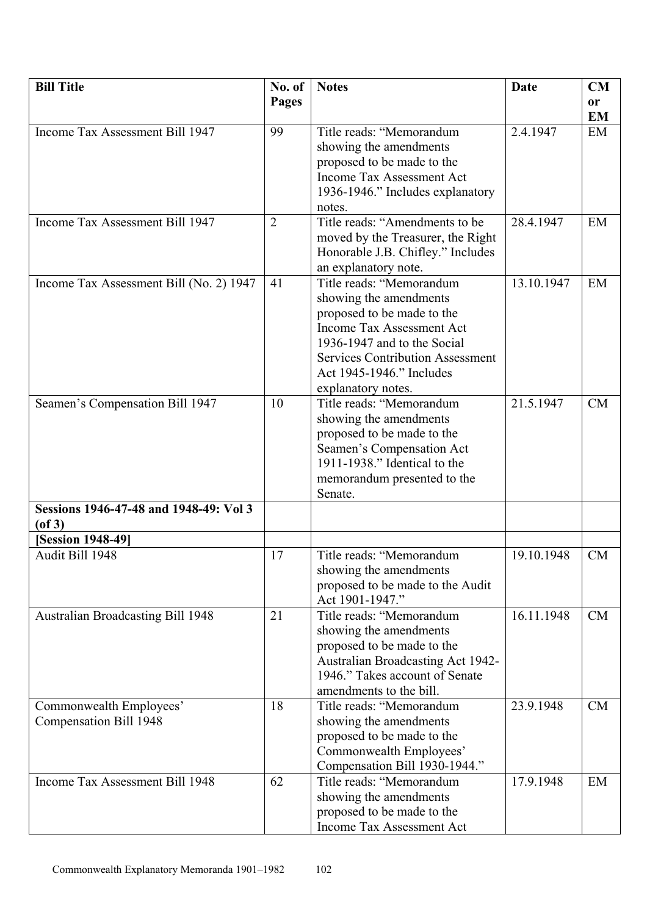| <b>Bill Title</b>                       | No. of         | <b>Notes</b>                            | <b>Date</b> | CM        |
|-----------------------------------------|----------------|-----------------------------------------|-------------|-----------|
|                                         | <b>Pages</b>   |                                         |             | <b>or</b> |
|                                         |                |                                         |             | <b>EM</b> |
| Income Tax Assessment Bill 1947         | 99             | Title reads: "Memorandum                | 2.4.1947    | EM        |
|                                         |                | showing the amendments                  |             |           |
|                                         |                | proposed to be made to the              |             |           |
|                                         |                | <b>Income Tax Assessment Act</b>        |             |           |
|                                         |                | 1936-1946." Includes explanatory        |             |           |
|                                         |                | notes.                                  |             |           |
| Income Tax Assessment Bill 1947         | $\overline{2}$ | Title reads: "Amendments to be          | 28.4.1947   | EM        |
|                                         |                | moved by the Treasurer, the Right       |             |           |
|                                         |                | Honorable J.B. Chifley." Includes       |             |           |
|                                         |                | an explanatory note.                    |             |           |
| Income Tax Assessment Bill (No. 2) 1947 | 41             | Title reads: "Memorandum                | 13.10.1947  | EM        |
|                                         |                | showing the amendments                  |             |           |
|                                         |                | proposed to be made to the              |             |           |
|                                         |                | <b>Income Tax Assessment Act</b>        |             |           |
|                                         |                | 1936-1947 and to the Social             |             |           |
|                                         |                | <b>Services Contribution Assessment</b> |             |           |
|                                         |                | Act 1945-1946." Includes                |             |           |
|                                         |                | explanatory notes.                      |             |           |
| Seamen's Compensation Bill 1947         | 10             | Title reads: "Memorandum                | 21.5.1947   | <b>CM</b> |
|                                         |                | showing the amendments                  |             |           |
|                                         |                | proposed to be made to the              |             |           |
|                                         |                | Seamen's Compensation Act               |             |           |
|                                         |                | 1911-1938." Identical to the            |             |           |
|                                         |                | memorandum presented to the             |             |           |
|                                         |                | Senate.                                 |             |           |
| Sessions 1946-47-48 and 1948-49: Vol 3  |                |                                         |             |           |
| $($ of 3 $)$                            |                |                                         |             |           |
| <b>Session 1948-491</b>                 |                |                                         |             |           |
| Audit Bill 1948                         | 17             | Title reads: "Memorandum                | 19.10.1948  | CM        |
|                                         |                | showing the amendments                  |             |           |
|                                         |                | proposed to be made to the Audit        |             |           |
|                                         |                | Act 1901-1947."                         |             |           |
| Australian Broadcasting Bill 1948       | 21             | Title reads: "Memorandum                | 16.11.1948  | <b>CM</b> |
|                                         |                | showing the amendments                  |             |           |
|                                         |                | proposed to be made to the              |             |           |
|                                         |                | Australian Broadcasting Act 1942-       |             |           |
|                                         |                | 1946." Takes account of Senate          |             |           |
|                                         |                | amendments to the bill.                 |             |           |
| Commonwealth Employees'                 | 18             | Title reads: "Memorandum                | 23.9.1948   | CM        |
| Compensation Bill 1948                  |                | showing the amendments                  |             |           |
|                                         |                | proposed to be made to the              |             |           |
|                                         |                | Commonwealth Employees'                 |             |           |
|                                         |                | Compensation Bill 1930-1944."           |             |           |
| Income Tax Assessment Bill 1948         | 62             | Title reads: "Memorandum                | 17.9.1948   | EM        |
|                                         |                | showing the amendments                  |             |           |
|                                         |                | proposed to be made to the              |             |           |
|                                         |                | <b>Income Tax Assessment Act</b>        |             |           |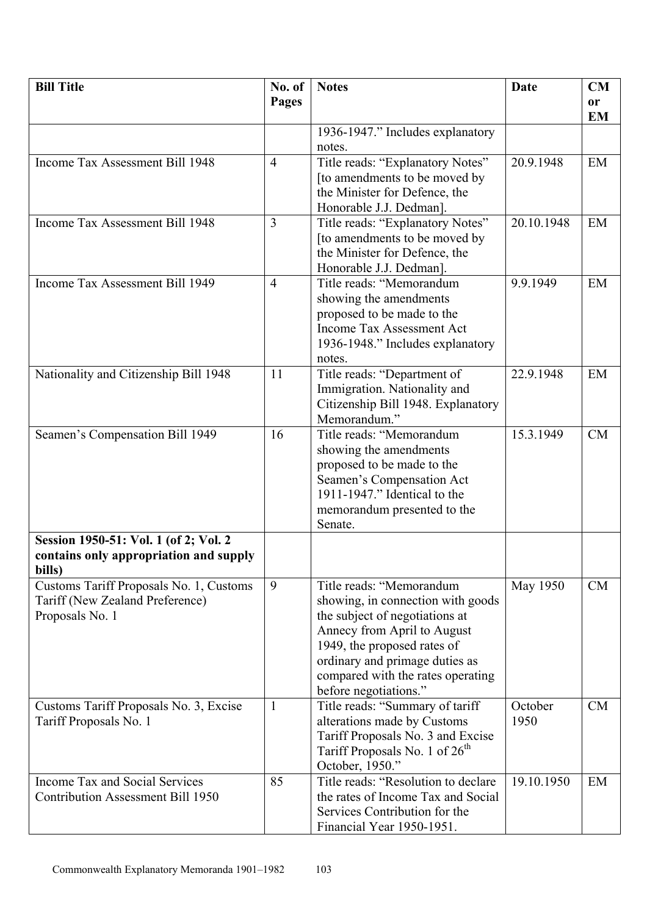| <b>Bill Title</b>                                                | No. of         | <b>Notes</b>                                                   | <b>Date</b>     | CM                     |
|------------------------------------------------------------------|----------------|----------------------------------------------------------------|-----------------|------------------------|
|                                                                  | <b>Pages</b>   |                                                                |                 | <b>or</b><br><b>EM</b> |
|                                                                  |                | 1936-1947." Includes explanatory                               |                 |                        |
|                                                                  |                | notes.                                                         |                 |                        |
| Income Tax Assessment Bill 1948                                  | $\overline{4}$ | Title reads: "Explanatory Notes"                               | 20.9.1948       | EM                     |
|                                                                  |                | [to amendments to be moved by                                  |                 |                        |
|                                                                  |                | the Minister for Defence, the                                  |                 |                        |
|                                                                  |                | Honorable J.J. Dedman].                                        |                 |                        |
| Income Tax Assessment Bill 1948                                  | 3              | Title reads: "Explanatory Notes"                               | 20.10.1948      | EM                     |
|                                                                  |                | [to amendments to be moved by                                  |                 |                        |
|                                                                  |                | the Minister for Defence, the                                  |                 |                        |
| Income Tax Assessment Bill 1949                                  | $\overline{4}$ | Honorable J.J. Dedman].<br>Title reads: "Memorandum            | 9.9.1949        | EM                     |
|                                                                  |                | showing the amendments                                         |                 |                        |
|                                                                  |                | proposed to be made to the                                     |                 |                        |
|                                                                  |                | <b>Income Tax Assessment Act</b>                               |                 |                        |
|                                                                  |                | 1936-1948." Includes explanatory                               |                 |                        |
|                                                                  |                | notes.                                                         |                 |                        |
| Nationality and Citizenship Bill 1948                            | 11             | Title reads: "Department of                                    | 22.9.1948       | EM                     |
|                                                                  |                | Immigration. Nationality and                                   |                 |                        |
|                                                                  |                | Citizenship Bill 1948. Explanatory                             |                 |                        |
|                                                                  |                | Memorandum."                                                   |                 |                        |
| Seamen's Compensation Bill 1949                                  | 16             | Title reads: "Memorandum                                       | 15.3.1949       | <b>CM</b>              |
|                                                                  |                | showing the amendments                                         |                 |                        |
|                                                                  |                | proposed to be made to the                                     |                 |                        |
|                                                                  |                | Seamen's Compensation Act                                      |                 |                        |
|                                                                  |                | 1911-1947." Identical to the                                   |                 |                        |
|                                                                  |                | memorandum presented to the<br>Senate.                         |                 |                        |
| Session 1950-51: Vol. 1 (of 2; Vol. 2                            |                |                                                                |                 |                        |
| contains only appropriation and supply                           |                |                                                                |                 |                        |
| bills)                                                           |                |                                                                |                 |                        |
| Customs Tariff Proposals No. 1, Customs                          | 9              | Title reads: "Memorandum                                       | May 1950        | CM                     |
| Tariff (New Zealand Preference)                                  |                | showing, in connection with goods                              |                 |                        |
| Proposals No. 1                                                  |                | the subject of negotiations at                                 |                 |                        |
|                                                                  |                | Annecy from April to August                                    |                 |                        |
|                                                                  |                | 1949, the proposed rates of                                    |                 |                        |
|                                                                  |                | ordinary and primage duties as                                 |                 |                        |
|                                                                  |                | compared with the rates operating                              |                 |                        |
|                                                                  |                | before negotiations."                                          |                 |                        |
| Customs Tariff Proposals No. 3, Excise<br>Tariff Proposals No. 1 | 1              | Title reads: "Summary of tariff<br>alterations made by Customs | October<br>1950 | CM                     |
|                                                                  |                | Tariff Proposals No. 3 and Excise                              |                 |                        |
|                                                                  |                | Tariff Proposals No. 1 of 26 <sup>th</sup>                     |                 |                        |
|                                                                  |                | October, 1950."                                                |                 |                        |
| Income Tax and Social Services                                   | 85             | Title reads: "Resolution to declare                            | 19.10.1950      | EM                     |
| <b>Contribution Assessment Bill 1950</b>                         |                | the rates of Income Tax and Social                             |                 |                        |
|                                                                  |                | Services Contribution for the                                  |                 |                        |
|                                                                  |                | Financial Year 1950-1951.                                      |                 |                        |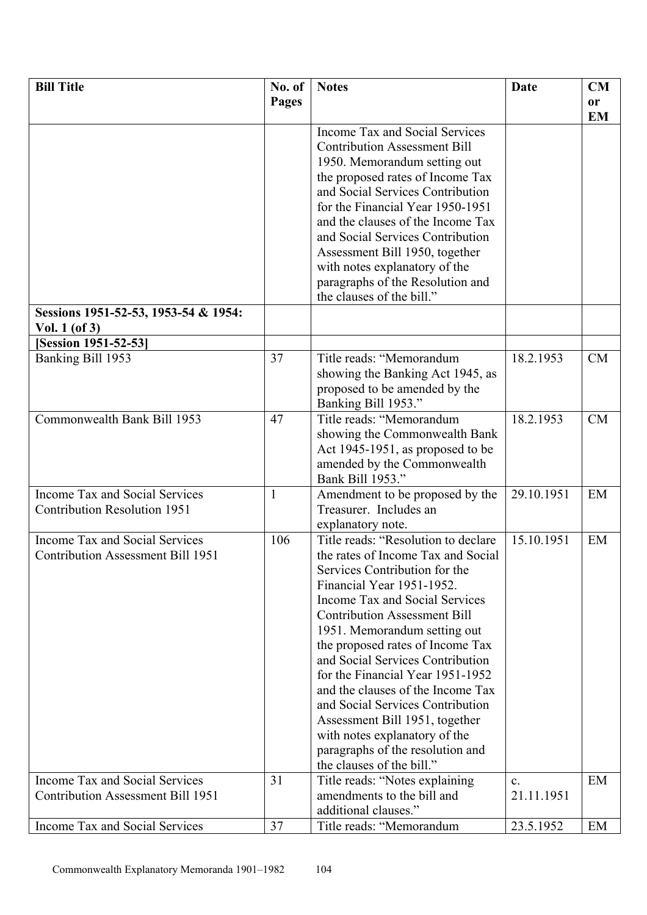| <b>Bill Title</b>                        | No. of       | <b>Notes</b>                                                        | Date       | CM                     |
|------------------------------------------|--------------|---------------------------------------------------------------------|------------|------------------------|
|                                          | <b>Pages</b> |                                                                     |            | <b>or</b><br><b>EM</b> |
|                                          |              | Income Tax and Social Services                                      |            |                        |
|                                          |              | <b>Contribution Assessment Bill</b>                                 |            |                        |
|                                          |              | 1950. Memorandum setting out                                        |            |                        |
|                                          |              | the proposed rates of Income Tax                                    |            |                        |
|                                          |              | and Social Services Contribution                                    |            |                        |
|                                          |              | for the Financial Year 1950-1951                                    |            |                        |
|                                          |              | and the clauses of the Income Tax                                   |            |                        |
|                                          |              | and Social Services Contribution                                    |            |                        |
|                                          |              | Assessment Bill 1950, together                                      |            |                        |
|                                          |              | with notes explanatory of the                                       |            |                        |
|                                          |              | paragraphs of the Resolution and<br>the clauses of the bill."       |            |                        |
| Sessions 1951-52-53, 1953-54 & 1954:     |              |                                                                     |            |                        |
| Vol. $1$ (of 3)                          |              |                                                                     |            |                        |
| <b>Session 1951-52-53</b>                |              |                                                                     |            |                        |
| Banking Bill 1953                        | 37           | Title reads: "Memorandum                                            | 18.2.1953  | CM                     |
|                                          |              | showing the Banking Act 1945, as                                    |            |                        |
|                                          |              | proposed to be amended by the                                       |            |                        |
| Commonwealth Bank Bill 1953              | 47           | Banking Bill 1953."<br>Title reads: "Memorandum                     | 18.2.1953  | <b>CM</b>              |
|                                          |              | showing the Commonwealth Bank                                       |            |                        |
|                                          |              | Act 1945-1951, as proposed to be                                    |            |                        |
|                                          |              | amended by the Commonwealth                                         |            |                        |
|                                          |              | Bank Bill 1953."                                                    |            |                        |
| Income Tax and Social Services           | $\mathbf{1}$ | Amendment to be proposed by the                                     | 29.10.1951 | EM                     |
| <b>Contribution Resolution 1951</b>      |              | Treasurer. Includes an                                              |            |                        |
|                                          |              | explanatory note.                                                   |            |                        |
| Income Tax and Social Services           | 106          | Title reads: "Resolution to declare                                 | 15.10.1951 | EM                     |
| <b>Contribution Assessment Bill 1951</b> |              | the rates of Income Tax and Social<br>Services Contribution for the |            |                        |
|                                          |              | Financial Year 1951-1952.                                           |            |                        |
|                                          |              | Income Tax and Social Services                                      |            |                        |
|                                          |              | <b>Contribution Assessment Bill</b>                                 |            |                        |
|                                          |              | 1951. Memorandum setting out                                        |            |                        |
|                                          |              | the proposed rates of Income Tax                                    |            |                        |
|                                          |              | and Social Services Contribution                                    |            |                        |
|                                          |              | for the Financial Year 1951-1952                                    |            |                        |
|                                          |              | and the clauses of the Income Tax                                   |            |                        |
|                                          |              | and Social Services Contribution                                    |            |                        |
|                                          |              | Assessment Bill 1951, together                                      |            |                        |
|                                          |              | with notes explanatory of the                                       |            |                        |
|                                          |              | paragraphs of the resolution and<br>the clauses of the bill."       |            |                        |
| Income Tax and Social Services           | 31           | Title reads: "Notes explaining                                      | c.         | EM                     |
| Contribution Assessment Bill 1951        |              | amendments to the bill and                                          | 21.11.1951 |                        |
|                                          |              | additional clauses."                                                |            |                        |
| Income Tax and Social Services           | 37           | Title reads: "Memorandum                                            | 23.5.1952  | EM                     |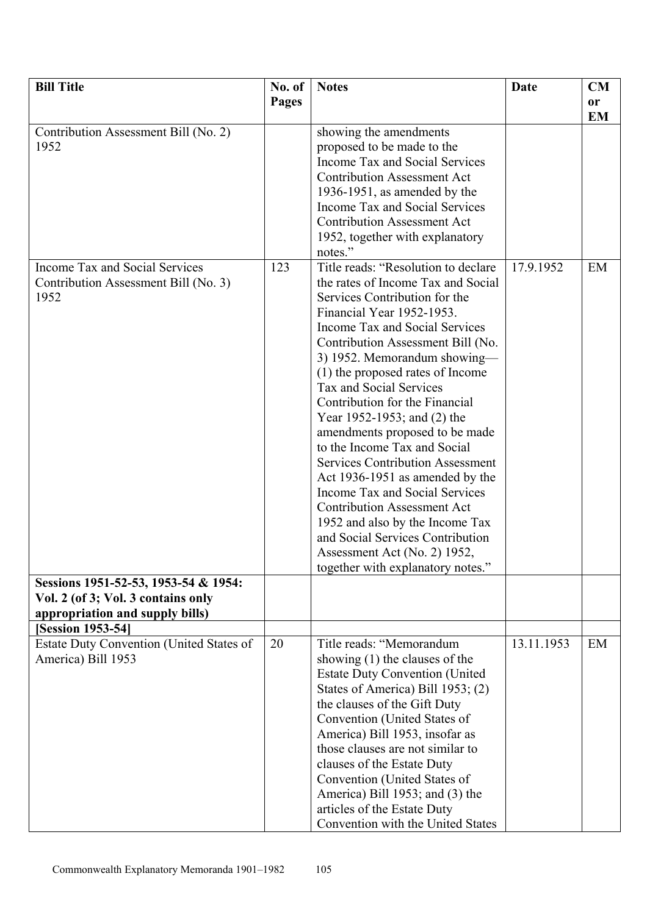| <b>Bill Title</b>                        | No. of       | <b>Notes</b>                            | Date       | CM        |
|------------------------------------------|--------------|-----------------------------------------|------------|-----------|
|                                          | <b>Pages</b> |                                         |            | <b>or</b> |
|                                          |              |                                         |            | <b>EM</b> |
| Contribution Assessment Bill (No. 2)     |              | showing the amendments                  |            |           |
| 1952                                     |              | proposed to be made to the              |            |           |
|                                          |              | Income Tax and Social Services          |            |           |
|                                          |              | <b>Contribution Assessment Act</b>      |            |           |
|                                          |              | 1936-1951, as amended by the            |            |           |
|                                          |              | Income Tax and Social Services          |            |           |
|                                          |              | <b>Contribution Assessment Act</b>      |            |           |
|                                          |              | 1952, together with explanatory         |            |           |
|                                          |              | notes."                                 |            |           |
| Income Tax and Social Services           | 123          | Title reads: "Resolution to declare     | 17.9.1952  | EM        |
|                                          |              | the rates of Income Tax and Social      |            |           |
| Contribution Assessment Bill (No. 3)     |              |                                         |            |           |
| 1952                                     |              | Services Contribution for the           |            |           |
|                                          |              | Financial Year 1952-1953.               |            |           |
|                                          |              | Income Tax and Social Services          |            |           |
|                                          |              | Contribution Assessment Bill (No.       |            |           |
|                                          |              | 3) 1952. Memorandum showing-            |            |           |
|                                          |              | (1) the proposed rates of Income        |            |           |
|                                          |              | Tax and Social Services                 |            |           |
|                                          |              | Contribution for the Financial          |            |           |
|                                          |              | Year 1952-1953; and (2) the             |            |           |
|                                          |              | amendments proposed to be made          |            |           |
|                                          |              | to the Income Tax and Social            |            |           |
|                                          |              | <b>Services Contribution Assessment</b> |            |           |
|                                          |              | Act 1936-1951 as amended by the         |            |           |
|                                          |              | Income Tax and Social Services          |            |           |
|                                          |              | <b>Contribution Assessment Act</b>      |            |           |
|                                          |              | 1952 and also by the Income Tax         |            |           |
|                                          |              | and Social Services Contribution        |            |           |
|                                          |              | Assessment Act (No. 2) 1952,            |            |           |
|                                          |              | together with explanatory notes.        |            |           |
| Sessions 1951-52-53, 1953-54 & 1954:     |              |                                         |            |           |
| Vol. 2 (of 3; Vol. 3 contains only       |              |                                         |            |           |
| appropriation and supply bills)          |              |                                         |            |           |
| [Session 1953-54]                        |              |                                         |            |           |
| Estate Duty Convention (United States of | 20           | Title reads: "Memorandum                | 13.11.1953 | EM        |
| America) Bill 1953                       |              | showing $(1)$ the clauses of the        |            |           |
|                                          |              | <b>Estate Duty Convention (United)</b>  |            |           |
|                                          |              | States of America) Bill 1953; (2)       |            |           |
|                                          |              | the clauses of the Gift Duty            |            |           |
|                                          |              | Convention (United States of            |            |           |
|                                          |              | America) Bill 1953, insofar as          |            |           |
|                                          |              | those clauses are not similar to        |            |           |
|                                          |              | clauses of the Estate Duty              |            |           |
|                                          |              | Convention (United States of            |            |           |
|                                          |              | America) Bill 1953; and (3) the         |            |           |
|                                          |              | articles of the Estate Duty             |            |           |
|                                          |              | Convention with the United States       |            |           |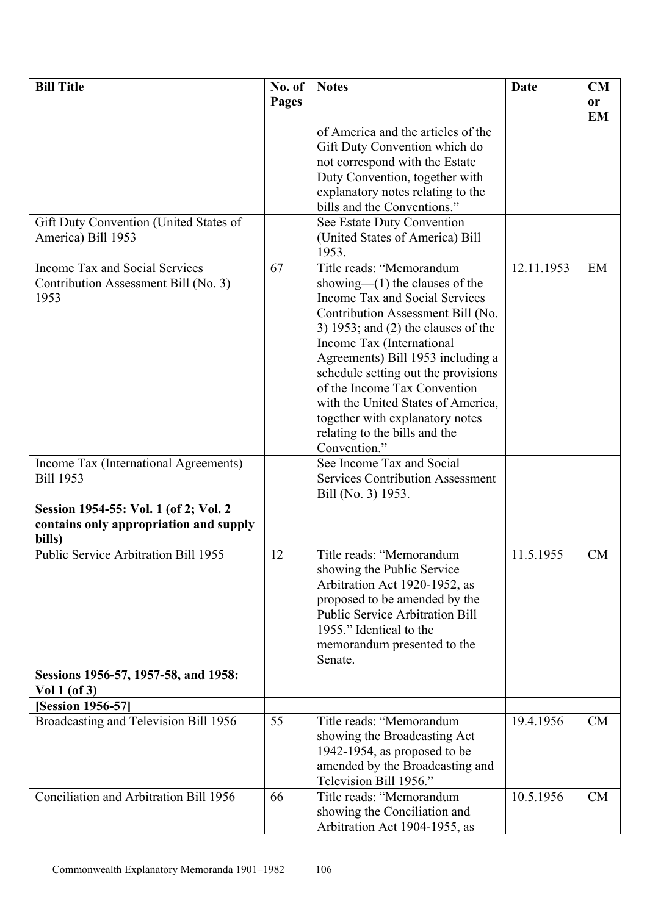| <b>Bill Title</b>                      | No. of       | <b>Notes</b>                            | <b>Date</b> | CM        |
|----------------------------------------|--------------|-----------------------------------------|-------------|-----------|
|                                        | <b>Pages</b> |                                         |             | or        |
|                                        |              |                                         |             | <b>EM</b> |
|                                        |              | of America and the articles of the      |             |           |
|                                        |              | Gift Duty Convention which do           |             |           |
|                                        |              | not correspond with the Estate          |             |           |
|                                        |              | Duty Convention, together with          |             |           |
|                                        |              | explanatory notes relating to the       |             |           |
|                                        |              | bills and the Conventions."             |             |           |
|                                        |              |                                         |             |           |
| Gift Duty Convention (United States of |              | See Estate Duty Convention              |             |           |
| America) Bill 1953                     |              | (United States of America) Bill         |             |           |
|                                        |              | 1953.                                   |             |           |
| Income Tax and Social Services         | 67           | Title reads: "Memorandum                | 12.11.1953  | EM        |
| Contribution Assessment Bill (No. 3)   |              | showing— $(1)$ the clauses of the       |             |           |
| 1953                                   |              | Income Tax and Social Services          |             |           |
|                                        |              | Contribution Assessment Bill (No.       |             |           |
|                                        |              | 3) 1953; and $(2)$ the clauses of the   |             |           |
|                                        |              | Income Tax (International               |             |           |
|                                        |              | Agreements) Bill 1953 including a       |             |           |
|                                        |              | schedule setting out the provisions     |             |           |
|                                        |              | of the Income Tax Convention            |             |           |
|                                        |              | with the United States of America,      |             |           |
|                                        |              | together with explanatory notes         |             |           |
|                                        |              | relating to the bills and the           |             |           |
|                                        |              | Convention."                            |             |           |
|                                        |              | See Income Tax and Social               |             |           |
| Income Tax (International Agreements)  |              |                                         |             |           |
| <b>Bill 1953</b>                       |              | <b>Services Contribution Assessment</b> |             |           |
|                                        |              | Bill (No. 3) 1953.                      |             |           |
| Session 1954-55: Vol. 1 (of 2; Vol. 2  |              |                                         |             |           |
| contains only appropriation and supply |              |                                         |             |           |
| bills)                                 |              |                                         |             |           |
| Public Service Arbitration Bill 1955   | 12           | Title reads: "Memorandum                | 11.5.1955   | <b>CM</b> |
|                                        |              | showing the Public Service              |             |           |
|                                        |              | Arbitration Act 1920-1952, as           |             |           |
|                                        |              | proposed to be amended by the           |             |           |
|                                        |              | <b>Public Service Arbitration Bill</b>  |             |           |
|                                        |              | 1955." Identical to the                 |             |           |
|                                        |              | memorandum presented to the             |             |           |
|                                        |              | Senate.                                 |             |           |
| Sessions 1956-57, 1957-58, and 1958:   |              |                                         |             |           |
| Vol $1$ (of 3)                         |              |                                         |             |           |
| <b>[Session 1956-57]</b>               |              |                                         |             |           |
| Broadcasting and Television Bill 1956  | 55           | Title reads: "Memorandum                | 19.4.1956   | CM        |
|                                        |              |                                         |             |           |
|                                        |              | showing the Broadcasting Act            |             |           |
|                                        |              | 1942-1954, as proposed to be            |             |           |
|                                        |              | amended by the Broadcasting and         |             |           |
|                                        |              | Television Bill 1956."                  |             |           |
| Conciliation and Arbitration Bill 1956 | 66           | Title reads: "Memorandum                | 10.5.1956   | CM        |
|                                        |              | showing the Conciliation and            |             |           |
|                                        |              | Arbitration Act 1904-1955, as           |             |           |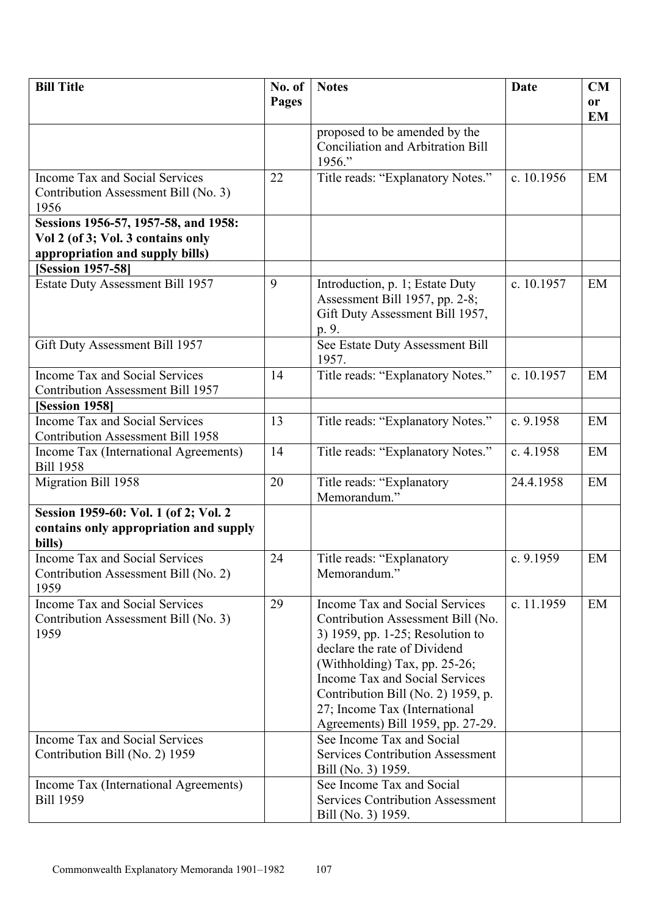| <b>Bill Title</b>                        | No. of | <b>Notes</b>                                                      | <b>Date</b> | CM        |
|------------------------------------------|--------|-------------------------------------------------------------------|-------------|-----------|
|                                          | Pages  |                                                                   |             | <b>or</b> |
|                                          |        |                                                                   |             | <b>EM</b> |
|                                          |        | proposed to be amended by the                                     |             |           |
|                                          |        | <b>Conciliation and Arbitration Bill</b>                          |             |           |
|                                          |        | 1956."                                                            |             |           |
| Income Tax and Social Services           | 22     | Title reads: "Explanatory Notes."                                 | c. 10.1956  | EM        |
| Contribution Assessment Bill (No. 3)     |        |                                                                   |             |           |
| 1956                                     |        |                                                                   |             |           |
| Sessions 1956-57, 1957-58, and 1958:     |        |                                                                   |             |           |
| Vol 2 (of 3; Vol. 3 contains only        |        |                                                                   |             |           |
| appropriation and supply bills)          |        |                                                                   |             |           |
| <b>[Session 1957-58]</b>                 |        |                                                                   |             |           |
| Estate Duty Assessment Bill 1957         | 9      | Introduction, p. 1; Estate Duty                                   | c. 10.1957  | EM        |
|                                          |        | Assessment Bill 1957, pp. 2-8;<br>Gift Duty Assessment Bill 1957, |             |           |
|                                          |        | p. 9.                                                             |             |           |
| Gift Duty Assessment Bill 1957           |        | See Estate Duty Assessment Bill                                   |             |           |
|                                          |        | 1957.                                                             |             |           |
| Income Tax and Social Services           | 14     | Title reads: "Explanatory Notes."                                 | c. 10.1957  | EM        |
| <b>Contribution Assessment Bill 1957</b> |        |                                                                   |             |           |
| [Session 1958]                           |        |                                                                   |             |           |
| <b>Income Tax and Social Services</b>    | 13     | Title reads: "Explanatory Notes."                                 | c. 9.1958   | EM        |
| <b>Contribution Assessment Bill 1958</b> |        |                                                                   |             |           |
| Income Tax (International Agreements)    | 14     | Title reads: "Explanatory Notes."                                 | c. 4.1958   | EM        |
| <b>Bill 1958</b>                         |        |                                                                   |             |           |
| Migration Bill 1958                      | 20     | Title reads: "Explanatory                                         | 24.4.1958   | EM        |
|                                          |        | Memorandum."                                                      |             |           |
| Session 1959-60: Vol. 1 (of 2; Vol. 2    |        |                                                                   |             |           |
| contains only appropriation and supply   |        |                                                                   |             |           |
| bills)<br>Income Tax and Social Services | 24     | Title reads: "Explanatory                                         | c. 9.1959   | EM        |
| Contribution Assessment Bill (No. 2)     |        | Memorandum."                                                      |             |           |
| 1959                                     |        |                                                                   |             |           |
| Income Tax and Social Services           | 29     | Income Tax and Social Services                                    | c. 11.1959  | EM        |
| Contribution Assessment Bill (No. 3)     |        | Contribution Assessment Bill (No.                                 |             |           |
| 1959                                     |        | 3) 1959, pp. 1-25; Resolution to                                  |             |           |
|                                          |        | declare the rate of Dividend                                      |             |           |
|                                          |        | (Withholding) Tax, pp. $25-26$ ;                                  |             |           |
|                                          |        | Income Tax and Social Services                                    |             |           |
|                                          |        | Contribution Bill (No. 2) 1959, p.                                |             |           |
|                                          |        | 27; Income Tax (International                                     |             |           |
|                                          |        | Agreements) Bill 1959, pp. 27-29.                                 |             |           |
| Income Tax and Social Services           |        | See Income Tax and Social                                         |             |           |
| Contribution Bill (No. 2) 1959           |        | <b>Services Contribution Assessment</b>                           |             |           |
|                                          |        | Bill (No. 3) 1959.                                                |             |           |
| Income Tax (International Agreements)    |        | See Income Tax and Social                                         |             |           |
| <b>Bill 1959</b>                         |        | <b>Services Contribution Assessment</b>                           |             |           |
|                                          |        | Bill (No. 3) 1959.                                                |             |           |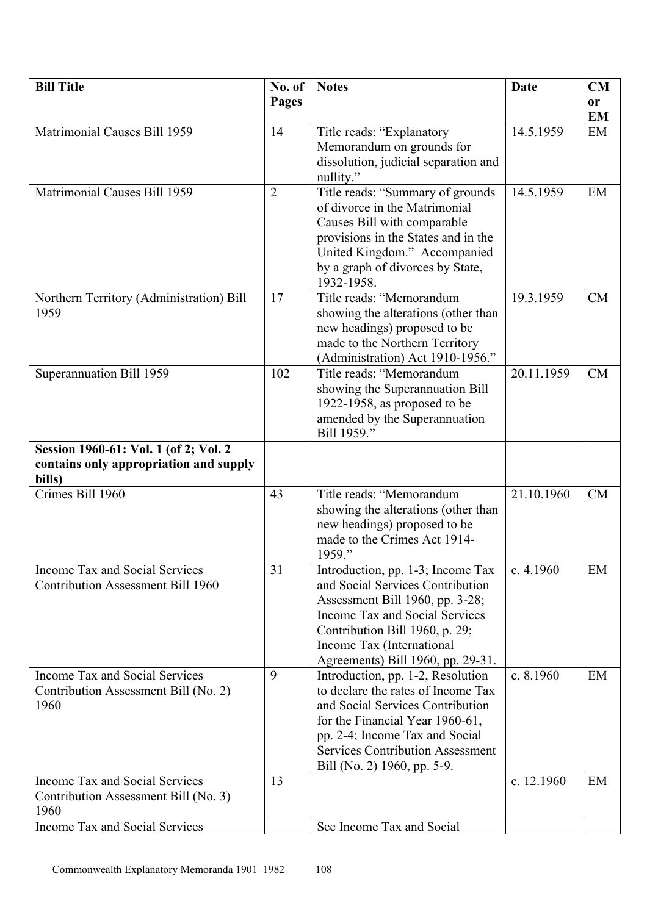| <b>Bill Title</b>                            | No. of         | <b>Notes</b>                                                        | Date       | CM        |
|----------------------------------------------|----------------|---------------------------------------------------------------------|------------|-----------|
|                                              | <b>Pages</b>   |                                                                     |            | or        |
|                                              |                |                                                                     |            | <b>EM</b> |
| Matrimonial Causes Bill 1959                 | 14             | Title reads: "Explanatory                                           | 14.5.1959  | EM        |
|                                              |                | Memorandum on grounds for                                           |            |           |
|                                              |                | dissolution, judicial separation and                                |            |           |
|                                              |                | nullity."                                                           |            |           |
| Matrimonial Causes Bill 1959                 | $\overline{2}$ | Title reads: "Summary of grounds<br>of divorce in the Matrimonial   | 14.5.1959  | EM        |
|                                              |                | Causes Bill with comparable                                         |            |           |
|                                              |                | provisions in the States and in the                                 |            |           |
|                                              |                | United Kingdom." Accompanied                                        |            |           |
|                                              |                | by a graph of divorces by State,                                    |            |           |
|                                              |                | 1932-1958.                                                          |            |           |
| Northern Territory (Administration) Bill     | 17             | Title reads: "Memorandum                                            | 19.3.1959  | CM        |
| 1959                                         |                | showing the alterations (other than                                 |            |           |
|                                              |                | new headings) proposed to be                                        |            |           |
|                                              |                | made to the Northern Territory                                      |            |           |
|                                              |                | (Administration) Act 1910-1956."                                    |            |           |
| Superannuation Bill 1959                     | 102            | Title reads: "Memorandum<br>showing the Superannuation Bill         | 20.11.1959 | <b>CM</b> |
|                                              |                | 1922-1958, as proposed to be                                        |            |           |
|                                              |                | amended by the Superannuation                                       |            |           |
|                                              |                | Bill 1959."                                                         |            |           |
| Session 1960-61: Vol. 1 (of 2; Vol. 2        |                |                                                                     |            |           |
| contains only appropriation and supply       |                |                                                                     |            |           |
| bills)                                       |                |                                                                     |            |           |
| Crimes Bill 1960                             | 43             | Title reads: "Memorandum                                            | 21.10.1960 | CM        |
|                                              |                | showing the alterations (other than<br>new headings) proposed to be |            |           |
|                                              |                | made to the Crimes Act 1914-                                        |            |           |
|                                              |                | 1959."                                                              |            |           |
| <b>Income Tax and Social Services</b>        | 31             | Introduction, pp. 1-3; Income Tax                                   | c. 4.1960  | EM        |
| <b>Contribution Assessment Bill 1960</b>     |                | and Social Services Contribution                                    |            |           |
|                                              |                | Assessment Bill 1960, pp. 3-28;                                     |            |           |
|                                              |                | Income Tax and Social Services                                      |            |           |
|                                              |                | Contribution Bill 1960, p. 29;                                      |            |           |
|                                              |                | Income Tax (International<br>Agreements) Bill 1960, pp. 29-31.      |            |           |
| Income Tax and Social Services               | 9              | Introduction, pp. 1-2, Resolution                                   | c. 8.1960  | EM        |
| Contribution Assessment Bill (No. 2)         |                | to declare the rates of Income Tax                                  |            |           |
| 1960                                         |                | and Social Services Contribution                                    |            |           |
|                                              |                | for the Financial Year 1960-61,                                     |            |           |
|                                              |                | pp. 2-4; Income Tax and Social                                      |            |           |
|                                              |                | <b>Services Contribution Assessment</b>                             |            |           |
|                                              |                | Bill (No. 2) 1960, pp. 5-9.                                         |            |           |
| Income Tax and Social Services               | 13             |                                                                     | c. 12.1960 | EM        |
| Contribution Assessment Bill (No. 3)<br>1960 |                |                                                                     |            |           |
| Income Tax and Social Services               |                | See Income Tax and Social                                           |            |           |
|                                              |                |                                                                     |            |           |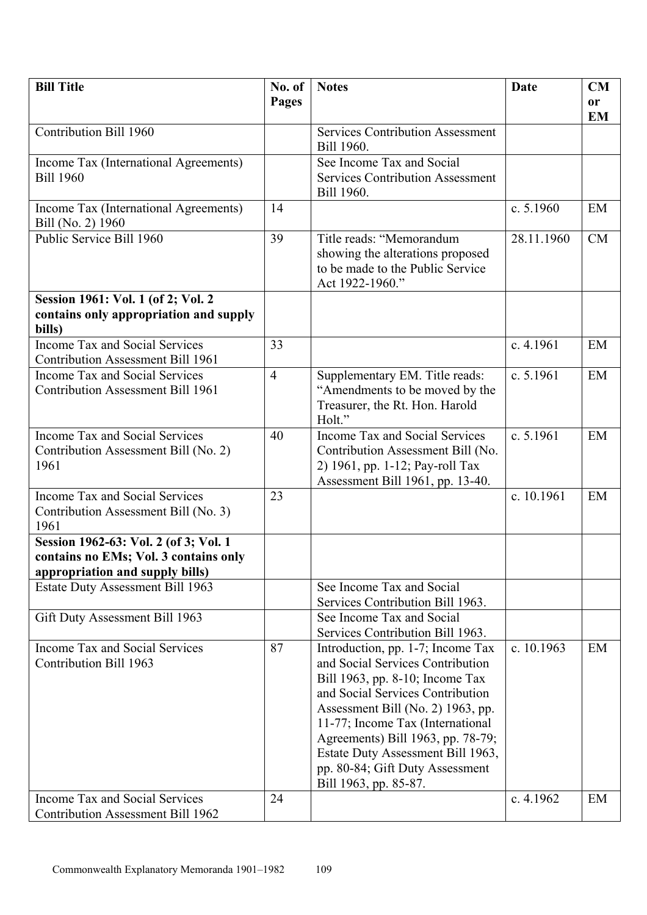| <b>Bill Title</b>                                                                                                 | No. of         | <b>Notes</b>                                                                                                                                                                                                                                                                                                                                                | Date       | CM                     |
|-------------------------------------------------------------------------------------------------------------------|----------------|-------------------------------------------------------------------------------------------------------------------------------------------------------------------------------------------------------------------------------------------------------------------------------------------------------------------------------------------------------------|------------|------------------------|
|                                                                                                                   | Pages          |                                                                                                                                                                                                                                                                                                                                                             |            | <b>or</b><br><b>EM</b> |
| Contribution Bill 1960                                                                                            |                | <b>Services Contribution Assessment</b><br>Bill 1960.                                                                                                                                                                                                                                                                                                       |            |                        |
| Income Tax (International Agreements)<br><b>Bill 1960</b>                                                         |                | See Income Tax and Social<br><b>Services Contribution Assessment</b><br>Bill 1960.                                                                                                                                                                                                                                                                          |            |                        |
| Income Tax (International Agreements)<br>Bill (No. 2) 1960                                                        | 14             |                                                                                                                                                                                                                                                                                                                                                             | c. 5.1960  | EM                     |
| Public Service Bill 1960                                                                                          | 39             | Title reads: "Memorandum<br>showing the alterations proposed<br>to be made to the Public Service<br>Act 1922-1960."                                                                                                                                                                                                                                         | 28.11.1960 | <b>CM</b>              |
| Session 1961: Vol. 1 (of 2; Vol. 2<br>contains only appropriation and supply<br>bills)                            |                |                                                                                                                                                                                                                                                                                                                                                             |            |                        |
| Income Tax and Social Services<br><b>Contribution Assessment Bill 1961</b>                                        | 33             |                                                                                                                                                                                                                                                                                                                                                             | c. 4.1961  | EM                     |
| <b>Income Tax and Social Services</b><br><b>Contribution Assessment Bill 1961</b>                                 | $\overline{4}$ | Supplementary EM. Title reads:<br>"Amendments to be moved by the<br>Treasurer, the Rt. Hon. Harold<br>Holt."                                                                                                                                                                                                                                                | c. 5.1961  | EM                     |
| Income Tax and Social Services<br>Contribution Assessment Bill (No. 2)<br>1961                                    | 40             | Income Tax and Social Services<br>Contribution Assessment Bill (No.<br>2) 1961, pp. 1-12; Pay-roll Tax<br>Assessment Bill 1961, pp. 13-40.                                                                                                                                                                                                                  | c. 5.1961  | EM                     |
| Income Tax and Social Services<br>Contribution Assessment Bill (No. 3)<br>1961                                    | 23             |                                                                                                                                                                                                                                                                                                                                                             | c. 10.1961 | EM                     |
| Session 1962-63: Vol. 2 (of 3; Vol. 1<br>contains no EMs; Vol. 3 contains only<br>appropriation and supply bills) |                |                                                                                                                                                                                                                                                                                                                                                             |            |                        |
| Estate Duty Assessment Bill 1963                                                                                  |                | See Income Tax and Social<br>Services Contribution Bill 1963.                                                                                                                                                                                                                                                                                               |            |                        |
| Gift Duty Assessment Bill 1963                                                                                    |                | See Income Tax and Social<br>Services Contribution Bill 1963.                                                                                                                                                                                                                                                                                               |            |                        |
| <b>Income Tax and Social Services</b><br>Contribution Bill 1963                                                   | 87             | Introduction, pp. 1-7; Income Tax<br>and Social Services Contribution<br>Bill 1963, pp. 8-10; Income Tax<br>and Social Services Contribution<br>Assessment Bill (No. 2) 1963, pp.<br>11-77; Income Tax (International<br>Agreements) Bill 1963, pp. 78-79;<br>Estate Duty Assessment Bill 1963,<br>pp. 80-84; Gift Duty Assessment<br>Bill 1963, pp. 85-87. | c. 10.1963 | EM                     |
| Income Tax and Social Services<br><b>Contribution Assessment Bill 1962</b>                                        | 24             |                                                                                                                                                                                                                                                                                                                                                             | c. 4.1962  | EM                     |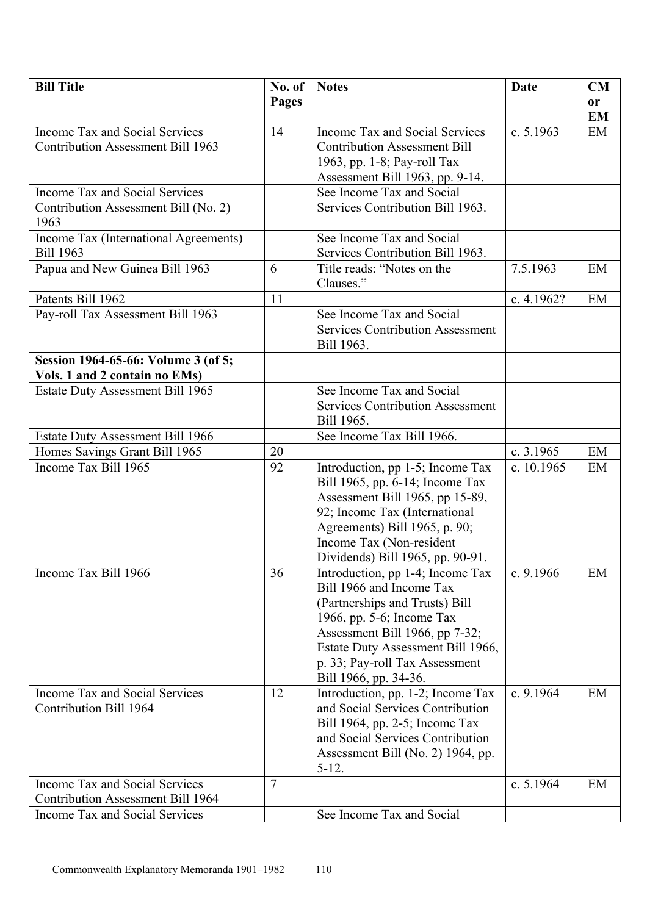| <b>Bill Title</b>                                     | No. of | <b>Notes</b>                                                     | Date        | CM |
|-------------------------------------------------------|--------|------------------------------------------------------------------|-------------|----|
|                                                       | Pages  |                                                                  |             | or |
|                                                       |        |                                                                  |             | EM |
| Income Tax and Social Services                        | 14     | Income Tax and Social Services                                   | c. 5.1963   | EM |
| <b>Contribution Assessment Bill 1963</b>              |        | <b>Contribution Assessment Bill</b>                              |             |    |
|                                                       |        | 1963, pp. 1-8; Pay-roll Tax                                      |             |    |
|                                                       |        | Assessment Bill 1963, pp. 9-14.                                  |             |    |
| Income Tax and Social Services                        |        | See Income Tax and Social                                        |             |    |
| Contribution Assessment Bill (No. 2)                  |        | Services Contribution Bill 1963.                                 |             |    |
| 1963                                                  |        |                                                                  |             |    |
| Income Tax (International Agreements)                 |        | See Income Tax and Social                                        |             |    |
| <b>Bill 1963</b>                                      |        | Services Contribution Bill 1963.                                 |             |    |
| Papua and New Guinea Bill 1963                        | 6      | Title reads: "Notes on the                                       | 7.5.1963    | EM |
|                                                       |        | Clauses."                                                        |             |    |
| Patents Bill 1962                                     | 11     |                                                                  | c. 4.1962?  | EM |
| Pay-roll Tax Assessment Bill 1963                     |        | See Income Tax and Social                                        |             |    |
|                                                       |        | <b>Services Contribution Assessment</b>                          |             |    |
|                                                       |        | Bill 1963.                                                       |             |    |
| Session 1964-65-66: Volume 3 (of 5;                   |        |                                                                  |             |    |
| Vols. 1 and 2 contain no EMs)                         |        |                                                                  |             |    |
| <b>Estate Duty Assessment Bill 1965</b>               |        | See Income Tax and Social                                        |             |    |
|                                                       |        | <b>Services Contribution Assessment</b>                          |             |    |
|                                                       |        | Bill 1965.                                                       |             |    |
| <b>Estate Duty Assessment Bill 1966</b>               |        | See Income Tax Bill 1966.                                        |             |    |
|                                                       | 20     |                                                                  | c. 3.1965   | EM |
| Homes Savings Grant Bill 1965<br>Income Tax Bill 1965 | 92     |                                                                  | c. 10.1965  | EM |
|                                                       |        | Introduction, pp 1-5; Income Tax                                 |             |    |
|                                                       |        | Bill 1965, pp. 6-14; Income Tax                                  |             |    |
|                                                       |        | Assessment Bill 1965, pp 15-89,<br>92; Income Tax (International |             |    |
|                                                       |        | Agreements) Bill 1965, p. 90;                                    |             |    |
|                                                       |        | Income Tax (Non-resident                                         |             |    |
|                                                       |        | Dividends) Bill 1965, pp. 90-91.                                 |             |    |
| Income Tax Bill 1966                                  | 36     |                                                                  | c. $9.1966$ | EM |
|                                                       |        | Introduction, pp 1-4; Income Tax<br>Bill 1966 and Income Tax     |             |    |
|                                                       |        | (Partnerships and Trusts) Bill                                   |             |    |
|                                                       |        | 1966, pp. 5-6; Income Tax                                        |             |    |
|                                                       |        | Assessment Bill 1966, pp 7-32;                                   |             |    |
|                                                       |        | Estate Duty Assessment Bill 1966,                                |             |    |
|                                                       |        | p. 33; Pay-roll Tax Assessment                                   |             |    |
|                                                       |        | Bill 1966, pp. 34-36.                                            |             |    |
| Income Tax and Social Services                        | 12     | Introduction, pp. 1-2; Income Tax                                | c. $9.1964$ | EM |
| Contribution Bill 1964                                |        | and Social Services Contribution                                 |             |    |
|                                                       |        | Bill 1964, pp. 2-5; Income Tax                                   |             |    |
|                                                       |        | and Social Services Contribution                                 |             |    |
|                                                       |        | Assessment Bill (No. 2) 1964, pp.                                |             |    |
|                                                       |        | $5 - 12.$                                                        |             |    |
| Income Tax and Social Services                        | 7      |                                                                  | c. $5.1964$ | EM |
| <b>Contribution Assessment Bill 1964</b>              |        |                                                                  |             |    |
| Income Tax and Social Services                        |        | See Income Tax and Social                                        |             |    |
|                                                       |        |                                                                  |             |    |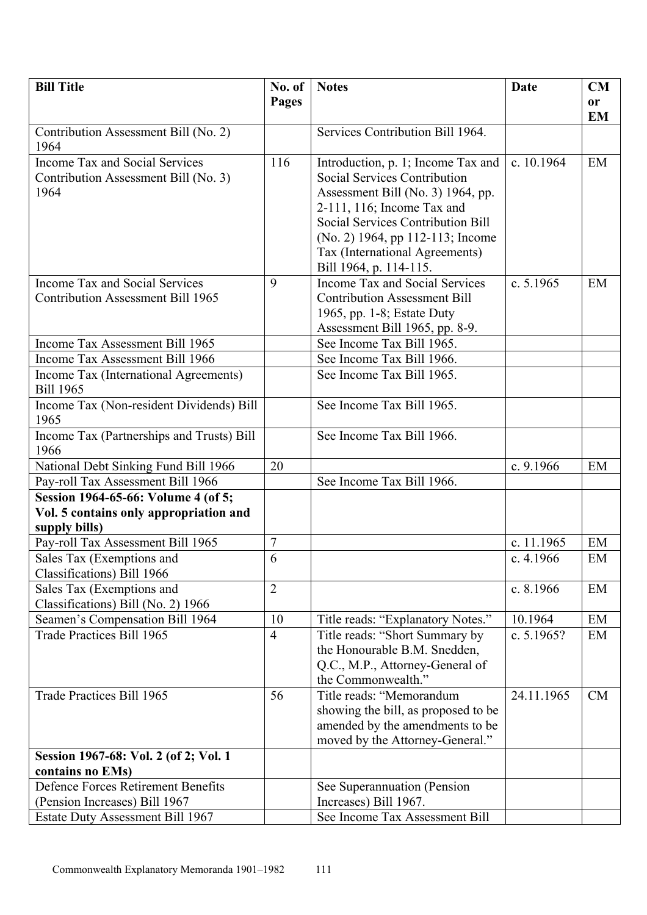| <b>Bill Title</b>                                                             | No. of         | <b>Notes</b>                                                      | Date        | CM        |
|-------------------------------------------------------------------------------|----------------|-------------------------------------------------------------------|-------------|-----------|
|                                                                               | Pages          |                                                                   |             | or        |
| Contribution Assessment Bill (No. 2)                                          |                | Services Contribution Bill 1964.                                  |             | <b>EM</b> |
| 1964                                                                          |                |                                                                   |             |           |
| <b>Income Tax and Social Services</b>                                         | 116            | Introduction, p. 1; Income Tax and                                | c. 10.1964  | EM        |
| Contribution Assessment Bill (No. 3)                                          |                | Social Services Contribution                                      |             |           |
| 1964                                                                          |                | Assessment Bill (No. 3) 1964, pp.<br>2-111, 116; Income Tax and   |             |           |
|                                                                               |                | <b>Social Services Contribution Bill</b>                          |             |           |
|                                                                               |                | (No. 2) 1964, pp 112-113; Income                                  |             |           |
|                                                                               |                | Tax (International Agreements)                                    |             |           |
|                                                                               |                | Bill 1964, p. 114-115.                                            |             |           |
| Income Tax and Social Services                                                | 9              | Income Tax and Social Services                                    | c. $5.1965$ | EM        |
| <b>Contribution Assessment Bill 1965</b>                                      |                | <b>Contribution Assessment Bill</b><br>1965, pp. 1-8; Estate Duty |             |           |
|                                                                               |                | Assessment Bill 1965, pp. 8-9.                                    |             |           |
| Income Tax Assessment Bill 1965                                               |                | See Income Tax Bill 1965.                                         |             |           |
| Income Tax Assessment Bill 1966                                               |                | See Income Tax Bill 1966.                                         |             |           |
| Income Tax (International Agreements)                                         |                | See Income Tax Bill 1965.                                         |             |           |
| <b>Bill 1965</b>                                                              |                |                                                                   |             |           |
| Income Tax (Non-resident Dividends) Bill<br>1965                              |                | See Income Tax Bill 1965.                                         |             |           |
| Income Tax (Partnerships and Trusts) Bill<br>1966                             |                | See Income Tax Bill 1966.                                         |             |           |
| National Debt Sinking Fund Bill 1966                                          | 20             |                                                                   | c. 9.1966   | EM        |
| Pay-roll Tax Assessment Bill 1966                                             |                | See Income Tax Bill 1966.                                         |             |           |
| Session 1964-65-66: Volume 4 (of 5;<br>Vol. 5 contains only appropriation and |                |                                                                   |             |           |
| supply bills)                                                                 |                |                                                                   |             |           |
| Pay-roll Tax Assessment Bill 1965                                             | 7              |                                                                   | c. 11.1965  | EM        |
| Sales Tax (Exemptions and                                                     | 6              |                                                                   | c. $4.1966$ | EM        |
| Classifications) Bill 1966                                                    |                |                                                                   |             |           |
| Sales Tax (Exemptions and<br>Classifications) Bill (No. 2) 1966               | $\overline{2}$ |                                                                   | c. 8.1966   | EM        |
| Seamen's Compensation Bill 1964                                               | 10             | Title reads: "Explanatory Notes."                                 | 10.1964     | EM        |
| Trade Practices Bill 1965                                                     | $\overline{4}$ | Title reads: "Short Summary by                                    | c. 5.1965?  | EM        |
|                                                                               |                | the Honourable B.M. Snedden,                                      |             |           |
|                                                                               |                | Q.C., M.P., Attorney-General of<br>the Commonwealth."             |             |           |
| Trade Practices Bill 1965                                                     | 56             | Title reads: "Memorandum                                          | 24.11.1965  | <b>CM</b> |
|                                                                               |                | showing the bill, as proposed to be                               |             |           |
|                                                                               |                | amended by the amendments to be                                   |             |           |
|                                                                               |                | moved by the Attorney-General."                                   |             |           |
| Session 1967-68: Vol. 2 (of 2; Vol. 1                                         |                |                                                                   |             |           |
| contains no EMs)<br><b>Defence Forces Retirement Benefits</b>                 |                | See Superannuation (Pension                                       |             |           |
| (Pension Increases) Bill 1967                                                 |                | Increases) Bill 1967.                                             |             |           |
| <b>Estate Duty Assessment Bill 1967</b>                                       |                | See Income Tax Assessment Bill                                    |             |           |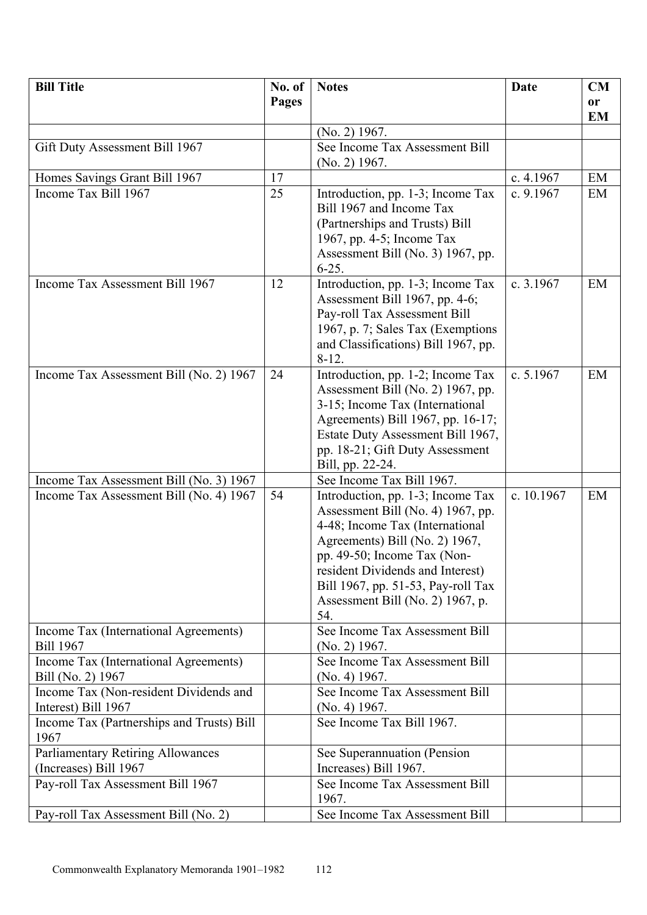| <b>Bill Title</b>                                         | No. of | <b>Notes</b>                                                | Date       | CM        |
|-----------------------------------------------------------|--------|-------------------------------------------------------------|------------|-----------|
|                                                           | Pages  |                                                             |            | <b>or</b> |
|                                                           |        |                                                             |            | <b>EM</b> |
|                                                           |        | $(No. 2)$ 1967.                                             |            |           |
| Gift Duty Assessment Bill 1967                            |        | See Income Tax Assessment Bill                              |            |           |
|                                                           |        | $(No. 2)$ 1967.                                             |            |           |
| Homes Savings Grant Bill 1967                             | 17     |                                                             | c. 4.1967  | EM        |
| Income Tax Bill 1967                                      | 25     | Introduction, pp. 1-3; Income Tax                           | c. 9.1967  | EM        |
|                                                           |        | Bill 1967 and Income Tax                                    |            |           |
|                                                           |        | (Partnerships and Trusts) Bill<br>1967, pp. 4-5; Income Tax |            |           |
|                                                           |        | Assessment Bill (No. 3) 1967, pp.                           |            |           |
|                                                           |        | $6 - 25.$                                                   |            |           |
| Income Tax Assessment Bill 1967                           | 12     | Introduction, pp. 1-3; Income Tax                           | c. 3.1967  | EM        |
|                                                           |        | Assessment Bill 1967, pp. 4-6;                              |            |           |
|                                                           |        | Pay-roll Tax Assessment Bill                                |            |           |
|                                                           |        | 1967, p. 7; Sales Tax (Exemptions)                          |            |           |
|                                                           |        | and Classifications) Bill 1967, pp.                         |            |           |
|                                                           |        | $8-12.$                                                     |            |           |
| Income Tax Assessment Bill (No. 2) 1967                   | 24     | Introduction, pp. 1-2; Income Tax                           | c. 5.1967  | EM        |
|                                                           |        | Assessment Bill (No. 2) 1967, pp.                           |            |           |
|                                                           |        | 3-15; Income Tax (International                             |            |           |
|                                                           |        | Agreements) Bill 1967, pp. 16-17;                           |            |           |
|                                                           |        | Estate Duty Assessment Bill 1967,                           |            |           |
|                                                           |        | pp. 18-21; Gift Duty Assessment                             |            |           |
| Income Tax Assessment Bill (No. 3) 1967                   |        | Bill, pp. 22-24.<br>See Income Tax Bill 1967.               |            |           |
| Income Tax Assessment Bill (No. 4) 1967                   | 54     | Introduction, pp. 1-3; Income Tax                           | c. 10.1967 | EM        |
|                                                           |        | Assessment Bill (No. 4) 1967, pp.                           |            |           |
|                                                           |        | 4-48; Income Tax (International                             |            |           |
|                                                           |        | Agreements) Bill (No. 2) 1967,                              |            |           |
|                                                           |        | pp. 49-50; Income Tax (Non-                                 |            |           |
|                                                           |        | resident Dividends and Interest)                            |            |           |
|                                                           |        | Bill 1967, pp. 51-53, Pay-roll Tax                          |            |           |
|                                                           |        | Assessment Bill (No. 2) 1967, p.                            |            |           |
|                                                           |        | 54.                                                         |            |           |
| Income Tax (International Agreements)<br><b>Bill 1967</b> |        | See Income Tax Assessment Bill<br>$(No. 2)$ 1967.           |            |           |
| Income Tax (International Agreements)                     |        | See Income Tax Assessment Bill                              |            |           |
| Bill (No. 2) 1967                                         |        | (No. 4) 1967.                                               |            |           |
| Income Tax (Non-resident Dividends and                    |        | See Income Tax Assessment Bill                              |            |           |
| Interest) Bill 1967                                       |        | (No. 4) 1967.                                               |            |           |
| Income Tax (Partnerships and Trusts) Bill                 |        | See Income Tax Bill 1967.                                   |            |           |
| 1967                                                      |        |                                                             |            |           |
| Parliamentary Retiring Allowances                         |        | See Superannuation (Pension                                 |            |           |
| (Increases) Bill 1967                                     |        | Increases) Bill 1967.                                       |            |           |
| Pay-roll Tax Assessment Bill 1967                         |        | See Income Tax Assessment Bill<br>1967.                     |            |           |
| Pay-roll Tax Assessment Bill (No. 2)                      |        | See Income Tax Assessment Bill                              |            |           |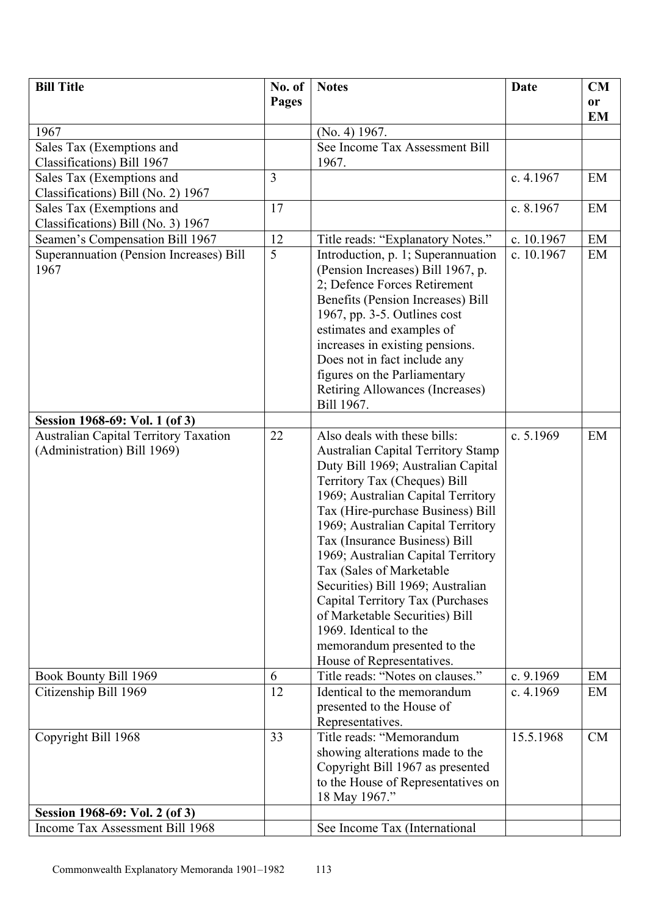| <b>Bill Title</b>                                                           | No. of         | <b>Notes</b>                                                                                                                                                                                                                                                                                                                                                                                                                                                                                                                                                         | <b>Date</b> | <b>CM</b> |
|-----------------------------------------------------------------------------|----------------|----------------------------------------------------------------------------------------------------------------------------------------------------------------------------------------------------------------------------------------------------------------------------------------------------------------------------------------------------------------------------------------------------------------------------------------------------------------------------------------------------------------------------------------------------------------------|-------------|-----------|
|                                                                             | Pages          |                                                                                                                                                                                                                                                                                                                                                                                                                                                                                                                                                                      |             | <b>or</b> |
| 1967                                                                        |                | (No. 4) 1967.                                                                                                                                                                                                                                                                                                                                                                                                                                                                                                                                                        |             | <b>EM</b> |
| Sales Tax (Exemptions and                                                   |                | See Income Tax Assessment Bill                                                                                                                                                                                                                                                                                                                                                                                                                                                                                                                                       |             |           |
| Classifications) Bill 1967                                                  |                | 1967.                                                                                                                                                                                                                                                                                                                                                                                                                                                                                                                                                                |             |           |
| Sales Tax (Exemptions and                                                   | $\overline{3}$ |                                                                                                                                                                                                                                                                                                                                                                                                                                                                                                                                                                      | c. $4.1967$ | EM        |
| Classifications) Bill (No. 2) 1967                                          |                |                                                                                                                                                                                                                                                                                                                                                                                                                                                                                                                                                                      |             |           |
| Sales Tax (Exemptions and<br>Classifications) Bill (No. 3) 1967             | 17             |                                                                                                                                                                                                                                                                                                                                                                                                                                                                                                                                                                      | c. 8.1967   | EM        |
| Seamen's Compensation Bill 1967                                             | 12             | Title reads: "Explanatory Notes."                                                                                                                                                                                                                                                                                                                                                                                                                                                                                                                                    | c. 10.1967  | EM        |
| Superannuation (Pension Increases) Bill<br>1967                             | 5              | Introduction, p. 1; Superannuation<br>(Pension Increases) Bill 1967, p.<br>2; Defence Forces Retirement<br>Benefits (Pension Increases) Bill<br>1967, pp. 3-5. Outlines cost<br>estimates and examples of<br>increases in existing pensions.<br>Does not in fact include any<br>figures on the Parliamentary<br>Retiring Allowances (Increases)<br>Bill 1967.                                                                                                                                                                                                        | c. 10.1967  | EM        |
| Session 1968-69: Vol. 1 (of 3)                                              |                |                                                                                                                                                                                                                                                                                                                                                                                                                                                                                                                                                                      |             |           |
| <b>Australian Capital Territory Taxation</b><br>(Administration) Bill 1969) | 22             | Also deals with these bills:<br><b>Australian Capital Territory Stamp</b><br>Duty Bill 1969; Australian Capital<br>Territory Tax (Cheques) Bill<br>1969; Australian Capital Territory<br>Tax (Hire-purchase Business) Bill<br>1969; Australian Capital Territory<br>Tax (Insurance Business) Bill<br>1969; Australian Capital Territory<br>Tax (Sales of Marketable<br>Securities) Bill 1969; Australian<br>Capital Territory Tax (Purchases<br>of Marketable Securities) Bill<br>1969. Identical to the<br>memorandum presented to the<br>House of Representatives. | c. 5.1969   | EM        |
| Book Bounty Bill 1969                                                       | 6              | Title reads: "Notes on clauses."                                                                                                                                                                                                                                                                                                                                                                                                                                                                                                                                     | c. 9.1969   | EM        |
| Citizenship Bill 1969                                                       | 12             | Identical to the memorandum<br>presented to the House of<br>Representatives.                                                                                                                                                                                                                                                                                                                                                                                                                                                                                         | c. $4.1969$ | EM        |
| Copyright Bill 1968                                                         | 33             | Title reads: "Memorandum<br>showing alterations made to the<br>Copyright Bill 1967 as presented<br>to the House of Representatives on<br>18 May 1967."                                                                                                                                                                                                                                                                                                                                                                                                               | 15.5.1968   | CM        |
| Session 1968-69: Vol. 2 (of 3)                                              |                |                                                                                                                                                                                                                                                                                                                                                                                                                                                                                                                                                                      |             |           |
| Income Tax Assessment Bill 1968                                             |                | See Income Tax (International                                                                                                                                                                                                                                                                                                                                                                                                                                                                                                                                        |             |           |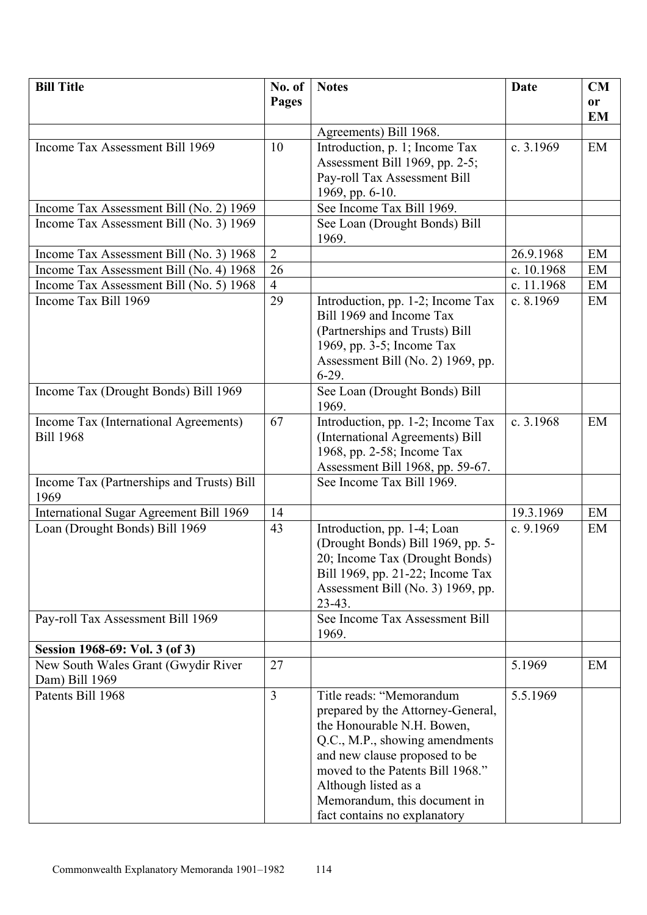| <b>Bill Title</b>                                         | No. of         | <b>Notes</b>                                                                                                                                                                                                                                               | <b>Date</b> | CM        |
|-----------------------------------------------------------|----------------|------------------------------------------------------------------------------------------------------------------------------------------------------------------------------------------------------------------------------------------------------------|-------------|-----------|
|                                                           | Pages          |                                                                                                                                                                                                                                                            |             | <b>or</b> |
|                                                           |                |                                                                                                                                                                                                                                                            |             | <b>EM</b> |
|                                                           |                | Agreements) Bill 1968.                                                                                                                                                                                                                                     |             |           |
| Income Tax Assessment Bill 1969                           | 10             | Introduction, p. 1; Income Tax                                                                                                                                                                                                                             | c. $3.1969$ | EM        |
|                                                           |                | Assessment Bill 1969, pp. 2-5;                                                                                                                                                                                                                             |             |           |
|                                                           |                | Pay-roll Tax Assessment Bill                                                                                                                                                                                                                               |             |           |
|                                                           |                | 1969, pp. 6-10.<br>See Income Tax Bill 1969.                                                                                                                                                                                                               |             |           |
| Income Tax Assessment Bill (No. 2) 1969                   |                |                                                                                                                                                                                                                                                            |             |           |
| Income Tax Assessment Bill (No. 3) 1969                   |                | See Loan (Drought Bonds) Bill<br>1969.                                                                                                                                                                                                                     |             |           |
| Income Tax Assessment Bill (No. 3) 1968                   | $\overline{2}$ |                                                                                                                                                                                                                                                            | 26.9.1968   | EM        |
| Income Tax Assessment Bill (No. 4) 1968                   | 26             |                                                                                                                                                                                                                                                            | c. 10.1968  | EM        |
| Income Tax Assessment Bill (No. 5) 1968                   | $\overline{4}$ |                                                                                                                                                                                                                                                            | c. 11.1968  | EM        |
| Income Tax Bill 1969                                      | 29             | Introduction, pp. 1-2; Income Tax<br>Bill 1969 and Income Tax<br>(Partnerships and Trusts) Bill<br>1969, pp. 3-5; Income Tax<br>Assessment Bill (No. 2) 1969, pp.<br>$6-29.$                                                                               | c. $8.1969$ | EM        |
| Income Tax (Drought Bonds) Bill 1969                      |                | See Loan (Drought Bonds) Bill<br>1969.                                                                                                                                                                                                                     |             |           |
| Income Tax (International Agreements)<br><b>Bill 1968</b> | 67             | Introduction, pp. 1-2; Income Tax<br>(International Agreements) Bill<br>1968, pp. 2-58; Income Tax<br>Assessment Bill 1968, pp. 59-67.                                                                                                                     | c. 3.1968   | EM        |
| Income Tax (Partnerships and Trusts) Bill<br>1969         |                | See Income Tax Bill 1969.                                                                                                                                                                                                                                  |             |           |
| International Sugar Agreement Bill 1969                   | 14             |                                                                                                                                                                                                                                                            | 19.3.1969   | EM        |
| Loan (Drought Bonds) Bill 1969                            | 43             | Introduction, pp. 1-4; Loan<br>(Drought Bonds) Bill 1969, pp. 5-<br>20; Income Tax (Drought Bonds)<br>Bill 1969, pp. 21-22; Income Tax<br>Assessment Bill (No. 3) 1969, pp.<br>$23-43.$                                                                    | c. 9.1969   | EM        |
| Pay-roll Tax Assessment Bill 1969                         |                | See Income Tax Assessment Bill<br>1969.                                                                                                                                                                                                                    |             |           |
| Session 1968-69: Vol. 3 (of 3)                            |                |                                                                                                                                                                                                                                                            |             |           |
| New South Wales Grant (Gwydir River)                      | 27             |                                                                                                                                                                                                                                                            | 5.1969      | EM        |
| Dam) Bill 1969                                            |                |                                                                                                                                                                                                                                                            |             |           |
| Patents Bill 1968                                         | $\overline{3}$ | Title reads: "Memorandum<br>prepared by the Attorney-General,<br>the Honourable N.H. Bowen,<br>Q.C., M.P., showing amendments<br>and new clause proposed to be<br>moved to the Patents Bill 1968."<br>Although listed as a<br>Memorandum, this document in | 5.5.1969    |           |
|                                                           |                | fact contains no explanatory                                                                                                                                                                                                                               |             |           |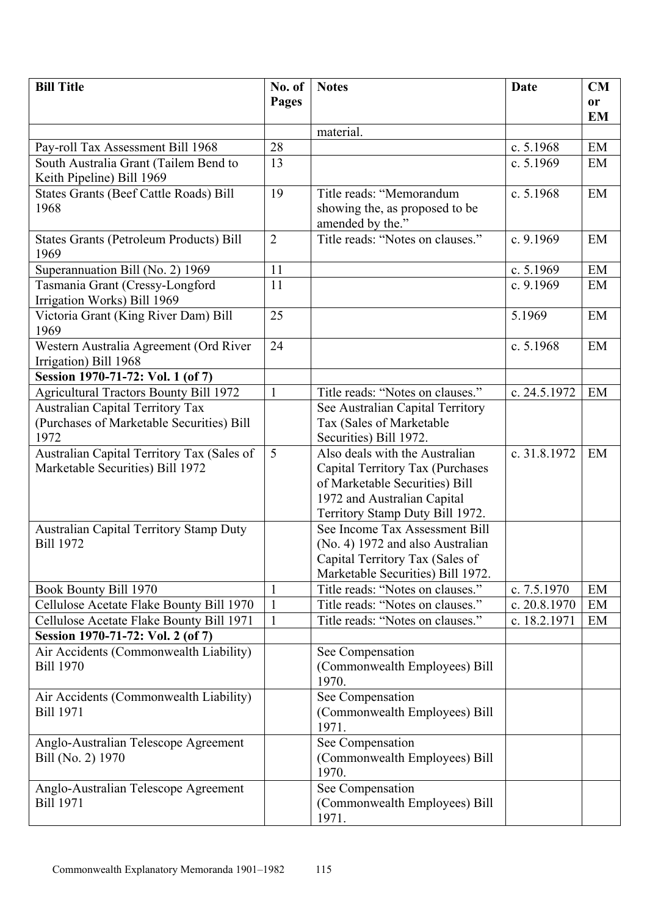| <b>Bill Title</b>                              | No. of         | <b>Notes</b>                      | <b>Date</b>  | <b>CM</b> |
|------------------------------------------------|----------------|-----------------------------------|--------------|-----------|
|                                                | Pages          |                                   |              | <b>or</b> |
|                                                |                |                                   |              | <b>EM</b> |
|                                                |                | material.                         |              |           |
| Pay-roll Tax Assessment Bill 1968              | 28             |                                   | c. 5.1968    | EM        |
| South Australia Grant (Tailem Bend to          | 13             |                                   | c. 5.1969    | EM        |
| Keith Pipeline) Bill 1969                      |                |                                   |              |           |
| <b>States Grants (Beef Cattle Roads) Bill</b>  | 19             | Title reads: "Memorandum          | c. 5.1968    | EM        |
| 1968                                           |                | showing the, as proposed to be    |              |           |
|                                                |                | amended by the."                  |              |           |
| <b>States Grants (Petroleum Products) Bill</b> | $\overline{2}$ | Title reads: "Notes on clauses."  | c. 9.1969    | EM        |
| 1969                                           |                |                                   |              |           |
| Superannuation Bill (No. 2) 1969               | 11             |                                   | c. 5.1969    | EM        |
| Tasmania Grant (Cressy-Longford                | 11             |                                   | c. 9.1969    | EM        |
| Irrigation Works) Bill 1969                    |                |                                   |              |           |
| Victoria Grant (King River Dam) Bill           | 25             |                                   | 5.1969       | EM        |
| 1969                                           |                |                                   |              |           |
| Western Australia Agreement (Ord River         | 24             |                                   | c. 5.1968    | EM        |
| Irrigation) Bill 1968                          |                |                                   |              |           |
| Session 1970-71-72: Vol. 1 (of 7)              |                |                                   |              |           |
| <b>Agricultural Tractors Bounty Bill 1972</b>  | $\mathbf{1}$   | Title reads: "Notes on clauses."  | c. 24.5.1972 | EM        |
| <b>Australian Capital Territory Tax</b>        |                | See Australian Capital Territory  |              |           |
| (Purchases of Marketable Securities) Bill      |                | Tax (Sales of Marketable          |              |           |
| 1972                                           |                | Securities) Bill 1972.            |              |           |
| Australian Capital Territory Tax (Sales of     | 5              | Also deals with the Australian    | c. 31.8.1972 | EM        |
| Marketable Securities) Bill 1972               |                | Capital Territory Tax (Purchases  |              |           |
|                                                |                | of Marketable Securities) Bill    |              |           |
|                                                |                | 1972 and Australian Capital       |              |           |
|                                                |                | Territory Stamp Duty Bill 1972.   |              |           |
| <b>Australian Capital Territory Stamp Duty</b> |                | See Income Tax Assessment Bill    |              |           |
| <b>Bill 1972</b>                               |                | (No. 4) 1972 and also Australian  |              |           |
|                                                |                | Capital Territory Tax (Sales of   |              |           |
|                                                |                | Marketable Securities) Bill 1972. |              |           |
| Book Bounty Bill 1970                          | 1              | Title reads: "Notes on clauses."  | c. 7.5.1970  | EM        |
| Cellulose Acetate Flake Bounty Bill 1970       |                | Title reads: "Notes on clauses."  | c. 20.8.1970 | EM        |
| Cellulose Acetate Flake Bounty Bill 1971       | 1              | Title reads: "Notes on clauses."  | c. 18.2.1971 | EM        |
| Session 1970-71-72: Vol. 2 (of 7)              |                |                                   |              |           |
| Air Accidents (Commonwealth Liability)         |                | See Compensation                  |              |           |
| <b>Bill 1970</b>                               |                | (Commonwealth Employees) Bill     |              |           |
|                                                |                | 1970.                             |              |           |
| Air Accidents (Commonwealth Liability)         |                | See Compensation                  |              |           |
| <b>Bill 1971</b>                               |                | (Commonwealth Employees) Bill     |              |           |
|                                                |                | 1971.                             |              |           |
| Anglo-Australian Telescope Agreement           |                | See Compensation                  |              |           |
| Bill (No. 2) 1970                              |                | (Commonwealth Employees) Bill     |              |           |
|                                                |                | 1970.                             |              |           |
| Anglo-Australian Telescope Agreement           |                | See Compensation                  |              |           |
| <b>Bill 1971</b>                               |                | (Commonwealth Employees) Bill     |              |           |
|                                                |                | 1971.                             |              |           |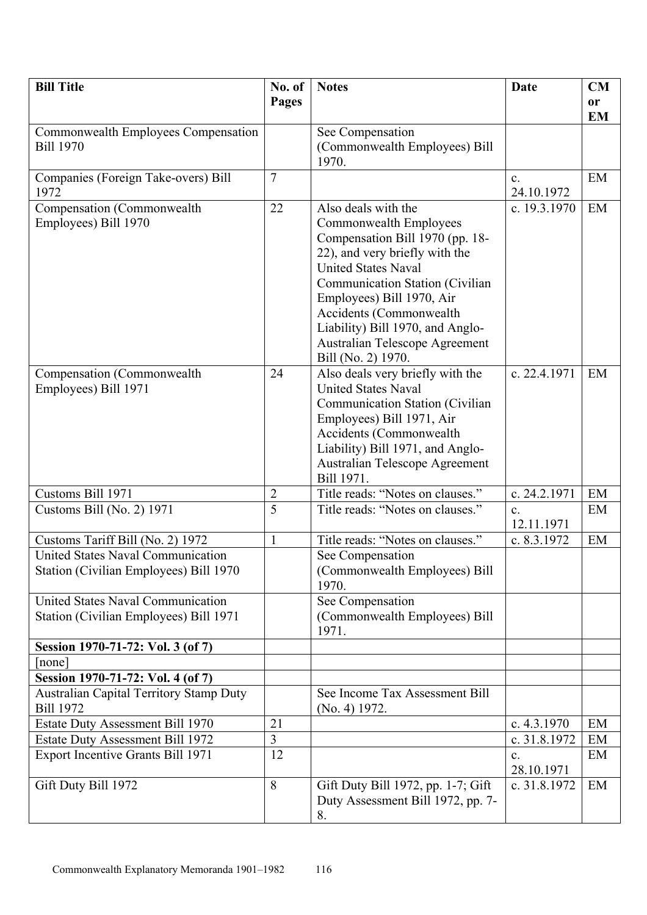| <b>Bill Title</b>                                                           | No. of         | <b>Notes</b>                                                            | Date           | CM        |
|-----------------------------------------------------------------------------|----------------|-------------------------------------------------------------------------|----------------|-----------|
|                                                                             | Pages          |                                                                         |                | <b>or</b> |
|                                                                             |                |                                                                         |                | <b>EM</b> |
| Commonwealth Employees Compensation                                         |                | See Compensation                                                        |                |           |
| <b>Bill 1970</b>                                                            |                | (Commonwealth Employees) Bill<br>1970.                                  |                |           |
| Companies (Foreign Take-overs) Bill                                         | $\overline{7}$ |                                                                         | $\mathbf{c}$ . | EM        |
| 1972                                                                        |                |                                                                         | 24.10.1972     |           |
| Compensation (Commonwealth                                                  | 22             | Also deals with the                                                     | c. 19.3.1970   | EM        |
| Employees) Bill 1970                                                        |                | Commonwealth Employees<br>Compensation Bill 1970 (pp. 18-               |                |           |
|                                                                             |                | 22), and very briefly with the                                          |                |           |
|                                                                             |                | <b>United States Naval</b>                                              |                |           |
|                                                                             |                | Communication Station (Civilian                                         |                |           |
|                                                                             |                | Employees) Bill 1970, Air<br>Accidents (Commonwealth                    |                |           |
|                                                                             |                | Liability) Bill 1970, and Anglo-                                        |                |           |
|                                                                             |                | Australian Telescope Agreement                                          |                |           |
|                                                                             |                | Bill (No. 2) 1970.                                                      |                |           |
| Compensation (Commonwealth                                                  | 24             | Also deals very briefly with the                                        | c. 22.4.1971   | EM        |
| Employees) Bill 1971                                                        |                | <b>United States Naval</b><br>Communication Station (Civilian           |                |           |
|                                                                             |                | Employees) Bill 1971, Air                                               |                |           |
|                                                                             |                | Accidents (Commonwealth                                                 |                |           |
|                                                                             |                | Liability) Bill 1971, and Anglo-                                        |                |           |
|                                                                             |                | Australian Telescope Agreement<br>Bill 1971.                            |                |           |
| Customs Bill 1971                                                           | $\overline{2}$ | Title reads: "Notes on clauses."                                        | c. 24.2.1971   | EM        |
| Customs Bill (No. 2) $1971$                                                 | $\overline{5}$ | Title reads: "Notes on clauses."                                        | $\mathbf{c}$ . | EM        |
|                                                                             |                |                                                                         | 12.11.1971     |           |
| Customs Tariff Bill (No. 2) 1972                                            | $\mathbf{1}$   | Title reads: "Notes on clauses."                                        | c. 8.3.1972    | EM        |
| United States Naval Communication<br>Station (Civilian Employees) Bill 1970 |                | See Compensation<br>(Commonwealth Employees) Bill                       |                |           |
|                                                                             |                | 1970.                                                                   |                |           |
| <b>United States Naval Communication</b>                                    |                | See Compensation                                                        |                |           |
| Station (Civilian Employees) Bill 1971                                      |                | (Commonwealth Employees) Bill<br>1971.                                  |                |           |
| Session 1970-71-72: Vol. 3 (of 7)                                           |                |                                                                         |                |           |
| none                                                                        |                |                                                                         |                |           |
| Session 1970-71-72: Vol. 4 (of 7)                                           |                |                                                                         |                |           |
| <b>Australian Capital Territory Stamp Duty</b><br><b>Bill 1972</b>          |                | See Income Tax Assessment Bill<br>(No. 4) 1972.                         |                |           |
| Estate Duty Assessment Bill 1970                                            | 21             |                                                                         | c. $4.3.1970$  | EM        |
| <b>Estate Duty Assessment Bill 1972</b>                                     | $\overline{3}$ |                                                                         | c. 31.8.1972   | EM        |
| <b>Export Incentive Grants Bill 1971</b>                                    | 12             |                                                                         | c.             | EM        |
|                                                                             |                |                                                                         | 28.10.1971     |           |
| Gift Duty Bill 1972                                                         | 8              | Gift Duty Bill 1972, pp. 1-7; Gift<br>Duty Assessment Bill 1972, pp. 7- | c. 31.8.1972   | EM        |
|                                                                             |                | 8.                                                                      |                |           |
|                                                                             |                |                                                                         |                |           |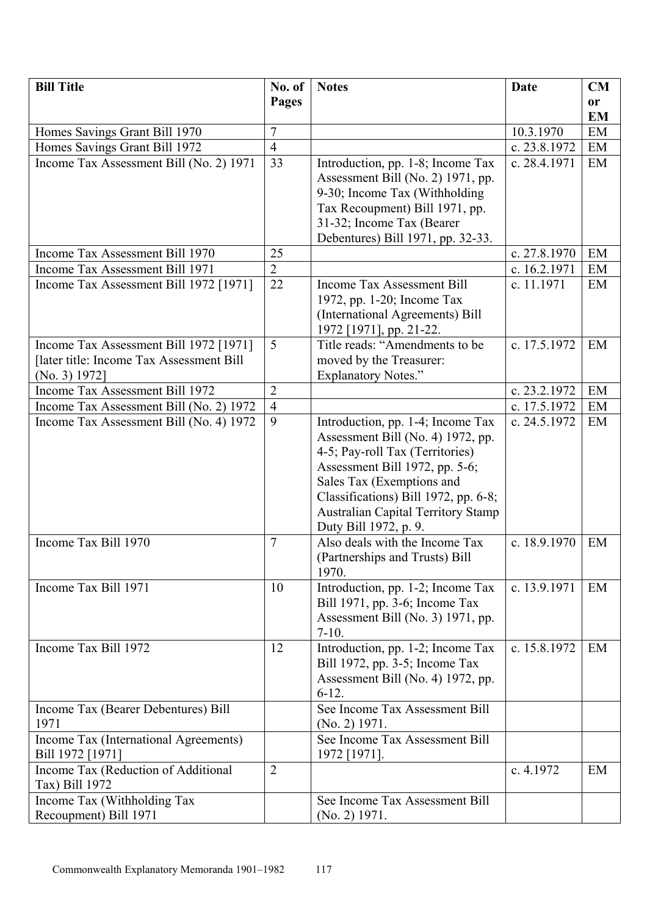| <b>Bill Title</b>                         | No. of         | <b>Notes</b>                                                        | <b>Date</b>    | <b>CM</b> |
|-------------------------------------------|----------------|---------------------------------------------------------------------|----------------|-----------|
|                                           | Pages          |                                                                     |                | <b>or</b> |
|                                           |                |                                                                     |                | <b>EM</b> |
| Homes Savings Grant Bill 1970             | 7              |                                                                     | 10.3.1970      | EM        |
| Homes Savings Grant Bill 1972             | $\overline{4}$ |                                                                     | c. 23.8.1972   | EM        |
| Income Tax Assessment Bill (No. 2) 1971   | 33             | Introduction, pp. 1-8; Income Tax                                   | c. 28.4.1971   | EM        |
|                                           |                | Assessment Bill (No. 2) 1971, pp.                                   |                |           |
|                                           |                | 9-30; Income Tax (Withholding                                       |                |           |
|                                           |                | Tax Recoupment) Bill 1971, pp.<br>31-32; Income Tax (Bearer         |                |           |
|                                           |                | Debentures) Bill 1971, pp. 32-33.                                   |                |           |
| Income Tax Assessment Bill 1970           | 25             |                                                                     | c. $27.8.1970$ | EM        |
| Income Tax Assessment Bill 1971           | $\overline{2}$ |                                                                     | c. 16.2.1971   | EM        |
| Income Tax Assessment Bill 1972 [1971]    | 22             | Income Tax Assessment Bill                                          | c. 11.1971     | EM        |
|                                           |                | 1972, pp. 1-20; Income Tax                                          |                |           |
|                                           |                | (International Agreements) Bill                                     |                |           |
|                                           |                | 1972 [1971], pp. 21-22.                                             |                |           |
| Income Tax Assessment Bill 1972 [1971]    | 5              | Title reads: "Amendments to be                                      | c. 17.5.1972   | EM        |
| [later title: Income Tax Assessment Bill] |                | moved by the Treasurer:                                             |                |           |
| (No. 3) 1972]                             |                | <b>Explanatory Notes."</b>                                          |                |           |
| Income Tax Assessment Bill 1972           | $\overline{2}$ |                                                                     | c. 23.2.1972   | EM        |
| Income Tax Assessment Bill (No. 2) 1972   | $\overline{4}$ |                                                                     | c. 17.5.1972   | EM        |
| Income Tax Assessment Bill (No. 4) 1972   | 9              | Introduction, pp. 1-4; Income Tax                                   | c. 24.5.1972   | EM        |
|                                           |                | Assessment Bill (No. 4) 1972, pp.                                   |                |           |
|                                           |                | 4-5; Pay-roll Tax (Territories)<br>Assessment Bill 1972, pp. 5-6;   |                |           |
|                                           |                | Sales Tax (Exemptions and                                           |                |           |
|                                           |                | Classifications) Bill 1972, pp. 6-8;                                |                |           |
|                                           |                | <b>Australian Capital Territory Stamp</b>                           |                |           |
|                                           |                | Duty Bill 1972, p. 9.                                               |                |           |
| Income Tax Bill 1970                      | $\tau$         | Also deals with the Income Tax                                      | c. 18.9.1970   | EM        |
|                                           |                | (Partnerships and Trusts) Bill                                      |                |           |
|                                           |                | 1970.                                                               |                |           |
| Income Tax Bill 1971                      | 10             | Introduction, pp. 1-2; Income Tax                                   | c. 13.9.1971   | EM        |
|                                           |                | Bill 1971, pp. 3-6; Income Tax                                      |                |           |
|                                           |                | Assessment Bill (No. 3) 1971, pp.                                   |                |           |
| Income Tax Bill 1972                      |                | $7-10.$                                                             | c. 15.8.1972   | EM        |
|                                           | 12             | Introduction, pp. 1-2; Income Tax<br>Bill 1972, pp. 3-5; Income Tax |                |           |
|                                           |                | Assessment Bill (No. 4) 1972, pp.                                   |                |           |
|                                           |                | $6-12.$                                                             |                |           |
| Income Tax (Bearer Debentures) Bill       |                | See Income Tax Assessment Bill                                      |                |           |
| 1971                                      |                | $(No. 2)$ 1971.                                                     |                |           |
| Income Tax (International Agreements)     |                | See Income Tax Assessment Bill                                      |                |           |
| Bill 1972 [1971]                          |                | 1972 [1971].                                                        |                |           |
| Income Tax (Reduction of Additional       | $\overline{2}$ |                                                                     | c. 4.1972      | EM        |
| Tax) Bill 1972                            |                |                                                                     |                |           |
| Income Tax (Withholding Tax               |                | See Income Tax Assessment Bill                                      |                |           |
| Recoupment) Bill 1971                     |                | $(No. 2)$ 1971.                                                     |                |           |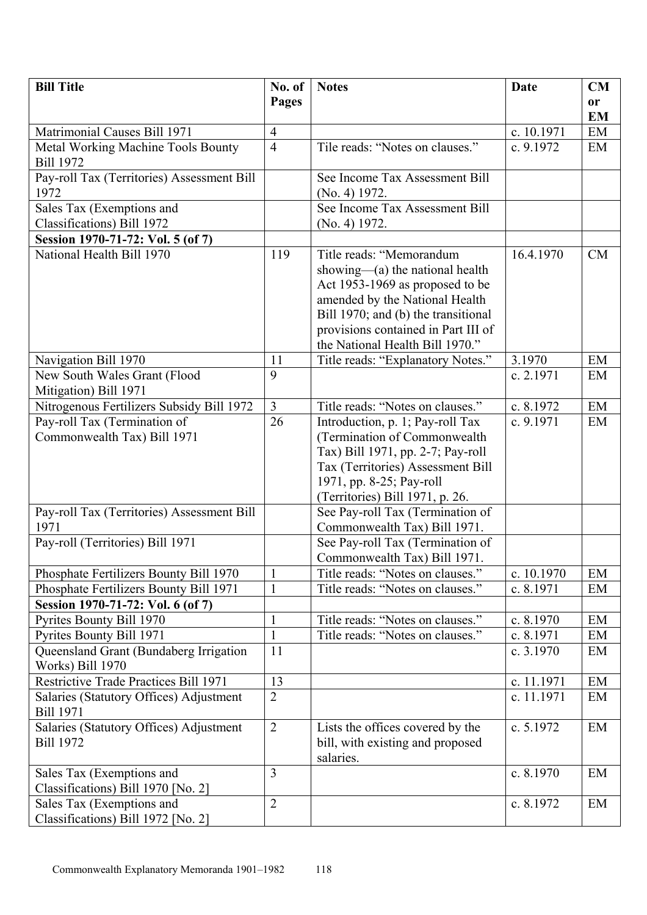| <b>Bill Title</b>                            | No. of         | <b>Notes</b>                                                     | <b>Date</b> | CM        |
|----------------------------------------------|----------------|------------------------------------------------------------------|-------------|-----------|
|                                              | <b>Pages</b>   |                                                                  |             | or        |
|                                              |                |                                                                  |             | <b>EM</b> |
| Matrimonial Causes Bill 1971                 | $\overline{4}$ |                                                                  | c. 10.1971  | EM        |
| <b>Metal Working Machine Tools Bounty</b>    | $\overline{4}$ | Tile reads: "Notes on clauses."                                  | c. 9.1972   | EM        |
| <b>Bill 1972</b>                             |                |                                                                  |             |           |
| Pay-roll Tax (Territories) Assessment Bill   |                | See Income Tax Assessment Bill                                   |             |           |
| 1972                                         |                | (No. 4) 1972.                                                    |             |           |
| Sales Tax (Exemptions and                    |                | See Income Tax Assessment Bill                                   |             |           |
| Classifications) Bill 1972                   |                | (No. 4) 1972.                                                    |             |           |
| Session 1970-71-72: Vol. 5 (of 7)            |                |                                                                  |             |           |
| National Health Bill 1970                    | 119            | Title reads: "Memorandum                                         | 16.4.1970   | <b>CM</b> |
|                                              |                | showing— $(a)$ the national health                               |             |           |
|                                              |                | Act 1953-1969 as proposed to be                                  |             |           |
|                                              |                | amended by the National Health                                   |             |           |
|                                              |                | Bill 1970; and (b) the transitional                              |             |           |
|                                              |                | provisions contained in Part III of                              |             |           |
|                                              |                | the National Health Bill 1970."                                  |             |           |
| Navigation Bill 1970                         | 11             | Title reads: "Explanatory Notes."                                | 3.1970      | EM        |
| New South Wales Grant (Flood                 | 9              |                                                                  | c. 2.1971   | EM        |
| Mitigation) Bill 1971                        |                |                                                                  |             |           |
| Nitrogenous Fertilizers Subsidy Bill 1972    | $\overline{3}$ | Title reads: "Notes on clauses."                                 | c. 8.1972   | EM        |
| Pay-roll Tax (Termination of                 | 26             | Introduction, p. 1; Pay-roll Tax                                 | c. 9.1971   | EM        |
| Commonwealth Tax) Bill 1971                  |                | (Termination of Commonwealth                                     |             |           |
|                                              |                | Tax) Bill 1971, pp. 2-7; Pay-roll                                |             |           |
|                                              |                | Tax (Territories) Assessment Bill                                |             |           |
|                                              |                | 1971, pp. 8-25; Pay-roll                                         |             |           |
|                                              |                | (Territories) Bill 1971, p. 26.                                  |             |           |
| Pay-roll Tax (Territories) Assessment Bill   |                | See Pay-roll Tax (Termination of                                 |             |           |
| 1971                                         |                | Commonwealth Tax) Bill 1971.                                     |             |           |
| Pay-roll (Territories) Bill 1971             |                | See Pay-roll Tax (Termination of<br>Commonwealth Tax) Bill 1971. |             |           |
| Phosphate Fertilizers Bounty Bill 1970       | $\mathbf{1}$   | Title reads: "Notes on clauses."                                 | c. 10.1970  | EM        |
| Phosphate Fertilizers Bounty Bill 1971       | $\mathbf{1}$   | Title reads: "Notes on clauses."                                 | c. 8.1971   | EM        |
| Session 1970-71-72: Vol. 6 (of 7)            |                |                                                                  |             |           |
| Pyrites Bounty Bill 1970                     | 1              | Title reads: "Notes on clauses."                                 | c. 8.1970   | EM        |
| Pyrites Bounty Bill 1971                     | $\mathbf{1}$   | Title reads: "Notes on clauses."                                 | c. 8.1971   | EM        |
| Queensland Grant (Bundaberg Irrigation       | 11             |                                                                  | c. 3.1970   | EM        |
| Works) Bill 1970                             |                |                                                                  |             |           |
| <b>Restrictive Trade Practices Bill 1971</b> | 13             |                                                                  | c. 11.1971  | EM        |
| Salaries (Statutory Offices) Adjustment      | $\overline{2}$ |                                                                  | c. 11.1971  | EM        |
| <b>Bill 1971</b>                             |                |                                                                  |             |           |
| Salaries (Statutory Offices) Adjustment      | $\overline{2}$ | Lists the offices covered by the                                 | c. 5.1972   | EM        |
| <b>Bill 1972</b>                             |                | bill, with existing and proposed                                 |             |           |
|                                              |                | salaries.                                                        |             |           |
| Sales Tax (Exemptions and                    | $\overline{3}$ |                                                                  | c. 8.1970   | EM        |
| Classifications) Bill 1970 [No. 2]           |                |                                                                  |             |           |
| Sales Tax (Exemptions and                    | $\overline{2}$ |                                                                  | c. 8.1972   | EM        |
| Classifications) Bill 1972 [No. 2]           |                |                                                                  |             |           |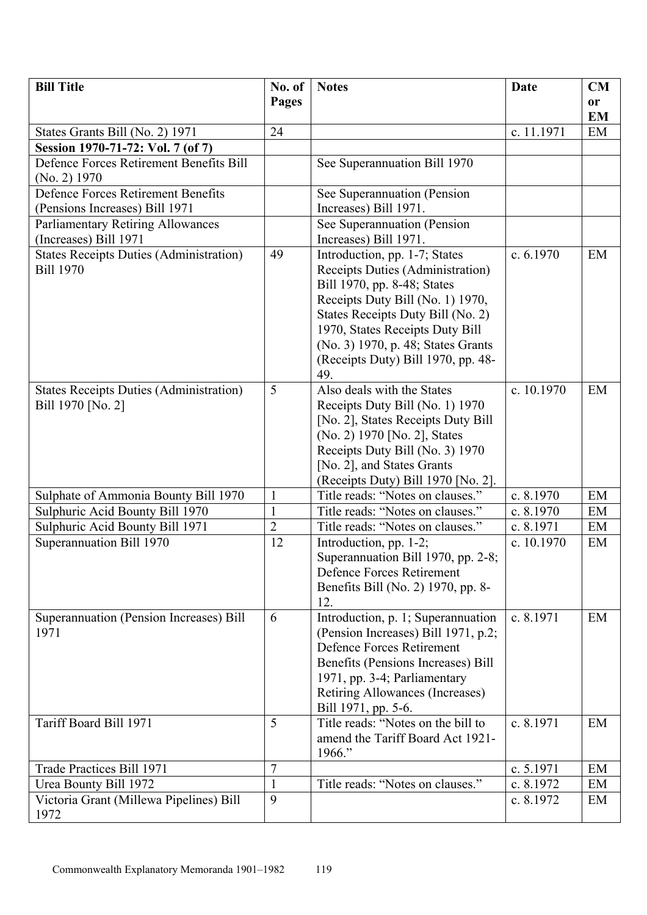| <b>Bill Title</b>                                           | No. of                         | <b>Notes</b>                                                         | <b>Date</b>             | CM        |
|-------------------------------------------------------------|--------------------------------|----------------------------------------------------------------------|-------------------------|-----------|
|                                                             | Pages                          |                                                                      |                         | or        |
|                                                             |                                |                                                                      |                         | <b>EM</b> |
| States Grants Bill (No. 2) 1971                             | 24                             |                                                                      | c. 11.1971              | EM        |
| Session 1970-71-72: Vol. 7 (of 7)                           |                                |                                                                      |                         |           |
| Defence Forces Retirement Benefits Bill                     |                                | See Superannuation Bill 1970                                         |                         |           |
| $(No. 2)$ 1970<br><b>Defence Forces Retirement Benefits</b> |                                |                                                                      |                         |           |
| (Pensions Increases) Bill 1971                              |                                | See Superannuation (Pension<br>Increases) Bill 1971.                 |                         |           |
| <b>Parliamentary Retiring Allowances</b>                    |                                | See Superannuation (Pension                                          |                         |           |
| (Increases) Bill 1971                                       |                                | Increases) Bill 1971.                                                |                         |           |
| <b>States Receipts Duties (Administration)</b>              | 49                             | Introduction, pp. 1-7; States                                        | c. $6.1970$             | EM        |
| <b>Bill 1970</b>                                            |                                | Receipts Duties (Administration)                                     |                         |           |
|                                                             |                                | Bill 1970, pp. 8-48; States                                          |                         |           |
|                                                             |                                | Receipts Duty Bill (No. 1) 1970,                                     |                         |           |
|                                                             |                                | States Receipts Duty Bill (No. 2)                                    |                         |           |
|                                                             |                                | 1970, States Receipts Duty Bill                                      |                         |           |
|                                                             |                                | (No. 3) 1970, p. 48; States Grants                                   |                         |           |
|                                                             |                                | (Receipts Duty) Bill 1970, pp. 48-                                   |                         |           |
|                                                             |                                | 49.                                                                  |                         |           |
| <b>States Receipts Duties (Administration)</b>              | 5                              | Also deals with the States                                           | c. 10.1970              | EM        |
| Bill 1970 [No. 2]                                           |                                | Receipts Duty Bill (No. 1) 1970                                      |                         |           |
|                                                             |                                | [No. 2], States Receipts Duty Bill                                   |                         |           |
|                                                             |                                | (No. 2) 1970 [No. 2], States                                         |                         |           |
|                                                             |                                | Receipts Duty Bill (No. 3) 1970                                      |                         |           |
|                                                             |                                | [No. 2], and States Grants                                           |                         |           |
|                                                             |                                | (Receipts Duty) Bill 1970 [No. 2].                                   |                         |           |
| Sulphate of Ammonia Bounty Bill 1970                        | $\mathbf{1}$                   | Title reads: "Notes on clauses."                                     | c. 8.1970               | EM        |
| Sulphuric Acid Bounty Bill 1970                             | $\mathbf{1}$<br>$\overline{2}$ | Title reads: "Notes on clauses."<br>Title reads: "Notes on clauses." | c. 8.1970               | EM        |
| Sulphuric Acid Bounty Bill 1971<br>Superannuation Bill 1970 | 12                             |                                                                      | c. 8.1971<br>c. 10.1970 | EM<br>EM  |
|                                                             |                                | Introduction, pp. 1-2;<br>Superannuation Bill 1970, pp. 2-8;         |                         |           |
|                                                             |                                | Defence Forces Retirement                                            |                         |           |
|                                                             |                                | Benefits Bill (No. 2) 1970, pp. 8-                                   |                         |           |
|                                                             |                                | 12.                                                                  |                         |           |
| Superannuation (Pension Increases) Bill                     | 6                              | Introduction, p. 1; Superannuation                                   | c. 8.1971               | EM        |
| 1971                                                        |                                | (Pension Increases) Bill 1971, p.2;                                  |                         |           |
|                                                             |                                | <b>Defence Forces Retirement</b>                                     |                         |           |
|                                                             |                                | Benefits (Pensions Increases) Bill                                   |                         |           |
|                                                             |                                | 1971, pp. 3-4; Parliamentary                                         |                         |           |
|                                                             |                                | Retiring Allowances (Increases)                                      |                         |           |
|                                                             |                                | Bill 1971, pp. 5-6.                                                  |                         |           |
| Tariff Board Bill 1971                                      | 5                              | Title reads: "Notes on the bill to                                   | c. 8.1971               | EM        |
|                                                             |                                | amend the Tariff Board Act 1921-                                     |                         |           |
|                                                             |                                | 1966."                                                               |                         |           |
| Trade Practices Bill 1971                                   | 7                              |                                                                      | c. 5.1971               | EM        |
| Urea Bounty Bill 1972                                       | 1                              | Title reads: "Notes on clauses."                                     | c. 8.1972               | EM        |
| Victoria Grant (Millewa Pipelines) Bill                     | 9                              |                                                                      | c. 8.1972               | EM        |
| 1972                                                        |                                |                                                                      |                         |           |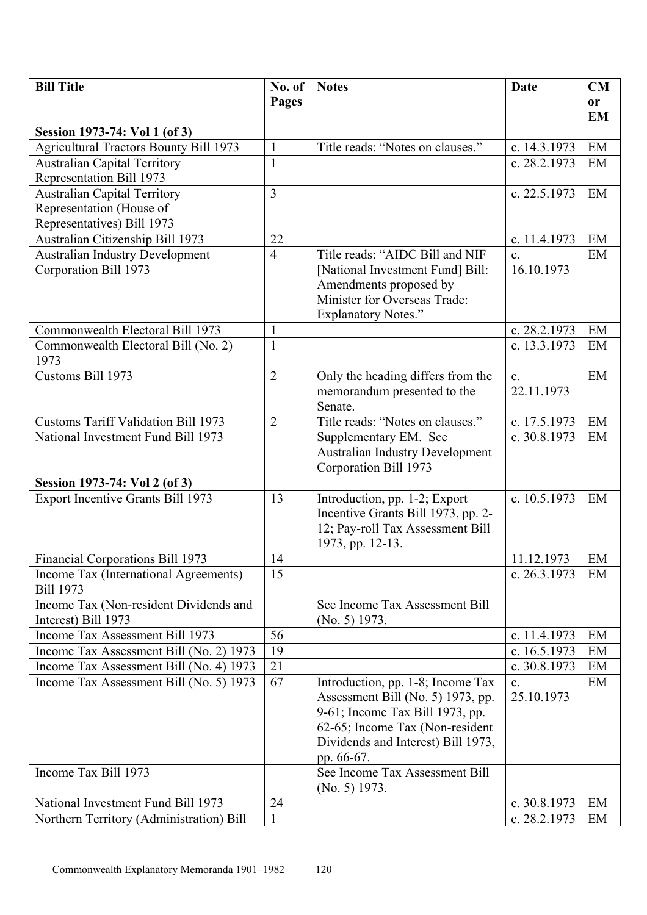| <b>Bill Title</b>                             | No. of         | <b>Notes</b>                           | <b>Date</b>    | CM            |
|-----------------------------------------------|----------------|----------------------------------------|----------------|---------------|
|                                               | Pages          |                                        |                | <sub>or</sub> |
|                                               |                |                                        |                | <b>EM</b>     |
| Session 1973-74: Vol 1 (of 3)                 |                |                                        |                |               |
| <b>Agricultural Tractors Bounty Bill 1973</b> | $\mathbf{1}$   | Title reads: "Notes on clauses."       | c. 14.3.1973   | EM            |
| <b>Australian Capital Territory</b>           | $\mathbf{1}$   |                                        | c. 28.2.1973   | EM            |
| Representation Bill 1973                      |                |                                        |                |               |
| <b>Australian Capital Territory</b>           | $\overline{3}$ |                                        | c. 22.5.1973   | EM            |
| Representation (House of                      |                |                                        |                |               |
| Representatives) Bill 1973                    |                |                                        |                |               |
| Australian Citizenship Bill 1973              | 22             |                                        | c. 11.4.1973   | EM            |
| <b>Australian Industry Development</b>        | $\overline{4}$ | Title reads: "AIDC Bill and NIF        | $\mathbf{c}$ . | EM            |
| Corporation Bill 1973                         |                | [National Investment Fund] Bill:       | 16.10.1973     |               |
|                                               |                | Amendments proposed by                 |                |               |
|                                               |                | Minister for Overseas Trade:           |                |               |
|                                               |                | <b>Explanatory Notes."</b>             |                |               |
| Commonwealth Electoral Bill 1973              | $\mathbf{1}$   |                                        | c. 28.2.1973   | EM            |
| Commonwealth Electoral Bill (No. 2)           | $\mathbf{1}$   |                                        | c. 13.3.1973   | EM            |
| 1973                                          |                |                                        |                |               |
| Customs Bill 1973                             | $\overline{2}$ | Only the heading differs from the      | $\mathbf{c}$ . | EM            |
|                                               |                | memorandum presented to the            | 22.11.1973     |               |
|                                               |                | Senate.                                |                |               |
| <b>Customs Tariff Validation Bill 1973</b>    | $\overline{2}$ | Title reads: "Notes on clauses."       | c. 17.5.1973   | EM            |
| National Investment Fund Bill 1973            |                | Supplementary EM. See                  | c. 30.8.1973   | EM            |
|                                               |                | <b>Australian Industry Development</b> |                |               |
|                                               |                | Corporation Bill 1973                  |                |               |
| Session 1973-74: Vol 2 (of 3)                 |                |                                        |                |               |
| <b>Export Incentive Grants Bill 1973</b>      | 13             | Introduction, pp. 1-2; Export          | c. 10.5.1973   | EM            |
|                                               |                | Incentive Grants Bill 1973, pp. 2-     |                |               |
|                                               |                | 12; Pay-roll Tax Assessment Bill       |                |               |
|                                               |                | 1973, pp. 12-13.                       |                |               |
| Financial Corporations Bill 1973              | 14             |                                        | 11.12.1973     | EM            |
| Income Tax (International Agreements)         | 15             |                                        | c. 26.3.1973   | EM            |
| <b>Bill 1973</b>                              |                |                                        |                |               |
| Income Tax (Non-resident Dividends and        |                | See Income Tax Assessment Bill         |                |               |
| Interest) Bill 1973                           |                | $(No. 5)$ 1973.                        |                |               |
| Income Tax Assessment Bill 1973               | 56             |                                        | c. 11.4.1973   | EM            |
| Income Tax Assessment Bill (No. 2) 1973       | 19             |                                        | c. 16.5.1973   | EM            |
| Income Tax Assessment Bill (No. 4) 1973       | 21             |                                        | c. 30.8.1973   | EM            |
| Income Tax Assessment Bill (No. 5) 1973       | 67             | Introduction, pp. 1-8; Income Tax      | $\mathbf{c}$ . | EM            |
|                                               |                | Assessment Bill (No. 5) 1973, pp.      | 25.10.1973     |               |
|                                               |                | 9-61; Income Tax Bill 1973, pp.        |                |               |
|                                               |                | 62-65; Income Tax (Non-resident        |                |               |
|                                               |                | Dividends and Interest) Bill 1973,     |                |               |
|                                               |                | pp. 66-67.                             |                |               |
| Income Tax Bill 1973                          |                | See Income Tax Assessment Bill         |                |               |
|                                               |                | $(No. 5)$ 1973.                        |                |               |
| National Investment Fund Bill 1973            | 24             |                                        | c. 30.8.1973   | EM            |
| Northern Territory (Administration) Bill      | $\mathbf{1}$   |                                        | c. 28.2.1973   | EM            |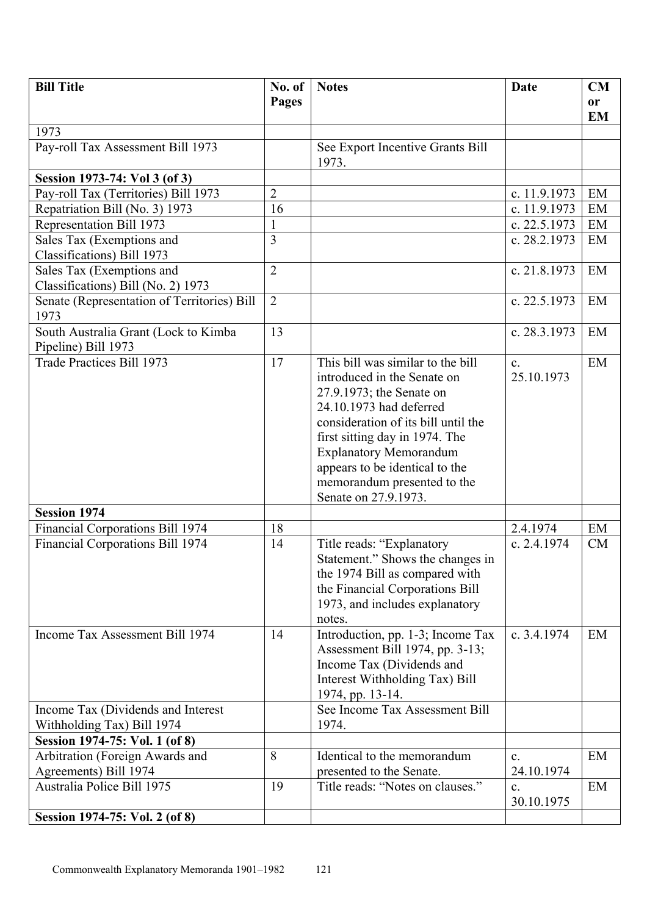| <b>Bill Title</b>                                                 | No. of         | <b>Notes</b>                                                                                                                                                                                                                                                                                                               | <b>Date</b>                  | CM        |
|-------------------------------------------------------------------|----------------|----------------------------------------------------------------------------------------------------------------------------------------------------------------------------------------------------------------------------------------------------------------------------------------------------------------------------|------------------------------|-----------|
|                                                                   | Pages          |                                                                                                                                                                                                                                                                                                                            |                              | <b>or</b> |
|                                                                   |                |                                                                                                                                                                                                                                                                                                                            |                              | <b>EM</b> |
| 1973                                                              |                |                                                                                                                                                                                                                                                                                                                            |                              |           |
| Pay-roll Tax Assessment Bill 1973                                 |                | See Export Incentive Grants Bill<br>1973.                                                                                                                                                                                                                                                                                  |                              |           |
| Session 1973-74: Vol 3 (of 3)                                     |                |                                                                                                                                                                                                                                                                                                                            |                              |           |
| Pay-roll Tax (Territories) Bill 1973                              | $\overline{2}$ |                                                                                                                                                                                                                                                                                                                            | c. 11.9.1973                 | EM        |
| Repatriation Bill (No. 3) 1973                                    | 16             |                                                                                                                                                                                                                                                                                                                            | c. 11.9.1973                 | EM        |
| Representation Bill 1973                                          | 1              |                                                                                                                                                                                                                                                                                                                            | c. 22.5.1973                 | EM        |
| Sales Tax (Exemptions and<br>Classifications) Bill 1973           | 3              |                                                                                                                                                                                                                                                                                                                            | c. 28.2.1973                 | EM        |
| Sales Tax (Exemptions and                                         | $\overline{2}$ |                                                                                                                                                                                                                                                                                                                            | c. 21.8.1973                 | EM        |
| Classifications) Bill (No. 2) 1973                                |                |                                                                                                                                                                                                                                                                                                                            |                              |           |
| Senate (Representation of Territories) Bill<br>1973               | $\overline{2}$ |                                                                                                                                                                                                                                                                                                                            | c. 22.5.1973                 | EM        |
| South Australia Grant (Lock to Kimba<br>Pipeline) Bill 1973       | 13             |                                                                                                                                                                                                                                                                                                                            | c. 28.3.1973                 | EM        |
| Trade Practices Bill 1973<br><b>Session 1974</b>                  | 17             | This bill was similar to the bill<br>introduced in the Senate on<br>27.9.1973; the Senate on<br>24.10.1973 had deferred<br>consideration of its bill until the<br>first sitting day in 1974. The<br><b>Explanatory Memorandum</b><br>appears to be identical to the<br>memorandum presented to the<br>Senate on 27.9.1973. | $\mathbf{c}$ .<br>25.10.1973 | EM        |
| Financial Corporations Bill 1974                                  | 18             |                                                                                                                                                                                                                                                                                                                            | 2.4.1974                     | EM        |
| Financial Corporations Bill 1974                                  | 14             | Title reads: "Explanatory<br>Statement." Shows the changes in<br>the 1974 Bill as compared with<br>the Financial Corporations Bill<br>1973, and includes explanatory<br>notes.                                                                                                                                             | c. 2.4.1974                  | CM        |
| Income Tax Assessment Bill 1974                                   | 14             | Introduction, pp. 1-3; Income Tax<br>Assessment Bill 1974, pp. 3-13;<br>Income Tax (Dividends and<br>Interest Withholding Tax) Bill<br>1974, pp. 13-14.                                                                                                                                                                    | c. 3.4.1974                  | EM        |
| Income Tax (Dividends and Interest)<br>Withholding Tax) Bill 1974 |                | See Income Tax Assessment Bill<br>1974.                                                                                                                                                                                                                                                                                    |                              |           |
| Session 1974-75: Vol. 1 (of 8)                                    |                |                                                                                                                                                                                                                                                                                                                            |                              |           |
| Arbitration (Foreign Awards and                                   | 8              | Identical to the memorandum                                                                                                                                                                                                                                                                                                | C <sub>1</sub>               | EM        |
| Agreements) Bill 1974                                             |                | presented to the Senate.                                                                                                                                                                                                                                                                                                   | 24.10.1974                   |           |
| Australia Police Bill 1975                                        | 19             | Title reads: "Notes on clauses."                                                                                                                                                                                                                                                                                           | $\mathbf{c}$ .<br>30.10.1975 | EM        |
| Session 1974-75: Vol. 2 (of 8)                                    |                |                                                                                                                                                                                                                                                                                                                            |                              |           |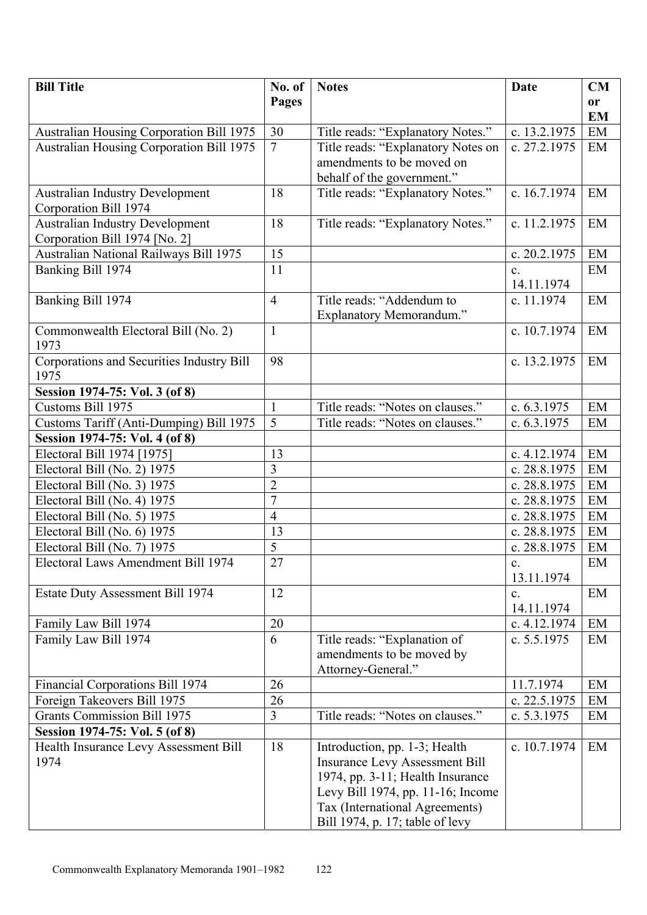| <b>Bill Title</b>                               | No. of          | <b>Notes</b>                          | Date           | CM        |
|-------------------------------------------------|-----------------|---------------------------------------|----------------|-----------|
|                                                 | Pages           |                                       |                | <b>or</b> |
|                                                 |                 |                                       |                | <b>EM</b> |
| <b>Australian Housing Corporation Bill 1975</b> | 30              | Title reads: "Explanatory Notes."     | c. 13.2.1975   | EM        |
| <b>Australian Housing Corporation Bill 1975</b> | $\overline{7}$  | Title reads: "Explanatory Notes on    | c. 27.2.1975   | EM        |
|                                                 |                 | amendments to be moved on             |                |           |
|                                                 |                 | behalf of the government."            |                |           |
| <b>Australian Industry Development</b>          | 18              | Title reads: "Explanatory Notes."     | c. 16.7.1974   | EM        |
| Corporation Bill 1974                           |                 |                                       |                |           |
| <b>Australian Industry Development</b>          | 18              | Title reads: "Explanatory Notes."     | c. 11.2.1975   | EM        |
| Corporation Bill 1974 [No. 2]                   |                 |                                       |                |           |
| Australian National Railways Bill 1975          | 15              |                                       | c. $20.2.1975$ | EM        |
| Banking Bill 1974                               | 11              |                                       | $\mathbf{c}$ . | EM        |
|                                                 |                 |                                       | 14.11.1974     |           |
| Banking Bill 1974                               | $\overline{4}$  | Title reads: "Addendum to             | c. 11.1974     | EM        |
|                                                 |                 | Explanatory Memorandum."              | c. 10.7.1974   | EM        |
| Commonwealth Electoral Bill (No. 2)<br>1973     | $\mathbf{1}$    |                                       |                |           |
| Corporations and Securities Industry Bill       | 98              |                                       | c. 13.2.1975   | EM        |
| 1975                                            |                 |                                       |                |           |
| Session 1974-75: Vol. 3 (of 8)                  |                 |                                       |                |           |
| Customs Bill 1975                               | $\mathbf{1}$    | Title reads: "Notes on clauses."      | c. $6.3.1975$  | EM        |
| Customs Tariff (Anti-Dumping) Bill 1975         | 5               | Title reads: "Notes on clauses."      | c. $6.3.1975$  | EM        |
| Session 1974-75: Vol. 4 (of 8)                  |                 |                                       |                |           |
| Electoral Bill 1974 [1975]                      | 13              |                                       | c. 4.12.1974   | EM        |
| Electoral Bill (No. 2) 1975                     | 3               |                                       | c. 28.8.1975   | EM        |
| Electoral Bill (No. 3) 1975                     | $\overline{2}$  |                                       | c. 28.8.1975   | EM        |
| Electoral Bill (No. 4) 1975                     | $\overline{7}$  |                                       | c. 28.8.1975   | EM        |
| Electoral Bill (No. 5) 1975                     | $\overline{4}$  |                                       | c. 28.8.1975   | EM        |
| Electoral Bill (No. 6) 1975                     | 13              |                                       | c. 28.8.1975   | EM        |
| Electoral Bill (No. 7) 1975                     | 5               |                                       | c. 28.8.1975   | EM        |
| Electoral Laws Amendment Bill 1974              | $\overline{27}$ |                                       | $\mathbf{c}$ . | EM        |
|                                                 |                 |                                       | 13.11.1974     |           |
| <b>Estate Duty Assessment Bill 1974</b>         | 12              |                                       | $\mathbf{c}$ . | EM        |
|                                                 |                 |                                       | 14.11.1974     |           |
| Family Law Bill 1974                            | 20              |                                       | c. 4.12.1974   | EM        |
| Family Law Bill 1974                            | 6               | Title reads: "Explanation of          | c. $5.5.1975$  | EM        |
|                                                 |                 | amendments to be moved by             |                |           |
|                                                 |                 | Attorney-General."                    |                |           |
| Financial Corporations Bill 1974                | 26              |                                       | 11.7.1974      | EM        |
| Foreign Takeovers Bill 1975                     | 26              |                                       | c. 22.5.1975   | EM        |
| <b>Grants Commission Bill 1975</b>              | $\overline{3}$  | Title reads: "Notes on clauses."      | c. 5.3.1975    | EM        |
| Session 1974-75: Vol. 5 (of 8)                  |                 |                                       |                |           |
| Health Insurance Levy Assessment Bill           | 18              | Introduction, pp. 1-3; Health         | c. 10.7.1974   | EM        |
| 1974                                            |                 | <b>Insurance Levy Assessment Bill</b> |                |           |
|                                                 |                 | 1974, pp. 3-11; Health Insurance      |                |           |
|                                                 |                 | Levy Bill 1974, pp. 11-16; Income     |                |           |
|                                                 |                 | Tax (International Agreements)        |                |           |
|                                                 |                 | Bill 1974, p. 17; table of levy       |                |           |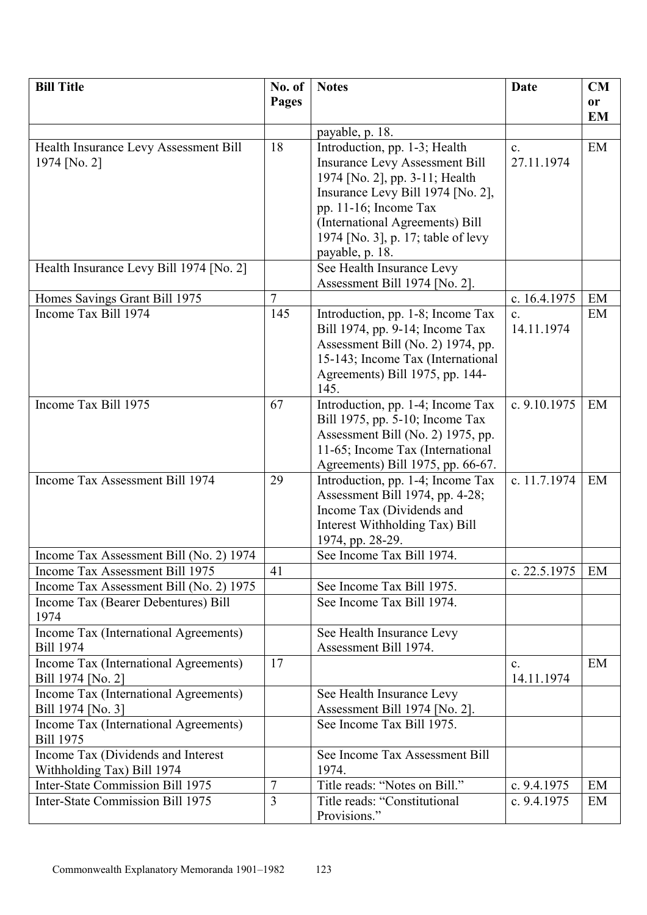| <b>Bill Title</b>                                                              | No. of                           | <b>Notes</b>                                                           | <b>Date</b>                | <b>CM</b> |
|--------------------------------------------------------------------------------|----------------------------------|------------------------------------------------------------------------|----------------------------|-----------|
|                                                                                | Pages                            |                                                                        |                            | or        |
|                                                                                |                                  | payable, p. 18.                                                        |                            | <b>EM</b> |
| Health Insurance Levy Assessment Bill                                          | 18                               | Introduction, pp. 1-3; Health                                          | $\mathbf{c}$ .             | EM        |
| 1974 [No. 2]                                                                   |                                  | <b>Insurance Levy Assessment Bill</b>                                  | 27.11.1974                 |           |
|                                                                                |                                  | 1974 [No. 2], pp. 3-11; Health                                         |                            |           |
|                                                                                |                                  | Insurance Levy Bill 1974 [No. 2],                                      |                            |           |
|                                                                                |                                  | pp. 11-16; Income Tax                                                  |                            |           |
|                                                                                |                                  | (International Agreements) Bill                                        |                            |           |
|                                                                                |                                  | 1974 [No. 3], p. 17; table of levy<br>payable, p. 18.                  |                            |           |
| Health Insurance Levy Bill 1974 [No. 2]                                        |                                  | See Health Insurance Levy                                              |                            |           |
|                                                                                |                                  | Assessment Bill 1974 [No. 2].                                          |                            |           |
| Homes Savings Grant Bill 1975                                                  | $\overline{7}$                   |                                                                        | c. 16.4.1975               | EM        |
| Income Tax Bill 1974                                                           | 145                              | Introduction, pp. 1-8; Income Tax                                      | $\mathbf{c}$ .             | EM        |
|                                                                                |                                  | Bill 1974, pp. 9-14; Income Tax                                        | 14.11.1974                 |           |
|                                                                                |                                  | Assessment Bill (No. 2) 1974, pp.                                      |                            |           |
|                                                                                |                                  | 15-143; Income Tax (International<br>Agreements) Bill 1975, pp. 144-   |                            |           |
|                                                                                |                                  | 145.                                                                   |                            |           |
| Income Tax Bill 1975                                                           | 67                               | Introduction, pp. 1-4; Income Tax                                      | c. 9.10.1975               | EM        |
|                                                                                |                                  | Bill 1975, pp. 5-10; Income Tax                                        |                            |           |
|                                                                                |                                  | Assessment Bill (No. 2) 1975, pp.                                      |                            |           |
|                                                                                |                                  | 11-65; Income Tax (International                                       |                            |           |
| Income Tax Assessment Bill 1974                                                | 29                               | Agreements) Bill 1975, pp. 66-67.<br>Introduction, pp. 1-4; Income Tax | c. 11.7.1974               | EM        |
|                                                                                |                                  | Assessment Bill 1974, pp. 4-28;                                        |                            |           |
|                                                                                |                                  | Income Tax (Dividends and                                              |                            |           |
|                                                                                |                                  | Interest Withholding Tax) Bill                                         |                            |           |
|                                                                                |                                  | 1974, pp. 28-29.                                                       |                            |           |
| Income Tax Assessment Bill (No. 2) 1974                                        |                                  | See Income Tax Bill 1974.                                              |                            |           |
| Income Tax Assessment Bill 1975                                                | 41                               |                                                                        | c. 22.5.1975               | EM        |
| Income Tax Assessment Bill (No. 2) 1975<br>Income Tax (Bearer Debentures) Bill |                                  | See Income Tax Bill 1975.<br>See Income Tax Bill 1974.                 |                            |           |
| 1974                                                                           |                                  |                                                                        |                            |           |
| Income Tax (International Agreements)                                          |                                  | See Health Insurance Levy                                              |                            |           |
| <b>Bill 1974</b>                                                               |                                  | Assessment Bill 1974.                                                  |                            |           |
| Income Tax (International Agreements)                                          | 17                               |                                                                        | $\mathbf{c}$ .             | EM        |
| Bill 1974 [No. 2]<br>Income Tax (International Agreements)                     |                                  | See Health Insurance Levy                                              | 14.11.1974                 |           |
| Bill 1974 [No. 3]                                                              |                                  | Assessment Bill 1974 [No. 2].                                          |                            |           |
| Income Tax (International Agreements)                                          |                                  | See Income Tax Bill 1975.                                              |                            |           |
| <b>Bill 1975</b>                                                               |                                  |                                                                        |                            |           |
| Income Tax (Dividends and Interest                                             |                                  | See Income Tax Assessment Bill                                         |                            |           |
| Withholding Tax) Bill 1974                                                     |                                  | 1974.                                                                  |                            |           |
| Inter-State Commission Bill 1975<br>Inter-State Commission Bill 1975           | $\overline{7}$<br>$\overline{3}$ | Title reads: "Notes on Bill."<br>Title reads: "Constitutional          | c. 9.4.1975<br>c. 9.4.1975 | EM<br>EM  |
|                                                                                |                                  | Provisions."                                                           |                            |           |
|                                                                                |                                  |                                                                        |                            |           |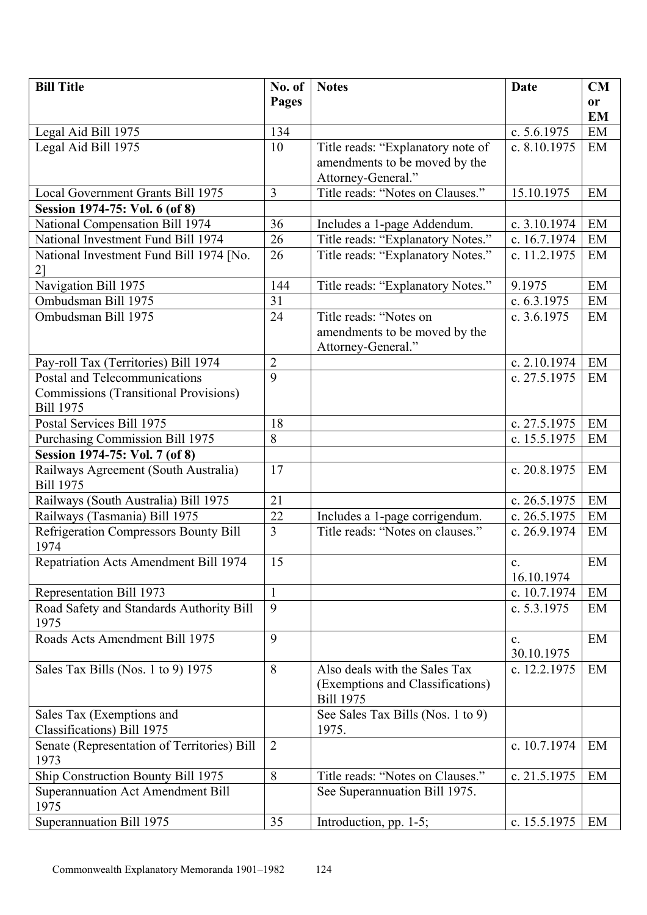| <b>Bill Title</b>                                                 | No. of         | <b>Notes</b>                                                     | Date                         | CM        |
|-------------------------------------------------------------------|----------------|------------------------------------------------------------------|------------------------------|-----------|
|                                                                   | Pages          |                                                                  |                              | <b>or</b> |
|                                                                   |                |                                                                  |                              | <b>EM</b> |
| Legal Aid Bill 1975                                               | 134            |                                                                  | c. 5.6.1975                  | EM        |
| Legal Aid Bill 1975                                               | 10             | Title reads: "Explanatory note of                                | c. 8.10.1975                 | EM        |
|                                                                   |                | amendments to be moved by the                                    |                              |           |
|                                                                   |                | Attorney-General."                                               | 15.10.1975                   |           |
| <b>Local Government Grants Bill 1975</b>                          | 3              | Title reads: "Notes on Clauses."                                 |                              | EM        |
| Session 1974-75: Vol. 6 (of 8)<br>National Compensation Bill 1974 | 36             |                                                                  | c. 3.10.1974                 | EM        |
| National Investment Fund Bill 1974                                | 26             | Includes a 1-page Addendum.<br>Title reads: "Explanatory Notes." | c. 16.7.1974                 | EM        |
|                                                                   | 26             | Title reads: "Explanatory Notes."                                | c. 11.2.1975                 | EM        |
| National Investment Fund Bill 1974 [No.<br>2]                     |                |                                                                  |                              |           |
| Navigation Bill 1975                                              | 144            | Title reads: "Explanatory Notes."                                | 9.1975                       | EM        |
| Ombudsman Bill 1975                                               | 31             |                                                                  | c. $6.3.1975$                | EM        |
| Ombudsman Bill 1975                                               | 24             | Title reads: "Notes on                                           | c. $3.6.1975$                | EM        |
|                                                                   |                | amendments to be moved by the                                    |                              |           |
|                                                                   |                | Attorney-General."                                               |                              |           |
| Pay-roll Tax (Territories) Bill 1974                              | $\overline{2}$ |                                                                  | c. 2.10.1974                 | EM        |
| Postal and Telecommunications                                     | $\overline{9}$ |                                                                  | c. 27.5.1975                 | EM        |
| <b>Commissions (Transitional Provisions)</b>                      |                |                                                                  |                              |           |
| <b>Bill 1975</b>                                                  |                |                                                                  |                              |           |
| Postal Services Bill 1975                                         | 18             |                                                                  | c. 27.5.1975                 | EM        |
| <b>Purchasing Commission Bill 1975</b>                            | 8              |                                                                  | c. 15.5.1975                 | EM        |
| Session 1974-75: Vol. 7 (of 8)                                    |                |                                                                  |                              |           |
| Railways Agreement (South Australia)<br><b>Bill 1975</b>          | 17             |                                                                  | c. 20.8.1975                 | EM        |
| Railways (South Australia) Bill 1975                              | 21             |                                                                  | c. 26.5.1975                 | EM        |
| Railways (Tasmania) Bill 1975                                     | 22             | Includes a 1-page corrigendum.                                   | c. 26.5.1975                 | EM        |
| <b>Refrigeration Compressors Bounty Bill</b><br>1974              | $\overline{3}$ | Title reads: "Notes on clauses."                                 | c. 26.9.1974                 | EM        |
| <b>Repatriation Acts Amendment Bill 1974</b>                      | 15             |                                                                  | $\mathbf{C}$<br>16.10.1974   | EM        |
| Representation Bill 1973                                          | $\mathbf{1}$   |                                                                  | c. 10.7.1974                 | EM        |
| Road Safety and Standards Authority Bill                          | 9              |                                                                  | c. $5.3.1975$                | EM        |
| 1975                                                              | 9              |                                                                  |                              |           |
| Roads Acts Amendment Bill 1975                                    |                |                                                                  | $\mathbf{c}$ .<br>30.10.1975 | EM        |
| Sales Tax Bills (Nos. 1 to 9) 1975                                | 8              | Also deals with the Sales Tax                                    | c. 12.2.1975                 | EM        |
|                                                                   |                | (Exemptions and Classifications)                                 |                              |           |
|                                                                   |                | <b>Bill 1975</b>                                                 |                              |           |
| Sales Tax (Exemptions and                                         |                | See Sales Tax Bills (Nos. 1 to 9)                                |                              |           |
| Classifications) Bill 1975                                        |                | 1975.                                                            |                              |           |
| Senate (Representation of Territories) Bill<br>1973               | $\overline{2}$ |                                                                  | c. 10.7.1974                 | EM        |
| Ship Construction Bounty Bill 1975                                | 8              | Title reads: "Notes on Clauses."                                 | c. 21.5.1975                 | EM        |
| <b>Superannuation Act Amendment Bill</b>                          |                | See Superannuation Bill 1975.                                    |                              |           |
| 1975                                                              |                |                                                                  |                              |           |
| Superannuation Bill 1975                                          | 35             | Introduction, pp. 1-5;                                           | c. 15.5.1975                 | EM        |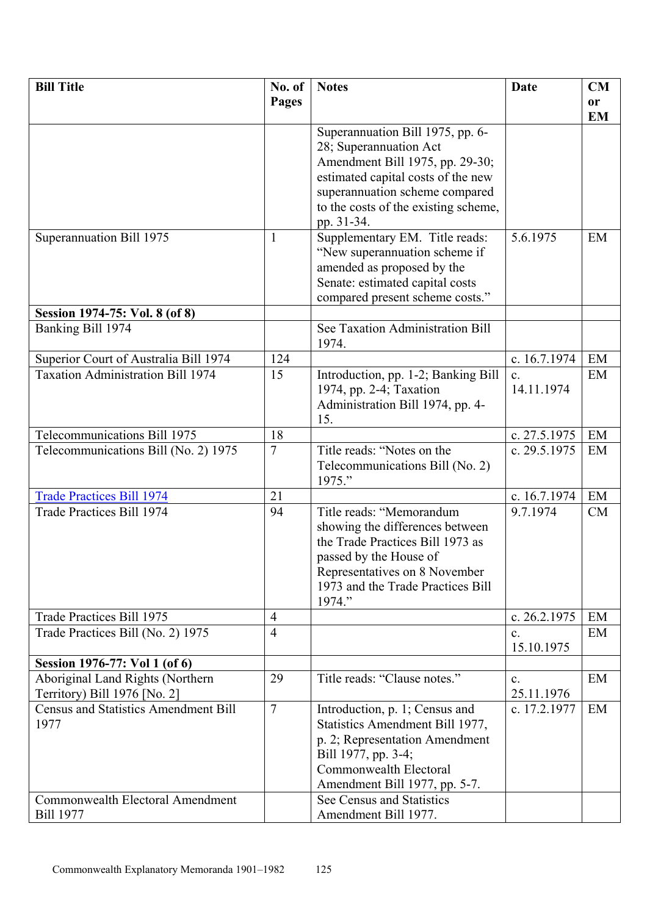| <b>Bill Title</b>                           | No. of          | <b>Notes</b>                                                        | <b>Date</b>    | CM        |
|---------------------------------------------|-----------------|---------------------------------------------------------------------|----------------|-----------|
|                                             | Pages           |                                                                     |                | or        |
|                                             |                 |                                                                     |                | <b>EM</b> |
|                                             |                 | Superannuation Bill 1975, pp. 6-                                    |                |           |
|                                             |                 | 28; Superannuation Act                                              |                |           |
|                                             |                 | Amendment Bill 1975, pp. 29-30;                                     |                |           |
|                                             |                 | estimated capital costs of the new                                  |                |           |
|                                             |                 | superannuation scheme compared                                      |                |           |
|                                             |                 | to the costs of the existing scheme,                                |                |           |
|                                             |                 | pp. 31-34.                                                          |                |           |
| Superannuation Bill 1975                    | $\mathbf{1}$    | Supplementary EM. Title reads:                                      | 5.6.1975       | EM        |
|                                             |                 | "New superannuation scheme if                                       |                |           |
|                                             |                 | amended as proposed by the                                          |                |           |
|                                             |                 | Senate: estimated capital costs                                     |                |           |
|                                             |                 | compared present scheme costs."                                     |                |           |
| Session 1974-75: Vol. 8 (of 8)              |                 |                                                                     |                |           |
| Banking Bill 1974                           |                 | See Taxation Administration Bill                                    |                |           |
|                                             |                 | 1974.                                                               |                |           |
| Superior Court of Australia Bill 1974       | 124             |                                                                     | c. 16.7.1974   | EM        |
| <b>Taxation Administration Bill 1974</b>    | 15              | Introduction, pp. 1-2; Banking Bill                                 | $\mathbf{c}$ . | EM        |
|                                             |                 | 1974, pp. 2-4; Taxation                                             | 14.11.1974     |           |
|                                             |                 | Administration Bill 1974, pp. 4-                                    |                |           |
|                                             |                 | 15.                                                                 |                |           |
| Telecommunications Bill 1975                | 18              |                                                                     | c. 27.5.1975   | EM        |
| Telecommunications Bill (No. 2) 1975        | $\overline{7}$  | Title reads: "Notes on the                                          | c. 29.5.1975   | EM        |
|                                             |                 | Telecommunications Bill (No. 2)                                     |                |           |
|                                             |                 | 1975."                                                              |                |           |
| <b>Trade Practices Bill 1974</b>            | 21              |                                                                     | c. 16.7.1974   | EM        |
| Trade Practices Bill 1974                   | 94              | Title reads: "Memorandum                                            | 9.7.1974       | CM        |
|                                             |                 | showing the differences between<br>the Trade Practices Bill 1973 as |                |           |
|                                             |                 |                                                                     |                |           |
|                                             |                 | passed by the House of                                              |                |           |
|                                             |                 | Representatives on 8 November<br>1973 and the Trade Practices Bill  |                |           |
|                                             |                 | 1974."                                                              |                |           |
| Trade Practices Bill 1975                   | $\overline{4}$  |                                                                     | c. 26.2.1975   | EM        |
| Trade Practices Bill (No. 2) 1975           | $\overline{4}$  |                                                                     | $\mathbf{c}$ . | EM        |
|                                             |                 |                                                                     | 15.10.1975     |           |
| Session 1976-77: Vol 1 (of 6)               |                 |                                                                     |                |           |
| Aboriginal Land Rights (Northern            | 29              | Title reads: "Clause notes."                                        | $\mathbf{c}$ . | EM        |
| Territory) Bill 1976 [No. 2]                |                 |                                                                     | 25.11.1976     |           |
| <b>Census and Statistics Amendment Bill</b> | $7\phantom{.0}$ | Introduction, p. 1; Census and                                      | c. 17.2.1977   | EM        |
| 1977                                        |                 | Statistics Amendment Bill 1977,                                     |                |           |
|                                             |                 | p. 2; Representation Amendment                                      |                |           |
|                                             |                 | Bill 1977, pp. 3-4;                                                 |                |           |
|                                             |                 | Commonwealth Electoral                                              |                |           |
|                                             |                 | Amendment Bill 1977, pp. 5-7.                                       |                |           |
| Commonwealth Electoral Amendment            |                 | See Census and Statistics                                           |                |           |
| <b>Bill 1977</b>                            |                 | Amendment Bill 1977.                                                |                |           |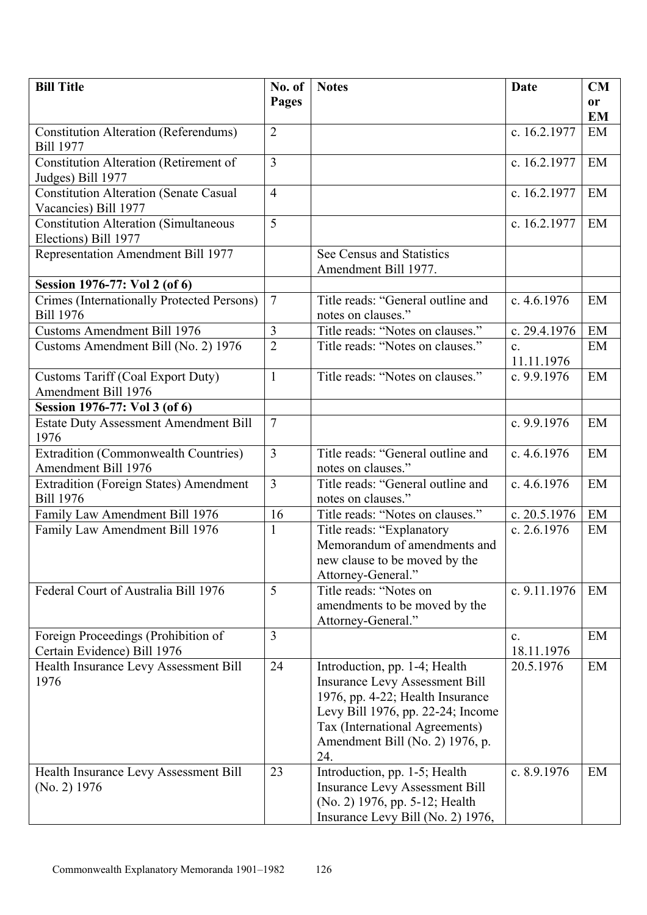| <b>Bill Title</b>                             | No. of         | <b>Notes</b>                                        | Date           | <b>CM</b>     |
|-----------------------------------------------|----------------|-----------------------------------------------------|----------------|---------------|
|                                               | Pages          |                                                     |                | <sub>or</sub> |
|                                               |                |                                                     |                | <b>EM</b>     |
| <b>Constitution Alteration (Referendums)</b>  | $\overline{2}$ |                                                     | c. 16.2.1977   | EM            |
| <b>Bill 1977</b>                              |                |                                                     |                |               |
| Constitution Alteration (Retirement of        | $\overline{3}$ |                                                     | c. 16.2.1977   | EM            |
| Judges) Bill 1977                             |                |                                                     |                |               |
| <b>Constitution Alteration (Senate Casual</b> | $\overline{4}$ |                                                     | c. 16.2.1977   | EM            |
| Vacancies) Bill 1977                          |                |                                                     |                |               |
| <b>Constitution Alteration (Simultaneous</b>  | 5              |                                                     | c. 16.2.1977   | EM            |
| Elections) Bill 1977                          |                |                                                     |                |               |
| Representation Amendment Bill 1977            |                | See Census and Statistics                           |                |               |
|                                               |                | Amendment Bill 1977.                                |                |               |
| Session 1976-77: Vol 2 (of 6)                 |                |                                                     |                |               |
| Crimes (Internationally Protected Persons)    | $\overline{7}$ | Title reads: "General outline and                   | c. $4.6.1976$  | EM            |
| <b>Bill 1976</b>                              |                | notes on clauses."                                  |                |               |
| <b>Customs Amendment Bill 1976</b>            | 3              | Title reads: "Notes on clauses."                    | c. $29.4.1976$ | EM            |
| Customs Amendment Bill (No. 2) 1976           | $\overline{2}$ | Title reads: "Notes on clauses."                    | $\mathbf{c}$ . | EM            |
|                                               |                |                                                     | 11.11.1976     |               |
| <b>Customs Tariff (Coal Export Duty)</b>      | $\mathbf{1}$   | Title reads: "Notes on clauses."                    | c. 9.9.1976    | EM            |
| Amendment Bill 1976                           |                |                                                     |                |               |
| Session 1976-77: Vol 3 (of 6)                 |                |                                                     |                |               |
| Estate Duty Assessment Amendment Bill         | $\overline{7}$ |                                                     | c. 9.9.1976    | EM            |
| 1976                                          |                |                                                     |                |               |
| <b>Extradition (Commonwealth Countries)</b>   | $\overline{3}$ | Title reads: "General outline and                   | c. $4.6.1976$  | EM            |
| Amendment Bill 1976                           |                | notes on clauses."                                  |                |               |
| Extradition (Foreign States) Amendment        | $\overline{3}$ | Title reads: "General outline and                   | c. $4.6.1976$  | EM            |
| <b>Bill 1976</b>                              |                | notes on clauses."                                  |                |               |
| Family Law Amendment Bill 1976                | 16             | Title reads: "Notes on clauses."                    | c. 20.5.1976   | EM            |
| Family Law Amendment Bill 1976                | $\mathbf{1}$   | Title reads: "Explanatory                           | c. 2.6.1976    | EM            |
|                                               |                | Memorandum of amendments and                        |                |               |
|                                               |                | new clause to be moved by the<br>Attorney-General." |                |               |
| Federal Court of Australia Bill 1976          | 5              | Title reads: "Notes on                              | c. 9.11.1976   | EM            |
|                                               |                | amendments to be moved by the                       |                |               |
|                                               |                | Attorney-General."                                  |                |               |
| Foreign Proceedings (Prohibition of           | $\overline{3}$ |                                                     | $\mathbf{c}$ . | EM            |
| Certain Evidence) Bill 1976                   |                |                                                     | 18.11.1976     |               |
| Health Insurance Levy Assessment Bill         | 24             | Introduction, pp. 1-4; Health                       | 20.5.1976      | EM            |
| 1976                                          |                | <b>Insurance Levy Assessment Bill</b>               |                |               |
|                                               |                | 1976, pp. 4-22; Health Insurance                    |                |               |
|                                               |                | Levy Bill 1976, pp. 22-24; Income                   |                |               |
|                                               |                | Tax (International Agreements)                      |                |               |
|                                               |                | Amendment Bill (No. 2) 1976, p.                     |                |               |
|                                               |                | 24.                                                 |                |               |
| Health Insurance Levy Assessment Bill         | 23             | Introduction, pp. 1-5; Health                       | c. 8.9.1976    | EM            |
| $(No. 2)$ 1976                                |                | <b>Insurance Levy Assessment Bill</b>               |                |               |
|                                               |                | (No. 2) 1976, pp. 5-12; Health                      |                |               |
|                                               |                | Insurance Levy Bill (No. 2) 1976,                   |                |               |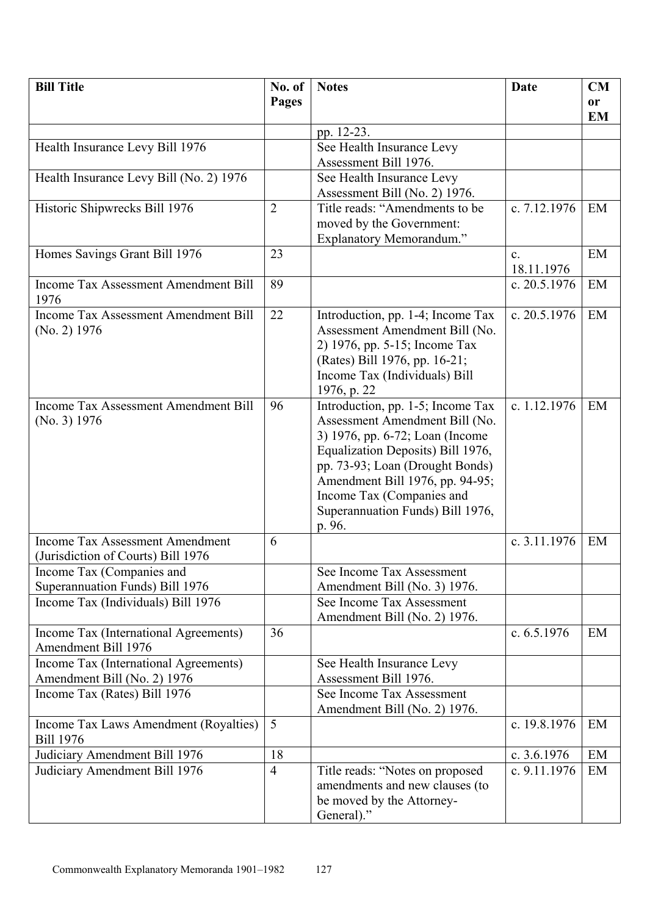| <b>Bill Title</b>                           | No. of         | <b>Notes</b>                      | <b>Date</b>    | <b>CM</b> |
|---------------------------------------------|----------------|-----------------------------------|----------------|-----------|
|                                             | <b>Pages</b>   |                                   |                | <b>or</b> |
|                                             |                |                                   |                | <b>EM</b> |
|                                             |                | pp. 12-23.                        |                |           |
| Health Insurance Levy Bill 1976             |                | See Health Insurance Levy         |                |           |
|                                             |                | Assessment Bill 1976.             |                |           |
| Health Insurance Levy Bill (No. 2) 1976     |                | See Health Insurance Levy         |                |           |
|                                             |                | Assessment Bill (No. 2) 1976.     |                |           |
| Historic Shipwrecks Bill 1976               | $\overline{2}$ | Title reads: "Amendments to be    | c. 7.12.1976   | EM        |
|                                             |                | moved by the Government:          |                |           |
|                                             |                | <b>Explanatory Memorandum."</b>   |                |           |
| Homes Savings Grant Bill 1976               | 23             |                                   | $\mathbf{c}$ . | EM        |
|                                             |                |                                   | 18.11.1976     |           |
| <b>Income Tax Assessment Amendment Bill</b> | 89             |                                   | c. 20.5.1976   | EM        |
| 1976                                        |                |                                   |                |           |
| <b>Income Tax Assessment Amendment Bill</b> | 22             | Introduction, pp. 1-4; Income Tax | c. 20.5.1976   | EM        |
| (No. 2) 1976                                |                | Assessment Amendment Bill (No.    |                |           |
|                                             |                | 2) 1976, pp. 5-15; Income Tax     |                |           |
|                                             |                | (Rates) Bill 1976, pp. 16-21;     |                |           |
|                                             |                | Income Tax (Individuals) Bill     |                |           |
|                                             |                | 1976, p. 22                       |                |           |
| <b>Income Tax Assessment Amendment Bill</b> | 96             | Introduction, pp. 1-5; Income Tax | c. 1.12.1976   | EM        |
| (No. 3) 1976                                |                | Assessment Amendment Bill (No.    |                |           |
|                                             |                | 3) 1976, pp. 6-72; Loan (Income   |                |           |
|                                             |                | Equalization Deposits) Bill 1976, |                |           |
|                                             |                | pp. 73-93; Loan (Drought Bonds)   |                |           |
|                                             |                | Amendment Bill 1976, pp. 94-95;   |                |           |
|                                             |                | Income Tax (Companies and         |                |           |
|                                             |                | Superannuation Funds) Bill 1976,  |                |           |
|                                             |                | p. 96.                            |                |           |
| <b>Income Tax Assessment Amendment</b>      | 6              |                                   | c. 3.11.1976   | EM        |
| (Jurisdiction of Courts) Bill 1976          |                |                                   |                |           |
| Income Tax (Companies and                   |                | See Income Tax Assessment         |                |           |
| Superannuation Funds) Bill 1976             |                | Amendment Bill (No. 3) 1976.      |                |           |
| Income Tax (Individuals) Bill 1976          |                | See Income Tax Assessment         |                |           |
|                                             |                | Amendment Bill (No. 2) 1976.      |                |           |
| Income Tax (International Agreements)       | 36             |                                   | c. $6.5.1976$  | EM        |
| Amendment Bill 1976                         |                |                                   |                |           |
| Income Tax (International Agreements)       |                | See Health Insurance Levy         |                |           |
| Amendment Bill (No. 2) 1976                 |                | Assessment Bill 1976.             |                |           |
| Income Tax (Rates) Bill 1976                |                | See Income Tax Assessment         |                |           |
|                                             | $\overline{5}$ | Amendment Bill (No. 2) 1976.      |                |           |
| Income Tax Laws Amendment (Royalties)       |                |                                   | c. 19.8.1976   | EM        |
| <b>Bill 1976</b>                            |                |                                   |                |           |
| Judiciary Amendment Bill 1976               | 18             |                                   | c. $3.6.1976$  | EM        |
| Judiciary Amendment Bill 1976               | $\overline{4}$ | Title reads: "Notes on proposed   | c. 9.11.1976   | EM        |
|                                             |                | amendments and new clauses (to    |                |           |
|                                             |                | be moved by the Attorney-         |                |           |
|                                             |                | General)."                        |                |           |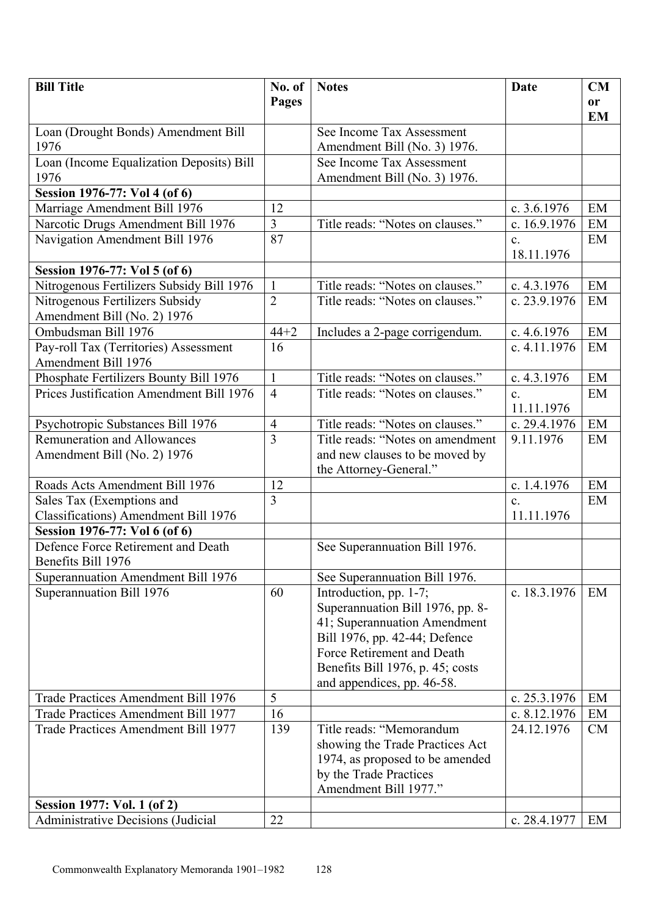| <b>Bill Title</b>                         | No. of         | <b>Notes</b>                                              | Date           | CM                         |
|-------------------------------------------|----------------|-----------------------------------------------------------|----------------|----------------------------|
|                                           | Pages          |                                                           |                | <b>or</b>                  |
|                                           |                |                                                           |                | <b>EM</b>                  |
| Loan (Drought Bonds) Amendment Bill       |                | See Income Tax Assessment                                 |                |                            |
| 1976                                      |                | Amendment Bill (No. 3) 1976.                              |                |                            |
| Loan (Income Equalization Deposits) Bill  |                | See Income Tax Assessment                                 |                |                            |
| 1976                                      |                | Amendment Bill (No. 3) 1976.                              |                |                            |
| Session 1976-77: Vol 4 (of 6)             |                |                                                           |                |                            |
| Marriage Amendment Bill 1976              | 12             |                                                           | c. $3.6.1976$  | EM                         |
| Narcotic Drugs Amendment Bill 1976        | $\overline{3}$ | Title reads: "Notes on clauses."                          | c. 16.9.1976   | EM                         |
| Navigation Amendment Bill 1976            | 87             |                                                           | $\mathbf{c}$ . | EM                         |
|                                           |                |                                                           | 18.11.1976     |                            |
| Session 1976-77: Vol 5 (of 6)             |                |                                                           |                |                            |
| Nitrogenous Fertilizers Subsidy Bill 1976 | $\mathbf{1}$   | Title reads: "Notes on clauses."                          | c. $4.3.1976$  | EM                         |
| Nitrogenous Fertilizers Subsidy           | $\overline{2}$ | Title reads: "Notes on clauses."                          | c. 23.9.1976   | EM                         |
| Amendment Bill (No. 2) 1976               |                |                                                           |                |                            |
| Ombudsman Bill 1976                       | $44 + 2$       | Includes a 2-page corrigendum.                            | c. $4.6.1976$  | EM                         |
| Pay-roll Tax (Territories) Assessment     | 16             |                                                           | c. 4.11.1976   | EM                         |
| Amendment Bill 1976                       |                |                                                           |                |                            |
| Phosphate Fertilizers Bounty Bill 1976    | $\mathbf{1}$   | Title reads: "Notes on clauses."                          | c. 4.3.1976    | $\boldsymbol{\mathrm{EM}}$ |
| Prices Justification Amendment Bill 1976  | $\overline{4}$ | Title reads: "Notes on clauses."                          | $\mathbf{c}$ . | EM                         |
|                                           |                |                                                           | 11.11.1976     |                            |
| Psychotropic Substances Bill 1976         | $\overline{4}$ | Title reads: "Notes on clauses."                          | c. 29.4.1976   | EM                         |
| <b>Remuneration and Allowances</b>        | 3              | Title reads: "Notes on amendment                          | 9.11.1976      | EM                         |
| Amendment Bill (No. 2) 1976               |                | and new clauses to be moved by                            |                |                            |
|                                           |                | the Attorney-General."                                    |                |                            |
| Roads Acts Amendment Bill 1976            | 12             |                                                           | c. 1.4.1976    | EM                         |
| Sales Tax (Exemptions and                 | 3              |                                                           | $\mathbf{c}$ . | EM                         |
| Classifications) Amendment Bill 1976      |                |                                                           | 11.11.1976     |                            |
| Session 1976-77: Vol 6 (of 6)             |                |                                                           |                |                            |
| Defence Force Retirement and Death        |                | See Superannuation Bill 1976.                             |                |                            |
| Benefits Bill 1976                        |                |                                                           |                |                            |
| Superannuation Amendment Bill 1976        |                | See Superannuation Bill 1976.                             |                |                            |
| Superannuation Bill 1976                  | 60             | Introduction, pp. 1-7;                                    | c. 18.3.1976   | EM                         |
|                                           |                | Superannuation Bill 1976, pp. 8-                          |                |                            |
|                                           |                | 41; Superannuation Amendment                              |                |                            |
|                                           |                | Bill 1976, pp. 42-44; Defence                             |                |                            |
|                                           |                | Force Retirement and Death                                |                |                            |
|                                           |                | Benefits Bill 1976, p. 45; costs                          |                |                            |
|                                           |                | and appendices, pp. 46-58.                                |                |                            |
| Trade Practices Amendment Bill 1976       | 5              |                                                           | c. 25.3.1976   | EM                         |
| Trade Practices Amendment Bill 1977       | 16             |                                                           | c. 8.12.1976   | EM                         |
| Trade Practices Amendment Bill 1977       | 139            | Title reads: "Memorandum                                  | 24.12.1976     | <b>CM</b>                  |
|                                           |                | showing the Trade Practices Act                           |                |                            |
|                                           |                | 1974, as proposed to be amended<br>by the Trade Practices |                |                            |
|                                           |                | Amendment Bill 1977."                                     |                |                            |
| Session 1977: Vol. 1 (of 2)               |                |                                                           |                |                            |
| <b>Administrative Decisions (Judicial</b> | 22             |                                                           | c. 28.4.1977   | EM                         |
|                                           |                |                                                           |                |                            |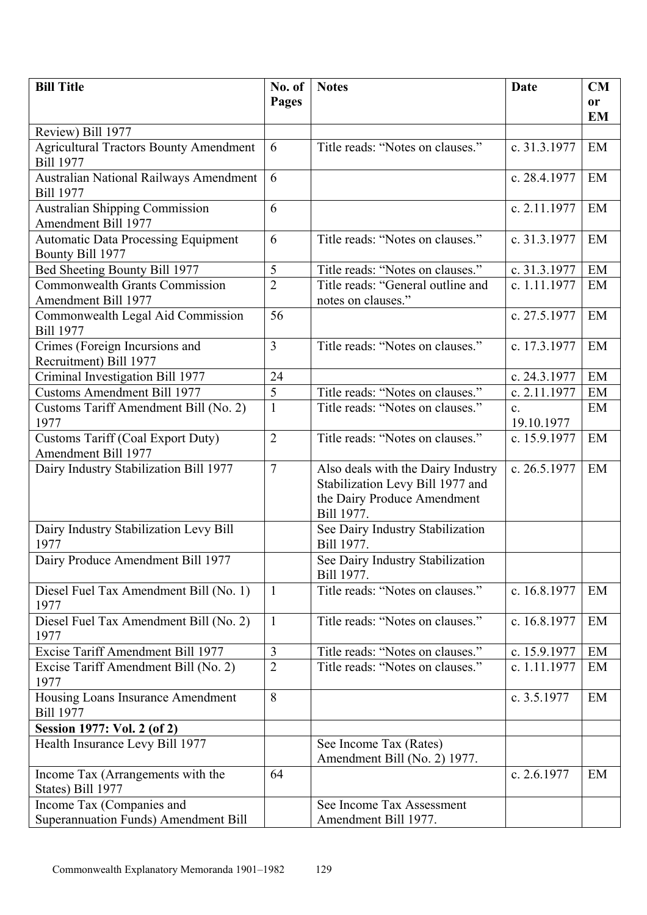| <b>Bill Title</b>                                                  | No. of         | <b>Notes</b>                                                                                                        | Date                         | <b>CM</b>     |
|--------------------------------------------------------------------|----------------|---------------------------------------------------------------------------------------------------------------------|------------------------------|---------------|
|                                                                    | Pages          |                                                                                                                     |                              | <sub>or</sub> |
|                                                                    |                |                                                                                                                     |                              | <b>EM</b>     |
| Review) Bill 1977<br><b>Agricultural Tractors Bounty Amendment</b> | 6              | Title reads: "Notes on clauses."                                                                                    | c. 31.3.1977                 | EM            |
| <b>Bill 1977</b>                                                   |                |                                                                                                                     |                              |               |
| Australian National Railways Amendment<br><b>Bill 1977</b>         | 6              |                                                                                                                     | c. 28.4.1977                 | EM            |
| <b>Australian Shipping Commission</b><br>Amendment Bill 1977       | 6              |                                                                                                                     | c. 2.11.1977                 | EM            |
| <b>Automatic Data Processing Equipment</b><br>Bounty Bill 1977     | 6              | Title reads: "Notes on clauses."                                                                                    | c. 31.3.1977                 | EM            |
| Bed Sheeting Bounty Bill 1977                                      | 5              | Title reads: "Notes on clauses."                                                                                    | c. 31.3.1977                 | EM            |
| <b>Commonwealth Grants Commission</b><br>Amendment Bill 1977       | $\overline{2}$ | Title reads: "General outline and<br>notes on clauses."                                                             | c. 1.11.1977                 | EM            |
| Commonwealth Legal Aid Commission<br><b>Bill 1977</b>              | 56             |                                                                                                                     | c. 27.5.1977                 | EM            |
| Crimes (Foreign Incursions and<br>Recruitment) Bill 1977           | $\overline{3}$ | Title reads: "Notes on clauses."                                                                                    | c. 17.3.1977                 | EM            |
| Criminal Investigation Bill 1977                                   | 24             |                                                                                                                     | c. 24.3.1977                 | EM            |
| <b>Customs Amendment Bill 1977</b>                                 | 5              | Title reads: "Notes on clauses."                                                                                    | c. 2.11.1977                 | EM            |
| Customs Tariff Amendment Bill (No. 2)<br>1977                      | $\mathbf{1}$   | Title reads: "Notes on clauses."                                                                                    | $\mathbf{c}$ .<br>19.10.1977 | EM            |
| <b>Customs Tariff (Coal Export Duty)</b><br>Amendment Bill 1977    | $\overline{2}$ | Title reads: "Notes on clauses."                                                                                    | c. 15.9.1977                 | EM            |
| Dairy Industry Stabilization Bill 1977                             | $\overline{7}$ | Also deals with the Dairy Industry<br>Stabilization Levy Bill 1977 and<br>the Dairy Produce Amendment<br>Bill 1977. | c. 26.5.1977                 | EM            |
| Dairy Industry Stabilization Levy Bill<br>1977                     |                | See Dairy Industry Stabilization<br>Bill 1977.                                                                      |                              |               |
| Dairy Produce Amendment Bill 1977                                  |                | See Dairy Industry Stabilization<br>Bill 1977.                                                                      |                              |               |
| Diesel Fuel Tax Amendment Bill (No. 1)<br>1977                     | $\mathbf{1}$   | Title reads: "Notes on clauses."                                                                                    | c. 16.8.1977                 | EM            |
| Diesel Fuel Tax Amendment Bill (No. 2)<br>1977                     | $\mathbf{1}$   | Title reads: "Notes on clauses."                                                                                    | c. 16.8.1977                 | EM            |
| Excise Tariff Amendment Bill 1977                                  | $\mathfrak{Z}$ | Title reads: "Notes on clauses."                                                                                    | c. 15.9.1977                 | EM            |
| Excise Tariff Amendment Bill (No. 2)<br>1977                       | $\overline{2}$ | Title reads: "Notes on clauses."                                                                                    | c. 1.11.1977                 | EM            |
| Housing Loans Insurance Amendment<br><b>Bill 1977</b>              | 8              |                                                                                                                     | c. 3.5.1977                  | EM            |
| Session 1977: Vol. 2 (of 2)                                        |                |                                                                                                                     |                              |               |
| Health Insurance Levy Bill 1977                                    |                | See Income Tax (Rates)<br>Amendment Bill (No. 2) 1977.                                                              |                              |               |
| Income Tax (Arrangements with the<br>States) Bill 1977             | 64             |                                                                                                                     | c. 2.6.1977                  | EM            |
| Income Tax (Companies and                                          |                | See Income Tax Assessment                                                                                           |                              |               |
| <b>Superannuation Funds) Amendment Bill</b>                        |                | Amendment Bill 1977.                                                                                                |                              |               |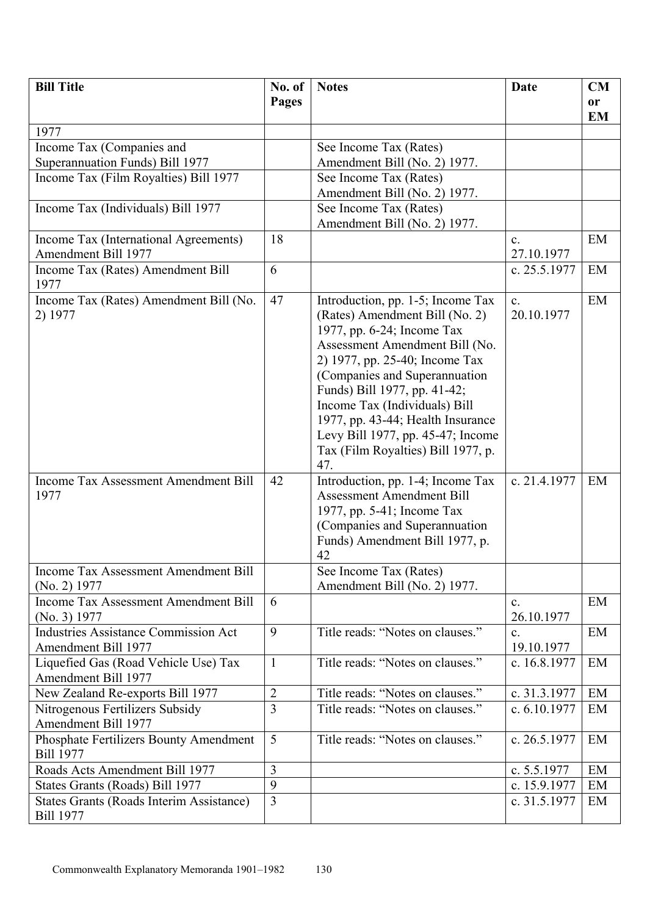| <b>Bill Title</b>                                             | No. of         | <b>Notes</b>                                                                                                                                                                                                                                                                                                                                                                                   | <b>Date</b>                  | <b>CM</b> |
|---------------------------------------------------------------|----------------|------------------------------------------------------------------------------------------------------------------------------------------------------------------------------------------------------------------------------------------------------------------------------------------------------------------------------------------------------------------------------------------------|------------------------------|-----------|
|                                                               | Pages          |                                                                                                                                                                                                                                                                                                                                                                                                |                              | <b>or</b> |
|                                                               |                |                                                                                                                                                                                                                                                                                                                                                                                                |                              | <b>EM</b> |
| 1977                                                          |                |                                                                                                                                                                                                                                                                                                                                                                                                |                              |           |
| Income Tax (Companies and                                     |                | See Income Tax (Rates)                                                                                                                                                                                                                                                                                                                                                                         |                              |           |
| Superannuation Funds) Bill 1977                               |                | Amendment Bill (No. 2) 1977.                                                                                                                                                                                                                                                                                                                                                                   |                              |           |
| Income Tax (Film Royalties) Bill 1977                         |                | See Income Tax (Rates)                                                                                                                                                                                                                                                                                                                                                                         |                              |           |
|                                                               |                | Amendment Bill (No. 2) 1977.                                                                                                                                                                                                                                                                                                                                                                   |                              |           |
| Income Tax (Individuals) Bill 1977                            |                | See Income Tax (Rates)<br>Amendment Bill (No. 2) 1977.                                                                                                                                                                                                                                                                                                                                         |                              |           |
| Income Tax (International Agreements)                         | 18             |                                                                                                                                                                                                                                                                                                                                                                                                | $\mathbf{c}$ .               | EM        |
| Amendment Bill 1977                                           |                |                                                                                                                                                                                                                                                                                                                                                                                                | 27.10.1977                   |           |
| Income Tax (Rates) Amendment Bill<br>1977                     | 6              |                                                                                                                                                                                                                                                                                                                                                                                                | c. 25.5.1977                 | EM        |
| Income Tax (Rates) Amendment Bill (No.<br>2) 1977             | 47             | Introduction, pp. 1-5; Income Tax<br>(Rates) Amendment Bill (No. 2)<br>1977, pp. 6-24; Income Tax<br>Assessment Amendment Bill (No.<br>2) 1977, pp. 25-40; Income Tax<br>(Companies and Superannuation<br>Funds) Bill 1977, pp. 41-42;<br>Income Tax (Individuals) Bill<br>1977, pp. 43-44; Health Insurance<br>Levy Bill 1977, pp. 45-47; Income<br>Tax (Film Royalties) Bill 1977, p.<br>47. | $\mathbf{c}$ .<br>20.10.1977 | EM        |
| <b>Income Tax Assessment Amendment Bill</b><br>1977           | 42             | Introduction, pp. 1-4; Income Tax<br><b>Assessment Amendment Bill</b><br>1977, pp. 5-41; Income Tax<br>(Companies and Superannuation<br>Funds) Amendment Bill 1977, p.<br>42                                                                                                                                                                                                                   | c. 21.4.1977                 | EM        |
| <b>Income Tax Assessment Amendment Bill</b>                   |                | See Income Tax (Rates)                                                                                                                                                                                                                                                                                                                                                                         |                              |           |
| $(No. 2)$ 1977                                                |                | Amendment Bill (No. 2) 1977.                                                                                                                                                                                                                                                                                                                                                                   |                              |           |
| <b>Income Tax Assessment Amendment Bill</b><br>(No. 3) 1977   | 6              |                                                                                                                                                                                                                                                                                                                                                                                                | $\mathbf{c}$ .<br>26.10.1977 | EM        |
| <b>Industries Assistance Commission Act</b>                   | 9              | Title reads: "Notes on clauses."                                                                                                                                                                                                                                                                                                                                                               | $\mathbf{c}$ .               | EM        |
| <b>Amendment Bill 1977</b>                                    |                |                                                                                                                                                                                                                                                                                                                                                                                                | 19.10.1977                   |           |
| Liquefied Gas (Road Vehicle Use) Tax                          | $\mathbf{1}$   | Title reads: "Notes on clauses."                                                                                                                                                                                                                                                                                                                                                               | c. 16.8.1977                 | EM        |
| Amendment Bill 1977                                           |                |                                                                                                                                                                                                                                                                                                                                                                                                |                              |           |
| New Zealand Re-exports Bill 1977                              | $\overline{2}$ | Title reads: "Notes on clauses."                                                                                                                                                                                                                                                                                                                                                               | c. 31.3.1977                 | EM        |
| Nitrogenous Fertilizers Subsidy<br><b>Amendment Bill 1977</b> | $\overline{3}$ | Title reads: "Notes on clauses."                                                                                                                                                                                                                                                                                                                                                               | c. 6.10.1977                 | EM        |
| Phosphate Fertilizers Bounty Amendment<br><b>Bill 1977</b>    | 5              | Title reads: "Notes on clauses."                                                                                                                                                                                                                                                                                                                                                               | c. 26.5.1977                 | EM        |
| Roads Acts Amendment Bill 1977                                | $\overline{3}$ |                                                                                                                                                                                                                                                                                                                                                                                                | c. $5.5.1977$                | EM        |
| States Grants (Roads) Bill 1977                               | 9              |                                                                                                                                                                                                                                                                                                                                                                                                | c. 15.9.1977                 | EM        |
| States Grants (Roads Interim Assistance)                      | $\overline{3}$ |                                                                                                                                                                                                                                                                                                                                                                                                | c. 31.5.1977                 | EM        |
| <b>Bill 1977</b>                                              |                |                                                                                                                                                                                                                                                                                                                                                                                                |                              |           |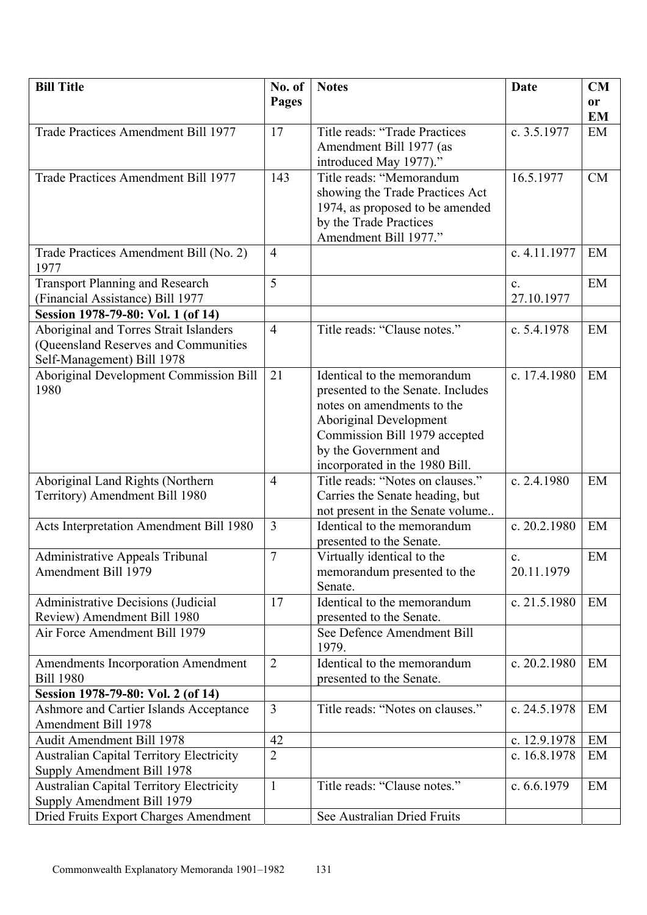| <b>Bill Title</b>                                                             | No. of         | <b>Notes</b>                                              | <b>Date</b>                  | CM        |
|-------------------------------------------------------------------------------|----------------|-----------------------------------------------------------|------------------------------|-----------|
|                                                                               | Pages          |                                                           |                              | <b>or</b> |
|                                                                               |                |                                                           |                              | <b>EM</b> |
| Trade Practices Amendment Bill 1977                                           | 17             | Title reads: "Trade Practices                             | c. 3.5.1977                  | EM        |
|                                                                               |                | Amendment Bill 1977 (as                                   |                              |           |
|                                                                               |                | introduced May 1977)."                                    |                              |           |
| Trade Practices Amendment Bill 1977                                           | 143            | Title reads: "Memorandum                                  | 16.5.1977                    | CM        |
|                                                                               |                | showing the Trade Practices Act                           |                              |           |
|                                                                               |                | 1974, as proposed to be amended                           |                              |           |
|                                                                               |                | by the Trade Practices                                    |                              |           |
|                                                                               |                | Amendment Bill 1977."                                     |                              |           |
| Trade Practices Amendment Bill (No. 2)                                        | $\overline{4}$ |                                                           | c. 4.11.1977                 | EM        |
| 1977                                                                          |                |                                                           |                              |           |
| <b>Transport Planning and Research</b>                                        | 5              |                                                           | $\mathbf{c}$ .               | EM        |
| (Financial Assistance) Bill 1977                                              |                |                                                           | 27.10.1977                   |           |
| Session 1978-79-80: Vol. 1 (of 14)<br>Aboriginal and Torres Strait Islanders  | $\overline{4}$ | Title reads: "Clause notes."                              | c. 5.4.1978                  | EM        |
| (Queensland Reserves and Communities                                          |                |                                                           |                              |           |
| Self-Management) Bill 1978                                                    |                |                                                           |                              |           |
| <b>Aboriginal Development Commission Bill</b>                                 | 21             | Identical to the memorandum                               | c. 17.4.1980                 | EM        |
| 1980                                                                          |                | presented to the Senate. Includes                         |                              |           |
|                                                                               |                | notes on amendments to the                                |                              |           |
|                                                                               |                | Aboriginal Development                                    |                              |           |
|                                                                               |                | Commission Bill 1979 accepted                             |                              |           |
|                                                                               |                | by the Government and                                     |                              |           |
|                                                                               |                | incorporated in the 1980 Bill.                            |                              |           |
| Aboriginal Land Rights (Northern                                              | $\overline{4}$ | Title reads: "Notes on clauses."                          | c. 2.4.1980                  | EM        |
| Territory) Amendment Bill 1980                                                |                | Carries the Senate heading, but                           |                              |           |
|                                                                               |                | not present in the Senate volume                          |                              |           |
| Acts Interpretation Amendment Bill 1980                                       | $\overline{3}$ | Identical to the memorandum                               | c. 20.2.1980                 | EM        |
|                                                                               | $\overline{7}$ | presented to the Senate.                                  |                              | EM        |
| Administrative Appeals Tribunal<br>Amendment Bill 1979                        |                | Virtually identical to the<br>memorandum presented to the | $\mathbf{c}$ .<br>20.11.1979 |           |
|                                                                               |                | Senate.                                                   |                              |           |
| Administrative Decisions (Judicial                                            | 17             | Identical to the memorandum                               | c. $21.5.1980$               | EM        |
| Review) Amendment Bill 1980                                                   |                | presented to the Senate.                                  |                              |           |
| Air Force Amendment Bill 1979                                                 |                | See Defence Amendment Bill                                |                              |           |
|                                                                               |                | 1979.                                                     |                              |           |
| <b>Amendments Incorporation Amendment</b>                                     | $\overline{2}$ | Identical to the memorandum                               | c. 20.2.1980                 | EM        |
| <b>Bill 1980</b>                                                              |                | presented to the Senate.                                  |                              |           |
| Session 1978-79-80: Vol. 2 (of 14)                                            |                |                                                           |                              |           |
| <b>Ashmore and Cartier Islands Acceptance</b>                                 | $\overline{3}$ | Title reads: "Notes on clauses."                          | c. 24.5.1978                 | EM        |
| Amendment Bill 1978                                                           |                |                                                           |                              |           |
| Audit Amendment Bill 1978                                                     | 42             |                                                           | c. 12.9.1978                 | EM        |
| <b>Australian Capital Territory Electricity</b>                               | $\overline{2}$ |                                                           | c. 16.8.1978                 | EM        |
| Supply Amendment Bill 1978                                                    | $\mathbf{1}$   | Title reads: "Clause notes."                              | c. 6.6.1979                  | EM        |
| <b>Australian Capital Territory Electricity</b><br>Supply Amendment Bill 1979 |                |                                                           |                              |           |
| Dried Fruits Export Charges Amendment                                         |                | See Australian Dried Fruits                               |                              |           |
|                                                                               |                |                                                           |                              |           |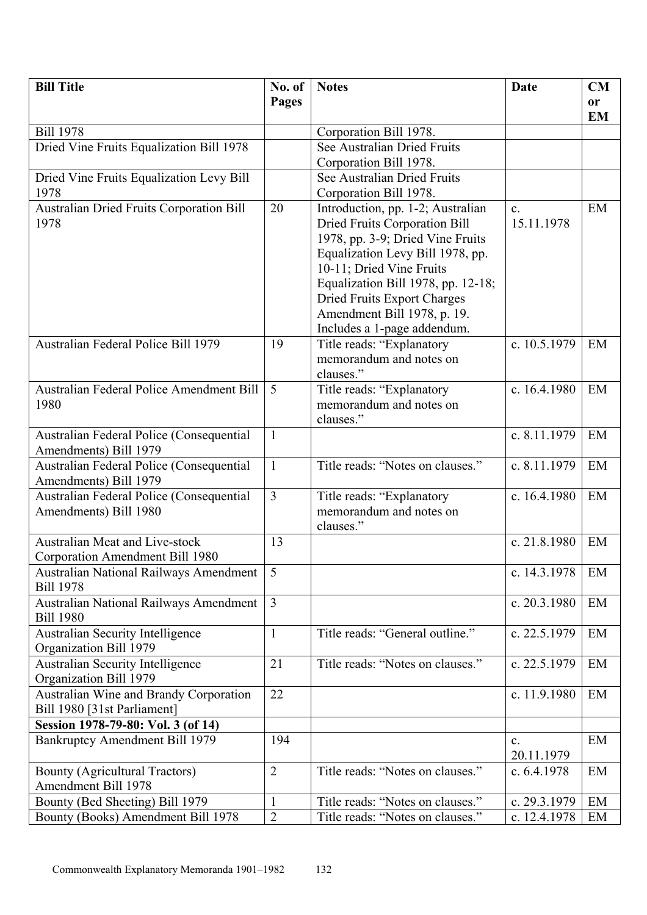| <b>Bill Title</b>                                                 | No. of         | <b>Notes</b>                                                                                                                                                                                                                                                                                                     | <b>Date</b>                  | CM        |
|-------------------------------------------------------------------|----------------|------------------------------------------------------------------------------------------------------------------------------------------------------------------------------------------------------------------------------------------------------------------------------------------------------------------|------------------------------|-----------|
|                                                                   | <b>Pages</b>   |                                                                                                                                                                                                                                                                                                                  |                              | <b>or</b> |
|                                                                   |                |                                                                                                                                                                                                                                                                                                                  |                              | <b>EM</b> |
| <b>Bill 1978</b>                                                  |                | Corporation Bill 1978.                                                                                                                                                                                                                                                                                           |                              |           |
| Dried Vine Fruits Equalization Bill 1978                          |                | See Australian Dried Fruits                                                                                                                                                                                                                                                                                      |                              |           |
|                                                                   |                | Corporation Bill 1978.                                                                                                                                                                                                                                                                                           |                              |           |
| Dried Vine Fruits Equalization Levy Bill                          |                | See Australian Dried Fruits                                                                                                                                                                                                                                                                                      |                              |           |
| 1978                                                              |                | Corporation Bill 1978.                                                                                                                                                                                                                                                                                           |                              |           |
| <b>Australian Dried Fruits Corporation Bill</b><br>1978           | 20             | Introduction, pp. 1-2; Australian<br><b>Dried Fruits Corporation Bill</b><br>1978, pp. 3-9; Dried Vine Fruits<br>Equalization Levy Bill 1978, pp.<br>10-11; Dried Vine Fruits<br>Equalization Bill 1978, pp. 12-18;<br>Dried Fruits Export Charges<br>Amendment Bill 1978, p. 19.<br>Includes a 1-page addendum. | $\mathbf{c}$ .<br>15.11.1978 | EM        |
| Australian Federal Police Bill 1979                               | 19             | Title reads: "Explanatory<br>memorandum and notes on<br>clauses."                                                                                                                                                                                                                                                | c. 10.5.1979                 | EM        |
| <b>Australian Federal Police Amendment Bill</b><br>1980           | 5              | Title reads: "Explanatory<br>memorandum and notes on<br>clauses."                                                                                                                                                                                                                                                | c. 16.4.1980                 | EM        |
| Australian Federal Police (Consequential<br>Amendments) Bill 1979 | $\mathbf{1}$   |                                                                                                                                                                                                                                                                                                                  | c. 8.11.1979                 | EM        |
| Australian Federal Police (Consequential<br>Amendments) Bill 1979 | $\mathbf{1}$   | Title reads: "Notes on clauses."                                                                                                                                                                                                                                                                                 | c. 8.11.1979                 | EM        |
| Australian Federal Police (Consequential<br>Amendments) Bill 1980 | $\overline{3}$ | Title reads: "Explanatory<br>memorandum and notes on<br>clauses."                                                                                                                                                                                                                                                | c. 16.4.1980                 | EM        |
| Australian Meat and Live-stock<br>Corporation Amendment Bill 1980 | 13             |                                                                                                                                                                                                                                                                                                                  | c. 21.8.1980                 | EM        |
| <b>Australian National Railways Amendment</b><br><b>Bill 1978</b> | 5              |                                                                                                                                                                                                                                                                                                                  | c. 14.3.1978                 | EM        |
| Australian National Railways Amendment<br><b>Bill 1980</b>        | $\overline{3}$ |                                                                                                                                                                                                                                                                                                                  | c. 20.3.1980                 | EM        |
| <b>Australian Security Intelligence</b><br>Organization Bill 1979 | $\mathbf{1}$   | Title reads: "General outline."                                                                                                                                                                                                                                                                                  | c. 22.5.1979                 | EM        |
| <b>Australian Security Intelligence</b>                           | 21             | Title reads: "Notes on clauses."                                                                                                                                                                                                                                                                                 | c. 22.5.1979                 | EM        |
| Organization Bill 1979                                            |                |                                                                                                                                                                                                                                                                                                                  |                              |           |
| Australian Wine and Brandy Corporation                            | 22             |                                                                                                                                                                                                                                                                                                                  | c. 11.9.1980                 | EM        |
| Bill 1980 [31st Parliament]                                       |                |                                                                                                                                                                                                                                                                                                                  |                              |           |
| Session 1978-79-80: Vol. 3 (of 14)                                |                |                                                                                                                                                                                                                                                                                                                  |                              |           |
| <b>Bankruptcy Amendment Bill 1979</b>                             | 194            |                                                                                                                                                                                                                                                                                                                  | $\mathbf{c}$ .<br>20.11.1979 | EM        |
| <b>Bounty (Agricultural Tractors)</b><br>Amendment Bill 1978      | $\overline{2}$ | Title reads: "Notes on clauses."                                                                                                                                                                                                                                                                                 | c. $6.4.1978$                | EM        |
| Bounty (Bed Sheeting) Bill 1979                                   | $\mathbf{1}$   | Title reads: "Notes on clauses."                                                                                                                                                                                                                                                                                 | c. 29.3.1979                 | EM        |
| Bounty (Books) Amendment Bill 1978                                | $\overline{2}$ | Title reads: "Notes on clauses."                                                                                                                                                                                                                                                                                 | c. 12.4.1978                 | EM        |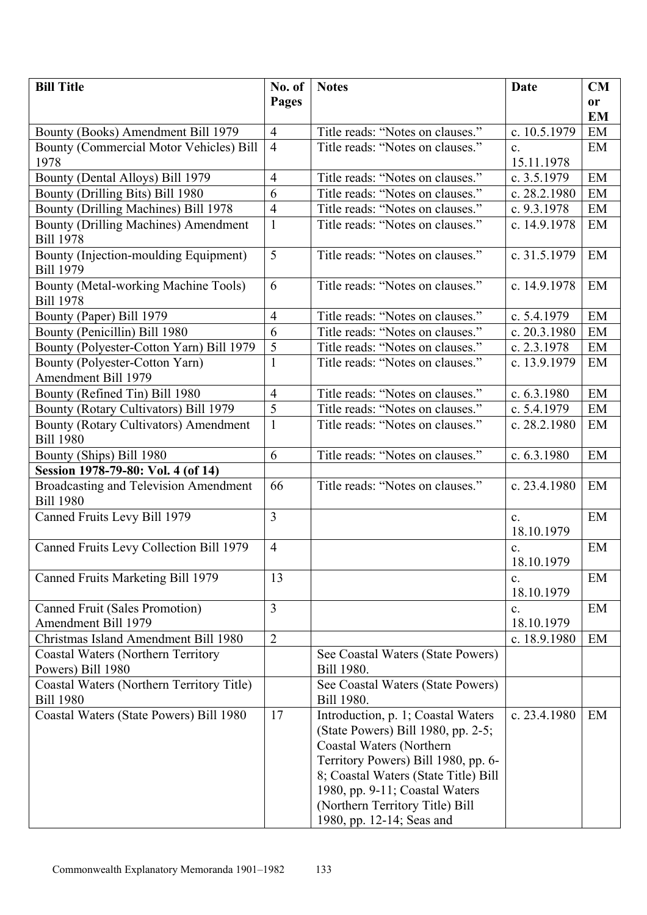| <b>Bill Title</b>                                         | No. of         | <b>Notes</b>                         | <b>Date</b>                  | CM        |
|-----------------------------------------------------------|----------------|--------------------------------------|------------------------------|-----------|
|                                                           | Pages          |                                      |                              | <b>or</b> |
|                                                           |                |                                      |                              | <b>EM</b> |
| Bounty (Books) Amendment Bill 1979                        | $\overline{4}$ | Title reads: "Notes on clauses."     | c. 10.5.1979                 | EM        |
| Bounty (Commercial Motor Vehicles) Bill                   | $\overline{4}$ | Title reads: "Notes on clauses."     | $\mathbf{c}$ .               | EM        |
| 1978                                                      |                |                                      | 15.11.1978                   |           |
| Bounty (Dental Alloys) Bill 1979                          | $\overline{4}$ | Title reads: "Notes on clauses."     | c. $3.5.1979$                | EM        |
| Bounty (Drilling Bits) Bill 1980                          | 6              | Title reads: "Notes on clauses."     | c. 28.2.1980                 | EM        |
| Bounty (Drilling Machines) Bill 1978                      | $\overline{4}$ | Title reads: "Notes on clauses."     | c. $9.3.1978$                | EM        |
| Bounty (Drilling Machines) Amendment                      | $\mathbf{1}$   | Title reads: "Notes on clauses."     | c. 14.9.1978                 | EM        |
| <b>Bill 1978</b>                                          |                |                                      |                              |           |
| Bounty (Injection-moulding Equipment)<br><b>Bill 1979</b> | 5              | Title reads: "Notes on clauses."     | c. 31.5.1979                 | EM        |
| Bounty (Metal-working Machine Tools)                      | 6              | Title reads: "Notes on clauses."     | c. 14.9.1978                 | EM        |
| <b>Bill 1978</b>                                          |                |                                      |                              |           |
| Bounty (Paper) Bill 1979                                  | $\overline{4}$ | Title reads: "Notes on clauses."     | c. 5.4.1979                  | EM        |
| Bounty (Penicillin) Bill 1980                             | $\overline{6}$ | Title reads: "Notes on clauses."     | c. 20.3.1980                 | EM        |
| Bounty (Polyester-Cotton Yarn) Bill 1979                  | 5              | Title reads: "Notes on clauses."     | c. $2.3.1978$                | EM        |
| Bounty (Polyester-Cotton Yarn)                            | $\mathbf{1}$   | Title reads: "Notes on clauses."     | c. 13.9.1979                 | EM        |
| Amendment Bill 1979                                       |                |                                      |                              |           |
| Bounty (Refined Tin) Bill 1980                            | $\overline{4}$ | Title reads: "Notes on clauses."     | c. $6.3.1980$                | EM        |
| Bounty (Rotary Cultivators) Bill 1979                     | $\overline{5}$ | Title reads: "Notes on clauses."     | c. 5.4.1979                  | EM        |
| <b>Bounty (Rotary Cultivators) Amendment</b>              | $\mathbf{1}$   | Title reads: "Notes on clauses."     | c. 28.2.1980                 | EM        |
| <b>Bill 1980</b>                                          |                |                                      |                              |           |
| Bounty (Ships) Bill 1980                                  | 6              | Title reads: "Notes on clauses."     | c. $6.3.1980$                | EM        |
| Session 1978-79-80: Vol. 4 (of 14)                        |                |                                      |                              |           |
| Broadcasting and Television Amendment                     | 66             | Title reads: "Notes on clauses."     | c. 23.4.1980                 | EM        |
| <b>Bill 1980</b>                                          |                |                                      |                              |           |
| Canned Fruits Levy Bill 1979                              | $\overline{3}$ |                                      | $\mathbf{c}$ .<br>18.10.1979 | EM        |
| Canned Fruits Levy Collection Bill 1979                   | $\overline{4}$ |                                      | $\mathbf{c}$ .               | EM        |
|                                                           |                |                                      | 18.10.1979                   |           |
| Canned Fruits Marketing Bill 1979                         | 13             |                                      | c.                           | EM        |
|                                                           |                |                                      | 18.10.1979                   |           |
| Canned Fruit (Sales Promotion)                            | $\overline{3}$ |                                      | $\mathbf{c}$ .               | EM        |
| Amendment Bill 1979                                       |                |                                      | 18.10.1979                   |           |
| Christmas Island Amendment Bill 1980                      | $\overline{2}$ |                                      | c. 18.9.1980                 | EM        |
| <b>Coastal Waters (Northern Territory</b>                 |                | See Coastal Waters (State Powers)    |                              |           |
| Powers) Bill 1980                                         |                | Bill 1980.                           |                              |           |
| Coastal Waters (Northern Territory Title)                 |                | See Coastal Waters (State Powers)    |                              |           |
| <b>Bill 1980</b>                                          |                | Bill 1980.                           |                              |           |
| Coastal Waters (State Powers) Bill 1980                   | 17             | Introduction, p. 1; Coastal Waters   | c. 23.4.1980                 | EM        |
|                                                           |                | (State Powers) Bill 1980, pp. 2-5;   |                              |           |
|                                                           |                | Coastal Waters (Northern             |                              |           |
|                                                           |                | Territory Powers) Bill 1980, pp. 6-  |                              |           |
|                                                           |                | 8; Coastal Waters (State Title) Bill |                              |           |
|                                                           |                | 1980, pp. 9-11; Coastal Waters       |                              |           |
|                                                           |                | (Northern Territory Title) Bill      |                              |           |
|                                                           |                | 1980, pp. 12-14; Seas and            |                              |           |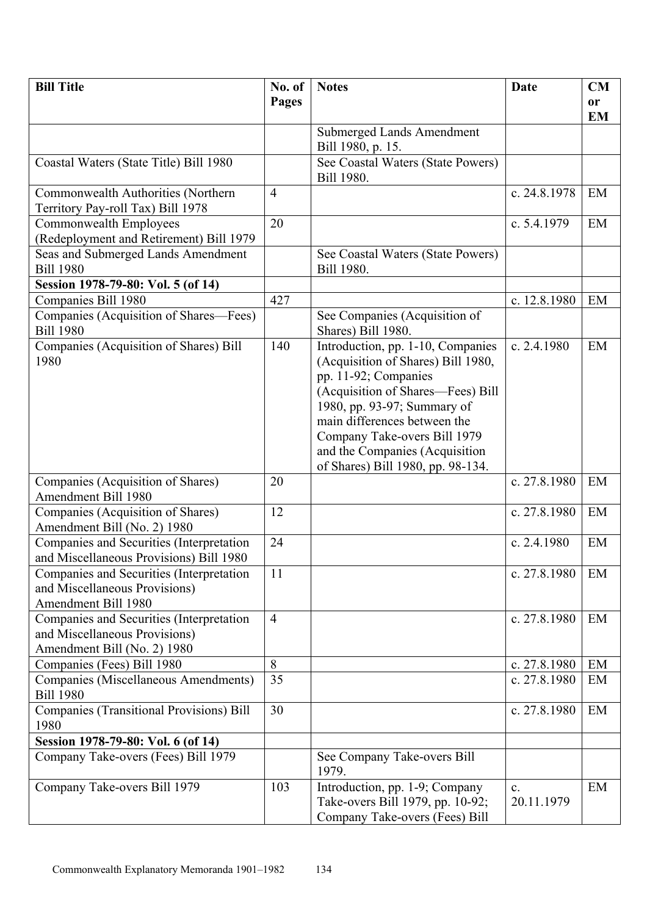| <b>Bill Title</b>                                        | No. of         | <b>Notes</b>                       | <b>Date</b>    | CM        |
|----------------------------------------------------------|----------------|------------------------------------|----------------|-----------|
|                                                          | Pages          |                                    |                | or        |
|                                                          |                |                                    |                | <b>EM</b> |
|                                                          |                | <b>Submerged Lands Amendment</b>   |                |           |
|                                                          |                | Bill 1980, p. 15.                  |                |           |
| Coastal Waters (State Title) Bill 1980                   |                | See Coastal Waters (State Powers)  |                |           |
|                                                          |                | Bill 1980.                         |                |           |
| Commonwealth Authorities (Northern                       | $\overline{4}$ |                                    | c. 24.8.1978   | EM        |
| Territory Pay-roll Tax) Bill 1978                        |                |                                    |                |           |
| Commonwealth Employees                                   | 20             |                                    | c. $5.4.1979$  | EM        |
| (Redeployment and Retirement) Bill 1979                  |                |                                    |                |           |
| Seas and Submerged Lands Amendment                       |                | See Coastal Waters (State Powers)  |                |           |
| <b>Bill 1980</b>                                         |                | Bill 1980.                         |                |           |
| Session 1978-79-80: Vol. 5 (of 14)                       |                |                                    |                |           |
| Companies Bill 1980                                      | 427            |                                    | c. 12.8.1980   | EM        |
| Companies (Acquisition of Shares—Fees)                   |                | See Companies (Acquisition of      |                |           |
| <b>Bill 1980</b>                                         |                | Shares) Bill 1980.                 |                |           |
| Companies (Acquisition of Shares) Bill                   | 140            | Introduction, pp. 1-10, Companies  | c. $2.4.1980$  | EM        |
| 1980                                                     |                | (Acquisition of Shares) Bill 1980, |                |           |
|                                                          |                | pp. 11-92; Companies               |                |           |
|                                                          |                | (Acquisition of Shares-Fees) Bill  |                |           |
|                                                          |                | 1980, pp. 93-97; Summary of        |                |           |
|                                                          |                | main differences between the       |                |           |
|                                                          |                | Company Take-overs Bill 1979       |                |           |
|                                                          |                | and the Companies (Acquisition     |                |           |
|                                                          |                | of Shares) Bill 1980, pp. 98-134.  |                |           |
| Companies (Acquisition of Shares)                        | 20             |                                    | c. 27.8.1980   | EM        |
| Amendment Bill 1980                                      |                |                                    |                |           |
| Companies (Acquisition of Shares)                        | 12             |                                    | c. 27.8.1980   | EM        |
| Amendment Bill (No. 2) 1980                              |                |                                    |                |           |
| Companies and Securities (Interpretation                 | 24             |                                    | c. $2.4.1980$  | EM        |
| and Miscellaneous Provisions) Bill 1980                  |                |                                    |                |           |
| Companies and Securities (Interpretation                 | 11             |                                    | c. 27.8.1980   | EM        |
| and Miscellaneous Provisions)                            |                |                                    |                |           |
| Amendment Bill 1980                                      |                |                                    |                |           |
| Companies and Securities (Interpretation                 | $\overline{4}$ |                                    | c. 27.8.1980   | EM        |
| and Miscellaneous Provisions)                            |                |                                    |                |           |
| Amendment Bill (No. 2) 1980                              | 8              |                                    |                | EM        |
| Companies (Fees) Bill 1980                               |                |                                    | c. 27.8.1980   |           |
| Companies (Miscellaneous Amendments)<br><b>Bill 1980</b> | 35             |                                    | c. 27.8.1980   | EM        |
| <b>Companies (Transitional Provisions) Bill</b>          | 30             |                                    | c. 27.8.1980   | EM        |
| 1980                                                     |                |                                    |                |           |
| Session 1978-79-80: Vol. 6 (of 14)                       |                |                                    |                |           |
| Company Take-overs (Fees) Bill 1979                      |                | See Company Take-overs Bill        |                |           |
|                                                          |                | 1979.                              |                |           |
| Company Take-overs Bill 1979                             | 103            | Introduction, pp. 1-9; Company     | $\mathbf{c}$ . | EM        |
|                                                          |                | Take-overs Bill 1979, pp. 10-92;   | 20.11.1979     |           |
|                                                          |                | Company Take-overs (Fees) Bill     |                |           |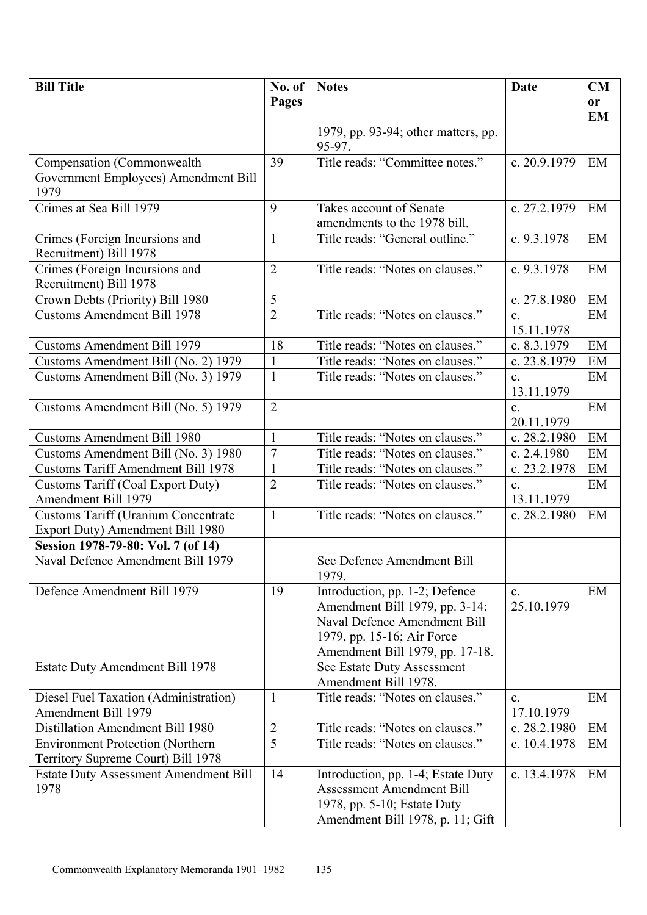| <b>Bill Title</b>                                        | No. of         | <b>Notes</b>                                                  | Date           | <b>CM</b> |
|----------------------------------------------------------|----------------|---------------------------------------------------------------|----------------|-----------|
|                                                          | Pages          |                                                               |                | or        |
|                                                          |                |                                                               |                | <b>EM</b> |
|                                                          |                | 1979, pp. 93-94; other matters, pp.                           |                |           |
|                                                          |                | 95-97.                                                        |                |           |
| Compensation (Commonwealth                               | 39             | Title reads: "Committee notes."                               | c. 20.9.1979   | EM        |
| Government Employees) Amendment Bill                     |                |                                                               |                |           |
| 1979                                                     |                |                                                               |                |           |
| Crimes at Sea Bill 1979                                  | 9              | Takes account of Senate                                       | c. 27.2.1979   | EM        |
|                                                          |                | amendments to the 1978 bill.                                  |                |           |
| Crimes (Foreign Incursions and                           | $\mathbf{1}$   | Title reads: "General outline."                               | c. 9.3.1978    | EM        |
| Recruitment) Bill 1978                                   | $\overline{2}$ | Title reads: "Notes on clauses."                              | c. 9.3.1978    | EM        |
| Crimes (Foreign Incursions and<br>Recruitment) Bill 1978 |                |                                                               |                |           |
| Crown Debts (Priority) Bill 1980                         | 5              |                                                               | c. 27.8.1980   | EM        |
| <b>Customs Amendment Bill 1978</b>                       | $\overline{2}$ | Title reads: "Notes on clauses."                              | $\mathbf{c}$ . | EM        |
|                                                          |                |                                                               | 15.11.1978     |           |
| <b>Customs Amendment Bill 1979</b>                       | 18             | Title reads: "Notes on clauses."                              | c. 8.3.1979    | EM        |
| Customs Amendment Bill (No. 2) 1979                      | $\mathbf{1}$   | Title reads: "Notes on clauses."                              | c. 23.8.1979   | EM        |
| Customs Amendment Bill (No. 3) 1979                      | $\mathbf{1}$   | Title reads: "Notes on clauses."                              | $\mathbf{c}$ . | EM        |
|                                                          |                |                                                               | 13.11.1979     |           |
| Customs Amendment Bill (No. 5) 1979                      | $\overline{2}$ |                                                               | $\mathbf{c}$ . | EM        |
|                                                          |                |                                                               | 20.11.1979     |           |
| <b>Customs Amendment Bill 1980</b>                       | 1              | Title reads: "Notes on clauses."                              | c. 28.2.1980   | EM        |
| Customs Amendment Bill (No. 3) 1980                      | $\overline{7}$ | Title reads: "Notes on clauses."                              | c. 2.4.1980    | EM        |
| <b>Customs Tariff Amendment Bill 1978</b>                | $\mathbf{1}$   | Title reads: "Notes on clauses."                              | c. 23.2.1978   | EM        |
| <b>Customs Tariff (Coal Export Duty)</b>                 | $\overline{2}$ | Title reads: "Notes on clauses."                              | $\mathbf{c}$ . | EM        |
| Amendment Bill 1979                                      |                |                                                               | 13.11.1979     |           |
| <b>Customs Tariff (Uranium Concentrate</b>               | $\mathbf{1}$   | Title reads: "Notes on clauses."                              | c. 28.2.1980   | EM        |
| Export Duty) Amendment Bill 1980                         |                |                                                               |                |           |
| Session 1978-79-80: Vol. 7 (of 14)                       |                |                                                               |                |           |
| Naval Defence Amendment Bill 1979                        |                | See Defence Amendment Bill                                    |                |           |
|                                                          |                | 1979.                                                         |                |           |
| Defence Amendment Bill 1979                              | 19             | Introduction, pp. 1-2; Defence                                | $\mathbf{c}$ . | EM        |
|                                                          |                | Amendment Bill 1979, pp. 3-14;                                | 25.10.1979     |           |
|                                                          |                | Naval Defence Amendment Bill                                  |                |           |
|                                                          |                | 1979, pp. 15-16; Air Force                                    |                |           |
|                                                          |                | Amendment Bill 1979, pp. 17-18.<br>See Estate Duty Assessment |                |           |
| <b>Estate Duty Amendment Bill 1978</b>                   |                | Amendment Bill 1978.                                          |                |           |
| Diesel Fuel Taxation (Administration)                    | $\mathbf{1}$   | Title reads: "Notes on clauses."                              | $\mathbf{c}$ . | EM        |
| Amendment Bill 1979                                      |                |                                                               | 17.10.1979     |           |
| Distillation Amendment Bill 1980                         | $\overline{2}$ | Title reads: "Notes on clauses."                              | c. 28.2.1980   | EM        |
| <b>Environment Protection (Northern</b>                  | 5              | Title reads: "Notes on clauses."                              | c. 10.4.1978   | EM        |
| Territory Supreme Court) Bill 1978                       |                |                                                               |                |           |
| <b>Estate Duty Assessment Amendment Bill</b>             | 14             | Introduction, pp. 1-4; Estate Duty                            | c. 13.4.1978   | EM        |
| 1978                                                     |                | <b>Assessment Amendment Bill</b>                              |                |           |
|                                                          |                | 1978, pp. 5-10; Estate Duty                                   |                |           |
|                                                          |                | Amendment Bill 1978, p. 11; Gift                              |                |           |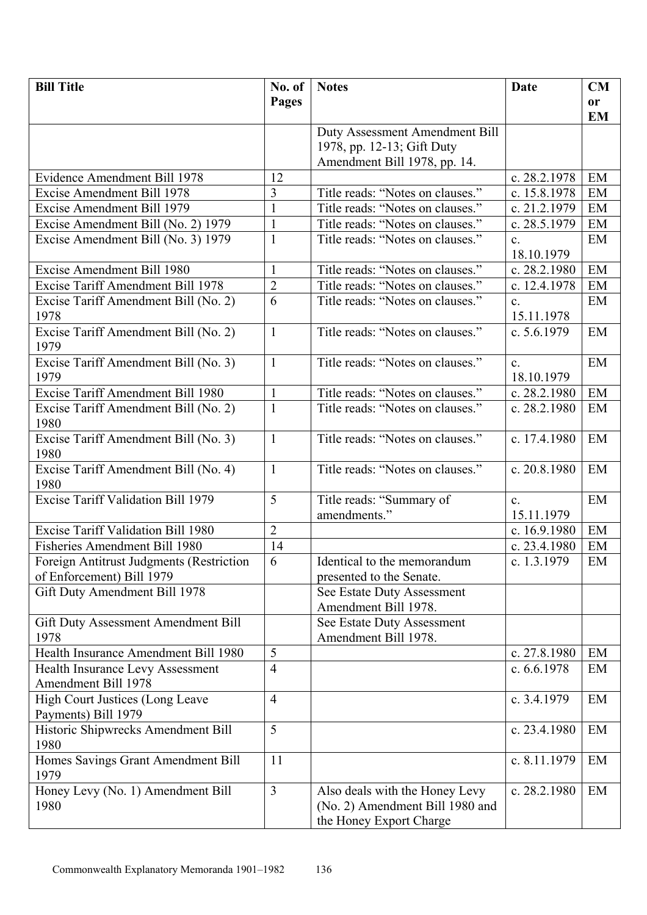| Pages<br>or<br><b>EM</b><br>Duty Assessment Amendment Bill<br>1978, pp. 12-13; Gift Duty<br>Amendment Bill 1978, pp. 14.<br>Evidence Amendment Bill 1978<br>12<br>c. 28.2.1978<br>EM<br>3<br>Title reads: "Notes on clauses."<br>c. 15.8.1978<br>Excise Amendment Bill 1978<br>EM<br>Title reads: "Notes on clauses."<br>$\mathbf{1}$<br>Excise Amendment Bill 1979<br>c. 21.2.1979<br>EM<br>Title reads: "Notes on clauses."<br>Excise Amendment Bill (No. 2) 1979<br>$\mathbf{1}$<br>c. 28.5.1979<br>EM<br>$\mathbf{1}$<br>Excise Amendment Bill (No. 3) 1979<br>Title reads: "Notes on clauses."<br>EM<br>$\mathbf{c}$ .<br>18.10.1979<br>Excise Amendment Bill 1980<br>Title reads: "Notes on clauses."<br>c. 28.2.1980<br>EM<br>1<br>$\overline{2}$<br>Excise Tariff Amendment Bill 1978<br>Title reads: "Notes on clauses."<br>c. 12.4.1978<br>EM<br>6<br>Title reads: "Notes on clauses."<br>Excise Tariff Amendment Bill (No. 2)<br>EM<br>$\mathbf{c}$ .<br>1978<br>15.11.1978<br>Excise Tariff Amendment Bill (No. 2)<br>Title reads: "Notes on clauses."<br>$\mathbf{1}$<br>c. $5.6.1979$<br>EM<br>1979<br>Excise Tariff Amendment Bill (No. 3)<br>Title reads: "Notes on clauses."<br>$\mathbf{1}$<br>EM<br>$\mathbf{c}$ .<br>1979<br>18.10.1979<br>Excise Tariff Amendment Bill 1980<br>$\mathbf{1}$<br>Title reads: "Notes on clauses."<br>c. 28.2.1980<br>EM<br>$\mathbf{1}$<br>Title reads: "Notes on clauses."<br>Excise Tariff Amendment Bill (No. 2)<br>c. 28.2.1980<br>EM<br>1980<br>Excise Tariff Amendment Bill (No. 3)<br>Title reads: "Notes on clauses."<br>$\mathbf{1}$<br>c. 17.4.1980<br>EM<br>1980<br>Excise Tariff Amendment Bill (No. 4)<br>Title reads: "Notes on clauses."<br>$\mathbf{1}$<br>c. 20.8.1980<br>EM<br>1980<br>5<br><b>Excise Tariff Validation Bill 1979</b><br>EM<br>Title reads: "Summary of<br>$\mathbf{c}$ .<br>amendments."<br>15.11.1979<br>Excise Tariff Validation Bill 1980<br>$\overline{2}$<br>c. 16.9.1980<br>EM<br>14<br>Fisheries Amendment Bill 1980<br>c. 23.4.1980<br>EM<br>6<br>Foreign Antitrust Judgments (Restriction<br>Identical to the memorandum<br>c. $1.3.1979$<br>EM |
|------------------------------------------------------------------------------------------------------------------------------------------------------------------------------------------------------------------------------------------------------------------------------------------------------------------------------------------------------------------------------------------------------------------------------------------------------------------------------------------------------------------------------------------------------------------------------------------------------------------------------------------------------------------------------------------------------------------------------------------------------------------------------------------------------------------------------------------------------------------------------------------------------------------------------------------------------------------------------------------------------------------------------------------------------------------------------------------------------------------------------------------------------------------------------------------------------------------------------------------------------------------------------------------------------------------------------------------------------------------------------------------------------------------------------------------------------------------------------------------------------------------------------------------------------------------------------------------------------------------------------------------------------------------------------------------------------------------------------------------------------------------------------------------------------------------------------------------------------------------------------------------------------------------------------------------------------------------------------------------------------------------------------------------------------------------------------------------------------------------------------------------------|
|                                                                                                                                                                                                                                                                                                                                                                                                                                                                                                                                                                                                                                                                                                                                                                                                                                                                                                                                                                                                                                                                                                                                                                                                                                                                                                                                                                                                                                                                                                                                                                                                                                                                                                                                                                                                                                                                                                                                                                                                                                                                                                                                                |
|                                                                                                                                                                                                                                                                                                                                                                                                                                                                                                                                                                                                                                                                                                                                                                                                                                                                                                                                                                                                                                                                                                                                                                                                                                                                                                                                                                                                                                                                                                                                                                                                                                                                                                                                                                                                                                                                                                                                                                                                                                                                                                                                                |
|                                                                                                                                                                                                                                                                                                                                                                                                                                                                                                                                                                                                                                                                                                                                                                                                                                                                                                                                                                                                                                                                                                                                                                                                                                                                                                                                                                                                                                                                                                                                                                                                                                                                                                                                                                                                                                                                                                                                                                                                                                                                                                                                                |
|                                                                                                                                                                                                                                                                                                                                                                                                                                                                                                                                                                                                                                                                                                                                                                                                                                                                                                                                                                                                                                                                                                                                                                                                                                                                                                                                                                                                                                                                                                                                                                                                                                                                                                                                                                                                                                                                                                                                                                                                                                                                                                                                                |
|                                                                                                                                                                                                                                                                                                                                                                                                                                                                                                                                                                                                                                                                                                                                                                                                                                                                                                                                                                                                                                                                                                                                                                                                                                                                                                                                                                                                                                                                                                                                                                                                                                                                                                                                                                                                                                                                                                                                                                                                                                                                                                                                                |
|                                                                                                                                                                                                                                                                                                                                                                                                                                                                                                                                                                                                                                                                                                                                                                                                                                                                                                                                                                                                                                                                                                                                                                                                                                                                                                                                                                                                                                                                                                                                                                                                                                                                                                                                                                                                                                                                                                                                                                                                                                                                                                                                                |
|                                                                                                                                                                                                                                                                                                                                                                                                                                                                                                                                                                                                                                                                                                                                                                                                                                                                                                                                                                                                                                                                                                                                                                                                                                                                                                                                                                                                                                                                                                                                                                                                                                                                                                                                                                                                                                                                                                                                                                                                                                                                                                                                                |
|                                                                                                                                                                                                                                                                                                                                                                                                                                                                                                                                                                                                                                                                                                                                                                                                                                                                                                                                                                                                                                                                                                                                                                                                                                                                                                                                                                                                                                                                                                                                                                                                                                                                                                                                                                                                                                                                                                                                                                                                                                                                                                                                                |
|                                                                                                                                                                                                                                                                                                                                                                                                                                                                                                                                                                                                                                                                                                                                                                                                                                                                                                                                                                                                                                                                                                                                                                                                                                                                                                                                                                                                                                                                                                                                                                                                                                                                                                                                                                                                                                                                                                                                                                                                                                                                                                                                                |
|                                                                                                                                                                                                                                                                                                                                                                                                                                                                                                                                                                                                                                                                                                                                                                                                                                                                                                                                                                                                                                                                                                                                                                                                                                                                                                                                                                                                                                                                                                                                                                                                                                                                                                                                                                                                                                                                                                                                                                                                                                                                                                                                                |
|                                                                                                                                                                                                                                                                                                                                                                                                                                                                                                                                                                                                                                                                                                                                                                                                                                                                                                                                                                                                                                                                                                                                                                                                                                                                                                                                                                                                                                                                                                                                                                                                                                                                                                                                                                                                                                                                                                                                                                                                                                                                                                                                                |
|                                                                                                                                                                                                                                                                                                                                                                                                                                                                                                                                                                                                                                                                                                                                                                                                                                                                                                                                                                                                                                                                                                                                                                                                                                                                                                                                                                                                                                                                                                                                                                                                                                                                                                                                                                                                                                                                                                                                                                                                                                                                                                                                                |
|                                                                                                                                                                                                                                                                                                                                                                                                                                                                                                                                                                                                                                                                                                                                                                                                                                                                                                                                                                                                                                                                                                                                                                                                                                                                                                                                                                                                                                                                                                                                                                                                                                                                                                                                                                                                                                                                                                                                                                                                                                                                                                                                                |
|                                                                                                                                                                                                                                                                                                                                                                                                                                                                                                                                                                                                                                                                                                                                                                                                                                                                                                                                                                                                                                                                                                                                                                                                                                                                                                                                                                                                                                                                                                                                                                                                                                                                                                                                                                                                                                                                                                                                                                                                                                                                                                                                                |
|                                                                                                                                                                                                                                                                                                                                                                                                                                                                                                                                                                                                                                                                                                                                                                                                                                                                                                                                                                                                                                                                                                                                                                                                                                                                                                                                                                                                                                                                                                                                                                                                                                                                                                                                                                                                                                                                                                                                                                                                                                                                                                                                                |
|                                                                                                                                                                                                                                                                                                                                                                                                                                                                                                                                                                                                                                                                                                                                                                                                                                                                                                                                                                                                                                                                                                                                                                                                                                                                                                                                                                                                                                                                                                                                                                                                                                                                                                                                                                                                                                                                                                                                                                                                                                                                                                                                                |
|                                                                                                                                                                                                                                                                                                                                                                                                                                                                                                                                                                                                                                                                                                                                                                                                                                                                                                                                                                                                                                                                                                                                                                                                                                                                                                                                                                                                                                                                                                                                                                                                                                                                                                                                                                                                                                                                                                                                                                                                                                                                                                                                                |
|                                                                                                                                                                                                                                                                                                                                                                                                                                                                                                                                                                                                                                                                                                                                                                                                                                                                                                                                                                                                                                                                                                                                                                                                                                                                                                                                                                                                                                                                                                                                                                                                                                                                                                                                                                                                                                                                                                                                                                                                                                                                                                                                                |
|                                                                                                                                                                                                                                                                                                                                                                                                                                                                                                                                                                                                                                                                                                                                                                                                                                                                                                                                                                                                                                                                                                                                                                                                                                                                                                                                                                                                                                                                                                                                                                                                                                                                                                                                                                                                                                                                                                                                                                                                                                                                                                                                                |
|                                                                                                                                                                                                                                                                                                                                                                                                                                                                                                                                                                                                                                                                                                                                                                                                                                                                                                                                                                                                                                                                                                                                                                                                                                                                                                                                                                                                                                                                                                                                                                                                                                                                                                                                                                                                                                                                                                                                                                                                                                                                                                                                                |
|                                                                                                                                                                                                                                                                                                                                                                                                                                                                                                                                                                                                                                                                                                                                                                                                                                                                                                                                                                                                                                                                                                                                                                                                                                                                                                                                                                                                                                                                                                                                                                                                                                                                                                                                                                                                                                                                                                                                                                                                                                                                                                                                                |
|                                                                                                                                                                                                                                                                                                                                                                                                                                                                                                                                                                                                                                                                                                                                                                                                                                                                                                                                                                                                                                                                                                                                                                                                                                                                                                                                                                                                                                                                                                                                                                                                                                                                                                                                                                                                                                                                                                                                                                                                                                                                                                                                                |
|                                                                                                                                                                                                                                                                                                                                                                                                                                                                                                                                                                                                                                                                                                                                                                                                                                                                                                                                                                                                                                                                                                                                                                                                                                                                                                                                                                                                                                                                                                                                                                                                                                                                                                                                                                                                                                                                                                                                                                                                                                                                                                                                                |
|                                                                                                                                                                                                                                                                                                                                                                                                                                                                                                                                                                                                                                                                                                                                                                                                                                                                                                                                                                                                                                                                                                                                                                                                                                                                                                                                                                                                                                                                                                                                                                                                                                                                                                                                                                                                                                                                                                                                                                                                                                                                                                                                                |
|                                                                                                                                                                                                                                                                                                                                                                                                                                                                                                                                                                                                                                                                                                                                                                                                                                                                                                                                                                                                                                                                                                                                                                                                                                                                                                                                                                                                                                                                                                                                                                                                                                                                                                                                                                                                                                                                                                                                                                                                                                                                                                                                                |
|                                                                                                                                                                                                                                                                                                                                                                                                                                                                                                                                                                                                                                                                                                                                                                                                                                                                                                                                                                                                                                                                                                                                                                                                                                                                                                                                                                                                                                                                                                                                                                                                                                                                                                                                                                                                                                                                                                                                                                                                                                                                                                                                                |
|                                                                                                                                                                                                                                                                                                                                                                                                                                                                                                                                                                                                                                                                                                                                                                                                                                                                                                                                                                                                                                                                                                                                                                                                                                                                                                                                                                                                                                                                                                                                                                                                                                                                                                                                                                                                                                                                                                                                                                                                                                                                                                                                                |
|                                                                                                                                                                                                                                                                                                                                                                                                                                                                                                                                                                                                                                                                                                                                                                                                                                                                                                                                                                                                                                                                                                                                                                                                                                                                                                                                                                                                                                                                                                                                                                                                                                                                                                                                                                                                                                                                                                                                                                                                                                                                                                                                                |
|                                                                                                                                                                                                                                                                                                                                                                                                                                                                                                                                                                                                                                                                                                                                                                                                                                                                                                                                                                                                                                                                                                                                                                                                                                                                                                                                                                                                                                                                                                                                                                                                                                                                                                                                                                                                                                                                                                                                                                                                                                                                                                                                                |
|                                                                                                                                                                                                                                                                                                                                                                                                                                                                                                                                                                                                                                                                                                                                                                                                                                                                                                                                                                                                                                                                                                                                                                                                                                                                                                                                                                                                                                                                                                                                                                                                                                                                                                                                                                                                                                                                                                                                                                                                                                                                                                                                                |
| of Enforcement) Bill 1979                                                                                                                                                                                                                                                                                                                                                                                                                                                                                                                                                                                                                                                                                                                                                                                                                                                                                                                                                                                                                                                                                                                                                                                                                                                                                                                                                                                                                                                                                                                                                                                                                                                                                                                                                                                                                                                                                                                                                                                                                                                                                                                      |
| presented to the Senate.<br>Gift Duty Amendment Bill 1978<br>See Estate Duty Assessment                                                                                                                                                                                                                                                                                                                                                                                                                                                                                                                                                                                                                                                                                                                                                                                                                                                                                                                                                                                                                                                                                                                                                                                                                                                                                                                                                                                                                                                                                                                                                                                                                                                                                                                                                                                                                                                                                                                                                                                                                                                        |
| Amendment Bill 1978.                                                                                                                                                                                                                                                                                                                                                                                                                                                                                                                                                                                                                                                                                                                                                                                                                                                                                                                                                                                                                                                                                                                                                                                                                                                                                                                                                                                                                                                                                                                                                                                                                                                                                                                                                                                                                                                                                                                                                                                                                                                                                                                           |
| See Estate Duty Assessment<br>Gift Duty Assessment Amendment Bill                                                                                                                                                                                                                                                                                                                                                                                                                                                                                                                                                                                                                                                                                                                                                                                                                                                                                                                                                                                                                                                                                                                                                                                                                                                                                                                                                                                                                                                                                                                                                                                                                                                                                                                                                                                                                                                                                                                                                                                                                                                                              |
| 1978<br>Amendment Bill 1978.                                                                                                                                                                                                                                                                                                                                                                                                                                                                                                                                                                                                                                                                                                                                                                                                                                                                                                                                                                                                                                                                                                                                                                                                                                                                                                                                                                                                                                                                                                                                                                                                                                                                                                                                                                                                                                                                                                                                                                                                                                                                                                                   |
| 5<br>Health Insurance Amendment Bill 1980<br>c. 27.8.1980<br>EM                                                                                                                                                                                                                                                                                                                                                                                                                                                                                                                                                                                                                                                                                                                                                                                                                                                                                                                                                                                                                                                                                                                                                                                                                                                                                                                                                                                                                                                                                                                                                                                                                                                                                                                                                                                                                                                                                                                                                                                                                                                                                |
| $\overline{4}$<br>Health Insurance Levy Assessment<br>c. 6.6.1978<br>EM                                                                                                                                                                                                                                                                                                                                                                                                                                                                                                                                                                                                                                                                                                                                                                                                                                                                                                                                                                                                                                                                                                                                                                                                                                                                                                                                                                                                                                                                                                                                                                                                                                                                                                                                                                                                                                                                                                                                                                                                                                                                        |
| <b>Amendment Bill 1978</b>                                                                                                                                                                                                                                                                                                                                                                                                                                                                                                                                                                                                                                                                                                                                                                                                                                                                                                                                                                                                                                                                                                                                                                                                                                                                                                                                                                                                                                                                                                                                                                                                                                                                                                                                                                                                                                                                                                                                                                                                                                                                                                                     |
| High Court Justices (Long Leave<br>$\overline{4}$<br>c. 3.4.1979<br>EM                                                                                                                                                                                                                                                                                                                                                                                                                                                                                                                                                                                                                                                                                                                                                                                                                                                                                                                                                                                                                                                                                                                                                                                                                                                                                                                                                                                                                                                                                                                                                                                                                                                                                                                                                                                                                                                                                                                                                                                                                                                                         |
| Payments) Bill 1979                                                                                                                                                                                                                                                                                                                                                                                                                                                                                                                                                                                                                                                                                                                                                                                                                                                                                                                                                                                                                                                                                                                                                                                                                                                                                                                                                                                                                                                                                                                                                                                                                                                                                                                                                                                                                                                                                                                                                                                                                                                                                                                            |
| 5<br>Historic Shipwrecks Amendment Bill<br>EM<br>c. 23.4.1980                                                                                                                                                                                                                                                                                                                                                                                                                                                                                                                                                                                                                                                                                                                                                                                                                                                                                                                                                                                                                                                                                                                                                                                                                                                                                                                                                                                                                                                                                                                                                                                                                                                                                                                                                                                                                                                                                                                                                                                                                                                                                  |
| 1980                                                                                                                                                                                                                                                                                                                                                                                                                                                                                                                                                                                                                                                                                                                                                                                                                                                                                                                                                                                                                                                                                                                                                                                                                                                                                                                                                                                                                                                                                                                                                                                                                                                                                                                                                                                                                                                                                                                                                                                                                                                                                                                                           |
| Homes Savings Grant Amendment Bill<br>c. 8.11.1979<br>11<br>EM                                                                                                                                                                                                                                                                                                                                                                                                                                                                                                                                                                                                                                                                                                                                                                                                                                                                                                                                                                                                                                                                                                                                                                                                                                                                                                                                                                                                                                                                                                                                                                                                                                                                                                                                                                                                                                                                                                                                                                                                                                                                                 |
| 1979                                                                                                                                                                                                                                                                                                                                                                                                                                                                                                                                                                                                                                                                                                                                                                                                                                                                                                                                                                                                                                                                                                                                                                                                                                                                                                                                                                                                                                                                                                                                                                                                                                                                                                                                                                                                                                                                                                                                                                                                                                                                                                                                           |
| $\overline{3}$<br>Honey Levy (No. 1) Amendment Bill<br>Also deals with the Honey Levy<br>c. 28.2.1980<br>EM                                                                                                                                                                                                                                                                                                                                                                                                                                                                                                                                                                                                                                                                                                                                                                                                                                                                                                                                                                                                                                                                                                                                                                                                                                                                                                                                                                                                                                                                                                                                                                                                                                                                                                                                                                                                                                                                                                                                                                                                                                    |
| 1980<br>(No. 2) Amendment Bill 1980 and                                                                                                                                                                                                                                                                                                                                                                                                                                                                                                                                                                                                                                                                                                                                                                                                                                                                                                                                                                                                                                                                                                                                                                                                                                                                                                                                                                                                                                                                                                                                                                                                                                                                                                                                                                                                                                                                                                                                                                                                                                                                                                        |
| the Honey Export Charge                                                                                                                                                                                                                                                                                                                                                                                                                                                                                                                                                                                                                                                                                                                                                                                                                                                                                                                                                                                                                                                                                                                                                                                                                                                                                                                                                                                                                                                                                                                                                                                                                                                                                                                                                                                                                                                                                                                                                                                                                                                                                                                        |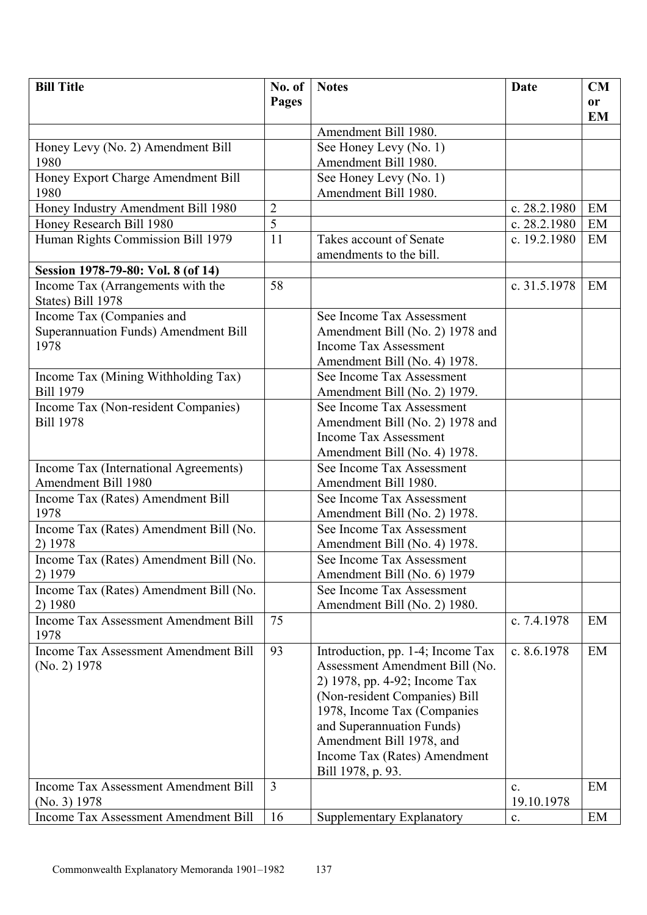| <b>Bill Title</b>                                      | No. of         | <b>Notes</b>                      | <b>Date</b>    | CM        |
|--------------------------------------------------------|----------------|-----------------------------------|----------------|-----------|
|                                                        | Pages          |                                   |                | <b>or</b> |
|                                                        |                |                                   |                | <b>EM</b> |
|                                                        |                | Amendment Bill 1980.              |                |           |
| Honey Levy (No. 2) Amendment Bill                      |                | See Honey Levy (No. 1)            |                |           |
| 1980                                                   |                | Amendment Bill 1980.              |                |           |
| Honey Export Charge Amendment Bill                     |                | See Honey Levy (No. 1)            |                |           |
| 1980                                                   |                | Amendment Bill 1980.              |                |           |
| Honey Industry Amendment Bill 1980                     | $\overline{2}$ |                                   | c. 28.2.1980   | EM        |
| Honey Research Bill 1980                               | $\overline{5}$ |                                   | c. 28.2.1980   | EM        |
| Human Rights Commission Bill 1979                      | 11             | Takes account of Senate           | c. 19.2.1980   | EM        |
|                                                        |                | amendments to the bill.           |                |           |
| Session 1978-79-80: Vol. 8 (of 14)                     |                |                                   |                |           |
| Income Tax (Arrangements with the<br>States) Bill 1978 | 58             |                                   | c. 31.5.1978   | EM        |
| Income Tax (Companies and                              |                | See Income Tax Assessment         |                |           |
| <b>Superannuation Funds) Amendment Bill</b>            |                | Amendment Bill (No. 2) 1978 and   |                |           |
| 1978                                                   |                | <b>Income Tax Assessment</b>      |                |           |
|                                                        |                | Amendment Bill (No. 4) 1978.      |                |           |
| Income Tax (Mining Withholding Tax)                    |                | See Income Tax Assessment         |                |           |
| <b>Bill 1979</b>                                       |                | Amendment Bill (No. 2) 1979.      |                |           |
| Income Tax (Non-resident Companies)                    |                | See Income Tax Assessment         |                |           |
| <b>Bill 1978</b>                                       |                | Amendment Bill (No. 2) 1978 and   |                |           |
|                                                        |                | <b>Income Tax Assessment</b>      |                |           |
|                                                        |                | Amendment Bill (No. 4) 1978.      |                |           |
| Income Tax (International Agreements)                  |                | See Income Tax Assessment         |                |           |
| Amendment Bill 1980                                    |                | Amendment Bill 1980.              |                |           |
| Income Tax (Rates) Amendment Bill                      |                | See Income Tax Assessment         |                |           |
| 1978                                                   |                | Amendment Bill (No. 2) 1978.      |                |           |
| Income Tax (Rates) Amendment Bill (No.                 |                | See Income Tax Assessment         |                |           |
| 2) 1978                                                |                | Amendment Bill (No. 4) 1978.      |                |           |
| Income Tax (Rates) Amendment Bill (No.                 |                | See Income Tax Assessment         |                |           |
| 2) 1979                                                |                | Amendment Bill (No. 6) 1979       |                |           |
| Income Tax (Rates) Amendment Bill (No.                 |                | See Income Tax Assessment         |                |           |
| 2) 1980                                                |                | Amendment Bill (No. 2) 1980.      |                |           |
| Income Tax Assessment Amendment Bill<br>1978           | 75             |                                   | c. 7.4.1978    | EM        |
| <b>Income Tax Assessment Amendment Bill</b>            | 93             | Introduction, pp. 1-4; Income Tax | c. 8.6.1978    | EM        |
| (No. 2) 1978                                           |                | Assessment Amendment Bill (No.    |                |           |
|                                                        |                | 2) 1978, pp. 4-92; Income Tax     |                |           |
|                                                        |                | (Non-resident Companies) Bill     |                |           |
|                                                        |                | 1978, Income Tax (Companies       |                |           |
|                                                        |                | and Superannuation Funds)         |                |           |
|                                                        |                | Amendment Bill 1978, and          |                |           |
|                                                        |                | Income Tax (Rates) Amendment      |                |           |
|                                                        |                | Bill 1978, p. 93.                 |                |           |
| <b>Income Tax Assessment Amendment Bill</b>            | $\overline{3}$ |                                   | $\mathbf{c}$ . | EM        |
| (No. 3) 1978                                           |                |                                   | 19.10.1978     |           |
| Income Tax Assessment Amendment Bill                   | 16             | <b>Supplementary Explanatory</b>  | c.             | EM        |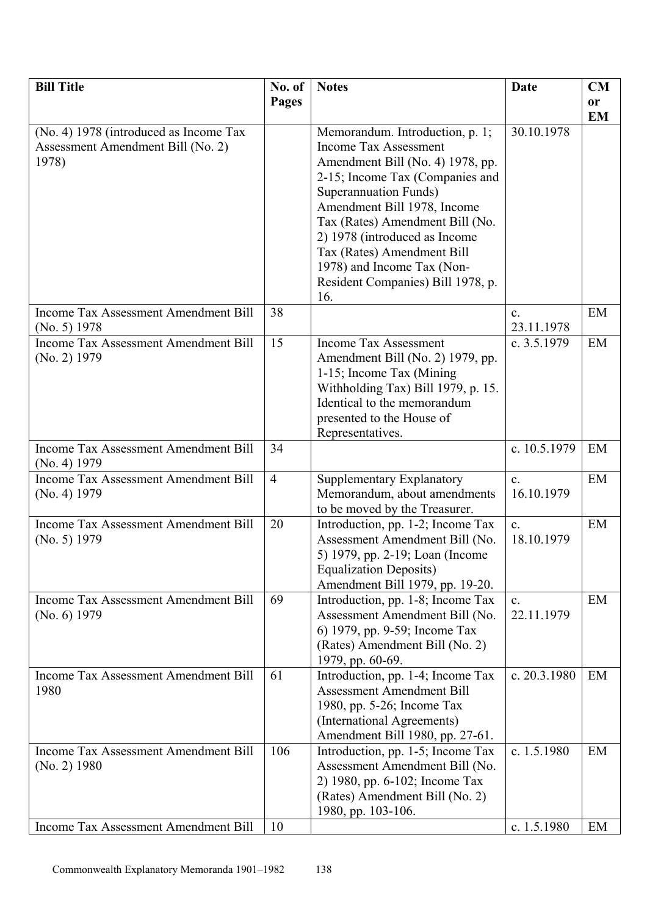| <b>Bill Title</b>                           | No. of         | <b>Notes</b>                                                        | Date           | CM        |
|---------------------------------------------|----------------|---------------------------------------------------------------------|----------------|-----------|
|                                             | Pages          |                                                                     |                | <b>or</b> |
|                                             |                |                                                                     |                | <b>EM</b> |
| (No. 4) 1978 (introduced as Income Tax      |                | Memorandum. Introduction, p. 1;                                     | 30.10.1978     |           |
| Assessment Amendment Bill (No. 2)           |                | <b>Income Tax Assessment</b>                                        |                |           |
| 1978)                                       |                | Amendment Bill (No. 4) 1978, pp.                                    |                |           |
|                                             |                | 2-15; Income Tax (Companies and                                     |                |           |
|                                             |                | Superannuation Funds)<br>Amendment Bill 1978, Income                |                |           |
|                                             |                | Tax (Rates) Amendment Bill (No.                                     |                |           |
|                                             |                | 2) 1978 (introduced as Income                                       |                |           |
|                                             |                | Tax (Rates) Amendment Bill                                          |                |           |
|                                             |                | 1978) and Income Tax (Non-                                          |                |           |
|                                             |                | Resident Companies) Bill 1978, p.                                   |                |           |
|                                             |                | 16.                                                                 |                |           |
| <b>Income Tax Assessment Amendment Bill</b> | 38             |                                                                     | C <sub>1</sub> | EM        |
| (No. 5) 1978                                |                |                                                                     | 23.11.1978     |           |
| Income Tax Assessment Amendment Bill        | 15             | <b>Income Tax Assessment</b>                                        | c. 3.5.1979    | EM        |
| (No. 2) 1979                                |                | Amendment Bill (No. 2) 1979, pp.                                    |                |           |
|                                             |                | 1-15; Income Tax (Mining)                                           |                |           |
|                                             |                | Withholding Tax) Bill 1979, p. 15.<br>Identical to the memorandum   |                |           |
|                                             |                | presented to the House of                                           |                |           |
|                                             |                | Representatives.                                                    |                |           |
| <b>Income Tax Assessment Amendment Bill</b> | 34             |                                                                     | c. 10.5.1979   | EM        |
| (No. 4) 1979                                |                |                                                                     |                |           |
| Income Tax Assessment Amendment Bill        | $\overline{4}$ | Supplementary Explanatory                                           | $\mathbf{c}$ . | EM        |
| (No. 4) 1979                                |                | Memorandum, about amendments                                        | 16.10.1979     |           |
|                                             |                | to be moved by the Treasurer.                                       |                |           |
| <b>Income Tax Assessment Amendment Bill</b> | 20             | Introduction, pp. 1-2; Income Tax                                   | $\mathbf{c}$ . | EM        |
| (No. 5) 1979                                |                | Assessment Amendment Bill (No.                                      | 18.10.1979     |           |
|                                             |                | 5) 1979, pp. 2-19; Loan (Income<br><b>Equalization Deposits)</b>    |                |           |
|                                             |                | Amendment Bill 1979, pp. 19-20.                                     |                |           |
| <b>Income Tax Assessment Amendment Bill</b> | 69             | Introduction, pp. 1-8; Income Tax                                   | $\mathbf{c}$ . | EM        |
| (No. 6) 1979                                |                | Assessment Amendment Bill (No.                                      | 22.11.1979     |           |
|                                             |                | 6) 1979, pp. 9-59; Income Tax                                       |                |           |
|                                             |                | (Rates) Amendment Bill (No. 2)                                      |                |           |
|                                             |                | 1979, pp. 60-69.                                                    |                |           |
| Income Tax Assessment Amendment Bill        | 61             | Introduction, pp. 1-4; Income Tax                                   | c. 20.3.1980   | EM        |
| 1980                                        |                | <b>Assessment Amendment Bill</b>                                    |                |           |
|                                             |                | 1980, pp. 5-26; Income Tax                                          |                |           |
|                                             |                | (International Agreements)                                          |                |           |
| Income Tax Assessment Amendment Bill        | 106            | Amendment Bill 1980, pp. 27-61.                                     | c. $1.5.1980$  | EM        |
| $(No. 2)$ 1980                              |                | Introduction, pp. 1-5; Income Tax<br>Assessment Amendment Bill (No. |                |           |
|                                             |                | 2) 1980, pp. 6-102; Income Tax                                      |                |           |
|                                             |                | (Rates) Amendment Bill (No. 2)                                      |                |           |
|                                             |                | 1980, pp. 103-106.                                                  |                |           |
| <b>Income Tax Assessment Amendment Bill</b> | 10             |                                                                     | c. 1.5.1980    | EM        |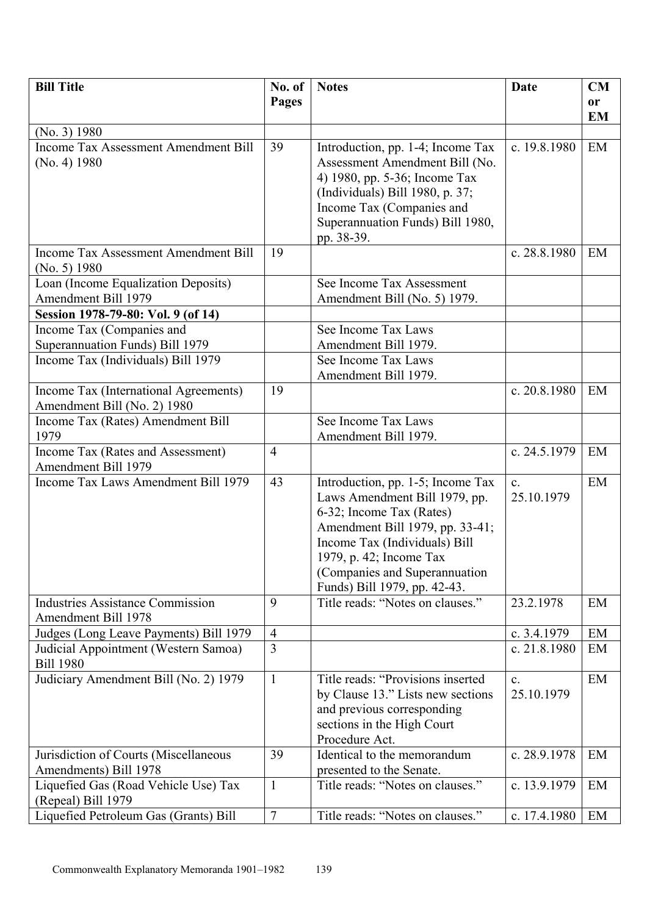| <b>Bill Title</b>                                                     | No. of<br>Pages | <b>Notes</b>                                                                                                                                                                                                                                                    | <b>Date</b>                  | CM              |
|-----------------------------------------------------------------------|-----------------|-----------------------------------------------------------------------------------------------------------------------------------------------------------------------------------------------------------------------------------------------------------------|------------------------------|-----------------|
|                                                                       |                 |                                                                                                                                                                                                                                                                 |                              | or<br><b>EM</b> |
| (No. 3) 1980                                                          |                 |                                                                                                                                                                                                                                                                 |                              |                 |
| <b>Income Tax Assessment Amendment Bill</b><br>(No. 4) 1980           | 39              | Introduction, pp. 1-4; Income Tax<br>Assessment Amendment Bill (No.<br>4) 1980, pp. 5-36; Income Tax<br>(Individuals) Bill 1980, p. 37;<br>Income Tax (Companies and<br>Superannuation Funds) Bill 1980,<br>pp. 38-39.                                          | c. 19.8.1980                 | EM              |
| <b>Income Tax Assessment Amendment Bill</b><br>(No. 5) 1980           | 19              |                                                                                                                                                                                                                                                                 | c. 28.8.1980                 | EM              |
| Loan (Income Equalization Deposits)<br>Amendment Bill 1979            |                 | See Income Tax Assessment<br>Amendment Bill (No. 5) 1979.                                                                                                                                                                                                       |                              |                 |
| Session 1978-79-80: Vol. 9 (of 14)                                    |                 |                                                                                                                                                                                                                                                                 |                              |                 |
| Income Tax (Companies and<br>Superannuation Funds) Bill 1979          |                 | See Income Tax Laws<br>Amendment Bill 1979.                                                                                                                                                                                                                     |                              |                 |
| Income Tax (Individuals) Bill 1979                                    |                 | See Income Tax Laws<br>Amendment Bill 1979.                                                                                                                                                                                                                     |                              |                 |
| Income Tax (International Agreements)<br>Amendment Bill (No. 2) 1980  | 19              |                                                                                                                                                                                                                                                                 | c. $20.8.1980$               | EM              |
| Income Tax (Rates) Amendment Bill<br>1979                             |                 | See Income Tax Laws<br>Amendment Bill 1979.                                                                                                                                                                                                                     |                              |                 |
| Income Tax (Rates and Assessment)<br>Amendment Bill 1979              | $\overline{4}$  |                                                                                                                                                                                                                                                                 | c. 24.5.1979                 | EM              |
| Income Tax Laws Amendment Bill 1979                                   | 43              | Introduction, pp. 1-5; Income Tax<br>Laws Amendment Bill 1979, pp.<br>6-32; Income Tax (Rates)<br>Amendment Bill 1979, pp. 33-41;<br>Income Tax (Individuals) Bill<br>1979, p. 42; Income Tax<br>(Companies and Superannuation)<br>Funds) Bill 1979, pp. 42-43. | $\mathbf{c}$ .<br>25.10.1979 | EM              |
| <b>Industries Assistance Commission</b><br><b>Amendment Bill 1978</b> | 9               | Title reads: "Notes on clauses."                                                                                                                                                                                                                                | 23.2.1978                    | EM              |
| Judges (Long Leave Payments) Bill 1979                                | $\overline{4}$  |                                                                                                                                                                                                                                                                 | c. 3.4.1979                  | EM              |
| Judicial Appointment (Western Samoa)<br><b>Bill 1980</b>              | $\overline{3}$  |                                                                                                                                                                                                                                                                 | c. 21.8.1980                 | EM              |
| Judiciary Amendment Bill (No. 2) 1979                                 | $\mathbf{1}$    | Title reads: "Provisions inserted<br>by Clause 13." Lists new sections<br>and previous corresponding<br>sections in the High Court<br>Procedure Act.                                                                                                            | $\mathbf{c}$ .<br>25.10.1979 | EM              |
| Jurisdiction of Courts (Miscellaneous                                 | 39              | Identical to the memorandum                                                                                                                                                                                                                                     | c. 28.9.1978                 | EM              |
| Amendments) Bill 1978                                                 |                 | presented to the Senate.                                                                                                                                                                                                                                        |                              |                 |
| Liquefied Gas (Road Vehicle Use) Tax<br>(Repeal) Bill 1979            | $\mathbf{1}$    | Title reads: "Notes on clauses."                                                                                                                                                                                                                                | c. 13.9.1979                 | EM              |
| Liquefied Petroleum Gas (Grants) Bill                                 | $\overline{7}$  | Title reads: "Notes on clauses."                                                                                                                                                                                                                                | c. 17.4.1980                 | EM              |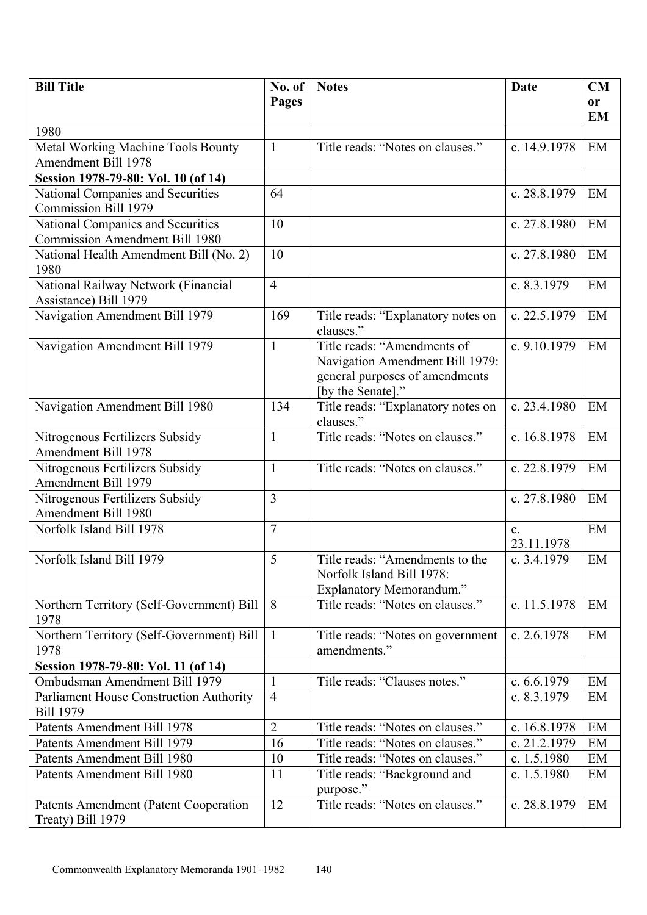| <b>Bill Title</b>                                                    | No. of         | <b>Notes</b>                                    | Date                         | <b>CM</b>     |
|----------------------------------------------------------------------|----------------|-------------------------------------------------|------------------------------|---------------|
|                                                                      | Pages          |                                                 |                              | <sub>or</sub> |
| 1980                                                                 |                |                                                 |                              | <b>EM</b>     |
| <b>Metal Working Machine Tools Bounty</b>                            | $\mathbf{1}$   | Title reads: "Notes on clauses."                | c. 14.9.1978                 | EM            |
| <b>Amendment Bill 1978</b>                                           |                |                                                 |                              |               |
| Session 1978-79-80: Vol. 10 (of 14)                                  |                |                                                 |                              |               |
| National Companies and Securities                                    | 64             |                                                 | c. 28.8.1979                 | EM            |
| <b>Commission Bill 1979</b>                                          |                |                                                 |                              |               |
| National Companies and Securities                                    | 10             |                                                 | c. 27.8.1980                 | EM            |
| <b>Commission Amendment Bill 1980</b>                                |                |                                                 |                              |               |
| National Health Amendment Bill (No. 2)<br>1980                       | 10             |                                                 | c. 27.8.1980                 | EM            |
| National Railway Network (Financial<br>Assistance) Bill 1979         | $\overline{4}$ |                                                 | c. 8.3.1979                  | EM            |
| Navigation Amendment Bill 1979                                       | 169            | Title reads: "Explanatory notes on<br>clauses." | c. 22.5.1979                 | EM            |
| Navigation Amendment Bill 1979                                       | $\mathbf{1}$   | Title reads: "Amendments of                     | c. 9.10.1979                 | EM            |
|                                                                      |                | Navigation Amendment Bill 1979:                 |                              |               |
|                                                                      |                | general purposes of amendments                  |                              |               |
|                                                                      |                | [by the Senate]."                               |                              |               |
| Navigation Amendment Bill 1980                                       | 134            | Title reads: "Explanatory notes on<br>clauses." | c. 23.4.1980                 | EM            |
| Nitrogenous Fertilizers Subsidy                                      | $\mathbf{1}$   | Title reads: "Notes on clauses."                | c. 16.8.1978                 | EM            |
| Amendment Bill 1978                                                  |                |                                                 |                              |               |
| Nitrogenous Fertilizers Subsidy<br>Amendment Bill 1979               | $\mathbf{1}$   | Title reads: "Notes on clauses."                | c. 22.8.1979                 | EM            |
| Nitrogenous Fertilizers Subsidy                                      | 3              |                                                 | c. 27.8.1980                 | EM            |
| Amendment Bill 1980                                                  |                |                                                 |                              |               |
| Norfolk Island Bill 1978                                             | $\overline{7}$ |                                                 | $\mathbf{c}$ .<br>23.11.1978 | EM            |
| Norfolk Island Bill 1979                                             | 5              | Title reads: "Amendments to the                 | c. 3.4.1979                  | EM            |
|                                                                      |                | Norfolk Island Bill 1978:                       |                              |               |
|                                                                      |                | Explanatory Memorandum."                        |                              |               |
| Northern Territory (Self-Government) Bill<br>1978                    | 8              | Title reads: "Notes on clauses."                | c. 11.5.1978                 | EM            |
| Northern Territory (Self-Government) Bill                            | $\mathbf{1}$   | Title reads: "Notes on government               | c. 2.6.1978                  | EM            |
| 1978                                                                 |                | amendments."                                    |                              |               |
| Session 1978-79-80: Vol. 11 (of 14)<br>Ombudsman Amendment Bill 1979 | 1              | Title reads: "Clauses notes."                   | c. 6.6.1979                  | EM            |
| <b>Parliament House Construction Authority</b>                       | $\overline{4}$ |                                                 | c. 8.3.1979                  | EM            |
| <b>Bill 1979</b>                                                     |                |                                                 |                              |               |
| Patents Amendment Bill 1978                                          | $\overline{2}$ | Title reads: "Notes on clauses."                | c. 16.8.1978                 | EM            |
| Patents Amendment Bill 1979                                          | 16             | Title reads: "Notes on clauses."                | c. 21.2.1979                 | EM            |
| Patents Amendment Bill 1980                                          | 10             | Title reads: "Notes on clauses."                | c. 1.5.1980                  | EM            |
| Patents Amendment Bill 1980                                          | 11             | Title reads: "Background and                    | c. 1.5.1980                  | EM            |
|                                                                      |                | purpose."                                       |                              |               |
| <b>Patents Amendment (Patent Cooperation</b>                         | 12             | Title reads: "Notes on clauses."                | c. 28.8.1979                 | EM            |
| Treaty) Bill 1979                                                    |                |                                                 |                              |               |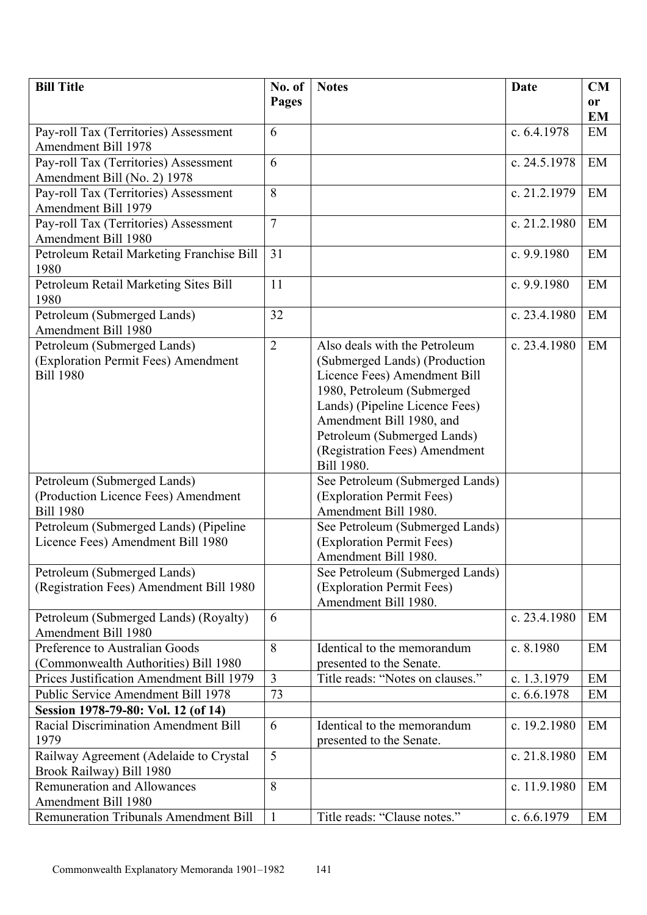| <b>Bill Title</b>                                                              | No. of         | <b>Notes</b>                                                 | <b>Date</b>                | CM        |
|--------------------------------------------------------------------------------|----------------|--------------------------------------------------------------|----------------------------|-----------|
|                                                                                | <b>Pages</b>   |                                                              |                            | <b>or</b> |
|                                                                                |                |                                                              |                            | <b>EM</b> |
| Pay-roll Tax (Territories) Assessment                                          | 6              |                                                              | c. 6.4.1978                | EM        |
| <b>Amendment Bill 1978</b>                                                     |                |                                                              |                            |           |
| Pay-roll Tax (Territories) Assessment                                          | 6              |                                                              | c. 24.5.1978               | EM        |
| Amendment Bill (No. 2) 1978                                                    |                |                                                              |                            |           |
| Pay-roll Tax (Territories) Assessment                                          | 8              |                                                              | c. 21.2.1979               | EM        |
| <b>Amendment Bill 1979</b><br>Pay-roll Tax (Territories) Assessment            | $\overline{7}$ |                                                              | c. 21.2.1980               | EM        |
| Amendment Bill 1980                                                            |                |                                                              |                            |           |
| Petroleum Retail Marketing Franchise Bill                                      | 31             |                                                              | c. $9.9.1980$              | EM        |
| 1980                                                                           |                |                                                              |                            |           |
| Petroleum Retail Marketing Sites Bill                                          | 11             |                                                              | c. 9.9.1980                | EM        |
| 1980                                                                           |                |                                                              |                            |           |
| Petroleum (Submerged Lands)                                                    | 32             |                                                              | c. 23.4.1980               | EM        |
| Amendment Bill 1980                                                            |                |                                                              |                            |           |
| Petroleum (Submerged Lands)                                                    | $\overline{2}$ | Also deals with the Petroleum                                | c. 23.4.1980               | EM        |
| (Exploration Permit Fees) Amendment                                            |                | (Submerged Lands) (Production                                |                            |           |
| <b>Bill 1980</b>                                                               |                | Licence Fees) Amendment Bill                                 |                            |           |
|                                                                                |                | 1980, Petroleum (Submerged                                   |                            |           |
|                                                                                |                | Lands) (Pipeline Licence Fees)                               |                            |           |
|                                                                                |                | Amendment Bill 1980, and                                     |                            |           |
|                                                                                |                | Petroleum (Submerged Lands)                                  |                            |           |
|                                                                                |                | (Registration Fees) Amendment<br>Bill 1980.                  |                            |           |
| Petroleum (Submerged Lands)                                                    |                | See Petroleum (Submerged Lands)                              |                            |           |
| (Production Licence Fees) Amendment                                            |                | (Exploration Permit Fees)                                    |                            |           |
| <b>Bill 1980</b>                                                               |                | Amendment Bill 1980.                                         |                            |           |
| Petroleum (Submerged Lands) (Pipeline                                          |                | See Petroleum (Submerged Lands)                              |                            |           |
| Licence Fees) Amendment Bill 1980                                              |                | (Exploration Permit Fees)                                    |                            |           |
|                                                                                |                | Amendment Bill 1980.                                         |                            |           |
| Petroleum (Submerged Lands)                                                    |                | See Petroleum (Submerged Lands)                              |                            |           |
| (Registration Fees) Amendment Bill 1980                                        |                | (Exploration Permit Fees)                                    |                            |           |
|                                                                                |                | Amendment Bill 1980.                                         |                            |           |
| Petroleum (Submerged Lands) (Royalty)                                          | 6              |                                                              | c. 23.4.1980               | EM        |
| Amendment Bill 1980                                                            |                |                                                              |                            |           |
| Preference to Australian Goods                                                 | 8              | Identical to the memorandum                                  | c. 8.1980                  | EM        |
| (Commonwealth Authorities) Bill 1980                                           | $\overline{3}$ | presented to the Senate.<br>Title reads: "Notes on clauses." |                            |           |
| Prices Justification Amendment Bill 1979<br>Public Service Amendment Bill 1978 | 73             |                                                              | c. 1.3.1979<br>c. 6.6.1978 | EM<br>EM  |
| Session 1978-79-80: Vol. 12 (of 14)                                            |                |                                                              |                            |           |
| <b>Racial Discrimination Amendment Bill</b>                                    | 6              | Identical to the memorandum                                  | c. 19.2.1980               | EM        |
| 1979                                                                           |                | presented to the Senate.                                     |                            |           |
| Railway Agreement (Adelaide to Crystal                                         | 5              |                                                              | c. 21.8.1980               | EM        |
| Brook Railway) Bill 1980                                                       |                |                                                              |                            |           |
| <b>Remuneration and Allowances</b>                                             | 8              |                                                              | c. 11.9.1980               | EM        |
| Amendment Bill 1980                                                            |                |                                                              |                            |           |
| <b>Remuneration Tribunals Amendment Bill</b>                                   | $\mathbf{1}$   | Title reads: "Clause notes."                                 | c. $6.6.1979$              | EM        |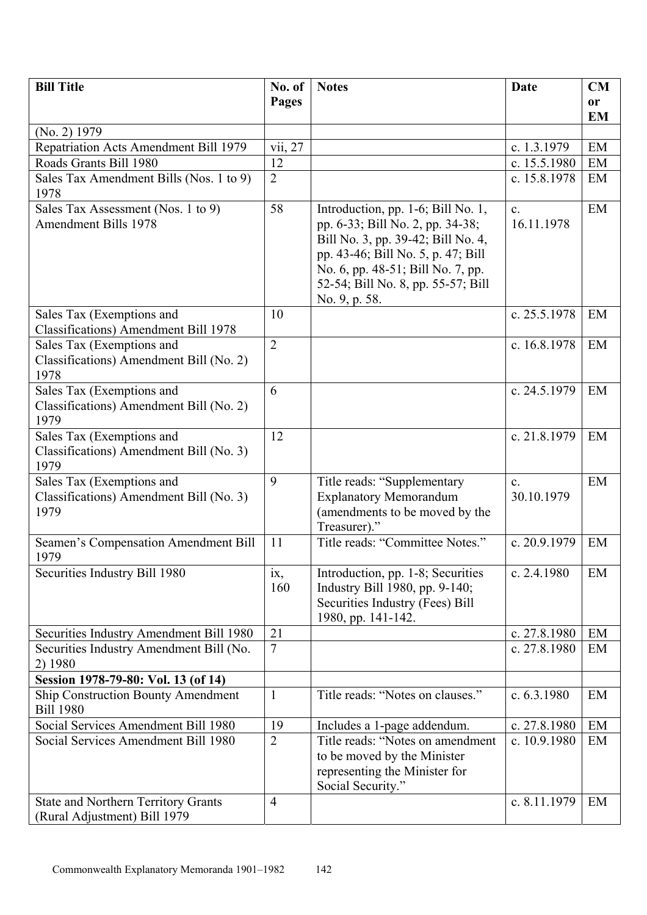| <b>Bill Title</b>                                             | No. of         | <b>Notes</b>                                                            | <b>Date</b>    | CM        |
|---------------------------------------------------------------|----------------|-------------------------------------------------------------------------|----------------|-----------|
|                                                               | Pages          |                                                                         |                | or        |
|                                                               |                |                                                                         |                | <b>EM</b> |
| $(No. 2)$ 1979                                                |                |                                                                         |                |           |
| Repatriation Acts Amendment Bill 1979                         | vii, 27        |                                                                         | c. 1.3.1979    | EM        |
| Roads Grants Bill 1980                                        | 12             |                                                                         | c. 15.5.1980   | EM        |
| Sales Tax Amendment Bills (Nos. 1 to 9)                       | $\overline{2}$ |                                                                         | c. 15.8.1978   | EM        |
| 1978                                                          |                |                                                                         |                |           |
| Sales Tax Assessment (Nos. 1 to 9)                            | 58             | Introduction, pp. 1-6; Bill No. 1,                                      | $\mathbf{c}$ . | EM        |
| <b>Amendment Bills 1978</b>                                   |                | pp. 6-33; Bill No. 2, pp. 34-38;                                        | 16.11.1978     |           |
|                                                               |                | Bill No. 3, pp. 39-42; Bill No. 4,                                      |                |           |
|                                                               |                | pp. 43-46; Bill No. 5, p. 47; Bill                                      |                |           |
|                                                               |                | No. 6, pp. 48-51; Bill No. 7, pp.<br>52-54; Bill No. 8, pp. 55-57; Bill |                |           |
|                                                               |                | No. 9, p. 58.                                                           |                |           |
| Sales Tax (Exemptions and                                     | 10             |                                                                         | c. 25.5.1978   | EM        |
| <b>Classifications)</b> Amendment Bill 1978                   |                |                                                                         |                |           |
| Sales Tax (Exemptions and                                     | $\overline{2}$ |                                                                         | c. 16.8.1978   | EM        |
| Classifications) Amendment Bill (No. 2)                       |                |                                                                         |                |           |
| 1978                                                          |                |                                                                         |                |           |
| Sales Tax (Exemptions and                                     | 6              |                                                                         | c. 24.5.1979   | EM        |
| Classifications) Amendment Bill (No. 2)                       |                |                                                                         |                |           |
| 1979                                                          |                |                                                                         |                |           |
| Sales Tax (Exemptions and                                     | 12             |                                                                         | c. 21.8.1979   | EM        |
| Classifications) Amendment Bill (No. 3)                       |                |                                                                         |                |           |
| 1979                                                          |                |                                                                         |                |           |
| Sales Tax (Exemptions and                                     | 9              | Title reads: "Supplementary                                             | $\mathbf{c}$ . | EM        |
| Classifications) Amendment Bill (No. 3)<br>1979               |                | <b>Explanatory Memorandum</b>                                           | 30.10.1979     |           |
|                                                               |                | (amendments to be moved by the<br>Treasurer)."                          |                |           |
| Seamen's Compensation Amendment Bill                          | 11             | Title reads: "Committee Notes."                                         | c. 20.9.1979   | EM        |
| 1979                                                          |                |                                                                         |                |           |
| Securities Industry Bill 1980                                 | ix,            | Introduction, pp. 1-8; Securities                                       | c. $2.4.1980$  | EM        |
|                                                               | 160            | Industry Bill 1980, pp. 9-140;                                          |                |           |
|                                                               |                | Securities Industry (Fees) Bill                                         |                |           |
|                                                               |                | 1980, pp. 141-142.                                                      |                |           |
| Securities Industry Amendment Bill 1980                       | 21             |                                                                         | c. $27.8.1980$ | EM        |
| Securities Industry Amendment Bill (No.                       | $\overline{7}$ |                                                                         | c. 27.8.1980   | EM        |
| 2) 1980                                                       |                |                                                                         |                |           |
| Session 1978-79-80: Vol. 13 (of 14)                           |                |                                                                         |                |           |
| <b>Ship Construction Bounty Amendment</b><br><b>Bill 1980</b> | $\mathbf{1}$   | Title reads: "Notes on clauses."                                        | c. $6.3.1980$  | EM        |
| Social Services Amendment Bill 1980                           | 19             | Includes a 1-page addendum.                                             | c. $27.8.1980$ | EM        |
| Social Services Amendment Bill 1980                           | $\overline{2}$ | Title reads: "Notes on amendment                                        | c. 10.9.1980   | EM        |
|                                                               |                | to be moved by the Minister                                             |                |           |
|                                                               |                | representing the Minister for                                           |                |           |
|                                                               |                | Social Security."                                                       |                |           |
| <b>State and Northern Territory Grants</b>                    | $\overline{4}$ |                                                                         | c. 8.11.1979   | EM        |
| (Rural Adjustment) Bill 1979                                  |                |                                                                         |                |           |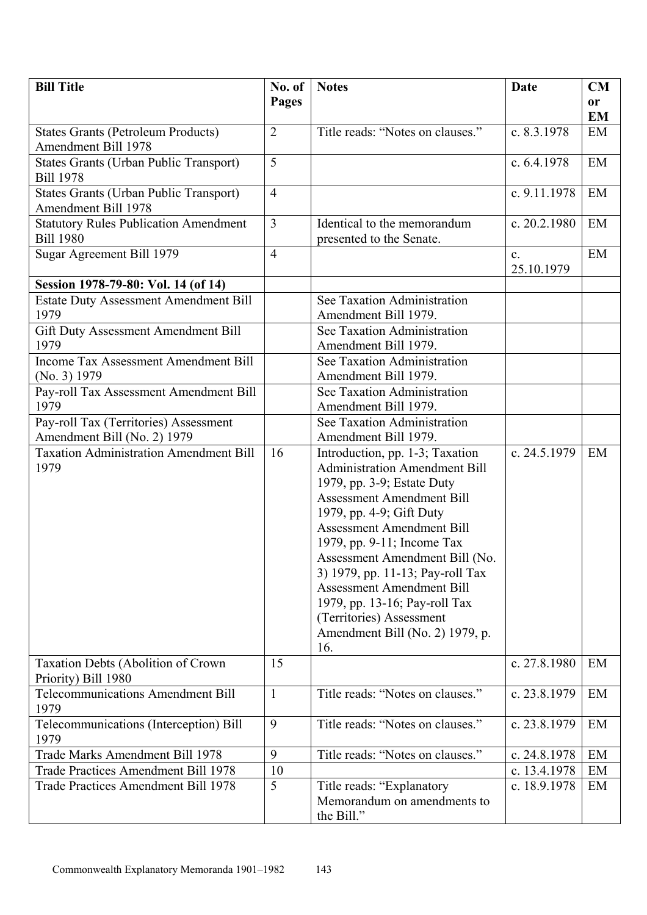| <b>Bill Title</b>                                     | No. of         | <b>Notes</b>                                                            | <b>Date</b>                  | <b>CM</b>     |
|-------------------------------------------------------|----------------|-------------------------------------------------------------------------|------------------------------|---------------|
|                                                       | Pages          |                                                                         |                              | <sub>or</sub> |
|                                                       |                |                                                                         |                              | EM            |
| <b>States Grants (Petroleum Products)</b>             | $\overline{2}$ | Title reads: "Notes on clauses."                                        | c. 8.3.1978                  | EM            |
| Amendment Bill 1978                                   |                |                                                                         |                              |               |
| States Grants (Urban Public Transport)                | 5              |                                                                         | c. 6.4.1978                  | EM            |
| <b>Bill 1978</b>                                      |                |                                                                         |                              |               |
| <b>States Grants (Urban Public Transport)</b>         | $\overline{4}$ |                                                                         | c. 9.11.1978                 | EM            |
| <b>Amendment Bill 1978</b>                            |                |                                                                         |                              |               |
| <b>Statutory Rules Publication Amendment</b>          | 3              | Identical to the memorandum                                             | c. 20.2.1980                 | EM            |
| <b>Bill 1980</b>                                      | $\overline{4}$ | presented to the Senate.                                                |                              | EM            |
| Sugar Agreement Bill 1979                             |                |                                                                         | $\mathbf{c}$ .<br>25.10.1979 |               |
| Session 1978-79-80: Vol. 14 (of 14)                   |                |                                                                         |                              |               |
| <b>Estate Duty Assessment Amendment Bill</b>          |                | See Taxation Administration                                             |                              |               |
| 1979                                                  |                | Amendment Bill 1979.                                                    |                              |               |
| Gift Duty Assessment Amendment Bill                   |                | See Taxation Administration                                             |                              |               |
| 1979                                                  |                | Amendment Bill 1979.                                                    |                              |               |
| <b>Income Tax Assessment Amendment Bill</b>           |                | See Taxation Administration                                             |                              |               |
| (No. 3) 1979                                          |                | Amendment Bill 1979.                                                    |                              |               |
| Pay-roll Tax Assessment Amendment Bill                |                | See Taxation Administration                                             |                              |               |
| 1979                                                  |                | Amendment Bill 1979.                                                    |                              |               |
| Pay-roll Tax (Territories) Assessment                 |                | See Taxation Administration                                             |                              |               |
| Amendment Bill (No. 2) 1979                           |                | Amendment Bill 1979.                                                    |                              |               |
| <b>Taxation Administration Amendment Bill</b><br>1979 | 16             | Introduction, pp. 1-3; Taxation<br><b>Administration Amendment Bill</b> | c. 24.5.1979                 | EM            |
|                                                       |                | 1979, pp. 3-9; Estate Duty                                              |                              |               |
|                                                       |                | <b>Assessment Amendment Bill</b>                                        |                              |               |
|                                                       |                | 1979, pp. 4-9; Gift Duty                                                |                              |               |
|                                                       |                | <b>Assessment Amendment Bill</b>                                        |                              |               |
|                                                       |                | 1979, pp. 9-11; Income Tax                                              |                              |               |
|                                                       |                | Assessment Amendment Bill (No.                                          |                              |               |
|                                                       |                | 3) 1979, pp. 11-13; Pay-roll Tax                                        |                              |               |
|                                                       |                | <b>Assessment Amendment Bill</b>                                        |                              |               |
|                                                       |                | 1979, pp. 13-16; Pay-roll Tax                                           |                              |               |
|                                                       |                | (Territories) Assessment                                                |                              |               |
|                                                       |                | Amendment Bill (No. 2) 1979, p.<br>16.                                  |                              |               |
| Taxation Debts (Abolition of Crown                    | 15             |                                                                         | c. 27.8.1980                 | EM            |
| Priority) Bill 1980                                   |                |                                                                         |                              |               |
| Telecommunications Amendment Bill                     | $\mathbf{1}$   | Title reads: "Notes on clauses."                                        | c. 23.8.1979                 | EM            |
| 1979                                                  |                |                                                                         |                              |               |
| Telecommunications (Interception) Bill                | 9              | Title reads: "Notes on clauses."                                        | c. 23.8.1979                 | EM            |
| 1979                                                  |                |                                                                         |                              |               |
| Trade Marks Amendment Bill 1978                       | 9              | Title reads: "Notes on clauses."                                        | c. 24.8.1978                 | EM            |
| Trade Practices Amendment Bill 1978                   | 10             |                                                                         | c. 13.4.1978                 | EM            |
| Trade Practices Amendment Bill 1978                   | 5              | Title reads: "Explanatory                                               | c. 18.9.1978                 | EM            |
|                                                       |                | Memorandum on amendments to                                             |                              |               |
|                                                       |                | the Bill."                                                              |                              |               |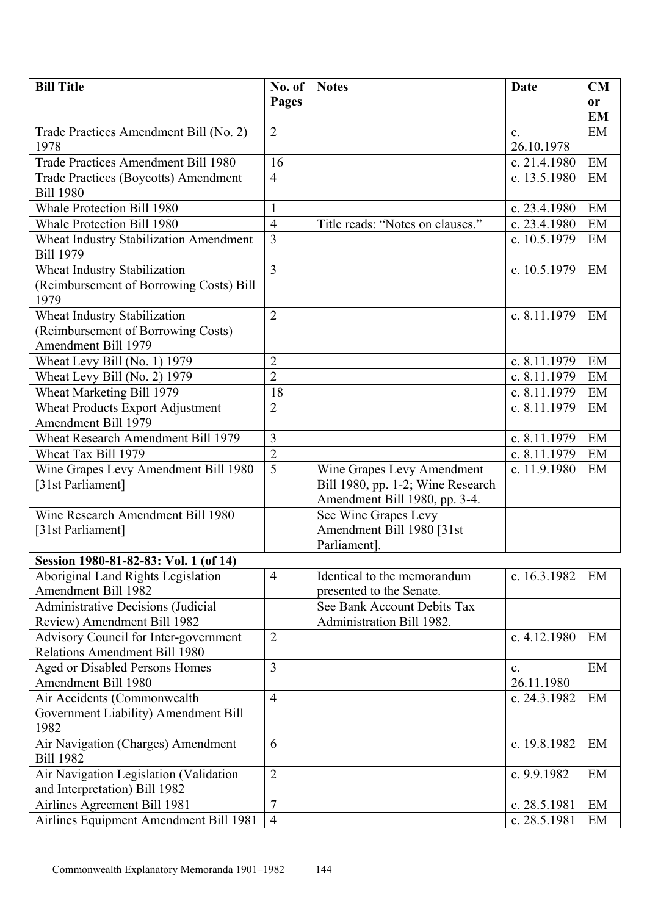| <b>Bill Title</b>                                          | No. of         | <b>Notes</b>                      | Date           | <b>CM</b>     |
|------------------------------------------------------------|----------------|-----------------------------------|----------------|---------------|
|                                                            | Pages          |                                   |                | <sub>or</sub> |
|                                                            |                |                                   |                | <b>EM</b>     |
| Trade Practices Amendment Bill (No. 2)                     | $\overline{2}$ |                                   | $\mathbf{c}$ . | EM            |
| 1978                                                       |                |                                   | 26.10.1978     |               |
| Trade Practices Amendment Bill 1980                        | 16             |                                   | c. $21.4.1980$ | EM            |
| <b>Trade Practices (Boycotts) Amendment</b>                | $\overline{4}$ |                                   | c. 13.5.1980   | EM            |
| <b>Bill 1980</b>                                           |                |                                   |                |               |
| <b>Whale Protection Bill 1980</b>                          | $\mathbf{1}$   |                                   | c. 23.4.1980   | EM            |
| Whale Protection Bill 1980                                 | $\overline{4}$ | Title reads: "Notes on clauses."  | c. 23.4.1980   | EM            |
| Wheat Industry Stabilization Amendment<br><b>Bill 1979</b> | $\overline{3}$ |                                   | c. 10.5.1979   | EM            |
| Wheat Industry Stabilization                               | $\overline{3}$ |                                   | c. 10.5.1979   | EM            |
| (Reimbursement of Borrowing Costs) Bill<br>1979            |                |                                   |                |               |
| Wheat Industry Stabilization                               | $\overline{2}$ |                                   | c. 8.11.1979   | EM            |
| (Reimbursement of Borrowing Costs)                         |                |                                   |                |               |
| <b>Amendment Bill 1979</b>                                 |                |                                   |                |               |
| Wheat Levy Bill (No. 1) 1979                               | $\overline{2}$ |                                   | c. 8.11.1979   | EM            |
| Wheat Levy Bill (No. 2) 1979                               | $\overline{2}$ |                                   | c. 8.11.1979   | EM            |
| Wheat Marketing Bill 1979                                  | 18             |                                   | c. 8.11.1979   | EM            |
| <b>Wheat Products Export Adjustment</b>                    | $\overline{2}$ |                                   | c. 8.11.1979   | EM            |
| Amendment Bill 1979                                        |                |                                   |                |               |
| Wheat Research Amendment Bill 1979                         | 3              |                                   | c. 8.11.1979   | EM            |
| Wheat Tax Bill 1979                                        | $\overline{2}$ |                                   | c. 8.11.1979   | EM            |
| Wine Grapes Levy Amendment Bill 1980                       | $\overline{5}$ | Wine Grapes Levy Amendment        | c. 11.9.1980   | EM            |
| [31st Parliament]                                          |                | Bill 1980, pp. 1-2; Wine Research |                |               |
|                                                            |                | Amendment Bill 1980, pp. 3-4.     |                |               |
| Wine Research Amendment Bill 1980                          |                | See Wine Grapes Levy              |                |               |
| [31st Parliament]                                          |                | Amendment Bill 1980 [31st         |                |               |
|                                                            |                | Parliament].                      |                |               |
| Session 1980-81-82-83: Vol. 1 (of 14)                      |                |                                   |                |               |
| Aboriginal Land Rights Legislation                         | $\overline{4}$ | Identical to the memorandum       | c. 16.3.1982   | EM            |
| Amendment Bill 1982                                        |                | presented to the Senate.          |                |               |
| <b>Administrative Decisions (Judicial</b>                  |                | See Bank Account Debits Tax       |                |               |
| Review) Amendment Bill 1982                                |                | Administration Bill 1982.         |                |               |
| <b>Advisory Council for Inter-government</b>               | $\overline{2}$ |                                   | c. 4.12.1980   | EM            |
| Relations Amendment Bill 1980                              |                |                                   |                |               |
| Aged or Disabled Persons Homes                             | 3              |                                   | C <sub>1</sub> | EM            |
| Amendment Bill 1980                                        |                |                                   | 26.11.1980     |               |
| Air Accidents (Commonwealth                                | $\overline{4}$ |                                   | c. 24.3.1982   | EM            |
| Government Liability) Amendment Bill                       |                |                                   |                |               |
| 1982                                                       |                |                                   |                |               |
| Air Navigation (Charges) Amendment<br><b>Bill 1982</b>     | 6              |                                   | c. 19.8.1982   | EM            |
| Air Navigation Legislation (Validation                     | $\overline{2}$ |                                   | c. 9.9.1982    | EM            |
| and Interpretation) Bill 1982                              |                |                                   |                |               |
| Airlines Agreement Bill 1981                               | $\overline{7}$ |                                   | c. 28.5.1981   | EM            |
| <b>Airlines Equipment Amendment Bill 1981</b>              | $\overline{4}$ |                                   | c. 28.5.1981   | EM            |
|                                                            |                |                                   |                |               |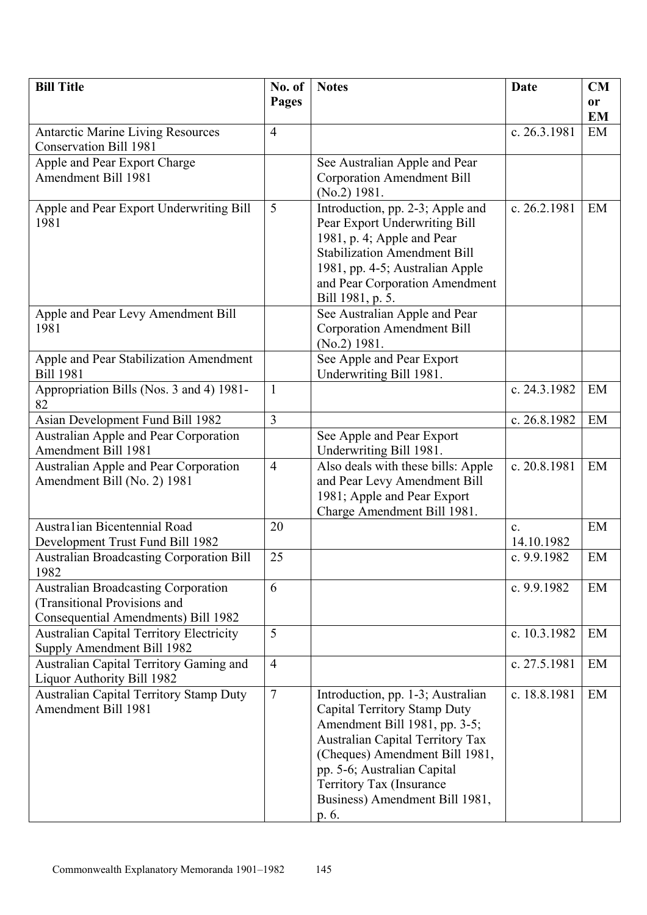| <b>Bill Title</b>                                                     | No. of         | <b>Notes</b>                                                       | Date           | CM        |
|-----------------------------------------------------------------------|----------------|--------------------------------------------------------------------|----------------|-----------|
|                                                                       | <b>Pages</b>   |                                                                    |                | <b>or</b> |
|                                                                       |                |                                                                    |                | <b>EM</b> |
| <b>Antarctic Marine Living Resources</b>                              | $\overline{4}$ |                                                                    | c. 26.3.1981   | EM        |
| <b>Conservation Bill 1981</b>                                         |                |                                                                    |                |           |
| Apple and Pear Export Charge                                          |                | See Australian Apple and Pear                                      |                |           |
| Amendment Bill 1981                                                   |                | <b>Corporation Amendment Bill</b><br>$(No.2)$ 1981.                |                |           |
| Apple and Pear Export Underwriting Bill                               | 5              | Introduction, pp. 2-3; Apple and                                   | c. 26.2.1981   | EM        |
| 1981                                                                  |                | Pear Export Underwriting Bill                                      |                |           |
|                                                                       |                | 1981, p. 4; Apple and Pear                                         |                |           |
|                                                                       |                | <b>Stabilization Amendment Bill</b>                                |                |           |
|                                                                       |                | 1981, pp. 4-5; Australian Apple                                    |                |           |
|                                                                       |                | and Pear Corporation Amendment                                     |                |           |
|                                                                       |                | Bill 1981, p. 5.                                                   |                |           |
| Apple and Pear Levy Amendment Bill<br>1981                            |                | See Australian Apple and Pear<br><b>Corporation Amendment Bill</b> |                |           |
|                                                                       |                | $(No.2)$ 1981.                                                     |                |           |
| Apple and Pear Stabilization Amendment                                |                | See Apple and Pear Export                                          |                |           |
| <b>Bill 1981</b>                                                      |                | Underwriting Bill 1981.                                            |                |           |
| Appropriation Bills (Nos. 3 and 4) 1981-                              | $\mathbf{1}$   |                                                                    | c. 24.3.1982   | EM        |
| 82                                                                    |                |                                                                    |                |           |
| Asian Development Fund Bill 1982                                      | $\overline{3}$ |                                                                    | c. 26.8.1982   | EM        |
| <b>Australian Apple and Pear Corporation</b><br>Amendment Bill 1981   |                | See Apple and Pear Export<br>Underwriting Bill 1981.               |                |           |
| <b>Australian Apple and Pear Corporation</b>                          | $\overline{4}$ | Also deals with these bills: Apple                                 | c. 20.8.1981   | EM        |
| Amendment Bill (No. 2) 1981                                           |                | and Pear Levy Amendment Bill                                       |                |           |
|                                                                       |                | 1981; Apple and Pear Export                                        |                |           |
|                                                                       |                | Charge Amendment Bill 1981.                                        |                |           |
| Australian Bicentennial Road                                          | 20             |                                                                    | C <sub>1</sub> | EM        |
| Development Trust Fund Bill 1982                                      |                |                                                                    | 14.10.1982     |           |
| <b>Australian Broadcasting Corporation Bill</b><br>1982               | 25             |                                                                    | c. 9.9.1982    | EM        |
| <b>Australian Broadcasting Corporation</b>                            | 6              |                                                                    | c. 9.9.1982    | EM        |
| (Transitional Provisions and                                          |                |                                                                    |                |           |
| Consequential Amendments) Bill 1982                                   |                |                                                                    |                |           |
| <b>Australian Capital Territory Electricity</b>                       | 5              |                                                                    | c. 10.3.1982   | EM        |
| Supply Amendment Bill 1982                                            |                |                                                                    |                |           |
| Australian Capital Territory Gaming and<br>Liquor Authority Bill 1982 | $\overline{4}$ |                                                                    | c. 27.5.1981   | EM        |
| <b>Australian Capital Territory Stamp Duty</b>                        | $\overline{7}$ | Introduction, pp. 1-3; Australian                                  | c. 18.8.1981   | EM        |
| <b>Amendment Bill 1981</b>                                            |                | Capital Territory Stamp Duty                                       |                |           |
|                                                                       |                | Amendment Bill 1981, pp. 3-5;                                      |                |           |
|                                                                       |                | <b>Australian Capital Territory Tax</b>                            |                |           |
|                                                                       |                | (Cheques) Amendment Bill 1981,                                     |                |           |
|                                                                       |                | pp. 5-6; Australian Capital                                        |                |           |
|                                                                       |                | Territory Tax (Insurance                                           |                |           |
|                                                                       |                | Business) Amendment Bill 1981,                                     |                |           |
|                                                                       |                | p. 6.                                                              |                |           |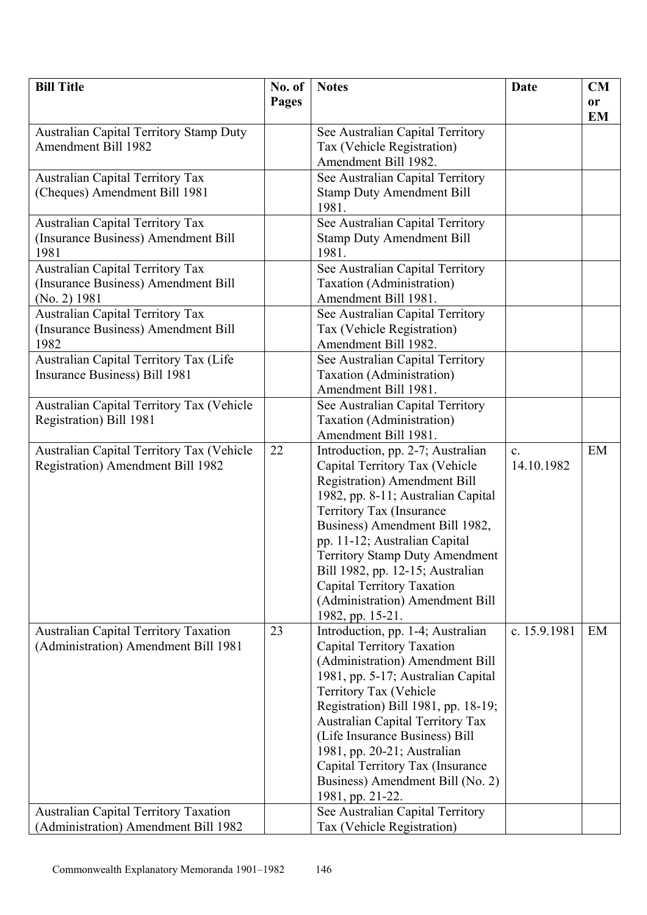| <b>Bill Title</b>                              | No. of       | <b>Notes</b>                                                   | Date           | <b>CM</b>              |
|------------------------------------------------|--------------|----------------------------------------------------------------|----------------|------------------------|
|                                                | <b>Pages</b> |                                                                |                | <b>or</b><br><b>EM</b> |
| <b>Australian Capital Territory Stamp Duty</b> |              | See Australian Capital Territory                               |                |                        |
| <b>Amendment Bill 1982</b>                     |              | Tax (Vehicle Registration)                                     |                |                        |
|                                                |              | Amendment Bill 1982.                                           |                |                        |
| <b>Australian Capital Territory Tax</b>        |              | See Australian Capital Territory                               |                |                        |
| (Cheques) Amendment Bill 1981                  |              | <b>Stamp Duty Amendment Bill</b>                               |                |                        |
|                                                |              | 1981.                                                          |                |                        |
| <b>Australian Capital Territory Tax</b>        |              | See Australian Capital Territory                               |                |                        |
| (Insurance Business) Amendment Bill            |              | <b>Stamp Duty Amendment Bill</b>                               |                |                        |
| 1981                                           |              | 1981.                                                          |                |                        |
| <b>Australian Capital Territory Tax</b>        |              | See Australian Capital Territory                               |                |                        |
| (Insurance Business) Amendment Bill            |              | Taxation (Administration)                                      |                |                        |
| (No. 2) 1981                                   |              | Amendment Bill 1981.                                           |                |                        |
| <b>Australian Capital Territory Tax</b>        |              | See Australian Capital Territory                               |                |                        |
| (Insurance Business) Amendment Bill            |              | Tax (Vehicle Registration)                                     |                |                        |
| 1982                                           |              | Amendment Bill 1982.                                           |                |                        |
| Australian Capital Territory Tax (Life         |              | See Australian Capital Territory                               |                |                        |
| Insurance Business) Bill 1981                  |              | Taxation (Administration)                                      |                |                        |
|                                                |              | Amendment Bill 1981.                                           |                |                        |
| Australian Capital Territory Tax (Vehicle      |              | See Australian Capital Territory                               |                |                        |
| Registration) Bill 1981                        |              | Taxation (Administration)                                      |                |                        |
|                                                |              | Amendment Bill 1981.                                           |                |                        |
| Australian Capital Territory Tax (Vehicle      | 22           | Introduction, pp. 2-7; Australian                              | $\mathbf{c}$ . | EM                     |
| Registration) Amendment Bill 1982              |              | Capital Territory Tax (Vehicle                                 | 14.10.1982     |                        |
|                                                |              | <b>Registration</b> ) Amendment Bill                           |                |                        |
|                                                |              | 1982, pp. 8-11; Australian Capital<br>Territory Tax (Insurance |                |                        |
|                                                |              | Business) Amendment Bill 1982,                                 |                |                        |
|                                                |              | pp. 11-12; Australian Capital                                  |                |                        |
|                                                |              | <b>Territory Stamp Duty Amendment</b>                          |                |                        |
|                                                |              | Bill 1982, pp. 12-15; Australian                               |                |                        |
|                                                |              | Capital Territory Taxation                                     |                |                        |
|                                                |              | (Administration) Amendment Bill                                |                |                        |
|                                                |              | 1982, pp. 15-21.                                               |                |                        |
| <b>Australian Capital Territory Taxation</b>   | 23           | Introduction, pp. 1-4; Australian                              | c. 15.9.1981   | EM                     |
| (Administration) Amendment Bill 1981           |              | Capital Territory Taxation                                     |                |                        |
|                                                |              | (Administration) Amendment Bill                                |                |                        |
|                                                |              | 1981, pp. 5-17; Australian Capital                             |                |                        |
|                                                |              | Territory Tax (Vehicle                                         |                |                        |
|                                                |              | Registration) Bill 1981, pp. 18-19;                            |                |                        |
|                                                |              | <b>Australian Capital Territory Tax</b>                        |                |                        |
|                                                |              | (Life Insurance Business) Bill                                 |                |                        |
|                                                |              | 1981, pp. 20-21; Australian                                    |                |                        |
|                                                |              | Capital Territory Tax (Insurance                               |                |                        |
|                                                |              | Business) Amendment Bill (No. 2)                               |                |                        |
|                                                |              | 1981, pp. 21-22.                                               |                |                        |
| <b>Australian Capital Territory Taxation</b>   |              | See Australian Capital Territory                               |                |                        |
| (Administration) Amendment Bill 1982           |              | Tax (Vehicle Registration)                                     |                |                        |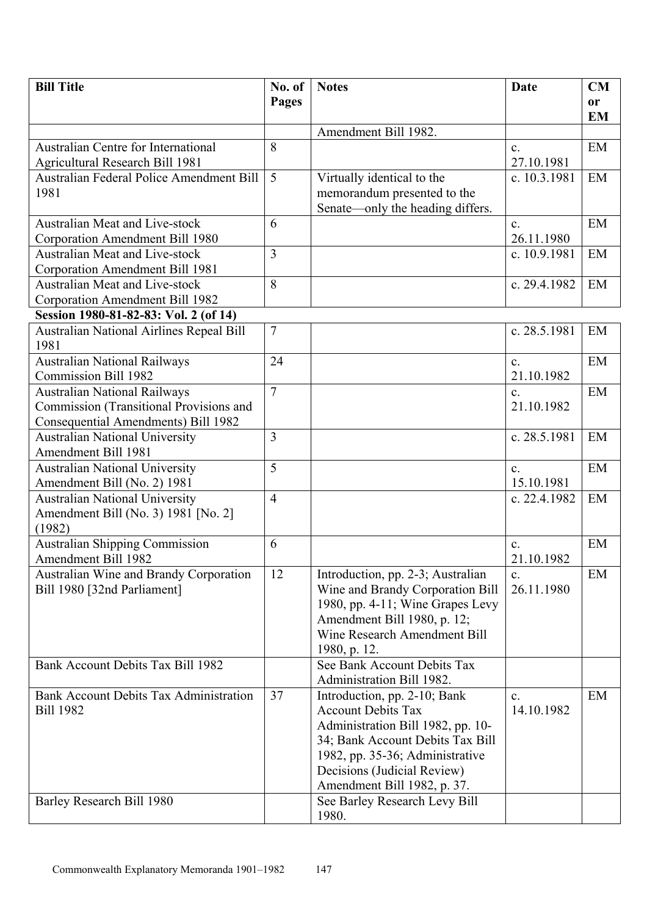| <b>Bill Title</b>                               | No. of         | <b>Notes</b>                      | <b>Date</b>    | CM        |
|-------------------------------------------------|----------------|-----------------------------------|----------------|-----------|
|                                                 | Pages          |                                   |                | or        |
|                                                 |                |                                   |                | <b>EM</b> |
|                                                 |                | Amendment Bill 1982.              |                |           |
| <b>Australian Centre for International</b>      | 8              |                                   | $\mathbf{c}$ . | EM        |
| <b>Agricultural Research Bill 1981</b>          |                |                                   | 27.10.1981     |           |
| Australian Federal Police Amendment Bill        | 5              | Virtually identical to the        | c. 10.3.1981   | EM        |
| 1981                                            |                | memorandum presented to the       |                |           |
|                                                 |                | Senate—only the heading differs.  |                |           |
| <b>Australian Meat and Live-stock</b>           | 6              |                                   | $\mathbf{c}$ . | EM        |
| Corporation Amendment Bill 1980                 |                |                                   | 26.11.1980     |           |
| <b>Australian Meat and Live-stock</b>           | 3              |                                   | c. 10.9.1981   | EM        |
| Corporation Amendment Bill 1981                 |                |                                   |                |           |
| <b>Australian Meat and Live-stock</b>           | 8              |                                   | c. 29.4.1982   | EM        |
| Corporation Amendment Bill 1982                 |                |                                   |                |           |
| Session 1980-81-82-83: Vol. 2 (of 14)           |                |                                   |                |           |
| <b>Australian National Airlines Repeal Bill</b> | $\overline{7}$ |                                   | c. 28.5.1981   | EM        |
| 1981                                            |                |                                   |                |           |
| <b>Australian National Railways</b>             | 24             |                                   | $\mathbf{c}$ . | EM        |
| <b>Commission Bill 1982</b>                     |                |                                   | 21.10.1982     |           |
| <b>Australian National Railways</b>             | $\overline{7}$ |                                   | c.             | EM        |
| Commission (Transitional Provisions and         |                |                                   | 21.10.1982     |           |
| Consequential Amendments) Bill 1982             |                |                                   |                |           |
| <b>Australian National University</b>           | 3              |                                   | c. 28.5.1981   | EM        |
| Amendment Bill 1981                             |                |                                   |                |           |
| <b>Australian National University</b>           | 5              |                                   | $\mathbf{c}$ . | EM        |
| Amendment Bill (No. 2) 1981                     |                |                                   | 15.10.1981     |           |
| <b>Australian National University</b>           | $\overline{4}$ |                                   | c. 22.4.1982   | EM        |
| Amendment Bill (No. 3) 1981 [No. 2]<br>(1982)   |                |                                   |                |           |
| <b>Australian Shipping Commission</b>           | 6              |                                   | $\mathbf{c}$ . | EM        |
| Amendment Bill 1982                             |                |                                   | 21.10.1982     |           |
| Australian Wine and Brandy Corporation          | 12             | Introduction, pp. 2-3; Australian | $\mathbf{c}$ . | EM        |
| Bill 1980 [32nd Parliament]                     |                | Wine and Brandy Corporation Bill  | 26.11.1980     |           |
|                                                 |                | 1980, pp. 4-11; Wine Grapes Levy  |                |           |
|                                                 |                | Amendment Bill 1980, p. 12;       |                |           |
|                                                 |                | Wine Research Amendment Bill      |                |           |
|                                                 |                | 1980, p. 12.                      |                |           |
| Bank Account Debits Tax Bill 1982               |                | See Bank Account Debits Tax       |                |           |
|                                                 |                | Administration Bill 1982.         |                |           |
| Bank Account Debits Tax Administration          | 37             | Introduction, pp. 2-10; Bank      | c.             | EM        |
| <b>Bill 1982</b>                                |                | <b>Account Debits Tax</b>         | 14.10.1982     |           |
|                                                 |                | Administration Bill 1982, pp. 10- |                |           |
|                                                 |                | 34; Bank Account Debits Tax Bill  |                |           |
|                                                 |                | 1982, pp. 35-36; Administrative   |                |           |
|                                                 |                | Decisions (Judicial Review)       |                |           |
|                                                 |                | Amendment Bill 1982, p. 37.       |                |           |
| Barley Research Bill 1980                       |                | See Barley Research Levy Bill     |                |           |
|                                                 |                | 1980.                             |                |           |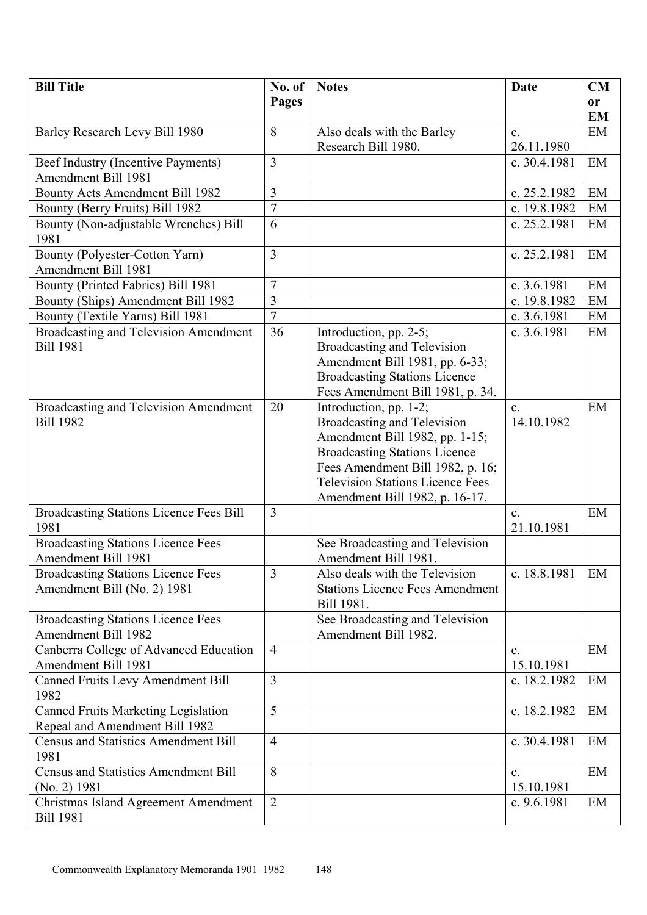| <b>Bill Title</b>                                        | No. of         | <b>Notes</b>                                                                | Date           | CM        |
|----------------------------------------------------------|----------------|-----------------------------------------------------------------------------|----------------|-----------|
|                                                          | Pages          |                                                                             |                | <b>or</b> |
|                                                          |                |                                                                             |                | <b>EM</b> |
| Barley Research Levy Bill 1980                           | 8              | Also deals with the Barley                                                  | $\mathbf{c}$ . | EM        |
|                                                          |                | Research Bill 1980.                                                         | 26.11.1980     |           |
| Beef Industry (Incentive Payments)                       | $\overline{3}$ |                                                                             | c. 30.4.1981   | EM        |
| <b>Amendment Bill 1981</b>                               |                |                                                                             |                |           |
| Bounty Acts Amendment Bill 1982                          | 3              |                                                                             | c. 25.2.1982   | EM        |
| Bounty (Berry Fruits) Bill 1982                          | $\overline{7}$ |                                                                             | c. 19.8.1982   | EM        |
| Bounty (Non-adjustable Wrenches) Bill<br>1981            | 6              |                                                                             | c. 25.2.1981   | EM        |
| Bounty (Polyester-Cotton Yarn)                           | 3              |                                                                             | c. 25.2.1981   | EM        |
| Amendment Bill 1981                                      |                |                                                                             |                |           |
| Bounty (Printed Fabrics) Bill 1981                       | $\overline{7}$ |                                                                             | c. 3.6.1981    | EM        |
| Bounty (Ships) Amendment Bill 1982                       | 3              |                                                                             | c. 19.8.1982   | EM        |
| Bounty (Textile Yarns) Bill 1981                         | $\overline{7}$ |                                                                             | c. 3.6.1981    | EM        |
| Broadcasting and Television Amendment                    | 36             | Introduction, pp. 2-5;                                                      | c. 3.6.1981    | EM        |
| <b>Bill 1981</b>                                         |                | Broadcasting and Television                                                 |                |           |
|                                                          |                | Amendment Bill 1981, pp. 6-33;                                              |                |           |
|                                                          |                | <b>Broadcasting Stations Licence</b>                                        |                |           |
|                                                          |                | Fees Amendment Bill 1981, p. 34.                                            |                |           |
| Broadcasting and Television Amendment                    | 20             | Introduction, pp. 1-2;                                                      | $\mathbf{c}$ . | EM        |
| <b>Bill 1982</b>                                         |                | Broadcasting and Television                                                 | 14.10.1982     |           |
|                                                          |                | Amendment Bill 1982, pp. 1-15;                                              |                |           |
|                                                          |                | <b>Broadcasting Stations Licence</b>                                        |                |           |
|                                                          |                | Fees Amendment Bill 1982, p. 16;<br><b>Television Stations Licence Fees</b> |                |           |
|                                                          |                |                                                                             |                |           |
| <b>Broadcasting Stations Licence Fees Bill</b>           | $\overline{3}$ | Amendment Bill 1982, p. 16-17.                                              | $\mathbf{c}$ . | EM        |
| 1981                                                     |                |                                                                             | 21.10.1981     |           |
| <b>Broadcasting Stations Licence Fees</b>                |                | See Broadcasting and Television                                             |                |           |
| Amendment Bill 1981                                      |                | Amendment Bill 1981.                                                        |                |           |
| <b>Broadcasting Stations Licence Fees</b>                | $\overline{3}$ | Also deals with the Television                                              | c. 18.8.1981   | EM        |
| Amendment Bill (No. 2) 1981                              |                | <b>Stations Licence Fees Amendment</b>                                      |                |           |
|                                                          |                | Bill 1981.                                                                  |                |           |
| <b>Broadcasting Stations Licence Fees</b>                |                | See Broadcasting and Television                                             |                |           |
| <b>Amendment Bill 1982</b>                               |                | Amendment Bill 1982.                                                        |                |           |
| Canberra College of Advanced Education                   | $\overline{4}$ |                                                                             | $\mathbf{c}$ . | EM        |
| Amendment Bill 1981                                      |                |                                                                             | 15.10.1981     |           |
| Canned Fruits Levy Amendment Bill                        | $\overline{3}$ |                                                                             | c. 18.2.1982   | EM        |
| 1982                                                     |                |                                                                             |                |           |
| <b>Canned Fruits Marketing Legislation</b>               | 5              |                                                                             | c. 18.2.1982   | EM        |
| Repeal and Amendment Bill 1982                           |                |                                                                             |                |           |
| <b>Census and Statistics Amendment Bill</b>              | $\overline{4}$ |                                                                             | c. 30.4.1981   | EM        |
| 1981                                                     |                |                                                                             |                |           |
| <b>Census and Statistics Amendment Bill</b>              | 8              |                                                                             | $\mathbf{c}$ . | EM        |
| (No. 2) 1981                                             | $\overline{2}$ |                                                                             | 15.10.1981     |           |
| Christmas Island Agreement Amendment<br><b>Bill 1981</b> |                |                                                                             | c. $9.6.1981$  | EM        |
|                                                          |                |                                                                             |                |           |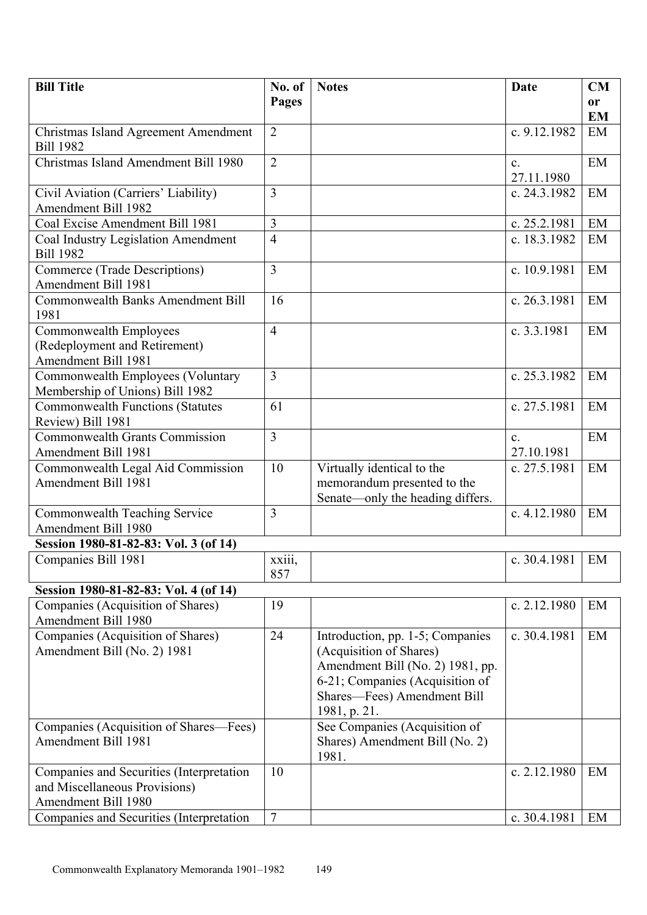| <b>Bill Title</b>                                        | No. of         | <b>Notes</b>                                              | Date                       | <b>CM</b>     |
|----------------------------------------------------------|----------------|-----------------------------------------------------------|----------------------------|---------------|
|                                                          | Pages          |                                                           |                            | <sub>or</sub> |
|                                                          |                |                                                           |                            | <b>EM</b>     |
| Christmas Island Agreement Amendment<br><b>Bill 1982</b> | $\overline{2}$ |                                                           | c. 9.12.1982               | EM            |
| Christmas Island Amendment Bill 1980                     | $\overline{2}$ |                                                           | C <sub>1</sub>             | EM            |
|                                                          |                |                                                           | 27.11.1980                 |               |
| Civil Aviation (Carriers' Liability)                     | $\overline{3}$ |                                                           | c. 24.3.1982               | EM            |
| Amendment Bill 1982                                      |                |                                                           |                            |               |
| Coal Excise Amendment Bill 1981                          | 3              |                                                           | c. 25.2.1981               | EM            |
| Coal Industry Legislation Amendment                      | $\overline{4}$ |                                                           | c. 18.3.1982               | EM            |
| <b>Bill 1982</b>                                         |                |                                                           |                            |               |
| Commerce (Trade Descriptions)                            | $\overline{3}$ |                                                           | c. 10.9.1981               | EM            |
| Amendment Bill 1981                                      |                |                                                           |                            |               |
| <b>Commonwealth Banks Amendment Bill</b><br>1981         | 16             |                                                           | c. 26.3.1981               | EM            |
| Commonwealth Employees                                   | $\overline{4}$ |                                                           | c. 3.3.1981                | EM            |
| (Redeployment and Retirement)                            |                |                                                           |                            |               |
| Amendment Bill 1981                                      |                |                                                           |                            |               |
| Commonwealth Employees (Voluntary                        | $\overline{3}$ |                                                           | c. 25.3.1982               | EM            |
| Membership of Unions) Bill 1982                          |                |                                                           |                            |               |
| <b>Commonwealth Functions (Statutes</b>                  | 61             |                                                           | c. 27.5.1981               | EM            |
| Review) Bill 1981                                        |                |                                                           |                            |               |
| <b>Commonwealth Grants Commission</b>                    | $\overline{3}$ |                                                           | $\mathbf{c}$ .             | EM            |
| Amendment Bill 1981                                      | 10             |                                                           | 27.10.1981<br>c. 27.5.1981 | EM            |
| Commonwealth Legal Aid Commission<br>Amendment Bill 1981 |                | Virtually identical to the<br>memorandum presented to the |                            |               |
|                                                          |                | Senate—only the heading differs.                          |                            |               |
| Commonwealth Teaching Service                            | $\overline{3}$ |                                                           | c. 4.12.1980               | EM            |
| Amendment Bill 1980                                      |                |                                                           |                            |               |
| Session 1980-81-82-83: Vol. 3 (of 14)                    |                |                                                           |                            |               |
| Companies Bill 1981                                      | xxiii,         |                                                           | c. 30.4.1981               | EM            |
|                                                          | 857            |                                                           |                            |               |
| Session 1980-81-82-83: Vol. 4 (of 14)                    |                |                                                           |                            |               |
| Companies (Acquisition of Shares)<br>Amendment Bill 1980 | 19             |                                                           | c. 2.12.1980               | EM            |
| Companies (Acquisition of Shares)                        | 24             | Introduction, pp. 1-5; Companies                          | c. 30.4.1981               | EM            |
| Amendment Bill (No. 2) 1981                              |                | (Acquisition of Shares)                                   |                            |               |
|                                                          |                | Amendment Bill (No. 2) 1981, pp.                          |                            |               |
|                                                          |                | 6-21; Companies (Acquisition of                           |                            |               |
|                                                          |                | Shares-Fees) Amendment Bill                               |                            |               |
|                                                          |                | 1981, p. 21.                                              |                            |               |
| Companies (Acquisition of Shares—Fees)                   |                | See Companies (Acquisition of                             |                            |               |
| Amendment Bill 1981                                      |                | Shares) Amendment Bill (No. 2)                            |                            |               |
|                                                          |                | 1981.                                                     |                            |               |
| Companies and Securities (Interpretation                 | 10             |                                                           | c. 2.12.1980               | EM            |
| and Miscellaneous Provisions)<br>Amendment Bill 1980     |                |                                                           |                            |               |
| Companies and Securities (Interpretation                 | $\overline{7}$ |                                                           | c. 30.4.1981               | EM            |
|                                                          |                |                                                           |                            |               |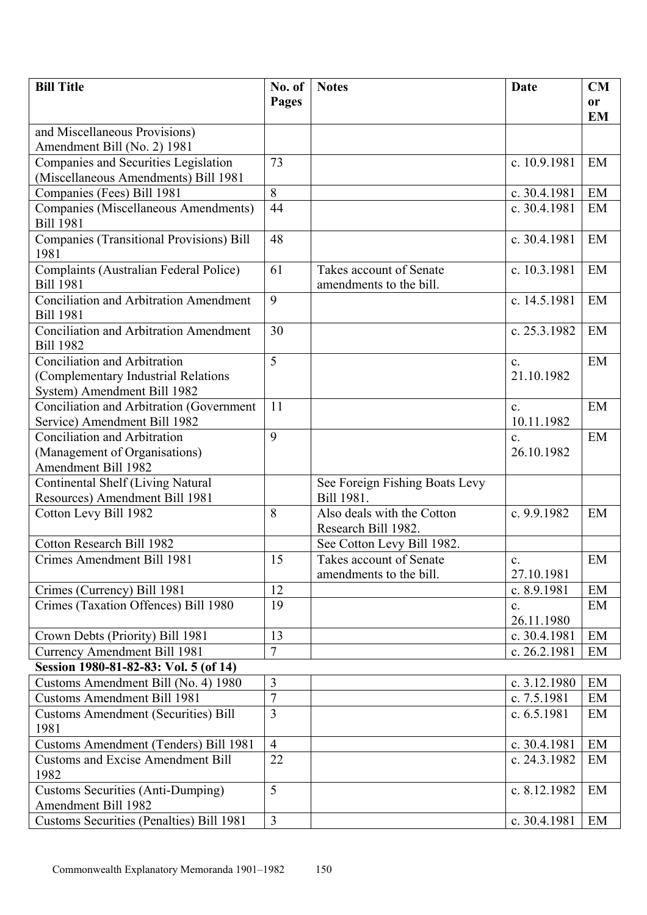| <b>Bill Title</b>                                                                                         | No. of         | <b>Notes</b>                                       | Date                         | <b>CM</b>     |
|-----------------------------------------------------------------------------------------------------------|----------------|----------------------------------------------------|------------------------------|---------------|
|                                                                                                           | <b>Pages</b>   |                                                    |                              | <sub>or</sub> |
|                                                                                                           |                |                                                    |                              | <b>EM</b>     |
| and Miscellaneous Provisions)                                                                             |                |                                                    |                              |               |
| Amendment Bill (No. 2) 1981                                                                               |                |                                                    |                              |               |
| Companies and Securities Legislation                                                                      | 73             |                                                    | c. 10.9.1981                 | EM            |
| (Miscellaneous Amendments) Bill 1981                                                                      |                |                                                    |                              |               |
| Companies (Fees) Bill 1981                                                                                | 8              |                                                    | c. 30.4.1981                 | EM            |
| Companies (Miscellaneous Amendments)<br><b>Bill 1981</b>                                                  | 44             |                                                    | c. 30.4.1981                 | EM            |
| <b>Companies (Transitional Provisions) Bill</b><br>1981                                                   | 48             |                                                    | c. 30.4.1981                 | EM            |
| Complaints (Australian Federal Police)<br><b>Bill 1981</b>                                                | 61             | Takes account of Senate<br>amendments to the bill. | c. 10.3.1981                 | EM            |
| <b>Conciliation and Arbitration Amendment</b><br><b>Bill 1981</b>                                         | 9              |                                                    | c. 14.5.1981                 | EM            |
| <b>Conciliation and Arbitration Amendment</b><br><b>Bill 1982</b>                                         | 30             |                                                    | c. 25.3.1982                 | EM            |
| <b>Conciliation and Arbitration</b><br>(Complementary Industrial Relations<br>System) Amendment Bill 1982 | 5              |                                                    | $\mathbf{c}$ .<br>21.10.1982 | EM            |
| Conciliation and Arbitration (Government<br>Service) Amendment Bill 1982                                  | 11             |                                                    | $\mathbf{c}$ .<br>10.11.1982 | EM            |
| <b>Conciliation and Arbitration</b><br>(Management of Organisations)<br><b>Amendment Bill 1982</b>        | 9              |                                                    | $\mathbf{c}$ .<br>26.10.1982 | EM            |
| Continental Shelf (Living Natural<br>Resources) Amendment Bill 1981                                       |                | See Foreign Fishing Boats Levy<br>Bill 1981.       |                              |               |
| Cotton Levy Bill 1982                                                                                     | 8              | Also deals with the Cotton<br>Research Bill 1982.  | c. 9.9.1982                  | EM            |
| Cotton Research Bill 1982                                                                                 |                | See Cotton Levy Bill 1982.                         |                              |               |
| Crimes Amendment Bill 1981                                                                                | 15             | Takes account of Senate<br>amendments to the bill. | C <sub>1</sub><br>27.10.1981 | EM            |
| Crimes (Currency) Bill 1981                                                                               | 12             |                                                    | c. 8.9.1981                  | EM            |
| Crimes (Taxation Offences) Bill 1980                                                                      | 19             |                                                    | $\mathbf{c}$ .<br>26.11.1980 | EM            |
| Crown Debts (Priority) Bill 1981                                                                          | 13             |                                                    | c. 30.4.1981                 | EM            |
| <b>Currency Amendment Bill 1981</b>                                                                       | $\overline{7}$ |                                                    | c. 26.2.1981                 | EM            |
| Session 1980-81-82-83: Vol. 5 (of 14)                                                                     |                |                                                    |                              |               |
| Customs Amendment Bill (No. 4) 1980                                                                       | 3              |                                                    | c. 3.12.1980                 | EM            |
| <b>Customs Amendment Bill 1981</b>                                                                        | $\overline{7}$ |                                                    | c. 7.5.1981                  | EM            |
| <b>Customs Amendment (Securities) Bill</b><br>1981                                                        | $\overline{3}$ |                                                    | c. $6.5.1981$                | EM            |
| Customs Amendment (Tenders) Bill 1981                                                                     | $\overline{4}$ |                                                    | c. 30.4.1981                 | EM            |
| <b>Customs and Excise Amendment Bill</b><br>1982                                                          | 22             |                                                    | c. 24.3.1982                 | EM            |
| <b>Customs Securities (Anti-Dumping)</b><br>Amendment Bill 1982                                           | 5              |                                                    | c. 8.12.1982                 | EM            |
| Customs Securities (Penalties) Bill 1981                                                                  | $\overline{3}$ |                                                    | c. 30.4.1981                 | EM            |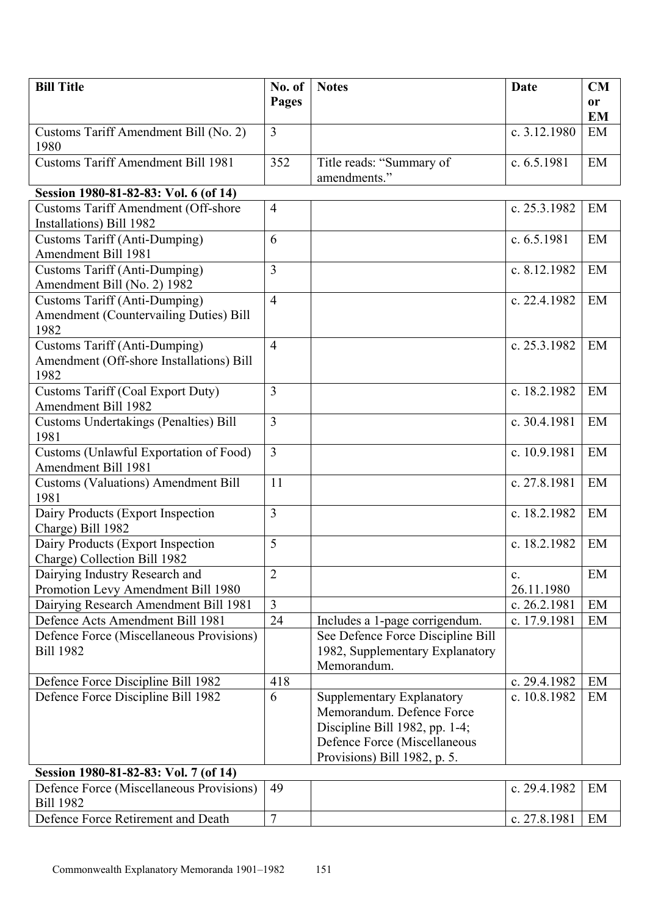| <b>Bill Title</b>                                                                             | No. of         | <b>Notes</b>                                                                                                                                             | <b>Date</b>      | CM              |
|-----------------------------------------------------------------------------------------------|----------------|----------------------------------------------------------------------------------------------------------------------------------------------------------|------------------|-----------------|
|                                                                                               | Pages          |                                                                                                                                                          |                  | <b>or</b>       |
| Customs Tariff Amendment Bill (No. 2)                                                         | $\overline{3}$ |                                                                                                                                                          | c. 3.12.1980     | <b>EM</b><br>EM |
| 1980                                                                                          |                |                                                                                                                                                          |                  |                 |
| <b>Customs Tariff Amendment Bill 1981</b>                                                     | 352            | Title reads: "Summary of                                                                                                                                 | c. 6.5.1981      | EM              |
|                                                                                               |                | amendments."                                                                                                                                             |                  |                 |
| Session 1980-81-82-83: Vol. 6 (of 14)                                                         |                |                                                                                                                                                          |                  |                 |
| <b>Customs Tariff Amendment (Off-shore</b><br>Installations) Bill 1982                        | $\overline{4}$ |                                                                                                                                                          | c. 25.3.1982     | EM              |
| <b>Customs Tariff (Anti-Dumping)</b><br>Amendment Bill 1981                                   | 6              |                                                                                                                                                          | c. $6.5.1981$    | EM              |
| <b>Customs Tariff (Anti-Dumping)</b><br>Amendment Bill (No. 2) 1982                           | $\overline{3}$ |                                                                                                                                                          | c. 8.12.1982     | EM              |
| <b>Customs Tariff (Anti-Dumping)</b><br><b>Amendment (Countervailing Duties) Bill</b><br>1982 | $\overline{4}$ |                                                                                                                                                          | c. 22.4.1982     | EM              |
| <b>Customs Tariff (Anti-Dumping)</b><br>Amendment (Off-shore Installations) Bill<br>1982      | $\overline{4}$ |                                                                                                                                                          | c. 25.3.1982     | EM              |
| <b>Customs Tariff (Coal Export Duty)</b><br><b>Amendment Bill 1982</b>                        | $\overline{3}$ |                                                                                                                                                          | c. 18.2.1982     | EM              |
| <b>Customs Undertakings (Penalties) Bill</b><br>1981                                          | $\overline{3}$ |                                                                                                                                                          | c. 30.4.1981     | EM              |
| Customs (Unlawful Exportation of Food)<br>Amendment Bill 1981                                 | $\overline{3}$ |                                                                                                                                                          | c. 10.9.1981     | EM              |
| <b>Customs (Valuations) Amendment Bill</b><br>1981                                            | 11             |                                                                                                                                                          | c. 27.8.1981     | EM              |
| Dairy Products (Export Inspection<br>Charge) Bill 1982                                        | $\overline{3}$ |                                                                                                                                                          | c. 18.2.1982     | EM              |
| Dairy Products (Export Inspection<br>Charge) Collection Bill 1982                             | 5              |                                                                                                                                                          | c. 18.2.1982     | EM              |
| Dairying Industry Research and                                                                | $\overline{2}$ |                                                                                                                                                          | $\mathbf{c}$ .   | EM              |
| Promotion Levy Amendment Bill 1980                                                            |                |                                                                                                                                                          | 26.11.1980       |                 |
| Dairying Research Amendment Bill 1981                                                         | $\overline{3}$ |                                                                                                                                                          | c. 26.2.1981     | EM              |
| Defence Acts Amendment Bill 1981                                                              | 24             | Includes a 1-page corrigendum.                                                                                                                           | c. 17.9.1981     | EM              |
| Defence Force (Miscellaneous Provisions)<br><b>Bill 1982</b>                                  |                | See Defence Force Discipline Bill<br>1982, Supplementary Explanatory<br>Memorandum.                                                                      |                  |                 |
| Defence Force Discipline Bill 1982                                                            | 418            |                                                                                                                                                          | c. 29.4.1982     | EM              |
| Defence Force Discipline Bill 1982                                                            | 6              | Supplementary Explanatory<br>Memorandum. Defence Force<br>Discipline Bill 1982, pp. 1-4;<br>Defence Force (Miscellaneous<br>Provisions) Bill 1982, p. 5. | c. 10.8.1982     | EM              |
| Session 1980-81-82-83: Vol. 7 (of 14)                                                         |                |                                                                                                                                                          |                  |                 |
| Defence Force (Miscellaneous Provisions)   49                                                 |                |                                                                                                                                                          | $c$ 29.4.1982 EM |                 |

| Defence Force (Miscellaneous Provisions)   49 |  | c. $29.4.1982$ | EM |
|-----------------------------------------------|--|----------------|----|
| <b>Bill 1982</b>                              |  |                |    |
| Defence Force Retirement and Death            |  | c. $27.8.1981$ | EM |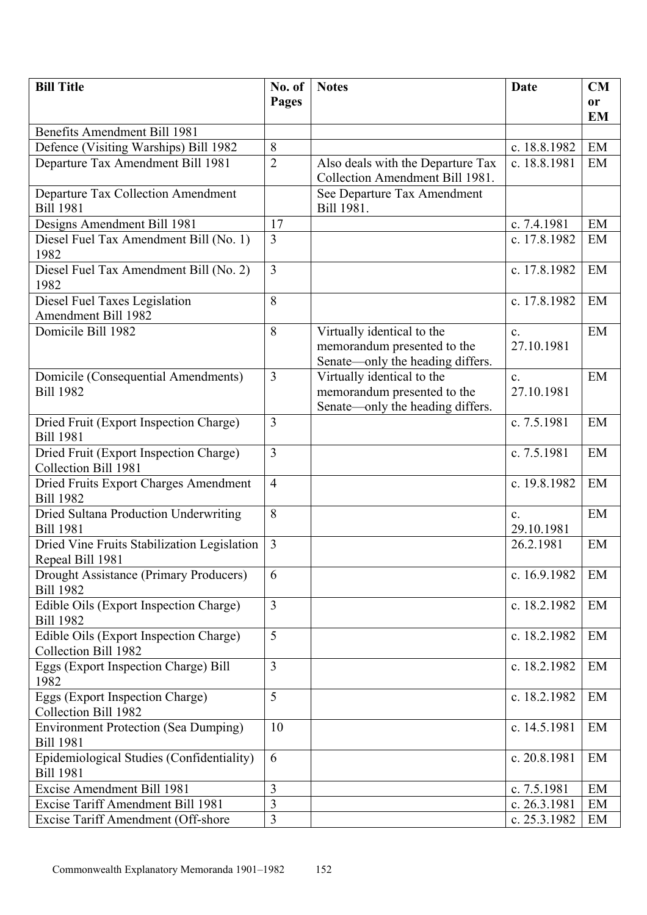| <b>Bill Title</b>                                                            | No. of         | <b>Notes</b>                                                                                  | <b>Date</b>                  | CM        |
|------------------------------------------------------------------------------|----------------|-----------------------------------------------------------------------------------------------|------------------------------|-----------|
|                                                                              | <b>Pages</b>   |                                                                                               |                              | <b>or</b> |
|                                                                              |                |                                                                                               |                              | <b>EM</b> |
| <b>Benefits Amendment Bill 1981</b><br>Defence (Visiting Warships) Bill 1982 | 8              |                                                                                               | c. 18.8.1982                 | EM        |
| Departure Tax Amendment Bill 1981                                            | $\overline{2}$ | Also deals with the Departure Tax                                                             | c. 18.8.1981                 | EM        |
|                                                                              |                | Collection Amendment Bill 1981.                                                               |                              |           |
| Departure Tax Collection Amendment                                           |                | See Departure Tax Amendment                                                                   |                              |           |
| <b>Bill 1981</b>                                                             |                | Bill 1981.                                                                                    |                              |           |
| Designs Amendment Bill 1981                                                  | 17             |                                                                                               | c. 7.4.1981                  | EM        |
| Diesel Fuel Tax Amendment Bill (No. 1)<br>1982                               | $\overline{3}$ |                                                                                               | c. 17.8.1982                 | EM        |
| Diesel Fuel Tax Amendment Bill (No. 2)<br>1982                               | 3              |                                                                                               | c. 17.8.1982                 | EM        |
| Diesel Fuel Taxes Legislation<br>Amendment Bill 1982                         | 8              |                                                                                               | c. 17.8.1982                 | EM        |
| Domicile Bill 1982                                                           | 8              | Virtually identical to the<br>memorandum presented to the<br>Senate—only the heading differs. | $\mathbf{c}$ .<br>27.10.1981 | EM        |
| Domicile (Consequential Amendments)<br><b>Bill 1982</b>                      | $\overline{3}$ | Virtually identical to the<br>memorandum presented to the<br>Senate—only the heading differs. | $\mathbf{c}$ .<br>27.10.1981 | EM        |
| Dried Fruit (Export Inspection Charge)<br><b>Bill 1981</b>                   | $\overline{3}$ |                                                                                               | c. 7.5.1981                  | EM        |
| Dried Fruit (Export Inspection Charge)<br>Collection Bill 1981               | $\overline{3}$ |                                                                                               | c. 7.5.1981                  | EM        |
| Dried Fruits Export Charges Amendment<br><b>Bill 1982</b>                    | $\overline{4}$ |                                                                                               | c. 19.8.1982                 | EM        |
| Dried Sultana Production Underwriting<br><b>Bill 1981</b>                    | 8              |                                                                                               | $\mathbf{c}$ .<br>29.10.1981 | EM        |
| Dried Vine Fruits Stabilization Legislation<br>Repeal Bill 1981              | $\overline{3}$ |                                                                                               | 26.2.1981                    | EM        |
| Drought Assistance (Primary Producers)<br><b>Bill 1982</b>                   | 6              |                                                                                               | c. 16.9.1982                 | EM        |
| Edible Oils (Export Inspection Charge)<br><b>Bill 1982</b>                   | $\overline{3}$ |                                                                                               | c. 18.2.1982                 | EM        |
| Edible Oils (Export Inspection Charge)<br>Collection Bill 1982               | 5              |                                                                                               | c. 18.2.1982                 | EM        |
| Eggs (Export Inspection Charge) Bill<br>1982                                 | $\overline{3}$ |                                                                                               | c. 18.2.1982                 | EM        |
| Eggs (Export Inspection Charge)<br>Collection Bill 1982                      | 5              |                                                                                               | c. 18.2.1982                 | EM        |
| <b>Environment Protection (Sea Dumping)</b><br><b>Bill 1981</b>              | 10             |                                                                                               | c. 14.5.1981                 | EM        |
| Epidemiological Studies (Confidentiality)<br><b>Bill 1981</b>                | 6              |                                                                                               | c. 20.8.1981                 | EM        |
| Excise Amendment Bill 1981                                                   | $\overline{3}$ |                                                                                               | c. 7.5.1981                  | EM        |
| Excise Tariff Amendment Bill 1981                                            | $\overline{3}$ |                                                                                               | c. 26.3.1981                 | EM        |
| Excise Tariff Amendment (Off-shore                                           | $\overline{3}$ |                                                                                               | c. 25.3.1982                 | EM        |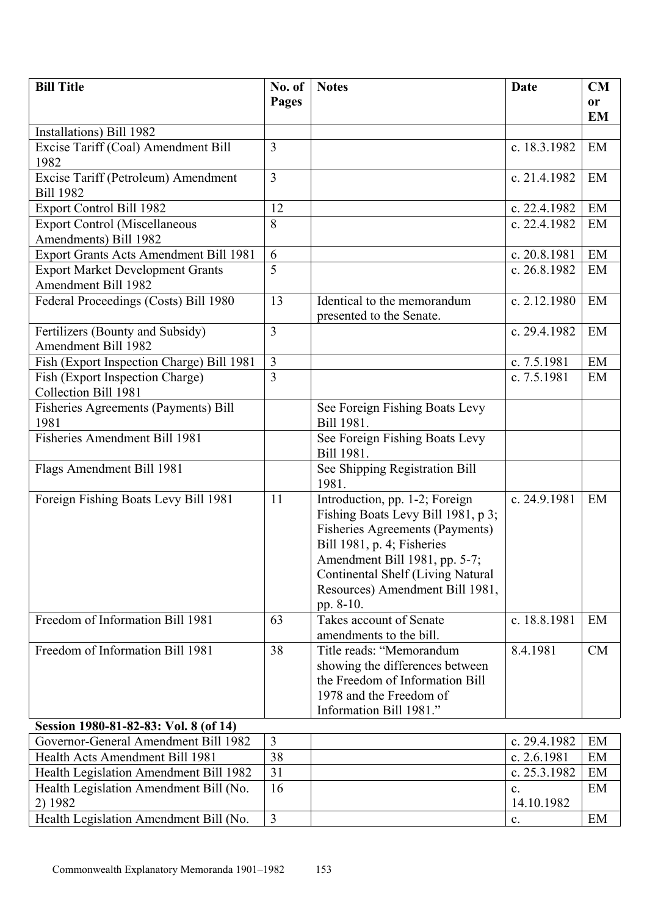| <b>Bill Title</b>                             | No. of         | <b>Notes</b>                                                         | <b>Date</b>  | <b>CM</b> |
|-----------------------------------------------|----------------|----------------------------------------------------------------------|--------------|-----------|
|                                               | Pages          |                                                                      |              | <b>or</b> |
|                                               |                |                                                                      |              | <b>EM</b> |
| Installations) Bill 1982                      |                |                                                                      |              |           |
| Excise Tariff (Coal) Amendment Bill           | $\overline{3}$ |                                                                      | c. 18.3.1982 | EM        |
| 1982                                          |                |                                                                      |              |           |
| Excise Tariff (Petroleum) Amendment           | 3              |                                                                      | c. 21.4.1982 | EM        |
| <b>Bill 1982</b>                              |                |                                                                      |              |           |
| <b>Export Control Bill 1982</b>               | 12             |                                                                      | c. 22.4.1982 | EM        |
| <b>Export Control (Miscellaneous</b>          | 8              |                                                                      | c. 22.4.1982 | EM        |
| Amendments) Bill 1982                         |                |                                                                      |              |           |
| <b>Export Grants Acts Amendment Bill 1981</b> | 6              |                                                                      | c. 20.8.1981 | EM        |
| <b>Export Market Development Grants</b>       | 5              |                                                                      | c. 26.8.1982 | EM        |
| <b>Amendment Bill 1982</b>                    |                |                                                                      |              |           |
| Federal Proceedings (Costs) Bill 1980         | 13             | Identical to the memorandum<br>presented to the Senate.              | c. 2.12.1980 | EM        |
| Fertilizers (Bounty and Subsidy)              | 3              |                                                                      | c. 29.4.1982 | EM        |
| <b>Amendment Bill 1982</b>                    |                |                                                                      |              |           |
| Fish (Export Inspection Charge) Bill 1981     | $\overline{3}$ |                                                                      | c. 7.5.1981  | EM        |
| Fish (Export Inspection Charge)               | $\overline{3}$ |                                                                      | c. 7.5.1981  | EM        |
| Collection Bill 1981                          |                |                                                                      |              |           |
| Fisheries Agreements (Payments) Bill          |                | See Foreign Fishing Boats Levy                                       |              |           |
| 1981                                          |                | Bill 1981.                                                           |              |           |
| <b>Fisheries Amendment Bill 1981</b>          |                | See Foreign Fishing Boats Levy                                       |              |           |
|                                               |                | Bill 1981.                                                           |              |           |
| Flags Amendment Bill 1981                     |                | See Shipping Registration Bill                                       |              |           |
|                                               | 11             | 1981.                                                                | c. 24.9.1981 | EM        |
| Foreign Fishing Boats Levy Bill 1981          |                | Introduction, pp. 1-2; Foreign<br>Fishing Boats Levy Bill 1981, p 3; |              |           |
|                                               |                | <b>Fisheries Agreements (Payments)</b>                               |              |           |
|                                               |                | Bill 1981, p. 4; Fisheries                                           |              |           |
|                                               |                | Amendment Bill 1981, pp. 5-7;                                        |              |           |
|                                               |                | Continental Shelf (Living Natural                                    |              |           |
|                                               |                | Resources) Amendment Bill 1981,                                      |              |           |
|                                               |                | pp. 8-10.                                                            |              |           |
| Freedom of Information Bill 1981              | 63             | Takes account of Senate                                              | c. 18.8.1981 | EM        |
|                                               |                | amendments to the bill.                                              |              |           |
| Freedom of Information Bill 1981              | 38             | Title reads: "Memorandum                                             | 8.4.1981     | CM        |
|                                               |                | showing the differences between                                      |              |           |
|                                               |                | the Freedom of Information Bill                                      |              |           |
|                                               |                | 1978 and the Freedom of                                              |              |           |
|                                               |                | Information Bill 1981."                                              |              |           |
| Session 1980-81-82-83: Vol. 8 (of 14)         |                |                                                                      |              |           |
| Governor-General Amendment Bill 1982          | $\overline{3}$ |                                                                      | c. 29.4.1982 | EM        |
| Health Acts Amendment Bill 1981               | 38             |                                                                      | c. 2.6.1981  | EM        |
| Health Legislation Amendment Bill 1982        | 31             |                                                                      | c. 25.3.1982 | EM        |
| Health Legislation Amendment Bill (No.        | 16             |                                                                      | c.           | EM        |
| 2) 1982                                       |                |                                                                      | 14.10.1982   |           |

Health Legislation Amendment Bill (No.  $\begin{array}{c|c} \n3 & \n\end{array}$  c.  $\begin{array}{c|c} \n\end{array}$  EM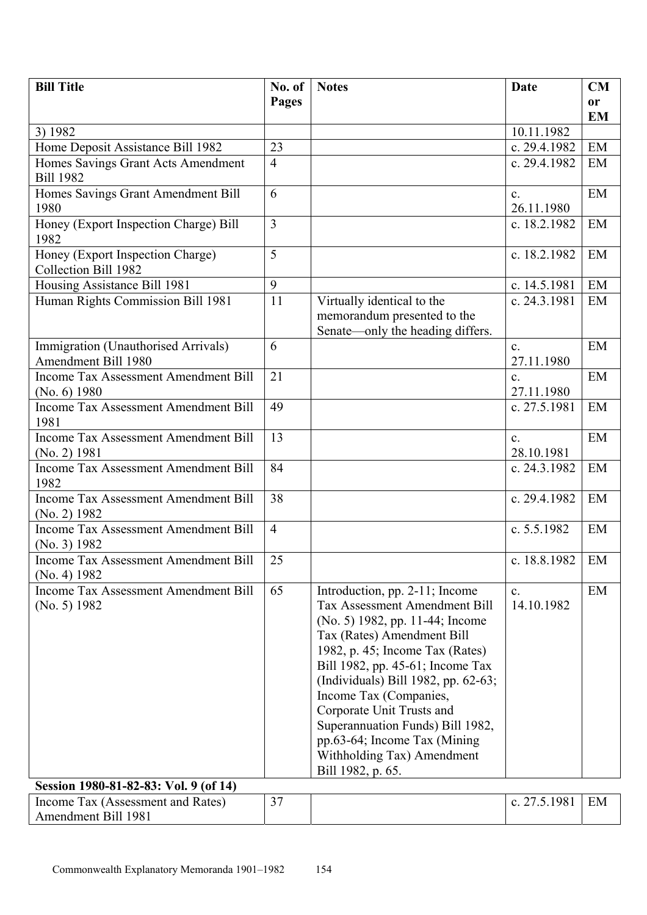| <b>Bill Title</b>                                                 | No. of         | <b>Notes</b>                                                                                                                                                                                                                                                                                                                                                                                                                        | <b>Date</b>                  | CM            |
|-------------------------------------------------------------------|----------------|-------------------------------------------------------------------------------------------------------------------------------------------------------------------------------------------------------------------------------------------------------------------------------------------------------------------------------------------------------------------------------------------------------------------------------------|------------------------------|---------------|
|                                                                   | Pages          |                                                                                                                                                                                                                                                                                                                                                                                                                                     |                              | <sub>or</sub> |
|                                                                   |                |                                                                                                                                                                                                                                                                                                                                                                                                                                     |                              | <b>EM</b>     |
| 3) 1982                                                           |                |                                                                                                                                                                                                                                                                                                                                                                                                                                     | 10.11.1982                   |               |
| Home Deposit Assistance Bill 1982                                 | 23             |                                                                                                                                                                                                                                                                                                                                                                                                                                     | c. 29.4.1982                 | EM            |
| Homes Savings Grant Acts Amendment<br><b>Bill 1982</b>            | $\overline{4}$ |                                                                                                                                                                                                                                                                                                                                                                                                                                     | c. 29.4.1982                 | EM            |
| Homes Savings Grant Amendment Bill                                | 6              |                                                                                                                                                                                                                                                                                                                                                                                                                                     | $\mathbf{c}$ .               | EM            |
| 1980                                                              |                |                                                                                                                                                                                                                                                                                                                                                                                                                                     | 26.11.1980                   |               |
| Honey (Export Inspection Charge) Bill                             | $\overline{3}$ |                                                                                                                                                                                                                                                                                                                                                                                                                                     | c. 18.2.1982                 | EM            |
| 1982                                                              |                |                                                                                                                                                                                                                                                                                                                                                                                                                                     |                              |               |
| Honey (Export Inspection Charge)                                  | 5              |                                                                                                                                                                                                                                                                                                                                                                                                                                     | c. 18.2.1982                 | EM            |
| Collection Bill 1982                                              | 9              |                                                                                                                                                                                                                                                                                                                                                                                                                                     |                              | EM            |
| Housing Assistance Bill 1981<br>Human Rights Commission Bill 1981 | 11             | Virtually identical to the                                                                                                                                                                                                                                                                                                                                                                                                          | c. 14.5.1981<br>c. 24.3.1981 | EM            |
|                                                                   |                | memorandum presented to the                                                                                                                                                                                                                                                                                                                                                                                                         |                              |               |
|                                                                   |                | Senate—only the heading differs.                                                                                                                                                                                                                                                                                                                                                                                                    |                              |               |
| Immigration (Unauthorised Arrivals)<br>Amendment Bill 1980        | 6              |                                                                                                                                                                                                                                                                                                                                                                                                                                     | $\mathbf{c}$ .<br>27.11.1980 | EM            |
| <b>Income Tax Assessment Amendment Bill</b>                       | 21             |                                                                                                                                                                                                                                                                                                                                                                                                                                     | C <sub>1</sub>               | EM            |
| (No. 6) 1980                                                      |                |                                                                                                                                                                                                                                                                                                                                                                                                                                     | 27.11.1980                   |               |
| <b>Income Tax Assessment Amendment Bill</b><br>1981               | 49             |                                                                                                                                                                                                                                                                                                                                                                                                                                     | c. 27.5.1981                 | EM            |
| <b>Income Tax Assessment Amendment Bill</b><br>(No. 2) 1981       | 13             |                                                                                                                                                                                                                                                                                                                                                                                                                                     | $\mathbf{c}$ .<br>28.10.1981 | EM            |
| <b>Income Tax Assessment Amendment Bill</b><br>1982               | 84             |                                                                                                                                                                                                                                                                                                                                                                                                                                     | c. 24.3.1982                 | EM            |
| Income Tax Assessment Amendment Bill<br>(No. 2) 1982              | 38             |                                                                                                                                                                                                                                                                                                                                                                                                                                     | c. 29.4.1982                 | EM            |
| <b>Income Tax Assessment Amendment Bill</b><br>(No. 3) 1982       | $\overline{4}$ |                                                                                                                                                                                                                                                                                                                                                                                                                                     | c. 5.5.1982                  | EM            |
| Income Tax Assessment Amendment Bill<br>(No. 4) 1982              | 25             |                                                                                                                                                                                                                                                                                                                                                                                                                                     | c. 18.8.1982                 | EM            |
| <b>Income Tax Assessment Amendment Bill</b><br>(No. 5) 1982       | 65             | Introduction, pp. 2-11; Income<br><b>Tax Assessment Amendment Bill</b><br>(No. 5) 1982, pp. 11-44; Income<br>Tax (Rates) Amendment Bill<br>1982, p. 45; Income Tax (Rates)<br>Bill 1982, pp. 45-61; Income Tax<br>(Individuals) Bill 1982, pp. 62-63;<br>Income Tax (Companies,<br>Corporate Unit Trusts and<br>Superannuation Funds) Bill 1982,<br>pp.63-64; Income Tax (Mining<br>Withholding Tax) Amendment<br>Bill 1982, p. 65. | $\mathbf{c}$ .<br>14.10.1982 | EM            |
| Session 1980-81-82-83: Vol. 9 (of 14)                             |                |                                                                                                                                                                                                                                                                                                                                                                                                                                     |                              |               |
| Income Tax (Assessment and Rates)<br>Amendment Bill 1981          | 37             |                                                                                                                                                                                                                                                                                                                                                                                                                                     | c. 27.5.1981                 | EM            |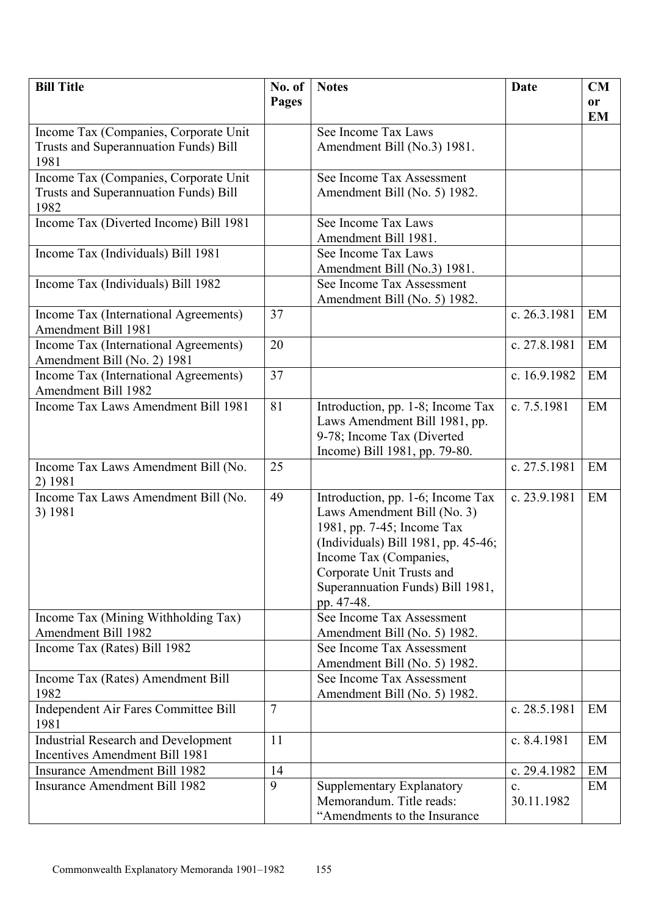| <b>Bill Title</b>                                                    | No. of         | <b>Notes</b>                                                                                                                                                                                                                                   | Date           | <b>CM</b> |
|----------------------------------------------------------------------|----------------|------------------------------------------------------------------------------------------------------------------------------------------------------------------------------------------------------------------------------------------------|----------------|-----------|
|                                                                      | Pages          |                                                                                                                                                                                                                                                |                | <b>or</b> |
|                                                                      |                |                                                                                                                                                                                                                                                |                | <b>EM</b> |
| Income Tax (Companies, Corporate Unit                                |                | See Income Tax Laws                                                                                                                                                                                                                            |                |           |
| Trusts and Superannuation Funds) Bill<br>1981                        |                | Amendment Bill (No.3) 1981.                                                                                                                                                                                                                    |                |           |
| Income Tax (Companies, Corporate Unit                                |                | See Income Tax Assessment                                                                                                                                                                                                                      |                |           |
| Trusts and Superannuation Funds) Bill<br>1982                        |                | Amendment Bill (No. 5) 1982.                                                                                                                                                                                                                   |                |           |
| Income Tax (Diverted Income) Bill 1981                               |                | See Income Tax Laws<br>Amendment Bill 1981.                                                                                                                                                                                                    |                |           |
| Income Tax (Individuals) Bill 1981                                   |                | See Income Tax Laws                                                                                                                                                                                                                            |                |           |
|                                                                      |                | Amendment Bill (No.3) 1981.                                                                                                                                                                                                                    |                |           |
| Income Tax (Individuals) Bill 1982                                   |                | See Income Tax Assessment                                                                                                                                                                                                                      |                |           |
|                                                                      |                | Amendment Bill (No. 5) 1982.                                                                                                                                                                                                                   |                |           |
| Income Tax (International Agreements)<br>Amendment Bill 1981         | 37             |                                                                                                                                                                                                                                                | c. 26.3.1981   | EM        |
| Income Tax (International Agreements)<br>Amendment Bill (No. 2) 1981 | 20             |                                                                                                                                                                                                                                                | c. 27.8.1981   | EM        |
| Income Tax (International Agreements)<br>Amendment Bill 1982         | 37             |                                                                                                                                                                                                                                                | c. 16.9.1982   | EM        |
| Income Tax Laws Amendment Bill 1981                                  | 81             | Introduction, pp. 1-8; Income Tax<br>Laws Amendment Bill 1981, pp.<br>9-78; Income Tax (Diverted<br>Income) Bill 1981, pp. 79-80.                                                                                                              | c. 7.5.1981    | EM        |
| Income Tax Laws Amendment Bill (No.<br>2) 1981                       | 25             |                                                                                                                                                                                                                                                | c. 27.5.1981   | EM        |
| Income Tax Laws Amendment Bill (No.<br>3) 1981                       | 49             | Introduction, pp. 1-6; Income Tax<br>Laws Amendment Bill (No. 3)<br>1981, pp. 7-45; Income Tax<br>(Individuals) Bill 1981, pp. 45-46;<br>Income Tax (Companies,<br>Corporate Unit Trusts and<br>Superannuation Funds) Bill 1981,<br>pp. 47-48. | c. 23.9.1981   | EM        |
| Income Tax (Mining Withholding Tax)<br>Amendment Bill 1982           |                | See Income Tax Assessment<br>Amendment Bill (No. 5) 1982.                                                                                                                                                                                      |                |           |
| Income Tax (Rates) Bill 1982                                         |                | See Income Tax Assessment<br>Amendment Bill (No. 5) 1982.                                                                                                                                                                                      |                |           |
| Income Tax (Rates) Amendment Bill<br>1982                            |                | See Income Tax Assessment<br>Amendment Bill (No. 5) 1982.                                                                                                                                                                                      |                |           |
| Independent Air Fares Committee Bill<br>1981                         | $\overline{7}$ |                                                                                                                                                                                                                                                | c. 28.5.1981   | EM        |
| <b>Industrial Research and Development</b>                           | 11             |                                                                                                                                                                                                                                                | c. 8.4.1981    | EM        |
| <b>Incentives Amendment Bill 1981</b>                                |                |                                                                                                                                                                                                                                                |                |           |
| <b>Insurance Amendment Bill 1982</b>                                 | 14             |                                                                                                                                                                                                                                                | c. 29.4.1982   | EM        |
| <b>Insurance Amendment Bill 1982</b>                                 | 9              | <b>Supplementary Explanatory</b>                                                                                                                                                                                                               | $\mathbf{c}$ . | EM        |
|                                                                      |                | Memorandum. Title reads:                                                                                                                                                                                                                       | 30.11.1982     |           |
|                                                                      |                | "Amendments to the Insurance                                                                                                                                                                                                                   |                |           |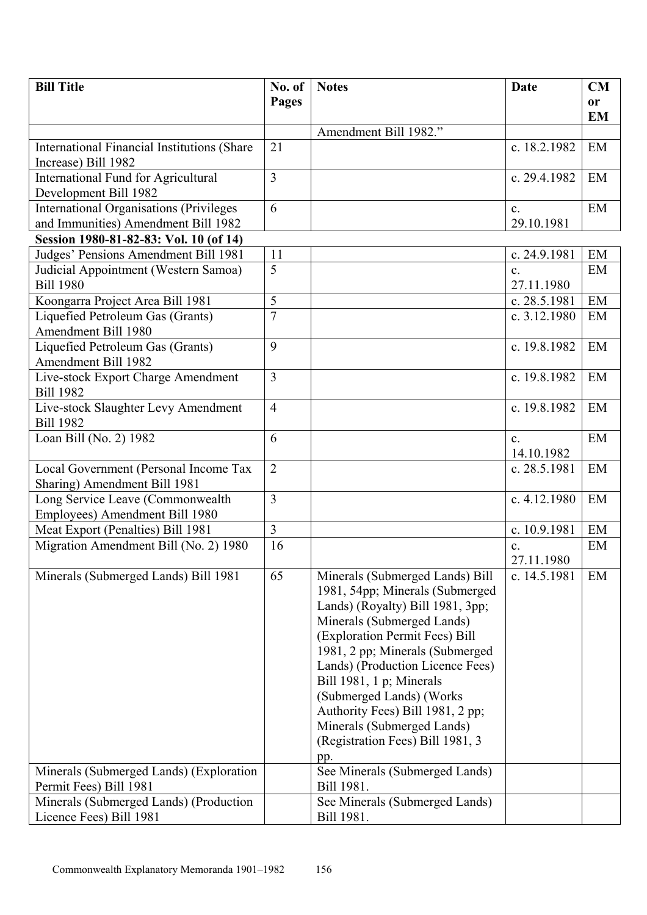| <b>Bill Title</b>                                  | No. of         | <b>Notes</b>                     | Date           | CM        |
|----------------------------------------------------|----------------|----------------------------------|----------------|-----------|
|                                                    | Pages          |                                  |                | <b>or</b> |
|                                                    |                |                                  |                | <b>EM</b> |
|                                                    |                | Amendment Bill 1982."            |                |           |
| <b>International Financial Institutions (Share</b> | 21             |                                  | c. 18.2.1982   | EM        |
| Increase) Bill 1982                                |                |                                  |                |           |
| <b>International Fund for Agricultural</b>         | $\overline{3}$ |                                  | c. 29.4.1982   | EM        |
| Development Bill 1982                              |                |                                  |                |           |
| <b>International Organisations (Privileges)</b>    | 6              |                                  | $\mathbf{c}$ . | EM        |
| and Immunities) Amendment Bill 1982                |                |                                  | 29.10.1981     |           |
| Session 1980-81-82-83: Vol. 10 (of 14)             |                |                                  |                |           |
| Judges' Pensions Amendment Bill 1981               | 11             |                                  | c. 24.9.1981   | EM        |
| Judicial Appointment (Western Samoa)               | $\overline{5}$ |                                  | $\mathbf{c}$ . | EM        |
| <b>Bill 1980</b>                                   |                |                                  | 27.11.1980     |           |
| Koongarra Project Area Bill 1981                   | 5              |                                  | c. 28.5.1981   | EM        |
| Liquefied Petroleum Gas (Grants)                   | $\overline{7}$ |                                  | c. 3.12.1980   | EM        |
| <b>Amendment Bill 1980</b>                         |                |                                  |                |           |
| Liquefied Petroleum Gas (Grants)                   | 9              |                                  | c. 19.8.1982   | EM        |
| <b>Amendment Bill 1982</b>                         |                |                                  |                |           |
| Live-stock Export Charge Amendment                 | 3              |                                  | c. 19.8.1982   | EM        |
| <b>Bill 1982</b>                                   |                |                                  |                |           |
| Live-stock Slaughter Levy Amendment                | $\overline{4}$ |                                  | c. 19.8.1982   | EM        |
| <b>Bill 1982</b>                                   |                |                                  |                |           |
| Loan Bill (No. 2) 1982                             | 6              |                                  | $\mathbf{c}$ . | EM        |
|                                                    |                |                                  | 14.10.1982     |           |
| Local Government (Personal Income Tax              | $\overline{2}$ |                                  | c. 28.5.1981   | EM        |
| Sharing) Amendment Bill 1981                       |                |                                  |                |           |
| Long Service Leave (Commonwealth                   | $\overline{3}$ |                                  | c. 4.12.1980   | EM        |
| Employees) Amendment Bill 1980                     |                |                                  |                |           |
| Meat Export (Penalties) Bill 1981                  | $\overline{3}$ |                                  | c. 10.9.1981   | EM        |
| Migration Amendment Bill (No. 2) 1980              | 16             |                                  | c.             | EM        |
|                                                    |                |                                  | 27.11.1980     |           |
| Minerals (Submerged Lands) Bill 1981               | 65             | Minerals (Submerged Lands) Bill  | c. 14.5.1981   | EM        |
|                                                    |                | 1981, 54pp; Minerals (Submerged) |                |           |
|                                                    |                | Lands) (Royalty) Bill 1981, 3pp; |                |           |
|                                                    |                | Minerals (Submerged Lands)       |                |           |
|                                                    |                | (Exploration Permit Fees) Bill   |                |           |
|                                                    |                | 1981, 2 pp; Minerals (Submerged  |                |           |
|                                                    |                | Lands) (Production Licence Fees) |                |           |
|                                                    |                | Bill 1981, 1 p; Minerals         |                |           |
|                                                    |                | (Submerged Lands) (Works         |                |           |
|                                                    |                | Authority Fees) Bill 1981, 2 pp; |                |           |
|                                                    |                | Minerals (Submerged Lands)       |                |           |
|                                                    |                | (Registration Fees) Bill 1981, 3 |                |           |
|                                                    |                | pp.                              |                |           |
| Minerals (Submerged Lands) (Exploration            |                | See Minerals (Submerged Lands)   |                |           |
| Permit Fees) Bill 1981                             |                | Bill 1981.                       |                |           |
| Minerals (Submerged Lands) (Production             |                | See Minerals (Submerged Lands)   |                |           |
| Licence Fees) Bill 1981                            |                | Bill 1981.                       |                |           |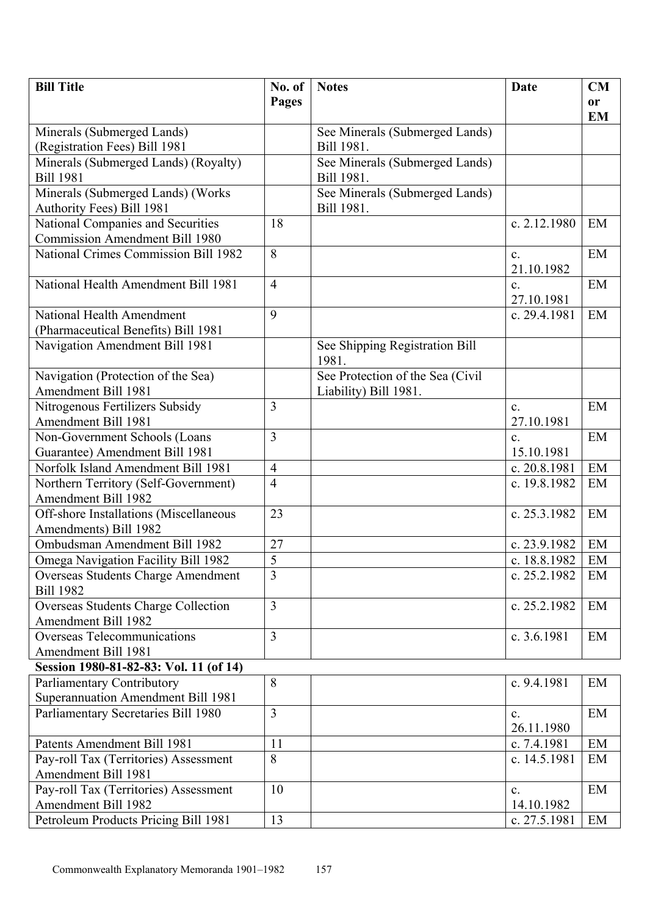| <b>Bill Title</b>                                      | No. of         | <b>Notes</b>                     | Date                         | CM        |
|--------------------------------------------------------|----------------|----------------------------------|------------------------------|-----------|
|                                                        | Pages          |                                  |                              | or        |
|                                                        |                |                                  |                              | <b>EM</b> |
| Minerals (Submerged Lands)                             |                | See Minerals (Submerged Lands)   |                              |           |
| (Registration Fees) Bill 1981                          |                | Bill 1981.                       |                              |           |
| Minerals (Submerged Lands) (Royalty)                   |                | See Minerals (Submerged Lands)   |                              |           |
| <b>Bill 1981</b>                                       |                | Bill 1981.                       |                              |           |
| Minerals (Submerged Lands) (Works                      |                | See Minerals (Submerged Lands)   |                              |           |
| Authority Fees) Bill 1981                              |                | Bill 1981.                       |                              |           |
| National Companies and Securities                      | 18             |                                  | c. 2.12.1980                 | EM        |
| <b>Commission Amendment Bill 1980</b>                  |                |                                  |                              |           |
| National Crimes Commission Bill 1982                   | 8              |                                  | $\mathbf{c}$ .               | EM        |
|                                                        |                |                                  | 21.10.1982                   |           |
| National Health Amendment Bill 1981                    | $\overline{4}$ |                                  | $\mathbf{c}$ .               | EM        |
|                                                        |                |                                  | 27.10.1981                   |           |
| National Health Amendment                              | 9              |                                  | c. 29.4.1981                 | EM        |
| (Pharmaceutical Benefits) Bill 1981                    |                |                                  |                              |           |
| Navigation Amendment Bill 1981                         |                | See Shipping Registration Bill   |                              |           |
|                                                        |                | 1981.                            |                              |           |
| Navigation (Protection of the Sea)                     |                | See Protection of the Sea (Civil |                              |           |
| Amendment Bill 1981                                    |                | Liability) Bill 1981.            |                              |           |
| Nitrogenous Fertilizers Subsidy                        | 3              |                                  | $\mathbf{c}$ .               | EM        |
| Amendment Bill 1981                                    |                |                                  | 27.10.1981                   |           |
| Non-Government Schools (Loans                          | 3              |                                  | c.                           | EM        |
| Guarantee) Amendment Bill 1981                         |                |                                  | 15.10.1981                   |           |
| Norfolk Island Amendment Bill 1981                     | $\overline{4}$ |                                  | c. 20.8.1981                 | EM        |
| Northern Territory (Self-Government)                   | $\overline{4}$ |                                  | c. 19.8.1982                 | EM        |
| <b>Amendment Bill 1982</b>                             |                |                                  |                              |           |
| Off-shore Installations (Miscellaneous                 | 23             |                                  | c. 25.3.1982                 | EM        |
| Amendments) Bill 1982                                  | 27             |                                  | c. 23.9.1982                 | EM        |
| Ombudsman Amendment Bill 1982                          | $\overline{5}$ |                                  |                              |           |
| Omega Navigation Facility Bill 1982                    | $\overline{3}$ |                                  | c. 18.8.1982<br>c. 25.2.1982 | EM<br>EM  |
| Overseas Students Charge Amendment<br><b>Bill 1982</b> |                |                                  |                              |           |
| <b>Overseas Students Charge Collection</b>             | $\overline{3}$ |                                  | c. 25.2.1982                 | EM        |
| Amendment Bill 1982                                    |                |                                  |                              |           |
| Overseas Telecommunications                            | 3              |                                  | c. $3.6.1981$                | EM        |
| Amendment Bill 1981                                    |                |                                  |                              |           |
| Session 1980-81-82-83: Vol. 11 (of 14)                 |                |                                  |                              |           |
| Parliamentary Contributory                             | 8              |                                  | c. 9.4.1981                  | EM        |
| Superannuation Amendment Bill 1981                     |                |                                  |                              |           |
| Parliamentary Secretaries Bill 1980                    | 3              |                                  | $\mathbf{c}$ .               | EM        |
|                                                        |                |                                  | 26.11.1980                   |           |
| Patents Amendment Bill 1981                            | 11             |                                  | c. $7.4.1981$                | EM        |
| Pay-roll Tax (Territories) Assessment                  | 8              |                                  | c. 14.5.1981                 | EM        |
| <b>Amendment Bill 1981</b>                             |                |                                  |                              |           |
| Pay-roll Tax (Territories) Assessment                  | 10             |                                  | $\mathbf{c}$ .               | EM        |
| Amendment Bill 1982                                    |                |                                  | 14.10.1982                   |           |
| Petroleum Products Pricing Bill 1981                   | 13             |                                  | c. 27.5.1981                 | EM        |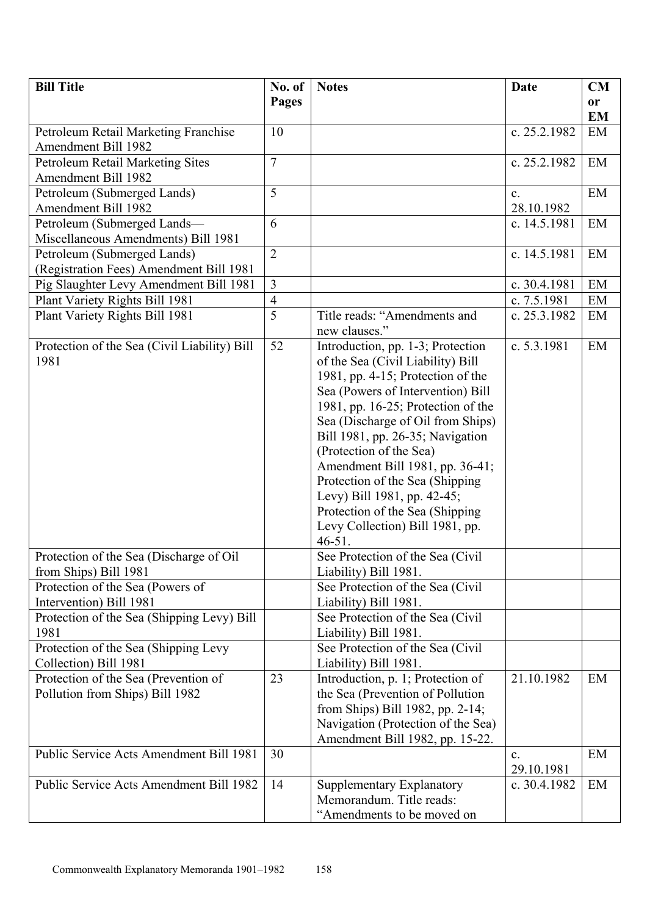| No. of | <b>Notes</b>                                                                                   | <b>Date</b>                                                                                                                                                                                                                                                                                                                                                                                                                                                                                                                                                                                                                                                                                                                                                                                                                                                                                  | <b>CM</b>                                                                                                                                                              |
|--------|------------------------------------------------------------------------------------------------|----------------------------------------------------------------------------------------------------------------------------------------------------------------------------------------------------------------------------------------------------------------------------------------------------------------------------------------------------------------------------------------------------------------------------------------------------------------------------------------------------------------------------------------------------------------------------------------------------------------------------------------------------------------------------------------------------------------------------------------------------------------------------------------------------------------------------------------------------------------------------------------------|------------------------------------------------------------------------------------------------------------------------------------------------------------------------|
| Pages  |                                                                                                |                                                                                                                                                                                                                                                                                                                                                                                                                                                                                                                                                                                                                                                                                                                                                                                                                                                                                              | <b>or</b>                                                                                                                                                              |
|        |                                                                                                |                                                                                                                                                                                                                                                                                                                                                                                                                                                                                                                                                                                                                                                                                                                                                                                                                                                                                              | <b>EM</b>                                                                                                                                                              |
| 10     |                                                                                                | c. 25.2.1982                                                                                                                                                                                                                                                                                                                                                                                                                                                                                                                                                                                                                                                                                                                                                                                                                                                                                 | EM                                                                                                                                                                     |
|        |                                                                                                |                                                                                                                                                                                                                                                                                                                                                                                                                                                                                                                                                                                                                                                                                                                                                                                                                                                                                              |                                                                                                                                                                        |
|        |                                                                                                | c. 25.2.1982                                                                                                                                                                                                                                                                                                                                                                                                                                                                                                                                                                                                                                                                                                                                                                                                                                                                                 | EM                                                                                                                                                                     |
|        |                                                                                                |                                                                                                                                                                                                                                                                                                                                                                                                                                                                                                                                                                                                                                                                                                                                                                                                                                                                                              |                                                                                                                                                                        |
|        |                                                                                                | C <sub>1</sub>                                                                                                                                                                                                                                                                                                                                                                                                                                                                                                                                                                                                                                                                                                                                                                                                                                                                               | EM                                                                                                                                                                     |
|        |                                                                                                |                                                                                                                                                                                                                                                                                                                                                                                                                                                                                                                                                                                                                                                                                                                                                                                                                                                                                              |                                                                                                                                                                        |
|        |                                                                                                |                                                                                                                                                                                                                                                                                                                                                                                                                                                                                                                                                                                                                                                                                                                                                                                                                                                                                              | EM                                                                                                                                                                     |
|        |                                                                                                |                                                                                                                                                                                                                                                                                                                                                                                                                                                                                                                                                                                                                                                                                                                                                                                                                                                                                              |                                                                                                                                                                        |
|        |                                                                                                |                                                                                                                                                                                                                                                                                                                                                                                                                                                                                                                                                                                                                                                                                                                                                                                                                                                                                              | EM                                                                                                                                                                     |
|        |                                                                                                |                                                                                                                                                                                                                                                                                                                                                                                                                                                                                                                                                                                                                                                                                                                                                                                                                                                                                              |                                                                                                                                                                        |
|        |                                                                                                |                                                                                                                                                                                                                                                                                                                                                                                                                                                                                                                                                                                                                                                                                                                                                                                                                                                                                              | EM                                                                                                                                                                     |
|        |                                                                                                |                                                                                                                                                                                                                                                                                                                                                                                                                                                                                                                                                                                                                                                                                                                                                                                                                                                                                              | EM                                                                                                                                                                     |
|        |                                                                                                |                                                                                                                                                                                                                                                                                                                                                                                                                                                                                                                                                                                                                                                                                                                                                                                                                                                                                              | EM                                                                                                                                                                     |
|        |                                                                                                |                                                                                                                                                                                                                                                                                                                                                                                                                                                                                                                                                                                                                                                                                                                                                                                                                                                                                              |                                                                                                                                                                        |
|        |                                                                                                |                                                                                                                                                                                                                                                                                                                                                                                                                                                                                                                                                                                                                                                                                                                                                                                                                                                                                              | EM                                                                                                                                                                     |
|        |                                                                                                |                                                                                                                                                                                                                                                                                                                                                                                                                                                                                                                                                                                                                                                                                                                                                                                                                                                                                              |                                                                                                                                                                        |
|        |                                                                                                |                                                                                                                                                                                                                                                                                                                                                                                                                                                                                                                                                                                                                                                                                                                                                                                                                                                                                              |                                                                                                                                                                        |
|        |                                                                                                |                                                                                                                                                                                                                                                                                                                                                                                                                                                                                                                                                                                                                                                                                                                                                                                                                                                                                              |                                                                                                                                                                        |
|        |                                                                                                |                                                                                                                                                                                                                                                                                                                                                                                                                                                                                                                                                                                                                                                                                                                                                                                                                                                                                              |                                                                                                                                                                        |
|        |                                                                                                |                                                                                                                                                                                                                                                                                                                                                                                                                                                                                                                                                                                                                                                                                                                                                                                                                                                                                              |                                                                                                                                                                        |
|        |                                                                                                |                                                                                                                                                                                                                                                                                                                                                                                                                                                                                                                                                                                                                                                                                                                                                                                                                                                                                              |                                                                                                                                                                        |
|        |                                                                                                |                                                                                                                                                                                                                                                                                                                                                                                                                                                                                                                                                                                                                                                                                                                                                                                                                                                                                              |                                                                                                                                                                        |
|        |                                                                                                |                                                                                                                                                                                                                                                                                                                                                                                                                                                                                                                                                                                                                                                                                                                                                                                                                                                                                              |                                                                                                                                                                        |
|        |                                                                                                |                                                                                                                                                                                                                                                                                                                                                                                                                                                                                                                                                                                                                                                                                                                                                                                                                                                                                              |                                                                                                                                                                        |
|        |                                                                                                |                                                                                                                                                                                                                                                                                                                                                                                                                                                                                                                                                                                                                                                                                                                                                                                                                                                                                              |                                                                                                                                                                        |
|        | Levy Collection) Bill 1981, pp.                                                                |                                                                                                                                                                                                                                                                                                                                                                                                                                                                                                                                                                                                                                                                                                                                                                                                                                                                                              |                                                                                                                                                                        |
|        | $46 - 51$ .                                                                                    |                                                                                                                                                                                                                                                                                                                                                                                                                                                                                                                                                                                                                                                                                                                                                                                                                                                                                              |                                                                                                                                                                        |
|        | See Protection of the Sea (Civil                                                               |                                                                                                                                                                                                                                                                                                                                                                                                                                                                                                                                                                                                                                                                                                                                                                                                                                                                                              |                                                                                                                                                                        |
|        | Liability) Bill 1981.                                                                          |                                                                                                                                                                                                                                                                                                                                                                                                                                                                                                                                                                                                                                                                                                                                                                                                                                                                                              |                                                                                                                                                                        |
|        |                                                                                                |                                                                                                                                                                                                                                                                                                                                                                                                                                                                                                                                                                                                                                                                                                                                                                                                                                                                                              |                                                                                                                                                                        |
|        |                                                                                                |                                                                                                                                                                                                                                                                                                                                                                                                                                                                                                                                                                                                                                                                                                                                                                                                                                                                                              |                                                                                                                                                                        |
|        | See Protection of the Sea (Civil                                                               |                                                                                                                                                                                                                                                                                                                                                                                                                                                                                                                                                                                                                                                                                                                                                                                                                                                                                              |                                                                                                                                                                        |
|        |                                                                                                |                                                                                                                                                                                                                                                                                                                                                                                                                                                                                                                                                                                                                                                                                                                                                                                                                                                                                              |                                                                                                                                                                        |
|        |                                                                                                |                                                                                                                                                                                                                                                                                                                                                                                                                                                                                                                                                                                                                                                                                                                                                                                                                                                                                              |                                                                                                                                                                        |
|        |                                                                                                |                                                                                                                                                                                                                                                                                                                                                                                                                                                                                                                                                                                                                                                                                                                                                                                                                                                                                              |                                                                                                                                                                        |
|        |                                                                                                |                                                                                                                                                                                                                                                                                                                                                                                                                                                                                                                                                                                                                                                                                                                                                                                                                                                                                              | EM                                                                                                                                                                     |
|        |                                                                                                |                                                                                                                                                                                                                                                                                                                                                                                                                                                                                                                                                                                                                                                                                                                                                                                                                                                                                              |                                                                                                                                                                        |
|        |                                                                                                |                                                                                                                                                                                                                                                                                                                                                                                                                                                                                                                                                                                                                                                                                                                                                                                                                                                                                              |                                                                                                                                                                        |
|        |                                                                                                |                                                                                                                                                                                                                                                                                                                                                                                                                                                                                                                                                                                                                                                                                                                                                                                                                                                                                              |                                                                                                                                                                        |
|        |                                                                                                |                                                                                                                                                                                                                                                                                                                                                                                                                                                                                                                                                                                                                                                                                                                                                                                                                                                                                              | EM                                                                                                                                                                     |
|        |                                                                                                |                                                                                                                                                                                                                                                                                                                                                                                                                                                                                                                                                                                                                                                                                                                                                                                                                                                                                              |                                                                                                                                                                        |
|        |                                                                                                |                                                                                                                                                                                                                                                                                                                                                                                                                                                                                                                                                                                                                                                                                                                                                                                                                                                                                              | EM                                                                                                                                                                     |
|        |                                                                                                |                                                                                                                                                                                                                                                                                                                                                                                                                                                                                                                                                                                                                                                                                                                                                                                                                                                                                              |                                                                                                                                                                        |
|        | "Amendments to be moved on                                                                     |                                                                                                                                                                                                                                                                                                                                                                                                                                                                                                                                                                                                                                                                                                                                                                                                                                                                                              |                                                                                                                                                                        |
|        | $\overline{7}$<br>5<br>6<br>$\overline{2}$<br>3<br>$\overline{4}$<br>5<br>52<br>23<br>30<br>14 | Title reads: "Amendments and<br>new clauses."<br>Introduction, pp. 1-3; Protection<br>of the Sea (Civil Liability) Bill<br>1981, pp. $4-15$ ; Protection of the<br>Sea (Powers of Intervention) Bill<br>1981, pp. $16-25$ ; Protection of the<br>Sea (Discharge of Oil from Ships)<br>Bill 1981, pp. 26-35; Navigation<br>(Protection of the Sea)<br>Amendment Bill 1981, pp. 36-41;<br>Protection of the Sea (Shipping)<br>Levy) Bill 1981, pp. 42-45;<br>Protection of the Sea (Shipping<br>See Protection of the Sea (Civil<br>Liability) Bill 1981.<br>Liability) Bill 1981.<br>See Protection of the Sea (Civil<br>Liability) Bill 1981.<br>Introduction, p. 1; Protection of<br>the Sea (Prevention of Pollution<br>from Ships) Bill 1982, pp. 2-14;<br>Navigation (Protection of the Sea)<br>Amendment Bill 1982, pp. 15-22.<br>Supplementary Explanatory<br>Memorandum. Title reads: | 28.10.1982<br>c. 14.5.1981<br>c. 14.5.1981<br>c. 30.4.1981<br>c. 7.5.1981<br>c. 25.3.1982<br>c. 5.3.1981<br>21.10.1982<br>$\mathbf{c}$ .<br>29.10.1981<br>c. 30.4.1982 |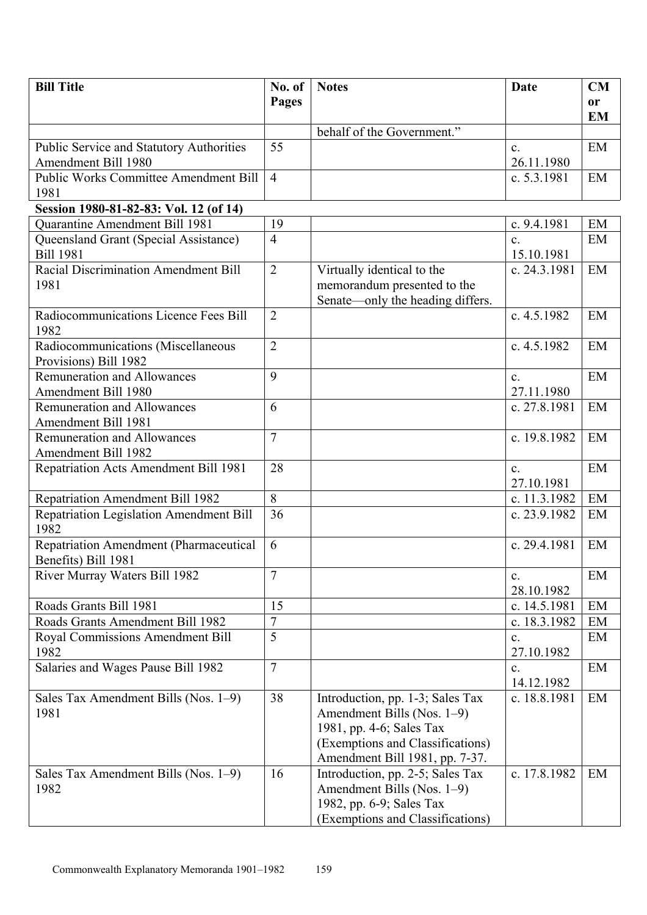| <b>Bill Title</b>                               | No. of         | <b>Notes</b>                                           | <b>Date</b>                  | CM            |
|-------------------------------------------------|----------------|--------------------------------------------------------|------------------------------|---------------|
|                                                 | Pages          |                                                        |                              | <sub>or</sub> |
|                                                 |                | behalf of the Government."                             |                              | <b>EM</b>     |
| <b>Public Service and Statutory Authorities</b> | 55             |                                                        | C <sub>1</sub>               | EM            |
| Amendment Bill 1980                             |                |                                                        | 26.11.1980                   |               |
| <b>Public Works Committee Amendment Bill</b>    | $\overline{4}$ |                                                        | c. 5.3.1981                  | EM            |
| 1981                                            |                |                                                        |                              |               |
| Session 1980-81-82-83: Vol. 12 (of 14)          |                |                                                        |                              |               |
| Quarantine Amendment Bill 1981                  | 19             |                                                        | c. 9.4.1981                  | EM            |
| Queensland Grant (Special Assistance)           | $\overline{4}$ |                                                        | $\mathbf{c}$ .               | EM            |
| <b>Bill 1981</b>                                |                |                                                        | 15.10.1981                   |               |
| <b>Racial Discrimination Amendment Bill</b>     | $\overline{2}$ | Virtually identical to the                             | c. 24.3.1981                 | EM            |
| 1981                                            |                | memorandum presented to the                            |                              |               |
|                                                 |                | Senate—only the heading differs.                       |                              |               |
| Radiocommunications Licence Fees Bill<br>1982   | $\overline{2}$ |                                                        | c. 4.5.1982                  | EM            |
| Radiocommunications (Miscellaneous              | $\overline{2}$ |                                                        | c. 4.5.1982                  | EM            |
| Provisions) Bill 1982                           |                |                                                        |                              |               |
| <b>Remuneration and Allowances</b>              | 9              |                                                        | $\mathbf{c}$ .               | EM            |
| Amendment Bill 1980                             |                |                                                        | 27.11.1980                   |               |
| <b>Remuneration and Allowances</b>              | 6              |                                                        | c. 27.8.1981                 | EM            |
| Amendment Bill 1981                             |                |                                                        |                              |               |
| <b>Remuneration and Allowances</b>              | $\overline{7}$ |                                                        | c. 19.8.1982                 | EM            |
| <b>Amendment Bill 1982</b>                      |                |                                                        |                              |               |
| Repatriation Acts Amendment Bill 1981           | 28             |                                                        | $\mathbf{c}$ .<br>27.10.1981 | EM            |
| <b>Repatriation Amendment Bill 1982</b>         | 8              |                                                        | c. 11.3.1982                 | EM            |
| <b>Repatriation Legislation Amendment Bill</b>  | 36             |                                                        | c. 23.9.1982                 | EM            |
| 1982                                            |                |                                                        |                              |               |
| <b>Repatriation Amendment (Pharmaceutical</b>   | 6              |                                                        | c. 29.4.1981                 | EM            |
| Benefits) Bill 1981                             |                |                                                        |                              |               |
| River Murray Waters Bill 1982                   | $\overline{7}$ |                                                        | $\mathbf{c}$ .               | EM            |
|                                                 |                |                                                        | 28.10.1982                   |               |
| Roads Grants Bill 1981                          | 15             |                                                        | c. 14.5.1981                 | EM            |
| Roads Grants Amendment Bill 1982                | $\overline{7}$ |                                                        | c. 18.3.1982                 | EM            |
| <b>Royal Commissions Amendment Bill</b>         | 5              |                                                        | c.                           | EM            |
| 1982                                            |                |                                                        | 27.10.1982                   |               |
| Salaries and Wages Pause Bill 1982              | $\tau$         |                                                        | c.                           | EM            |
|                                                 |                |                                                        | 14.12.1982                   |               |
| Sales Tax Amendment Bills (Nos. 1–9)<br>1981    | 38             | Introduction, pp. 1-3; Sales Tax                       | c. 18.8.1981                 | EM            |
|                                                 |                | Amendment Bills (Nos. 1–9)<br>1981, pp. 4-6; Sales Tax |                              |               |
|                                                 |                | (Exemptions and Classifications)                       |                              |               |
|                                                 |                | Amendment Bill 1981, pp. 7-37.                         |                              |               |
| Sales Tax Amendment Bills (Nos. 1-9)            | 16             | Introduction, pp. 2-5; Sales Tax                       | c. 17.8.1982                 | EM            |
| 1982                                            |                | Amendment Bills (Nos. 1–9)                             |                              |               |
|                                                 |                | 1982, pp. 6-9; Sales Tax                               |                              |               |
|                                                 |                | (Exemptions and Classifications)                       |                              |               |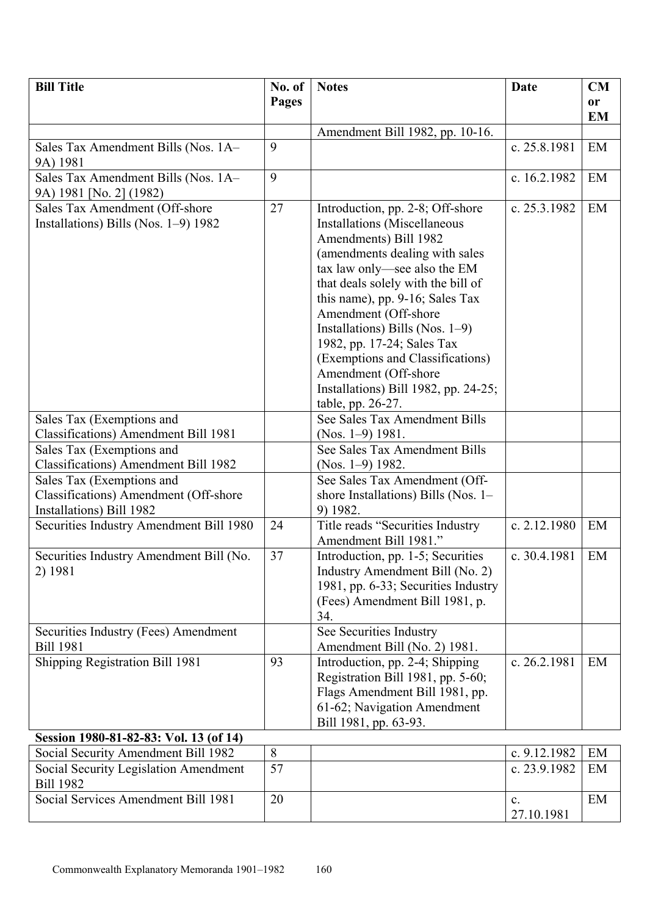| <b>Bill Title</b>                                                                              | No. of | <b>Notes</b>                                                                                                                                                                                                                                                                                                                                                                                                                                                     | <b>Date</b>  | CM        |
|------------------------------------------------------------------------------------------------|--------|------------------------------------------------------------------------------------------------------------------------------------------------------------------------------------------------------------------------------------------------------------------------------------------------------------------------------------------------------------------------------------------------------------------------------------------------------------------|--------------|-----------|
|                                                                                                | Pages  |                                                                                                                                                                                                                                                                                                                                                                                                                                                                  |              | <b>or</b> |
|                                                                                                |        |                                                                                                                                                                                                                                                                                                                                                                                                                                                                  |              | <b>EM</b> |
|                                                                                                |        | Amendment Bill 1982, pp. 10-16.                                                                                                                                                                                                                                                                                                                                                                                                                                  |              |           |
| Sales Tax Amendment Bills (Nos. 1A-<br>9A) 1981                                                | 9      |                                                                                                                                                                                                                                                                                                                                                                                                                                                                  | c. 25.8.1981 | EM        |
| Sales Tax Amendment Bills (Nos. 1A-<br>9A) 1981 [No. 2] (1982)                                 | 9      |                                                                                                                                                                                                                                                                                                                                                                                                                                                                  | c. 16.2.1982 | EM        |
| Sales Tax Amendment (Off-shore<br>Installations) Bills (Nos. 1–9) 1982                         | 27     | Introduction, pp. 2-8; Off-shore<br><b>Installations</b> (Miscellaneous<br>Amendments) Bill 1982<br>(amendments dealing with sales<br>tax law only—see also the EM<br>that deals solely with the bill of<br>this name), pp. 9-16; Sales Tax<br>Amendment (Off-shore<br>Installations) Bills (Nos. $1-9$ )<br>1982, pp. 17-24; Sales Tax<br>(Exemptions and Classifications)<br>Amendment (Off-shore<br>Installations) Bill 1982, pp. 24-25;<br>table, pp. 26-27. | c. 25.3.1982 | EM        |
| Sales Tax (Exemptions and<br>Classifications) Amendment Bill 1981                              |        | See Sales Tax Amendment Bills<br>(Nos. $1-9$ ) 1981.                                                                                                                                                                                                                                                                                                                                                                                                             |              |           |
| Sales Tax (Exemptions and<br>Classifications) Amendment Bill 1982                              |        | See Sales Tax Amendment Bills<br>(Nos. $1-9$ ) 1982.                                                                                                                                                                                                                                                                                                                                                                                                             |              |           |
| Sales Tax (Exemptions and<br>Classifications) Amendment (Off-shore<br>Installations) Bill 1982 |        | See Sales Tax Amendment (Off-<br>shore Installations) Bills (Nos. 1–<br>9) 1982.                                                                                                                                                                                                                                                                                                                                                                                 |              |           |
| Securities Industry Amendment Bill 1980                                                        | 24     | Title reads "Securities Industry<br>Amendment Bill 1981."                                                                                                                                                                                                                                                                                                                                                                                                        | c. 2.12.1980 | EM        |
| Securities Industry Amendment Bill (No.<br>2) 1981                                             | 37     | Introduction, pp. 1-5; Securities<br>Industry Amendment Bill (No. 2)<br>1981, pp. 6-33; Securities Industry<br>(Fees) Amendment Bill 1981, p.<br>34.                                                                                                                                                                                                                                                                                                             | c. 30.4.1981 | EM        |
| Securities Industry (Fees) Amendment<br><b>Bill 1981</b>                                       |        | See Securities Industry<br>Amendment Bill (No. 2) 1981.                                                                                                                                                                                                                                                                                                                                                                                                          |              |           |
| Shipping Registration Bill 1981                                                                | 93     | Introduction, pp. 2-4; Shipping<br>Registration Bill 1981, pp. 5-60;<br>Flags Amendment Bill 1981, pp.<br>61-62; Navigation Amendment<br>Bill 1981, pp. 63-93.                                                                                                                                                                                                                                                                                                   | c. 26.2.1981 | EM        |
| Session 1980-81-82-83: Vol. 13 (of 14)                                                         |        |                                                                                                                                                                                                                                                                                                                                                                                                                                                                  |              |           |
| Social Security Amendment Bill 1982                                                            | 8      |                                                                                                                                                                                                                                                                                                                                                                                                                                                                  | c. 9.12.1982 | EM        |
| Social Security Legislation Amendment<br><b>Bill 1982</b>                                      | 57     |                                                                                                                                                                                                                                                                                                                                                                                                                                                                  | c. 23.9.1982 | EM        |

EM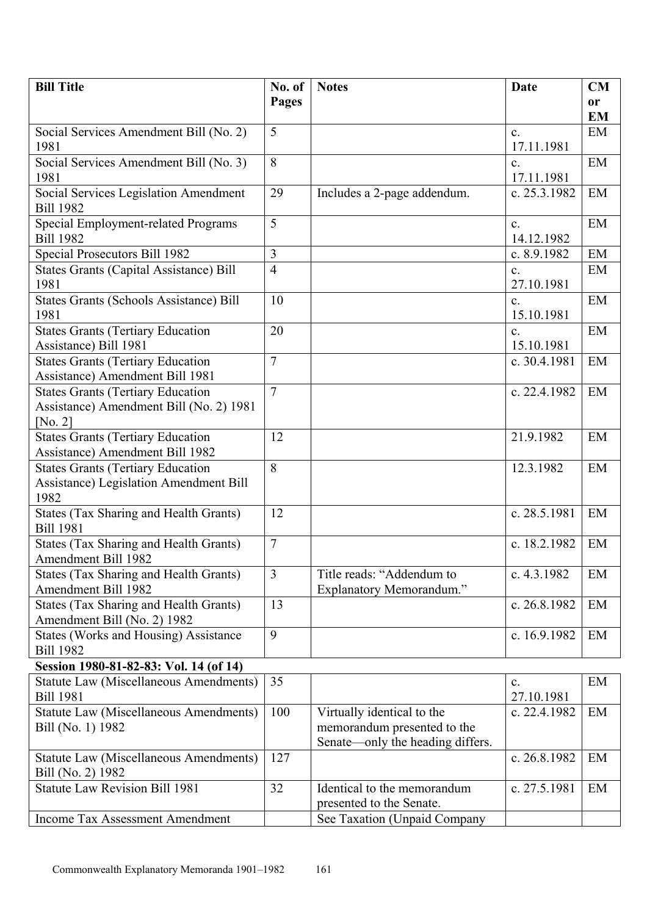| <b>Bill Title</b>                                                 | No. of         | <b>Notes</b>                                            | <b>Date</b>                  | CM        |
|-------------------------------------------------------------------|----------------|---------------------------------------------------------|------------------------------|-----------|
|                                                                   | Pages          |                                                         |                              | or        |
|                                                                   | 5              |                                                         |                              | <b>EM</b> |
| Social Services Amendment Bill (No. 2)<br>1981                    |                |                                                         | $\mathbf{c}$ .<br>17.11.1981 | EM        |
| Social Services Amendment Bill (No. 3)                            | 8              |                                                         | $\mathbf{c}$ .               | EM        |
| 1981                                                              |                |                                                         | 17.11.1981                   |           |
| Social Services Legislation Amendment<br><b>Bill 1982</b>         | 29             | Includes a 2-page addendum.                             | c. 25.3.1982                 | EM        |
| Special Employment-related Programs                               | 5              |                                                         | $\mathbf{c}$ .               | EM        |
| <b>Bill 1982</b>                                                  |                |                                                         | 14.12.1982                   |           |
| Special Prosecutors Bill 1982                                     | 3              |                                                         | c. 8.9.1982                  | EM        |
| <b>States Grants (Capital Assistance) Bill</b><br>1981            | $\overline{4}$ |                                                         | $\mathbf{c}$ .<br>27.10.1981 | EM        |
| States Grants (Schools Assistance) Bill                           | 10             |                                                         | $\mathbf{c}$ .               | EM        |
| 1981                                                              |                |                                                         | 15.10.1981                   |           |
| <b>States Grants (Tertiary Education</b><br>Assistance) Bill 1981 | 20             |                                                         | $\mathbf{c}$ .<br>15.10.1981 | EM        |
| <b>States Grants (Tertiary Education</b>                          | 7              |                                                         | c. 30.4.1981                 | EM        |
| <b>Assistance</b> ) Amendment Bill 1981                           |                |                                                         |                              |           |
| <b>States Grants (Tertiary Education</b>                          | $\overline{7}$ |                                                         | c. 22.4.1982                 | EM        |
| Assistance) Amendment Bill (No. 2) 1981                           |                |                                                         |                              |           |
| [No. $2$ ]<br><b>States Grants (Tertiary Education</b>            | 12             |                                                         | 21.9.1982                    | EM        |
| Assistance) Amendment Bill 1982                                   |                |                                                         |                              |           |
| <b>States Grants (Tertiary Education</b>                          | 8              |                                                         | 12.3.1982                    | EM        |
| Assistance) Legislation Amendment Bill                            |                |                                                         |                              |           |
| 1982                                                              |                |                                                         |                              |           |
| States (Tax Sharing and Health Grants)                            | 12             |                                                         | c. 28.5.1981                 | EM        |
| <b>Bill 1981</b><br><b>States (Tax Sharing and Health Grants)</b> | $\overline{7}$ |                                                         | c. 18.2.1982                 | EM        |
| Amendment Bill 1982                                               |                |                                                         |                              |           |
| <b>States (Tax Sharing and Health Grants)</b>                     | $\overline{3}$ | Title reads: "Addendum to                               | c. 4.3.1982                  | EM        |
| Amendment Bill 1982                                               |                | <b>Explanatory Memorandum."</b>                         |                              |           |
| <b>States (Tax Sharing and Health Grants)</b>                     | 13             |                                                         | c. 26.8.1982                 | EM        |
| Amendment Bill (No. 2) 1982                                       |                |                                                         |                              |           |
| States (Works and Housing) Assistance<br><b>Bill 1982</b>         | 9              |                                                         | c. 16.9.1982                 | EM        |
| Session 1980-81-82-83: Vol. 14 (of 14)                            |                |                                                         |                              |           |
| <b>Statute Law (Miscellaneous Amendments)</b><br><b>Bill 1981</b> | 35             |                                                         | c.<br>27.10.1981             | EM        |
| <b>Statute Law (Miscellaneous Amendments)</b>                     | 100            | Virtually identical to the                              | c. 22.4.1982                 | EM        |
| Bill (No. 1) 1982                                                 |                | memorandum presented to the                             |                              |           |
|                                                                   |                | Senate—only the heading differs.                        |                              |           |
| <b>Statute Law (Miscellaneous Amendments)</b>                     | 127            |                                                         | c. 26.8.1982                 | EM        |
| Bill (No. 2) 1982                                                 |                |                                                         |                              |           |
| <b>Statute Law Revision Bill 1981</b>                             | 32             | Identical to the memorandum<br>presented to the Senate. | c. 27.5.1981                 | EM        |
| Income Tax Assessment Amendment                                   |                | See Taxation (Unpaid Company                            |                              |           |
|                                                                   |                |                                                         |                              |           |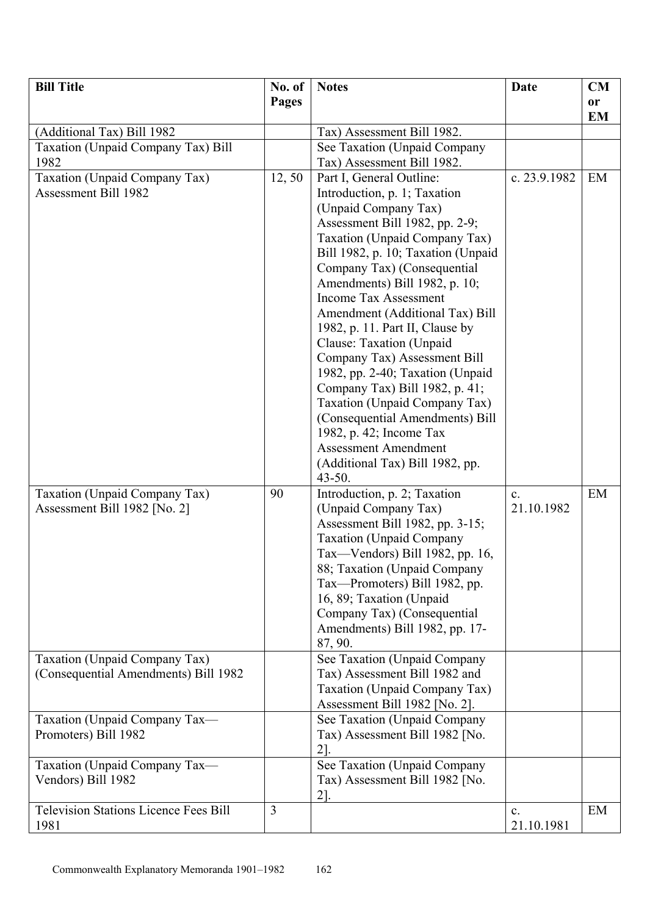| <b>Bill Title</b>                                                     | No. of | <b>Notes</b>                                                                                                                                                                                                                                                                                                                                                                                                                | Date                         | CM              |
|-----------------------------------------------------------------------|--------|-----------------------------------------------------------------------------------------------------------------------------------------------------------------------------------------------------------------------------------------------------------------------------------------------------------------------------------------------------------------------------------------------------------------------------|------------------------------|-----------------|
|                                                                       | Pages  |                                                                                                                                                                                                                                                                                                                                                                                                                             |                              | or<br><b>EM</b> |
| (Additional Tax) Bill 1982                                            |        | Tax) Assessment Bill 1982.                                                                                                                                                                                                                                                                                                                                                                                                  |                              |                 |
| Taxation (Unpaid Company Tax) Bill                                    |        | See Taxation (Unpaid Company                                                                                                                                                                                                                                                                                                                                                                                                |                              |                 |
| 1982                                                                  |        | Tax) Assessment Bill 1982.                                                                                                                                                                                                                                                                                                                                                                                                  |                              |                 |
| Taxation (Unpaid Company Tax)<br><b>Assessment Bill 1982</b>          | 12,50  | Part I, General Outline:<br>Introduction, p. 1; Taxation<br>(Unpaid Company Tax)<br>Assessment Bill 1982, pp. 2-9;<br>Taxation (Unpaid Company Tax)<br>Bill 1982, p. 10; Taxation (Unpaid<br>Company Tax) (Consequential<br>Amendments) Bill 1982, p. 10;<br><b>Income Tax Assessment</b><br>Amendment (Additional Tax) Bill<br>1982, p. 11. Part II, Clause by<br>Clause: Taxation (Unpaid<br>Company Tax) Assessment Bill | c. $23.9.1982$               | EM              |
|                                                                       |        | 1982, pp. 2-40; Taxation (Unpaid<br>Company Tax) Bill 1982, p. 41;<br>Taxation (Unpaid Company Tax)<br>(Consequential Amendments) Bill<br>1982, p. 42; Income Tax<br><b>Assessment Amendment</b><br>(Additional Tax) Bill 1982, pp.<br>$43 - 50$ .                                                                                                                                                                          |                              |                 |
| Taxation (Unpaid Company Tax)<br>Assessment Bill 1982 [No. 2]         | 90     | Introduction, p. 2; Taxation<br>(Unpaid Company Tax)<br>Assessment Bill 1982, pp. 3-15;<br><b>Taxation</b> (Unpaid Company<br>Tax—Vendors) Bill 1982, pp. 16,<br>88; Taxation (Unpaid Company<br>Tax-Promoters) Bill 1982, pp.<br>16, 89; Taxation (Unpaid<br>Company Tax) (Consequential<br>Amendments) Bill 1982, pp. 17-<br>87, 90.                                                                                      | $\mathbf{c}$ .<br>21.10.1982 | EM              |
| Taxation (Unpaid Company Tax)<br>(Consequential Amendments) Bill 1982 |        | See Taxation (Unpaid Company<br>Tax) Assessment Bill 1982 and<br>Taxation (Unpaid Company Tax)<br>Assessment Bill 1982 [No. 2].                                                                                                                                                                                                                                                                                             |                              |                 |
| Taxation (Unpaid Company Tax-<br>Promoters) Bill 1982                 |        | See Taxation (Unpaid Company<br>Tax) Assessment Bill 1982 [No.<br>$2$ ].                                                                                                                                                                                                                                                                                                                                                    |                              |                 |
| Taxation (Unpaid Company Tax-<br>Vendors) Bill 1982                   |        | See Taxation (Unpaid Company<br>Tax) Assessment Bill 1982 [No.<br>$2$ .                                                                                                                                                                                                                                                                                                                                                     |                              |                 |
| <b>Television Stations Licence Fees Bill</b><br>1981                  | 3      |                                                                                                                                                                                                                                                                                                                                                                                                                             | $\mathbf{c}$ .<br>21.10.1981 | EM              |